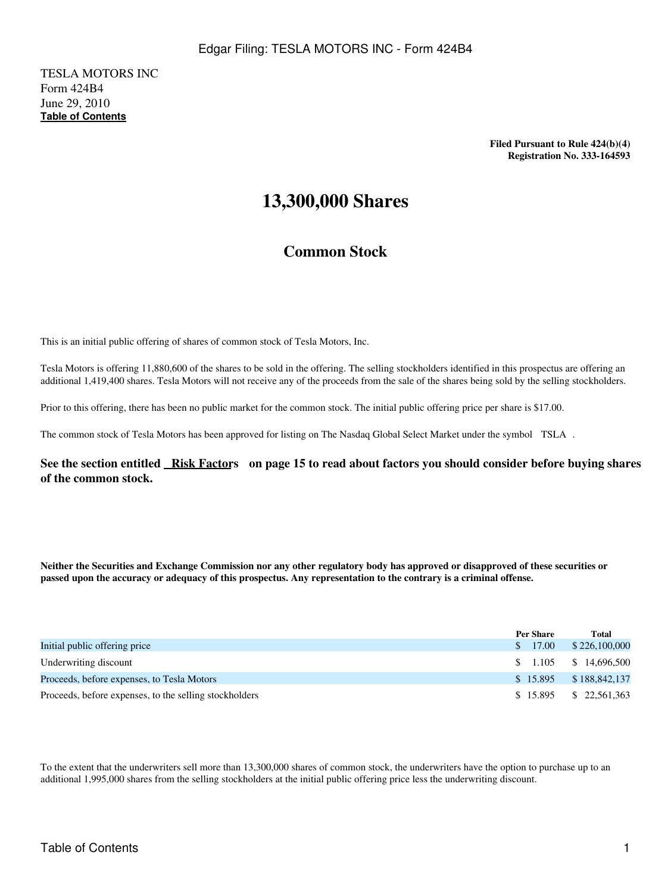TESLA MOTORS INC Form 424B4 June 29, 2010 **[Table of Contents](#page-5-0)**

> **Filed Pursuant to Rule 424(b)(4) Registration No. 333-164593**

# **13,300,000 Shares**

# **Common Stock**

This is an initial public offering of shares of common stock of Tesla Motors, Inc.

Tesla Motors is offering 11,880,600 of the shares to be sold in the offering. The selling stockholders identified in this prospectus are offering an additional 1,419,400 shares. Tesla Motors will not receive any of the proceeds from the sale of the shares being sold by the selling stockholders.

Prior to this offering, there has been no public market for the common stock. The initial public offering price per share is \$17.00.

The common stock of Tesla Motors has been approved for listing on The Nasdaq Global Select Market under the symbol TSLA.

**See the section entitled [Risk Factor](#page-25-0)s on page 15 to read about factors you should consider before buying shares of the common stock.**

**Neither the Securities and Exchange Commission nor any other regulatory body has approved or disapproved of these securities or passed upon the accuracy or adequacy of this prospectus. Any representation to the contrary is a criminal offense.**

|                                                        | Per Share                  | Total                   |
|--------------------------------------------------------|----------------------------|-------------------------|
| Initial public offering price                          | $17.00\,$<br>$\mathcal{S}$ | \$226,100,000           |
| Underwriting discount                                  |                            | $$1.105 \t$14.696.500$  |
| Proceeds, before expenses, to Tesla Motors             | \$15.895                   | \$188,842,137           |
| Proceeds, before expenses, to the selling stockholders |                            | $$15.895$ $$22,561,363$ |

To the extent that the underwriters sell more than 13,300,000 shares of common stock, the underwriters have the option to purchase up to an additional 1,995,000 shares from the selling stockholders at the initial public offering price less the underwriting discount.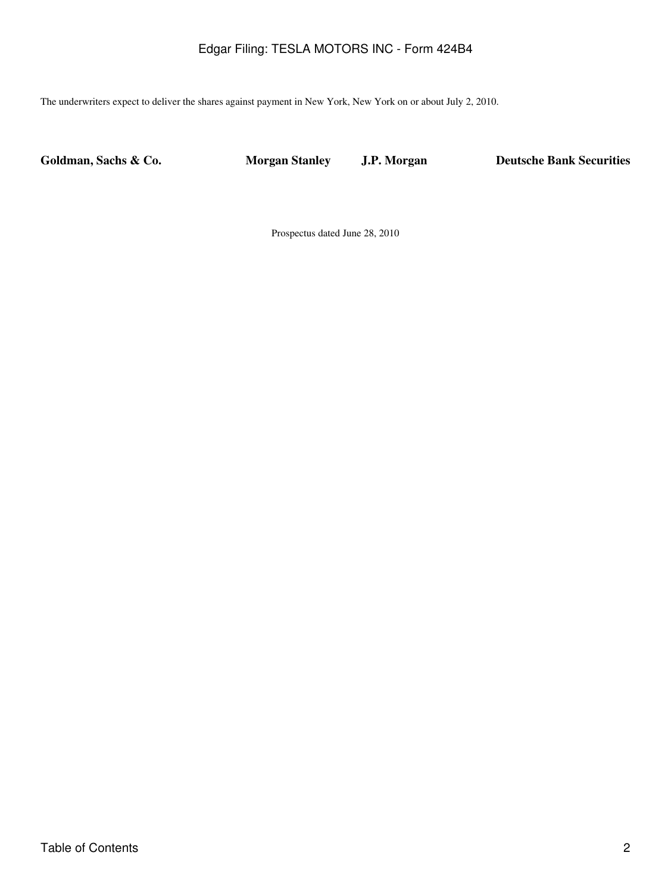# Edgar Filing: TESLA MOTORS INC - Form 424B4

The underwriters expect to deliver the shares against payment in New York, New York on or about July 2, 2010.

**Goldman, Sachs & Co. Morgan Stanley J.P. Morgan Deutsche Bank Securities**

Prospectus dated June 28, 2010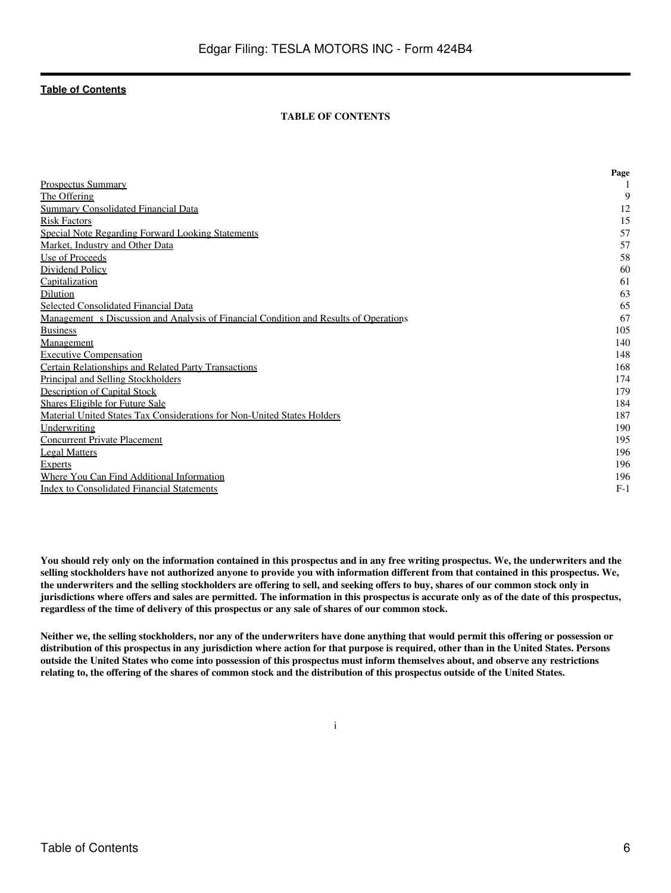# **TABLE OF CONTENTS**

<span id="page-5-0"></span>

|                                                                                       | Page  |
|---------------------------------------------------------------------------------------|-------|
| Prospectus Summary                                                                    |       |
| The Offering                                                                          | 9     |
| Summary Consolidated Financial Data                                                   | 12    |
| <b>Risk Factors</b>                                                                   | 15    |
| <b>Special Note Regarding Forward Looking Statements</b>                              | 57    |
| Market, Industry and Other Data                                                       | 57    |
| <b>Use of Proceeds</b>                                                                | 58    |
| Dividend Policy                                                                       | 60    |
| Capitalization                                                                        | 61    |
| Dilution                                                                              | 63    |
| Selected Consolidated Financial Data                                                  | 65    |
| Management s Discussion and Analysis of Financial Condition and Results of Operations | 67    |
| <b>Business</b>                                                                       | 105   |
| Management                                                                            | 140   |
| <b>Executive Compensation</b>                                                         | 148   |
| <b>Certain Relationships and Related Party Transactions</b>                           | 168   |
| Principal and Selling Stockholders                                                    | 174   |
| <b>Description of Capital Stock</b>                                                   | 179   |
| <b>Shares Eligible for Future Sale</b>                                                | 184   |
| Material United States Tax Considerations for Non-United States Holders               | 187   |
| Underwriting                                                                          | 190   |
| Concurrent Private Placement                                                          | 195   |
| <b>Legal Matters</b>                                                                  | 196   |
| <b>Experts</b>                                                                        | 196   |
| Where You Can Find Additional Information                                             | 196   |
| <b>Index to Consolidated Financial Statements</b>                                     | $F-1$ |

**You should rely only on the information contained in this prospectus and in any free writing prospectus. We, the underwriters and the selling stockholders have not authorized anyone to provide you with information different from that contained in this prospectus. We, the underwriters and the selling stockholders are offering to sell, and seeking offers to buy, shares of our common stock only in jurisdictions where offers and sales are permitted. The information in this prospectus is accurate only as of the date of this prospectus, regardless of the time of delivery of this prospectus or any sale of shares of our common stock.**

**Neither we, the selling stockholders, nor any of the underwriters have done anything that would permit this offering or possession or distribution of this prospectus in any jurisdiction where action for that purpose is required, other than in the United States. Persons outside the United States who come into possession of this prospectus must inform themselves about, and observe any restrictions relating to, the offering of the shares of common stock and the distribution of this prospectus outside of the United States.**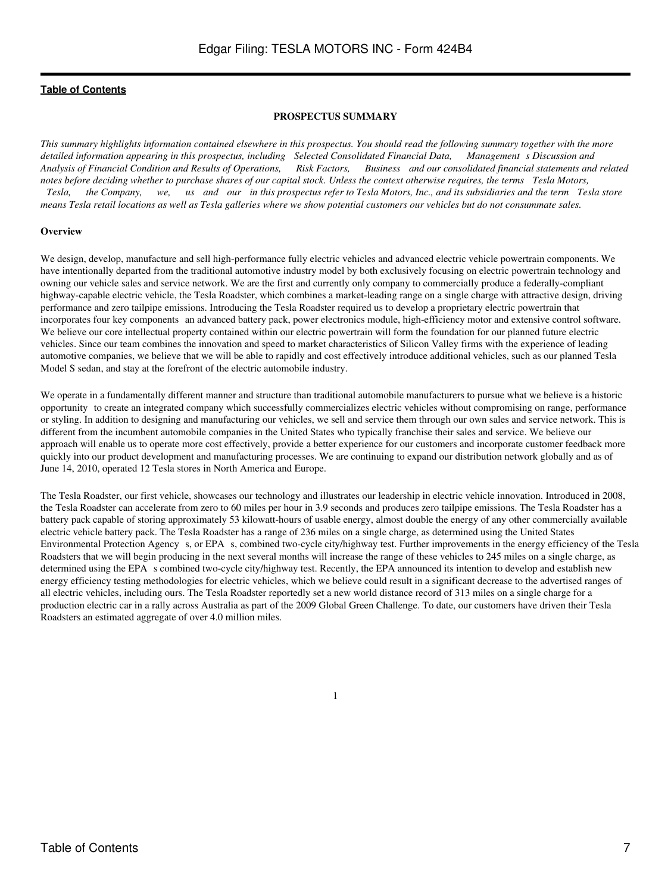#### **PROSPECTUS SUMMARY**

<span id="page-6-0"></span>*This summary highlights information contained elsewhere in this prospectus. You should read the following summary together with the more detailed information appearing in this prospectus, including Selected Consolidated Financial Data, Management s Discussion and Analysis of Financial Condition and Results of Operations, Risk Factors, Business and our consolidated financial statements and related notes before deciding whether to purchase shares of our capital stock. Unless the context otherwise requires, the terms Tesla Motors, Tesla, the Company, we, us and our in this prospectus refer to Tesla Motors, Inc., and its subsidiaries and the term Tesla store means Tesla retail locations as well as Tesla galleries where we show potential customers our vehicles but do not consummate sales.*

#### **Overview**

We design, develop, manufacture and sell high-performance fully electric vehicles and advanced electric vehicle powertrain components. We have intentionally departed from the traditional automotive industry model by both exclusively focusing on electric powertrain technology and owning our vehicle sales and service network. We are the first and currently only company to commercially produce a federally-compliant highway-capable electric vehicle, the Tesla Roadster, which combines a market-leading range on a single charge with attractive design, driving performance and zero tailpipe emissions. Introducing the Tesla Roadster required us to develop a proprietary electric powertrain that incorporates four key components an advanced battery pack, power electronics module, high-efficiency motor and extensive control software. We believe our core intellectual property contained within our electric powertrain will form the foundation for our planned future electric vehicles. Since our team combines the innovation and speed to market characteristics of Silicon Valley firms with the experience of leading automotive companies, we believe that we will be able to rapidly and cost effectively introduce additional vehicles, such as our planned Tesla Model S sedan, and stay at the forefront of the electric automobile industry.

We operate in a fundamentally different manner and structure than traditional automobile manufacturers to pursue what we believe is a historic opportunity to create an integrated company which successfully commercializes electric vehicles without compromising on range, performance or styling. In addition to designing and manufacturing our vehicles, we sell and service them through our own sales and service network. This is different from the incumbent automobile companies in the United States who typically franchise their sales and service. We believe our approach will enable us to operate more cost effectively, provide a better experience for our customers and incorporate customer feedback more quickly into our product development and manufacturing processes. We are continuing to expand our distribution network globally and as of June 14, 2010, operated 12 Tesla stores in North America and Europe.

The Tesla Roadster, our first vehicle, showcases our technology and illustrates our leadership in electric vehicle innovation. Introduced in 2008, the Tesla Roadster can accelerate from zero to 60 miles per hour in 3.9 seconds and produces zero tailpipe emissions. The Tesla Roadster has a battery pack capable of storing approximately 53 kilowatt-hours of usable energy, almost double the energy of any other commercially available electric vehicle battery pack. The Tesla Roadster has a range of 236 miles on a single charge, as determined using the United States Environmental Protection Agency s, or EPA s, combined two-cycle city/highway test. Further improvements in the energy efficiency of the Tesla Roadsters that we will begin producing in the next several months will increase the range of these vehicles to 245 miles on a single charge, as determined using the EPA s combined two-cycle city/highway test. Recently, the EPA announced its intention to develop and establish new energy efficiency testing methodologies for electric vehicles, which we believe could result in a significant decrease to the advertised ranges of all electric vehicles, including ours. The Tesla Roadster reportedly set a new world distance record of 313 miles on a single charge for a production electric car in a rally across Australia as part of the 2009 Global Green Challenge. To date, our customers have driven their Tesla Roadsters an estimated aggregate of over 4.0 million miles.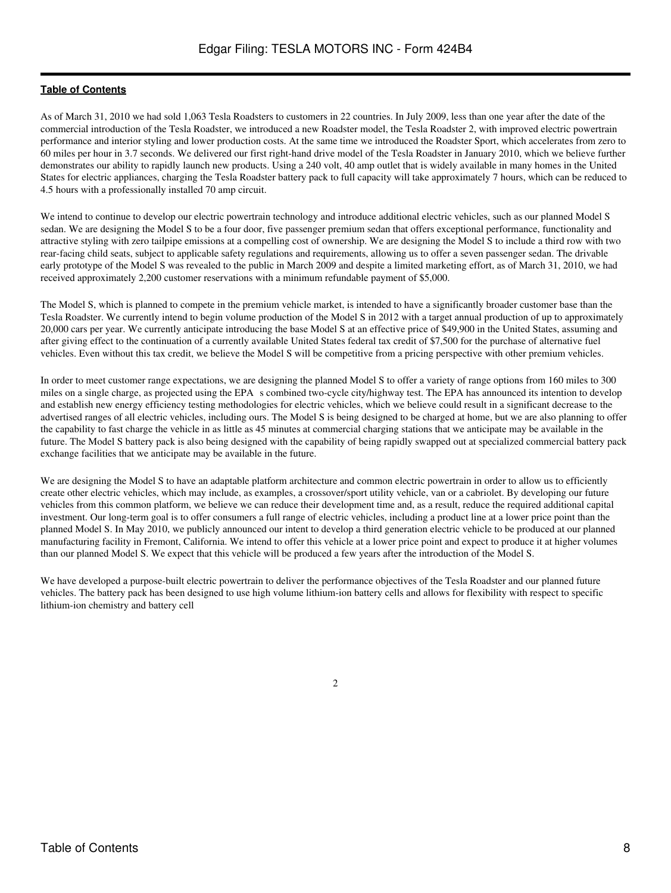As of March 31, 2010 we had sold 1,063 Tesla Roadsters to customers in 22 countries. In July 2009, less than one year after the date of the commercial introduction of the Tesla Roadster, we introduced a new Roadster model, the Tesla Roadster 2, with improved electric powertrain performance and interior styling and lower production costs. At the same time we introduced the Roadster Sport, which accelerates from zero to 60 miles per hour in 3.7 seconds. We delivered our first right-hand drive model of the Tesla Roadster in January 2010, which we believe further demonstrates our ability to rapidly launch new products. Using a 240 volt, 40 amp outlet that is widely available in many homes in the United States for electric appliances, charging the Tesla Roadster battery pack to full capacity will take approximately 7 hours, which can be reduced to 4.5 hours with a professionally installed 70 amp circuit.

We intend to continue to develop our electric powertrain technology and introduce additional electric vehicles, such as our planned Model S sedan. We are designing the Model S to be a four door, five passenger premium sedan that offers exceptional performance, functionality and attractive styling with zero tailpipe emissions at a compelling cost of ownership. We are designing the Model S to include a third row with two rear-facing child seats, subject to applicable safety regulations and requirements, allowing us to offer a seven passenger sedan. The drivable early prototype of the Model S was revealed to the public in March 2009 and despite a limited marketing effort, as of March 31, 2010, we had received approximately 2,200 customer reservations with a minimum refundable payment of \$5,000.

The Model S, which is planned to compete in the premium vehicle market, is intended to have a significantly broader customer base than the Tesla Roadster. We currently intend to begin volume production of the Model S in 2012 with a target annual production of up to approximately 20,000 cars per year. We currently anticipate introducing the base Model S at an effective price of \$49,900 in the United States, assuming and after giving effect to the continuation of a currently available United States federal tax credit of \$7,500 for the purchase of alternative fuel vehicles. Even without this tax credit, we believe the Model S will be competitive from a pricing perspective with other premium vehicles.

In order to meet customer range expectations, we are designing the planned Model S to offer a variety of range options from 160 miles to 300 miles on a single charge, as projected using the EPA s combined two-cycle city/highway test. The EPA has announced its intention to develop and establish new energy efficiency testing methodologies for electric vehicles, which we believe could result in a significant decrease to the advertised ranges of all electric vehicles, including ours. The Model S is being designed to be charged at home, but we are also planning to offer the capability to fast charge the vehicle in as little as 45 minutes at commercial charging stations that we anticipate may be available in the future. The Model S battery pack is also being designed with the capability of being rapidly swapped out at specialized commercial battery pack exchange facilities that we anticipate may be available in the future.

We are designing the Model S to have an adaptable platform architecture and common electric powertrain in order to allow us to efficiently create other electric vehicles, which may include, as examples, a crossover/sport utility vehicle, van or a cabriolet. By developing our future vehicles from this common platform, we believe we can reduce their development time and, as a result, reduce the required additional capital investment. Our long-term goal is to offer consumers a full range of electric vehicles, including a product line at a lower price point than the planned Model S. In May 2010, we publicly announced our intent to develop a third generation electric vehicle to be produced at our planned manufacturing facility in Fremont, California. We intend to offer this vehicle at a lower price point and expect to produce it at higher volumes than our planned Model S. We expect that this vehicle will be produced a few years after the introduction of the Model S.

We have developed a purpose-built electric powertrain to deliver the performance objectives of the Tesla Roadster and our planned future vehicles. The battery pack has been designed to use high volume lithium-ion battery cells and allows for flexibility with respect to specific lithium-ion chemistry and battery cell

 $\mathcal{L}$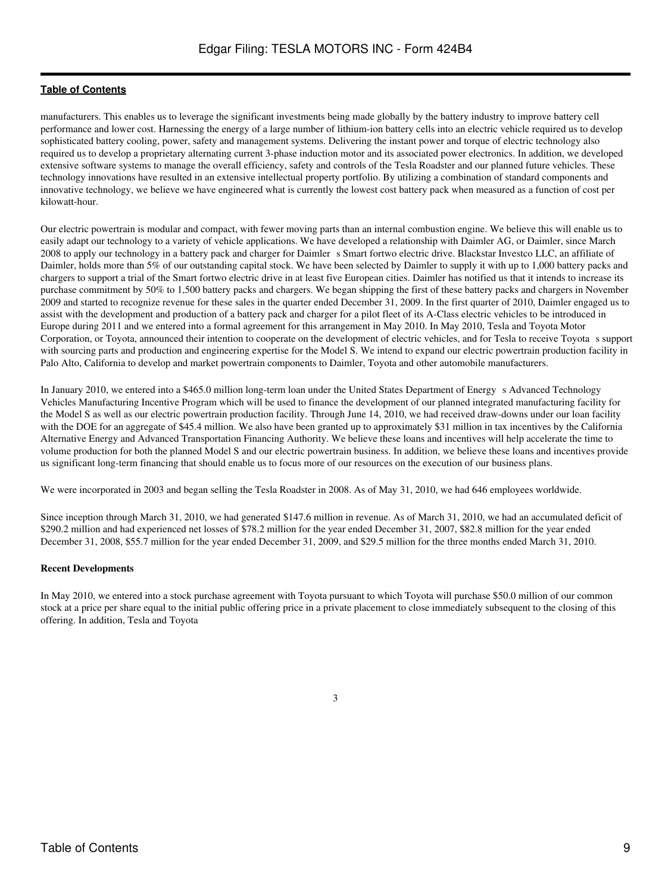manufacturers. This enables us to leverage the significant investments being made globally by the battery industry to improve battery cell performance and lower cost. Harnessing the energy of a large number of lithium-ion battery cells into an electric vehicle required us to develop sophisticated battery cooling, power, safety and management systems. Delivering the instant power and torque of electric technology also required us to develop a proprietary alternating current 3-phase induction motor and its associated power electronics. In addition, we developed extensive software systems to manage the overall efficiency, safety and controls of the Tesla Roadster and our planned future vehicles. These technology innovations have resulted in an extensive intellectual property portfolio. By utilizing a combination of standard components and innovative technology, we believe we have engineered what is currently the lowest cost battery pack when measured as a function of cost per kilowatt-hour.

Our electric powertrain is modular and compact, with fewer moving parts than an internal combustion engine. We believe this will enable us to easily adapt our technology to a variety of vehicle applications. We have developed a relationship with Daimler AG, or Daimler, since March 2008 to apply our technology in a battery pack and charger for Daimler s Smart fortwo electric drive. Blackstar Investco LLC, an affiliate of Daimler, holds more than 5% of our outstanding capital stock. We have been selected by Daimler to supply it with up to 1,000 battery packs and chargers to support a trial of the Smart fortwo electric drive in at least five European cities. Daimler has notified us that it intends to increase its purchase commitment by 50% to 1,500 battery packs and chargers. We began shipping the first of these battery packs and chargers in November 2009 and started to recognize revenue for these sales in the quarter ended December 31, 2009. In the first quarter of 2010, Daimler engaged us to assist with the development and production of a battery pack and charger for a pilot fleet of its A-Class electric vehicles to be introduced in Europe during 2011 and we entered into a formal agreement for this arrangement in May 2010. In May 2010, Tesla and Toyota Motor Corporation, or Toyota, announced their intention to cooperate on the development of electric vehicles, and for Tesla to receive Toyotas support with sourcing parts and production and engineering expertise for the Model S. We intend to expand our electric powertrain production facility in Palo Alto, California to develop and market powertrain components to Daimler, Toyota and other automobile manufacturers.

In January 2010, we entered into a \$465.0 million long-term loan under the United States Department of Energy s Advanced Technology Vehicles Manufacturing Incentive Program which will be used to finance the development of our planned integrated manufacturing facility for the Model S as well as our electric powertrain production facility. Through June 14, 2010, we had received draw-downs under our loan facility with the DOE for an aggregate of \$45.4 million. We also have been granted up to approximately \$31 million in tax incentives by the California Alternative Energy and Advanced Transportation Financing Authority. We believe these loans and incentives will help accelerate the time to volume production for both the planned Model S and our electric powertrain business. In addition, we believe these loans and incentives provide us significant long-term financing that should enable us to focus more of our resources on the execution of our business plans.

We were incorporated in 2003 and began selling the Tesla Roadster in 2008. As of May 31, 2010, we had 646 employees worldwide.

Since inception through March 31, 2010, we had generated \$147.6 million in revenue. As of March 31, 2010, we had an accumulated deficit of \$290.2 million and had experienced net losses of \$78.2 million for the year ended December 31, 2007, \$82.8 million for the year ended December 31, 2008, \$55.7 million for the year ended December 31, 2009, and \$29.5 million for the three months ended March 31, 2010.

# **Recent Developments**

In May 2010, we entered into a stock purchase agreement with Toyota pursuant to which Toyota will purchase \$50.0 million of our common stock at a price per share equal to the initial public offering price in a private placement to close immediately subsequent to the closing of this offering. In addition, Tesla and Toyota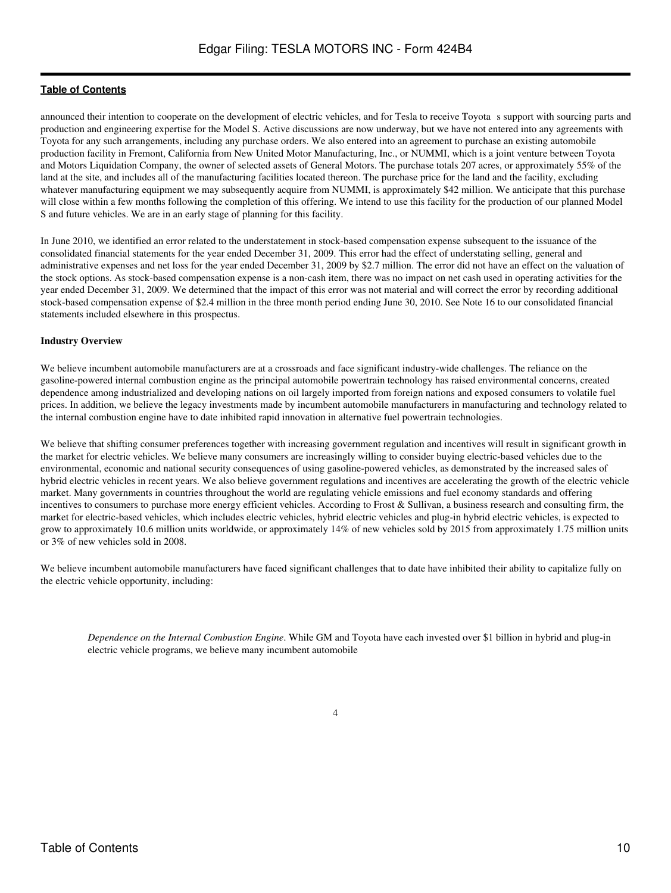announced their intention to cooperate on the development of electric vehicles, and for Tesla to receive Toyotas support with sourcing parts and production and engineering expertise for the Model S. Active discussions are now underway, but we have not entered into any agreements with Toyota for any such arrangements, including any purchase orders. We also entered into an agreement to purchase an existing automobile production facility in Fremont, California from New United Motor Manufacturing, Inc., or NUMMI, which is a joint venture between Toyota and Motors Liquidation Company, the owner of selected assets of General Motors. The purchase totals 207 acres, or approximately 55% of the land at the site, and includes all of the manufacturing facilities located thereon. The purchase price for the land and the facility, excluding whatever manufacturing equipment we may subsequently acquire from NUMMI, is approximately \$42 million. We anticipate that this purchase will close within a few months following the completion of this offering. We intend to use this facility for the production of our planned Model S and future vehicles. We are in an early stage of planning for this facility.

In June 2010, we identified an error related to the understatement in stock-based compensation expense subsequent to the issuance of the consolidated financial statements for the year ended December 31, 2009. This error had the effect of understating selling, general and administrative expenses and net loss for the year ended December 31, 2009 by \$2.7 million. The error did not have an effect on the valuation of the stock options. As stock-based compensation expense is a non-cash item, there was no impact on net cash used in operating activities for the year ended December 31, 2009. We determined that the impact of this error was not material and will correct the error by recording additional stock-based compensation expense of \$2.4 million in the three month period ending June 30, 2010. See Note 16 to our consolidated financial statements included elsewhere in this prospectus.

#### **Industry Overview**

We believe incumbent automobile manufacturers are at a crossroads and face significant industry-wide challenges. The reliance on the gasoline-powered internal combustion engine as the principal automobile powertrain technology has raised environmental concerns, created dependence among industrialized and developing nations on oil largely imported from foreign nations and exposed consumers to volatile fuel prices. In addition, we believe the legacy investments made by incumbent automobile manufacturers in manufacturing and technology related to the internal combustion engine have to date inhibited rapid innovation in alternative fuel powertrain technologies.

We believe that shifting consumer preferences together with increasing government regulation and incentives will result in significant growth in the market for electric vehicles. We believe many consumers are increasingly willing to consider buying electric-based vehicles due to the environmental, economic and national security consequences of using gasoline-powered vehicles, as demonstrated by the increased sales of hybrid electric vehicles in recent years. We also believe government regulations and incentives are accelerating the growth of the electric vehicle market. Many governments in countries throughout the world are regulating vehicle emissions and fuel economy standards and offering incentives to consumers to purchase more energy efficient vehicles. According to Frost & Sullivan, a business research and consulting firm, the market for electric-based vehicles, which includes electric vehicles, hybrid electric vehicles and plug-in hybrid electric vehicles, is expected to grow to approximately 10.6 million units worldwide, or approximately 14% of new vehicles sold by 2015 from approximately 1.75 million units or 3% of new vehicles sold in 2008.

We believe incumbent automobile manufacturers have faced significant challenges that to date have inhibited their ability to capitalize fully on the electric vehicle opportunity, including:

*Dependence on the Internal Combustion Engine*. While GM and Toyota have each invested over \$1 billion in hybrid and plug-in electric vehicle programs, we believe many incumbent automobile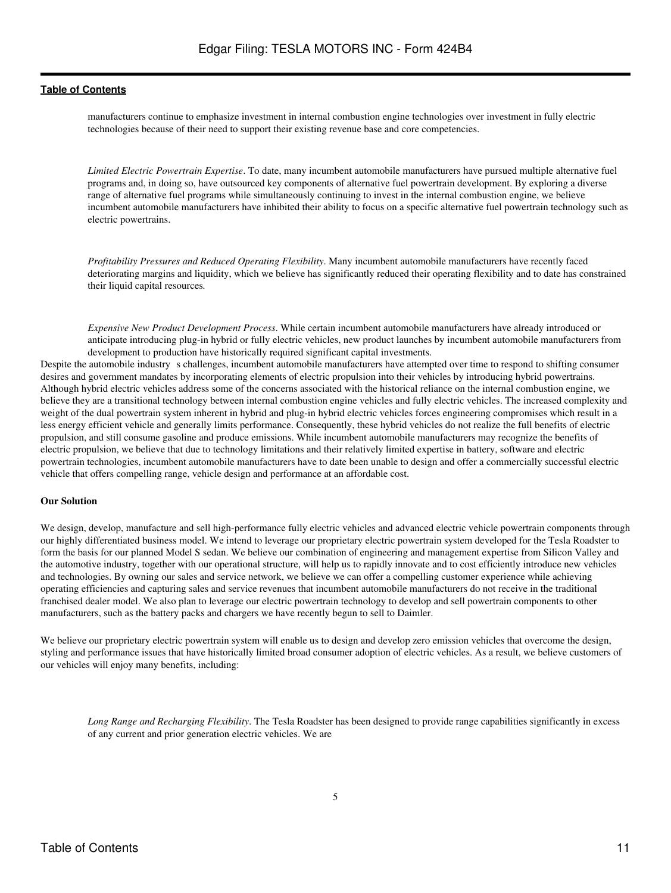manufacturers continue to emphasize investment in internal combustion engine technologies over investment in fully electric technologies because of their need to support their existing revenue base and core competencies.

*Limited Electric Powertrain Expertise*. To date, many incumbent automobile manufacturers have pursued multiple alternative fuel programs and, in doing so, have outsourced key components of alternative fuel powertrain development. By exploring a diverse range of alternative fuel programs while simultaneously continuing to invest in the internal combustion engine, we believe incumbent automobile manufacturers have inhibited their ability to focus on a specific alternative fuel powertrain technology such as electric powertrains.

*Profitability Pressures and Reduced Operating Flexibility*. Many incumbent automobile manufacturers have recently faced deteriorating margins and liquidity, which we believe has significantly reduced their operating flexibility and to date has constrained their liquid capital resources*.*

*Expensive New Product Development Process*. While certain incumbent automobile manufacturers have already introduced or anticipate introducing plug-in hybrid or fully electric vehicles, new product launches by incumbent automobile manufacturers from development to production have historically required significant capital investments.

Despite the automobile industrys challenges, incumbent automobile manufacturers have attempted over time to respond to shifting consumer desires and government mandates by incorporating elements of electric propulsion into their vehicles by introducing hybrid powertrains. Although hybrid electric vehicles address some of the concerns associated with the historical reliance on the internal combustion engine, we believe they are a transitional technology between internal combustion engine vehicles and fully electric vehicles. The increased complexity and weight of the dual powertrain system inherent in hybrid and plug-in hybrid electric vehicles forces engineering compromises which result in a less energy efficient vehicle and generally limits performance. Consequently, these hybrid vehicles do not realize the full benefits of electric propulsion, and still consume gasoline and produce emissions. While incumbent automobile manufacturers may recognize the benefits of electric propulsion, we believe that due to technology limitations and their relatively limited expertise in battery, software and electric powertrain technologies, incumbent automobile manufacturers have to date been unable to design and offer a commercially successful electric vehicle that offers compelling range, vehicle design and performance at an affordable cost.

#### **Our Solution**

We design, develop, manufacture and sell high-performance fully electric vehicles and advanced electric vehicle powertrain components through our highly differentiated business model. We intend to leverage our proprietary electric powertrain system developed for the Tesla Roadster to form the basis for our planned Model S sedan. We believe our combination of engineering and management expertise from Silicon Valley and the automotive industry, together with our operational structure, will help us to rapidly innovate and to cost efficiently introduce new vehicles and technologies. By owning our sales and service network, we believe we can offer a compelling customer experience while achieving operating efficiencies and capturing sales and service revenues that incumbent automobile manufacturers do not receive in the traditional franchised dealer model. We also plan to leverage our electric powertrain technology to develop and sell powertrain components to other manufacturers, such as the battery packs and chargers we have recently begun to sell to Daimler.

We believe our proprietary electric powertrain system will enable us to design and develop zero emission vehicles that overcome the design, styling and performance issues that have historically limited broad consumer adoption of electric vehicles. As a result, we believe customers of our vehicles will enjoy many benefits, including:

*Long Range and Recharging Flexibility*. The Tesla Roadster has been designed to provide range capabilities significantly in excess of any current and prior generation electric vehicles. We are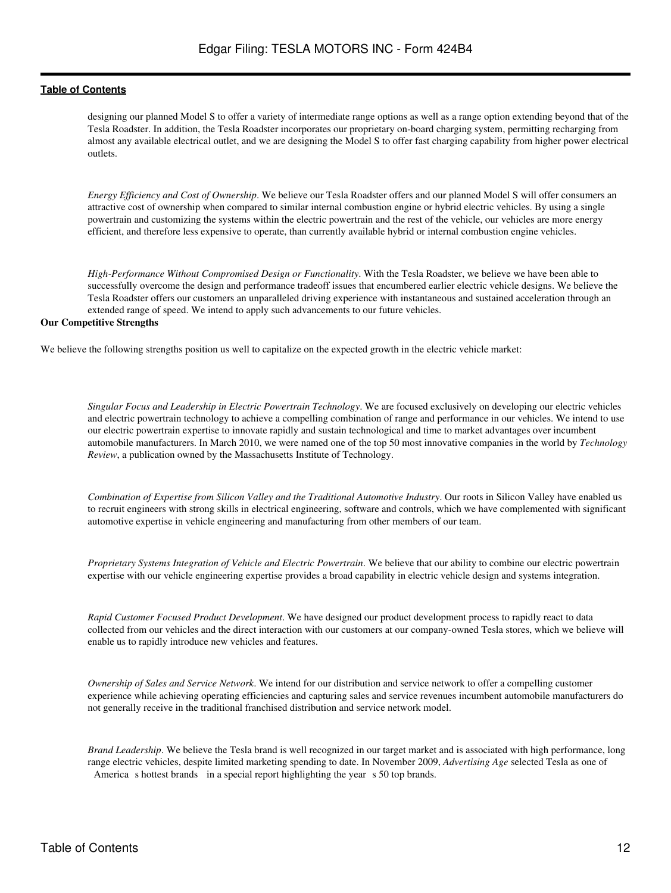designing our planned Model S to offer a variety of intermediate range options as well as a range option extending beyond that of the Tesla Roadster. In addition, the Tesla Roadster incorporates our proprietary on-board charging system, permitting recharging from almost any available electrical outlet, and we are designing the Model S to offer fast charging capability from higher power electrical outlets.

*Energy Efficiency and Cost of Ownership*. We believe our Tesla Roadster offers and our planned Model S will offer consumers an attractive cost of ownership when compared to similar internal combustion engine or hybrid electric vehicles. By using a single powertrain and customizing the systems within the electric powertrain and the rest of the vehicle, our vehicles are more energy efficient, and therefore less expensive to operate, than currently available hybrid or internal combustion engine vehicles.

*High-Performance Without Compromised Design or Functionality*. With the Tesla Roadster, we believe we have been able to successfully overcome the design and performance tradeoff issues that encumbered earlier electric vehicle designs. We believe the Tesla Roadster offers our customers an unparalleled driving experience with instantaneous and sustained acceleration through an extended range of speed. We intend to apply such advancements to our future vehicles.

# **Our Competitive Strengths**

We believe the following strengths position us well to capitalize on the expected growth in the electric vehicle market:

*Singular Focus and Leadership in Electric Powertrain Technology*. We are focused exclusively on developing our electric vehicles and electric powertrain technology to achieve a compelling combination of range and performance in our vehicles. We intend to use our electric powertrain expertise to innovate rapidly and sustain technological and time to market advantages over incumbent automobile manufacturers. In March 2010, we were named one of the top 50 most innovative companies in the world by *Technology Review*, a publication owned by the Massachusetts Institute of Technology.

*Combination of Expertise from Silicon Valley and the Traditional Automotive Industry*. Our roots in Silicon Valley have enabled us to recruit engineers with strong skills in electrical engineering, software and controls, which we have complemented with significant automotive expertise in vehicle engineering and manufacturing from other members of our team.

*Proprietary Systems Integration of Vehicle and Electric Powertrain*. We believe that our ability to combine our electric powertrain expertise with our vehicle engineering expertise provides a broad capability in electric vehicle design and systems integration.

*Rapid Customer Focused Product Development*. We have designed our product development process to rapidly react to data collected from our vehicles and the direct interaction with our customers at our company-owned Tesla stores, which we believe will enable us to rapidly introduce new vehicles and features.

*Ownership of Sales and Service Network*. We intend for our distribution and service network to offer a compelling customer experience while achieving operating efficiencies and capturing sales and service revenues incumbent automobile manufacturers do not generally receive in the traditional franchised distribution and service network model.

*Brand Leadership*. We believe the Tesla brand is well recognized in our target market and is associated with high performance, long range electric vehicles, despite limited marketing spending to date. In November 2009, *Advertising Age* selected Tesla as one of America s hottest brands in a special report highlighting the year s 50 top brands.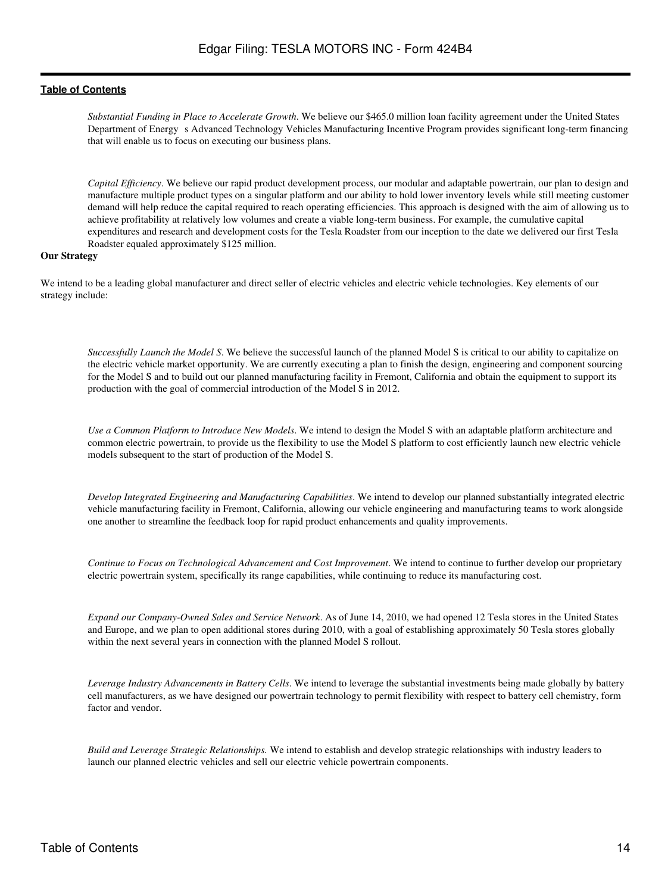*Substantial Funding in Place to Accelerate Growth*. We believe our \$465.0 million loan facility agreement under the United States Department of Energy s Advanced Technology Vehicles Manufacturing Incentive Program provides significant long-term financing that will enable us to focus on executing our business plans.

*Capital Efficiency*. We believe our rapid product development process, our modular and adaptable powertrain, our plan to design and manufacture multiple product types on a singular platform and our ability to hold lower inventory levels while still meeting customer demand will help reduce the capital required to reach operating efficiencies. This approach is designed with the aim of allowing us to achieve profitability at relatively low volumes and create a viable long-term business. For example, the cumulative capital expenditures and research and development costs for the Tesla Roadster from our inception to the date we delivered our first Tesla Roadster equaled approximately \$125 million.

#### **Our Strategy**

We intend to be a leading global manufacturer and direct seller of electric vehicles and electric vehicle technologies. Key elements of our strategy include:

*Successfully Launch the Model S*. We believe the successful launch of the planned Model S is critical to our ability to capitalize on the electric vehicle market opportunity. We are currently executing a plan to finish the design, engineering and component sourcing for the Model S and to build out our planned manufacturing facility in Fremont, California and obtain the equipment to support its production with the goal of commercial introduction of the Model S in 2012.

*Use a Common Platform to Introduce New Models*. We intend to design the Model S with an adaptable platform architecture and common electric powertrain, to provide us the flexibility to use the Model S platform to cost efficiently launch new electric vehicle models subsequent to the start of production of the Model S.

*Develop Integrated Engineering and Manufacturing Capabilities*. We intend to develop our planned substantially integrated electric vehicle manufacturing facility in Fremont, California, allowing our vehicle engineering and manufacturing teams to work alongside one another to streamline the feedback loop for rapid product enhancements and quality improvements.

*Continue to Focus on Technological Advancement and Cost Improvement*. We intend to continue to further develop our proprietary electric powertrain system, specifically its range capabilities, while continuing to reduce its manufacturing cost.

*Expand our Company-Owned Sales and Service Network*. As of June 14, 2010, we had opened 12 Tesla stores in the United States and Europe, and we plan to open additional stores during 2010, with a goal of establishing approximately 50 Tesla stores globally within the next several years in connection with the planned Model S rollout.

*Leverage Industry Advancements in Battery Cells*. We intend to leverage the substantial investments being made globally by battery cell manufacturers, as we have designed our powertrain technology to permit flexibility with respect to battery cell chemistry, form factor and vendor.

*Build and Leverage Strategic Relationships.* We intend to establish and develop strategic relationships with industry leaders to launch our planned electric vehicles and sell our electric vehicle powertrain components.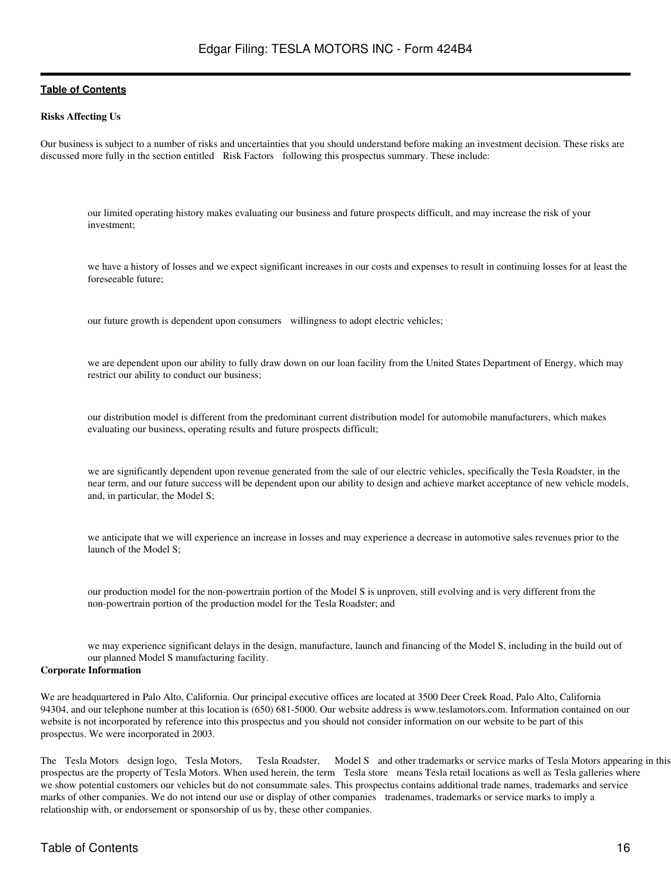#### **Risks Affecting Us**

Our business is subject to a number of risks and uncertainties that you should understand before making an investment decision. These risks are discussed more fully in the section entitled Risk Factors following this prospectus summary. These include:

our limited operating history makes evaluating our business and future prospects difficult, and may increase the risk of your investment;

we have a history of losses and we expect significant increases in our costs and expenses to result in continuing losses for at least the foreseeable future;

our future growth is dependent upon consumers willingness to adopt electric vehicles;

we are dependent upon our ability to fully draw down on our loan facility from the United States Department of Energy, which may restrict our ability to conduct our business;

our distribution model is different from the predominant current distribution model for automobile manufacturers, which makes evaluating our business, operating results and future prospects difficult;

we are significantly dependent upon revenue generated from the sale of our electric vehicles, specifically the Tesla Roadster, in the near term, and our future success will be dependent upon our ability to design and achieve market acceptance of new vehicle models, and, in particular, the Model S;

we anticipate that we will experience an increase in losses and may experience a decrease in automotive sales revenues prior to the launch of the Model S;

our production model for the non-powertrain portion of the Model S is unproven, still evolving and is very different from the non-powertrain portion of the production model for the Tesla Roadster; and

we may experience significant delays in the design, manufacture, launch and financing of the Model S, including in the build out of our planned Model S manufacturing facility.

## **Corporate Information**

We are headquartered in Palo Alto, California. Our principal executive offices are located at 3500 Deer Creek Road, Palo Alto, California 94304, and our telephone number at this location is (650) 681-5000. Our website address is www.teslamotors.com. Information contained on our website is not incorporated by reference into this prospectus and you should not consider information on our website to be part of this prospectus. We were incorporated in 2003.

The Tesla Motors design logo, Tesla Motors, Tesla Roadster, Model S and other trademarks or service marks of Tesla Motors appearing in this prospectus are the property of Tesla Motors. When used herein, the term Tesla store means Tesla retail locations as well as Tesla galleries where we show potential customers our vehicles but do not consummate sales. This prospectus contains additional trade names, trademarks and service marks of other companies. We do not intend our use or display of other companies tradenames, trademarks or service marks to imply a relationship with, or endorsement or sponsorship of us by, these other companies.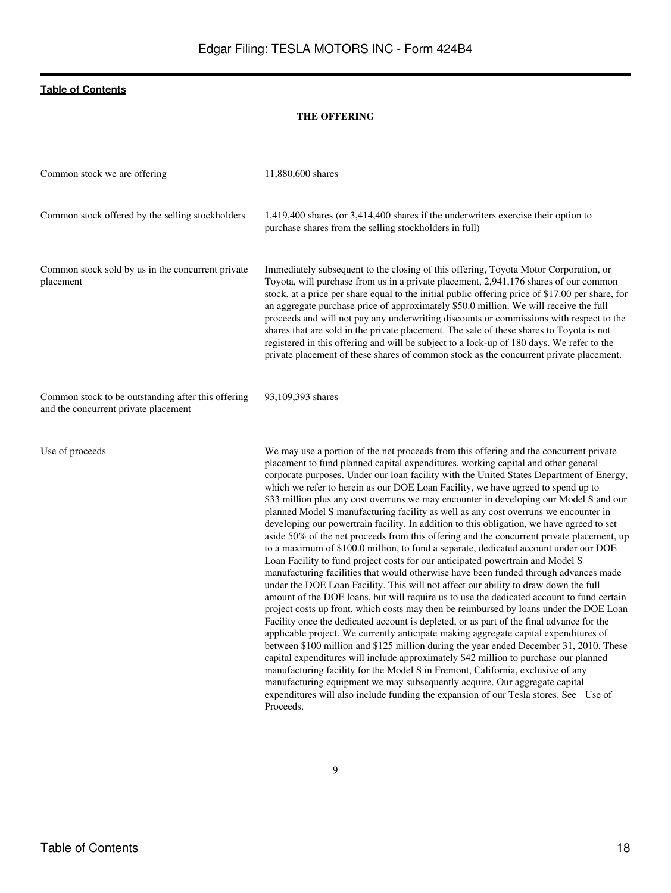# **THE OFFERING**

<span id="page-17-0"></span>

| Common stock we are offering                                                               | 11,880,600 shares                                                                                                                                                                                                                                                                                                                                                                                                                                                                                                                                                                                                                                                                                                                                                                                                                                                                                                                                                                                                                                                                                                                                                                                                                                                                                                                                                                                                                                                                                                                                                                                                                                                                                                                                                                                                                                                                                                                  |
|--------------------------------------------------------------------------------------------|------------------------------------------------------------------------------------------------------------------------------------------------------------------------------------------------------------------------------------------------------------------------------------------------------------------------------------------------------------------------------------------------------------------------------------------------------------------------------------------------------------------------------------------------------------------------------------------------------------------------------------------------------------------------------------------------------------------------------------------------------------------------------------------------------------------------------------------------------------------------------------------------------------------------------------------------------------------------------------------------------------------------------------------------------------------------------------------------------------------------------------------------------------------------------------------------------------------------------------------------------------------------------------------------------------------------------------------------------------------------------------------------------------------------------------------------------------------------------------------------------------------------------------------------------------------------------------------------------------------------------------------------------------------------------------------------------------------------------------------------------------------------------------------------------------------------------------------------------------------------------------------------------------------------------------|
| Common stock offered by the selling stockholders                                           | 1,419,400 shares (or 3,414,400 shares if the underwriters exercise their option to<br>purchase shares from the selling stockholders in full)                                                                                                                                                                                                                                                                                                                                                                                                                                                                                                                                                                                                                                                                                                                                                                                                                                                                                                                                                                                                                                                                                                                                                                                                                                                                                                                                                                                                                                                                                                                                                                                                                                                                                                                                                                                       |
| Common stock sold by us in the concurrent private<br>placement                             | Immediately subsequent to the closing of this offering, Toyota Motor Corporation, or<br>Toyota, will purchase from us in a private placement, 2,941,176 shares of our common<br>stock, at a price per share equal to the initial public offering price of \$17.00 per share, for<br>an aggregate purchase price of approximately \$50.0 million. We will receive the full<br>proceeds and will not pay any underwriting discounts or commissions with respect to the<br>shares that are sold in the private placement. The sale of these shares to Toyota is not<br>registered in this offering and will be subject to a lock-up of 180 days. We refer to the<br>private placement of these shares of common stock as the concurrent private placement.                                                                                                                                                                                                                                                                                                                                                                                                                                                                                                                                                                                                                                                                                                                                                                                                                                                                                                                                                                                                                                                                                                                                                                            |
| Common stock to be outstanding after this offering<br>and the concurrent private placement | 93,109,393 shares                                                                                                                                                                                                                                                                                                                                                                                                                                                                                                                                                                                                                                                                                                                                                                                                                                                                                                                                                                                                                                                                                                                                                                                                                                                                                                                                                                                                                                                                                                                                                                                                                                                                                                                                                                                                                                                                                                                  |
| Use of proceeds                                                                            | We may use a portion of the net proceeds from this offering and the concurrent private<br>placement to fund planned capital expenditures, working capital and other general<br>corporate purposes. Under our loan facility with the United States Department of Energy,<br>which we refer to herein as our DOE Loan Facility, we have agreed to spend up to<br>\$33 million plus any cost overruns we may encounter in developing our Model S and our<br>planned Model S manufacturing facility as well as any cost overruns we encounter in<br>developing our powertrain facility. In addition to this obligation, we have agreed to set<br>aside 50% of the net proceeds from this offering and the concurrent private placement, up<br>to a maximum of \$100.0 million, to fund a separate, dedicated account under our DOE<br>Loan Facility to fund project costs for our anticipated powertrain and Model S<br>manufacturing facilities that would otherwise have been funded through advances made<br>under the DOE Loan Facility. This will not affect our ability to draw down the full<br>amount of the DOE loans, but will require us to use the dedicated account to fund certain<br>project costs up front, which costs may then be reimbursed by loans under the DOE Loan<br>Facility once the dedicated account is depleted, or as part of the final advance for the<br>applicable project. We currently anticipate making aggregate capital expenditures of<br>between \$100 million and \$125 million during the year ended December 31, 2010. These<br>capital expenditures will include approximately \$42 million to purchase our planned<br>manufacturing facility for the Model S in Fremont, California, exclusive of any<br>manufacturing equipment we may subsequently acquire. Our aggregate capital<br>expenditures will also include funding the expansion of our Tesla stores. See Use of<br>Proceeds. |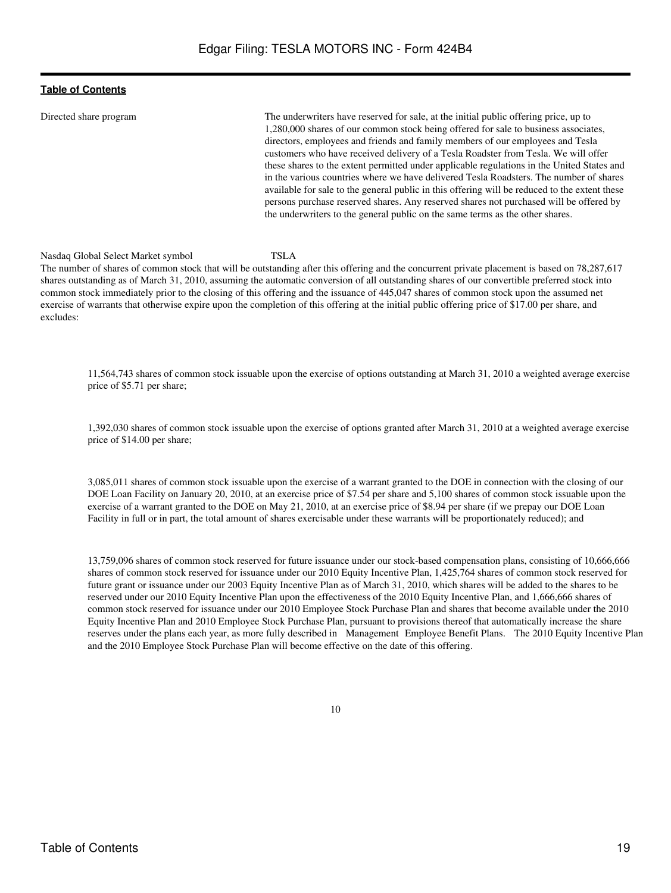Directed share program The underwriters have reserved for sale, at the initial public offering price, up to 1,280,000 shares of our common stock being offered for sale to business associates, directors, employees and friends and family members of our employees and Tesla customers who have received delivery of a Tesla Roadster from Tesla. We will offer these shares to the extent permitted under applicable regulations in the United States and in the various countries where we have delivered Tesla Roadsters. The number of shares available for sale to the general public in this offering will be reduced to the extent these persons purchase reserved shares. Any reserved shares not purchased will be offered by the underwriters to the general public on the same terms as the other shares.

# Nasdaq Global Select Market symbol TSLA

The number of shares of common stock that will be outstanding after this offering and the concurrent private placement is based on 78,287,617 shares outstanding as of March 31, 2010, assuming the automatic conversion of all outstanding shares of our convertible preferred stock into common stock immediately prior to the closing of this offering and the issuance of 445,047 shares of common stock upon the assumed net exercise of warrants that otherwise expire upon the completion of this offering at the initial public offering price of \$17.00 per share, and excludes:

11,564,743 shares of common stock issuable upon the exercise of options outstanding at March 31, 2010 a weighted average exercise price of \$5.71 per share;

1,392,030 shares of common stock issuable upon the exercise of options granted after March 31, 2010 at a weighted average exercise price of \$14.00 per share;

3,085,011 shares of common stock issuable upon the exercise of a warrant granted to the DOE in connection with the closing of our DOE Loan Facility on January 20, 2010, at an exercise price of \$7.54 per share and 5,100 shares of common stock issuable upon the exercise of a warrant granted to the DOE on May 21, 2010, at an exercise price of \$8.94 per share (if we prepay our DOE Loan Facility in full or in part, the total amount of shares exercisable under these warrants will be proportionately reduced); and

13,759,096 shares of common stock reserved for future issuance under our stock-based compensation plans, consisting of 10,666,666 shares of common stock reserved for issuance under our 2010 Equity Incentive Plan, 1,425,764 shares of common stock reserved for future grant or issuance under our 2003 Equity Incentive Plan as of March 31, 2010, which shares will be added to the shares to be reserved under our 2010 Equity Incentive Plan upon the effectiveness of the 2010 Equity Incentive Plan, and 1,666,666 shares of common stock reserved for issuance under our 2010 Employee Stock Purchase Plan and shares that become available under the 2010 Equity Incentive Plan and 2010 Employee Stock Purchase Plan, pursuant to provisions thereof that automatically increase the share reserves under the plans each year, as more fully described in Management Employee Benefit Plans. The 2010 Equity Incentive Plan and the 2010 Employee Stock Purchase Plan will become effective on the date of this offering.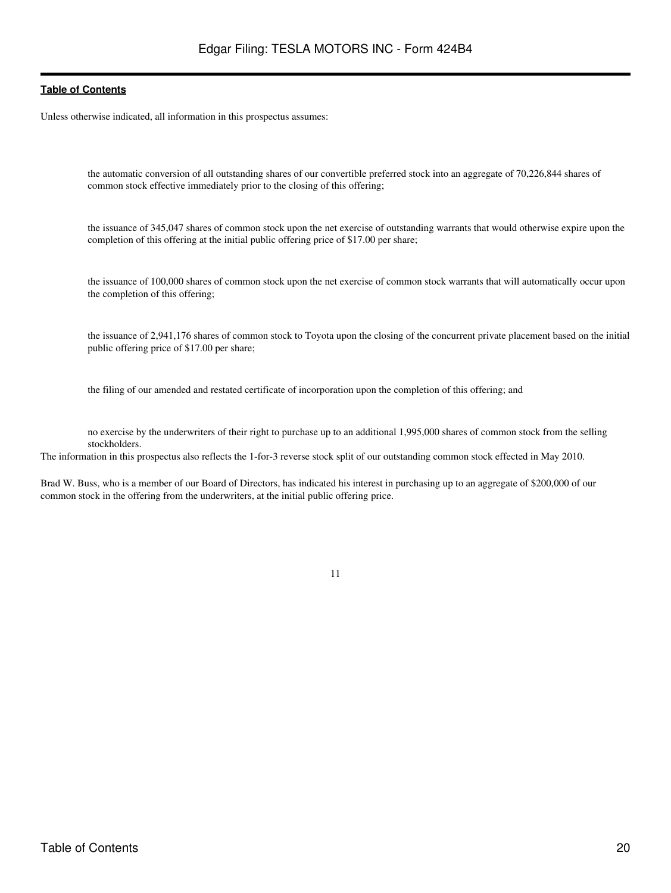Unless otherwise indicated, all information in this prospectus assumes:

the automatic conversion of all outstanding shares of our convertible preferred stock into an aggregate of 70,226,844 shares of common stock effective immediately prior to the closing of this offering;

the issuance of 345,047 shares of common stock upon the net exercise of outstanding warrants that would otherwise expire upon the completion of this offering at the initial public offering price of \$17.00 per share;

the issuance of 100,000 shares of common stock upon the net exercise of common stock warrants that will automatically occur upon the completion of this offering;

the issuance of 2,941,176 shares of common stock to Toyota upon the closing of the concurrent private placement based on the initial public offering price of \$17.00 per share;

the filing of our amended and restated certificate of incorporation upon the completion of this offering; and

no exercise by the underwriters of their right to purchase up to an additional 1,995,000 shares of common stock from the selling stockholders.

The information in this prospectus also reflects the 1-for-3 reverse stock split of our outstanding common stock effected in May 2010.

Brad W. Buss, who is a member of our Board of Directors, has indicated his interest in purchasing up to an aggregate of \$200,000 of our common stock in the offering from the underwriters, at the initial public offering price.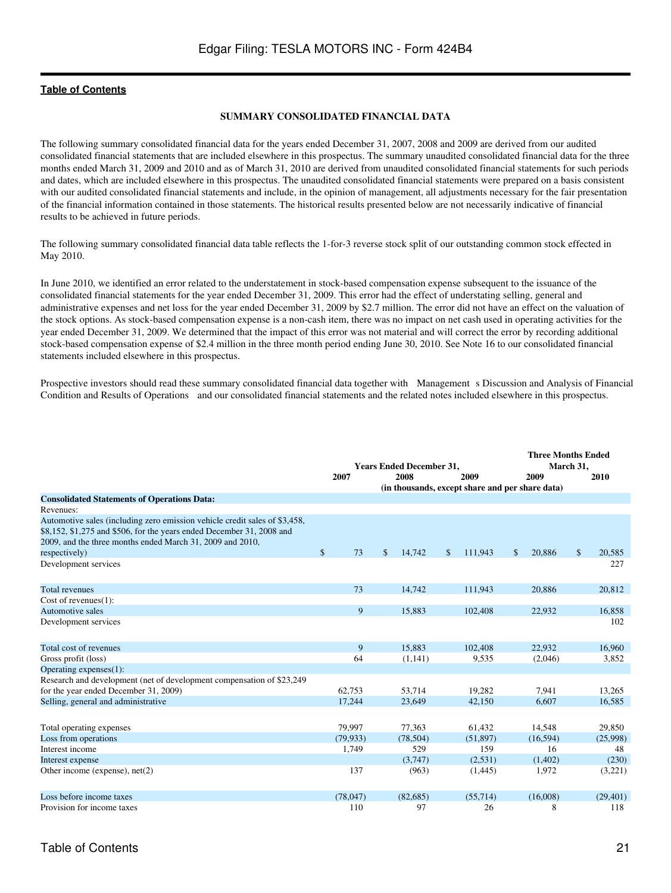#### **SUMMARY CONSOLIDATED FINANCIAL DATA**

<span id="page-20-0"></span>The following summary consolidated financial data for the years ended December 31, 2007, 2008 and 2009 are derived from our audited consolidated financial statements that are included elsewhere in this prospectus. The summary unaudited consolidated financial data for the three months ended March 31, 2009 and 2010 and as of March 31, 2010 are derived from unaudited consolidated financial statements for such periods and dates, which are included elsewhere in this prospectus. The unaudited consolidated financial statements were prepared on a basis consistent with our audited consolidated financial statements and include, in the opinion of management, all adjustments necessary for the fair presentation of the financial information contained in those statements. The historical results presented below are not necessarily indicative of financial results to be achieved in future periods.

The following summary consolidated financial data table reflects the 1-for-3 reverse stock split of our outstanding common stock effected in May 2010.

In June 2010, we identified an error related to the understatement in stock-based compensation expense subsequent to the issuance of the consolidated financial statements for the year ended December 31, 2009. This error had the effect of understating selling, general and administrative expenses and net loss for the year ended December 31, 2009 by \$2.7 million. The error did not have an effect on the valuation of the stock options. As stock-based compensation expense is a non-cash item, there was no impact on net cash used in operating activities for the year ended December 31, 2009. We determined that the impact of this error was not material and will correct the error by recording additional stock-based compensation expense of \$2.4 million in the three month period ending June 30, 2010. See Note 16 to our consolidated financial statements included elsewhere in this prospectus.

Prospective investors should read these summary consolidated financial data together with Management s Discussion and Analysis of Financial Condition and Results of Operations and our consolidated financial statements and the related notes included elsewhere in this prospectus.

|                                                                                                                                                                                                                  | <b>Years Ended December 31,</b> |          |              |           |     | <b>Three Months Ended</b><br>March 31,          |              |              |           |
|------------------------------------------------------------------------------------------------------------------------------------------------------------------------------------------------------------------|---------------------------------|----------|--------------|-----------|-----|-------------------------------------------------|--------------|--------------|-----------|
|                                                                                                                                                                                                                  |                                 | 2007     |              | 2008      |     | 2009                                            | 2009         |              | 2010      |
|                                                                                                                                                                                                                  |                                 |          |              |           |     | (in thousands, except share and per share data) |              |              |           |
| <b>Consolidated Statements of Operations Data:</b>                                                                                                                                                               |                                 |          |              |           |     |                                                 |              |              |           |
| Revenues:                                                                                                                                                                                                        |                                 |          |              |           |     |                                                 |              |              |           |
| Automotive sales (including zero emission vehicle credit sales of \$3,458,<br>\$8,152, \$1,275 and \$506, for the years ended December 31, 2008 and<br>2009, and the three months ended March 31, 2009 and 2010, |                                 |          |              |           |     |                                                 |              |              |           |
| respectively)                                                                                                                                                                                                    | $\mathbb{S}$                    | 73       | $\mathbb{S}$ | 14,742    | \$. | 111,943                                         | \$<br>20,886 | $\mathbb{S}$ | 20.585    |
| Development services                                                                                                                                                                                             |                                 |          |              |           |     |                                                 |              |              | 227       |
| <b>Total revenues</b>                                                                                                                                                                                            |                                 | 73       |              | 14,742    |     | 111,943                                         | 20,886       |              | 20,812    |
| Cost of revenues $(1)$ :                                                                                                                                                                                         |                                 |          |              |           |     |                                                 |              |              |           |
| Automotive sales                                                                                                                                                                                                 |                                 | 9        |              | 15,883    |     | 102,408                                         | 22,932       |              | 16,858    |
| Development services                                                                                                                                                                                             |                                 |          |              |           |     |                                                 |              |              | 102       |
| Total cost of revenues                                                                                                                                                                                           |                                 | 9        |              | 15.883    |     | 102,408                                         | 22,932       |              | 16,960    |
| Gross profit (loss)                                                                                                                                                                                              |                                 | 64       |              | (1,141)   |     | 9,535                                           | (2,046)      |              | 3,852     |
| Operating expenses(1):                                                                                                                                                                                           |                                 |          |              |           |     |                                                 |              |              |           |
| Research and development (net of development compensation of \$23,249)                                                                                                                                           |                                 |          |              |           |     |                                                 |              |              |           |
| for the year ended December 31, 2009)                                                                                                                                                                            |                                 | 62.753   |              | 53,714    |     | 19.282                                          | 7.941        |              | 13,265    |
| Selling, general and administrative                                                                                                                                                                              |                                 | 17,244   |              | 23.649    |     | 42,150                                          | 6.607        |              | 16,585    |
|                                                                                                                                                                                                                  |                                 |          |              |           |     |                                                 |              |              |           |
| Total operating expenses                                                                                                                                                                                         |                                 | 79.997   |              | 77,363    |     | 61,432                                          | 14,548       |              | 29,850    |
| Loss from operations                                                                                                                                                                                             |                                 | (79.933) |              | (78, 504) |     | (51, 897)                                       | (16, 594)    |              | (25,998)  |
| Interest income                                                                                                                                                                                                  |                                 | 1,749    |              | 529       |     | 159                                             | 16           |              | 48        |
| Interest expense                                                                                                                                                                                                 |                                 |          |              | (3,747)   |     | (2,531)                                         | (1,402)      |              | (230)     |
| Other income (expense), $net(2)$                                                                                                                                                                                 |                                 | 137      |              | (963)     |     | (1,445)                                         | 1,972        |              | (3,221)   |
| Loss before income taxes                                                                                                                                                                                         |                                 | (78,047) |              | (82, 685) |     | (55,714)                                        | (16,008)     |              | (29, 401) |
| Provision for income taxes                                                                                                                                                                                       |                                 | 110      |              | 97        |     | 26                                              | 8            |              | 118       |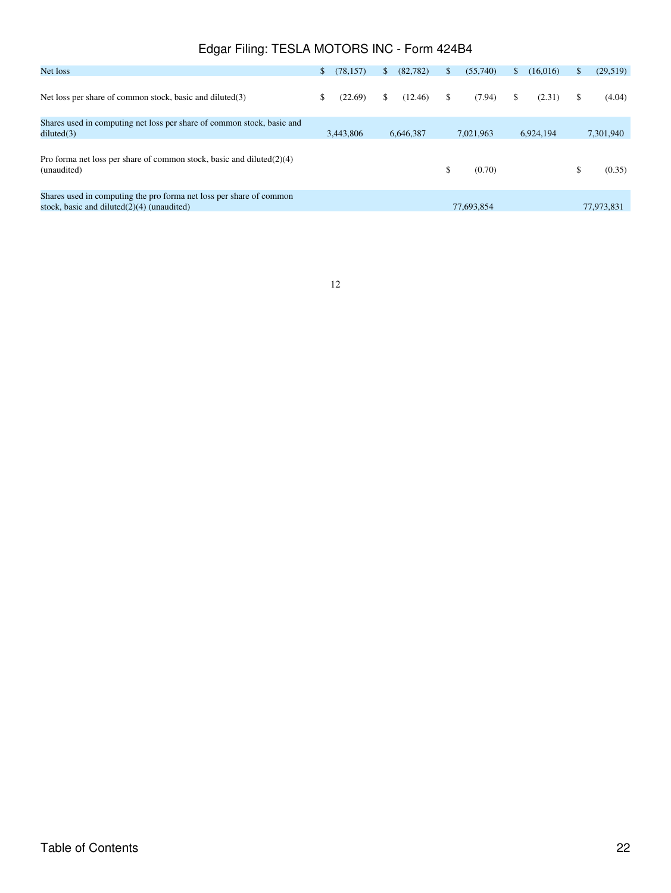# Edgar Filing: TESLA MOTORS INC - Form 424B4

| Net loss                                                                                                            | (78, 157)<br>\$ | (82, 782)<br>S. | (55,740)<br>S. | (16.016)<br>S. | (29,519)<br>S. |
|---------------------------------------------------------------------------------------------------------------------|-----------------|-----------------|----------------|----------------|----------------|
| Net loss per share of common stock, basic and diluted(3)                                                            | (22.69)<br>\$   | (12.46)<br>\$   | \$<br>(7.94)   | (2.31)         | (4.04)<br>S    |
|                                                                                                                     |                 |                 |                | \$             |                |
| Shares used in computing net loss per share of common stock, basic and<br>diluted(3)                                | 3.443.806       | 6.646.387       | 7,021,963      | 6.924.194      | 7,301,940      |
|                                                                                                                     |                 |                 |                |                |                |
| Pro forma net loss per share of common stock, basic and diluted $(2)(4)$<br>(unaudited)                             |                 |                 | (0.70)<br>ъ    |                | (0.35)<br>J.   |
| Shares used in computing the proforma net loss per share of common<br>stock, basic and diluted $(2)(4)$ (unaudited) |                 |                 | 77,693,854     |                | 77,973,831     |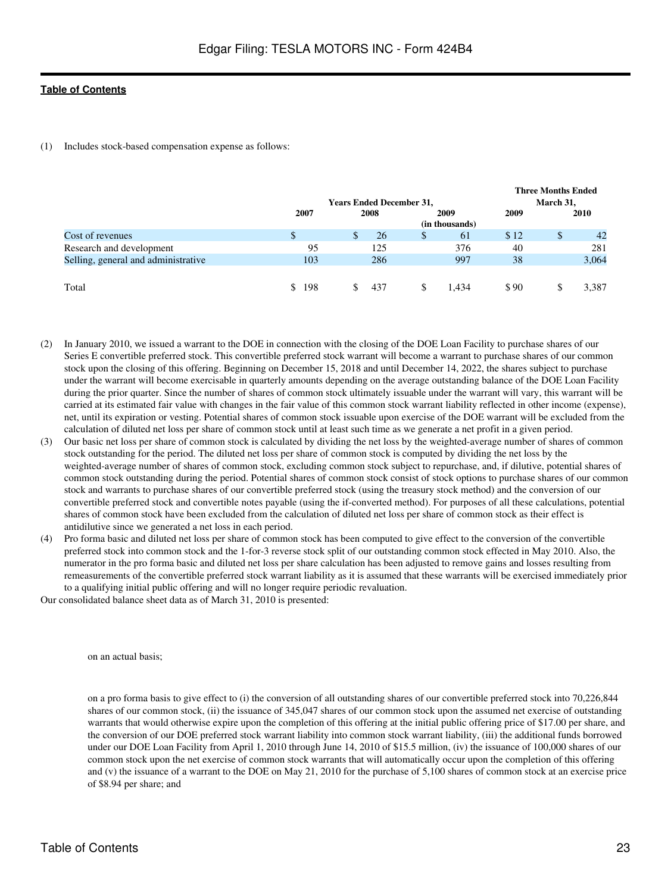#### (1) Includes stock-based compensation expense as follows:

|                                     |       | <b>Years Ended December 31,</b> |     |                        |      | <b>Three Months Ended</b><br>March 31, |             |
|-------------------------------------|-------|---------------------------------|-----|------------------------|------|----------------------------------------|-------------|
|                                     | 2007  | 2008                            |     | 2009<br>(in thousands) | 2009 |                                        | <b>2010</b> |
| Cost of revenues                    | \$.   | \$                              | 26  | \$<br>61               | \$12 | \$                                     | 42          |
| Research and development            | 95    |                                 | 125 | 376                    | 40   |                                        | 281         |
| Selling, general and administrative | 103   |                                 | 286 | 997                    | 38   |                                        | 3,064       |
| Total                               | \$198 |                                 | 437 | 1.434                  | \$90 |                                        | 3,387       |

- (2) In January 2010, we issued a warrant to the DOE in connection with the closing of the DOE Loan Facility to purchase shares of our Series E convertible preferred stock. This convertible preferred stock warrant will become a warrant to purchase shares of our common stock upon the closing of this offering. Beginning on December 15, 2018 and until December 14, 2022, the shares subject to purchase under the warrant will become exercisable in quarterly amounts depending on the average outstanding balance of the DOE Loan Facility during the prior quarter. Since the number of shares of common stock ultimately issuable under the warrant will vary, this warrant will be carried at its estimated fair value with changes in the fair value of this common stock warrant liability reflected in other income (expense), net, until its expiration or vesting. Potential shares of common stock issuable upon exercise of the DOE warrant will be excluded from the calculation of diluted net loss per share of common stock until at least such time as we generate a net profit in a given period.
- (3) Our basic net loss per share of common stock is calculated by dividing the net loss by the weighted-average number of shares of common stock outstanding for the period. The diluted net loss per share of common stock is computed by dividing the net loss by the weighted-average number of shares of common stock, excluding common stock subject to repurchase, and, if dilutive, potential shares of common stock outstanding during the period. Potential shares of common stock consist of stock options to purchase shares of our common stock and warrants to purchase shares of our convertible preferred stock (using the treasury stock method) and the conversion of our convertible preferred stock and convertible notes payable (using the if-converted method). For purposes of all these calculations, potential shares of common stock have been excluded from the calculation of diluted net loss per share of common stock as their effect is antidilutive since we generated a net loss in each period.
- (4) Pro forma basic and diluted net loss per share of common stock has been computed to give effect to the conversion of the convertible preferred stock into common stock and the 1-for-3 reverse stock split of our outstanding common stock effected in May 2010. Also, the numerator in the pro forma basic and diluted net loss per share calculation has been adjusted to remove gains and losses resulting from remeasurements of the convertible preferred stock warrant liability as it is assumed that these warrants will be exercised immediately prior to a qualifying initial public offering and will no longer require periodic revaluation.

Our consolidated balance sheet data as of March 31, 2010 is presented:

on an actual basis;

on a pro forma basis to give effect to (i) the conversion of all outstanding shares of our convertible preferred stock into 70,226,844 shares of our common stock, (ii) the issuance of 345,047 shares of our common stock upon the assumed net exercise of outstanding warrants that would otherwise expire upon the completion of this offering at the initial public offering price of \$17.00 per share, and the conversion of our DOE preferred stock warrant liability into common stock warrant liability, (iii) the additional funds borrowed under our DOE Loan Facility from April 1, 2010 through June 14, 2010 of \$15.5 million, (iv) the issuance of 100,000 shares of our common stock upon the net exercise of common stock warrants that will automatically occur upon the completion of this offering and (v) the issuance of a warrant to the DOE on May 21, 2010 for the purchase of 5,100 shares of common stock at an exercise price of \$8.94 per share; and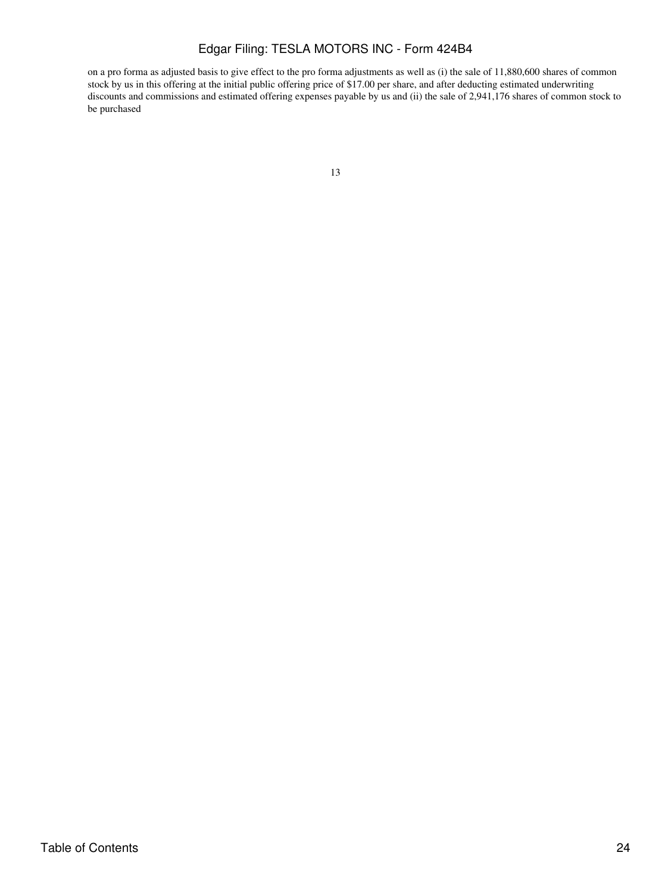# Edgar Filing: TESLA MOTORS INC - Form 424B4

on a pro forma as adjusted basis to give effect to the pro forma adjustments as well as (i) the sale of 11,880,600 shares of common stock by us in this offering at the initial public offering price of \$17.00 per share, and after deducting estimated underwriting discounts and commissions and estimated offering expenses payable by us and (ii) the sale of 2,941,176 shares of common stock to be purchased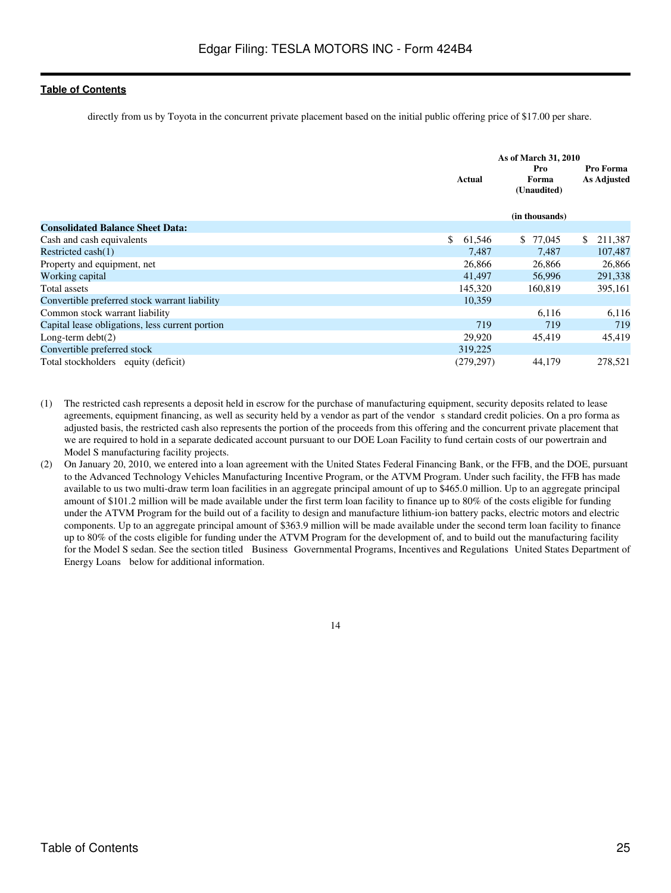directly from us by Toyota in the concurrent private placement based on the initial public offering price of \$17.00 per share.

|                                                 | Actual       | As of March 31, 2010<br>Pro<br>Forma<br>(Unaudited) | Pro Forma<br>As Adjusted |  |
|-------------------------------------------------|--------------|-----------------------------------------------------|--------------------------|--|
|                                                 |              | (in thousands)                                      |                          |  |
| <b>Consolidated Balance Sheet Data:</b>         |              |                                                     |                          |  |
| Cash and cash equivalents                       | \$<br>61,546 | \$77,045                                            | 211,387<br>S.            |  |
| Restricted cash $(1)$                           | 7,487        | 7,487                                               | 107,487                  |  |
| Property and equipment, net                     | 26,866       | 26,866                                              | 26,866                   |  |
| Working capital                                 | 41,497       | 56,996                                              | 291,338                  |  |
| Total assets                                    | 145,320      | 160,819                                             | 395,161                  |  |
| Convertible preferred stock warrant liability   | 10,359       |                                                     |                          |  |
| Common stock warrant liability                  |              | 6.116                                               | 6,116                    |  |
| Capital lease obligations, less current portion | 719          | 719                                                 | 719                      |  |
| Long-term $\text{debt}(2)$                      | 29,920       | 45,419                                              | 45,419                   |  |
| Convertible preferred stock                     | 319,225      |                                                     |                          |  |
| Total stockholders equity (deficit)             | (279, 297)   | 44,179                                              | 278,521                  |  |

- (1) The restricted cash represents a deposit held in escrow for the purchase of manufacturing equipment, security deposits related to lease agreements, equipment financing, as well as security held by a vendor as part of the vendor s standard credit policies. On a pro forma as adjusted basis, the restricted cash also represents the portion of the proceeds from this offering and the concurrent private placement that we are required to hold in a separate dedicated account pursuant to our DOE Loan Facility to fund certain costs of our powertrain and Model S manufacturing facility projects.
- (2) On January 20, 2010, we entered into a loan agreement with the United States Federal Financing Bank, or the FFB, and the DOE, pursuant to the Advanced Technology Vehicles Manufacturing Incentive Program, or the ATVM Program. Under such facility, the FFB has made available to us two multi-draw term loan facilities in an aggregate principal amount of up to \$465.0 million. Up to an aggregate principal amount of \$101.2 million will be made available under the first term loan facility to finance up to 80% of the costs eligible for funding under the ATVM Program for the build out of a facility to design and manufacture lithium-ion battery packs, electric motors and electric components. Up to an aggregate principal amount of \$363.9 million will be made available under the second term loan facility to finance up to 80% of the costs eligible for funding under the ATVM Program for the development of, and to build out the manufacturing facility for the Model S sedan. See the section titled Business Governmental Programs, Incentives and Regulations United States Department of Energy Loans below for additional information.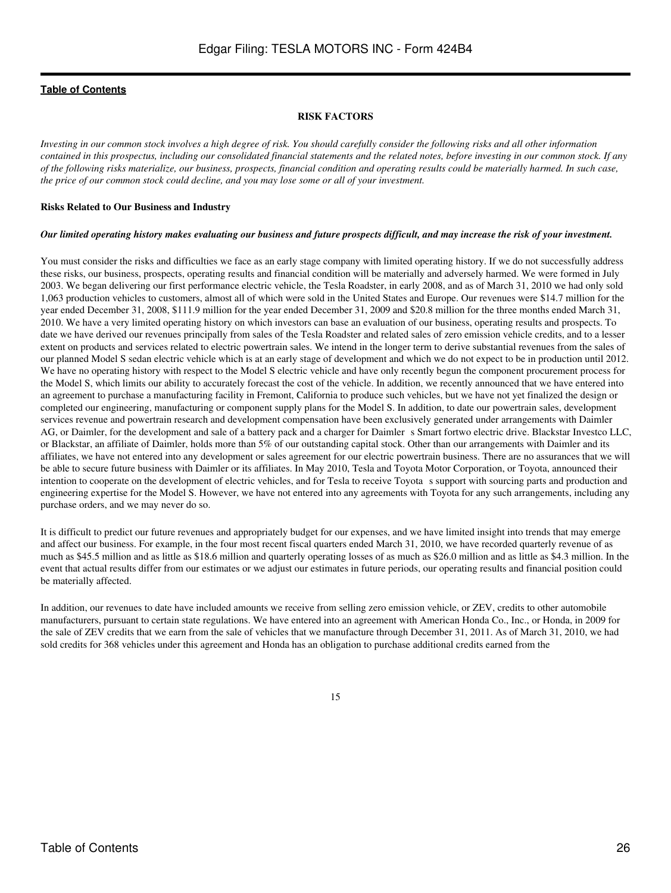#### **RISK FACTORS**

<span id="page-25-0"></span>*Investing in our common stock involves a high degree of risk. You should carefully consider the following risks and all other information contained in this prospectus, including our consolidated financial statements and the related notes, before investing in our common stock. If any of the following risks materialize, our business, prospects, financial condition and operating results could be materially harmed. In such case, the price of our common stock could decline, and you may lose some or all of your investment.*

#### **Risks Related to Our Business and Industry**

#### *Our limited operating history makes evaluating our business and future prospects difficult, and may increase the risk of your investment.*

You must consider the risks and difficulties we face as an early stage company with limited operating history. If we do not successfully address these risks, our business, prospects, operating results and financial condition will be materially and adversely harmed. We were formed in July 2003. We began delivering our first performance electric vehicle, the Tesla Roadster, in early 2008, and as of March 31, 2010 we had only sold 1,063 production vehicles to customers, almost all of which were sold in the United States and Europe. Our revenues were \$14.7 million for the year ended December 31, 2008, \$111.9 million for the year ended December 31, 2009 and \$20.8 million for the three months ended March 31, 2010. We have a very limited operating history on which investors can base an evaluation of our business, operating results and prospects. To date we have derived our revenues principally from sales of the Tesla Roadster and related sales of zero emission vehicle credits, and to a lesser extent on products and services related to electric powertrain sales. We intend in the longer term to derive substantial revenues from the sales of our planned Model S sedan electric vehicle which is at an early stage of development and which we do not expect to be in production until 2012. We have no operating history with respect to the Model S electric vehicle and have only recently begun the component procurement process for the Model S, which limits our ability to accurately forecast the cost of the vehicle. In addition, we recently announced that we have entered into an agreement to purchase a manufacturing facility in Fremont, California to produce such vehicles, but we have not yet finalized the design or completed our engineering, manufacturing or component supply plans for the Model S. In addition, to date our powertrain sales, development services revenue and powertrain research and development compensation have been exclusively generated under arrangements with Daimler AG, or Daimler, for the development and sale of a battery pack and a charger for Daimler s Smart fortwo electric drive. Blackstar Investco LLC, or Blackstar, an affiliate of Daimler, holds more than 5% of our outstanding capital stock. Other than our arrangements with Daimler and its affiliates, we have not entered into any development or sales agreement for our electric powertrain business. There are no assurances that we will be able to secure future business with Daimler or its affiliates. In May 2010, Tesla and Toyota Motor Corporation, or Toyota, announced their intention to cooperate on the development of electric vehicles, and for Tesla to receive Toyotas support with sourcing parts and production and engineering expertise for the Model S. However, we have not entered into any agreements with Toyota for any such arrangements, including any purchase orders, and we may never do so.

It is difficult to predict our future revenues and appropriately budget for our expenses, and we have limited insight into trends that may emerge and affect our business. For example, in the four most recent fiscal quarters ended March 31, 2010, we have recorded quarterly revenue of as much as \$45.5 million and as little as \$18.6 million and quarterly operating losses of as much as \$26.0 million and as little as \$4.3 million. In the event that actual results differ from our estimates or we adjust our estimates in future periods, our operating results and financial position could be materially affected.

In addition, our revenues to date have included amounts we receive from selling zero emission vehicle, or ZEV, credits to other automobile manufacturers, pursuant to certain state regulations. We have entered into an agreement with American Honda Co., Inc., or Honda, in 2009 for the sale of ZEV credits that we earn from the sale of vehicles that we manufacture through December 31, 2011. As of March 31, 2010, we had sold credits for 368 vehicles under this agreement and Honda has an obligation to purchase additional credits earned from the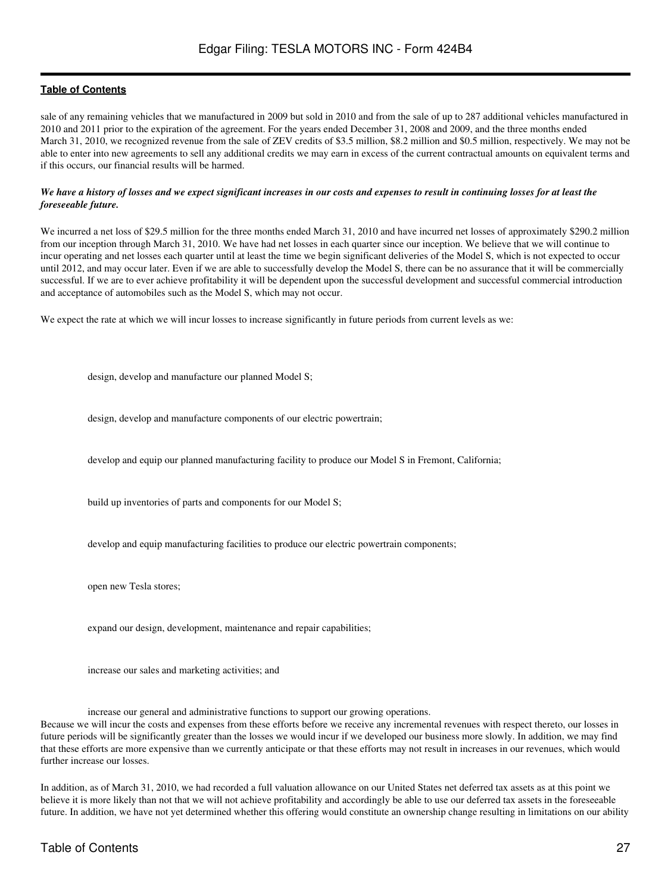sale of any remaining vehicles that we manufactured in 2009 but sold in 2010 and from the sale of up to 287 additional vehicles manufactured in 2010 and 2011 prior to the expiration of the agreement. For the years ended December 31, 2008 and 2009, and the three months ended March 31, 2010, we recognized revenue from the sale of ZEV credits of \$3.5 million, \$8.2 million and \$0.5 million, respectively. We may not be able to enter into new agreements to sell any additional credits we may earn in excess of the current contractual amounts on equivalent terms and if this occurs, our financial results will be harmed.

#### *We have a history of losses and we expect significant increases in our costs and expenses to result in continuing losses for at least the foreseeable future.*

We incurred a net loss of \$29.5 million for the three months ended March 31, 2010 and have incurred net losses of approximately \$290.2 million from our inception through March 31, 2010. We have had net losses in each quarter since our inception. We believe that we will continue to incur operating and net losses each quarter until at least the time we begin significant deliveries of the Model S, which is not expected to occur until 2012, and may occur later. Even if we are able to successfully develop the Model S, there can be no assurance that it will be commercially successful. If we are to ever achieve profitability it will be dependent upon the successful development and successful commercial introduction and acceptance of automobiles such as the Model S, which may not occur.

We expect the rate at which we will incur losses to increase significantly in future periods from current levels as we:

design, develop and manufacture our planned Model S;

design, develop and manufacture components of our electric powertrain;

develop and equip our planned manufacturing facility to produce our Model S in Fremont, California;

build up inventories of parts and components for our Model S;

develop and equip manufacturing facilities to produce our electric powertrain components;

open new Tesla stores;

expand our design, development, maintenance and repair capabilities;

increase our sales and marketing activities; and

increase our general and administrative functions to support our growing operations.

Because we will incur the costs and expenses from these efforts before we receive any incremental revenues with respect thereto, our losses in future periods will be significantly greater than the losses we would incur if we developed our business more slowly. In addition, we may find that these efforts are more expensive than we currently anticipate or that these efforts may not result in increases in our revenues, which would further increase our losses.

In addition, as of March 31, 2010, we had recorded a full valuation allowance on our United States net deferred tax assets as at this point we believe it is more likely than not that we will not achieve profitability and accordingly be able to use our deferred tax assets in the foreseeable future. In addition, we have not yet determined whether this offering would constitute an ownership change resulting in limitations on our ability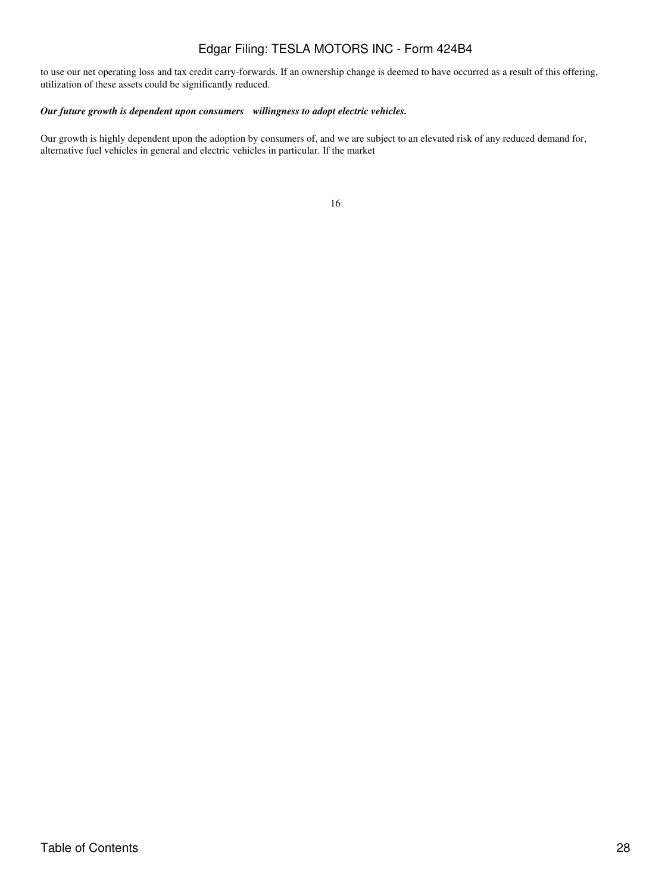# Edgar Filing: TESLA MOTORS INC - Form 424B4

to use our net operating loss and tax credit carry-forwards. If an ownership change is deemed to have occurred as a result of this offering, utilization of these assets could be significantly reduced.

# *Our future growth is dependent upon consumers willingness to adopt electric vehicles.*

Our growth is highly dependent upon the adoption by consumers of, and we are subject to an elevated risk of any reduced demand for, alternative fuel vehicles in general and electric vehicles in particular. If the market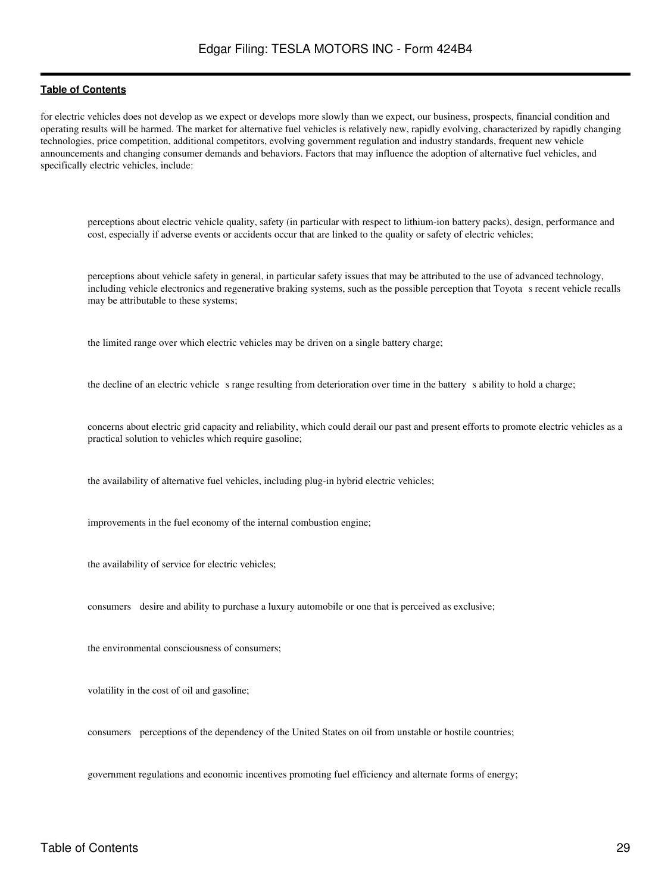for electric vehicles does not develop as we expect or develops more slowly than we expect, our business, prospects, financial condition and operating results will be harmed. The market for alternative fuel vehicles is relatively new, rapidly evolving, characterized by rapidly changing technologies, price competition, additional competitors, evolving government regulation and industry standards, frequent new vehicle announcements and changing consumer demands and behaviors. Factors that may influence the adoption of alternative fuel vehicles, and specifically electric vehicles, include:

perceptions about electric vehicle quality, safety (in particular with respect to lithium-ion battery packs), design, performance and cost, especially if adverse events or accidents occur that are linked to the quality or safety of electric vehicles;

perceptions about vehicle safety in general, in particular safety issues that may be attributed to the use of advanced technology, including vehicle electronics and regenerative braking systems, such as the possible perception that Toyota s recent vehicle recalls may be attributable to these systems;

the limited range over which electric vehicles may be driven on a single battery charge;

the decline of an electric vehicle s range resulting from deterioration over time in the battery s ability to hold a charge;

concerns about electric grid capacity and reliability, which could derail our past and present efforts to promote electric vehicles as a practical solution to vehicles which require gasoline;

the availability of alternative fuel vehicles, including plug-in hybrid electric vehicles;

improvements in the fuel economy of the internal combustion engine;

the availability of service for electric vehicles;

consumers desire and ability to purchase a luxury automobile or one that is perceived as exclusive;

the environmental consciousness of consumers;

volatility in the cost of oil and gasoline;

consumers perceptions of the dependency of the United States on oil from unstable or hostile countries;

government regulations and economic incentives promoting fuel efficiency and alternate forms of energy;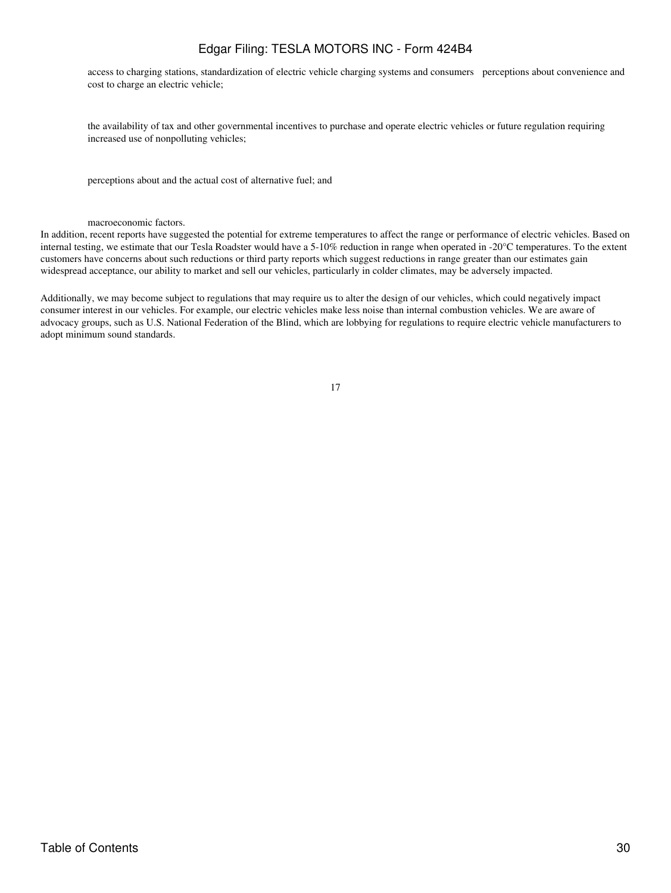# Edgar Filing: TESLA MOTORS INC - Form 424B4

access to charging stations, standardization of electric vehicle charging systems and consumers perceptions about convenience and cost to charge an electric vehicle;

the availability of tax and other governmental incentives to purchase and operate electric vehicles or future regulation requiring increased use of nonpolluting vehicles;

perceptions about and the actual cost of alternative fuel; and

#### macroeconomic factors.

In addition, recent reports have suggested the potential for extreme temperatures to affect the range or performance of electric vehicles. Based on internal testing, we estimate that our Tesla Roadster would have a 5-10% reduction in range when operated in -20°C temperatures. To the extent customers have concerns about such reductions or third party reports which suggest reductions in range greater than our estimates gain widespread acceptance, our ability to market and sell our vehicles, particularly in colder climates, may be adversely impacted.

Additionally, we may become subject to regulations that may require us to alter the design of our vehicles, which could negatively impact consumer interest in our vehicles. For example, our electric vehicles make less noise than internal combustion vehicles. We are aware of advocacy groups, such as U.S. National Federation of the Blind, which are lobbying for regulations to require electric vehicle manufacturers to adopt minimum sound standards.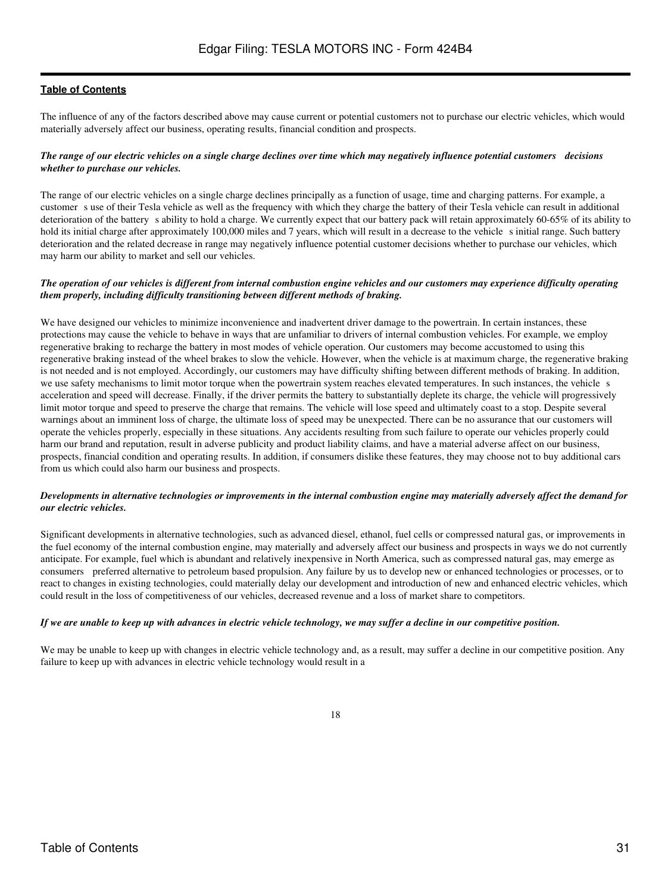The influence of any of the factors described above may cause current or potential customers not to purchase our electric vehicles, which would materially adversely affect our business, operating results, financial condition and prospects.

# *The range of our electric vehicles on a single charge declines over time which may negatively influence potential customers decisions whether to purchase our vehicles.*

The range of our electric vehicles on a single charge declines principally as a function of usage, time and charging patterns. For example, a customer s use of their Tesla vehicle as well as the frequency with which they charge the battery of their Tesla vehicle can result in additional deterioration of the battery s ability to hold a charge. We currently expect that our battery pack will retain approximately 60-65% of its ability to hold its initial charge after approximately 100,000 miles and 7 years, which will result in a decrease to the vehicle s initial range. Such battery deterioration and the related decrease in range may negatively influence potential customer decisions whether to purchase our vehicles, which may harm our ability to market and sell our vehicles.

## *The operation of our vehicles is different from internal combustion engine vehicles and our customers may experience difficulty operating them properly, including difficulty transitioning between different methods of braking.*

We have designed our vehicles to minimize inconvenience and inadvertent driver damage to the powertrain. In certain instances, these protections may cause the vehicle to behave in ways that are unfamiliar to drivers of internal combustion vehicles. For example, we employ regenerative braking to recharge the battery in most modes of vehicle operation. Our customers may become accustomed to using this regenerative braking instead of the wheel brakes to slow the vehicle. However, when the vehicle is at maximum charge, the regenerative braking is not needed and is not employed. Accordingly, our customers may have difficulty shifting between different methods of braking. In addition, we use safety mechanisms to limit motor torque when the powertrain system reaches elevated temperatures. In such instances, the vehicle s acceleration and speed will decrease. Finally, if the driver permits the battery to substantially deplete its charge, the vehicle will progressively limit motor torque and speed to preserve the charge that remains. The vehicle will lose speed and ultimately coast to a stop. Despite several warnings about an imminent loss of charge, the ultimate loss of speed may be unexpected. There can be no assurance that our customers will operate the vehicles properly, especially in these situations. Any accidents resulting from such failure to operate our vehicles properly could harm our brand and reputation, result in adverse publicity and product liability claims, and have a material adverse affect on our business, prospects, financial condition and operating results. In addition, if consumers dislike these features, they may choose not to buy additional cars from us which could also harm our business and prospects.

#### *Developments in alternative technologies or improvements in the internal combustion engine may materially adversely affect the demand for our electric vehicles.*

Significant developments in alternative technologies, such as advanced diesel, ethanol, fuel cells or compressed natural gas, or improvements in the fuel economy of the internal combustion engine, may materially and adversely affect our business and prospects in ways we do not currently anticipate. For example, fuel which is abundant and relatively inexpensive in North America, such as compressed natural gas, may emerge as consumers preferred alternative to petroleum based propulsion. Any failure by us to develop new or enhanced technologies or processes, or to react to changes in existing technologies, could materially delay our development and introduction of new and enhanced electric vehicles, which could result in the loss of competitiveness of our vehicles, decreased revenue and a loss of market share to competitors.

#### *If we are unable to keep up with advances in electric vehicle technology, we may suffer a decline in our competitive position.*

We may be unable to keep up with changes in electric vehicle technology and, as a result, may suffer a decline in our competitive position. Any failure to keep up with advances in electric vehicle technology would result in a

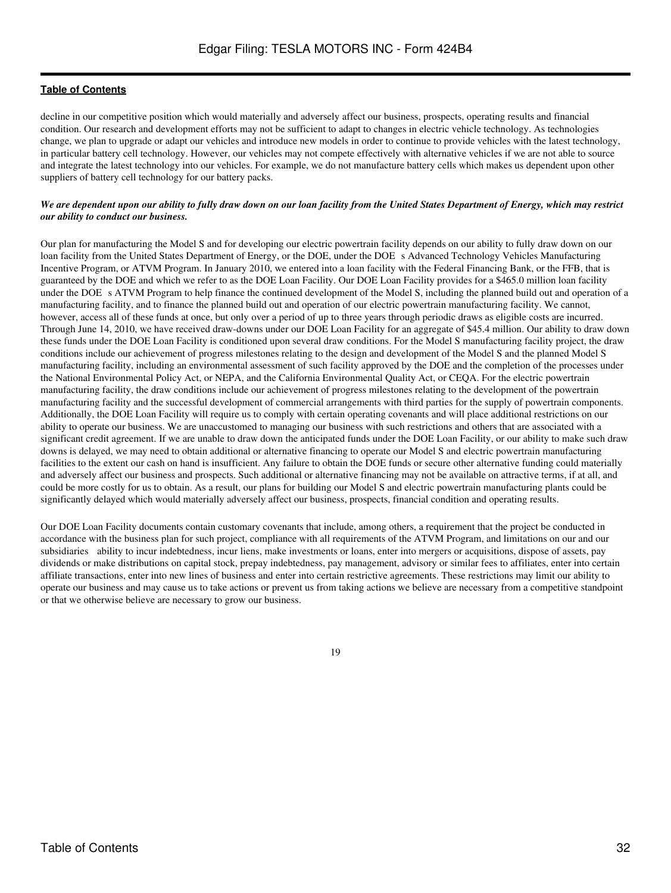decline in our competitive position which would materially and adversely affect our business, prospects, operating results and financial condition. Our research and development efforts may not be sufficient to adapt to changes in electric vehicle technology. As technologies change, we plan to upgrade or adapt our vehicles and introduce new models in order to continue to provide vehicles with the latest technology, in particular battery cell technology. However, our vehicles may not compete effectively with alternative vehicles if we are not able to source and integrate the latest technology into our vehicles. For example, we do not manufacture battery cells which makes us dependent upon other suppliers of battery cell technology for our battery packs.

## *We are dependent upon our ability to fully draw down on our loan facility from the United States Department of Energy, which may restrict our ability to conduct our business.*

Our plan for manufacturing the Model S and for developing our electric powertrain facility depends on our ability to fully draw down on our loan facility from the United States Department of Energy, or the DOE, under the DOEs Advanced Technology Vehicles Manufacturing Incentive Program, or ATVM Program. In January 2010, we entered into a loan facility with the Federal Financing Bank, or the FFB, that is guaranteed by the DOE and which we refer to as the DOE Loan Facility. Our DOE Loan Facility provides for a \$465.0 million loan facility under the DOEs ATVM Program to help finance the continued development of the Model S, including the planned build out and operation of a manufacturing facility, and to finance the planned build out and operation of our electric powertrain manufacturing facility. We cannot, however, access all of these funds at once, but only over a period of up to three years through periodic draws as eligible costs are incurred. Through June 14, 2010, we have received draw-downs under our DOE Loan Facility for an aggregate of \$45.4 million. Our ability to draw down these funds under the DOE Loan Facility is conditioned upon several draw conditions. For the Model S manufacturing facility project, the draw conditions include our achievement of progress milestones relating to the design and development of the Model S and the planned Model S manufacturing facility, including an environmental assessment of such facility approved by the DOE and the completion of the processes under the National Environmental Policy Act, or NEPA, and the California Environmental Quality Act, or CEQA. For the electric powertrain manufacturing facility, the draw conditions include our achievement of progress milestones relating to the development of the powertrain manufacturing facility and the successful development of commercial arrangements with third parties for the supply of powertrain components. Additionally, the DOE Loan Facility will require us to comply with certain operating covenants and will place additional restrictions on our ability to operate our business. We are unaccustomed to managing our business with such restrictions and others that are associated with a significant credit agreement. If we are unable to draw down the anticipated funds under the DOE Loan Facility, or our ability to make such draw downs is delayed, we may need to obtain additional or alternative financing to operate our Model S and electric powertrain manufacturing facilities to the extent our cash on hand is insufficient. Any failure to obtain the DOE funds or secure other alternative funding could materially and adversely affect our business and prospects. Such additional or alternative financing may not be available on attractive terms, if at all, and could be more costly for us to obtain. As a result, our plans for building our Model S and electric powertrain manufacturing plants could be significantly delayed which would materially adversely affect our business, prospects, financial condition and operating results.

Our DOE Loan Facility documents contain customary covenants that include, among others, a requirement that the project be conducted in accordance with the business plan for such project, compliance with all requirements of the ATVM Program, and limitations on our and our subsidiaries ability to incur indebtedness, incur liens, make investments or loans, enter into mergers or acquisitions, dispose of assets, pay dividends or make distributions on capital stock, prepay indebtedness, pay management, advisory or similar fees to affiliates, enter into certain affiliate transactions, enter into new lines of business and enter into certain restrictive agreements. These restrictions may limit our ability to operate our business and may cause us to take actions or prevent us from taking actions we believe are necessary from a competitive standpoint or that we otherwise believe are necessary to grow our business.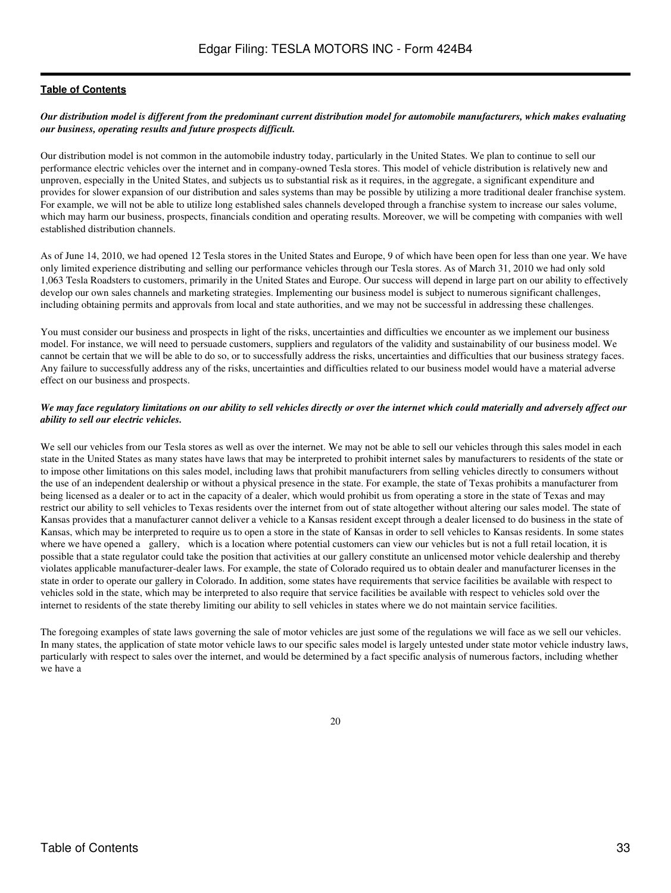#### *Our distribution model is different from the predominant current distribution model for automobile manufacturers, which makes evaluating our business, operating results and future prospects difficult.*

Our distribution model is not common in the automobile industry today, particularly in the United States. We plan to continue to sell our performance electric vehicles over the internet and in company-owned Tesla stores. This model of vehicle distribution is relatively new and unproven, especially in the United States, and subjects us to substantial risk as it requires, in the aggregate, a significant expenditure and provides for slower expansion of our distribution and sales systems than may be possible by utilizing a more traditional dealer franchise system. For example, we will not be able to utilize long established sales channels developed through a franchise system to increase our sales volume, which may harm our business, prospects, financials condition and operating results. Moreover, we will be competing with companies with well established distribution channels.

As of June 14, 2010, we had opened 12 Tesla stores in the United States and Europe, 9 of which have been open for less than one year. We have only limited experience distributing and selling our performance vehicles through our Tesla stores. As of March 31, 2010 we had only sold 1,063 Tesla Roadsters to customers, primarily in the United States and Europe. Our success will depend in large part on our ability to effectively develop our own sales channels and marketing strategies. Implementing our business model is subject to numerous significant challenges, including obtaining permits and approvals from local and state authorities, and we may not be successful in addressing these challenges.

You must consider our business and prospects in light of the risks, uncertainties and difficulties we encounter as we implement our business model. For instance, we will need to persuade customers, suppliers and regulators of the validity and sustainability of our business model. We cannot be certain that we will be able to do so, or to successfully address the risks, uncertainties and difficulties that our business strategy faces. Any failure to successfully address any of the risks, uncertainties and difficulties related to our business model would have a material adverse effect on our business and prospects.

## *We may face regulatory limitations on our ability to sell vehicles directly or over the internet which could materially and adversely affect our ability to sell our electric vehicles.*

We sell our vehicles from our Tesla stores as well as over the internet. We may not be able to sell our vehicles through this sales model in each state in the United States as many states have laws that may be interpreted to prohibit internet sales by manufacturers to residents of the state or to impose other limitations on this sales model, including laws that prohibit manufacturers from selling vehicles directly to consumers without the use of an independent dealership or without a physical presence in the state. For example, the state of Texas prohibits a manufacturer from being licensed as a dealer or to act in the capacity of a dealer, which would prohibit us from operating a store in the state of Texas and may restrict our ability to sell vehicles to Texas residents over the internet from out of state altogether without altering our sales model. The state of Kansas provides that a manufacturer cannot deliver a vehicle to a Kansas resident except through a dealer licensed to do business in the state of Kansas, which may be interpreted to require us to open a store in the state of Kansas in order to sell vehicles to Kansas residents. In some states where we have opened a gallery, which is a location where potential customers can view our vehicles but is not a full retail location, it is possible that a state regulator could take the position that activities at our gallery constitute an unlicensed motor vehicle dealership and thereby violates applicable manufacturer-dealer laws. For example, the state of Colorado required us to obtain dealer and manufacturer licenses in the state in order to operate our gallery in Colorado. In addition, some states have requirements that service facilities be available with respect to vehicles sold in the state, which may be interpreted to also require that service facilities be available with respect to vehicles sold over the internet to residents of the state thereby limiting our ability to sell vehicles in states where we do not maintain service facilities.

The foregoing examples of state laws governing the sale of motor vehicles are just some of the regulations we will face as we sell our vehicles. In many states, the application of state motor vehicle laws to our specific sales model is largely untested under state motor vehicle industry laws, particularly with respect to sales over the internet, and would be determined by a fact specific analysis of numerous factors, including whether we have a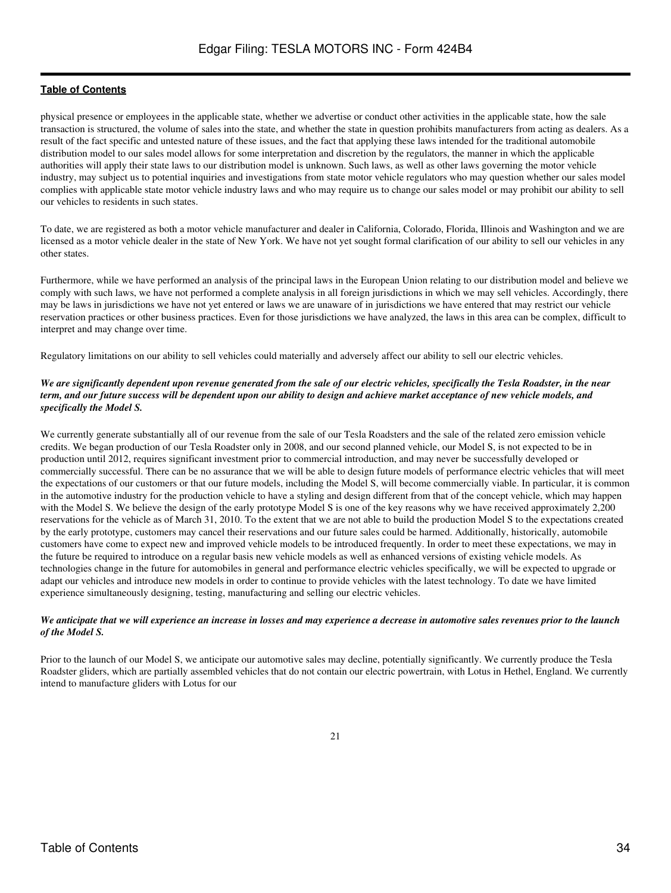physical presence or employees in the applicable state, whether we advertise or conduct other activities in the applicable state, how the sale transaction is structured, the volume of sales into the state, and whether the state in question prohibits manufacturers from acting as dealers. As a result of the fact specific and untested nature of these issues, and the fact that applying these laws intended for the traditional automobile distribution model to our sales model allows for some interpretation and discretion by the regulators, the manner in which the applicable authorities will apply their state laws to our distribution model is unknown. Such laws, as well as other laws governing the motor vehicle industry, may subject us to potential inquiries and investigations from state motor vehicle regulators who may question whether our sales model complies with applicable state motor vehicle industry laws and who may require us to change our sales model or may prohibit our ability to sell our vehicles to residents in such states.

To date, we are registered as both a motor vehicle manufacturer and dealer in California, Colorado, Florida, Illinois and Washington and we are licensed as a motor vehicle dealer in the state of New York. We have not yet sought formal clarification of our ability to sell our vehicles in any other states.

Furthermore, while we have performed an analysis of the principal laws in the European Union relating to our distribution model and believe we comply with such laws, we have not performed a complete analysis in all foreign jurisdictions in which we may sell vehicles. Accordingly, there may be laws in jurisdictions we have not yet entered or laws we are unaware of in jurisdictions we have entered that may restrict our vehicle reservation practices or other business practices. Even for those jurisdictions we have analyzed, the laws in this area can be complex, difficult to interpret and may change over time.

Regulatory limitations on our ability to sell vehicles could materially and adversely affect our ability to sell our electric vehicles.

# *We are significantly dependent upon revenue generated from the sale of our electric vehicles, specifically the Tesla Roadster, in the near term, and our future success will be dependent upon our ability to design and achieve market acceptance of new vehicle models, and specifically the Model S.*

We currently generate substantially all of our revenue from the sale of our Tesla Roadsters and the sale of the related zero emission vehicle credits. We began production of our Tesla Roadster only in 2008, and our second planned vehicle, our Model S, is not expected to be in production until 2012, requires significant investment prior to commercial introduction, and may never be successfully developed or commercially successful. There can be no assurance that we will be able to design future models of performance electric vehicles that will meet the expectations of our customers or that our future models, including the Model S, will become commercially viable. In particular, it is common in the automotive industry for the production vehicle to have a styling and design different from that of the concept vehicle, which may happen with the Model S. We believe the design of the early prototype Model S is one of the key reasons why we have received approximately 2,200 reservations for the vehicle as of March 31, 2010. To the extent that we are not able to build the production Model S to the expectations created by the early prototype, customers may cancel their reservations and our future sales could be harmed. Additionally, historically, automobile customers have come to expect new and improved vehicle models to be introduced frequently. In order to meet these expectations, we may in the future be required to introduce on a regular basis new vehicle models as well as enhanced versions of existing vehicle models. As technologies change in the future for automobiles in general and performance electric vehicles specifically, we will be expected to upgrade or adapt our vehicles and introduce new models in order to continue to provide vehicles with the latest technology. To date we have limited experience simultaneously designing, testing, manufacturing and selling our electric vehicles.

# *We anticipate that we will experience an increase in losses and may experience a decrease in automotive sales revenues prior to the launch of the Model S.*

Prior to the launch of our Model S, we anticipate our automotive sales may decline, potentially significantly. We currently produce the Tesla Roadster gliders, which are partially assembled vehicles that do not contain our electric powertrain, with Lotus in Hethel, England. We currently intend to manufacture gliders with Lotus for our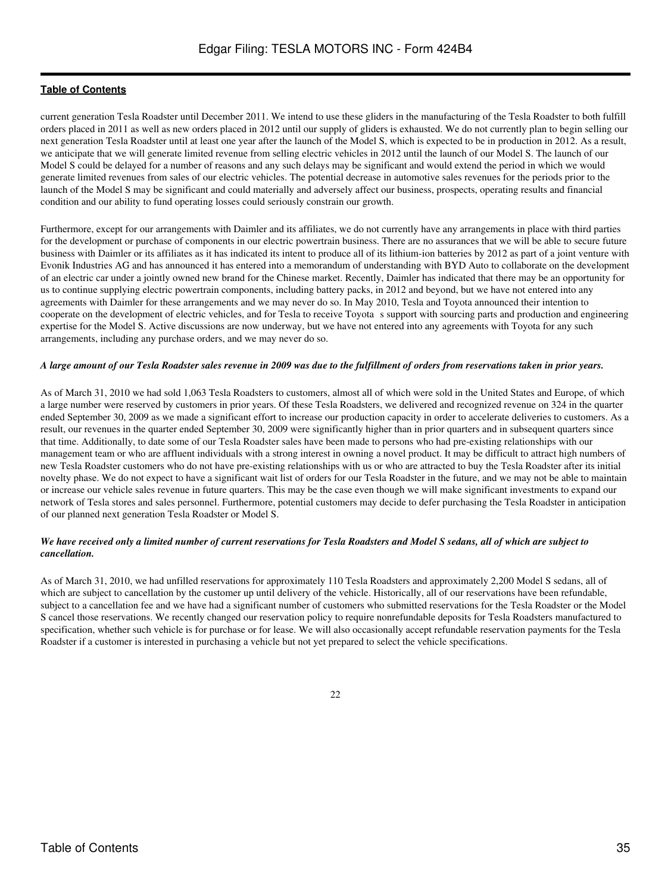current generation Tesla Roadster until December 2011. We intend to use these gliders in the manufacturing of the Tesla Roadster to both fulfill orders placed in 2011 as well as new orders placed in 2012 until our supply of gliders is exhausted. We do not currently plan to begin selling our next generation Tesla Roadster until at least one year after the launch of the Model S, which is expected to be in production in 2012. As a result, we anticipate that we will generate limited revenue from selling electric vehicles in 2012 until the launch of our Model S. The launch of our Model S could be delayed for a number of reasons and any such delays may be significant and would extend the period in which we would generate limited revenues from sales of our electric vehicles. The potential decrease in automotive sales revenues for the periods prior to the launch of the Model S may be significant and could materially and adversely affect our business, prospects, operating results and financial condition and our ability to fund operating losses could seriously constrain our growth.

Furthermore, except for our arrangements with Daimler and its affiliates, we do not currently have any arrangements in place with third parties for the development or purchase of components in our electric powertrain business. There are no assurances that we will be able to secure future business with Daimler or its affiliates as it has indicated its intent to produce all of its lithium-ion batteries by 2012 as part of a joint venture with Evonik Industries AG and has announced it has entered into a memorandum of understanding with BYD Auto to collaborate on the development of an electric car under a jointly owned new brand for the Chinese market. Recently, Daimler has indicated that there may be an opportunity for us to continue supplying electric powertrain components, including battery packs, in 2012 and beyond, but we have not entered into any agreements with Daimler for these arrangements and we may never do so. In May 2010, Tesla and Toyota announced their intention to cooperate on the development of electric vehicles, and for Tesla to receive Toyotas support with sourcing parts and production and engineering expertise for the Model S. Active discussions are now underway, but we have not entered into any agreements with Toyota for any such arrangements, including any purchase orders, and we may never do so.

#### *A large amount of our Tesla Roadster sales revenue in 2009 was due to the fulfillment of orders from reservations taken in prior years.*

As of March 31, 2010 we had sold 1,063 Tesla Roadsters to customers, almost all of which were sold in the United States and Europe, of which a large number were reserved by customers in prior years. Of these Tesla Roadsters, we delivered and recognized revenue on 324 in the quarter ended September 30, 2009 as we made a significant effort to increase our production capacity in order to accelerate deliveries to customers. As a result, our revenues in the quarter ended September 30, 2009 were significantly higher than in prior quarters and in subsequent quarters since that time. Additionally, to date some of our Tesla Roadster sales have been made to persons who had pre-existing relationships with our management team or who are affluent individuals with a strong interest in owning a novel product. It may be difficult to attract high numbers of new Tesla Roadster customers who do not have pre-existing relationships with us or who are attracted to buy the Tesla Roadster after its initial novelty phase. We do not expect to have a significant wait list of orders for our Tesla Roadster in the future, and we may not be able to maintain or increase our vehicle sales revenue in future quarters. This may be the case even though we will make significant investments to expand our network of Tesla stores and sales personnel. Furthermore, potential customers may decide to defer purchasing the Tesla Roadster in anticipation of our planned next generation Tesla Roadster or Model S.

# *We have received only a limited number of current reservations for Tesla Roadsters and Model S sedans, all of which are subject to cancellation.*

As of March 31, 2010, we had unfilled reservations for approximately 110 Tesla Roadsters and approximately 2,200 Model S sedans, all of which are subject to cancellation by the customer up until delivery of the vehicle. Historically, all of our reservations have been refundable, subject to a cancellation fee and we have had a significant number of customers who submitted reservations for the Tesla Roadster or the Model S cancel those reservations. We recently changed our reservation policy to require nonrefundable deposits for Tesla Roadsters manufactured to specification, whether such vehicle is for purchase or for lease. We will also occasionally accept refundable reservation payments for the Tesla Roadster if a customer is interested in purchasing a vehicle but not yet prepared to select the vehicle specifications.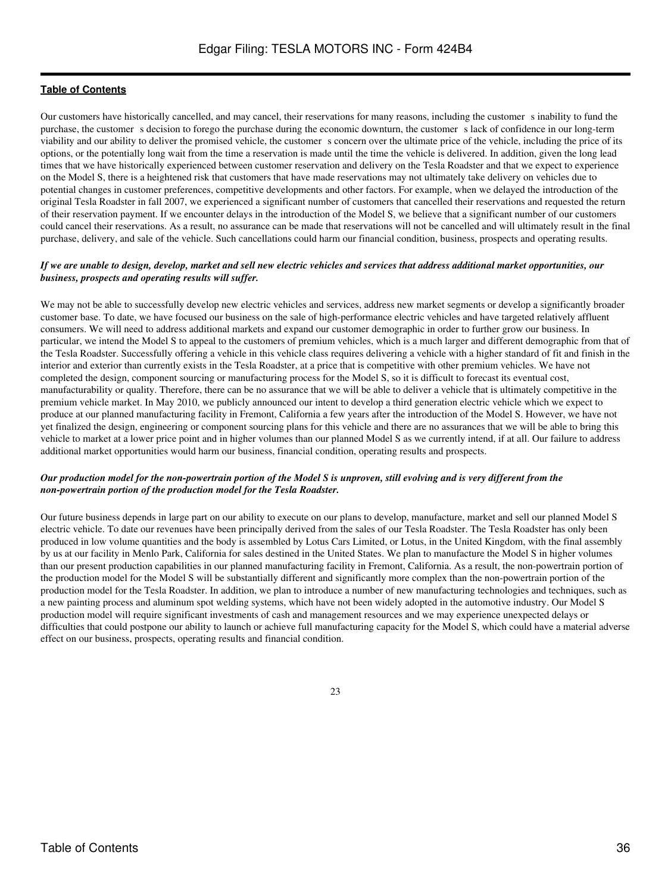Our customers have historically cancelled, and may cancel, their reservations for many reasons, including the customer s inability to fund the purchase, the customer s decision to forego the purchase during the economic downturn, the customer s lack of confidence in our long-term viability and our ability to deliver the promised vehicle, the customer s concern over the ultimate price of the vehicle, including the price of its options, or the potentially long wait from the time a reservation is made until the time the vehicle is delivered. In addition, given the long lead times that we have historically experienced between customer reservation and delivery on the Tesla Roadster and that we expect to experience on the Model S, there is a heightened risk that customers that have made reservations may not ultimately take delivery on vehicles due to potential changes in customer preferences, competitive developments and other factors. For example, when we delayed the introduction of the original Tesla Roadster in fall 2007, we experienced a significant number of customers that cancelled their reservations and requested the return of their reservation payment. If we encounter delays in the introduction of the Model S, we believe that a significant number of our customers could cancel their reservations. As a result, no assurance can be made that reservations will not be cancelled and will ultimately result in the final purchase, delivery, and sale of the vehicle. Such cancellations could harm our financial condition, business, prospects and operating results.

## *If we are unable to design, develop, market and sell new electric vehicles and services that address additional market opportunities, our business, prospects and operating results will suffer.*

We may not be able to successfully develop new electric vehicles and services, address new market segments or develop a significantly broader customer base. To date, we have focused our business on the sale of high-performance electric vehicles and have targeted relatively affluent consumers. We will need to address additional markets and expand our customer demographic in order to further grow our business. In particular, we intend the Model S to appeal to the customers of premium vehicles, which is a much larger and different demographic from that of the Tesla Roadster. Successfully offering a vehicle in this vehicle class requires delivering a vehicle with a higher standard of fit and finish in the interior and exterior than currently exists in the Tesla Roadster, at a price that is competitive with other premium vehicles. We have not completed the design, component sourcing or manufacturing process for the Model S, so it is difficult to forecast its eventual cost, manufacturability or quality. Therefore, there can be no assurance that we will be able to deliver a vehicle that is ultimately competitive in the premium vehicle market. In May 2010, we publicly announced our intent to develop a third generation electric vehicle which we expect to produce at our planned manufacturing facility in Fremont, California a few years after the introduction of the Model S. However, we have not yet finalized the design, engineering or component sourcing plans for this vehicle and there are no assurances that we will be able to bring this vehicle to market at a lower price point and in higher volumes than our planned Model S as we currently intend, if at all. Our failure to address additional market opportunities would harm our business, financial condition, operating results and prospects.

# *Our production model for the non-powertrain portion of the Model S is unproven, still evolving and is very different from the non-powertrain portion of the production model for the Tesla Roadster.*

Our future business depends in large part on our ability to execute on our plans to develop, manufacture, market and sell our planned Model S electric vehicle. To date our revenues have been principally derived from the sales of our Tesla Roadster. The Tesla Roadster has only been produced in low volume quantities and the body is assembled by Lotus Cars Limited, or Lotus, in the United Kingdom, with the final assembly by us at our facility in Menlo Park, California for sales destined in the United States. We plan to manufacture the Model S in higher volumes than our present production capabilities in our planned manufacturing facility in Fremont, California. As a result, the non-powertrain portion of the production model for the Model S will be substantially different and significantly more complex than the non-powertrain portion of the production model for the Tesla Roadster. In addition, we plan to introduce a number of new manufacturing technologies and techniques, such as a new painting process and aluminum spot welding systems, which have not been widely adopted in the automotive industry. Our Model S production model will require significant investments of cash and management resources and we may experience unexpected delays or difficulties that could postpone our ability to launch or achieve full manufacturing capacity for the Model S, which could have a material adverse effect on our business, prospects, operating results and financial condition.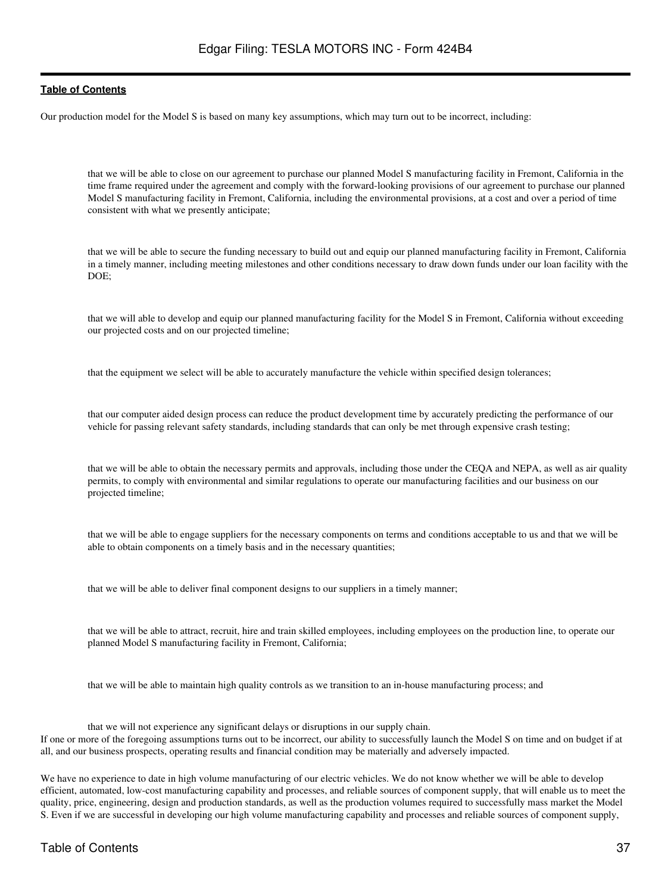Our production model for the Model S is based on many key assumptions, which may turn out to be incorrect, including:

that we will be able to close on our agreement to purchase our planned Model S manufacturing facility in Fremont, California in the time frame required under the agreement and comply with the forward-looking provisions of our agreement to purchase our planned Model S manufacturing facility in Fremont, California, including the environmental provisions, at a cost and over a period of time consistent with what we presently anticipate;

that we will be able to secure the funding necessary to build out and equip our planned manufacturing facility in Fremont, California in a timely manner, including meeting milestones and other conditions necessary to draw down funds under our loan facility with the DOE;

that we will able to develop and equip our planned manufacturing facility for the Model S in Fremont, California without exceeding our projected costs and on our projected timeline;

that the equipment we select will be able to accurately manufacture the vehicle within specified design tolerances;

that our computer aided design process can reduce the product development time by accurately predicting the performance of our vehicle for passing relevant safety standards, including standards that can only be met through expensive crash testing;

that we will be able to obtain the necessary permits and approvals, including those under the CEQA and NEPA, as well as air quality permits, to comply with environmental and similar regulations to operate our manufacturing facilities and our business on our projected timeline;

that we will be able to engage suppliers for the necessary components on terms and conditions acceptable to us and that we will be able to obtain components on a timely basis and in the necessary quantities;

that we will be able to deliver final component designs to our suppliers in a timely manner;

that we will be able to attract, recruit, hire and train skilled employees, including employees on the production line, to operate our planned Model S manufacturing facility in Fremont, California;

that we will be able to maintain high quality controls as we transition to an in-house manufacturing process; and

that we will not experience any significant delays or disruptions in our supply chain. If one or more of the foregoing assumptions turns out to be incorrect, our ability to successfully launch the Model S on time and on budget if at all, and our business prospects, operating results and financial condition may be materially and adversely impacted.

We have no experience to date in high volume manufacturing of our electric vehicles. We do not know whether we will be able to develop efficient, automated, low-cost manufacturing capability and processes, and reliable sources of component supply, that will enable us to meet the quality, price, engineering, design and production standards, as well as the production volumes required to successfully mass market the Model S. Even if we are successful in developing our high volume manufacturing capability and processes and reliable sources of component supply,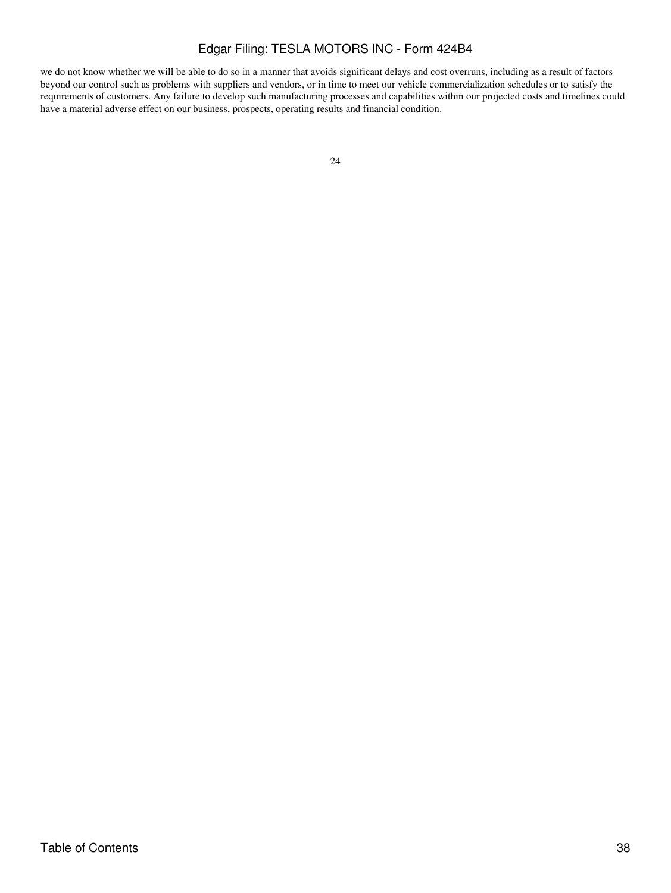# Edgar Filing: TESLA MOTORS INC - Form 424B4

we do not know whether we will be able to do so in a manner that avoids significant delays and cost overruns, including as a result of factors beyond our control such as problems with suppliers and vendors, or in time to meet our vehicle commercialization schedules or to satisfy the requirements of customers. Any failure to develop such manufacturing processes and capabilities within our projected costs and timelines could have a material adverse effect on our business, prospects, operating results and financial condition.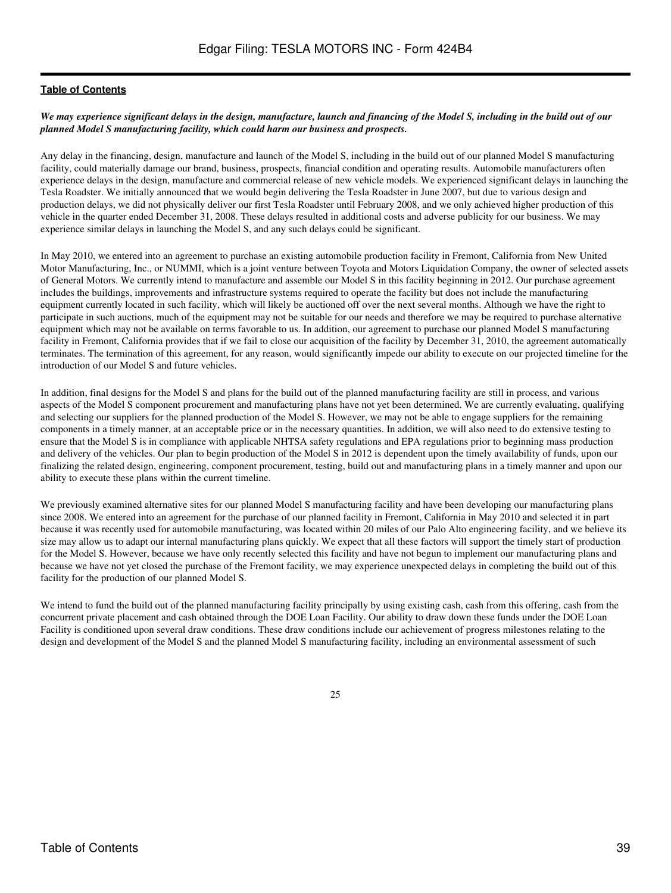### *We may experience significant delays in the design, manufacture, launch and financing of the Model S, including in the build out of our planned Model S manufacturing facility, which could harm our business and prospects.*

Any delay in the financing, design, manufacture and launch of the Model S, including in the build out of our planned Model S manufacturing facility, could materially damage our brand, business, prospects, financial condition and operating results. Automobile manufacturers often experience delays in the design, manufacture and commercial release of new vehicle models. We experienced significant delays in launching the Tesla Roadster. We initially announced that we would begin delivering the Tesla Roadster in June 2007, but due to various design and production delays, we did not physically deliver our first Tesla Roadster until February 2008, and we only achieved higher production of this vehicle in the quarter ended December 31, 2008. These delays resulted in additional costs and adverse publicity for our business. We may experience similar delays in launching the Model S, and any such delays could be significant.

In May 2010, we entered into an agreement to purchase an existing automobile production facility in Fremont, California from New United Motor Manufacturing, Inc., or NUMMI, which is a joint venture between Toyota and Motors Liquidation Company, the owner of selected assets of General Motors. We currently intend to manufacture and assemble our Model S in this facility beginning in 2012. Our purchase agreement includes the buildings, improvements and infrastructure systems required to operate the facility but does not include the manufacturing equipment currently located in such facility, which will likely be auctioned off over the next several months. Although we have the right to participate in such auctions, much of the equipment may not be suitable for our needs and therefore we may be required to purchase alternative equipment which may not be available on terms favorable to us. In addition, our agreement to purchase our planned Model S manufacturing facility in Fremont, California provides that if we fail to close our acquisition of the facility by December 31, 2010, the agreement automatically terminates. The termination of this agreement, for any reason, would significantly impede our ability to execute on our projected timeline for the introduction of our Model S and future vehicles.

In addition, final designs for the Model S and plans for the build out of the planned manufacturing facility are still in process, and various aspects of the Model S component procurement and manufacturing plans have not yet been determined. We are currently evaluating, qualifying and selecting our suppliers for the planned production of the Model S. However, we may not be able to engage suppliers for the remaining components in a timely manner, at an acceptable price or in the necessary quantities. In addition, we will also need to do extensive testing to ensure that the Model S is in compliance with applicable NHTSA safety regulations and EPA regulations prior to beginning mass production and delivery of the vehicles. Our plan to begin production of the Model S in 2012 is dependent upon the timely availability of funds, upon our finalizing the related design, engineering, component procurement, testing, build out and manufacturing plans in a timely manner and upon our ability to execute these plans within the current timeline.

We previously examined alternative sites for our planned Model S manufacturing facility and have been developing our manufacturing plans since 2008. We entered into an agreement for the purchase of our planned facility in Fremont, California in May 2010 and selected it in part because it was recently used for automobile manufacturing, was located within 20 miles of our Palo Alto engineering facility, and we believe its size may allow us to adapt our internal manufacturing plans quickly. We expect that all these factors will support the timely start of production for the Model S. However, because we have only recently selected this facility and have not begun to implement our manufacturing plans and because we have not yet closed the purchase of the Fremont facility, we may experience unexpected delays in completing the build out of this facility for the production of our planned Model S.

We intend to fund the build out of the planned manufacturing facility principally by using existing cash, cash from this offering, cash from the concurrent private placement and cash obtained through the DOE Loan Facility. Our ability to draw down these funds under the DOE Loan Facility is conditioned upon several draw conditions. These draw conditions include our achievement of progress milestones relating to the design and development of the Model S and the planned Model S manufacturing facility, including an environmental assessment of such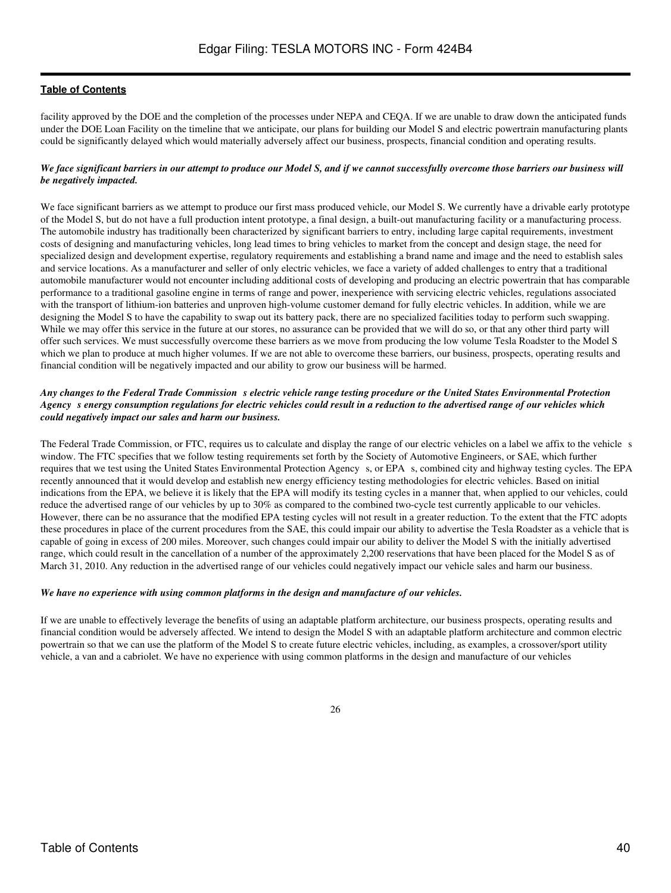facility approved by the DOE and the completion of the processes under NEPA and CEQA. If we are unable to draw down the anticipated funds under the DOE Loan Facility on the timeline that we anticipate, our plans for building our Model S and electric powertrain manufacturing plants could be significantly delayed which would materially adversely affect our business, prospects, financial condition and operating results.

### *We face significant barriers in our attempt to produce our Model S, and if we cannot successfully overcome those barriers our business will be negatively impacted.*

We face significant barriers as we attempt to produce our first mass produced vehicle, our Model S. We currently have a drivable early prototype of the Model S, but do not have a full production intent prototype, a final design, a built-out manufacturing facility or a manufacturing process. The automobile industry has traditionally been characterized by significant barriers to entry, including large capital requirements, investment costs of designing and manufacturing vehicles, long lead times to bring vehicles to market from the concept and design stage, the need for specialized design and development expertise, regulatory requirements and establishing a brand name and image and the need to establish sales and service locations. As a manufacturer and seller of only electric vehicles, we face a variety of added challenges to entry that a traditional automobile manufacturer would not encounter including additional costs of developing and producing an electric powertrain that has comparable performance to a traditional gasoline engine in terms of range and power, inexperience with servicing electric vehicles, regulations associated with the transport of lithium-ion batteries and unproven high-volume customer demand for fully electric vehicles. In addition, while we are designing the Model S to have the capability to swap out its battery pack, there are no specialized facilities today to perform such swapping. While we may offer this service in the future at our stores, no assurance can be provided that we will do so, or that any other third party will offer such services. We must successfully overcome these barriers as we move from producing the low volume Tesla Roadster to the Model S which we plan to produce at much higher volumes. If we are not able to overcome these barriers, our business, prospects, operating results and financial condition will be negatively impacted and our ability to grow our business will be harmed.

# *Any changes to the Federal Trade Commissions electric vehicle range testing procedure or the United States Environmental Protection* Agency s energy consumption regulations for electric vehicles could result in a reduction to the advertised range of our vehicles which *could negatively impact our sales and harm our business.*

The Federal Trade Commission, or FTC, requires us to calculate and display the range of our electric vehicles on a label we affix to the vehicles window. The FTC specifies that we follow testing requirements set forth by the Society of Automotive Engineers, or SAE, which further requires that we test using the United States Environmental Protection Agency s, or EPA s, combined city and highway testing cycles. The EPA recently announced that it would develop and establish new energy efficiency testing methodologies for electric vehicles. Based on initial indications from the EPA, we believe it is likely that the EPA will modify its testing cycles in a manner that, when applied to our vehicles, could reduce the advertised range of our vehicles by up to 30% as compared to the combined two-cycle test currently applicable to our vehicles. However, there can be no assurance that the modified EPA testing cycles will not result in a greater reduction. To the extent that the FTC adopts these procedures in place of the current procedures from the SAE, this could impair our ability to advertise the Tesla Roadster as a vehicle that is capable of going in excess of 200 miles. Moreover, such changes could impair our ability to deliver the Model S with the initially advertised range, which could result in the cancellation of a number of the approximately 2,200 reservations that have been placed for the Model S as of March 31, 2010. Any reduction in the advertised range of our vehicles could negatively impact our vehicle sales and harm our business.

### *We have no experience with using common platforms in the design and manufacture of our vehicles.*

If we are unable to effectively leverage the benefits of using an adaptable platform architecture, our business prospects, operating results and financial condition would be adversely affected. We intend to design the Model S with an adaptable platform architecture and common electric powertrain so that we can use the platform of the Model S to create future electric vehicles, including, as examples, a crossover/sport utility vehicle, a van and a cabriolet. We have no experience with using common platforms in the design and manufacture of our vehicles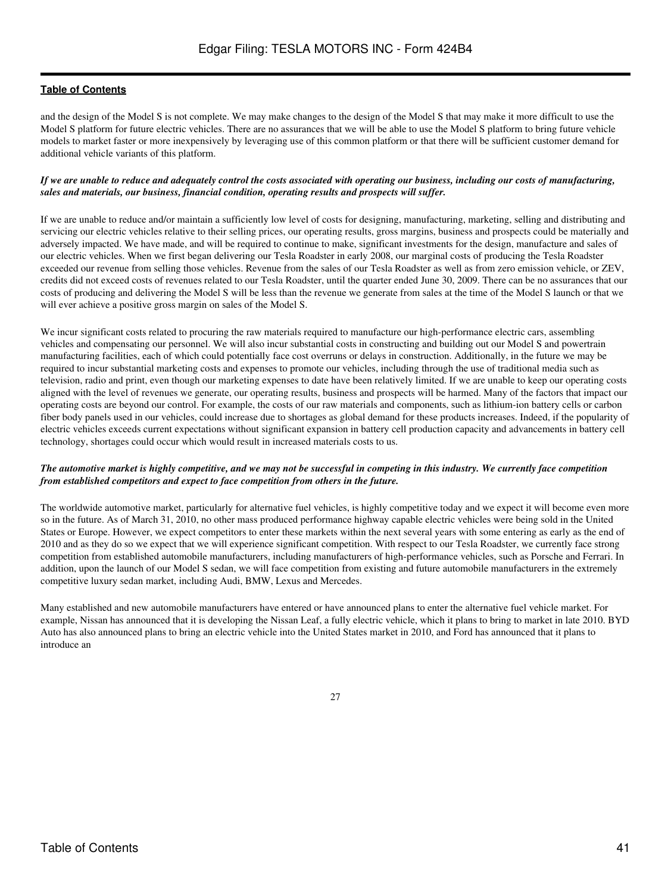and the design of the Model S is not complete. We may make changes to the design of the Model S that may make it more difficult to use the Model S platform for future electric vehicles. There are no assurances that we will be able to use the Model S platform to bring future vehicle models to market faster or more inexpensively by leveraging use of this common platform or that there will be sufficient customer demand for additional vehicle variants of this platform.

### *If we are unable to reduce and adequately control the costs associated with operating our business, including our costs of manufacturing, sales and materials, our business, financial condition, operating results and prospects will suffer.*

If we are unable to reduce and/or maintain a sufficiently low level of costs for designing, manufacturing, marketing, selling and distributing and servicing our electric vehicles relative to their selling prices, our operating results, gross margins, business and prospects could be materially and adversely impacted. We have made, and will be required to continue to make, significant investments for the design, manufacture and sales of our electric vehicles. When we first began delivering our Tesla Roadster in early 2008, our marginal costs of producing the Tesla Roadster exceeded our revenue from selling those vehicles. Revenue from the sales of our Tesla Roadster as well as from zero emission vehicle, or ZEV, credits did not exceed costs of revenues related to our Tesla Roadster, until the quarter ended June 30, 2009. There can be no assurances that our costs of producing and delivering the Model S will be less than the revenue we generate from sales at the time of the Model S launch or that we will ever achieve a positive gross margin on sales of the Model S.

We incur significant costs related to procuring the raw materials required to manufacture our high-performance electric cars, assembling vehicles and compensating our personnel. We will also incur substantial costs in constructing and building out our Model S and powertrain manufacturing facilities, each of which could potentially face cost overruns or delays in construction. Additionally, in the future we may be required to incur substantial marketing costs and expenses to promote our vehicles, including through the use of traditional media such as television, radio and print, even though our marketing expenses to date have been relatively limited. If we are unable to keep our operating costs aligned with the level of revenues we generate, our operating results, business and prospects will be harmed. Many of the factors that impact our operating costs are beyond our control. For example, the costs of our raw materials and components, such as lithium-ion battery cells or carbon fiber body panels used in our vehicles, could increase due to shortages as global demand for these products increases. Indeed, if the popularity of electric vehicles exceeds current expectations without significant expansion in battery cell production capacity and advancements in battery cell technology, shortages could occur which would result in increased materials costs to us.

### *The automotive market is highly competitive, and we may not be successful in competing in this industry. We currently face competition from established competitors and expect to face competition from others in the future.*

The worldwide automotive market, particularly for alternative fuel vehicles, is highly competitive today and we expect it will become even more so in the future. As of March 31, 2010, no other mass produced performance highway capable electric vehicles were being sold in the United States or Europe. However, we expect competitors to enter these markets within the next several years with some entering as early as the end of 2010 and as they do so we expect that we will experience significant competition. With respect to our Tesla Roadster, we currently face strong competition from established automobile manufacturers, including manufacturers of high-performance vehicles, such as Porsche and Ferrari. In addition, upon the launch of our Model S sedan, we will face competition from existing and future automobile manufacturers in the extremely competitive luxury sedan market, including Audi, BMW, Lexus and Mercedes.

Many established and new automobile manufacturers have entered or have announced plans to enter the alternative fuel vehicle market. For example, Nissan has announced that it is developing the Nissan Leaf, a fully electric vehicle, which it plans to bring to market in late 2010. BYD Auto has also announced plans to bring an electric vehicle into the United States market in 2010, and Ford has announced that it plans to introduce an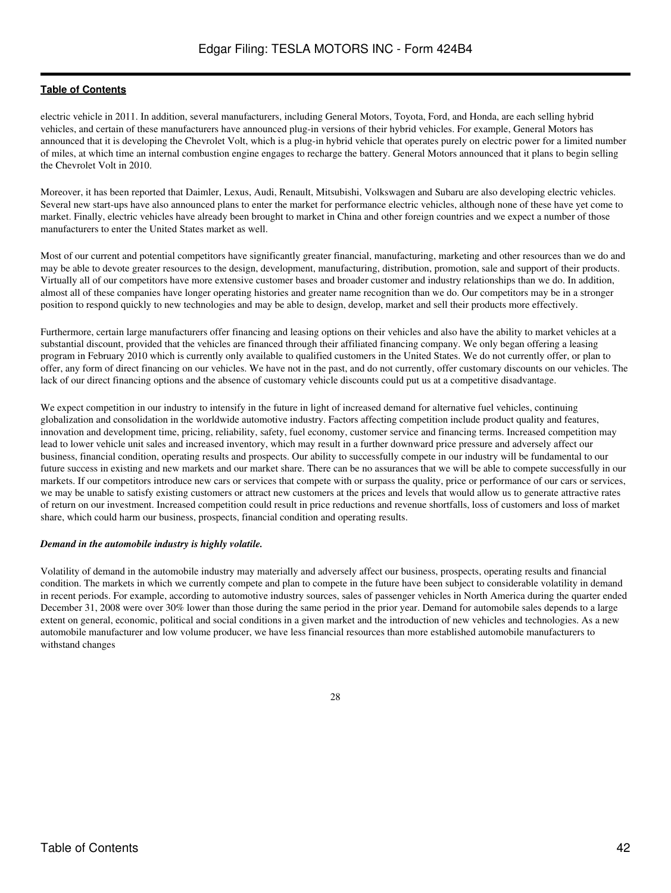electric vehicle in 2011. In addition, several manufacturers, including General Motors, Toyota, Ford, and Honda, are each selling hybrid vehicles, and certain of these manufacturers have announced plug-in versions of their hybrid vehicles. For example, General Motors has announced that it is developing the Chevrolet Volt, which is a plug-in hybrid vehicle that operates purely on electric power for a limited number of miles, at which time an internal combustion engine engages to recharge the battery. General Motors announced that it plans to begin selling the Chevrolet Volt in 2010.

Moreover, it has been reported that Daimler, Lexus, Audi, Renault, Mitsubishi, Volkswagen and Subaru are also developing electric vehicles. Several new start-ups have also announced plans to enter the market for performance electric vehicles, although none of these have yet come to market. Finally, electric vehicles have already been brought to market in China and other foreign countries and we expect a number of those manufacturers to enter the United States market as well.

Most of our current and potential competitors have significantly greater financial, manufacturing, marketing and other resources than we do and may be able to devote greater resources to the design, development, manufacturing, distribution, promotion, sale and support of their products. Virtually all of our competitors have more extensive customer bases and broader customer and industry relationships than we do. In addition, almost all of these companies have longer operating histories and greater name recognition than we do. Our competitors may be in a stronger position to respond quickly to new technologies and may be able to design, develop, market and sell their products more effectively.

Furthermore, certain large manufacturers offer financing and leasing options on their vehicles and also have the ability to market vehicles at a substantial discount, provided that the vehicles are financed through their affiliated financing company. We only began offering a leasing program in February 2010 which is currently only available to qualified customers in the United States. We do not currently offer, or plan to offer, any form of direct financing on our vehicles. We have not in the past, and do not currently, offer customary discounts on our vehicles. The lack of our direct financing options and the absence of customary vehicle discounts could put us at a competitive disadvantage.

We expect competition in our industry to intensify in the future in light of increased demand for alternative fuel vehicles, continuing globalization and consolidation in the worldwide automotive industry. Factors affecting competition include product quality and features, innovation and development time, pricing, reliability, safety, fuel economy, customer service and financing terms. Increased competition may lead to lower vehicle unit sales and increased inventory, which may result in a further downward price pressure and adversely affect our business, financial condition, operating results and prospects. Our ability to successfully compete in our industry will be fundamental to our future success in existing and new markets and our market share. There can be no assurances that we will be able to compete successfully in our markets. If our competitors introduce new cars or services that compete with or surpass the quality, price or performance of our cars or services, we may be unable to satisfy existing customers or attract new customers at the prices and levels that would allow us to generate attractive rates of return on our investment. Increased competition could result in price reductions and revenue shortfalls, loss of customers and loss of market share, which could harm our business, prospects, financial condition and operating results.

#### *Demand in the automobile industry is highly volatile.*

Volatility of demand in the automobile industry may materially and adversely affect our business, prospects, operating results and financial condition. The markets in which we currently compete and plan to compete in the future have been subject to considerable volatility in demand in recent periods. For example, according to automotive industry sources, sales of passenger vehicles in North America during the quarter ended December 31, 2008 were over 30% lower than those during the same period in the prior year. Demand for automobile sales depends to a large extent on general, economic, political and social conditions in a given market and the introduction of new vehicles and technologies. As a new automobile manufacturer and low volume producer, we have less financial resources than more established automobile manufacturers to withstand changes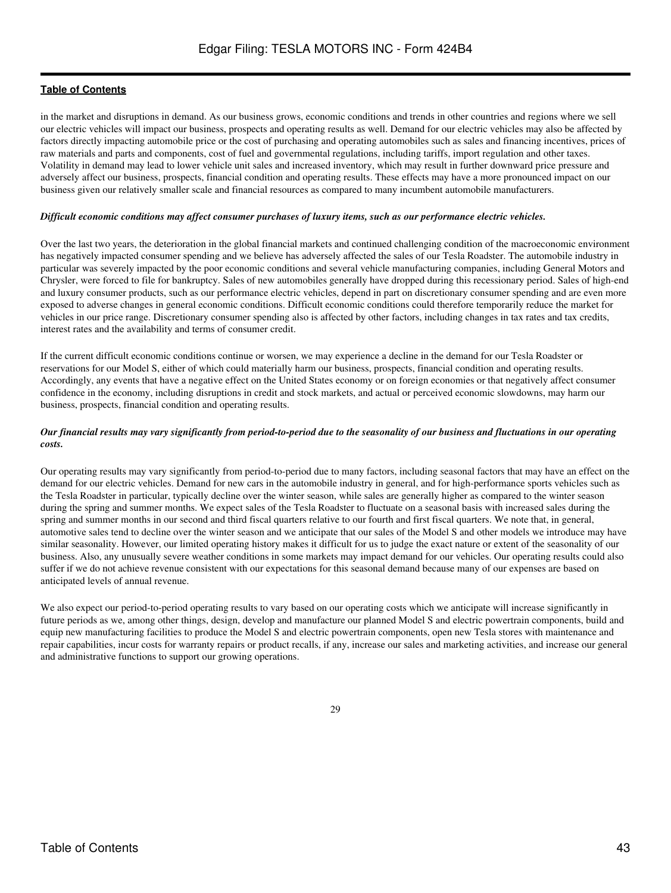in the market and disruptions in demand. As our business grows, economic conditions and trends in other countries and regions where we sell our electric vehicles will impact our business, prospects and operating results as well. Demand for our electric vehicles may also be affected by factors directly impacting automobile price or the cost of purchasing and operating automobiles such as sales and financing incentives, prices of raw materials and parts and components, cost of fuel and governmental regulations, including tariffs, import regulation and other taxes. Volatility in demand may lead to lower vehicle unit sales and increased inventory, which may result in further downward price pressure and adversely affect our business, prospects, financial condition and operating results. These effects may have a more pronounced impact on our business given our relatively smaller scale and financial resources as compared to many incumbent automobile manufacturers.

#### *Difficult economic conditions may affect consumer purchases of luxury items, such as our performance electric vehicles.*

Over the last two years, the deterioration in the global financial markets and continued challenging condition of the macroeconomic environment has negatively impacted consumer spending and we believe has adversely affected the sales of our Tesla Roadster. The automobile industry in particular was severely impacted by the poor economic conditions and several vehicle manufacturing companies, including General Motors and Chrysler, were forced to file for bankruptcy. Sales of new automobiles generally have dropped during this recessionary period. Sales of high-end and luxury consumer products, such as our performance electric vehicles, depend in part on discretionary consumer spending and are even more exposed to adverse changes in general economic conditions. Difficult economic conditions could therefore temporarily reduce the market for vehicles in our price range. Discretionary consumer spending also is affected by other factors, including changes in tax rates and tax credits, interest rates and the availability and terms of consumer credit.

If the current difficult economic conditions continue or worsen, we may experience a decline in the demand for our Tesla Roadster or reservations for our Model S, either of which could materially harm our business, prospects, financial condition and operating results. Accordingly, any events that have a negative effect on the United States economy or on foreign economies or that negatively affect consumer confidence in the economy, including disruptions in credit and stock markets, and actual or perceived economic slowdowns, may harm our business, prospects, financial condition and operating results.

### *Our financial results may vary significantly from period-to-period due to the seasonality of our business and fluctuations in our operating costs.*

Our operating results may vary significantly from period-to-period due to many factors, including seasonal factors that may have an effect on the demand for our electric vehicles. Demand for new cars in the automobile industry in general, and for high-performance sports vehicles such as the Tesla Roadster in particular, typically decline over the winter season, while sales are generally higher as compared to the winter season during the spring and summer months. We expect sales of the Tesla Roadster to fluctuate on a seasonal basis with increased sales during the spring and summer months in our second and third fiscal quarters relative to our fourth and first fiscal quarters. We note that, in general, automotive sales tend to decline over the winter season and we anticipate that our sales of the Model S and other models we introduce may have similar seasonality. However, our limited operating history makes it difficult for us to judge the exact nature or extent of the seasonality of our business. Also, any unusually severe weather conditions in some markets may impact demand for our vehicles. Our operating results could also suffer if we do not achieve revenue consistent with our expectations for this seasonal demand because many of our expenses are based on anticipated levels of annual revenue.

We also expect our period-to-period operating results to vary based on our operating costs which we anticipate will increase significantly in future periods as we, among other things, design, develop and manufacture our planned Model S and electric powertrain components, build and equip new manufacturing facilities to produce the Model S and electric powertrain components, open new Tesla stores with maintenance and repair capabilities, incur costs for warranty repairs or product recalls, if any, increase our sales and marketing activities, and increase our general and administrative functions to support our growing operations.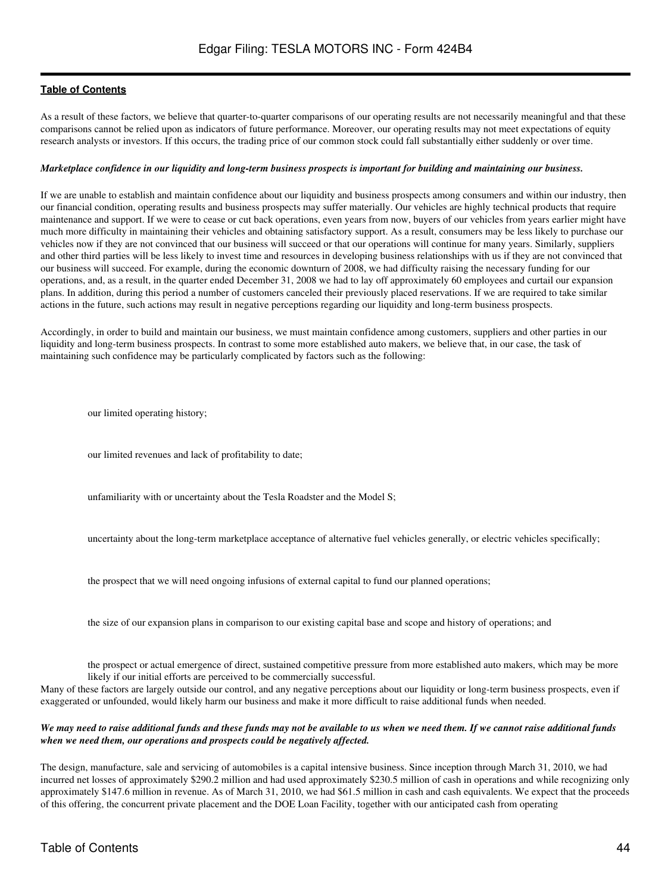As a result of these factors, we believe that quarter-to-quarter comparisons of our operating results are not necessarily meaningful and that these comparisons cannot be relied upon as indicators of future performance. Moreover, our operating results may not meet expectations of equity research analysts or investors. If this occurs, the trading price of our common stock could fall substantially either suddenly or over time.

#### *Marketplace confidence in our liquidity and long-term business prospects is important for building and maintaining our business.*

If we are unable to establish and maintain confidence about our liquidity and business prospects among consumers and within our industry, then our financial condition, operating results and business prospects may suffer materially. Our vehicles are highly technical products that require maintenance and support. If we were to cease or cut back operations, even years from now, buyers of our vehicles from years earlier might have much more difficulty in maintaining their vehicles and obtaining satisfactory support. As a result, consumers may be less likely to purchase our vehicles now if they are not convinced that our business will succeed or that our operations will continue for many years. Similarly, suppliers and other third parties will be less likely to invest time and resources in developing business relationships with us if they are not convinced that our business will succeed. For example, during the economic downturn of 2008, we had difficulty raising the necessary funding for our operations, and, as a result, in the quarter ended December 31, 2008 we had to lay off approximately 60 employees and curtail our expansion plans. In addition, during this period a number of customers canceled their previously placed reservations. If we are required to take similar actions in the future, such actions may result in negative perceptions regarding our liquidity and long-term business prospects.

Accordingly, in order to build and maintain our business, we must maintain confidence among customers, suppliers and other parties in our liquidity and long-term business prospects. In contrast to some more established auto makers, we believe that, in our case, the task of maintaining such confidence may be particularly complicated by factors such as the following:

our limited operating history;

our limited revenues and lack of profitability to date;

unfamiliarity with or uncertainty about the Tesla Roadster and the Model S;

uncertainty about the long-term marketplace acceptance of alternative fuel vehicles generally, or electric vehicles specifically;

the prospect that we will need ongoing infusions of external capital to fund our planned operations;

the size of our expansion plans in comparison to our existing capital base and scope and history of operations; and

the prospect or actual emergence of direct, sustained competitive pressure from more established auto makers, which may be more likely if our initial efforts are perceived to be commercially successful.

Many of these factors are largely outside our control, and any negative perceptions about our liquidity or long-term business prospects, even if exaggerated or unfounded, would likely harm our business and make it more difficult to raise additional funds when needed.

### *We may need to raise additional funds and these funds may not be available to us when we need them. If we cannot raise additional funds when we need them, our operations and prospects could be negatively affected.*

The design, manufacture, sale and servicing of automobiles is a capital intensive business. Since inception through March 31, 2010, we had incurred net losses of approximately \$290.2 million and had used approximately \$230.5 million of cash in operations and while recognizing only approximately \$147.6 million in revenue. As of March 31, 2010, we had \$61.5 million in cash and cash equivalents. We expect that the proceeds of this offering, the concurrent private placement and the DOE Loan Facility, together with our anticipated cash from operating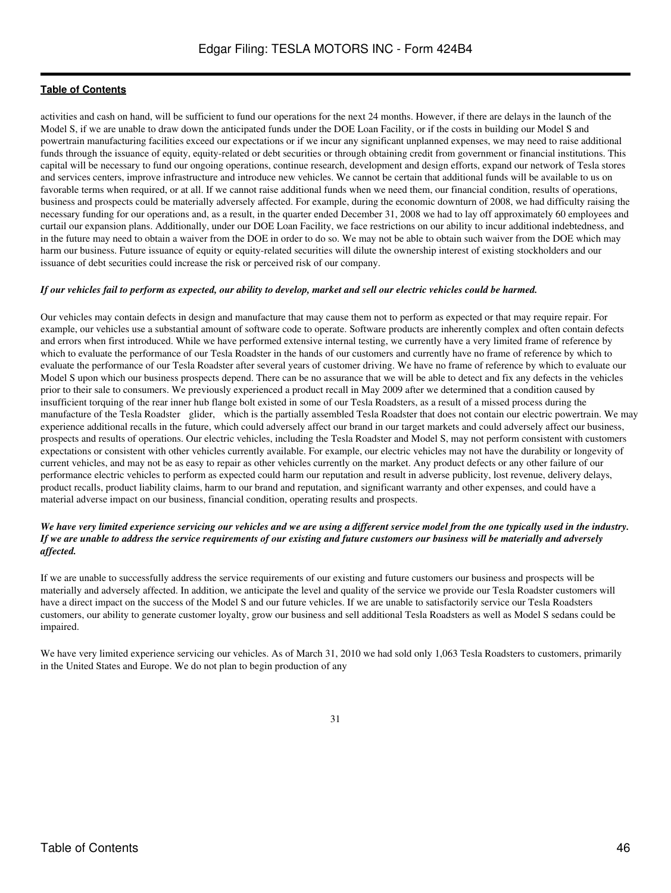activities and cash on hand, will be sufficient to fund our operations for the next 24 months. However, if there are delays in the launch of the Model S, if we are unable to draw down the anticipated funds under the DOE Loan Facility, or if the costs in building our Model S and powertrain manufacturing facilities exceed our expectations or if we incur any significant unplanned expenses, we may need to raise additional funds through the issuance of equity, equity-related or debt securities or through obtaining credit from government or financial institutions. This capital will be necessary to fund our ongoing operations, continue research, development and design efforts, expand our network of Tesla stores and services centers, improve infrastructure and introduce new vehicles. We cannot be certain that additional funds will be available to us on favorable terms when required, or at all. If we cannot raise additional funds when we need them, our financial condition, results of operations, business and prospects could be materially adversely affected. For example, during the economic downturn of 2008, we had difficulty raising the necessary funding for our operations and, as a result, in the quarter ended December 31, 2008 we had to lay off approximately 60 employees and curtail our expansion plans. Additionally, under our DOE Loan Facility, we face restrictions on our ability to incur additional indebtedness, and in the future may need to obtain a waiver from the DOE in order to do so. We may not be able to obtain such waiver from the DOE which may harm our business. Future issuance of equity or equity-related securities will dilute the ownership interest of existing stockholders and our issuance of debt securities could increase the risk or perceived risk of our company.

### *If our vehicles fail to perform as expected, our ability to develop, market and sell our electric vehicles could be harmed.*

Our vehicles may contain defects in design and manufacture that may cause them not to perform as expected or that may require repair. For example, our vehicles use a substantial amount of software code to operate. Software products are inherently complex and often contain defects and errors when first introduced. While we have performed extensive internal testing, we currently have a very limited frame of reference by which to evaluate the performance of our Tesla Roadster in the hands of our customers and currently have no frame of reference by which to evaluate the performance of our Tesla Roadster after several years of customer driving. We have no frame of reference by which to evaluate our Model S upon which our business prospects depend. There can be no assurance that we will be able to detect and fix any defects in the vehicles prior to their sale to consumers. We previously experienced a product recall in May 2009 after we determined that a condition caused by insufficient torquing of the rear inner hub flange bolt existed in some of our Tesla Roadsters, as a result of a missed process during the manufacture of the Tesla Roadster glider, which is the partially assembled Tesla Roadster that does not contain our electric powertrain. We may experience additional recalls in the future, which could adversely affect our brand in our target markets and could adversely affect our business, prospects and results of operations. Our electric vehicles, including the Tesla Roadster and Model S, may not perform consistent with customers expectations or consistent with other vehicles currently available. For example, our electric vehicles may not have the durability or longevity of current vehicles, and may not be as easy to repair as other vehicles currently on the market. Any product defects or any other failure of our performance electric vehicles to perform as expected could harm our reputation and result in adverse publicity, lost revenue, delivery delays, product recalls, product liability claims, harm to our brand and reputation, and significant warranty and other expenses, and could have a material adverse impact on our business, financial condition, operating results and prospects.

### *We have very limited experience servicing our vehicles and we are using a different service model from the one typically used in the industry. If we are unable to address the service requirements of our existing and future customers our business will be materially and adversely affected.*

If we are unable to successfully address the service requirements of our existing and future customers our business and prospects will be materially and adversely affected. In addition, we anticipate the level and quality of the service we provide our Tesla Roadster customers will have a direct impact on the success of the Model S and our future vehicles. If we are unable to satisfactorily service our Tesla Roadsters customers, our ability to generate customer loyalty, grow our business and sell additional Tesla Roadsters as well as Model S sedans could be impaired.

We have very limited experience servicing our vehicles. As of March 31, 2010 we had sold only 1,063 Tesla Roadsters to customers, primarily in the United States and Europe. We do not plan to begin production of any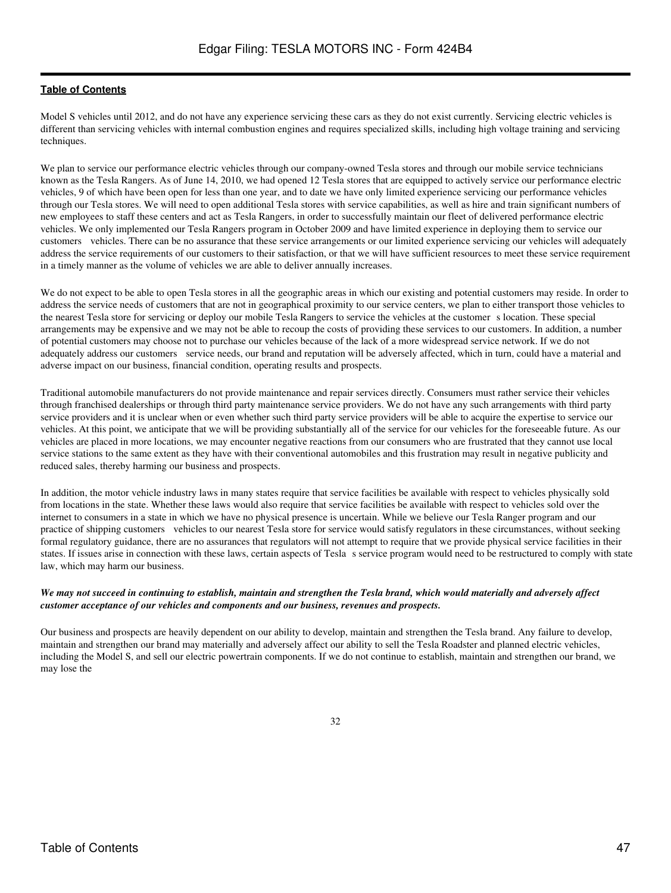Model S vehicles until 2012, and do not have any experience servicing these cars as they do not exist currently. Servicing electric vehicles is different than servicing vehicles with internal combustion engines and requires specialized skills, including high voltage training and servicing techniques.

We plan to service our performance electric vehicles through our company-owned Tesla stores and through our mobile service technicians known as the Tesla Rangers. As of June 14, 2010, we had opened 12 Tesla stores that are equipped to actively service our performance electric vehicles, 9 of which have been open for less than one year, and to date we have only limited experience servicing our performance vehicles through our Tesla stores. We will need to open additional Tesla stores with service capabilities, as well as hire and train significant numbers of new employees to staff these centers and act as Tesla Rangers, in order to successfully maintain our fleet of delivered performance electric vehicles. We only implemented our Tesla Rangers program in October 2009 and have limited experience in deploying them to service our customers vehicles. There can be no assurance that these service arrangements or our limited experience servicing our vehicles will adequately address the service requirements of our customers to their satisfaction, or that we will have sufficient resources to meet these service requirement in a timely manner as the volume of vehicles we are able to deliver annually increases.

We do not expect to be able to open Tesla stores in all the geographic areas in which our existing and potential customers may reside. In order to address the service needs of customers that are not in geographical proximity to our service centers, we plan to either transport those vehicles to the nearest Tesla store for servicing or deploy our mobile Tesla Rangers to service the vehicles at the customer s location. These special arrangements may be expensive and we may not be able to recoup the costs of providing these services to our customers. In addition, a number of potential customers may choose not to purchase our vehicles because of the lack of a more widespread service network. If we do not adequately address our customers service needs, our brand and reputation will be adversely affected, which in turn, could have a material and adverse impact on our business, financial condition, operating results and prospects.

Traditional automobile manufacturers do not provide maintenance and repair services directly. Consumers must rather service their vehicles through franchised dealerships or through third party maintenance service providers. We do not have any such arrangements with third party service providers and it is unclear when or even whether such third party service providers will be able to acquire the expertise to service our vehicles. At this point, we anticipate that we will be providing substantially all of the service for our vehicles for the foreseeable future. As our vehicles are placed in more locations, we may encounter negative reactions from our consumers who are frustrated that they cannot use local service stations to the same extent as they have with their conventional automobiles and this frustration may result in negative publicity and reduced sales, thereby harming our business and prospects.

In addition, the motor vehicle industry laws in many states require that service facilities be available with respect to vehicles physically sold from locations in the state. Whether these laws would also require that service facilities be available with respect to vehicles sold over the internet to consumers in a state in which we have no physical presence is uncertain. While we believe our Tesla Ranger program and our practice of shipping customers vehicles to our nearest Tesla store for service would satisfy regulators in these circumstances, without seeking formal regulatory guidance, there are no assurances that regulators will not attempt to require that we provide physical service facilities in their states. If issues arise in connection with these laws, certain aspects of Tesla s service program would need to be restructured to comply with state law, which may harm our business.

### *We may not succeed in continuing to establish, maintain and strengthen the Tesla brand, which would materially and adversely affect customer acceptance of our vehicles and components and our business, revenues and prospects.*

Our business and prospects are heavily dependent on our ability to develop, maintain and strengthen the Tesla brand. Any failure to develop, maintain and strengthen our brand may materially and adversely affect our ability to sell the Tesla Roadster and planned electric vehicles, including the Model S, and sell our electric powertrain components. If we do not continue to establish, maintain and strengthen our brand, we may lose the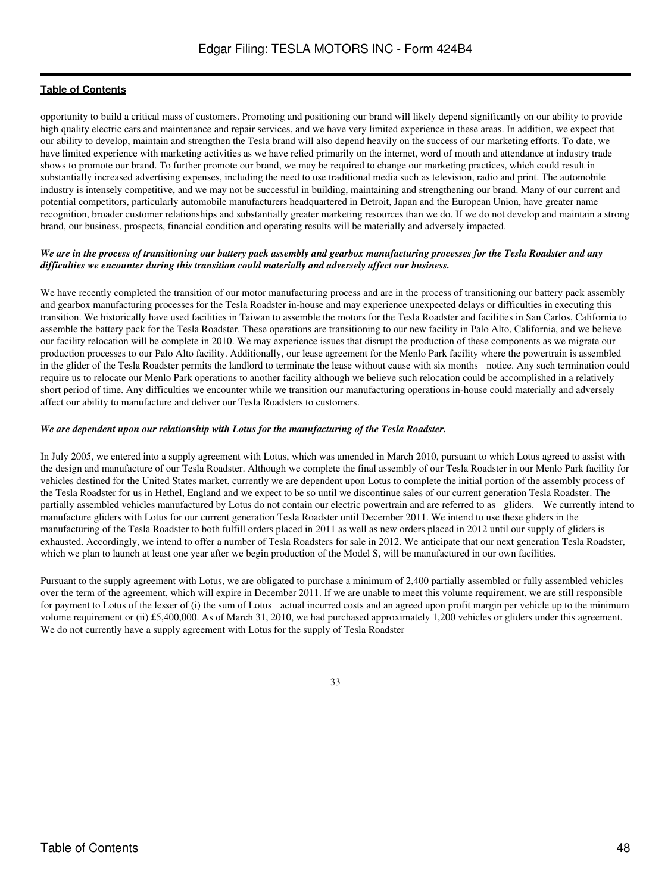opportunity to build a critical mass of customers. Promoting and positioning our brand will likely depend significantly on our ability to provide high quality electric cars and maintenance and repair services, and we have very limited experience in these areas. In addition, we expect that our ability to develop, maintain and strengthen the Tesla brand will also depend heavily on the success of our marketing efforts. To date, we have limited experience with marketing activities as we have relied primarily on the internet, word of mouth and attendance at industry trade shows to promote our brand. To further promote our brand, we may be required to change our marketing practices, which could result in substantially increased advertising expenses, including the need to use traditional media such as television, radio and print. The automobile industry is intensely competitive, and we may not be successful in building, maintaining and strengthening our brand. Many of our current and potential competitors, particularly automobile manufacturers headquartered in Detroit, Japan and the European Union, have greater name recognition, broader customer relationships and substantially greater marketing resources than we do. If we do not develop and maintain a strong brand, our business, prospects, financial condition and operating results will be materially and adversely impacted.

#### *We are in the process of transitioning our battery pack assembly and gearbox manufacturing processes for the Tesla Roadster and any difficulties we encounter during this transition could materially and adversely affect our business.*

We have recently completed the transition of our motor manufacturing process and are in the process of transitioning our battery pack assembly and gearbox manufacturing processes for the Tesla Roadster in-house and may experience unexpected delays or difficulties in executing this transition. We historically have used facilities in Taiwan to assemble the motors for the Tesla Roadster and facilities in San Carlos, California to assemble the battery pack for the Tesla Roadster. These operations are transitioning to our new facility in Palo Alto, California, and we believe our facility relocation will be complete in 2010. We may experience issues that disrupt the production of these components as we migrate our production processes to our Palo Alto facility. Additionally, our lease agreement for the Menlo Park facility where the powertrain is assembled in the glider of the Tesla Roadster permits the landlord to terminate the lease without cause with six months notice. Any such termination could require us to relocate our Menlo Park operations to another facility although we believe such relocation could be accomplished in a relatively short period of time. Any difficulties we encounter while we transition our manufacturing operations in-house could materially and adversely affect our ability to manufacture and deliver our Tesla Roadsters to customers.

### *We are dependent upon our relationship with Lotus for the manufacturing of the Tesla Roadster.*

In July 2005, we entered into a supply agreement with Lotus, which was amended in March 2010, pursuant to which Lotus agreed to assist with the design and manufacture of our Tesla Roadster. Although we complete the final assembly of our Tesla Roadster in our Menlo Park facility for vehicles destined for the United States market, currently we are dependent upon Lotus to complete the initial portion of the assembly process of the Tesla Roadster for us in Hethel, England and we expect to be so until we discontinue sales of our current generation Tesla Roadster. The partially assembled vehicles manufactured by Lotus do not contain our electric powertrain and are referred to as gliders. We currently intend to manufacture gliders with Lotus for our current generation Tesla Roadster until December 2011. We intend to use these gliders in the manufacturing of the Tesla Roadster to both fulfill orders placed in 2011 as well as new orders placed in 2012 until our supply of gliders is exhausted. Accordingly, we intend to offer a number of Tesla Roadsters for sale in 2012. We anticipate that our next generation Tesla Roadster, which we plan to launch at least one year after we begin production of the Model S, will be manufactured in our own facilities.

Pursuant to the supply agreement with Lotus, we are obligated to purchase a minimum of 2,400 partially assembled or fully assembled vehicles over the term of the agreement, which will expire in December 2011. If we are unable to meet this volume requirement, we are still responsible for payment to Lotus of the lesser of (i) the sum of Lotus actual incurred costs and an agreed upon profit margin per vehicle up to the minimum volume requirement or (ii) £5,400,000. As of March 31, 2010, we had purchased approximately 1,200 vehicles or gliders under this agreement. We do not currently have a supply agreement with Lotus for the supply of Tesla Roadster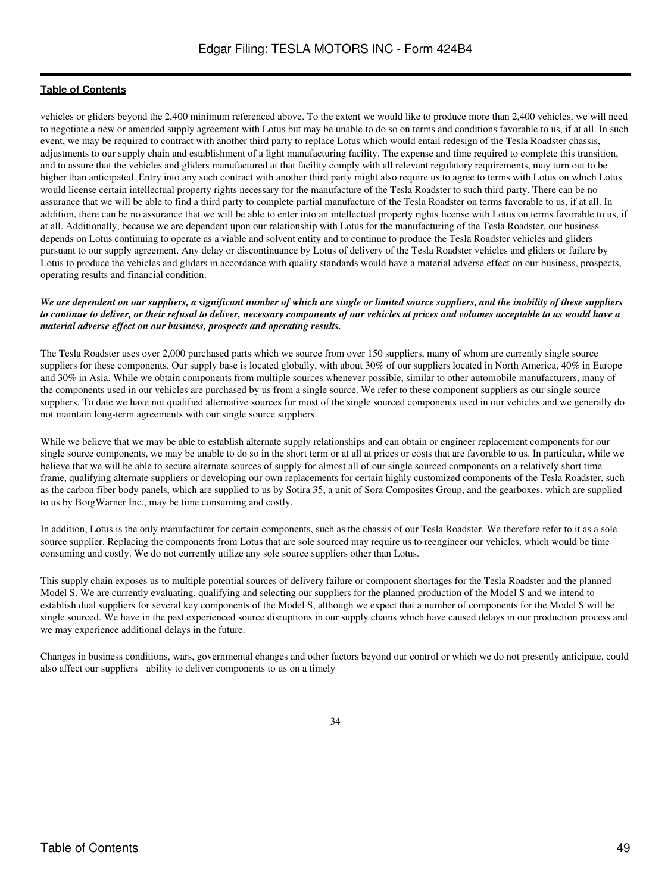vehicles or gliders beyond the 2,400 minimum referenced above. To the extent we would like to produce more than 2,400 vehicles, we will need to negotiate a new or amended supply agreement with Lotus but may be unable to do so on terms and conditions favorable to us, if at all. In such event, we may be required to contract with another third party to replace Lotus which would entail redesign of the Tesla Roadster chassis, adjustments to our supply chain and establishment of a light manufacturing facility. The expense and time required to complete this transition, and to assure that the vehicles and gliders manufactured at that facility comply with all relevant regulatory requirements, may turn out to be higher than anticipated. Entry into any such contract with another third party might also require us to agree to terms with Lotus on which Lotus would license certain intellectual property rights necessary for the manufacture of the Tesla Roadster to such third party. There can be no assurance that we will be able to find a third party to complete partial manufacture of the Tesla Roadster on terms favorable to us, if at all. In addition, there can be no assurance that we will be able to enter into an intellectual property rights license with Lotus on terms favorable to us, if at all. Additionally, because we are dependent upon our relationship with Lotus for the manufacturing of the Tesla Roadster, our business depends on Lotus continuing to operate as a viable and solvent entity and to continue to produce the Tesla Roadster vehicles and gliders pursuant to our supply agreement. Any delay or discontinuance by Lotus of delivery of the Tesla Roadster vehicles and gliders or failure by Lotus to produce the vehicles and gliders in accordance with quality standards would have a material adverse effect on our business, prospects, operating results and financial condition.

### *We are dependent on our suppliers, a significant number of which are single or limited source suppliers, and the inability of these suppliers to continue to deliver, or their refusal to deliver, necessary components of our vehicles at prices and volumes acceptable to us would have a material adverse effect on our business, prospects and operating results.*

The Tesla Roadster uses over 2,000 purchased parts which we source from over 150 suppliers, many of whom are currently single source suppliers for these components. Our supply base is located globally, with about 30% of our suppliers located in North America, 40% in Europe and 30% in Asia. While we obtain components from multiple sources whenever possible, similar to other automobile manufacturers, many of the components used in our vehicles are purchased by us from a single source. We refer to these component suppliers as our single source suppliers. To date we have not qualified alternative sources for most of the single sourced components used in our vehicles and we generally do not maintain long-term agreements with our single source suppliers.

While we believe that we may be able to establish alternate supply relationships and can obtain or engineer replacement components for our single source components, we may be unable to do so in the short term or at all at prices or costs that are favorable to us. In particular, while we believe that we will be able to secure alternate sources of supply for almost all of our single sourced components on a relatively short time frame, qualifying alternate suppliers or developing our own replacements for certain highly customized components of the Tesla Roadster, such as the carbon fiber body panels, which are supplied to us by Sotira 35, a unit of Sora Composites Group, and the gearboxes, which are supplied to us by BorgWarner Inc., may be time consuming and costly.

In addition, Lotus is the only manufacturer for certain components, such as the chassis of our Tesla Roadster. We therefore refer to it as a sole source supplier. Replacing the components from Lotus that are sole sourced may require us to reengineer our vehicles, which would be time consuming and costly. We do not currently utilize any sole source suppliers other than Lotus.

This supply chain exposes us to multiple potential sources of delivery failure or component shortages for the Tesla Roadster and the planned Model S. We are currently evaluating, qualifying and selecting our suppliers for the planned production of the Model S and we intend to establish dual suppliers for several key components of the Model S, although we expect that a number of components for the Model S will be single sourced. We have in the past experienced source disruptions in our supply chains which have caused delays in our production process and we may experience additional delays in the future.

Changes in business conditions, wars, governmental changes and other factors beyond our control or which we do not presently anticipate, could also affect our suppliers ability to deliver components to us on a timely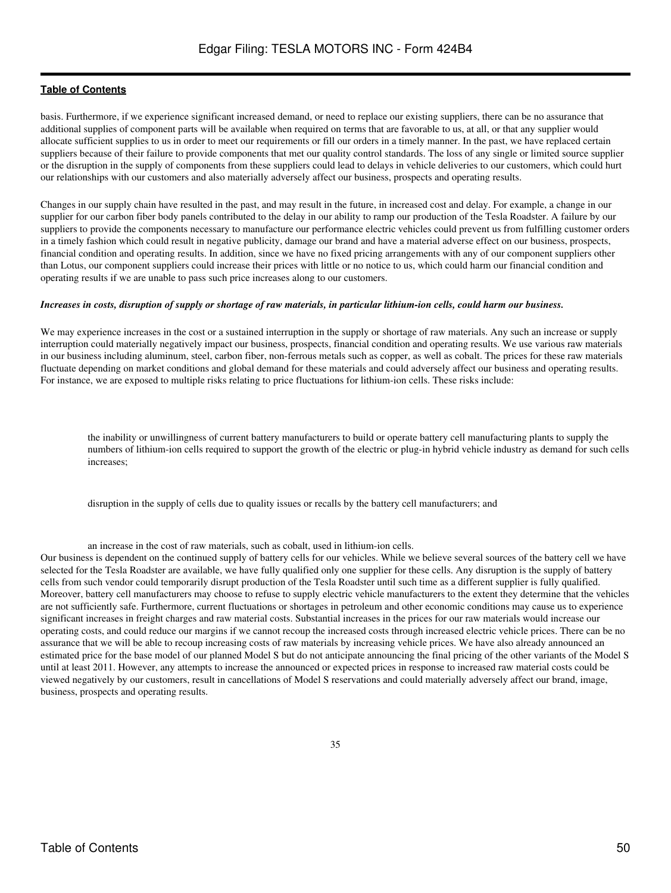basis. Furthermore, if we experience significant increased demand, or need to replace our existing suppliers, there can be no assurance that additional supplies of component parts will be available when required on terms that are favorable to us, at all, or that any supplier would allocate sufficient supplies to us in order to meet our requirements or fill our orders in a timely manner. In the past, we have replaced certain suppliers because of their failure to provide components that met our quality control standards. The loss of any single or limited source supplier or the disruption in the supply of components from these suppliers could lead to delays in vehicle deliveries to our customers, which could hurt our relationships with our customers and also materially adversely affect our business, prospects and operating results.

Changes in our supply chain have resulted in the past, and may result in the future, in increased cost and delay. For example, a change in our supplier for our carbon fiber body panels contributed to the delay in our ability to ramp our production of the Tesla Roadster. A failure by our suppliers to provide the components necessary to manufacture our performance electric vehicles could prevent us from fulfilling customer orders in a timely fashion which could result in negative publicity, damage our brand and have a material adverse effect on our business, prospects, financial condition and operating results. In addition, since we have no fixed pricing arrangements with any of our component suppliers other than Lotus, our component suppliers could increase their prices with little or no notice to us, which could harm our financial condition and operating results if we are unable to pass such price increases along to our customers.

### *Increases in costs, disruption of supply or shortage of raw materials, in particular lithium-ion cells, could harm our business.*

We may experience increases in the cost or a sustained interruption in the supply or shortage of raw materials. Any such an increase or supply interruption could materially negatively impact our business, prospects, financial condition and operating results. We use various raw materials in our business including aluminum, steel, carbon fiber, non-ferrous metals such as copper, as well as cobalt. The prices for these raw materials fluctuate depending on market conditions and global demand for these materials and could adversely affect our business and operating results. For instance, we are exposed to multiple risks relating to price fluctuations for lithium-ion cells. These risks include:

the inability or unwillingness of current battery manufacturers to build or operate battery cell manufacturing plants to supply the numbers of lithium-ion cells required to support the growth of the electric or plug-in hybrid vehicle industry as demand for such cells increases;

disruption in the supply of cells due to quality issues or recalls by the battery cell manufacturers; and

### an increase in the cost of raw materials, such as cobalt, used in lithium-ion cells.

Our business is dependent on the continued supply of battery cells for our vehicles. While we believe several sources of the battery cell we have selected for the Tesla Roadster are available, we have fully qualified only one supplier for these cells. Any disruption is the supply of battery cells from such vendor could temporarily disrupt production of the Tesla Roadster until such time as a different supplier is fully qualified. Moreover, battery cell manufacturers may choose to refuse to supply electric vehicle manufacturers to the extent they determine that the vehicles are not sufficiently safe. Furthermore, current fluctuations or shortages in petroleum and other economic conditions may cause us to experience significant increases in freight charges and raw material costs. Substantial increases in the prices for our raw materials would increase our operating costs, and could reduce our margins if we cannot recoup the increased costs through increased electric vehicle prices. There can be no assurance that we will be able to recoup increasing costs of raw materials by increasing vehicle prices. We have also already announced an estimated price for the base model of our planned Model S but do not anticipate announcing the final pricing of the other variants of the Model S until at least 2011. However, any attempts to increase the announced or expected prices in response to increased raw material costs could be viewed negatively by our customers, result in cancellations of Model S reservations and could materially adversely affect our brand, image, business, prospects and operating results.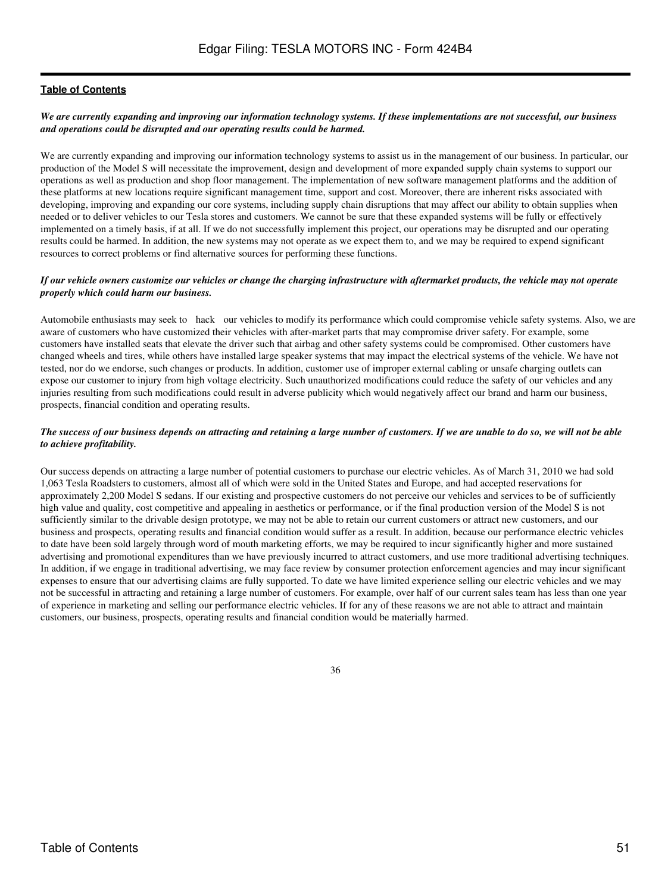### *We are currently expanding and improving our information technology systems. If these implementations are not successful, our business and operations could be disrupted and our operating results could be harmed.*

We are currently expanding and improving our information technology systems to assist us in the management of our business. In particular, our production of the Model S will necessitate the improvement, design and development of more expanded supply chain systems to support our operations as well as production and shop floor management. The implementation of new software management platforms and the addition of these platforms at new locations require significant management time, support and cost. Moreover, there are inherent risks associated with developing, improving and expanding our core systems, including supply chain disruptions that may affect our ability to obtain supplies when needed or to deliver vehicles to our Tesla stores and customers. We cannot be sure that these expanded systems will be fully or effectively implemented on a timely basis, if at all. If we do not successfully implement this project, our operations may be disrupted and our operating results could be harmed. In addition, the new systems may not operate as we expect them to, and we may be required to expend significant resources to correct problems or find alternative sources for performing these functions.

### *If our vehicle owners customize our vehicles or change the charging infrastructure with aftermarket products, the vehicle may not operate properly which could harm our business.*

Automobile enthusiasts may seek to hack our vehicles to modify its performance which could compromise vehicle safety systems. Also, we are aware of customers who have customized their vehicles with after-market parts that may compromise driver safety. For example, some customers have installed seats that elevate the driver such that airbag and other safety systems could be compromised. Other customers have changed wheels and tires, while others have installed large speaker systems that may impact the electrical systems of the vehicle. We have not tested, nor do we endorse, such changes or products. In addition, customer use of improper external cabling or unsafe charging outlets can expose our customer to injury from high voltage electricity. Such unauthorized modifications could reduce the safety of our vehicles and any injuries resulting from such modifications could result in adverse publicity which would negatively affect our brand and harm our business, prospects, financial condition and operating results.

### *The success of our business depends on attracting and retaining a large number of customers. If we are unable to do so, we will not be able to achieve profitability.*

Our success depends on attracting a large number of potential customers to purchase our electric vehicles. As of March 31, 2010 we had sold 1,063 Tesla Roadsters to customers, almost all of which were sold in the United States and Europe, and had accepted reservations for approximately 2,200 Model S sedans. If our existing and prospective customers do not perceive our vehicles and services to be of sufficiently high value and quality, cost competitive and appealing in aesthetics or performance, or if the final production version of the Model S is not sufficiently similar to the drivable design prototype, we may not be able to retain our current customers or attract new customers, and our business and prospects, operating results and financial condition would suffer as a result. In addition, because our performance electric vehicles to date have been sold largely through word of mouth marketing efforts, we may be required to incur significantly higher and more sustained advertising and promotional expenditures than we have previously incurred to attract customers, and use more traditional advertising techniques. In addition, if we engage in traditional advertising, we may face review by consumer protection enforcement agencies and may incur significant expenses to ensure that our advertising claims are fully supported. To date we have limited experience selling our electric vehicles and we may not be successful in attracting and retaining a large number of customers. For example, over half of our current sales team has less than one year of experience in marketing and selling our performance electric vehicles. If for any of these reasons we are not able to attract and maintain customers, our business, prospects, operating results and financial condition would be materially harmed.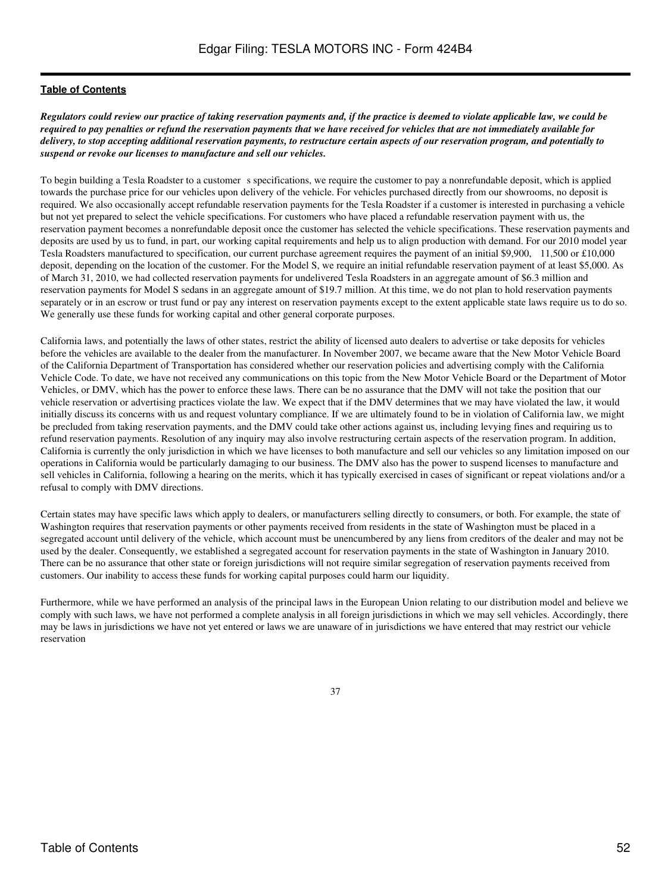*Regulators could review our practice of taking reservation payments and, if the practice is deemed to violate applicable law, we could be required to pay penalties or refund the reservation payments that we have received for vehicles that are not immediately available for delivery, to stop accepting additional reservation payments, to restructure certain aspects of our reservation program, and potentially to suspend or revoke our licenses to manufacture and sell our vehicles.*

To begin building a Tesla Roadster to a customer s specifications, we require the customer to pay a nonrefundable deposit, which is applied towards the purchase price for our vehicles upon delivery of the vehicle. For vehicles purchased directly from our showrooms, no deposit is required. We also occasionally accept refundable reservation payments for the Tesla Roadster if a customer is interested in purchasing a vehicle but not yet prepared to select the vehicle specifications. For customers who have placed a refundable reservation payment with us, the reservation payment becomes a nonrefundable deposit once the customer has selected the vehicle specifications. These reservation payments and deposits are used by us to fund, in part, our working capital requirements and help us to align production with demand. For our 2010 model year Tesla Roadsters manufactured to specification, our current purchase agreement requires the payment of an initial \$9,900, 11,500 or £10,000 deposit, depending on the location of the customer. For the Model S, we require an initial refundable reservation payment of at least \$5,000. As of March 31, 2010, we had collected reservation payments for undelivered Tesla Roadsters in an aggregate amount of \$6.3 million and reservation payments for Model S sedans in an aggregate amount of \$19.7 million. At this time, we do not plan to hold reservation payments separately or in an escrow or trust fund or pay any interest on reservation payments except to the extent applicable state laws require us to do so. We generally use these funds for working capital and other general corporate purposes.

California laws, and potentially the laws of other states, restrict the ability of licensed auto dealers to advertise or take deposits for vehicles before the vehicles are available to the dealer from the manufacturer. In November 2007, we became aware that the New Motor Vehicle Board of the California Department of Transportation has considered whether our reservation policies and advertising comply with the California Vehicle Code. To date, we have not received any communications on this topic from the New Motor Vehicle Board or the Department of Motor Vehicles, or DMV, which has the power to enforce these laws. There can be no assurance that the DMV will not take the position that our vehicle reservation or advertising practices violate the law. We expect that if the DMV determines that we may have violated the law, it would initially discuss its concerns with us and request voluntary compliance. If we are ultimately found to be in violation of California law, we might be precluded from taking reservation payments, and the DMV could take other actions against us, including levying fines and requiring us to refund reservation payments. Resolution of any inquiry may also involve restructuring certain aspects of the reservation program. In addition, California is currently the only jurisdiction in which we have licenses to both manufacture and sell our vehicles so any limitation imposed on our operations in California would be particularly damaging to our business. The DMV also has the power to suspend licenses to manufacture and sell vehicles in California, following a hearing on the merits, which it has typically exercised in cases of significant or repeat violations and/or a refusal to comply with DMV directions.

Certain states may have specific laws which apply to dealers, or manufacturers selling directly to consumers, or both. For example, the state of Washington requires that reservation payments or other payments received from residents in the state of Washington must be placed in a segregated account until delivery of the vehicle, which account must be unencumbered by any liens from creditors of the dealer and may not be used by the dealer. Consequently, we established a segregated account for reservation payments in the state of Washington in January 2010. There can be no assurance that other state or foreign jurisdictions will not require similar segregation of reservation payments received from customers. Our inability to access these funds for working capital purposes could harm our liquidity.

Furthermore, while we have performed an analysis of the principal laws in the European Union relating to our distribution model and believe we comply with such laws, we have not performed a complete analysis in all foreign jurisdictions in which we may sell vehicles. Accordingly, there may be laws in jurisdictions we have not yet entered or laws we are unaware of in jurisdictions we have entered that may restrict our vehicle reservation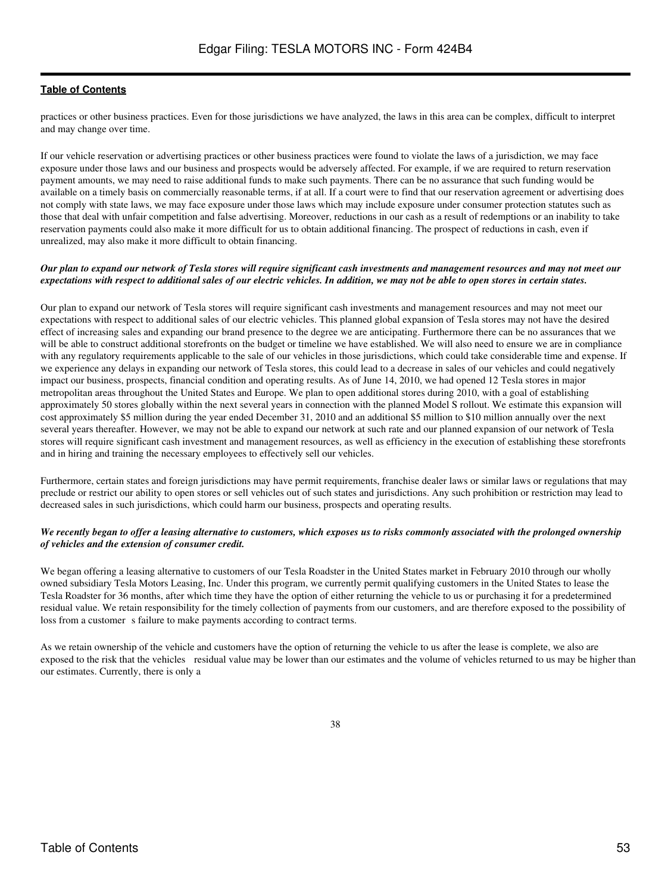practices or other business practices. Even for those jurisdictions we have analyzed, the laws in this area can be complex, difficult to interpret and may change over time.

If our vehicle reservation or advertising practices or other business practices were found to violate the laws of a jurisdiction, we may face exposure under those laws and our business and prospects would be adversely affected. For example, if we are required to return reservation payment amounts, we may need to raise additional funds to make such payments. There can be no assurance that such funding would be available on a timely basis on commercially reasonable terms, if at all. If a court were to find that our reservation agreement or advertising does not comply with state laws, we may face exposure under those laws which may include exposure under consumer protection statutes such as those that deal with unfair competition and false advertising. Moreover, reductions in our cash as a result of redemptions or an inability to take reservation payments could also make it more difficult for us to obtain additional financing. The prospect of reductions in cash, even if unrealized, may also make it more difficult to obtain financing.

### *Our plan to expand our network of Tesla stores will require significant cash investments and management resources and may not meet our expectations with respect to additional sales of our electric vehicles. In addition, we may not be able to open stores in certain states.*

Our plan to expand our network of Tesla stores will require significant cash investments and management resources and may not meet our expectations with respect to additional sales of our electric vehicles. This planned global expansion of Tesla stores may not have the desired effect of increasing sales and expanding our brand presence to the degree we are anticipating. Furthermore there can be no assurances that we will be able to construct additional storefronts on the budget or timeline we have established. We will also need to ensure we are in compliance with any regulatory requirements applicable to the sale of our vehicles in those jurisdictions, which could take considerable time and expense. If we experience any delays in expanding our network of Tesla stores, this could lead to a decrease in sales of our vehicles and could negatively impact our business, prospects, financial condition and operating results. As of June 14, 2010, we had opened 12 Tesla stores in major metropolitan areas throughout the United States and Europe. We plan to open additional stores during 2010, with a goal of establishing approximately 50 stores globally within the next several years in connection with the planned Model S rollout. We estimate this expansion will cost approximately \$5 million during the year ended December 31, 2010 and an additional \$5 million to \$10 million annually over the next several years thereafter. However, we may not be able to expand our network at such rate and our planned expansion of our network of Tesla stores will require significant cash investment and management resources, as well as efficiency in the execution of establishing these storefronts and in hiring and training the necessary employees to effectively sell our vehicles.

Furthermore, certain states and foreign jurisdictions may have permit requirements, franchise dealer laws or similar laws or regulations that may preclude or restrict our ability to open stores or sell vehicles out of such states and jurisdictions. Any such prohibition or restriction may lead to decreased sales in such jurisdictions, which could harm our business, prospects and operating results.

### *We recently began to offer a leasing alternative to customers, which exposes us to risks commonly associated with the prolonged ownership of vehicles and the extension of consumer credit.*

We began offering a leasing alternative to customers of our Tesla Roadster in the United States market in February 2010 through our wholly owned subsidiary Tesla Motors Leasing, Inc. Under this program, we currently permit qualifying customers in the United States to lease the Tesla Roadster for 36 months, after which time they have the option of either returning the vehicle to us or purchasing it for a predetermined residual value. We retain responsibility for the timely collection of payments from our customers, and are therefore exposed to the possibility of loss from a customer s failure to make payments according to contract terms.

As we retain ownership of the vehicle and customers have the option of returning the vehicle to us after the lease is complete, we also are exposed to the risk that the vehicles residual value may be lower than our estimates and the volume of vehicles returned to us may be higher than our estimates. Currently, there is only a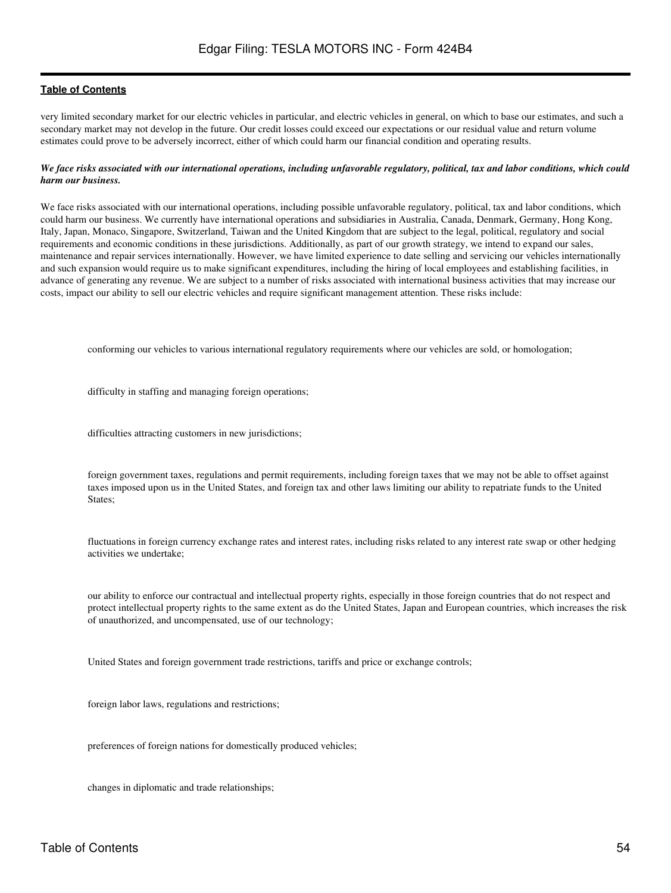very limited secondary market for our electric vehicles in particular, and electric vehicles in general, on which to base our estimates, and such a secondary market may not develop in the future. Our credit losses could exceed our expectations or our residual value and return volume estimates could prove to be adversely incorrect, either of which could harm our financial condition and operating results.

### *We face risks associated with our international operations, including unfavorable regulatory, political, tax and labor conditions, which could harm our business.*

We face risks associated with our international operations, including possible unfavorable regulatory, political, tax and labor conditions, which could harm our business. We currently have international operations and subsidiaries in Australia, Canada, Denmark, Germany, Hong Kong, Italy, Japan, Monaco, Singapore, Switzerland, Taiwan and the United Kingdom that are subject to the legal, political, regulatory and social requirements and economic conditions in these jurisdictions. Additionally, as part of our growth strategy, we intend to expand our sales, maintenance and repair services internationally. However, we have limited experience to date selling and servicing our vehicles internationally and such expansion would require us to make significant expenditures, including the hiring of local employees and establishing facilities, in advance of generating any revenue. We are subject to a number of risks associated with international business activities that may increase our costs, impact our ability to sell our electric vehicles and require significant management attention. These risks include:

conforming our vehicles to various international regulatory requirements where our vehicles are sold, or homologation;

difficulty in staffing and managing foreign operations;

difficulties attracting customers in new jurisdictions;

foreign government taxes, regulations and permit requirements, including foreign taxes that we may not be able to offset against taxes imposed upon us in the United States, and foreign tax and other laws limiting our ability to repatriate funds to the United States;

fluctuations in foreign currency exchange rates and interest rates, including risks related to any interest rate swap or other hedging activities we undertake;

our ability to enforce our contractual and intellectual property rights, especially in those foreign countries that do not respect and protect intellectual property rights to the same extent as do the United States, Japan and European countries, which increases the risk of unauthorized, and uncompensated, use of our technology;

United States and foreign government trade restrictions, tariffs and price or exchange controls;

foreign labor laws, regulations and restrictions;

preferences of foreign nations for domestically produced vehicles;

changes in diplomatic and trade relationships;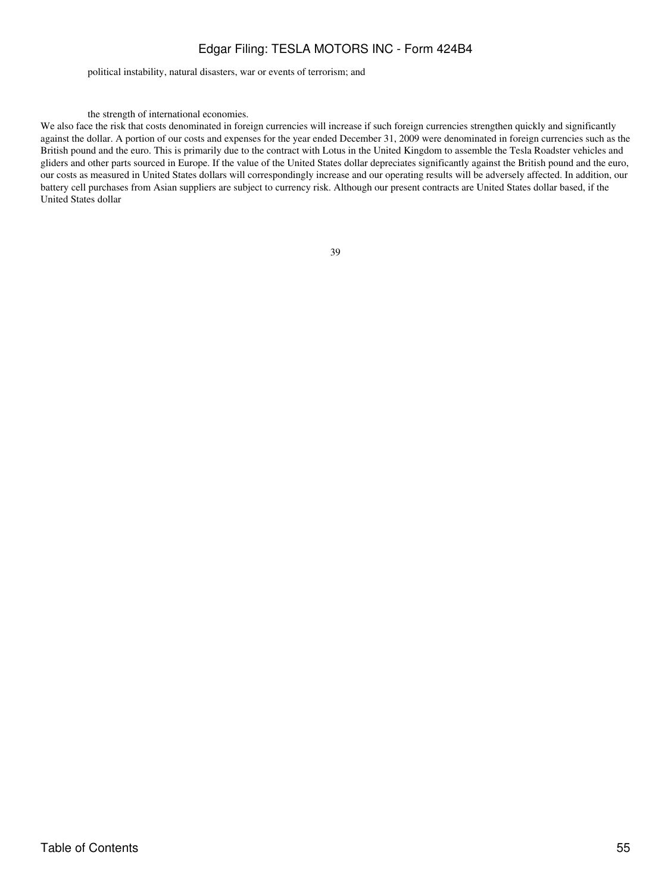# Edgar Filing: TESLA MOTORS INC - Form 424B4

political instability, natural disasters, war or events of terrorism; and

#### the strength of international economies.

We also face the risk that costs denominated in foreign currencies will increase if such foreign currencies strengthen quickly and significantly against the dollar. A portion of our costs and expenses for the year ended December 31, 2009 were denominated in foreign currencies such as the British pound and the euro. This is primarily due to the contract with Lotus in the United Kingdom to assemble the Tesla Roadster vehicles and gliders and other parts sourced in Europe. If the value of the United States dollar depreciates significantly against the British pound and the euro, our costs as measured in United States dollars will correspondingly increase and our operating results will be adversely affected. In addition, our battery cell purchases from Asian suppliers are subject to currency risk. Although our present contracts are United States dollar based, if the United States dollar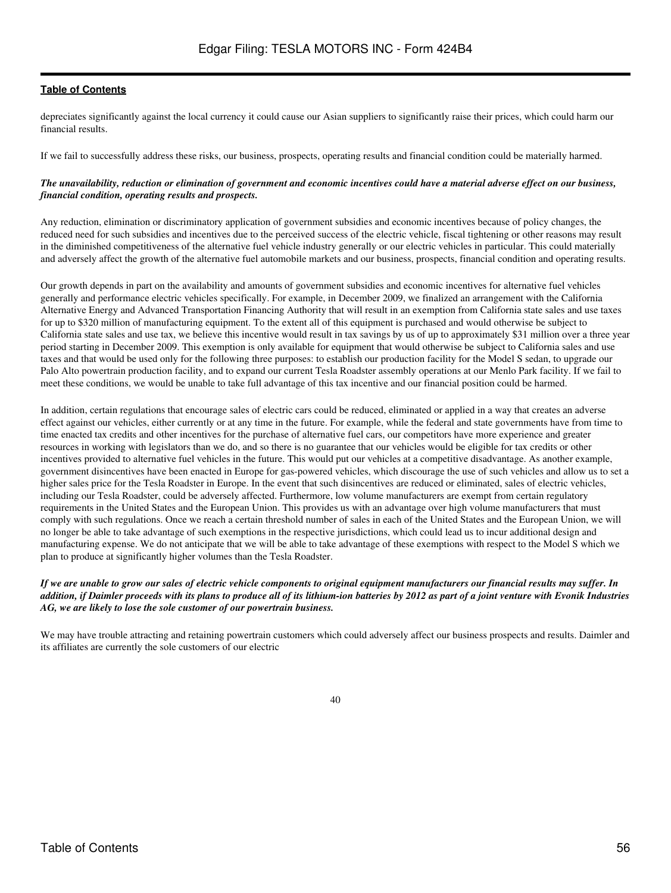depreciates significantly against the local currency it could cause our Asian suppliers to significantly raise their prices, which could harm our financial results.

If we fail to successfully address these risks, our business, prospects, operating results and financial condition could be materially harmed.

# *The unavailability, reduction or elimination of government and economic incentives could have a material adverse effect on our business, financial condition, operating results and prospects.*

Any reduction, elimination or discriminatory application of government subsidies and economic incentives because of policy changes, the reduced need for such subsidies and incentives due to the perceived success of the electric vehicle, fiscal tightening or other reasons may result in the diminished competitiveness of the alternative fuel vehicle industry generally or our electric vehicles in particular. This could materially and adversely affect the growth of the alternative fuel automobile markets and our business, prospects, financial condition and operating results.

Our growth depends in part on the availability and amounts of government subsidies and economic incentives for alternative fuel vehicles generally and performance electric vehicles specifically. For example, in December 2009, we finalized an arrangement with the California Alternative Energy and Advanced Transportation Financing Authority that will result in an exemption from California state sales and use taxes for up to \$320 million of manufacturing equipment. To the extent all of this equipment is purchased and would otherwise be subject to California state sales and use tax, we believe this incentive would result in tax savings by us of up to approximately \$31 million over a three year period starting in December 2009. This exemption is only available for equipment that would otherwise be subject to California sales and use taxes and that would be used only for the following three purposes: to establish our production facility for the Model S sedan, to upgrade our Palo Alto powertrain production facility, and to expand our current Tesla Roadster assembly operations at our Menlo Park facility. If we fail to meet these conditions, we would be unable to take full advantage of this tax incentive and our financial position could be harmed.

In addition, certain regulations that encourage sales of electric cars could be reduced, eliminated or applied in a way that creates an adverse effect against our vehicles, either currently or at any time in the future. For example, while the federal and state governments have from time to time enacted tax credits and other incentives for the purchase of alternative fuel cars, our competitors have more experience and greater resources in working with legislators than we do, and so there is no guarantee that our vehicles would be eligible for tax credits or other incentives provided to alternative fuel vehicles in the future. This would put our vehicles at a competitive disadvantage. As another example, government disincentives have been enacted in Europe for gas-powered vehicles, which discourage the use of such vehicles and allow us to set a higher sales price for the Tesla Roadster in Europe. In the event that such disincentives are reduced or eliminated, sales of electric vehicles, including our Tesla Roadster, could be adversely affected. Furthermore, low volume manufacturers are exempt from certain regulatory requirements in the United States and the European Union. This provides us with an advantage over high volume manufacturers that must comply with such regulations. Once we reach a certain threshold number of sales in each of the United States and the European Union, we will no longer be able to take advantage of such exemptions in the respective jurisdictions, which could lead us to incur additional design and manufacturing expense. We do not anticipate that we will be able to take advantage of these exemptions with respect to the Model S which we plan to produce at significantly higher volumes than the Tesla Roadster.

### *If we are unable to grow our sales of electric vehicle components to original equipment manufacturers our financial results may suffer. In addition, if Daimler proceeds with its plans to produce all of its lithium-ion batteries by 2012 as part of a joint venture with Evonik Industries AG, we are likely to lose the sole customer of our powertrain business.*

We may have trouble attracting and retaining powertrain customers which could adversely affect our business prospects and results. Daimler and its affiliates are currently the sole customers of our electric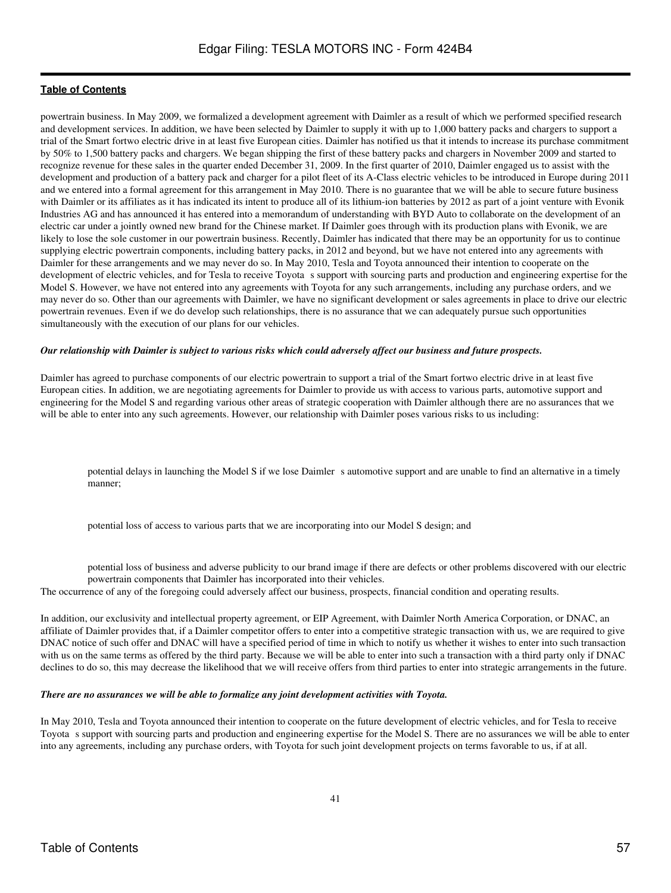powertrain business. In May 2009, we formalized a development agreement with Daimler as a result of which we performed specified research and development services. In addition, we have been selected by Daimler to supply it with up to 1,000 battery packs and chargers to support a trial of the Smart fortwo electric drive in at least five European cities. Daimler has notified us that it intends to increase its purchase commitment by 50% to 1,500 battery packs and chargers. We began shipping the first of these battery packs and chargers in November 2009 and started to recognize revenue for these sales in the quarter ended December 31, 2009. In the first quarter of 2010, Daimler engaged us to assist with the development and production of a battery pack and charger for a pilot fleet of its A-Class electric vehicles to be introduced in Europe during 2011 and we entered into a formal agreement for this arrangement in May 2010. There is no guarantee that we will be able to secure future business with Daimler or its affiliates as it has indicated its intent to produce all of its lithium-ion batteries by 2012 as part of a joint venture with Evonik Industries AG and has announced it has entered into a memorandum of understanding with BYD Auto to collaborate on the development of an electric car under a jointly owned new brand for the Chinese market. If Daimler goes through with its production plans with Evonik, we are likely to lose the sole customer in our powertrain business. Recently, Daimler has indicated that there may be an opportunity for us to continue supplying electric powertrain components, including battery packs, in 2012 and beyond, but we have not entered into any agreements with Daimler for these arrangements and we may never do so. In May 2010, Tesla and Toyota announced their intention to cooperate on the development of electric vehicles, and for Tesla to receive Toyota s support with sourcing parts and production and engineering expertise for the Model S. However, we have not entered into any agreements with Toyota for any such arrangements, including any purchase orders, and we may never do so. Other than our agreements with Daimler, we have no significant development or sales agreements in place to drive our electric powertrain revenues. Even if we do develop such relationships, there is no assurance that we can adequately pursue such opportunities simultaneously with the execution of our plans for our vehicles.

### *Our relationship with Daimler is subject to various risks which could adversely affect our business and future prospects.*

Daimler has agreed to purchase components of our electric powertrain to support a trial of the Smart fortwo electric drive in at least five European cities. In addition, we are negotiating agreements for Daimler to provide us with access to various parts, automotive support and engineering for the Model S and regarding various other areas of strategic cooperation with Daimler although there are no assurances that we will be able to enter into any such agreements. However, our relationship with Daimler poses various risks to us including:

potential delays in launching the Model S if we lose Daimler s automotive support and are unable to find an alternative in a timely manner;

potential loss of access to various parts that we are incorporating into our Model S design; and

potential loss of business and adverse publicity to our brand image if there are defects or other problems discovered with our electric powertrain components that Daimler has incorporated into their vehicles.

The occurrence of any of the foregoing could adversely affect our business, prospects, financial condition and operating results.

In addition, our exclusivity and intellectual property agreement, or EIP Agreement, with Daimler North America Corporation, or DNAC, an affiliate of Daimler provides that, if a Daimler competitor offers to enter into a competitive strategic transaction with us, we are required to give DNAC notice of such offer and DNAC will have a specified period of time in which to notify us whether it wishes to enter into such transaction with us on the same terms as offered by the third party. Because we will be able to enter into such a transaction with a third party only if DNAC declines to do so, this may decrease the likelihood that we will receive offers from third parties to enter into strategic arrangements in the future.

#### *There are no assurances we will be able to formalize any joint development activities with Toyota.*

In May 2010, Tesla and Toyota announced their intention to cooperate on the future development of electric vehicles, and for Tesla to receive Toyota s support with sourcing parts and production and engineering expertise for the Model S. There are no assurances we will be able to enter into any agreements, including any purchase orders, with Toyota for such joint development projects on terms favorable to us, if at all.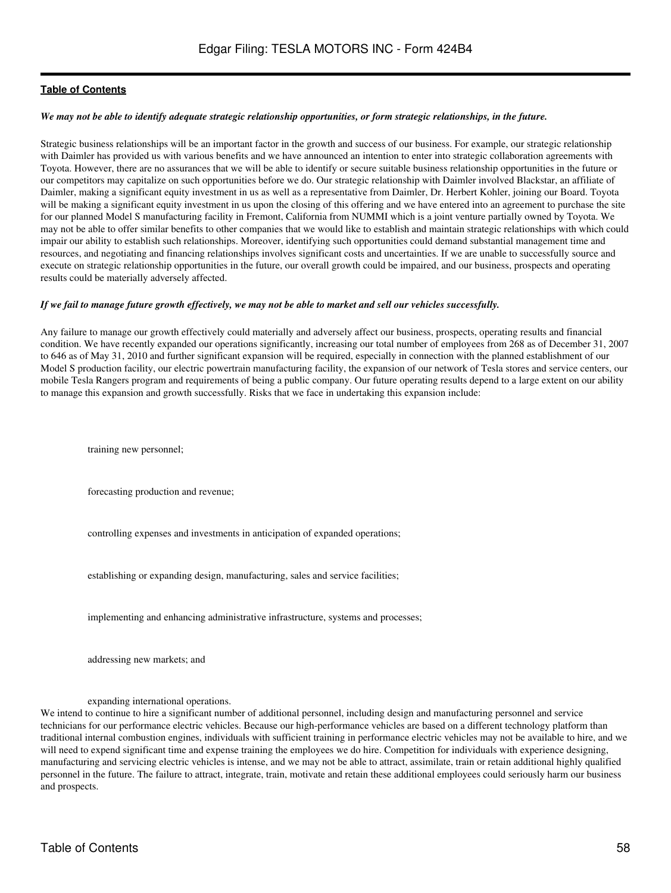#### *We may not be able to identify adequate strategic relationship opportunities, or form strategic relationships, in the future.*

Strategic business relationships will be an important factor in the growth and success of our business. For example, our strategic relationship with Daimler has provided us with various benefits and we have announced an intention to enter into strategic collaboration agreements with Toyota. However, there are no assurances that we will be able to identify or secure suitable business relationship opportunities in the future or our competitors may capitalize on such opportunities before we do. Our strategic relationship with Daimler involved Blackstar, an affiliate of Daimler, making a significant equity investment in us as well as a representative from Daimler, Dr. Herbert Kohler, joining our Board. Toyota will be making a significant equity investment in us upon the closing of this offering and we have entered into an agreement to purchase the site for our planned Model S manufacturing facility in Fremont, California from NUMMI which is a joint venture partially owned by Toyota. We may not be able to offer similar benefits to other companies that we would like to establish and maintain strategic relationships with which could impair our ability to establish such relationships. Moreover, identifying such opportunities could demand substantial management time and resources, and negotiating and financing relationships involves significant costs and uncertainties. If we are unable to successfully source and execute on strategic relationship opportunities in the future, our overall growth could be impaired, and our business, prospects and operating results could be materially adversely affected.

#### *If we fail to manage future growth effectively, we may not be able to market and sell our vehicles successfully.*

Any failure to manage our growth effectively could materially and adversely affect our business, prospects, operating results and financial condition. We have recently expanded our operations significantly, increasing our total number of employees from 268 as of December 31, 2007 to 646 as of May 31, 2010 and further significant expansion will be required, especially in connection with the planned establishment of our Model S production facility, our electric powertrain manufacturing facility, the expansion of our network of Tesla stores and service centers, our mobile Tesla Rangers program and requirements of being a public company. Our future operating results depend to a large extent on our ability to manage this expansion and growth successfully. Risks that we face in undertaking this expansion include:

training new personnel;

forecasting production and revenue;

controlling expenses and investments in anticipation of expanded operations;

establishing or expanding design, manufacturing, sales and service facilities;

implementing and enhancing administrative infrastructure, systems and processes;

addressing new markets; and

expanding international operations.

We intend to continue to hire a significant number of additional personnel, including design and manufacturing personnel and service technicians for our performance electric vehicles. Because our high-performance vehicles are based on a different technology platform than traditional internal combustion engines, individuals with sufficient training in performance electric vehicles may not be available to hire, and we will need to expend significant time and expense training the employees we do hire. Competition for individuals with experience designing, manufacturing and servicing electric vehicles is intense, and we may not be able to attract, assimilate, train or retain additional highly qualified personnel in the future. The failure to attract, integrate, train, motivate and retain these additional employees could seriously harm our business and prospects.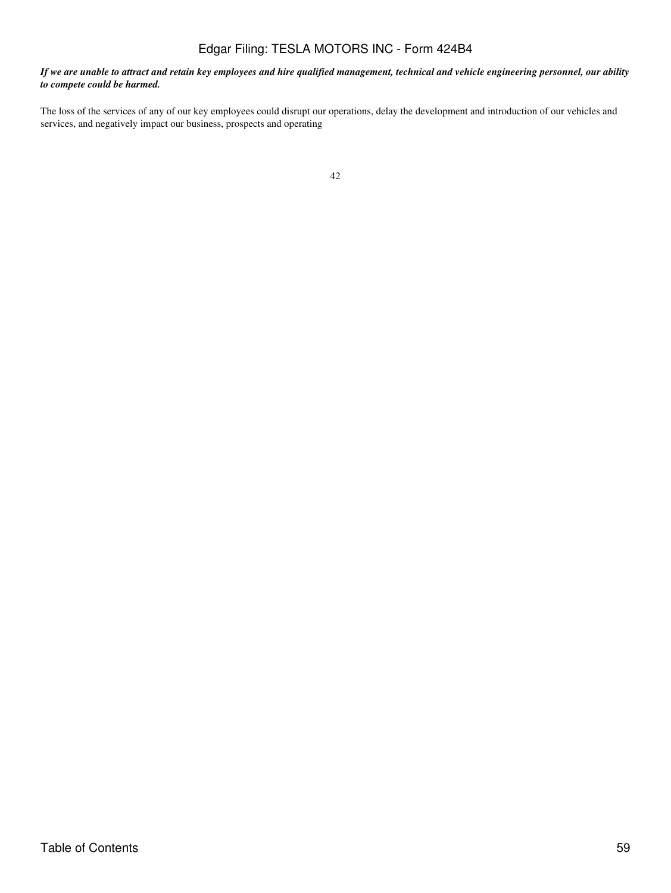# Edgar Filing: TESLA MOTORS INC - Form 424B4

# *If we are unable to attract and retain key employees and hire qualified management, technical and vehicle engineering personnel, our ability to compete could be harmed.*

The loss of the services of any of our key employees could disrupt our operations, delay the development and introduction of our vehicles and services, and negatively impact our business, prospects and operating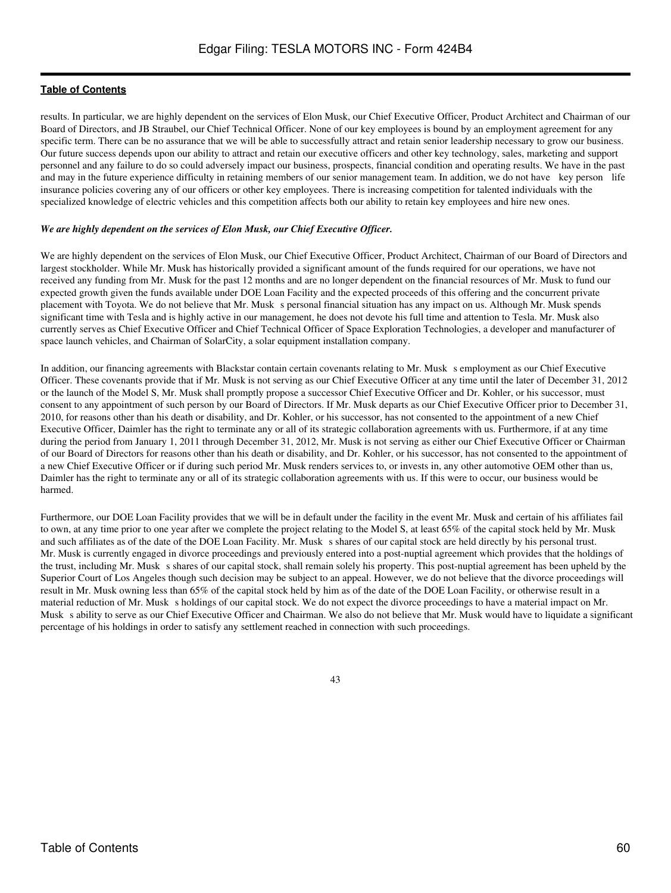results. In particular, we are highly dependent on the services of Elon Musk, our Chief Executive Officer, Product Architect and Chairman of our Board of Directors, and JB Straubel, our Chief Technical Officer. None of our key employees is bound by an employment agreement for any specific term. There can be no assurance that we will be able to successfully attract and retain senior leadership necessary to grow our business. Our future success depends upon our ability to attract and retain our executive officers and other key technology, sales, marketing and support personnel and any failure to do so could adversely impact our business, prospects, financial condition and operating results. We have in the past and may in the future experience difficulty in retaining members of our senior management team. In addition, we do not have key person life insurance policies covering any of our officers or other key employees. There is increasing competition for talented individuals with the specialized knowledge of electric vehicles and this competition affects both our ability to retain key employees and hire new ones.

### *We are highly dependent on the services of Elon Musk, our Chief Executive Officer.*

We are highly dependent on the services of Elon Musk, our Chief Executive Officer, Product Architect, Chairman of our Board of Directors and largest stockholder. While Mr. Musk has historically provided a significant amount of the funds required for our operations, we have not received any funding from Mr. Musk for the past 12 months and are no longer dependent on the financial resources of Mr. Musk to fund our expected growth given the funds available under DOE Loan Facility and the expected proceeds of this offering and the concurrent private placement with Toyota. We do not believe that Mr. Musk s personal financial situation has any impact on us. Although Mr. Musk spends significant time with Tesla and is highly active in our management, he does not devote his full time and attention to Tesla. Mr. Musk also currently serves as Chief Executive Officer and Chief Technical Officer of Space Exploration Technologies, a developer and manufacturer of space launch vehicles, and Chairman of SolarCity, a solar equipment installation company.

In addition, our financing agreements with Blackstar contain certain covenants relating to Mr. Musk s employment as our Chief Executive Officer. These covenants provide that if Mr. Musk is not serving as our Chief Executive Officer at any time until the later of December 31, 2012 or the launch of the Model S, Mr. Musk shall promptly propose a successor Chief Executive Officer and Dr. Kohler, or his successor, must consent to any appointment of such person by our Board of Directors. If Mr. Musk departs as our Chief Executive Officer prior to December 31, 2010, for reasons other than his death or disability, and Dr. Kohler, or his successor, has not consented to the appointment of a new Chief Executive Officer, Daimler has the right to terminate any or all of its strategic collaboration agreements with us. Furthermore, if at any time during the period from January 1, 2011 through December 31, 2012, Mr. Musk is not serving as either our Chief Executive Officer or Chairman of our Board of Directors for reasons other than his death or disability, and Dr. Kohler, or his successor, has not consented to the appointment of a new Chief Executive Officer or if during such period Mr. Musk renders services to, or invests in, any other automotive OEM other than us, Daimler has the right to terminate any or all of its strategic collaboration agreements with us. If this were to occur, our business would be harmed.

Furthermore, our DOE Loan Facility provides that we will be in default under the facility in the event Mr. Musk and certain of his affiliates fail to own, at any time prior to one year after we complete the project relating to the Model S, at least 65% of the capital stock held by Mr. Musk and such affiliates as of the date of the DOE Loan Facility. Mr. Musk s shares of our capital stock are held directly by his personal trust. Mr. Musk is currently engaged in divorce proceedings and previously entered into a post-nuptial agreement which provides that the holdings of the trust, including Mr. Musk s shares of our capital stock, shall remain solely his property. This post-nuptial agreement has been upheld by the Superior Court of Los Angeles though such decision may be subject to an appeal. However, we do not believe that the divorce proceedings will result in Mr. Musk owning less than 65% of the capital stock held by him as of the date of the DOE Loan Facility, or otherwise result in a material reduction of Mr. Musk s holdings of our capital stock. We do not expect the divorce proceedings to have a material impact on Mr. Musk s ability to serve as our Chief Executive Officer and Chairman. We also do not believe that Mr. Musk would have to liquidate a significant percentage of his holdings in order to satisfy any settlement reached in connection with such proceedings.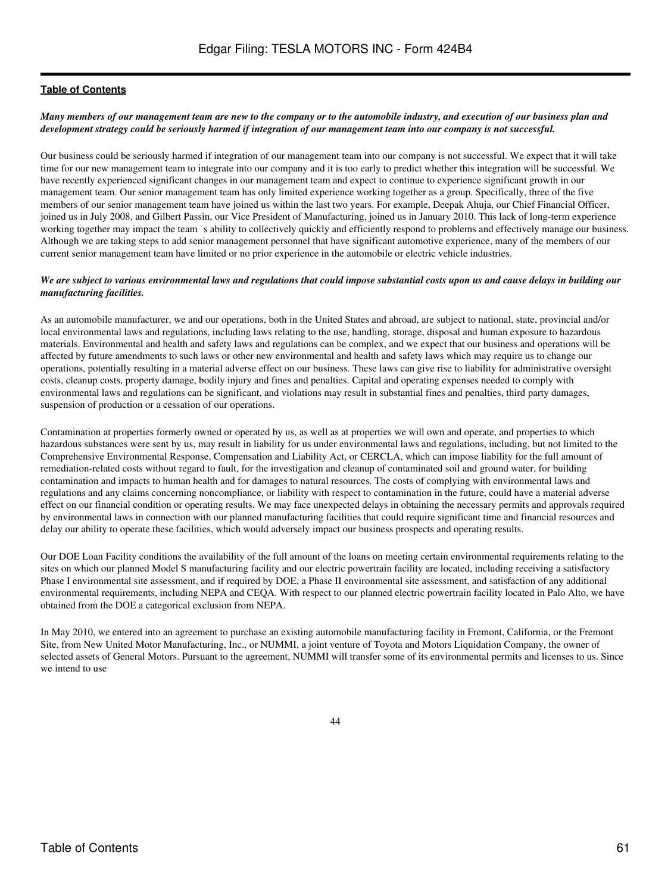#### *Many members of our management team are new to the company or to the automobile industry, and execution of our business plan and development strategy could be seriously harmed if integration of our management team into our company is not successful.*

Our business could be seriously harmed if integration of our management team into our company is not successful. We expect that it will take time for our new management team to integrate into our company and it is too early to predict whether this integration will be successful. We have recently experienced significant changes in our management team and expect to continue to experience significant growth in our management team. Our senior management team has only limited experience working together as a group. Specifically, three of the five members of our senior management team have joined us within the last two years. For example, Deepak Ahuja, our Chief Financial Officer, joined us in July 2008, and Gilbert Passin, our Vice President of Manufacturing, joined us in January 2010. This lack of long-term experience working together may impact the team s ability to collectively quickly and efficiently respond to problems and effectively manage our business. Although we are taking steps to add senior management personnel that have significant automotive experience, many of the members of our current senior management team have limited or no prior experience in the automobile or electric vehicle industries.

### *We are subject to various environmental laws and regulations that could impose substantial costs upon us and cause delays in building our manufacturing facilities.*

As an automobile manufacturer, we and our operations, both in the United States and abroad, are subject to national, state, provincial and/or local environmental laws and regulations, including laws relating to the use, handling, storage, disposal and human exposure to hazardous materials. Environmental and health and safety laws and regulations can be complex, and we expect that our business and operations will be affected by future amendments to such laws or other new environmental and health and safety laws which may require us to change our operations, potentially resulting in a material adverse effect on our business. These laws can give rise to liability for administrative oversight costs, cleanup costs, property damage, bodily injury and fines and penalties. Capital and operating expenses needed to comply with environmental laws and regulations can be significant, and violations may result in substantial fines and penalties, third party damages, suspension of production or a cessation of our operations.

Contamination at properties formerly owned or operated by us, as well as at properties we will own and operate, and properties to which hazardous substances were sent by us, may result in liability for us under environmental laws and regulations, including, but not limited to the Comprehensive Environmental Response, Compensation and Liability Act, or CERCLA, which can impose liability for the full amount of remediation-related costs without regard to fault, for the investigation and cleanup of contaminated soil and ground water, for building contamination and impacts to human health and for damages to natural resources. The costs of complying with environmental laws and regulations and any claims concerning noncompliance, or liability with respect to contamination in the future, could have a material adverse effect on our financial condition or operating results. We may face unexpected delays in obtaining the necessary permits and approvals required by environmental laws in connection with our planned manufacturing facilities that could require significant time and financial resources and delay our ability to operate these facilities, which would adversely impact our business prospects and operating results.

Our DOE Loan Facility conditions the availability of the full amount of the loans on meeting certain environmental requirements relating to the sites on which our planned Model S manufacturing facility and our electric powertrain facility are located, including receiving a satisfactory Phase I environmental site assessment, and if required by DOE, a Phase II environmental site assessment, and satisfaction of any additional environmental requirements, including NEPA and CEQA. With respect to our planned electric powertrain facility located in Palo Alto, we have obtained from the DOE a categorical exclusion from NEPA.

In May 2010, we entered into an agreement to purchase an existing automobile manufacturing facility in Fremont, California, or the Fremont Site, from New United Motor Manufacturing, Inc., or NUMMI, a joint venture of Toyota and Motors Liquidation Company, the owner of selected assets of General Motors. Pursuant to the agreement, NUMMI will transfer some of its environmental permits and licenses to us. Since we intend to use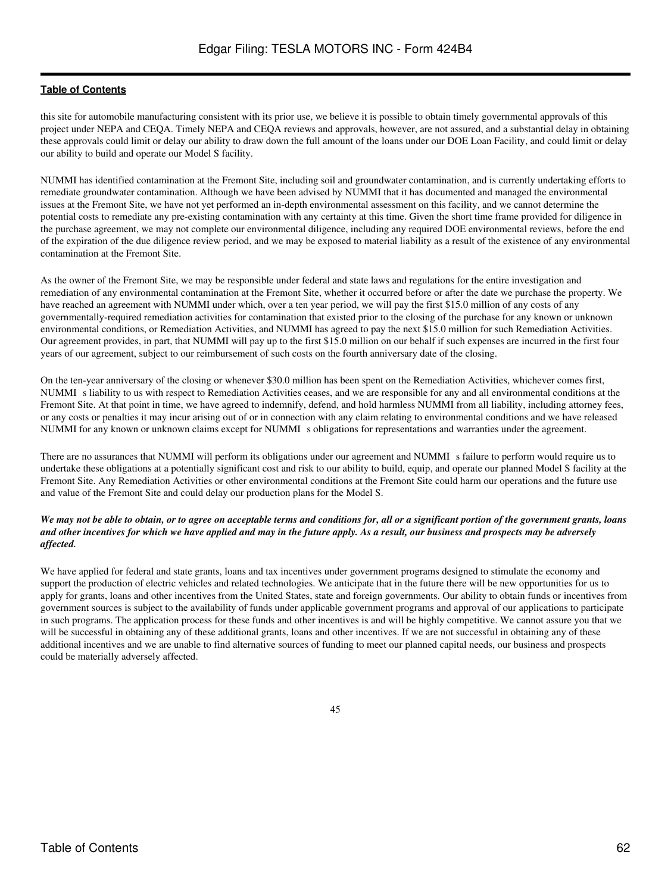this site for automobile manufacturing consistent with its prior use, we believe it is possible to obtain timely governmental approvals of this project under NEPA and CEQA. Timely NEPA and CEQA reviews and approvals, however, are not assured, and a substantial delay in obtaining these approvals could limit or delay our ability to draw down the full amount of the loans under our DOE Loan Facility, and could limit or delay our ability to build and operate our Model S facility.

NUMMI has identified contamination at the Fremont Site, including soil and groundwater contamination, and is currently undertaking efforts to remediate groundwater contamination. Although we have been advised by NUMMI that it has documented and managed the environmental issues at the Fremont Site, we have not yet performed an in-depth environmental assessment on this facility, and we cannot determine the potential costs to remediate any pre-existing contamination with any certainty at this time. Given the short time frame provided for diligence in the purchase agreement, we may not complete our environmental diligence, including any required DOE environmental reviews, before the end of the expiration of the due diligence review period, and we may be exposed to material liability as a result of the existence of any environmental contamination at the Fremont Site.

As the owner of the Fremont Site, we may be responsible under federal and state laws and regulations for the entire investigation and remediation of any environmental contamination at the Fremont Site, whether it occurred before or after the date we purchase the property. We have reached an agreement with NUMMI under which, over a ten year period, we will pay the first \$15.0 million of any costs of any governmentally-required remediation activities for contamination that existed prior to the closing of the purchase for any known or unknown environmental conditions, or Remediation Activities, and NUMMI has agreed to pay the next \$15.0 million for such Remediation Activities. Our agreement provides, in part, that NUMMI will pay up to the first \$15.0 million on our behalf if such expenses are incurred in the first four years of our agreement, subject to our reimbursement of such costs on the fourth anniversary date of the closing.

On the ten-year anniversary of the closing or whenever \$30.0 million has been spent on the Remediation Activities, whichever comes first, NUMMIs liability to us with respect to Remediation Activities ceases, and we are responsible for any and all environmental conditions at the Fremont Site. At that point in time, we have agreed to indemnify, defend, and hold harmless NUMMI from all liability, including attorney fees, or any costs or penalties it may incur arising out of or in connection with any claim relating to environmental conditions and we have released NUMMI for any known or unknown claims except for NUMMI s obligations for representations and warranties under the agreement.

There are no assurances that NUMMI will perform its obligations under our agreement and NUMMI s failure to perform would require us to undertake these obligations at a potentially significant cost and risk to our ability to build, equip, and operate our planned Model S facility at the Fremont Site. Any Remediation Activities or other environmental conditions at the Fremont Site could harm our operations and the future use and value of the Fremont Site and could delay our production plans for the Model S.

### *We may not be able to obtain, or to agree on acceptable terms and conditions for, all or a significant portion of the government grants, loans and other incentives for which we have applied and may in the future apply. As a result, our business and prospects may be adversely affected.*

We have applied for federal and state grants, loans and tax incentives under government programs designed to stimulate the economy and support the production of electric vehicles and related technologies. We anticipate that in the future there will be new opportunities for us to apply for grants, loans and other incentives from the United States, state and foreign governments. Our ability to obtain funds or incentives from government sources is subject to the availability of funds under applicable government programs and approval of our applications to participate in such programs. The application process for these funds and other incentives is and will be highly competitive. We cannot assure you that we will be successful in obtaining any of these additional grants, loans and other incentives. If we are not successful in obtaining any of these additional incentives and we are unable to find alternative sources of funding to meet our planned capital needs, our business and prospects could be materially adversely affected.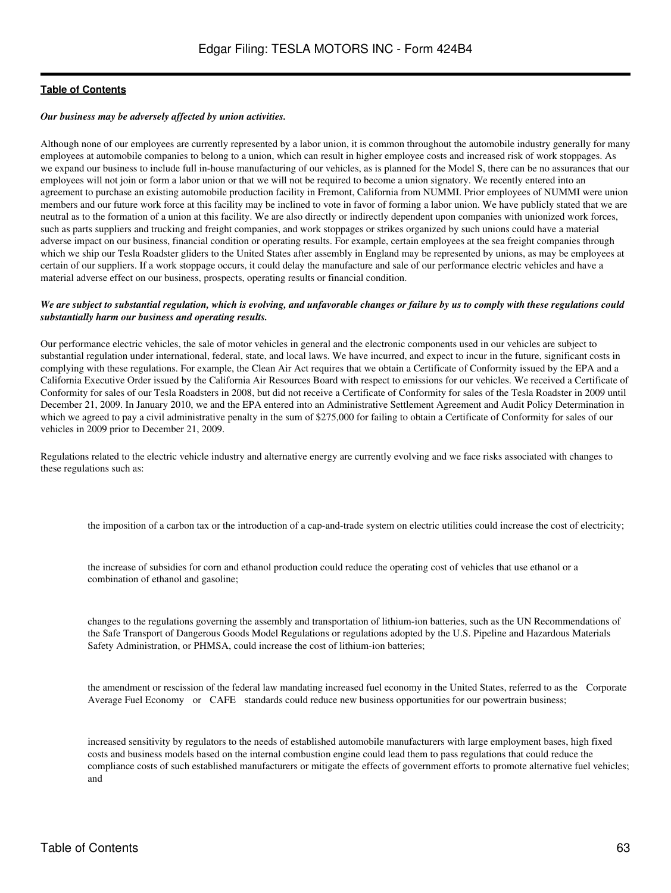### *Our business may be adversely affected by union activities.*

Although none of our employees are currently represented by a labor union, it is common throughout the automobile industry generally for many employees at automobile companies to belong to a union, which can result in higher employee costs and increased risk of work stoppages. As we expand our business to include full in-house manufacturing of our vehicles, as is planned for the Model S, there can be no assurances that our employees will not join or form a labor union or that we will not be required to become a union signatory. We recently entered into an agreement to purchase an existing automobile production facility in Fremont, California from NUMMI. Prior employees of NUMMI were union members and our future work force at this facility may be inclined to vote in favor of forming a labor union. We have publicly stated that we are neutral as to the formation of a union at this facility. We are also directly or indirectly dependent upon companies with unionized work forces, such as parts suppliers and trucking and freight companies, and work stoppages or strikes organized by such unions could have a material adverse impact on our business, financial condition or operating results. For example, certain employees at the sea freight companies through which we ship our Tesla Roadster gliders to the United States after assembly in England may be represented by unions, as may be employees at certain of our suppliers. If a work stoppage occurs, it could delay the manufacture and sale of our performance electric vehicles and have a material adverse effect on our business, prospects, operating results or financial condition.

### *We are subject to substantial regulation, which is evolving, and unfavorable changes or failure by us to comply with these regulations could substantially harm our business and operating results.*

Our performance electric vehicles, the sale of motor vehicles in general and the electronic components used in our vehicles are subject to substantial regulation under international, federal, state, and local laws. We have incurred, and expect to incur in the future, significant costs in complying with these regulations. For example, the Clean Air Act requires that we obtain a Certificate of Conformity issued by the EPA and a California Executive Order issued by the California Air Resources Board with respect to emissions for our vehicles. We received a Certificate of Conformity for sales of our Tesla Roadsters in 2008, but did not receive a Certificate of Conformity for sales of the Tesla Roadster in 2009 until December 21, 2009. In January 2010, we and the EPA entered into an Administrative Settlement Agreement and Audit Policy Determination in which we agreed to pay a civil administrative penalty in the sum of \$275,000 for failing to obtain a Certificate of Conformity for sales of our vehicles in 2009 prior to December 21, 2009.

Regulations related to the electric vehicle industry and alternative energy are currently evolving and we face risks associated with changes to these regulations such as:

the imposition of a carbon tax or the introduction of a cap-and-trade system on electric utilities could increase the cost of electricity;

the increase of subsidies for corn and ethanol production could reduce the operating cost of vehicles that use ethanol or a combination of ethanol and gasoline;

changes to the regulations governing the assembly and transportation of lithium-ion batteries, such as the UN Recommendations of the Safe Transport of Dangerous Goods Model Regulations or regulations adopted by the U.S. Pipeline and Hazardous Materials Safety Administration, or PHMSA, could increase the cost of lithium-ion batteries;

the amendment or rescission of the federal law mandating increased fuel economy in the United States, referred to as the Corporate Average Fuel Economy or CAFE standards could reduce new business opportunities for our powertrain business;

increased sensitivity by regulators to the needs of established automobile manufacturers with large employment bases, high fixed costs and business models based on the internal combustion engine could lead them to pass regulations that could reduce the compliance costs of such established manufacturers or mitigate the effects of government efforts to promote alternative fuel vehicles; and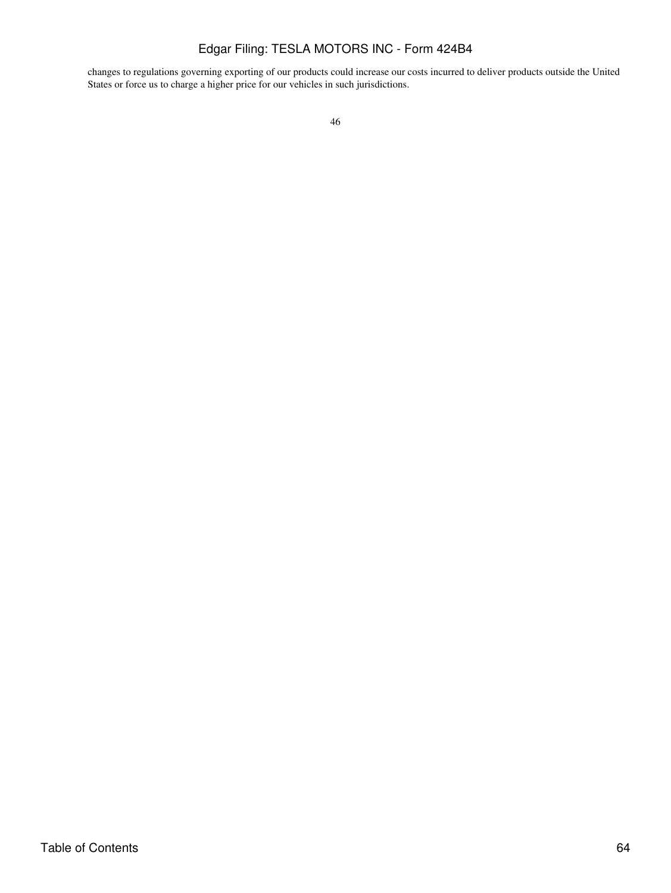# Edgar Filing: TESLA MOTORS INC - Form 424B4

changes to regulations governing exporting of our products could increase our costs incurred to deliver products outside the United States or force us to charge a higher price for our vehicles in such jurisdictions.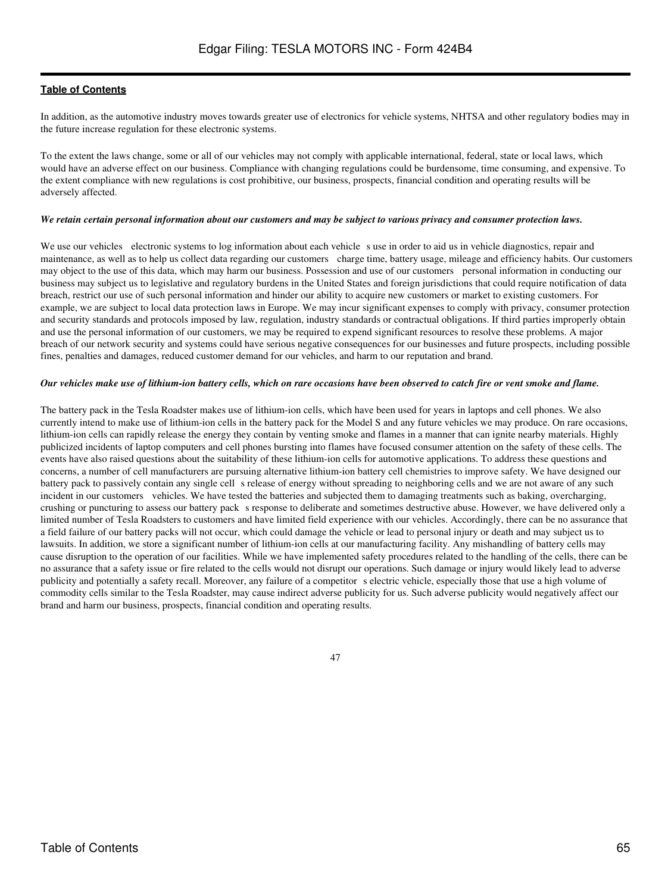In addition, as the automotive industry moves towards greater use of electronics for vehicle systems, NHTSA and other regulatory bodies may in the future increase regulation for these electronic systems.

To the extent the laws change, some or all of our vehicles may not comply with applicable international, federal, state or local laws, which would have an adverse effect on our business. Compliance with changing regulations could be burdensome, time consuming, and expensive. To the extent compliance with new regulations is cost prohibitive, our business, prospects, financial condition and operating results will be adversely affected.

#### *We retain certain personal information about our customers and may be subject to various privacy and consumer protection laws.*

We use our vehicles electronic systems to log information about each vehicle suse in order to aid us in vehicle diagnostics, repair and maintenance, as well as to help us collect data regarding our customers charge time, battery usage, mileage and efficiency habits. Our customers may object to the use of this data, which may harm our business. Possession and use of our customers personal information in conducting our business may subject us to legislative and regulatory burdens in the United States and foreign jurisdictions that could require notification of data breach, restrict our use of such personal information and hinder our ability to acquire new customers or market to existing customers. For example, we are subject to local data protection laws in Europe. We may incur significant expenses to comply with privacy, consumer protection and security standards and protocols imposed by law, regulation, industry standards or contractual obligations. If third parties improperly obtain and use the personal information of our customers, we may be required to expend significant resources to resolve these problems. A major breach of our network security and systems could have serious negative consequences for our businesses and future prospects, including possible fines, penalties and damages, reduced customer demand for our vehicles, and harm to our reputation and brand.

### *Our vehicles make use of lithium-ion battery cells, which on rare occasions have been observed to catch fire or vent smoke and flame.*

The battery pack in the Tesla Roadster makes use of lithium-ion cells, which have been used for years in laptops and cell phones. We also currently intend to make use of lithium-ion cells in the battery pack for the Model S and any future vehicles we may produce. On rare occasions, lithium-ion cells can rapidly release the energy they contain by venting smoke and flames in a manner that can ignite nearby materials. Highly publicized incidents of laptop computers and cell phones bursting into flames have focused consumer attention on the safety of these cells. The events have also raised questions about the suitability of these lithium-ion cells for automotive applications. To address these questions and concerns, a number of cell manufacturers are pursuing alternative lithium-ion battery cell chemistries to improve safety. We have designed our battery pack to passively contain any single cell s release of energy without spreading to neighboring cells and we are not aware of any such incident in our customers vehicles. We have tested the batteries and subjected them to damaging treatments such as baking, overcharging, crushing or puncturing to assess our battery pack s response to deliberate and sometimes destructive abuse. However, we have delivered only a limited number of Tesla Roadsters to customers and have limited field experience with our vehicles. Accordingly, there can be no assurance that a field failure of our battery packs will not occur, which could damage the vehicle or lead to personal injury or death and may subject us to lawsuits. In addition, we store a significant number of lithium-ion cells at our manufacturing facility. Any mishandling of battery cells may cause disruption to the operation of our facilities. While we have implemented safety procedures related to the handling of the cells, there can be no assurance that a safety issue or fire related to the cells would not disrupt our operations. Such damage or injury would likely lead to adverse publicity and potentially a safety recall. Moreover, any failure of a competitor s electric vehicle, especially those that use a high volume of commodity cells similar to the Tesla Roadster, may cause indirect adverse publicity for us. Such adverse publicity would negatively affect our brand and harm our business, prospects, financial condition and operating results.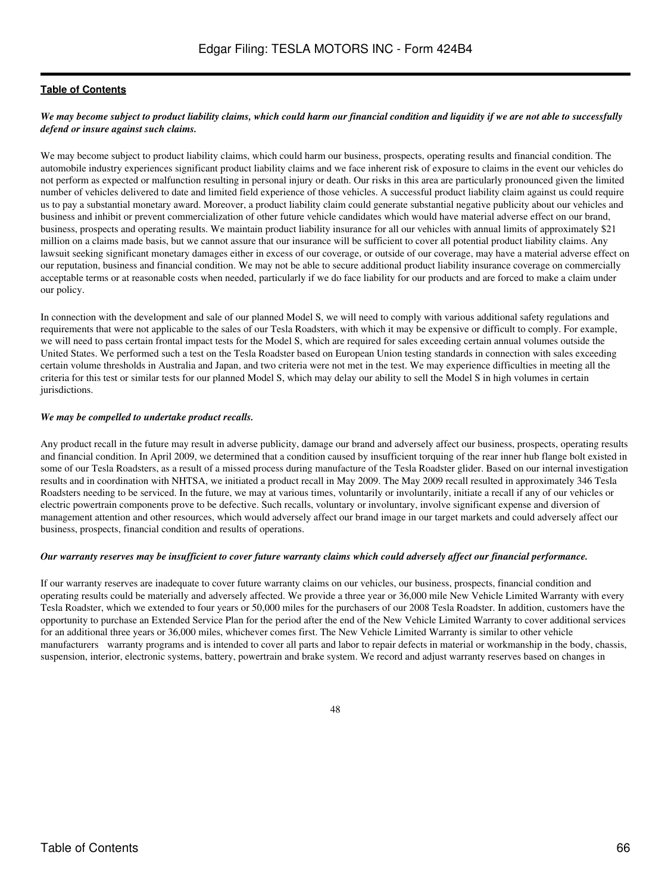### *We may become subject to product liability claims, which could harm our financial condition and liquidity if we are not able to successfully defend or insure against such claims.*

We may become subject to product liability claims, which could harm our business, prospects, operating results and financial condition. The automobile industry experiences significant product liability claims and we face inherent risk of exposure to claims in the event our vehicles do not perform as expected or malfunction resulting in personal injury or death. Our risks in this area are particularly pronounced given the limited number of vehicles delivered to date and limited field experience of those vehicles. A successful product liability claim against us could require us to pay a substantial monetary award. Moreover, a product liability claim could generate substantial negative publicity about our vehicles and business and inhibit or prevent commercialization of other future vehicle candidates which would have material adverse effect on our brand, business, prospects and operating results. We maintain product liability insurance for all our vehicles with annual limits of approximately \$21 million on a claims made basis, but we cannot assure that our insurance will be sufficient to cover all potential product liability claims. Any lawsuit seeking significant monetary damages either in excess of our coverage, or outside of our coverage, may have a material adverse effect on our reputation, business and financial condition. We may not be able to secure additional product liability insurance coverage on commercially acceptable terms or at reasonable costs when needed, particularly if we do face liability for our products and are forced to make a claim under our policy.

In connection with the development and sale of our planned Model S, we will need to comply with various additional safety regulations and requirements that were not applicable to the sales of our Tesla Roadsters, with which it may be expensive or difficult to comply. For example, we will need to pass certain frontal impact tests for the Model S, which are required for sales exceeding certain annual volumes outside the United States. We performed such a test on the Tesla Roadster based on European Union testing standards in connection with sales exceeding certain volume thresholds in Australia and Japan, and two criteria were not met in the test. We may experience difficulties in meeting all the criteria for this test or similar tests for our planned Model S, which may delay our ability to sell the Model S in high volumes in certain jurisdictions.

### *We may be compelled to undertake product recalls.*

Any product recall in the future may result in adverse publicity, damage our brand and adversely affect our business, prospects, operating results and financial condition. In April 2009, we determined that a condition caused by insufficient torquing of the rear inner hub flange bolt existed in some of our Tesla Roadsters, as a result of a missed process during manufacture of the Tesla Roadster glider. Based on our internal investigation results and in coordination with NHTSA, we initiated a product recall in May 2009. The May 2009 recall resulted in approximately 346 Tesla Roadsters needing to be serviced. In the future, we may at various times, voluntarily or involuntarily, initiate a recall if any of our vehicles or electric powertrain components prove to be defective. Such recalls, voluntary or involuntary, involve significant expense and diversion of management attention and other resources, which would adversely affect our brand image in our target markets and could adversely affect our business, prospects, financial condition and results of operations.

#### *Our warranty reserves may be insufficient to cover future warranty claims which could adversely affect our financial performance.*

If our warranty reserves are inadequate to cover future warranty claims on our vehicles, our business, prospects, financial condition and operating results could be materially and adversely affected. We provide a three year or 36,000 mile New Vehicle Limited Warranty with every Tesla Roadster, which we extended to four years or 50,000 miles for the purchasers of our 2008 Tesla Roadster. In addition, customers have the opportunity to purchase an Extended Service Plan for the period after the end of the New Vehicle Limited Warranty to cover additional services for an additional three years or 36,000 miles, whichever comes first. The New Vehicle Limited Warranty is similar to other vehicle manufacturers warranty programs and is intended to cover all parts and labor to repair defects in material or workmanship in the body, chassis, suspension, interior, electronic systems, battery, powertrain and brake system. We record and adjust warranty reserves based on changes in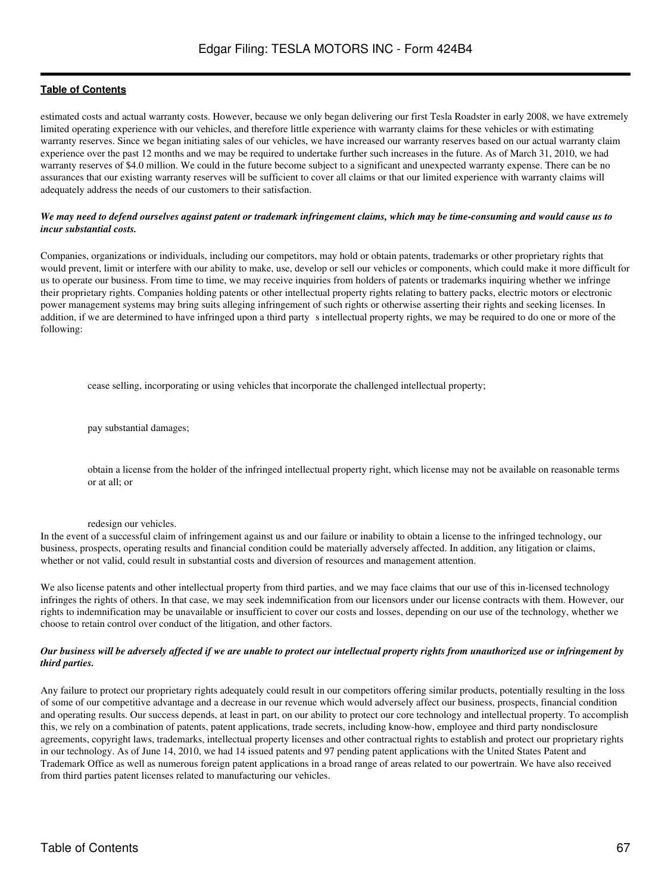estimated costs and actual warranty costs. However, because we only began delivering our first Tesla Roadster in early 2008, we have extremely limited operating experience with our vehicles, and therefore little experience with warranty claims for these vehicles or with estimating warranty reserves. Since we began initiating sales of our vehicles, we have increased our warranty reserves based on our actual warranty claim experience over the past 12 months and we may be required to undertake further such increases in the future. As of March 31, 2010, we had warranty reserves of \$4.0 million. We could in the future become subject to a significant and unexpected warranty expense. There can be no assurances that our existing warranty reserves will be sufficient to cover all claims or that our limited experience with warranty claims will adequately address the needs of our customers to their satisfaction.

#### *We may need to defend ourselves against patent or trademark infringement claims, which may be time-consuming and would cause us to incur substantial costs.*

Companies, organizations or individuals, including our competitors, may hold or obtain patents, trademarks or other proprietary rights that would prevent, limit or interfere with our ability to make, use, develop or sell our vehicles or components, which could make it more difficult for us to operate our business. From time to time, we may receive inquiries from holders of patents or trademarks inquiring whether we infringe their proprietary rights. Companies holding patents or other intellectual property rights relating to battery packs, electric motors or electronic power management systems may bring suits alleging infringement of such rights or otherwise asserting their rights and seeking licenses. In addition, if we are determined to have infringed upon a third party s intellectual property rights, we may be required to do one or more of the following:

cease selling, incorporating or using vehicles that incorporate the challenged intellectual property;

pay substantial damages;

obtain a license from the holder of the infringed intellectual property right, which license may not be available on reasonable terms or at all; or

redesign our vehicles.

In the event of a successful claim of infringement against us and our failure or inability to obtain a license to the infringed technology, our business, prospects, operating results and financial condition could be materially adversely affected. In addition, any litigation or claims, whether or not valid, could result in substantial costs and diversion of resources and management attention.

We also license patents and other intellectual property from third parties, and we may face claims that our use of this in-licensed technology infringes the rights of others. In that case, we may seek indemnification from our licensors under our license contracts with them. However, our rights to indemnification may be unavailable or insufficient to cover our costs and losses, depending on our use of the technology, whether we choose to retain control over conduct of the litigation, and other factors.

### *Our business will be adversely affected if we are unable to protect our intellectual property rights from unauthorized use or infringement by third parties.*

Any failure to protect our proprietary rights adequately could result in our competitors offering similar products, potentially resulting in the loss of some of our competitive advantage and a decrease in our revenue which would adversely affect our business, prospects, financial condition and operating results. Our success depends, at least in part, on our ability to protect our core technology and intellectual property. To accomplish this, we rely on a combination of patents, patent applications, trade secrets, including know-how, employee and third party nondisclosure agreements, copyright laws, trademarks, intellectual property licenses and other contractual rights to establish and protect our proprietary rights in our technology. As of June 14, 2010, we had 14 issued patents and 97 pending patent applications with the United States Patent and Trademark Office as well as numerous foreign patent applications in a broad range of areas related to our powertrain. We have also received from third parties patent licenses related to manufacturing our vehicles.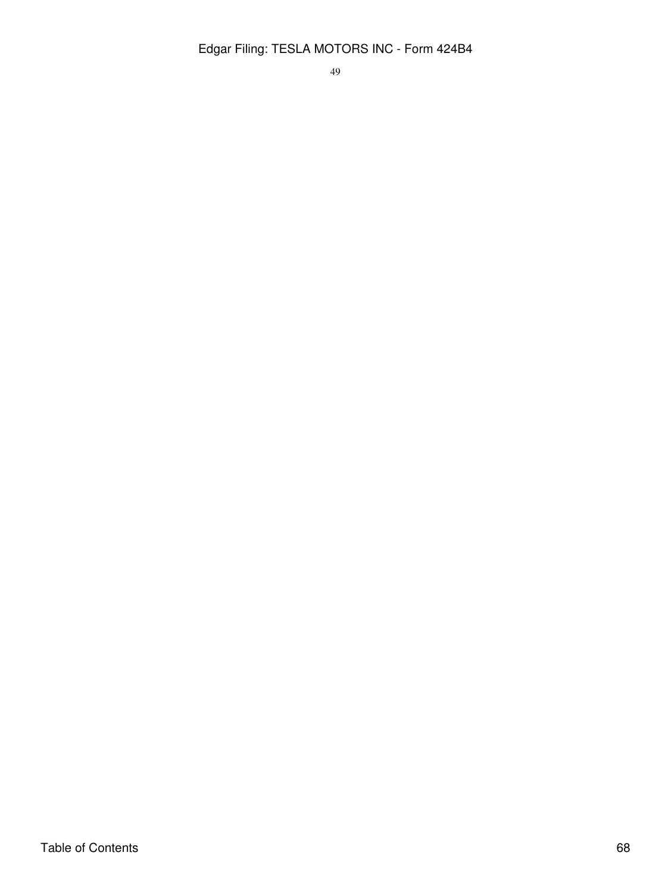# Edgar Filing: TESLA MOTORS INC - Form 424B4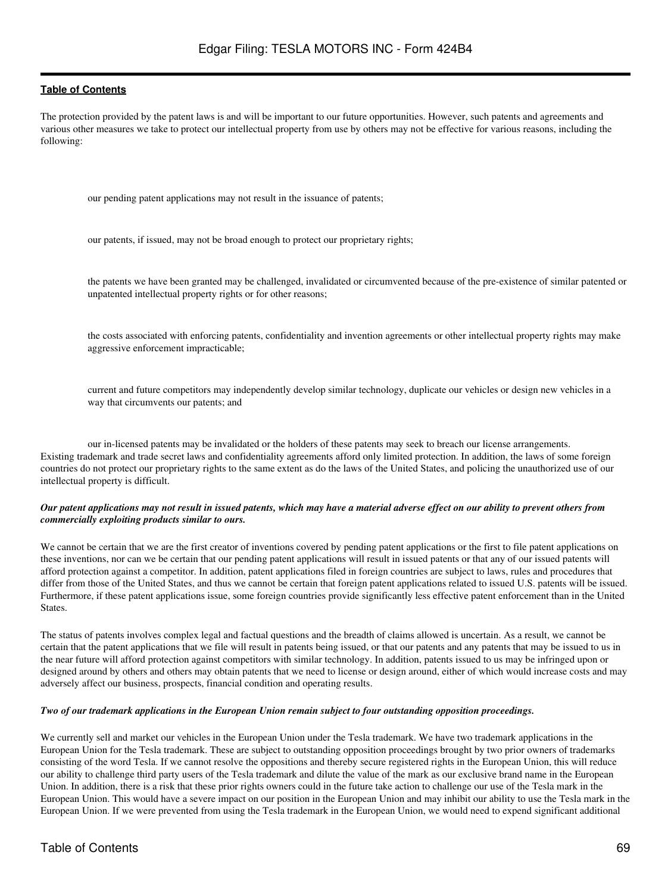The protection provided by the patent laws is and will be important to our future opportunities. However, such patents and agreements and various other measures we take to protect our intellectual property from use by others may not be effective for various reasons, including the following:

our pending patent applications may not result in the issuance of patents;

our patents, if issued, may not be broad enough to protect our proprietary rights;

the patents we have been granted may be challenged, invalidated or circumvented because of the pre-existence of similar patented or unpatented intellectual property rights or for other reasons;

the costs associated with enforcing patents, confidentiality and invention agreements or other intellectual property rights may make aggressive enforcement impracticable;

current and future competitors may independently develop similar technology, duplicate our vehicles or design new vehicles in a way that circumvents our patents; and

our in-licensed patents may be invalidated or the holders of these patents may seek to breach our license arrangements. Existing trademark and trade secret laws and confidentiality agreements afford only limited protection. In addition, the laws of some foreign countries do not protect our proprietary rights to the same extent as do the laws of the United States, and policing the unauthorized use of our intellectual property is difficult.

### *Our patent applications may not result in issued patents, which may have a material adverse effect on our ability to prevent others from commercially exploiting products similar to ours.*

We cannot be certain that we are the first creator of inventions covered by pending patent applications or the first to file patent applications on these inventions, nor can we be certain that our pending patent applications will result in issued patents or that any of our issued patents will afford protection against a competitor. In addition, patent applications filed in foreign countries are subject to laws, rules and procedures that differ from those of the United States, and thus we cannot be certain that foreign patent applications related to issued U.S. patents will be issued. Furthermore, if these patent applications issue, some foreign countries provide significantly less effective patent enforcement than in the United States.

The status of patents involves complex legal and factual questions and the breadth of claims allowed is uncertain. As a result, we cannot be certain that the patent applications that we file will result in patents being issued, or that our patents and any patents that may be issued to us in the near future will afford protection against competitors with similar technology. In addition, patents issued to us may be infringed upon or designed around by others and others may obtain patents that we need to license or design around, either of which would increase costs and may adversely affect our business, prospects, financial condition and operating results.

#### *Two of our trademark applications in the European Union remain subject to four outstanding opposition proceedings.*

We currently sell and market our vehicles in the European Union under the Tesla trademark. We have two trademark applications in the European Union for the Tesla trademark. These are subject to outstanding opposition proceedings brought by two prior owners of trademarks consisting of the word Tesla. If we cannot resolve the oppositions and thereby secure registered rights in the European Union, this will reduce our ability to challenge third party users of the Tesla trademark and dilute the value of the mark as our exclusive brand name in the European Union. In addition, there is a risk that these prior rights owners could in the future take action to challenge our use of the Tesla mark in the European Union. This would have a severe impact on our position in the European Union and may inhibit our ability to use the Tesla mark in the European Union. If we were prevented from using the Tesla trademark in the European Union, we would need to expend significant additional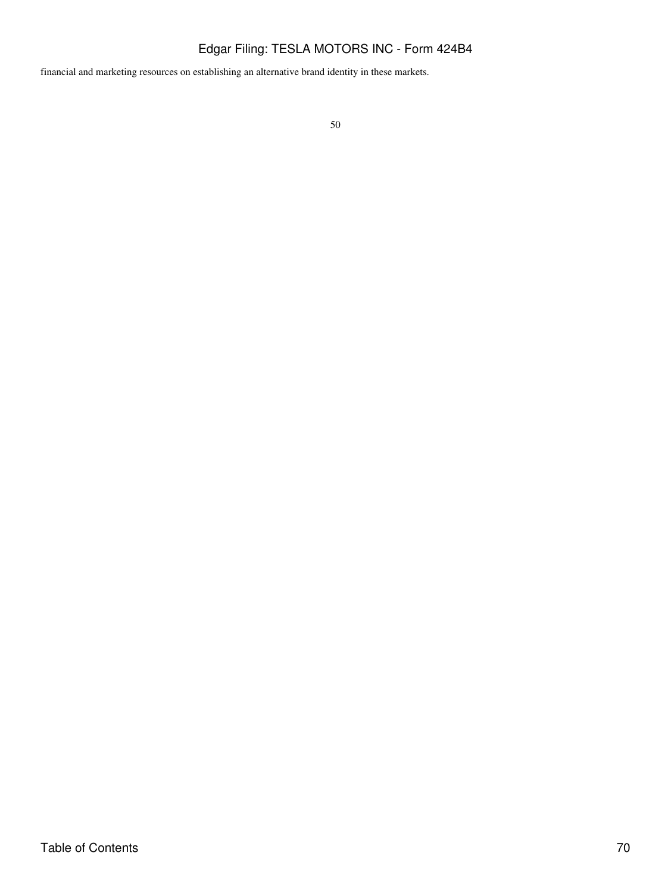# Edgar Filing: TESLA MOTORS INC - Form 424B4

financial and marketing resources on establishing an alternative brand identity in these markets.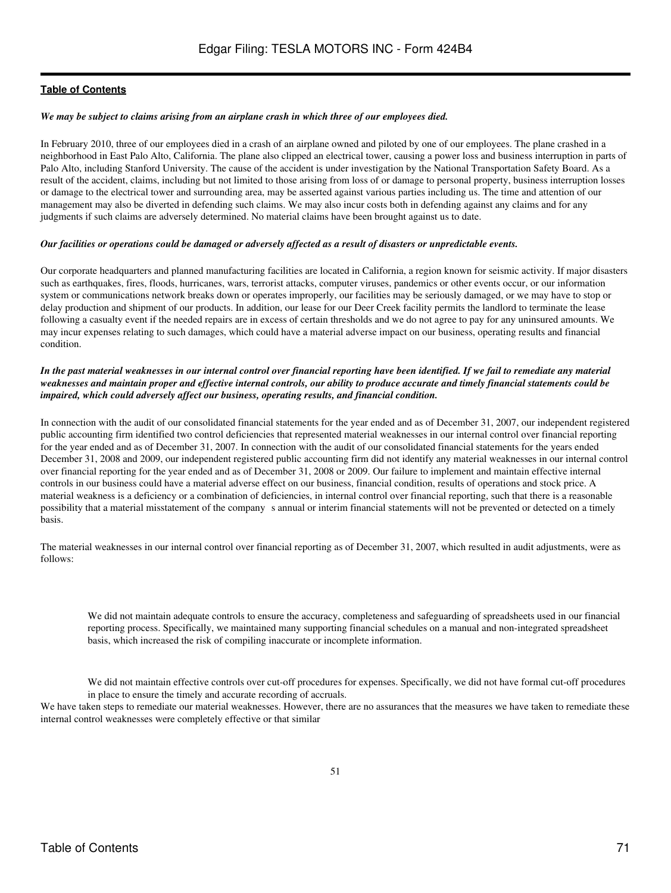### *We may be subject to claims arising from an airplane crash in which three of our employees died.*

In February 2010, three of our employees died in a crash of an airplane owned and piloted by one of our employees. The plane crashed in a neighborhood in East Palo Alto, California. The plane also clipped an electrical tower, causing a power loss and business interruption in parts of Palo Alto, including Stanford University. The cause of the accident is under investigation by the National Transportation Safety Board. As a result of the accident, claims, including but not limited to those arising from loss of or damage to personal property, business interruption losses or damage to the electrical tower and surrounding area, may be asserted against various parties including us. The time and attention of our management may also be diverted in defending such claims. We may also incur costs both in defending against any claims and for any judgments if such claims are adversely determined. No material claims have been brought against us to date.

### *Our facilities or operations could be damaged or adversely affected as a result of disasters or unpredictable events.*

Our corporate headquarters and planned manufacturing facilities are located in California, a region known for seismic activity. If major disasters such as earthquakes, fires, floods, hurricanes, wars, terrorist attacks, computer viruses, pandemics or other events occur, or our information system or communications network breaks down or operates improperly, our facilities may be seriously damaged, or we may have to stop or delay production and shipment of our products. In addition, our lease for our Deer Creek facility permits the landlord to terminate the lease following a casualty event if the needed repairs are in excess of certain thresholds and we do not agree to pay for any uninsured amounts. We may incur expenses relating to such damages, which could have a material adverse impact on our business, operating results and financial condition.

### *In the past material weaknesses in our internal control over financial reporting have been identified. If we fail to remediate any material weaknesses and maintain proper and effective internal controls, our ability to produce accurate and timely financial statements could be impaired, which could adversely affect our business, operating results, and financial condition.*

In connection with the audit of our consolidated financial statements for the year ended and as of December 31, 2007, our independent registered public accounting firm identified two control deficiencies that represented material weaknesses in our internal control over financial reporting for the year ended and as of December 31, 2007. In connection with the audit of our consolidated financial statements for the years ended December 31, 2008 and 2009, our independent registered public accounting firm did not identify any material weaknesses in our internal control over financial reporting for the year ended and as of December 31, 2008 or 2009. Our failure to implement and maintain effective internal controls in our business could have a material adverse effect on our business, financial condition, results of operations and stock price. A material weakness is a deficiency or a combination of deficiencies, in internal control over financial reporting, such that there is a reasonable possibility that a material misstatement of the company s annual or interim financial statements will not be prevented or detected on a timely basis.

The material weaknesses in our internal control over financial reporting as of December 31, 2007, which resulted in audit adjustments, were as follows:

We did not maintain adequate controls to ensure the accuracy, completeness and safeguarding of spreadsheets used in our financial reporting process. Specifically, we maintained many supporting financial schedules on a manual and non-integrated spreadsheet basis, which increased the risk of compiling inaccurate or incomplete information.

We did not maintain effective controls over cut-off procedures for expenses. Specifically, we did not have formal cut-off procedures in place to ensure the timely and accurate recording of accruals.

We have taken steps to remediate our material weaknesses. However, there are no assurances that the measures we have taken to remediate these internal control weaknesses were completely effective or that similar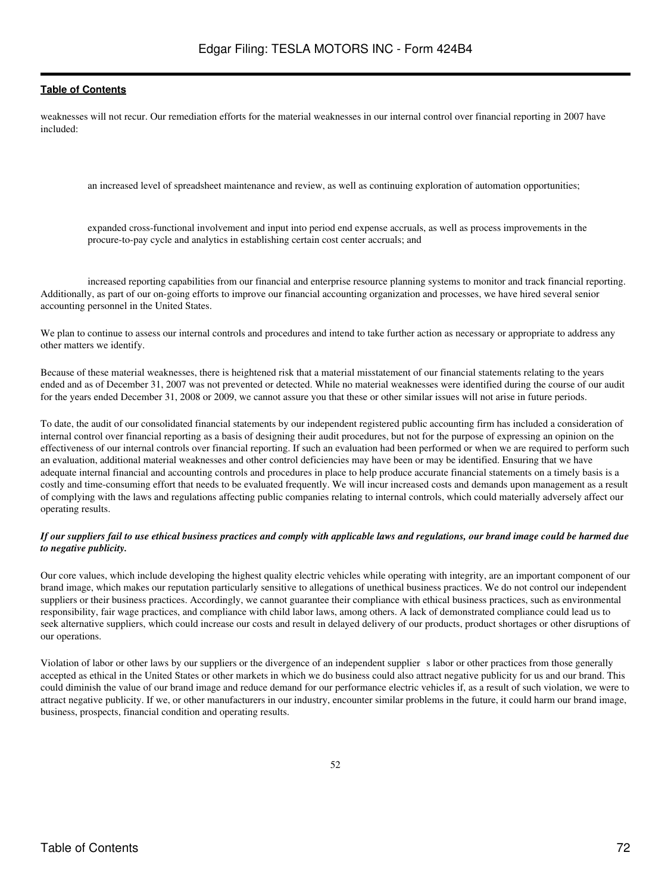weaknesses will not recur. Our remediation efforts for the material weaknesses in our internal control over financial reporting in 2007 have included:

an increased level of spreadsheet maintenance and review, as well as continuing exploration of automation opportunities;

expanded cross-functional involvement and input into period end expense accruals, as well as process improvements in the procure-to-pay cycle and analytics in establishing certain cost center accruals; and

increased reporting capabilities from our financial and enterprise resource planning systems to monitor and track financial reporting. Additionally, as part of our on-going efforts to improve our financial accounting organization and processes, we have hired several senior accounting personnel in the United States.

We plan to continue to assess our internal controls and procedures and intend to take further action as necessary or appropriate to address any other matters we identify.

Because of these material weaknesses, there is heightened risk that a material misstatement of our financial statements relating to the years ended and as of December 31, 2007 was not prevented or detected. While no material weaknesses were identified during the course of our audit for the years ended December 31, 2008 or 2009, we cannot assure you that these or other similar issues will not arise in future periods.

To date, the audit of our consolidated financial statements by our independent registered public accounting firm has included a consideration of internal control over financial reporting as a basis of designing their audit procedures, but not for the purpose of expressing an opinion on the effectiveness of our internal controls over financial reporting. If such an evaluation had been performed or when we are required to perform such an evaluation, additional material weaknesses and other control deficiencies may have been or may be identified. Ensuring that we have adequate internal financial and accounting controls and procedures in place to help produce accurate financial statements on a timely basis is a costly and time-consuming effort that needs to be evaluated frequently. We will incur increased costs and demands upon management as a result of complying with the laws and regulations affecting public companies relating to internal controls, which could materially adversely affect our operating results.

### *If our suppliers fail to use ethical business practices and comply with applicable laws and regulations, our brand image could be harmed due to negative publicity.*

Our core values, which include developing the highest quality electric vehicles while operating with integrity, are an important component of our brand image, which makes our reputation particularly sensitive to allegations of unethical business practices. We do not control our independent suppliers or their business practices. Accordingly, we cannot guarantee their compliance with ethical business practices, such as environmental responsibility, fair wage practices, and compliance with child labor laws, among others. A lack of demonstrated compliance could lead us to seek alternative suppliers, which could increase our costs and result in delayed delivery of our products, product shortages or other disruptions of our operations.

Violation of labor or other laws by our suppliers or the divergence of an independent supplier s labor or other practices from those generally accepted as ethical in the United States or other markets in which we do business could also attract negative publicity for us and our brand. This could diminish the value of our brand image and reduce demand for our performance electric vehicles if, as a result of such violation, we were to attract negative publicity. If we, or other manufacturers in our industry, encounter similar problems in the future, it could harm our brand image, business, prospects, financial condition and operating results.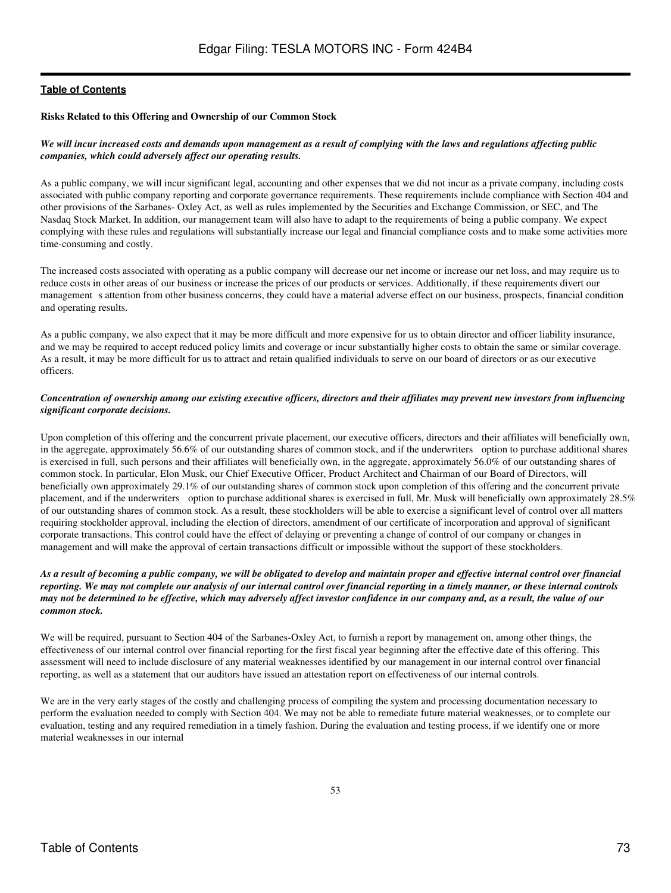#### **Risks Related to this Offering and Ownership of our Common Stock**

#### *We will incur increased costs and demands upon management as a result of complying with the laws and regulations affecting public companies, which could adversely affect our operating results.*

As a public company, we will incur significant legal, accounting and other expenses that we did not incur as a private company, including costs associated with public company reporting and corporate governance requirements. These requirements include compliance with Section 404 and other provisions of the Sarbanes- Oxley Act, as well as rules implemented by the Securities and Exchange Commission, or SEC, and The Nasdaq Stock Market. In addition, our management team will also have to adapt to the requirements of being a public company. We expect complying with these rules and regulations will substantially increase our legal and financial compliance costs and to make some activities more time-consuming and costly.

The increased costs associated with operating as a public company will decrease our net income or increase our net loss, and may require us to reduce costs in other areas of our business or increase the prices of our products or services. Additionally, if these requirements divert our management s attention from other business concerns, they could have a material adverse effect on our business, prospects, financial condition and operating results.

As a public company, we also expect that it may be more difficult and more expensive for us to obtain director and officer liability insurance, and we may be required to accept reduced policy limits and coverage or incur substantially higher costs to obtain the same or similar coverage. As a result, it may be more difficult for us to attract and retain qualified individuals to serve on our board of directors or as our executive officers.

#### *Concentration of ownership among our existing executive officers, directors and their affiliates may prevent new investors from influencing significant corporate decisions.*

Upon completion of this offering and the concurrent private placement, our executive officers, directors and their affiliates will beneficially own, in the aggregate, approximately 56.6% of our outstanding shares of common stock, and if the underwriters option to purchase additional shares is exercised in full, such persons and their affiliates will beneficially own, in the aggregate, approximately 56.0% of our outstanding shares of common stock. In particular, Elon Musk, our Chief Executive Officer, Product Architect and Chairman of our Board of Directors, will beneficially own approximately 29.1% of our outstanding shares of common stock upon completion of this offering and the concurrent private placement, and if the underwriters option to purchase additional shares is exercised in full, Mr. Musk will beneficially own approximately 28.5% of our outstanding shares of common stock. As a result, these stockholders will be able to exercise a significant level of control over all matters requiring stockholder approval, including the election of directors, amendment of our certificate of incorporation and approval of significant corporate transactions. This control could have the effect of delaying or preventing a change of control of our company or changes in management and will make the approval of certain transactions difficult or impossible without the support of these stockholders.

## *As a result of becoming a public company, we will be obligated to develop and maintain proper and effective internal control over financial reporting. We may not complete our analysis of our internal control over financial reporting in a timely manner, or these internal controls may not be determined to be effective, which may adversely affect investor confidence in our company and, as a result, the value of our common stock.*

We will be required, pursuant to Section 404 of the Sarbanes-Oxley Act, to furnish a report by management on, among other things, the effectiveness of our internal control over financial reporting for the first fiscal year beginning after the effective date of this offering. This assessment will need to include disclosure of any material weaknesses identified by our management in our internal control over financial reporting, as well as a statement that our auditors have issued an attestation report on effectiveness of our internal controls.

We are in the very early stages of the costly and challenging process of compiling the system and processing documentation necessary to perform the evaluation needed to comply with Section 404. We may not be able to remediate future material weaknesses, or to complete our evaluation, testing and any required remediation in a timely fashion. During the evaluation and testing process, if we identify one or more material weaknesses in our internal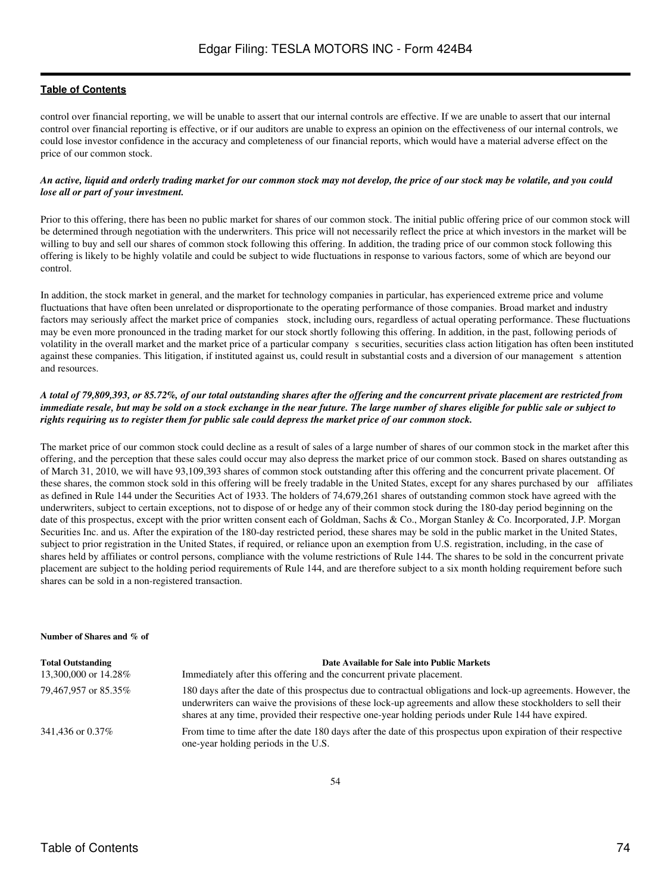control over financial reporting, we will be unable to assert that our internal controls are effective. If we are unable to assert that our internal control over financial reporting is effective, or if our auditors are unable to express an opinion on the effectiveness of our internal controls, we could lose investor confidence in the accuracy and completeness of our financial reports, which would have a material adverse effect on the price of our common stock.

#### *An active, liquid and orderly trading market for our common stock may not develop, the price of our stock may be volatile, and you could lose all or part of your investment.*

Prior to this offering, there has been no public market for shares of our common stock. The initial public offering price of our common stock will be determined through negotiation with the underwriters. This price will not necessarily reflect the price at which investors in the market will be willing to buy and sell our shares of common stock following this offering. In addition, the trading price of our common stock following this offering is likely to be highly volatile and could be subject to wide fluctuations in response to various factors, some of which are beyond our control.

In addition, the stock market in general, and the market for technology companies in particular, has experienced extreme price and volume fluctuations that have often been unrelated or disproportionate to the operating performance of those companies. Broad market and industry factors may seriously affect the market price of companies stock, including ours, regardless of actual operating performance. These fluctuations may be even more pronounced in the trading market for our stock shortly following this offering. In addition, in the past, following periods of volatility in the overall market and the market price of a particular companys securities, securities class action litigation has often been instituted against these companies. This litigation, if instituted against us, could result in substantial costs and a diversion of our management s attention and resources.

#### *A total of 79,809,393, or 85.72%, of our total outstanding shares after the offering and the concurrent private placement are restricted from immediate resale, but may be sold on a stock exchange in the near future. The large number of shares eligible for public sale or subject to rights requiring us to register them for public sale could depress the market price of our common stock.*

The market price of our common stock could decline as a result of sales of a large number of shares of our common stock in the market after this offering, and the perception that these sales could occur may also depress the market price of our common stock. Based on shares outstanding as of March 31, 2010, we will have 93,109,393 shares of common stock outstanding after this offering and the concurrent private placement. Of these shares, the common stock sold in this offering will be freely tradable in the United States, except for any shares purchased by our affiliates as defined in Rule 144 under the Securities Act of 1933. The holders of 74,679,261 shares of outstanding common stock have agreed with the underwriters, subject to certain exceptions, not to dispose of or hedge any of their common stock during the 180-day period beginning on the date of this prospectus, except with the prior written consent each of Goldman, Sachs & Co., Morgan Stanley & Co. Incorporated, J.P. Morgan Securities Inc. and us. After the expiration of the 180-day restricted period, these shares may be sold in the public market in the United States, subject to prior registration in the United States, if required, or reliance upon an exemption from U.S. registration, including, in the case of shares held by affiliates or control persons, compliance with the volume restrictions of Rule 144. The shares to be sold in the concurrent private placement are subject to the holding period requirements of Rule 144, and are therefore subject to a six month holding requirement before such shares can be sold in a non-registered transaction.

#### **Number of Shares and % of**

| <b>Total Outstanding</b><br>13,300,000 or 14.28% | Date Available for Sale into Public Markets<br>Immediately after this offering and the concurrent private placement.                                                                                                                                                                                                                  |
|--------------------------------------------------|---------------------------------------------------------------------------------------------------------------------------------------------------------------------------------------------------------------------------------------------------------------------------------------------------------------------------------------|
| 79,467,957 or 85.35%                             | 180 days after the date of this prospectus due to contractual obligations and lock-up agreements. However, the<br>underwriters can waive the provisions of these lock-up agreements and allow these stockholders to sell their<br>shares at any time, provided their respective one-year holding periods under Rule 144 have expired. |
| 341,436 or 0.37\%                                | From time to time after the date 180 days after the date of this prospectus upon expiration of their respective<br>one-year holding periods in the U.S.                                                                                                                                                                               |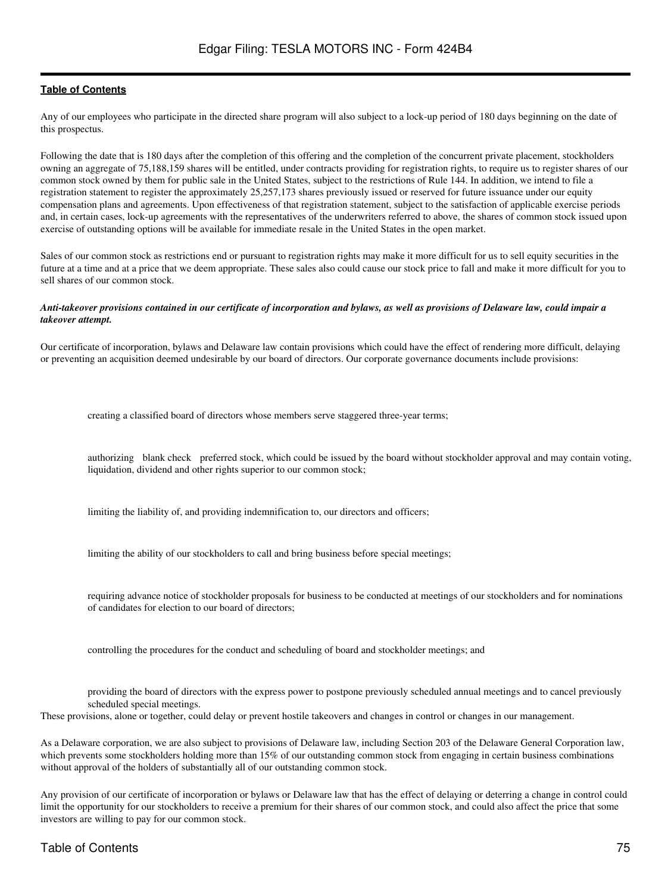Any of our employees who participate in the directed share program will also subject to a lock-up period of 180 days beginning on the date of this prospectus.

Following the date that is 180 days after the completion of this offering and the completion of the concurrent private placement, stockholders owning an aggregate of 75,188,159 shares will be entitled, under contracts providing for registration rights, to require us to register shares of our common stock owned by them for public sale in the United States, subject to the restrictions of Rule 144. In addition, we intend to file a registration statement to register the approximately 25,257,173 shares previously issued or reserved for future issuance under our equity compensation plans and agreements. Upon effectiveness of that registration statement, subject to the satisfaction of applicable exercise periods and, in certain cases, lock-up agreements with the representatives of the underwriters referred to above, the shares of common stock issued upon exercise of outstanding options will be available for immediate resale in the United States in the open market.

Sales of our common stock as restrictions end or pursuant to registration rights may make it more difficult for us to sell equity securities in the future at a time and at a price that we deem appropriate. These sales also could cause our stock price to fall and make it more difficult for you to sell shares of our common stock.

#### *Anti-takeover provisions contained in our certificate of incorporation and bylaws, as well as provisions of Delaware law, could impair a takeover attempt.*

Our certificate of incorporation, bylaws and Delaware law contain provisions which could have the effect of rendering more difficult, delaying or preventing an acquisition deemed undesirable by our board of directors. Our corporate governance documents include provisions:

creating a classified board of directors whose members serve staggered three-year terms;

authorizing blank check preferred stock, which could be issued by the board without stockholder approval and may contain voting, liquidation, dividend and other rights superior to our common stock;

limiting the liability of, and providing indemnification to, our directors and officers;

limiting the ability of our stockholders to call and bring business before special meetings;

requiring advance notice of stockholder proposals for business to be conducted at meetings of our stockholders and for nominations of candidates for election to our board of directors;

controlling the procedures for the conduct and scheduling of board and stockholder meetings; and

providing the board of directors with the express power to postpone previously scheduled annual meetings and to cancel previously scheduled special meetings.

These provisions, alone or together, could delay or prevent hostile takeovers and changes in control or changes in our management.

As a Delaware corporation, we are also subject to provisions of Delaware law, including Section 203 of the Delaware General Corporation law, which prevents some stockholders holding more than 15% of our outstanding common stock from engaging in certain business combinations without approval of the holders of substantially all of our outstanding common stock.

Any provision of our certificate of incorporation or bylaws or Delaware law that has the effect of delaying or deterring a change in control could limit the opportunity for our stockholders to receive a premium for their shares of our common stock, and could also affect the price that some investors are willing to pay for our common stock.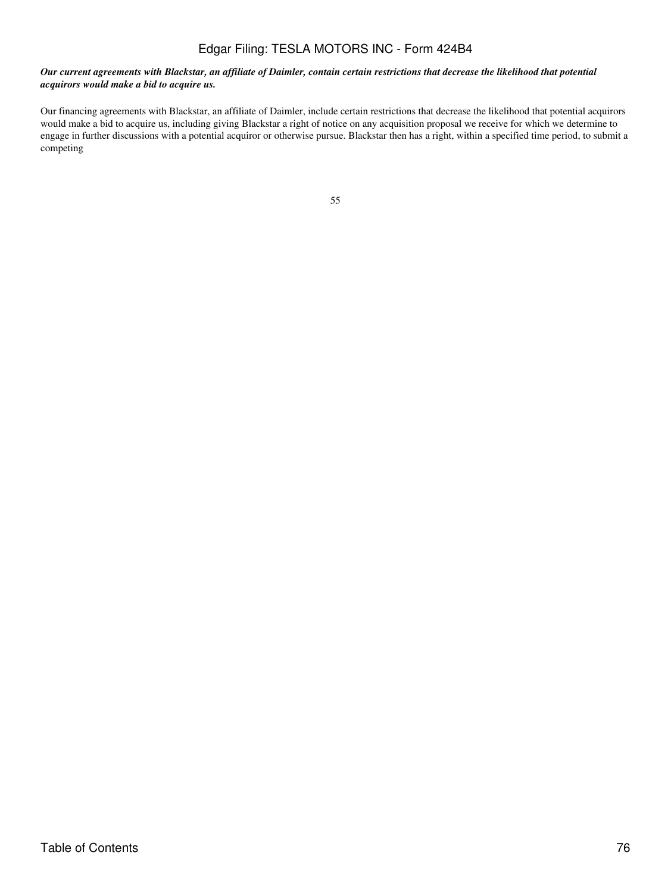## Edgar Filing: TESLA MOTORS INC - Form 424B4

## *Our current agreements with Blackstar, an affiliate of Daimler, contain certain restrictions that decrease the likelihood that potential acquirors would make a bid to acquire us.*

Our financing agreements with Blackstar, an affiliate of Daimler, include certain restrictions that decrease the likelihood that potential acquirors would make a bid to acquire us, including giving Blackstar a right of notice on any acquisition proposal we receive for which we determine to engage in further discussions with a potential acquiror or otherwise pursue. Blackstar then has a right, within a specified time period, to submit a competing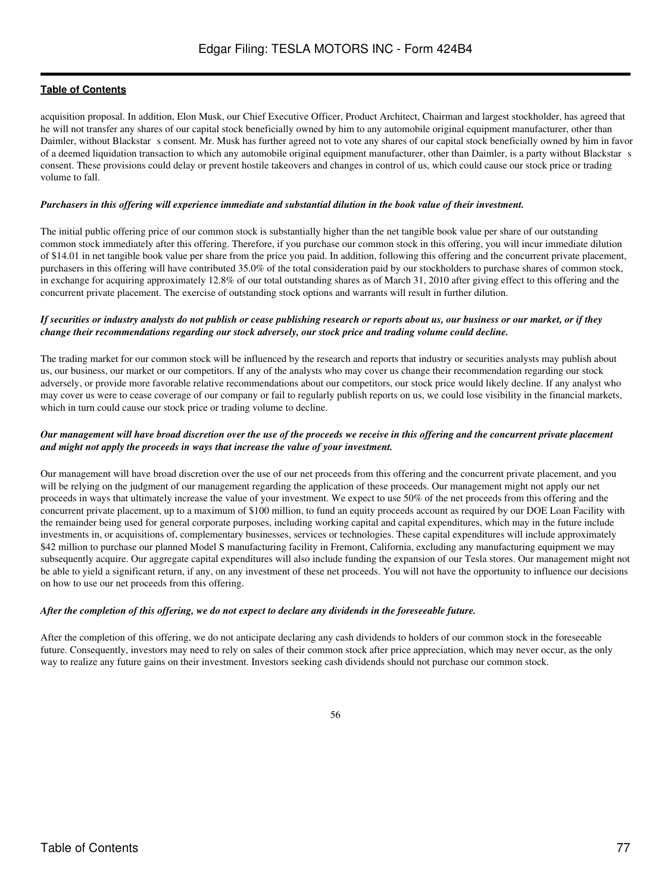acquisition proposal. In addition, Elon Musk, our Chief Executive Officer, Product Architect, Chairman and largest stockholder, has agreed that he will not transfer any shares of our capital stock beneficially owned by him to any automobile original equipment manufacturer, other than Daimler, without Blackstar s consent. Mr. Musk has further agreed not to vote any shares of our capital stock beneficially owned by him in favor of a deemed liquidation transaction to which any automobile original equipment manufacturer, other than Daimler, is a party without Blackstars consent. These provisions could delay or prevent hostile takeovers and changes in control of us, which could cause our stock price or trading volume to fall.

#### *Purchasers in this offering will experience immediate and substantial dilution in the book value of their investment.*

The initial public offering price of our common stock is substantially higher than the net tangible book value per share of our outstanding common stock immediately after this offering. Therefore, if you purchase our common stock in this offering, you will incur immediate dilution of \$14.01 in net tangible book value per share from the price you paid. In addition, following this offering and the concurrent private placement, purchasers in this offering will have contributed 35.0% of the total consideration paid by our stockholders to purchase shares of common stock, in exchange for acquiring approximately 12.8% of our total outstanding shares as of March 31, 2010 after giving effect to this offering and the concurrent private placement. The exercise of outstanding stock options and warrants will result in further dilution.

#### *If securities or industry analysts do not publish or cease publishing research or reports about us, our business or our market, or if they change their recommendations regarding our stock adversely, our stock price and trading volume could decline.*

The trading market for our common stock will be influenced by the research and reports that industry or securities analysts may publish about us, our business, our market or our competitors. If any of the analysts who may cover us change their recommendation regarding our stock adversely, or provide more favorable relative recommendations about our competitors, our stock price would likely decline. If any analyst who may cover us were to cease coverage of our company or fail to regularly publish reports on us, we could lose visibility in the financial markets, which in turn could cause our stock price or trading volume to decline.

#### *Our management will have broad discretion over the use of the proceeds we receive in this offering and the concurrent private placement and might not apply the proceeds in ways that increase the value of your investment.*

Our management will have broad discretion over the use of our net proceeds from this offering and the concurrent private placement, and you will be relying on the judgment of our management regarding the application of these proceeds. Our management might not apply our net proceeds in ways that ultimately increase the value of your investment. We expect to use 50% of the net proceeds from this offering and the concurrent private placement, up to a maximum of \$100 million, to fund an equity proceeds account as required by our DOE Loan Facility with the remainder being used for general corporate purposes, including working capital and capital expenditures, which may in the future include investments in, or acquisitions of, complementary businesses, services or technologies. These capital expenditures will include approximately \$42 million to purchase our planned Model S manufacturing facility in Fremont, California, excluding any manufacturing equipment we may subsequently acquire. Our aggregate capital expenditures will also include funding the expansion of our Tesla stores. Our management might not be able to yield a significant return, if any, on any investment of these net proceeds. You will not have the opportunity to influence our decisions on how to use our net proceeds from this offering.

## *After the completion of this offering, we do not expect to declare any dividends in the foreseeable future.*

After the completion of this offering, we do not anticipate declaring any cash dividends to holders of our common stock in the foreseeable future. Consequently, investors may need to rely on sales of their common stock after price appreciation, which may never occur, as the only way to realize any future gains on their investment. Investors seeking cash dividends should not purchase our common stock.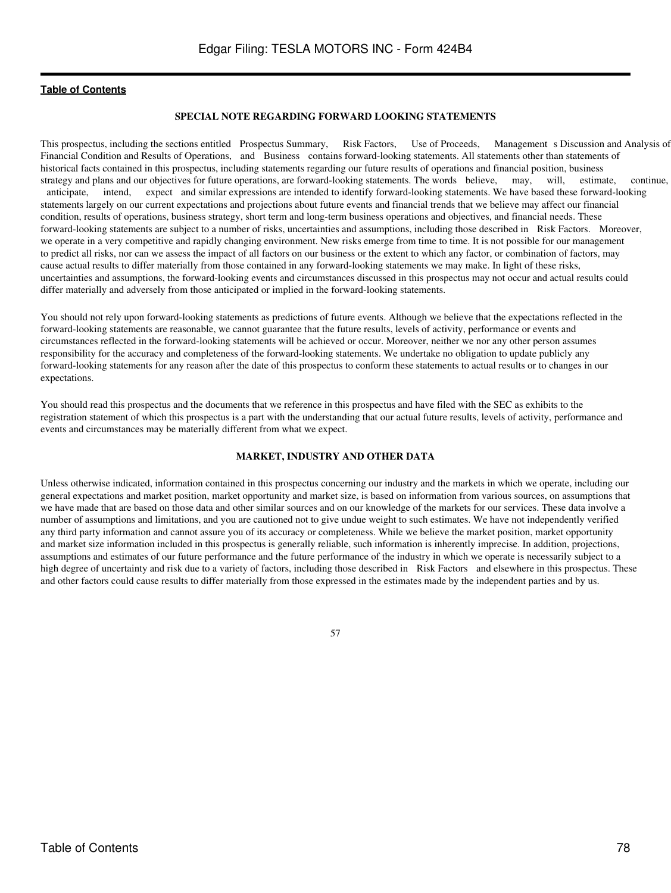#### **SPECIAL NOTE REGARDING FORWARD LOOKING STATEMENTS**

This prospectus, including the sections entitled Prospectus Summary, Risk Factors, Use of Proceeds, Managements Discussion and Analysis of Financial Condition and Results of Operations, and Business contains forward-looking statements. All statements other than statements of historical facts contained in this prospectus, including statements regarding our future results of operations and financial position, business strategy and plans and our objectives for future operations, are forward-looking statements. The words believe, may, will, estimate, continue, anticipate, intend, expect and similar expressions are intended to identify forward-looking statements. We have based these forward-looking statements largely on our current expectations and projections about future events and financial trends that we believe may affect our financial condition, results of operations, business strategy, short term and long-term business operations and objectives, and financial needs. These forward-looking statements are subject to a number of risks, uncertainties and assumptions, including those described in Risk Factors. Moreover, we operate in a very competitive and rapidly changing environment. New risks emerge from time to time. It is not possible for our management to predict all risks, nor can we assess the impact of all factors on our business or the extent to which any factor, or combination of factors, may cause actual results to differ materially from those contained in any forward-looking statements we may make. In light of these risks, uncertainties and assumptions, the forward-looking events and circumstances discussed in this prospectus may not occur and actual results could differ materially and adversely from those anticipated or implied in the forward-looking statements.

You should not rely upon forward-looking statements as predictions of future events. Although we believe that the expectations reflected in the forward-looking statements are reasonable, we cannot guarantee that the future results, levels of activity, performance or events and circumstances reflected in the forward-looking statements will be achieved or occur. Moreover, neither we nor any other person assumes responsibility for the accuracy and completeness of the forward-looking statements. We undertake no obligation to update publicly any forward-looking statements for any reason after the date of this prospectus to conform these statements to actual results or to changes in our expectations.

You should read this prospectus and the documents that we reference in this prospectus and have filed with the SEC as exhibits to the registration statement of which this prospectus is a part with the understanding that our actual future results, levels of activity, performance and events and circumstances may be materially different from what we expect.

#### **MARKET, INDUSTRY AND OTHER DATA**

Unless otherwise indicated, information contained in this prospectus concerning our industry and the markets in which we operate, including our general expectations and market position, market opportunity and market size, is based on information from various sources, on assumptions that we have made that are based on those data and other similar sources and on our knowledge of the markets for our services. These data involve a number of assumptions and limitations, and you are cautioned not to give undue weight to such estimates. We have not independently verified any third party information and cannot assure you of its accuracy or completeness. While we believe the market position, market opportunity and market size information included in this prospectus is generally reliable, such information is inherently imprecise. In addition, projections, assumptions and estimates of our future performance and the future performance of the industry in which we operate is necessarily subject to a high degree of uncertainty and risk due to a variety of factors, including those described in Risk Factors and elsewhere in this prospectus. These and other factors could cause results to differ materially from those expressed in the estimates made by the independent parties and by us.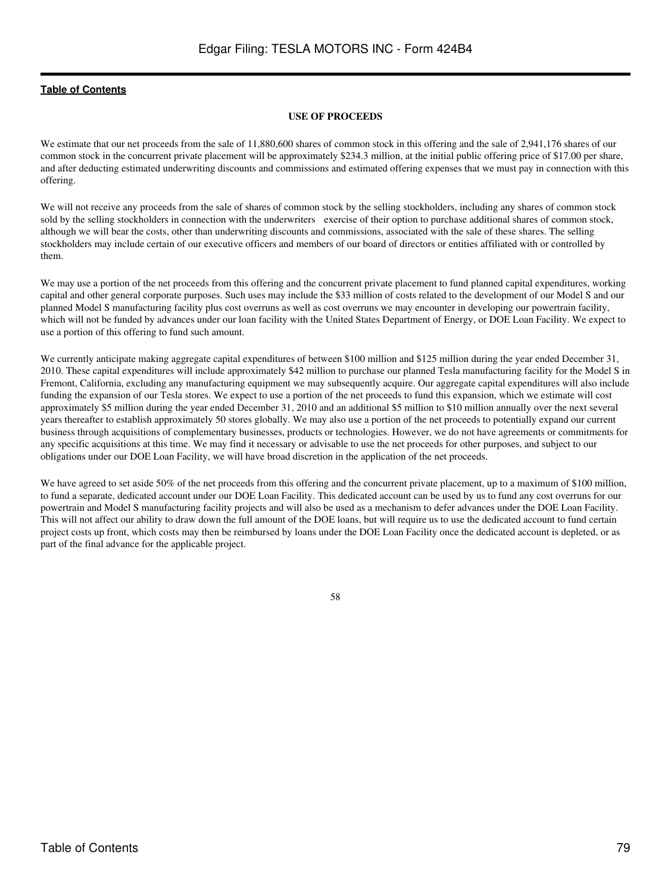#### **USE OF PROCEEDS**

We estimate that our net proceeds from the sale of 11,880,600 shares of common stock in this offering and the sale of 2,941,176 shares of our common stock in the concurrent private placement will be approximately \$234.3 million, at the initial public offering price of \$17.00 per share, and after deducting estimated underwriting discounts and commissions and estimated offering expenses that we must pay in connection with this offering.

We will not receive any proceeds from the sale of shares of common stock by the selling stockholders, including any shares of common stock sold by the selling stockholders in connection with the underwriters exercise of their option to purchase additional shares of common stock, although we will bear the costs, other than underwriting discounts and commissions, associated with the sale of these shares. The selling stockholders may include certain of our executive officers and members of our board of directors or entities affiliated with or controlled by them.

We may use a portion of the net proceeds from this offering and the concurrent private placement to fund planned capital expenditures, working capital and other general corporate purposes. Such uses may include the \$33 million of costs related to the development of our Model S and our planned Model S manufacturing facility plus cost overruns as well as cost overruns we may encounter in developing our powertrain facility, which will not be funded by advances under our loan facility with the United States Department of Energy, or DOE Loan Facility. We expect to use a portion of this offering to fund such amount.

We currently anticipate making aggregate capital expenditures of between \$100 million and \$125 million during the year ended December 31, 2010. These capital expenditures will include approximately \$42 million to purchase our planned Tesla manufacturing facility for the Model S in Fremont, California, excluding any manufacturing equipment we may subsequently acquire. Our aggregate capital expenditures will also include funding the expansion of our Tesla stores. We expect to use a portion of the net proceeds to fund this expansion, which we estimate will cost approximately \$5 million during the year ended December 31, 2010 and an additional \$5 million to \$10 million annually over the next several years thereafter to establish approximately 50 stores globally. We may also use a portion of the net proceeds to potentially expand our current business through acquisitions of complementary businesses, products or technologies. However, we do not have agreements or commitments for any specific acquisitions at this time. We may find it necessary or advisable to use the net proceeds for other purposes, and subject to our obligations under our DOE Loan Facility, we will have broad discretion in the application of the net proceeds.

We have agreed to set aside 50% of the net proceeds from this offering and the concurrent private placement, up to a maximum of \$100 million, to fund a separate, dedicated account under our DOE Loan Facility. This dedicated account can be used by us to fund any cost overruns for our powertrain and Model S manufacturing facility projects and will also be used as a mechanism to defer advances under the DOE Loan Facility. This will not affect our ability to draw down the full amount of the DOE loans, but will require us to use the dedicated account to fund certain project costs up front, which costs may then be reimbursed by loans under the DOE Loan Facility once the dedicated account is depleted, or as part of the final advance for the applicable project.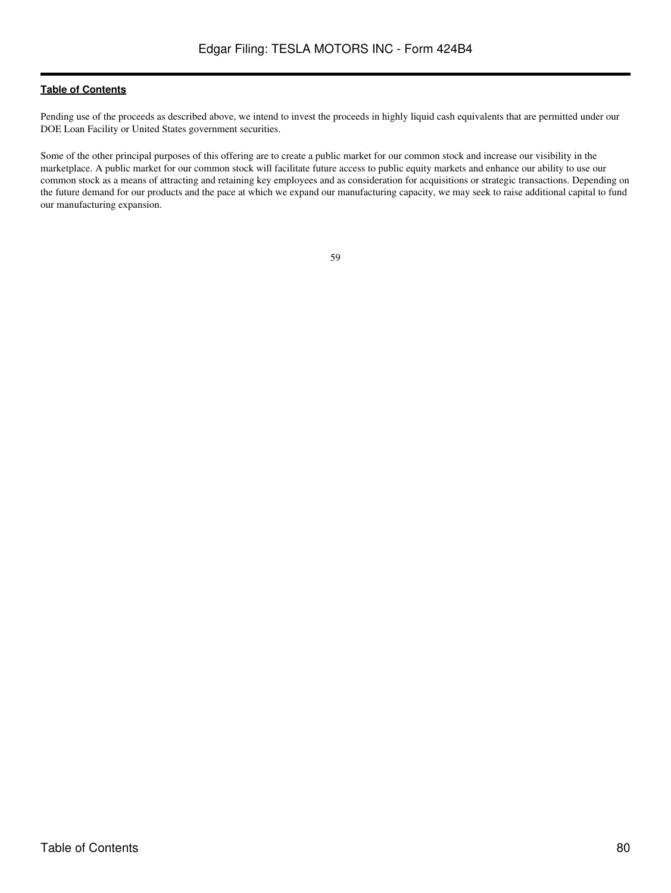Pending use of the proceeds as described above, we intend to invest the proceeds in highly liquid cash equivalents that are permitted under our DOE Loan Facility or United States government securities.

Some of the other principal purposes of this offering are to create a public market for our common stock and increase our visibility in the marketplace. A public market for our common stock will facilitate future access to public equity markets and enhance our ability to use our common stock as a means of attracting and retaining key employees and as consideration for acquisitions or strategic transactions. Depending on the future demand for our products and the pace at which we expand our manufacturing capacity, we may seek to raise additional capital to fund our manufacturing expansion.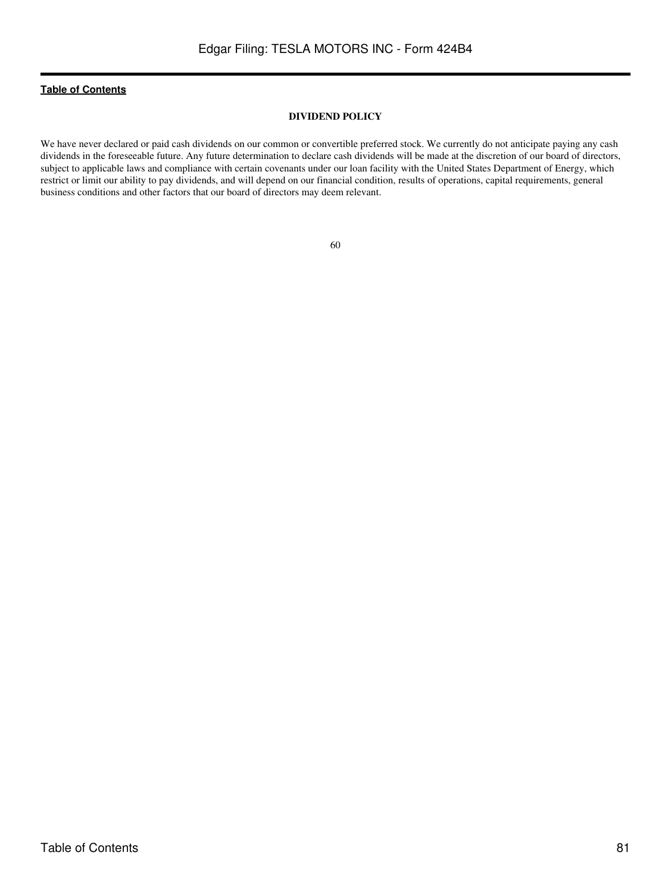#### **DIVIDEND POLICY**

We have never declared or paid cash dividends on our common or convertible preferred stock. We currently do not anticipate paying any cash dividends in the foreseeable future. Any future determination to declare cash dividends will be made at the discretion of our board of directors, subject to applicable laws and compliance with certain covenants under our loan facility with the United States Department of Energy, which restrict or limit our ability to pay dividends, and will depend on our financial condition, results of operations, capital requirements, general business conditions and other factors that our board of directors may deem relevant.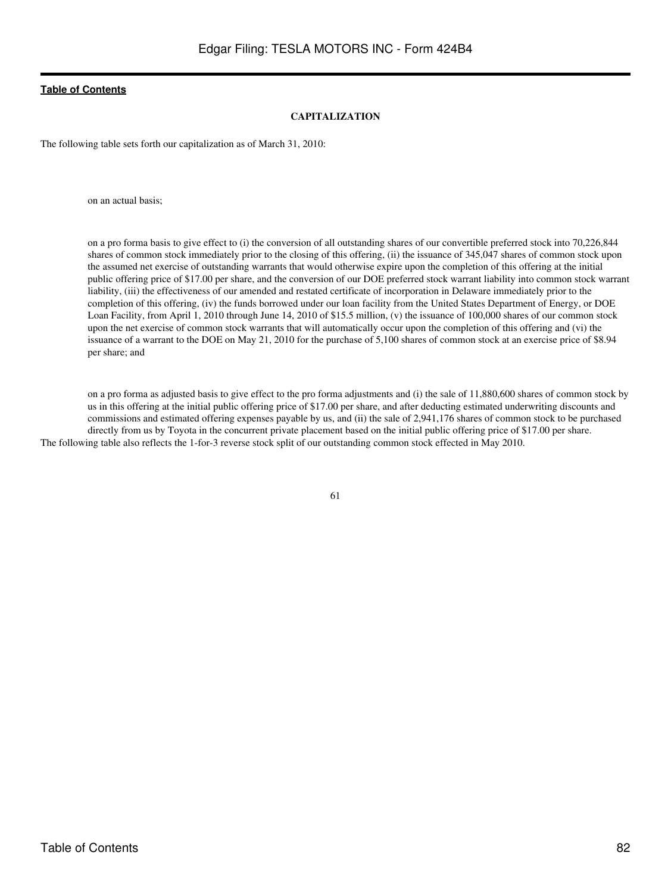#### **CAPITALIZATION**

The following table sets forth our capitalization as of March 31, 2010:

on an actual basis;

on a pro forma basis to give effect to (i) the conversion of all outstanding shares of our convertible preferred stock into 70,226,844 shares of common stock immediately prior to the closing of this offering, (ii) the issuance of 345,047 shares of common stock upon the assumed net exercise of outstanding warrants that would otherwise expire upon the completion of this offering at the initial public offering price of \$17.00 per share, and the conversion of our DOE preferred stock warrant liability into common stock warrant liability, (iii) the effectiveness of our amended and restated certificate of incorporation in Delaware immediately prior to the completion of this offering, (iv) the funds borrowed under our loan facility from the United States Department of Energy, or DOE Loan Facility, from April 1, 2010 through June 14, 2010 of \$15.5 million, (v) the issuance of 100,000 shares of our common stock upon the net exercise of common stock warrants that will automatically occur upon the completion of this offering and (vi) the issuance of a warrant to the DOE on May 21, 2010 for the purchase of 5,100 shares of common stock at an exercise price of \$8.94 per share; and

on a pro forma as adjusted basis to give effect to the pro forma adjustments and (i) the sale of 11,880,600 shares of common stock by us in this offering at the initial public offering price of \$17.00 per share, and after deducting estimated underwriting discounts and commissions and estimated offering expenses payable by us, and (ii) the sale of 2,941,176 shares of common stock to be purchased directly from us by Toyota in the concurrent private placement based on the initial public offering price of \$17.00 per share. The following table also reflects the 1-for-3 reverse stock split of our outstanding common stock effected in May 2010.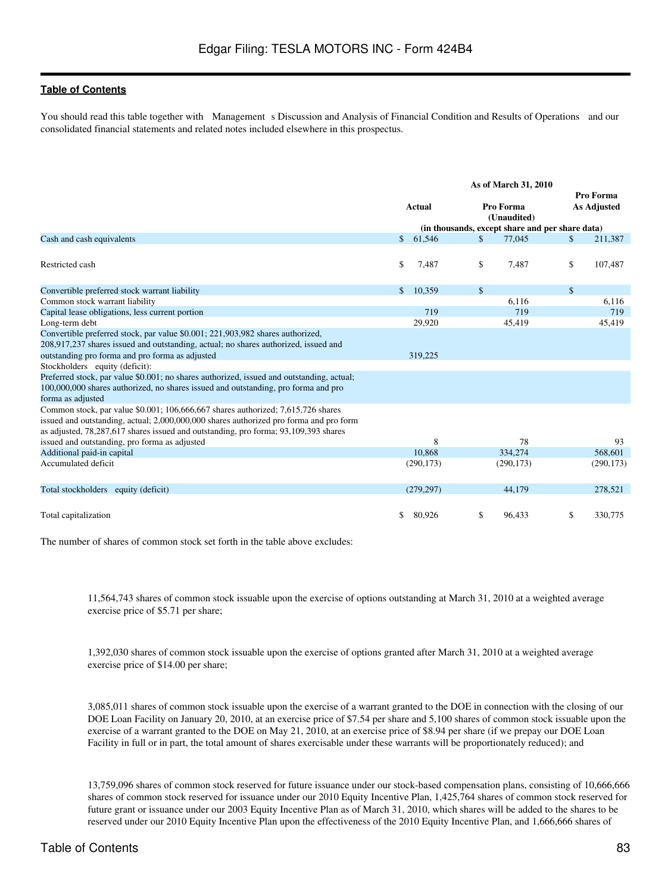You should read this table together with Management s Discussion and Analysis of Financial Condition and Results of Operations and our consolidated financial statements and related notes included elsewhere in this prospectus.

|                                                                                           | As of March 31, 2010 |            |                          |                                                 |              |             |  |
|-------------------------------------------------------------------------------------------|----------------------|------------|--------------------------|-------------------------------------------------|--------------|-------------|--|
|                                                                                           |                      |            |                          |                                                 | Pro Forma    |             |  |
|                                                                                           | Actual               |            | Pro Forma<br>(Unaudited) |                                                 |              | As Adjusted |  |
|                                                                                           |                      |            |                          | (in thousands, except share and per share data) |              |             |  |
| Cash and cash equivalents                                                                 | $\mathbb{S}$         | 61,546     | \$                       | 77,045                                          | $\mathbb{S}$ | 211,387     |  |
|                                                                                           |                      |            |                          |                                                 |              |             |  |
| Restricted cash                                                                           | \$                   | 7,487      | \$                       | 7,487                                           | \$           | 107,487     |  |
|                                                                                           |                      |            |                          |                                                 |              |             |  |
| Convertible preferred stock warrant liability                                             | \$                   | 10,359     | \$                       |                                                 | \$           |             |  |
| Common stock warrant liability                                                            |                      |            |                          | 6.116                                           |              | 6,116       |  |
| Capital lease obligations, less current portion                                           |                      | 719        |                          | 719                                             |              | 719         |  |
| Long-term debt                                                                            |                      | 29,920     |                          | 45,419                                          |              | 45,419      |  |
| Convertible preferred stock, par value \$0.001; 221,903,982 shares authorized,            |                      |            |                          |                                                 |              |             |  |
| 208,917,237 shares issued and outstanding, actual; no shares authorized, issued and       |                      |            |                          |                                                 |              |             |  |
| outstanding pro forma and pro forma as adjusted                                           |                      | 319,225    |                          |                                                 |              |             |  |
| Stockholders equity (deficit):                                                            |                      |            |                          |                                                 |              |             |  |
| Preferred stock, par value \$0.001; no shares authorized, issued and outstanding, actual; |                      |            |                          |                                                 |              |             |  |
| 100,000,000 shares authorized, no shares issued and outstanding, pro forma and pro        |                      |            |                          |                                                 |              |             |  |
| forma as adjusted                                                                         |                      |            |                          |                                                 |              |             |  |
| Common stock, par value \$0.001; 106,666,667 shares authorized; 7,615,726 shares          |                      |            |                          |                                                 |              |             |  |
| issued and outstanding, actual; 2,000,000,000 shares authorized pro forma and pro form    |                      |            |                          |                                                 |              |             |  |
| as adjusted, 78,287,617 shares issued and outstanding, pro forma; 93,109,393 shares       |                      |            |                          |                                                 |              |             |  |
| issued and outstanding, pro forma as adjusted                                             |                      | 8          |                          | 78                                              |              | 93          |  |
| Additional paid-in capital                                                                |                      | 10.868     |                          | 334,274                                         |              | 568,601     |  |
| Accumulated deficit                                                                       |                      | (290, 173) |                          | (290, 173)                                      |              | (290, 173)  |  |
|                                                                                           |                      |            |                          |                                                 |              |             |  |
| Total stockholders equity (deficit)                                                       |                      | (279, 297) |                          | 44,179                                          |              | 278,521     |  |
|                                                                                           |                      |            |                          |                                                 |              |             |  |
| Total capitalization                                                                      | \$                   | 80,926     | \$                       | 96,433                                          | \$           | 330,775     |  |
|                                                                                           |                      |            |                          |                                                 |              |             |  |

The number of shares of common stock set forth in the table above excludes:

11,564,743 shares of common stock issuable upon the exercise of options outstanding at March 31, 2010 at a weighted average exercise price of \$5.71 per share;

1,392,030 shares of common stock issuable upon the exercise of options granted after March 31, 2010 at a weighted average exercise price of \$14.00 per share;

3,085,011 shares of common stock issuable upon the exercise of a warrant granted to the DOE in connection with the closing of our DOE Loan Facility on January 20, 2010, at an exercise price of \$7.54 per share and 5,100 shares of common stock issuable upon the exercise of a warrant granted to the DOE on May 21, 2010, at an exercise price of \$8.94 per share (if we prepay our DOE Loan Facility in full or in part, the total amount of shares exercisable under these warrants will be proportionately reduced); and

13,759,096 shares of common stock reserved for future issuance under our stock-based compensation plans, consisting of 10,666,666 shares of common stock reserved for issuance under our 2010 Equity Incentive Plan, 1,425,764 shares of common stock reserved for future grant or issuance under our 2003 Equity Incentive Plan as of March 31, 2010, which shares will be added to the shares to be reserved under our 2010 Equity Incentive Plan upon the effectiveness of the 2010 Equity Incentive Plan, and 1,666,666 shares of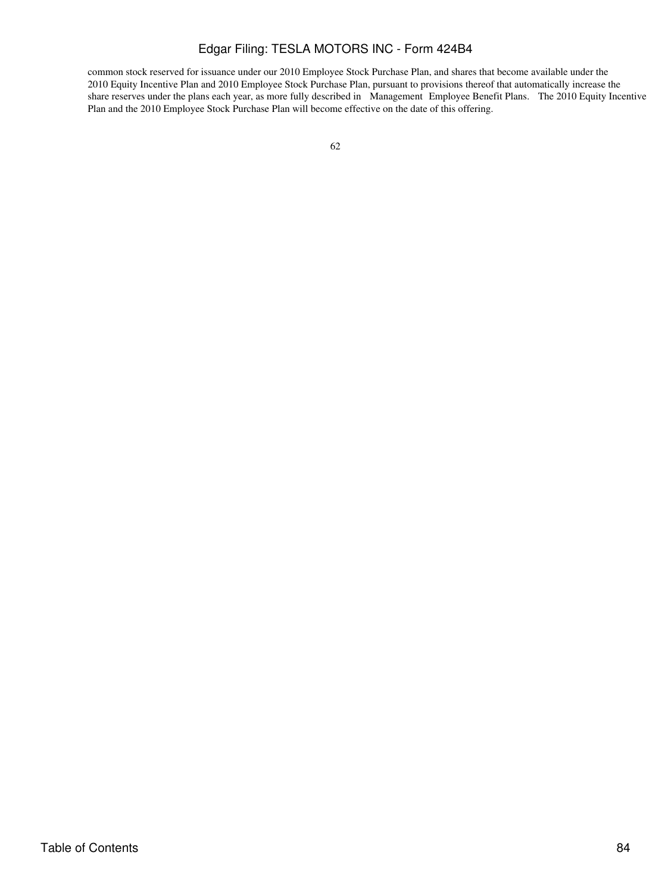## Edgar Filing: TESLA MOTORS INC - Form 424B4

common stock reserved for issuance under our 2010 Employee Stock Purchase Plan, and shares that become available under the 2010 Equity Incentive Plan and 2010 Employee Stock Purchase Plan, pursuant to provisions thereof that automatically increase the share reserves under the plans each year, as more fully described in Management Employee Benefit Plans. The 2010 Equity Incentive Plan and the 2010 Employee Stock Purchase Plan will become effective on the date of this offering.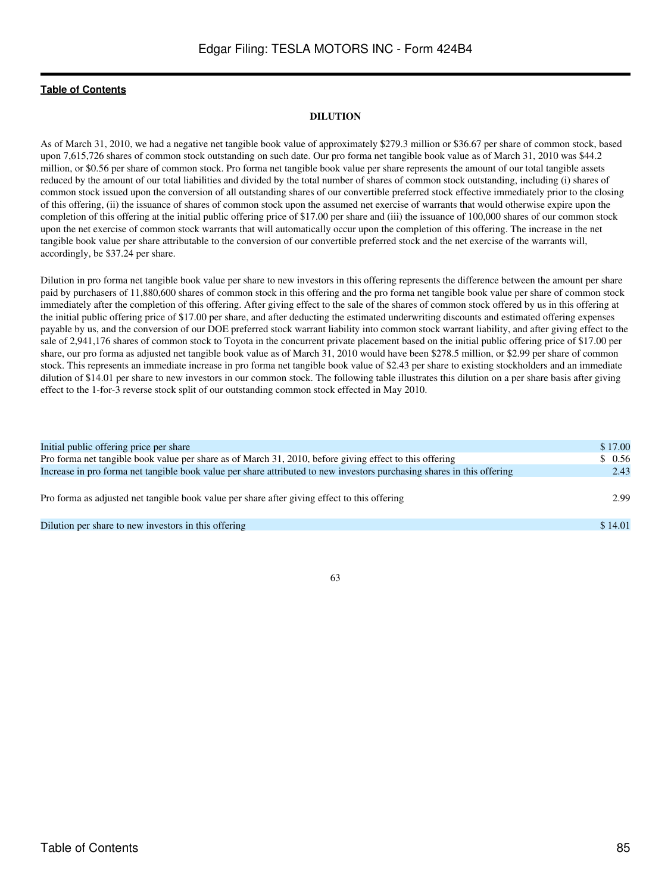#### **DILUTION**

As of March 31, 2010, we had a negative net tangible book value of approximately \$279.3 million or \$36.67 per share of common stock, based upon 7,615,726 shares of common stock outstanding on such date. Our pro forma net tangible book value as of March 31, 2010 was \$44.2 million, or \$0.56 per share of common stock. Pro forma net tangible book value per share represents the amount of our total tangible assets reduced by the amount of our total liabilities and divided by the total number of shares of common stock outstanding, including (i) shares of common stock issued upon the conversion of all outstanding shares of our convertible preferred stock effective immediately prior to the closing of this offering, (ii) the issuance of shares of common stock upon the assumed net exercise of warrants that would otherwise expire upon the completion of this offering at the initial public offering price of \$17.00 per share and (iii) the issuance of 100,000 shares of our common stock upon the net exercise of common stock warrants that will automatically occur upon the completion of this offering. The increase in the net tangible book value per share attributable to the conversion of our convertible preferred stock and the net exercise of the warrants will, accordingly, be \$37.24 per share.

Dilution in pro forma net tangible book value per share to new investors in this offering represents the difference between the amount per share paid by purchasers of 11,880,600 shares of common stock in this offering and the pro forma net tangible book value per share of common stock immediately after the completion of this offering. After giving effect to the sale of the shares of common stock offered by us in this offering at the initial public offering price of \$17.00 per share, and after deducting the estimated underwriting discounts and estimated offering expenses payable by us, and the conversion of our DOE preferred stock warrant liability into common stock warrant liability, and after giving effect to the sale of 2,941,176 shares of common stock to Toyota in the concurrent private placement based on the initial public offering price of \$17.00 per share, our pro forma as adjusted net tangible book value as of March 31, 2010 would have been \$278.5 million, or \$2.99 per share of common stock. This represents an immediate increase in pro forma net tangible book value of \$2.43 per share to existing stockholders and an immediate dilution of \$14.01 per share to new investors in our common stock. The following table illustrates this dilution on a per share basis after giving effect to the 1-for-3 reverse stock split of our outstanding common stock effected in May 2010.

| Initial public offering price per share                                                                                | \$17.00 |
|------------------------------------------------------------------------------------------------------------------------|---------|
| Pro forma net tangible book value per share as of March 31, 2010, before giving effect to this offering                | \$0.56  |
| Increase in pro forma net tangible book value per share attributed to new investors purchasing shares in this offering | 2.43    |
| Pro forma as adjusted net tangible book value per share after giving effect to this offering                           | 2.99    |
| Dilution per share to new investors in this offering                                                                   | \$14.01 |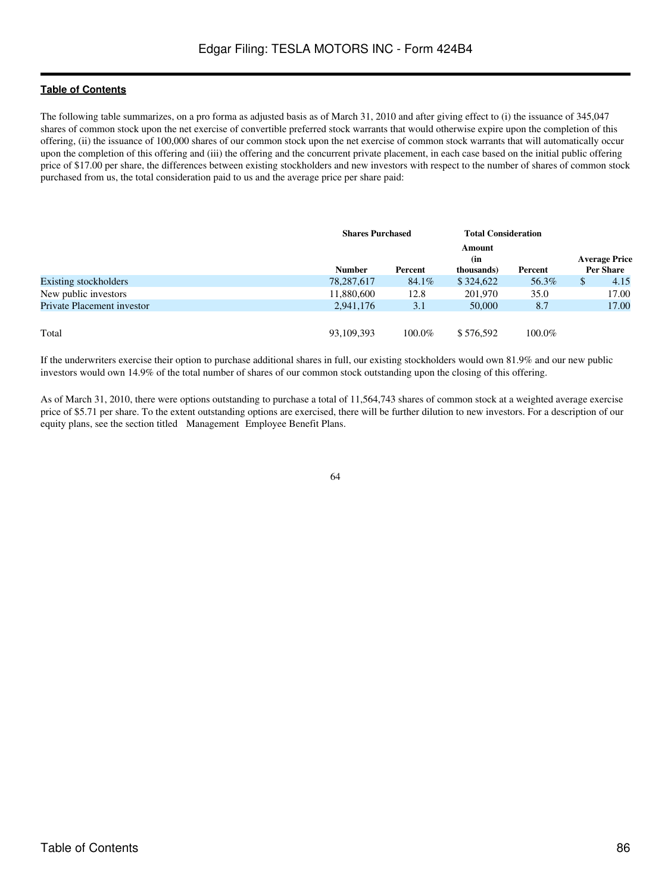The following table summarizes, on a pro forma as adjusted basis as of March 31, 2010 and after giving effect to (i) the issuance of 345,047 shares of common stock upon the net exercise of convertible preferred stock warrants that would otherwise expire upon the completion of this offering, (ii) the issuance of 100,000 shares of our common stock upon the net exercise of common stock warrants that will automatically occur upon the completion of this offering and (iii) the offering and the concurrent private placement, in each case based on the initial public offering price of \$17.00 per share, the differences between existing stockholders and new investors with respect to the number of shares of common stock purchased from us, the total consideration paid to us and the average price per share paid:

|                            |               | <b>Shares Purchased</b> |            | <b>Total Consideration</b> |              |                      |  |
|----------------------------|---------------|-------------------------|------------|----------------------------|--------------|----------------------|--|
|                            |               | Amount                  |            |                            |              |                      |  |
|                            |               |                         | (in        |                            |              | <b>Average Price</b> |  |
|                            | <b>Number</b> | Percent                 | thousands) | Percent                    |              | Per Share            |  |
| Existing stockholders      | 78,287,617    | 84.1%                   | \$324,622  | 56.3%                      | $\mathbb{S}$ | 4.15                 |  |
| New public investors       | 11,880,600    | 12.8                    | 201,970    | 35.0                       |              | 17.00                |  |
| Private Placement investor | 2.941.176     | 3.1                     | 50,000     | 8.7                        |              | 17.00                |  |
|                            |               |                         |            |                            |              |                      |  |
| Total                      | 93,109,393    | 100.0%                  | \$576.592  | 100.0%                     |              |                      |  |

If the underwriters exercise their option to purchase additional shares in full, our existing stockholders would own 81.9% and our new public investors would own 14.9% of the total number of shares of our common stock outstanding upon the closing of this offering.

As of March 31, 2010, there were options outstanding to purchase a total of 11,564,743 shares of common stock at a weighted average exercise price of \$5.71 per share. To the extent outstanding options are exercised, there will be further dilution to new investors. For a description of our equity plans, see the section titled Management Employee Benefit Plans.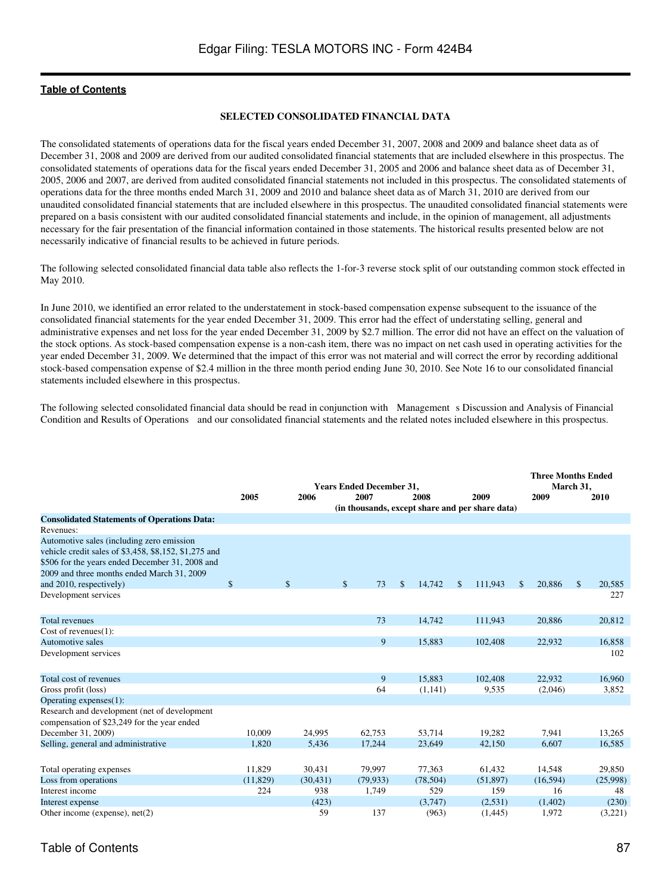#### **SELECTED CONSOLIDATED FINANCIAL DATA**

The consolidated statements of operations data for the fiscal years ended December 31, 2007, 2008 and 2009 and balance sheet data as of December 31, 2008 and 2009 are derived from our audited consolidated financial statements that are included elsewhere in this prospectus. The consolidated statements of operations data for the fiscal years ended December 31, 2005 and 2006 and balance sheet data as of December 31, 2005, 2006 and 2007, are derived from audited consolidated financial statements not included in this prospectus. The consolidated statements of operations data for the three months ended March 31, 2009 and 2010 and balance sheet data as of March 31, 2010 are derived from our unaudited consolidated financial statements that are included elsewhere in this prospectus. The unaudited consolidated financial statements were prepared on a basis consistent with our audited consolidated financial statements and include, in the opinion of management, all adjustments necessary for the fair presentation of the financial information contained in those statements. The historical results presented below are not necessarily indicative of financial results to be achieved in future periods.

The following selected consolidated financial data table also reflects the 1-for-3 reverse stock split of our outstanding common stock effected in May 2010.

In June 2010, we identified an error related to the understatement in stock-based compensation expense subsequent to the issuance of the consolidated financial statements for the year ended December 31, 2009. This error had the effect of understating selling, general and administrative expenses and net loss for the year ended December 31, 2009 by \$2.7 million. The error did not have an effect on the valuation of the stock options. As stock-based compensation expense is a non-cash item, there was no impact on net cash used in operating activities for the year ended December 31, 2009. We determined that the impact of this error was not material and will correct the error by recording additional stock-based compensation expense of \$2.4 million in the three month period ending June 30, 2010. See Note 16 to our consolidated financial statements included elsewhere in this prospectus.

The following selected consolidated financial data should be read in conjunction with Management s Discussion and Analysis of Financial Condition and Results of Operations and our consolidated financial statements and the related notes included elsewhere in this prospectus.

|                                                                                             |           | <b>Years Ended December 31,</b> |              |       |              |           |    |                                                 |              | <b>Three Months Ended</b><br>March 31, |              |          |
|---------------------------------------------------------------------------------------------|-----------|---------------------------------|--------------|-------|--------------|-----------|----|-------------------------------------------------|--------------|----------------------------------------|--------------|----------|
|                                                                                             | 2005      | 2006                            | 2007         |       |              | 2008      |    | 2009                                            |              | 2009                                   |              | 2010     |
|                                                                                             |           |                                 |              |       |              |           |    | (in thousands, except share and per share data) |              |                                        |              |          |
| <b>Consolidated Statements of Operations Data:</b>                                          |           |                                 |              |       |              |           |    |                                                 |              |                                        |              |          |
| Revenues:                                                                                   |           |                                 |              |       |              |           |    |                                                 |              |                                        |              |          |
| Automotive sales (including zero emission                                                   |           |                                 |              |       |              |           |    |                                                 |              |                                        |              |          |
| vehicle credit sales of \$3,458, \$8,152, \$1,275 and                                       |           |                                 |              |       |              |           |    |                                                 |              |                                        |              |          |
| \$506 for the years ended December 31, 2008 and                                             |           |                                 |              |       |              |           |    |                                                 |              |                                        |              |          |
| 2009 and three months ended March 31, 2009                                                  |           |                                 |              |       |              |           |    |                                                 |              |                                        |              |          |
| and 2010, respectively)                                                                     | \$        | \$                              | $\mathbb{S}$ | 73    | $\mathbb{S}$ | 14,742    | \$ | 111,943                                         | $\mathbb{S}$ | 20,886                                 | $\mathbb{S}$ | 20,585   |
| Development services                                                                        |           |                                 |              |       |              |           |    |                                                 |              |                                        |              | 227      |
| <b>Total revenues</b>                                                                       |           |                                 |              | 73    |              | 14,742    |    | 111,943                                         |              | 20,886                                 |              | 20,812   |
| Cost of revenues $(1)$ :                                                                    |           |                                 |              |       |              |           |    |                                                 |              |                                        |              |          |
| Automotive sales                                                                            |           |                                 |              | 9     |              | 15,883    |    | 102,408                                         |              | 22,932                                 |              | 16,858   |
| Development services                                                                        |           |                                 |              |       |              |           |    |                                                 |              |                                        |              | 102      |
| Total cost of revenues                                                                      |           |                                 |              | 9     |              | 15.883    |    | 102,408                                         |              | 22,932                                 |              | 16,960   |
| Gross profit (loss)                                                                         |           |                                 |              | 64    |              | (1,141)   |    | 9,535                                           |              | (2,046)                                |              | 3,852    |
| Operating expenses $(1)$ :                                                                  |           |                                 |              |       |              |           |    |                                                 |              |                                        |              |          |
| Research and development (net of development<br>compensation of \$23,249 for the year ended |           |                                 |              |       |              |           |    |                                                 |              |                                        |              |          |
| December 31, 2009)                                                                          | 10.009    | 24.995                          | 62.753       |       |              | 53.714    |    | 19.282                                          |              | 7.941                                  |              | 13,265   |
| Selling, general and administrative                                                         | 1.820     | 5,436                           | 17,244       |       |              | 23,649    |    | 42,150                                          |              | 6,607                                  |              | 16,585   |
| Total operating expenses                                                                    | 11,829    | 30,431                          | 79.997       |       |              | 77,363    |    | 61,432                                          |              | 14,548                                 |              | 29,850   |
| Loss from operations                                                                        | (11, 829) | (30, 431)                       | (79, 933)    |       |              | (78, 504) |    | (51, 897)                                       |              | (16, 594)                              |              | (25,998) |
| Interest income                                                                             | 224       | 938                             |              | 1,749 |              | 529       |    | 159                                             |              | 16                                     |              | 48       |
| Interest expense                                                                            |           | (423)                           |              |       |              | (3,747)   |    | (2,531)                                         |              | (1,402)                                |              | (230)    |
| Other income (expense), $net(2)$                                                            |           | 59                              |              | 137   |              | (963)     |    | (1,445)                                         |              | 1,972                                  |              | (3,221)  |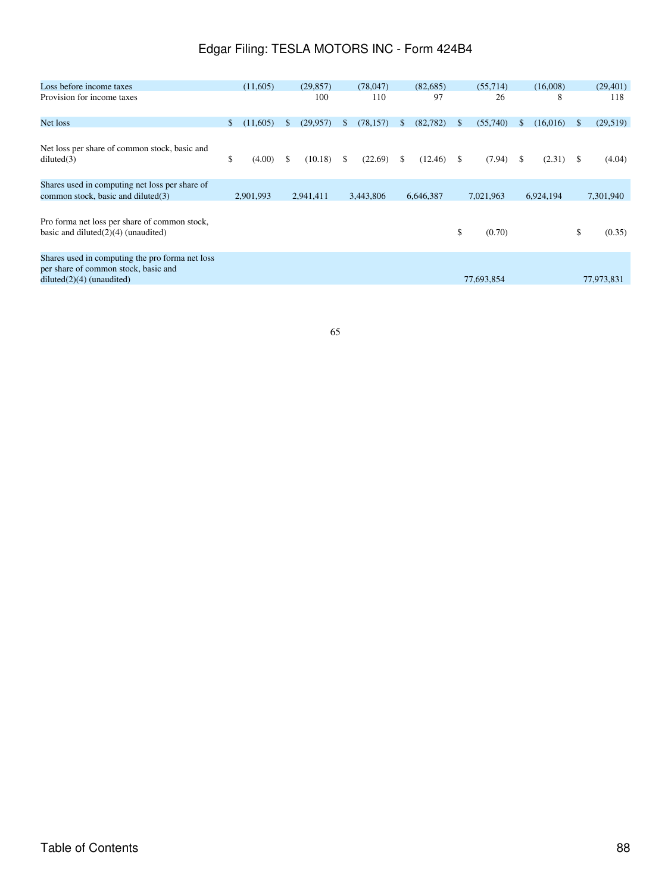# Edgar Filing: TESLA MOTORS INC - Form 424B4

| Loss before income taxes                                                                                              | (11,605)           | (29, 857)       | (78, 047)    | (82,685)              | (55,714)      | (16,008)       | (29, 401)      |
|-----------------------------------------------------------------------------------------------------------------------|--------------------|-----------------|--------------|-----------------------|---------------|----------------|----------------|
| Provision for income taxes                                                                                            |                    | 100             | 110          | 97                    | 26            | 8              | 118            |
| Net loss                                                                                                              | \$<br>.605)<br>(11 | (29, 957)<br>S. | (78, 157)    | (82, 782)<br><b>S</b> | (55,740)<br>S | (16,016)<br>S. | (29, 519)<br>S |
| Net loss per share of common stock, basic and<br>diluted(3)                                                           | \$<br>(4.00)       | (10.18)<br>\$   | (22.69)<br>S | (12.46)<br>S.         | (7.94)<br>\$. | (2.31)<br>\$.  | (4.04)<br>S    |
| Shares used in computing net loss per share of<br>common stock, basic and diluted(3)                                  | 2,901,993          | 2,941,411       | 3,443,806    | 6,646,387             | 7,021,963     | 6,924,194      | 7,301,940      |
| Pro forma net loss per share of common stock,<br>basic and diluted $(2)(4)$ (unaudited)                               |                    |                 |              |                       | \$<br>(0.70)  |                | \$<br>(0.35)   |
| Shares used in computing the proforma net loss<br>per share of common stock, basic and<br>$diluted(2)(4)$ (unaudited) |                    |                 |              |                       | 77,693,854    |                | 77,973,831     |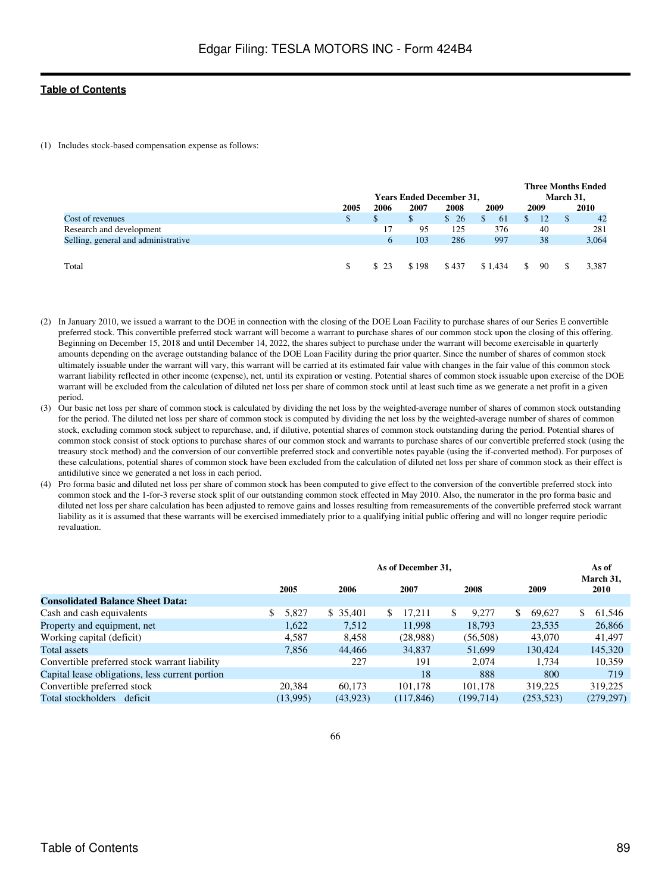#### (1) Includes stock-based compensation expense as follows:

|                                     | <b>Years Ended December 31,</b> |              |       |       | <b>Three Months Ended</b><br>March 31, |      |    |  |       |
|-------------------------------------|---------------------------------|--------------|-------|-------|----------------------------------------|------|----|--|-------|
|                                     | 2005                            | 2006         | 2007  | 2008  | 2009                                   | 2009 |    |  | 2010  |
| Cost of revenues                    | \$                              | \$.          |       | \$26  | -61                                    |      | 12 |  | 42    |
| Research and development            |                                 | 17           | 95    | 125   | 376                                    |      | 40 |  | 281   |
| Selling, general and administrative |                                 | <sub>(</sub> | 103   | 286   | 997                                    |      | 38 |  | 3,064 |
|                                     |                                 |              |       |       |                                        |      |    |  |       |
| Total                               |                                 | \$23         | \$198 | \$437 | \$1.434                                |      | 90 |  | 3,387 |

- (2) In January 2010, we issued a warrant to the DOE in connection with the closing of the DOE Loan Facility to purchase shares of our Series E convertible preferred stock. This convertible preferred stock warrant will become a warrant to purchase shares of our common stock upon the closing of this offering. Beginning on December 15, 2018 and until December 14, 2022, the shares subject to purchase under the warrant will become exercisable in quarterly amounts depending on the average outstanding balance of the DOE Loan Facility during the prior quarter. Since the number of shares of common stock ultimately issuable under the warrant will vary, this warrant will be carried at its estimated fair value with changes in the fair value of this common stock warrant liability reflected in other income (expense), net, until its expiration or vesting. Potential shares of common stock issuable upon exercise of the DOE warrant will be excluded from the calculation of diluted net loss per share of common stock until at least such time as we generate a net profit in a given period.
- (3) Our basic net loss per share of common stock is calculated by dividing the net loss by the weighted-average number of shares of common stock outstanding for the period. The diluted net loss per share of common stock is computed by dividing the net loss by the weighted-average number of shares of common stock, excluding common stock subject to repurchase, and, if dilutive, potential shares of common stock outstanding during the period. Potential shares of common stock consist of stock options to purchase shares of our common stock and warrants to purchase shares of our convertible preferred stock (using the treasury stock method) and the conversion of our convertible preferred stock and convertible notes payable (using the if-converted method). For purposes of these calculations, potential shares of common stock have been excluded from the calculation of diluted net loss per share of common stock as their effect is antidilutive since we generated a net loss in each period.
- (4) Pro forma basic and diluted net loss per share of common stock has been computed to give effect to the conversion of the convertible preferred stock into common stock and the 1-for-3 reverse stock split of our outstanding common stock effected in May 2010. Also, the numerator in the pro forma basic and diluted net loss per share calculation has been adjusted to remove gains and losses resulting from remeasurements of the convertible preferred stock warrant liability as it is assumed that these warrants will be exercised immediately prior to a qualifying initial public offering and will no longer require periodic revaluation.

|                                                 |             | As of<br>March 31, |              |             |              |              |
|-------------------------------------------------|-------------|--------------------|--------------|-------------|--------------|--------------|
|                                                 | 2005        | 2006<br>2007       |              | 2008        | 2009         | 2010         |
| <b>Consolidated Balance Sheet Data:</b>         |             |                    |              |             |              |              |
| Cash and cash equivalents                       | 5,827<br>\$ | \$ 35,401          | 17.211<br>\$ | \$<br>9.277 | \$<br>69,627 | \$<br>61,546 |
| Property and equipment, net                     | 1.622       | 7,512              | 11,998       | 18.793      | 23,535       | 26,866       |
| Working capital (deficit)                       | 4.587       | 8.458              | (28,988)     | (56,508)    | 43,070       | 41,497       |
| Total assets                                    | 7.856       | 44.466             | 34,837       | 51,699      | 130.424      | 145,320      |
| Convertible preferred stock warrant liability   |             | 227                | 191          | 2.074       | 1.734        | 10,359       |
| Capital lease obligations, less current portion |             |                    | 18           | 888         | 800          | 719          |
| Convertible preferred stock                     | 20.384      | 60.173             | 101.178      | 101.178     | 319,225      | 319.225      |
| Total stockholders deficit                      | (13,995)    | (43,923)           | (117, 846)   | (199.714)   | (253, 523)   | (279, 297)   |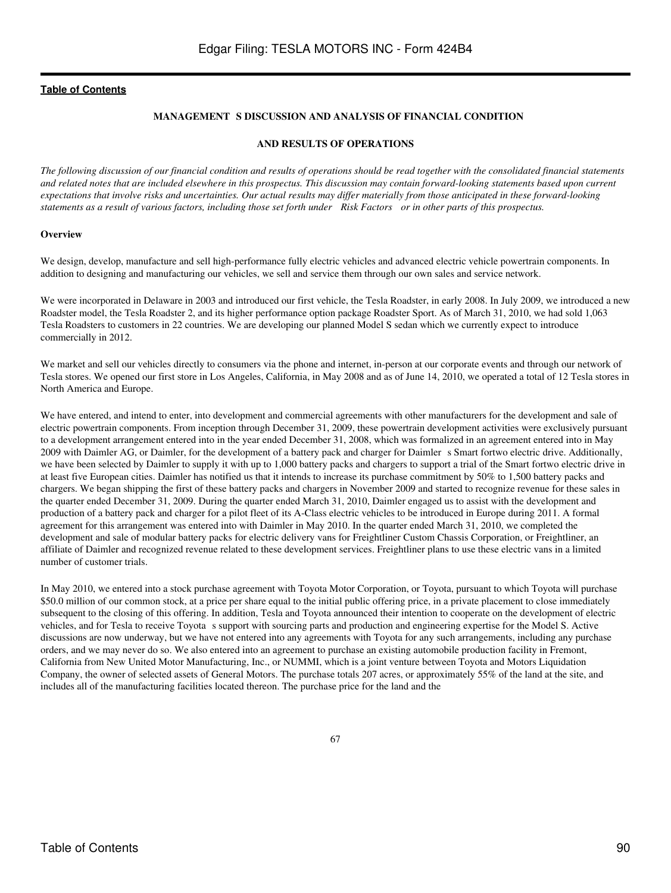#### **MANAGEMENT S DISCUSSION AND ANALYSIS OF FINANCIAL CONDITION**

## **AND RESULTS OF OPERATIONS**

*The following discussion of our financial condition and results of operations should be read together with the consolidated financial statements and related notes that are included elsewhere in this prospectus. This discussion may contain forward-looking statements based upon current expectations that involve risks and uncertainties. Our actual results may differ materially from those anticipated in these forward-looking statements as a result of various factors, including those set forth under Risk Factors or in other parts of this prospectus.*

#### **Overview**

We design, develop, manufacture and sell high-performance fully electric vehicles and advanced electric vehicle powertrain components. In addition to designing and manufacturing our vehicles, we sell and service them through our own sales and service network.

We were incorporated in Delaware in 2003 and introduced our first vehicle, the Tesla Roadster, in early 2008. In July 2009, we introduced a new Roadster model, the Tesla Roadster 2, and its higher performance option package Roadster Sport. As of March 31, 2010, we had sold 1,063 Tesla Roadsters to customers in 22 countries. We are developing our planned Model S sedan which we currently expect to introduce commercially in 2012.

We market and sell our vehicles directly to consumers via the phone and internet, in-person at our corporate events and through our network of Tesla stores. We opened our first store in Los Angeles, California, in May 2008 and as of June 14, 2010, we operated a total of 12 Tesla stores in North America and Europe.

We have entered, and intend to enter, into development and commercial agreements with other manufacturers for the development and sale of electric powertrain components. From inception through December 31, 2009, these powertrain development activities were exclusively pursuant to a development arrangement entered into in the year ended December 31, 2008, which was formalized in an agreement entered into in May 2009 with Daimler AG, or Daimler, for the development of a battery pack and charger for Daimler s Smart fortwo electric drive. Additionally, we have been selected by Daimler to supply it with up to 1,000 battery packs and chargers to support a trial of the Smart fortwo electric drive in at least five European cities. Daimler has notified us that it intends to increase its purchase commitment by 50% to 1,500 battery packs and chargers. We began shipping the first of these battery packs and chargers in November 2009 and started to recognize revenue for these sales in the quarter ended December 31, 2009. During the quarter ended March 31, 2010, Daimler engaged us to assist with the development and production of a battery pack and charger for a pilot fleet of its A-Class electric vehicles to be introduced in Europe during 2011. A formal agreement for this arrangement was entered into with Daimler in May 2010. In the quarter ended March 31, 2010, we completed the development and sale of modular battery packs for electric delivery vans for Freightliner Custom Chassis Corporation, or Freightliner, an affiliate of Daimler and recognized revenue related to these development services. Freightliner plans to use these electric vans in a limited number of customer trials.

In May 2010, we entered into a stock purchase agreement with Toyota Motor Corporation, or Toyota, pursuant to which Toyota will purchase \$50.0 million of our common stock, at a price per share equal to the initial public offering price, in a private placement to close immediately subsequent to the closing of this offering. In addition, Tesla and Toyota announced their intention to cooperate on the development of electric vehicles, and for Tesla to receive Toyotas support with sourcing parts and production and engineering expertise for the Model S. Active discussions are now underway, but we have not entered into any agreements with Toyota for any such arrangements, including any purchase orders, and we may never do so. We also entered into an agreement to purchase an existing automobile production facility in Fremont, California from New United Motor Manufacturing, Inc., or NUMMI, which is a joint venture between Toyota and Motors Liquidation Company, the owner of selected assets of General Motors. The purchase totals 207 acres, or approximately 55% of the land at the site, and includes all of the manufacturing facilities located thereon. The purchase price for the land and the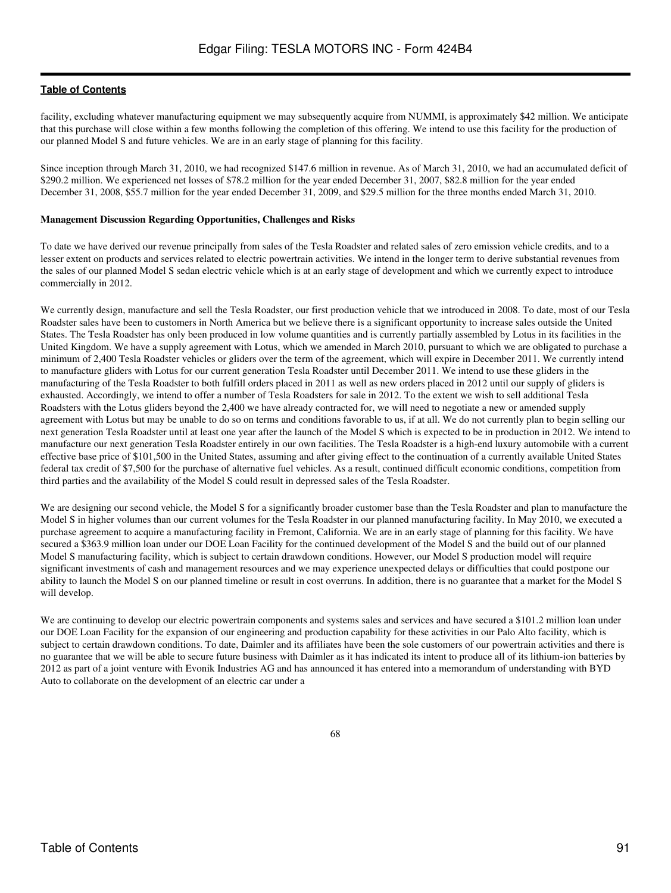facility, excluding whatever manufacturing equipment we may subsequently acquire from NUMMI, is approximately \$42 million. We anticipate that this purchase will close within a few months following the completion of this offering. We intend to use this facility for the production of our planned Model S and future vehicles. We are in an early stage of planning for this facility.

Since inception through March 31, 2010, we had recognized \$147.6 million in revenue. As of March 31, 2010, we had an accumulated deficit of \$290.2 million. We experienced net losses of \$78.2 million for the year ended December 31, 2007, \$82.8 million for the year ended December 31, 2008, \$55.7 million for the year ended December 31, 2009, and \$29.5 million for the three months ended March 31, 2010.

#### **Management Discussion Regarding Opportunities, Challenges and Risks**

To date we have derived our revenue principally from sales of the Tesla Roadster and related sales of zero emission vehicle credits, and to a lesser extent on products and services related to electric powertrain activities. We intend in the longer term to derive substantial revenues from the sales of our planned Model S sedan electric vehicle which is at an early stage of development and which we currently expect to introduce commercially in 2012.

We currently design, manufacture and sell the Tesla Roadster, our first production vehicle that we introduced in 2008. To date, most of our Tesla Roadster sales have been to customers in North America but we believe there is a significant opportunity to increase sales outside the United States. The Tesla Roadster has only been produced in low volume quantities and is currently partially assembled by Lotus in its facilities in the United Kingdom. We have a supply agreement with Lotus, which we amended in March 2010, pursuant to which we are obligated to purchase a minimum of 2,400 Tesla Roadster vehicles or gliders over the term of the agreement, which will expire in December 2011. We currently intend to manufacture gliders with Lotus for our current generation Tesla Roadster until December 2011. We intend to use these gliders in the manufacturing of the Tesla Roadster to both fulfill orders placed in 2011 as well as new orders placed in 2012 until our supply of gliders is exhausted. Accordingly, we intend to offer a number of Tesla Roadsters for sale in 2012. To the extent we wish to sell additional Tesla Roadsters with the Lotus gliders beyond the 2,400 we have already contracted for, we will need to negotiate a new or amended supply agreement with Lotus but may be unable to do so on terms and conditions favorable to us, if at all. We do not currently plan to begin selling our next generation Tesla Roadster until at least one year after the launch of the Model S which is expected to be in production in 2012. We intend to manufacture our next generation Tesla Roadster entirely in our own facilities. The Tesla Roadster is a high-end luxury automobile with a current effective base price of \$101,500 in the United States, assuming and after giving effect to the continuation of a currently available United States federal tax credit of \$7,500 for the purchase of alternative fuel vehicles. As a result, continued difficult economic conditions, competition from third parties and the availability of the Model S could result in depressed sales of the Tesla Roadster.

We are designing our second vehicle, the Model S for a significantly broader customer base than the Tesla Roadster and plan to manufacture the Model S in higher volumes than our current volumes for the Tesla Roadster in our planned manufacturing facility. In May 2010, we executed a purchase agreement to acquire a manufacturing facility in Fremont, California. We are in an early stage of planning for this facility. We have secured a \$363.9 million loan under our DOE Loan Facility for the continued development of the Model S and the build out of our planned Model S manufacturing facility, which is subject to certain drawdown conditions. However, our Model S production model will require significant investments of cash and management resources and we may experience unexpected delays or difficulties that could postpone our ability to launch the Model S on our planned timeline or result in cost overruns. In addition, there is no guarantee that a market for the Model S will develop.

We are continuing to develop our electric powertrain components and systems sales and services and have secured a \$101.2 million loan under our DOE Loan Facility for the expansion of our engineering and production capability for these activities in our Palo Alto facility, which is subject to certain drawdown conditions. To date, Daimler and its affiliates have been the sole customers of our powertrain activities and there is no guarantee that we will be able to secure future business with Daimler as it has indicated its intent to produce all of its lithium-ion batteries by 2012 as part of a joint venture with Evonik Industries AG and has announced it has entered into a memorandum of understanding with BYD Auto to collaborate on the development of an electric car under a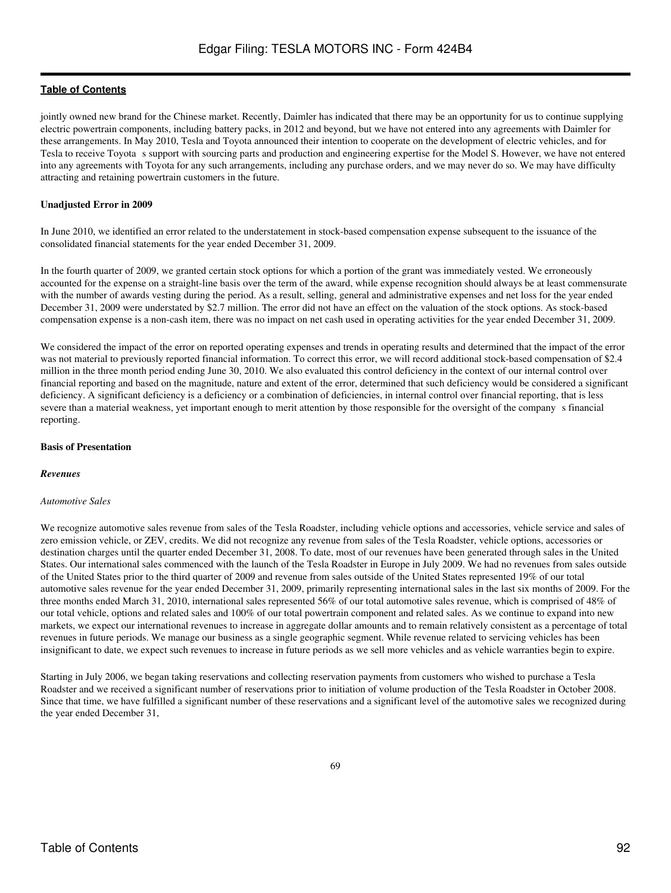jointly owned new brand for the Chinese market. Recently, Daimler has indicated that there may be an opportunity for us to continue supplying electric powertrain components, including battery packs, in 2012 and beyond, but we have not entered into any agreements with Daimler for these arrangements. In May 2010, Tesla and Toyota announced their intention to cooperate on the development of electric vehicles, and for Tesla to receive Toyota s support with sourcing parts and production and engineering expertise for the Model S. However, we have not entered into any agreements with Toyota for any such arrangements, including any purchase orders, and we may never do so. We may have difficulty attracting and retaining powertrain customers in the future.

#### **Unadjusted Error in 2009**

In June 2010, we identified an error related to the understatement in stock-based compensation expense subsequent to the issuance of the consolidated financial statements for the year ended December 31, 2009.

In the fourth quarter of 2009, we granted certain stock options for which a portion of the grant was immediately vested. We erroneously accounted for the expense on a straight-line basis over the term of the award, while expense recognition should always be at least commensurate with the number of awards vesting during the period. As a result, selling, general and administrative expenses and net loss for the year ended December 31, 2009 were understated by \$2.7 million. The error did not have an effect on the valuation of the stock options. As stock-based compensation expense is a non-cash item, there was no impact on net cash used in operating activities for the year ended December 31, 2009.

We considered the impact of the error on reported operating expenses and trends in operating results and determined that the impact of the error was not material to previously reported financial information. To correct this error, we will record additional stock-based compensation of \$2.4 million in the three month period ending June 30, 2010. We also evaluated this control deficiency in the context of our internal control over financial reporting and based on the magnitude, nature and extent of the error, determined that such deficiency would be considered a significant deficiency. A significant deficiency is a deficiency or a combination of deficiencies, in internal control over financial reporting, that is less severe than a material weakness, yet important enough to merit attention by those responsible for the oversight of the company s financial reporting.

#### **Basis of Presentation**

#### *Revenues*

#### *Automotive Sales*

We recognize automotive sales revenue from sales of the Tesla Roadster, including vehicle options and accessories, vehicle service and sales of zero emission vehicle, or ZEV, credits. We did not recognize any revenue from sales of the Tesla Roadster, vehicle options, accessories or destination charges until the quarter ended December 31, 2008. To date, most of our revenues have been generated through sales in the United States. Our international sales commenced with the launch of the Tesla Roadster in Europe in July 2009. We had no revenues from sales outside of the United States prior to the third quarter of 2009 and revenue from sales outside of the United States represented 19% of our total automotive sales revenue for the year ended December 31, 2009, primarily representing international sales in the last six months of 2009. For the three months ended March 31, 2010, international sales represented 56% of our total automotive sales revenue, which is comprised of 48% of our total vehicle, options and related sales and 100% of our total powertrain component and related sales. As we continue to expand into new markets, we expect our international revenues to increase in aggregate dollar amounts and to remain relatively consistent as a percentage of total revenues in future periods. We manage our business as a single geographic segment. While revenue related to servicing vehicles has been insignificant to date, we expect such revenues to increase in future periods as we sell more vehicles and as vehicle warranties begin to expire.

Starting in July 2006, we began taking reservations and collecting reservation payments from customers who wished to purchase a Tesla Roadster and we received a significant number of reservations prior to initiation of volume production of the Tesla Roadster in October 2008. Since that time, we have fulfilled a significant number of these reservations and a significant level of the automotive sales we recognized during the year ended December 31,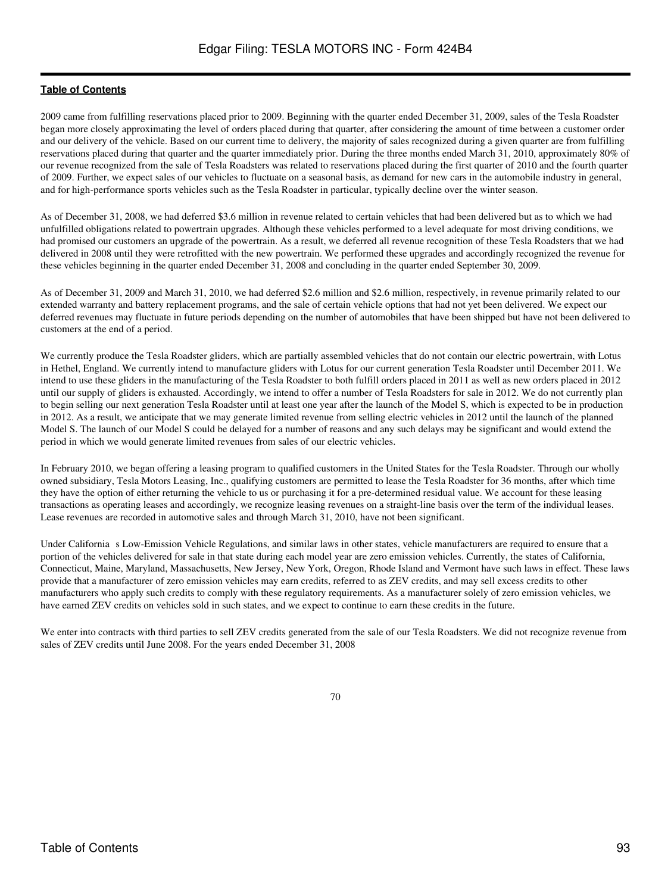2009 came from fulfilling reservations placed prior to 2009. Beginning with the quarter ended December 31, 2009, sales of the Tesla Roadster began more closely approximating the level of orders placed during that quarter, after considering the amount of time between a customer order and our delivery of the vehicle. Based on our current time to delivery, the majority of sales recognized during a given quarter are from fulfilling reservations placed during that quarter and the quarter immediately prior. During the three months ended March 31, 2010, approximately 80% of our revenue recognized from the sale of Tesla Roadsters was related to reservations placed during the first quarter of 2010 and the fourth quarter of 2009. Further, we expect sales of our vehicles to fluctuate on a seasonal basis, as demand for new cars in the automobile industry in general, and for high-performance sports vehicles such as the Tesla Roadster in particular, typically decline over the winter season.

As of December 31, 2008, we had deferred \$3.6 million in revenue related to certain vehicles that had been delivered but as to which we had unfulfilled obligations related to powertrain upgrades. Although these vehicles performed to a level adequate for most driving conditions, we had promised our customers an upgrade of the powertrain. As a result, we deferred all revenue recognition of these Tesla Roadsters that we had delivered in 2008 until they were retrofitted with the new powertrain. We performed these upgrades and accordingly recognized the revenue for these vehicles beginning in the quarter ended December 31, 2008 and concluding in the quarter ended September 30, 2009.

As of December 31, 2009 and March 31, 2010, we had deferred \$2.6 million and \$2.6 million, respectively, in revenue primarily related to our extended warranty and battery replacement programs, and the sale of certain vehicle options that had not yet been delivered. We expect our deferred revenues may fluctuate in future periods depending on the number of automobiles that have been shipped but have not been delivered to customers at the end of a period.

We currently produce the Tesla Roadster gliders, which are partially assembled vehicles that do not contain our electric powertrain, with Lotus in Hethel, England. We currently intend to manufacture gliders with Lotus for our current generation Tesla Roadster until December 2011. We intend to use these gliders in the manufacturing of the Tesla Roadster to both fulfill orders placed in 2011 as well as new orders placed in 2012 until our supply of gliders is exhausted. Accordingly, we intend to offer a number of Tesla Roadsters for sale in 2012. We do not currently plan to begin selling our next generation Tesla Roadster until at least one year after the launch of the Model S, which is expected to be in production in 2012. As a result, we anticipate that we may generate limited revenue from selling electric vehicles in 2012 until the launch of the planned Model S. The launch of our Model S could be delayed for a number of reasons and any such delays may be significant and would extend the period in which we would generate limited revenues from sales of our electric vehicles.

In February 2010, we began offering a leasing program to qualified customers in the United States for the Tesla Roadster. Through our wholly owned subsidiary, Tesla Motors Leasing, Inc., qualifying customers are permitted to lease the Tesla Roadster for 36 months, after which time they have the option of either returning the vehicle to us or purchasing it for a pre-determined residual value. We account for these leasing transactions as operating leases and accordingly, we recognize leasing revenues on a straight-line basis over the term of the individual leases. Lease revenues are recorded in automotive sales and through March 31, 2010, have not been significant.

Under California s Low-Emission Vehicle Regulations, and similar laws in other states, vehicle manufacturers are required to ensure that a portion of the vehicles delivered for sale in that state during each model year are zero emission vehicles. Currently, the states of California, Connecticut, Maine, Maryland, Massachusetts, New Jersey, New York, Oregon, Rhode Island and Vermont have such laws in effect. These laws provide that a manufacturer of zero emission vehicles may earn credits, referred to as ZEV credits, and may sell excess credits to other manufacturers who apply such credits to comply with these regulatory requirements. As a manufacturer solely of zero emission vehicles, we have earned ZEV credits on vehicles sold in such states, and we expect to continue to earn these credits in the future.

We enter into contracts with third parties to sell ZEV credits generated from the sale of our Tesla Roadsters. We did not recognize revenue from sales of ZEV credits until June 2008. For the years ended December 31, 2008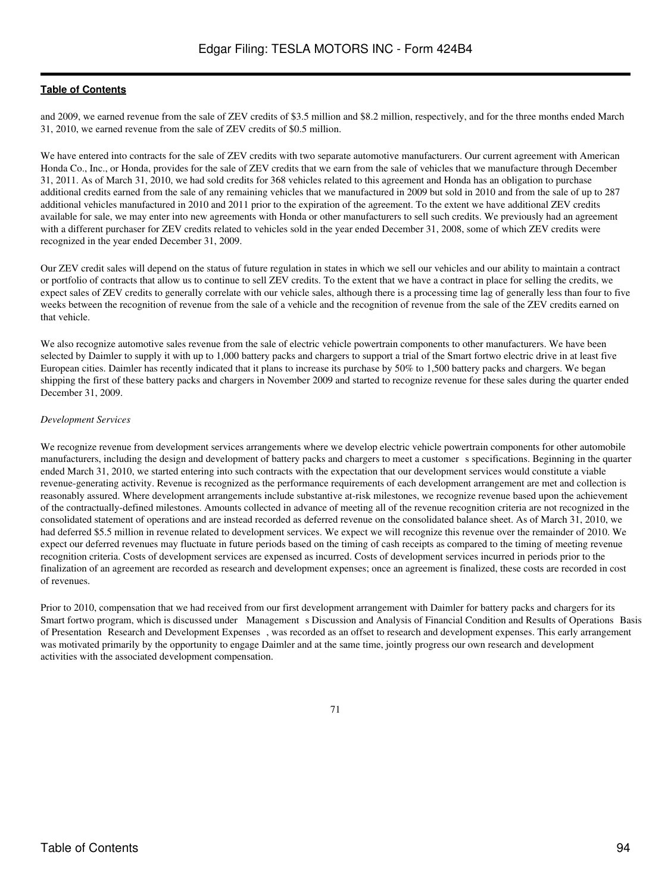and 2009, we earned revenue from the sale of ZEV credits of \$3.5 million and \$8.2 million, respectively, and for the three months ended March 31, 2010, we earned revenue from the sale of ZEV credits of \$0.5 million.

We have entered into contracts for the sale of ZEV credits with two separate automotive manufacturers. Our current agreement with American Honda Co., Inc., or Honda, provides for the sale of ZEV credits that we earn from the sale of vehicles that we manufacture through December 31, 2011. As of March 31, 2010, we had sold credits for 368 vehicles related to this agreement and Honda has an obligation to purchase additional credits earned from the sale of any remaining vehicles that we manufactured in 2009 but sold in 2010 and from the sale of up to 287 additional vehicles manufactured in 2010 and 2011 prior to the expiration of the agreement. To the extent we have additional ZEV credits available for sale, we may enter into new agreements with Honda or other manufacturers to sell such credits. We previously had an agreement with a different purchaser for ZEV credits related to vehicles sold in the year ended December 31, 2008, some of which ZEV credits were recognized in the year ended December 31, 2009.

Our ZEV credit sales will depend on the status of future regulation in states in which we sell our vehicles and our ability to maintain a contract or portfolio of contracts that allow us to continue to sell ZEV credits. To the extent that we have a contract in place for selling the credits, we expect sales of ZEV credits to generally correlate with our vehicle sales, although there is a processing time lag of generally less than four to five weeks between the recognition of revenue from the sale of a vehicle and the recognition of revenue from the sale of the ZEV credits earned on that vehicle.

We also recognize automotive sales revenue from the sale of electric vehicle powertrain components to other manufacturers. We have been selected by Daimler to supply it with up to 1,000 battery packs and chargers to support a trial of the Smart fortwo electric drive in at least five European cities. Daimler has recently indicated that it plans to increase its purchase by 50% to 1,500 battery packs and chargers. We began shipping the first of these battery packs and chargers in November 2009 and started to recognize revenue for these sales during the quarter ended December 31, 2009.

#### *Development Services*

We recognize revenue from development services arrangements where we develop electric vehicle powertrain components for other automobile manufacturers, including the design and development of battery packs and chargers to meet a customer s specifications. Beginning in the quarter ended March 31, 2010, we started entering into such contracts with the expectation that our development services would constitute a viable revenue-generating activity. Revenue is recognized as the performance requirements of each development arrangement are met and collection is reasonably assured. Where development arrangements include substantive at-risk milestones, we recognize revenue based upon the achievement of the contractually-defined milestones. Amounts collected in advance of meeting all of the revenue recognition criteria are not recognized in the consolidated statement of operations and are instead recorded as deferred revenue on the consolidated balance sheet. As of March 31, 2010, we had deferred \$5.5 million in revenue related to development services. We expect we will recognize this revenue over the remainder of 2010. We expect our deferred revenues may fluctuate in future periods based on the timing of cash receipts as compared to the timing of meeting revenue recognition criteria. Costs of development services are expensed as incurred. Costs of development services incurred in periods prior to the finalization of an agreement are recorded as research and development expenses; once an agreement is finalized, these costs are recorded in cost of revenues.

Prior to 2010, compensation that we had received from our first development arrangement with Daimler for battery packs and chargers for its Smart fortwo program, which is discussed under Management s Discussion and Analysis of Financial Condition and Results of Operations Basis of Presentation Research and Development Expenses, was recorded as an offset to research and development expenses. This early arrangement was motivated primarily by the opportunity to engage Daimler and at the same time, jointly progress our own research and development activities with the associated development compensation.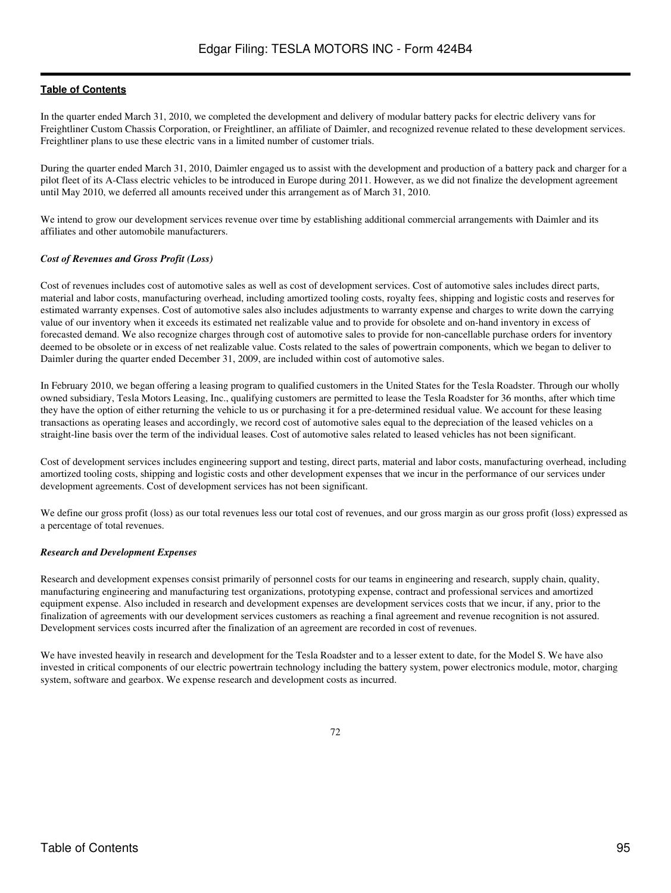In the quarter ended March 31, 2010, we completed the development and delivery of modular battery packs for electric delivery vans for Freightliner Custom Chassis Corporation, or Freightliner, an affiliate of Daimler, and recognized revenue related to these development services. Freightliner plans to use these electric vans in a limited number of customer trials.

During the quarter ended March 31, 2010, Daimler engaged us to assist with the development and production of a battery pack and charger for a pilot fleet of its A-Class electric vehicles to be introduced in Europe during 2011. However, as we did not finalize the development agreement until May 2010, we deferred all amounts received under this arrangement as of March 31, 2010.

We intend to grow our development services revenue over time by establishing additional commercial arrangements with Daimler and its affiliates and other automobile manufacturers.

## *Cost of Revenues and Gross Profit (Loss)*

Cost of revenues includes cost of automotive sales as well as cost of development services. Cost of automotive sales includes direct parts, material and labor costs, manufacturing overhead, including amortized tooling costs, royalty fees, shipping and logistic costs and reserves for estimated warranty expenses. Cost of automotive sales also includes adjustments to warranty expense and charges to write down the carrying value of our inventory when it exceeds its estimated net realizable value and to provide for obsolete and on-hand inventory in excess of forecasted demand. We also recognize charges through cost of automotive sales to provide for non-cancellable purchase orders for inventory deemed to be obsolete or in excess of net realizable value. Costs related to the sales of powertrain components, which we began to deliver to Daimler during the quarter ended December 31, 2009, are included within cost of automotive sales.

In February 2010, we began offering a leasing program to qualified customers in the United States for the Tesla Roadster. Through our wholly owned subsidiary, Tesla Motors Leasing, Inc., qualifying customers are permitted to lease the Tesla Roadster for 36 months, after which time they have the option of either returning the vehicle to us or purchasing it for a pre-determined residual value. We account for these leasing transactions as operating leases and accordingly, we record cost of automotive sales equal to the depreciation of the leased vehicles on a straight-line basis over the term of the individual leases. Cost of automotive sales related to leased vehicles has not been significant.

Cost of development services includes engineering support and testing, direct parts, material and labor costs, manufacturing overhead, including amortized tooling costs, shipping and logistic costs and other development expenses that we incur in the performance of our services under development agreements. Cost of development services has not been significant.

We define our gross profit (loss) as our total revenues less our total cost of revenues, and our gross margin as our gross profit (loss) expressed as a percentage of total revenues.

## *Research and Development Expenses*

Research and development expenses consist primarily of personnel costs for our teams in engineering and research, supply chain, quality, manufacturing engineering and manufacturing test organizations, prototyping expense, contract and professional services and amortized equipment expense. Also included in research and development expenses are development services costs that we incur, if any, prior to the finalization of agreements with our development services customers as reaching a final agreement and revenue recognition is not assured. Development services costs incurred after the finalization of an agreement are recorded in cost of revenues.

We have invested heavily in research and development for the Tesla Roadster and to a lesser extent to date, for the Model S. We have also invested in critical components of our electric powertrain technology including the battery system, power electronics module, motor, charging system, software and gearbox. We expense research and development costs as incurred.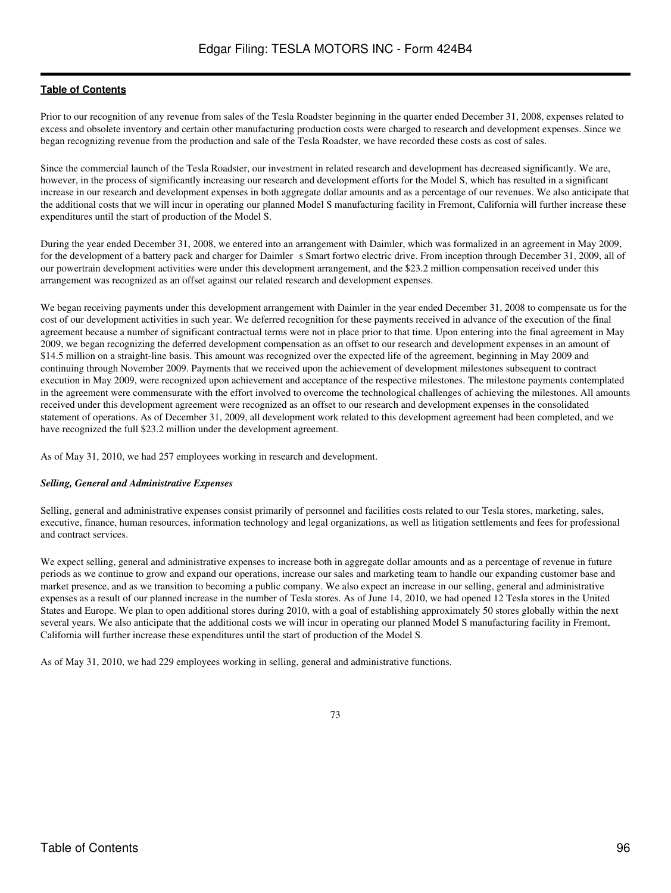Prior to our recognition of any revenue from sales of the Tesla Roadster beginning in the quarter ended December 31, 2008, expenses related to excess and obsolete inventory and certain other manufacturing production costs were charged to research and development expenses. Since we began recognizing revenue from the production and sale of the Tesla Roadster, we have recorded these costs as cost of sales.

Since the commercial launch of the Tesla Roadster, our investment in related research and development has decreased significantly. We are, however, in the process of significantly increasing our research and development efforts for the Model S, which has resulted in a significant increase in our research and development expenses in both aggregate dollar amounts and as a percentage of our revenues. We also anticipate that the additional costs that we will incur in operating our planned Model S manufacturing facility in Fremont, California will further increase these expenditures until the start of production of the Model S.

During the year ended December 31, 2008, we entered into an arrangement with Daimler, which was formalized in an agreement in May 2009, for the development of a battery pack and charger for Daimler s Smart fortwo electric drive. From inception through December 31, 2009, all of our powertrain development activities were under this development arrangement, and the \$23.2 million compensation received under this arrangement was recognized as an offset against our related research and development expenses.

We began receiving payments under this development arrangement with Daimler in the year ended December 31, 2008 to compensate us for the cost of our development activities in such year. We deferred recognition for these payments received in advance of the execution of the final agreement because a number of significant contractual terms were not in place prior to that time. Upon entering into the final agreement in May 2009, we began recognizing the deferred development compensation as an offset to our research and development expenses in an amount of \$14.5 million on a straight-line basis. This amount was recognized over the expected life of the agreement, beginning in May 2009 and continuing through November 2009. Payments that we received upon the achievement of development milestones subsequent to contract execution in May 2009, were recognized upon achievement and acceptance of the respective milestones. The milestone payments contemplated in the agreement were commensurate with the effort involved to overcome the technological challenges of achieving the milestones. All amounts received under this development agreement were recognized as an offset to our research and development expenses in the consolidated statement of operations. As of December 31, 2009, all development work related to this development agreement had been completed, and we have recognized the full \$23.2 million under the development agreement.

As of May 31, 2010, we had 257 employees working in research and development.

## *Selling, General and Administrative Expenses*

Selling, general and administrative expenses consist primarily of personnel and facilities costs related to our Tesla stores, marketing, sales, executive, finance, human resources, information technology and legal organizations, as well as litigation settlements and fees for professional and contract services.

We expect selling, general and administrative expenses to increase both in aggregate dollar amounts and as a percentage of revenue in future periods as we continue to grow and expand our operations, increase our sales and marketing team to handle our expanding customer base and market presence, and as we transition to becoming a public company. We also expect an increase in our selling, general and administrative expenses as a result of our planned increase in the number of Tesla stores. As of June 14, 2010, we had opened 12 Tesla stores in the United States and Europe. We plan to open additional stores during 2010, with a goal of establishing approximately 50 stores globally within the next several years. We also anticipate that the additional costs we will incur in operating our planned Model S manufacturing facility in Fremont, California will further increase these expenditures until the start of production of the Model S.

As of May 31, 2010, we had 229 employees working in selling, general and administrative functions.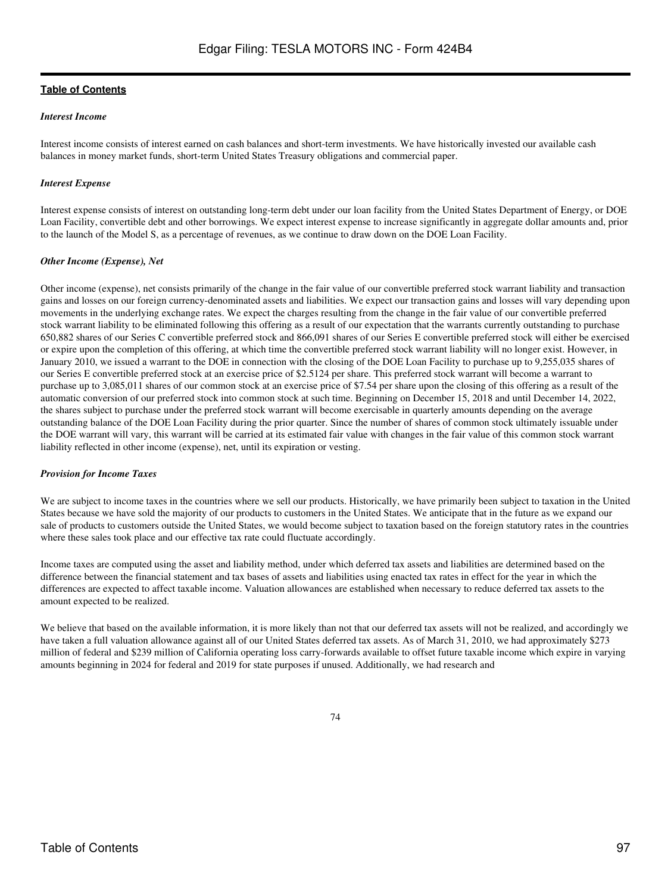#### *Interest Income*

Interest income consists of interest earned on cash balances and short-term investments. We have historically invested our available cash balances in money market funds, short-term United States Treasury obligations and commercial paper.

#### *Interest Expense*

Interest expense consists of interest on outstanding long-term debt under our loan facility from the United States Department of Energy, or DOE Loan Facility, convertible debt and other borrowings. We expect interest expense to increase significantly in aggregate dollar amounts and, prior to the launch of the Model S, as a percentage of revenues, as we continue to draw down on the DOE Loan Facility.

#### *Other Income (Expense), Net*

Other income (expense), net consists primarily of the change in the fair value of our convertible preferred stock warrant liability and transaction gains and losses on our foreign currency-denominated assets and liabilities. We expect our transaction gains and losses will vary depending upon movements in the underlying exchange rates. We expect the charges resulting from the change in the fair value of our convertible preferred stock warrant liability to be eliminated following this offering as a result of our expectation that the warrants currently outstanding to purchase 650,882 shares of our Series C convertible preferred stock and 866,091 shares of our Series E convertible preferred stock will either be exercised or expire upon the completion of this offering, at which time the convertible preferred stock warrant liability will no longer exist. However, in January 2010, we issued a warrant to the DOE in connection with the closing of the DOE Loan Facility to purchase up to 9,255,035 shares of our Series E convertible preferred stock at an exercise price of \$2.5124 per share. This preferred stock warrant will become a warrant to purchase up to 3,085,011 shares of our common stock at an exercise price of \$7.54 per share upon the closing of this offering as a result of the automatic conversion of our preferred stock into common stock at such time. Beginning on December 15, 2018 and until December 14, 2022, the shares subject to purchase under the preferred stock warrant will become exercisable in quarterly amounts depending on the average outstanding balance of the DOE Loan Facility during the prior quarter. Since the number of shares of common stock ultimately issuable under the DOE warrant will vary, this warrant will be carried at its estimated fair value with changes in the fair value of this common stock warrant liability reflected in other income (expense), net, until its expiration or vesting.

## *Provision for Income Taxes*

We are subject to income taxes in the countries where we sell our products. Historically, we have primarily been subject to taxation in the United States because we have sold the majority of our products to customers in the United States. We anticipate that in the future as we expand our sale of products to customers outside the United States, we would become subject to taxation based on the foreign statutory rates in the countries where these sales took place and our effective tax rate could fluctuate accordingly.

Income taxes are computed using the asset and liability method, under which deferred tax assets and liabilities are determined based on the difference between the financial statement and tax bases of assets and liabilities using enacted tax rates in effect for the year in which the differences are expected to affect taxable income. Valuation allowances are established when necessary to reduce deferred tax assets to the amount expected to be realized.

We believe that based on the available information, it is more likely than not that our deferred tax assets will not be realized, and accordingly we have taken a full valuation allowance against all of our United States deferred tax assets. As of March 31, 2010, we had approximately \$273 million of federal and \$239 million of California operating loss carry-forwards available to offset future taxable income which expire in varying amounts beginning in 2024 for federal and 2019 for state purposes if unused. Additionally, we had research and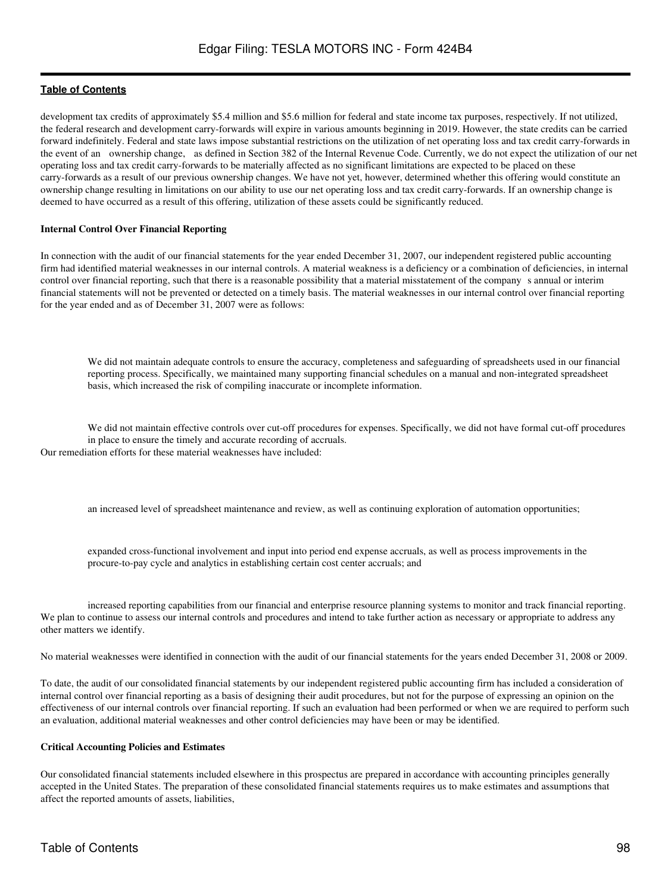development tax credits of approximately \$5.4 million and \$5.6 million for federal and state income tax purposes, respectively. If not utilized, the federal research and development carry-forwards will expire in various amounts beginning in 2019. However, the state credits can be carried forward indefinitely. Federal and state laws impose substantial restrictions on the utilization of net operating loss and tax credit carry-forwards in the event of an ownership change, as defined in Section 382 of the Internal Revenue Code. Currently, we do not expect the utilization of our net operating loss and tax credit carry-forwards to be materially affected as no significant limitations are expected to be placed on these carry-forwards as a result of our previous ownership changes. We have not yet, however, determined whether this offering would constitute an ownership change resulting in limitations on our ability to use our net operating loss and tax credit carry-forwards. If an ownership change is deemed to have occurred as a result of this offering, utilization of these assets could be significantly reduced.

#### **Internal Control Over Financial Reporting**

In connection with the audit of our financial statements for the year ended December 31, 2007, our independent registered public accounting firm had identified material weaknesses in our internal controls. A material weakness is a deficiency or a combination of deficiencies, in internal control over financial reporting, such that there is a reasonable possibility that a material misstatement of the company s annual or interim financial statements will not be prevented or detected on a timely basis. The material weaknesses in our internal control over financial reporting for the year ended and as of December 31, 2007 were as follows:

We did not maintain adequate controls to ensure the accuracy, completeness and safeguarding of spreadsheets used in our financial reporting process. Specifically, we maintained many supporting financial schedules on a manual and non-integrated spreadsheet basis, which increased the risk of compiling inaccurate or incomplete information.

We did not maintain effective controls over cut-off procedures for expenses. Specifically, we did not have formal cut-off procedures in place to ensure the timely and accurate recording of accruals. Our remediation efforts for these material weaknesses have included:

an increased level of spreadsheet maintenance and review, as well as continuing exploration of automation opportunities;

expanded cross-functional involvement and input into period end expense accruals, as well as process improvements in the procure-to-pay cycle and analytics in establishing certain cost center accruals; and

increased reporting capabilities from our financial and enterprise resource planning systems to monitor and track financial reporting. We plan to continue to assess our internal controls and procedures and intend to take further action as necessary or appropriate to address any other matters we identify.

No material weaknesses were identified in connection with the audit of our financial statements for the years ended December 31, 2008 or 2009.

To date, the audit of our consolidated financial statements by our independent registered public accounting firm has included a consideration of internal control over financial reporting as a basis of designing their audit procedures, but not for the purpose of expressing an opinion on the effectiveness of our internal controls over financial reporting. If such an evaluation had been performed or when we are required to perform such an evaluation, additional material weaknesses and other control deficiencies may have been or may be identified.

#### **Critical Accounting Policies and Estimates**

Our consolidated financial statements included elsewhere in this prospectus are prepared in accordance with accounting principles generally accepted in the United States. The preparation of these consolidated financial statements requires us to make estimates and assumptions that affect the reported amounts of assets, liabilities,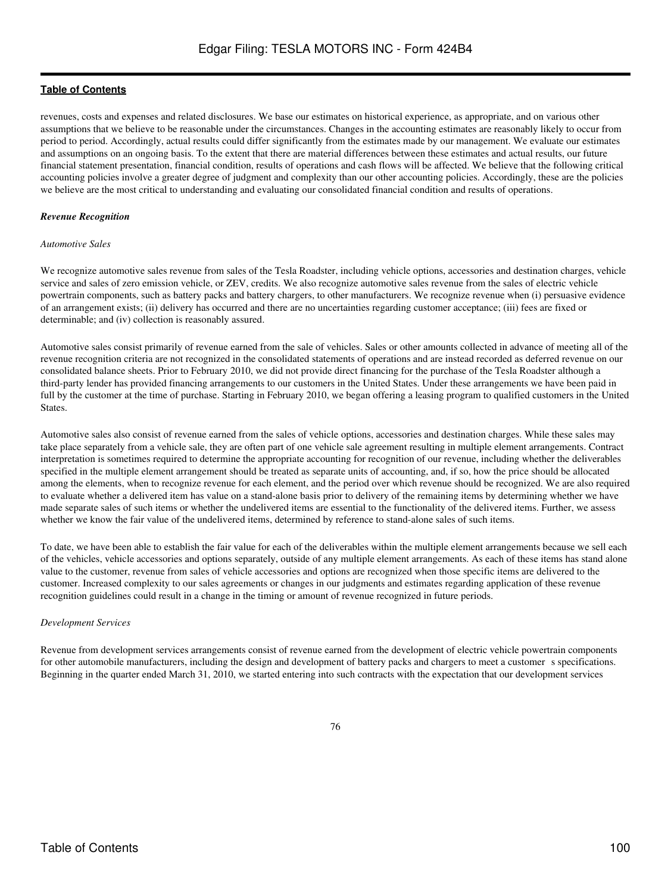revenues, costs and expenses and related disclosures. We base our estimates on historical experience, as appropriate, and on various other assumptions that we believe to be reasonable under the circumstances. Changes in the accounting estimates are reasonably likely to occur from period to period. Accordingly, actual results could differ significantly from the estimates made by our management. We evaluate our estimates and assumptions on an ongoing basis. To the extent that there are material differences between these estimates and actual results, our future financial statement presentation, financial condition, results of operations and cash flows will be affected. We believe that the following critical accounting policies involve a greater degree of judgment and complexity than our other accounting policies. Accordingly, these are the policies we believe are the most critical to understanding and evaluating our consolidated financial condition and results of operations.

#### *Revenue Recognition*

#### *Automotive Sales*

We recognize automotive sales revenue from sales of the Tesla Roadster, including vehicle options, accessories and destination charges, vehicle service and sales of zero emission vehicle, or ZEV, credits. We also recognize automotive sales revenue from the sales of electric vehicle powertrain components, such as battery packs and battery chargers, to other manufacturers. We recognize revenue when (i) persuasive evidence of an arrangement exists; (ii) delivery has occurred and there are no uncertainties regarding customer acceptance; (iii) fees are fixed or determinable; and (iv) collection is reasonably assured.

Automotive sales consist primarily of revenue earned from the sale of vehicles. Sales or other amounts collected in advance of meeting all of the revenue recognition criteria are not recognized in the consolidated statements of operations and are instead recorded as deferred revenue on our consolidated balance sheets. Prior to February 2010, we did not provide direct financing for the purchase of the Tesla Roadster although a third-party lender has provided financing arrangements to our customers in the United States. Under these arrangements we have been paid in full by the customer at the time of purchase. Starting in February 2010, we began offering a leasing program to qualified customers in the United States.

Automotive sales also consist of revenue earned from the sales of vehicle options, accessories and destination charges. While these sales may take place separately from a vehicle sale, they are often part of one vehicle sale agreement resulting in multiple element arrangements. Contract interpretation is sometimes required to determine the appropriate accounting for recognition of our revenue, including whether the deliverables specified in the multiple element arrangement should be treated as separate units of accounting, and, if so, how the price should be allocated among the elements, when to recognize revenue for each element, and the period over which revenue should be recognized. We are also required to evaluate whether a delivered item has value on a stand-alone basis prior to delivery of the remaining items by determining whether we have made separate sales of such items or whether the undelivered items are essential to the functionality of the delivered items. Further, we assess whether we know the fair value of the undelivered items, determined by reference to stand-alone sales of such items.

To date, we have been able to establish the fair value for each of the deliverables within the multiple element arrangements because we sell each of the vehicles, vehicle accessories and options separately, outside of any multiple element arrangements. As each of these items has stand alone value to the customer, revenue from sales of vehicle accessories and options are recognized when those specific items are delivered to the customer. Increased complexity to our sales agreements or changes in our judgments and estimates regarding application of these revenue recognition guidelines could result in a change in the timing or amount of revenue recognized in future periods.

#### *Development Services*

Revenue from development services arrangements consist of revenue earned from the development of electric vehicle powertrain components for other automobile manufacturers, including the design and development of battery packs and chargers to meet a customer s specifications. Beginning in the quarter ended March 31, 2010, we started entering into such contracts with the expectation that our development services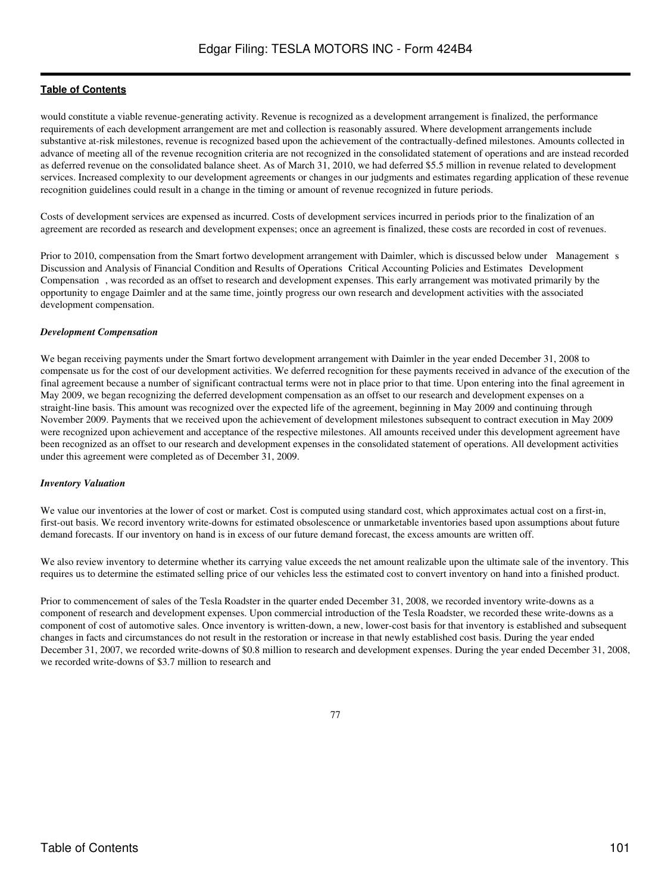would constitute a viable revenue-generating activity. Revenue is recognized as a development arrangement is finalized, the performance requirements of each development arrangement are met and collection is reasonably assured. Where development arrangements include substantive at-risk milestones, revenue is recognized based upon the achievement of the contractually-defined milestones. Amounts collected in advance of meeting all of the revenue recognition criteria are not recognized in the consolidated statement of operations and are instead recorded as deferred revenue on the consolidated balance sheet. As of March 31, 2010, we had deferred \$5.5 million in revenue related to development services. Increased complexity to our development agreements or changes in our judgments and estimates regarding application of these revenue recognition guidelines could result in a change in the timing or amount of revenue recognized in future periods.

Costs of development services are expensed as incurred. Costs of development services incurred in periods prior to the finalization of an agreement are recorded as research and development expenses; once an agreement is finalized, these costs are recorded in cost of revenues.

Prior to 2010, compensation from the Smart fortwo development arrangement with Daimler, which is discussed below under Management s Discussion and Analysis of Financial Condition and Results of Operations Critical Accounting Policies and Estimates Development Compensation, was recorded as an offset to research and development expenses. This early arrangement was motivated primarily by the opportunity to engage Daimler and at the same time, jointly progress our own research and development activities with the associated development compensation.

#### *Development Compensation*

We began receiving payments under the Smart fortwo development arrangement with Daimler in the year ended December 31, 2008 to compensate us for the cost of our development activities. We deferred recognition for these payments received in advance of the execution of the final agreement because a number of significant contractual terms were not in place prior to that time. Upon entering into the final agreement in May 2009, we began recognizing the deferred development compensation as an offset to our research and development expenses on a straight-line basis. This amount was recognized over the expected life of the agreement, beginning in May 2009 and continuing through November 2009. Payments that we received upon the achievement of development milestones subsequent to contract execution in May 2009 were recognized upon achievement and acceptance of the respective milestones. All amounts received under this development agreement have been recognized as an offset to our research and development expenses in the consolidated statement of operations. All development activities under this agreement were completed as of December 31, 2009.

#### *Inventory Valuation*

We value our inventories at the lower of cost or market. Cost is computed using standard cost, which approximates actual cost on a first-in, first-out basis. We record inventory write-downs for estimated obsolescence or unmarketable inventories based upon assumptions about future demand forecasts. If our inventory on hand is in excess of our future demand forecast, the excess amounts are written off.

We also review inventory to determine whether its carrying value exceeds the net amount realizable upon the ultimate sale of the inventory. This requires us to determine the estimated selling price of our vehicles less the estimated cost to convert inventory on hand into a finished product.

Prior to commencement of sales of the Tesla Roadster in the quarter ended December 31, 2008, we recorded inventory write-downs as a component of research and development expenses. Upon commercial introduction of the Tesla Roadster, we recorded these write-downs as a component of cost of automotive sales. Once inventory is written-down, a new, lower-cost basis for that inventory is established and subsequent changes in facts and circumstances do not result in the restoration or increase in that newly established cost basis. During the year ended December 31, 2007, we recorded write-downs of \$0.8 million to research and development expenses. During the year ended December 31, 2008, we recorded write-downs of \$3.7 million to research and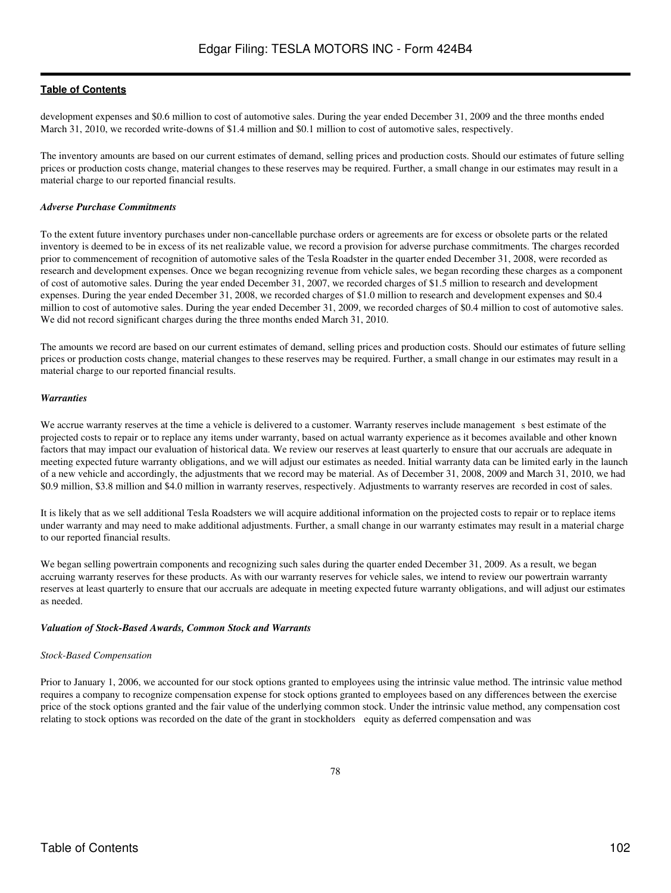development expenses and \$0.6 million to cost of automotive sales. During the year ended December 31, 2009 and the three months ended March 31, 2010, we recorded write-downs of \$1.4 million and \$0.1 million to cost of automotive sales, respectively.

The inventory amounts are based on our current estimates of demand, selling prices and production costs. Should our estimates of future selling prices or production costs change, material changes to these reserves may be required. Further, a small change in our estimates may result in a material charge to our reported financial results.

#### *Adverse Purchase Commitments*

To the extent future inventory purchases under non-cancellable purchase orders or agreements are for excess or obsolete parts or the related inventory is deemed to be in excess of its net realizable value, we record a provision for adverse purchase commitments. The charges recorded prior to commencement of recognition of automotive sales of the Tesla Roadster in the quarter ended December 31, 2008, were recorded as research and development expenses. Once we began recognizing revenue from vehicle sales, we began recording these charges as a component of cost of automotive sales. During the year ended December 31, 2007, we recorded charges of \$1.5 million to research and development expenses. During the year ended December 31, 2008, we recorded charges of \$1.0 million to research and development expenses and \$0.4 million to cost of automotive sales. During the year ended December 31, 2009, we recorded charges of \$0.4 million to cost of automotive sales. We did not record significant charges during the three months ended March 31, 2010.

The amounts we record are based on our current estimates of demand, selling prices and production costs. Should our estimates of future selling prices or production costs change, material changes to these reserves may be required. Further, a small change in our estimates may result in a material charge to our reported financial results.

#### *Warranties*

We accrue warranty reserves at the time a vehicle is delivered to a customer. Warranty reserves include management s best estimate of the projected costs to repair or to replace any items under warranty, based on actual warranty experience as it becomes available and other known factors that may impact our evaluation of historical data. We review our reserves at least quarterly to ensure that our accruals are adequate in meeting expected future warranty obligations, and we will adjust our estimates as needed. Initial warranty data can be limited early in the launch of a new vehicle and accordingly, the adjustments that we record may be material. As of December 31, 2008, 2009 and March 31, 2010, we had \$0.9 million, \$3.8 million and \$4.0 million in warranty reserves, respectively. Adjustments to warranty reserves are recorded in cost of sales.

It is likely that as we sell additional Tesla Roadsters we will acquire additional information on the projected costs to repair or to replace items under warranty and may need to make additional adjustments. Further, a small change in our warranty estimates may result in a material charge to our reported financial results.

We began selling powertrain components and recognizing such sales during the quarter ended December 31, 2009. As a result, we began accruing warranty reserves for these products. As with our warranty reserves for vehicle sales, we intend to review our powertrain warranty reserves at least quarterly to ensure that our accruals are adequate in meeting expected future warranty obligations, and will adjust our estimates as needed.

## *Valuation of Stock-Based Awards, Common Stock and Warrants*

#### *Stock-Based Compensation*

Prior to January 1, 2006, we accounted for our stock options granted to employees using the intrinsic value method. The intrinsic value method requires a company to recognize compensation expense for stock options granted to employees based on any differences between the exercise price of the stock options granted and the fair value of the underlying common stock. Under the intrinsic value method, any compensation cost relating to stock options was recorded on the date of the grant in stockholders equity as deferred compensation and was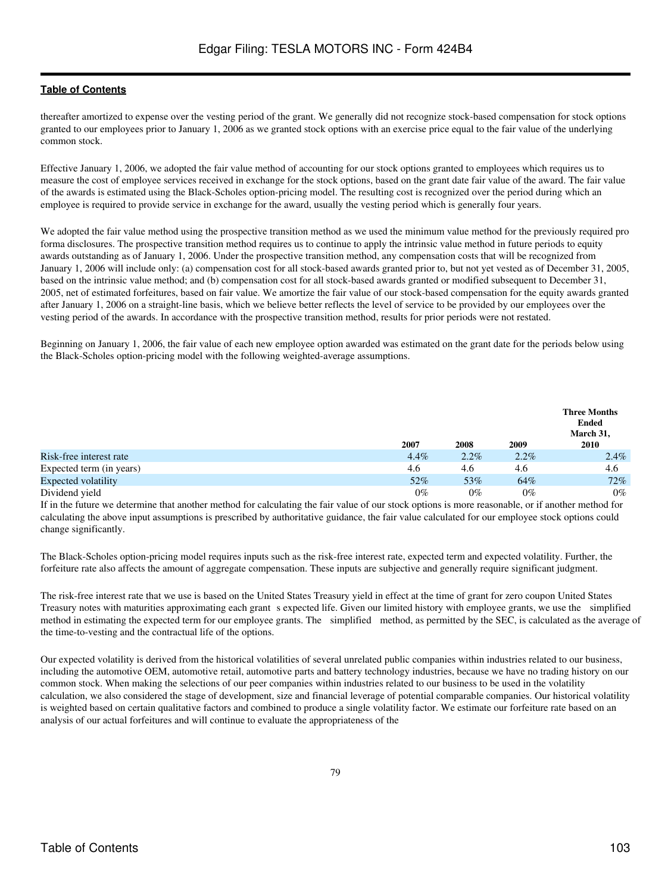thereafter amortized to expense over the vesting period of the grant. We generally did not recognize stock-based compensation for stock options granted to our employees prior to January 1, 2006 as we granted stock options with an exercise price equal to the fair value of the underlying common stock.

Effective January 1, 2006, we adopted the fair value method of accounting for our stock options granted to employees which requires us to measure the cost of employee services received in exchange for the stock options, based on the grant date fair value of the award. The fair value of the awards is estimated using the Black-Scholes option-pricing model. The resulting cost is recognized over the period during which an employee is required to provide service in exchange for the award, usually the vesting period which is generally four years.

We adopted the fair value method using the prospective transition method as we used the minimum value method for the previously required pro forma disclosures. The prospective transition method requires us to continue to apply the intrinsic value method in future periods to equity awards outstanding as of January 1, 2006. Under the prospective transition method, any compensation costs that will be recognized from January 1, 2006 will include only: (a) compensation cost for all stock-based awards granted prior to, but not yet vested as of December 31, 2005, based on the intrinsic value method; and (b) compensation cost for all stock-based awards granted or modified subsequent to December 31, 2005, net of estimated forfeitures, based on fair value. We amortize the fair value of our stock-based compensation for the equity awards granted after January 1, 2006 on a straight-line basis, which we believe better reflects the level of service to be provided by our employees over the vesting period of the awards. In accordance with the prospective transition method, results for prior periods were not restated.

Beginning on January 1, 2006, the fair value of each new employee option awarded was estimated on the grant date for the periods below using the Black-Scholes option-pricing model with the following weighted-average assumptions.

|                            | 2007    | 2008    | 2009    | <b>Three Months</b><br><b>Ended</b><br>March 31,<br><b>2010</b> |
|----------------------------|---------|---------|---------|-----------------------------------------------------------------|
| Risk-free interest rate    | $4.4\%$ | $2.2\%$ | $2.2\%$ | 2.4%                                                            |
| Expected term (in years)   | 4.6     | 4.6     | 4.6     | 4.6                                                             |
| <b>Expected volatility</b> | 52%     | 53%     | 64%     | $72\%$                                                          |
| Dividend yield             | 0%      | 0%      | $0\%$   | $0\%$                                                           |

If in the future we determine that another method for calculating the fair value of our stock options is more reasonable, or if another method for calculating the above input assumptions is prescribed by authoritative guidance, the fair value calculated for our employee stock options could change significantly.

The Black-Scholes option-pricing model requires inputs such as the risk-free interest rate, expected term and expected volatility. Further, the forfeiture rate also affects the amount of aggregate compensation. These inputs are subjective and generally require significant judgment.

The risk-free interest rate that we use is based on the United States Treasury yield in effect at the time of grant for zero coupon United States Treasury notes with maturities approximating each grant s expected life. Given our limited history with employee grants, we use the simplified method in estimating the expected term for our employee grants. The simplified method, as permitted by the SEC, is calculated as the average of the time-to-vesting and the contractual life of the options.

Our expected volatility is derived from the historical volatilities of several unrelated public companies within industries related to our business, including the automotive OEM, automotive retail, automotive parts and battery technology industries, because we have no trading history on our common stock. When making the selections of our peer companies within industries related to our business to be used in the volatility calculation, we also considered the stage of development, size and financial leverage of potential comparable companies. Our historical volatility is weighted based on certain qualitative factors and combined to produce a single volatility factor. We estimate our forfeiture rate based on an analysis of our actual forfeitures and will continue to evaluate the appropriateness of the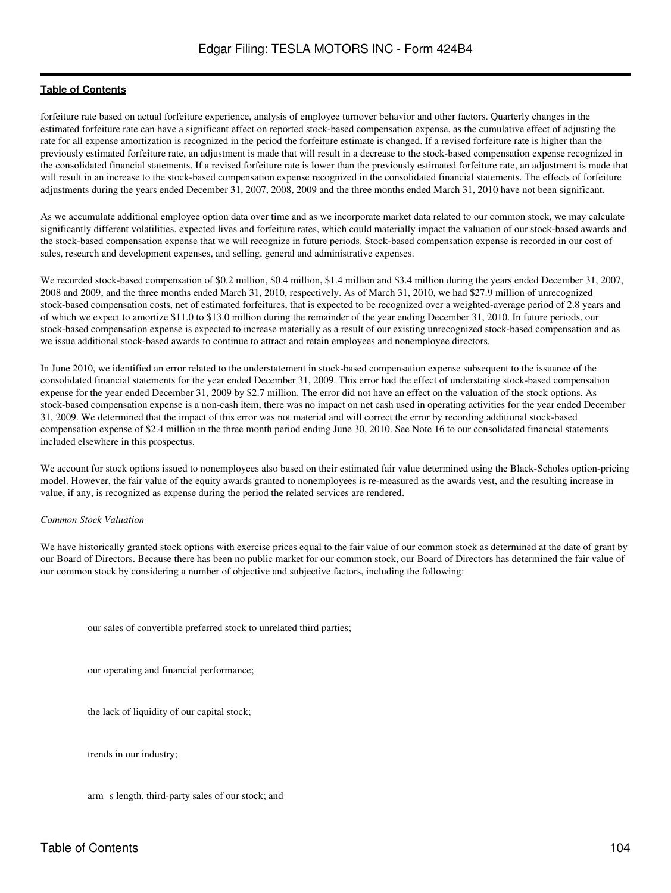forfeiture rate based on actual forfeiture experience, analysis of employee turnover behavior and other factors. Quarterly changes in the estimated forfeiture rate can have a significant effect on reported stock-based compensation expense, as the cumulative effect of adjusting the rate for all expense amortization is recognized in the period the forfeiture estimate is changed. If a revised forfeiture rate is higher than the previously estimated forfeiture rate, an adjustment is made that will result in a decrease to the stock-based compensation expense recognized in the consolidated financial statements. If a revised forfeiture rate is lower than the previously estimated forfeiture rate, an adjustment is made that will result in an increase to the stock-based compensation expense recognized in the consolidated financial statements. The effects of forfeiture adjustments during the years ended December 31, 2007, 2008, 2009 and the three months ended March 31, 2010 have not been significant.

As we accumulate additional employee option data over time and as we incorporate market data related to our common stock, we may calculate significantly different volatilities, expected lives and forfeiture rates, which could materially impact the valuation of our stock-based awards and the stock-based compensation expense that we will recognize in future periods. Stock-based compensation expense is recorded in our cost of sales, research and development expenses, and selling, general and administrative expenses.

We recorded stock-based compensation of \$0.2 million, \$0.4 million, \$1.4 million and \$3.4 million during the years ended December 31, 2007, 2008 and 2009, and the three months ended March 31, 2010, respectively. As of March 31, 2010, we had \$27.9 million of unrecognized stock-based compensation costs, net of estimated forfeitures, that is expected to be recognized over a weighted-average period of 2.8 years and of which we expect to amortize \$11.0 to \$13.0 million during the remainder of the year ending December 31, 2010. In future periods, our stock-based compensation expense is expected to increase materially as a result of our existing unrecognized stock-based compensation and as we issue additional stock-based awards to continue to attract and retain employees and nonemployee directors.

In June 2010, we identified an error related to the understatement in stock-based compensation expense subsequent to the issuance of the consolidated financial statements for the year ended December 31, 2009. This error had the effect of understating stock-based compensation expense for the year ended December 31, 2009 by \$2.7 million. The error did not have an effect on the valuation of the stock options. As stock-based compensation expense is a non-cash item, there was no impact on net cash used in operating activities for the year ended December 31, 2009. We determined that the impact of this error was not material and will correct the error by recording additional stock-based compensation expense of \$2.4 million in the three month period ending June 30, 2010. See Note 16 to our consolidated financial statements included elsewhere in this prospectus.

We account for stock options issued to nonemployees also based on their estimated fair value determined using the Black-Scholes option-pricing model. However, the fair value of the equity awards granted to nonemployees is re-measured as the awards vest, and the resulting increase in value, if any, is recognized as expense during the period the related services are rendered.

#### *Common Stock Valuation*

We have historically granted stock options with exercise prices equal to the fair value of our common stock as determined at the date of grant by our Board of Directors. Because there has been no public market for our common stock, our Board of Directors has determined the fair value of our common stock by considering a number of objective and subjective factors, including the following:

our sales of convertible preferred stock to unrelated third parties;

our operating and financial performance;

the lack of liquidity of our capital stock;

trends in our industry;

arm s length, third-party sales of our stock; and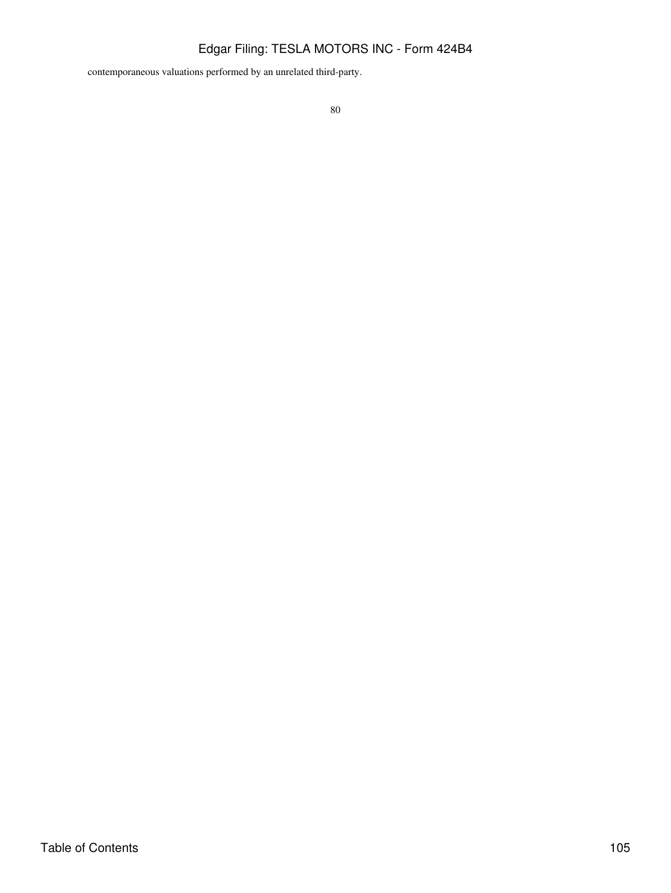# Edgar Filing: TESLA MOTORS INC - Form 424B4

contemporaneous valuations performed by an unrelated third-party.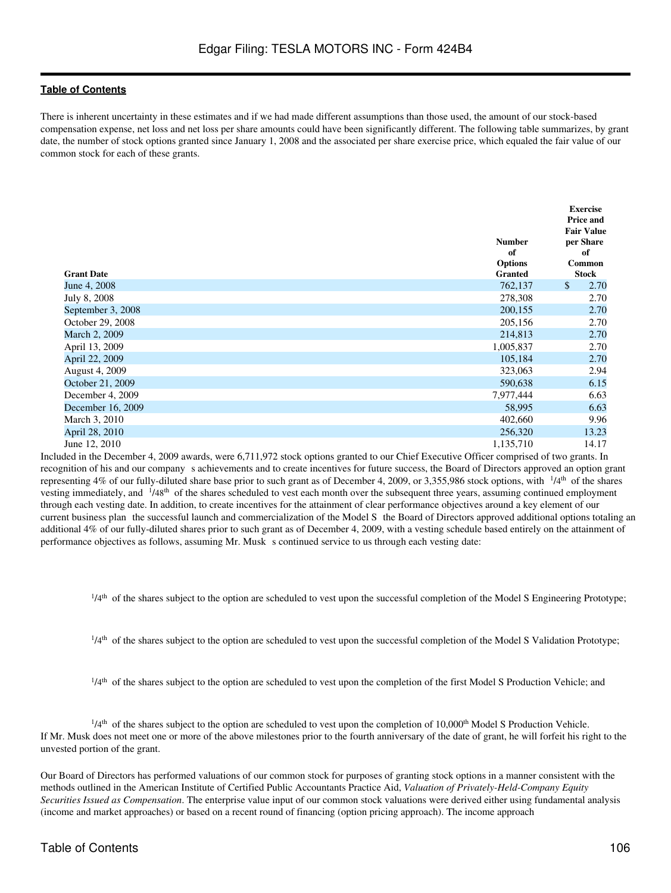There is inherent uncertainty in these estimates and if we had made different assumptions than those used, the amount of our stock-based compensation expense, net loss and net loss per share amounts could have been significantly different. The following table summarizes, by grant date, the number of stock options granted since January 1, 2008 and the associated per share exercise price, which equaled the fair value of our common stock for each of these grants.

| <b>Grant Date</b> | <b>Number</b><br>of<br><b>Options</b><br><b>Granted</b> | <b>Exercise</b><br><b>Price and</b><br><b>Fair Value</b><br>per Share<br>of<br><b>Common</b><br><b>Stock</b> |
|-------------------|---------------------------------------------------------|--------------------------------------------------------------------------------------------------------------|
| June 4, 2008      | 762,137                                                 | \$<br>2.70                                                                                                   |
| July 8, 2008      | 278,308                                                 | 2.70                                                                                                         |
| September 3, 2008 | 200,155                                                 | 2.70                                                                                                         |
| October 29, 2008  | 205,156                                                 | 2.70                                                                                                         |
| March 2, 2009     | 214,813                                                 | 2.70                                                                                                         |
| April 13, 2009    | 1,005,837                                               | 2.70                                                                                                         |
| April 22, 2009    | 105,184                                                 | 2.70                                                                                                         |
| August 4, 2009    | 323,063                                                 | 2.94                                                                                                         |
| October 21, 2009  | 590,638                                                 | 6.15                                                                                                         |
| December 4, 2009  | 7,977,444                                               | 6.63                                                                                                         |
| December 16, 2009 | 58,995                                                  | 6.63                                                                                                         |
| March 3, 2010     | 402,660                                                 | 9.96                                                                                                         |
| April 28, 2010    | 256,320                                                 | 13.23                                                                                                        |
| June 12, 2010     | 1,135,710                                               | 14.17                                                                                                        |

Included in the December 4, 2009 awards, were 6,711,972 stock options granted to our Chief Executive Officer comprised of two grants. In recognition of his and our companys achievements and to create incentives for future success, the Board of Directors approved an option grant representing 4% of our fully-diluted share base prior to such grant as of December 4, 2009, or 3,355,986 stock options, with  $\frac{1}{4}$ <sup>th</sup> of the shares vesting immediately, and <sup>1</sup>/48<sup>th</sup> of the shares scheduled to vest each month over the subsequent three years, assuming continued employment through each vesting date. In addition, to create incentives for the attainment of clear performance objectives around a key element of our current business plan the successful launch and commercialization of the Model S the Board of Directors approved additional options totaling an additional 4% of our fully-diluted shares prior to such grant as of December 4, 2009, with a vesting schedule based entirely on the attainment of performance objectives as follows, assuming Mr. Musk s continued service to us through each vesting date:

<sup>1</sup>/4<sup>th</sup> of the shares subject to the option are scheduled to vest upon the successful completion of the Model S Engineering Prototype;

<sup>1</sup>/4<sup>th</sup> of the shares subject to the option are scheduled to vest upon the successful completion of the Model S Validation Prototype;

<sup>1</sup>/4<sup>th</sup> of the shares subject to the option are scheduled to vest upon the completion of the first Model S Production Vehicle; and

<sup>1</sup>/4<sup>th</sup> of the shares subject to the option are scheduled to vest upon the completion of 10,000<sup>th</sup> Model S Production Vehicle. If Mr. Musk does not meet one or more of the above milestones prior to the fourth anniversary of the date of grant, he will forfeit his right to the unvested portion of the grant.

Our Board of Directors has performed valuations of our common stock for purposes of granting stock options in a manner consistent with the methods outlined in the American Institute of Certified Public Accountants Practice Aid, *Valuation of Privately-Held-Company Equity Securities Issued as Compensation*. The enterprise value input of our common stock valuations were derived either using fundamental analysis (income and market approaches) or based on a recent round of financing (option pricing approach). The income approach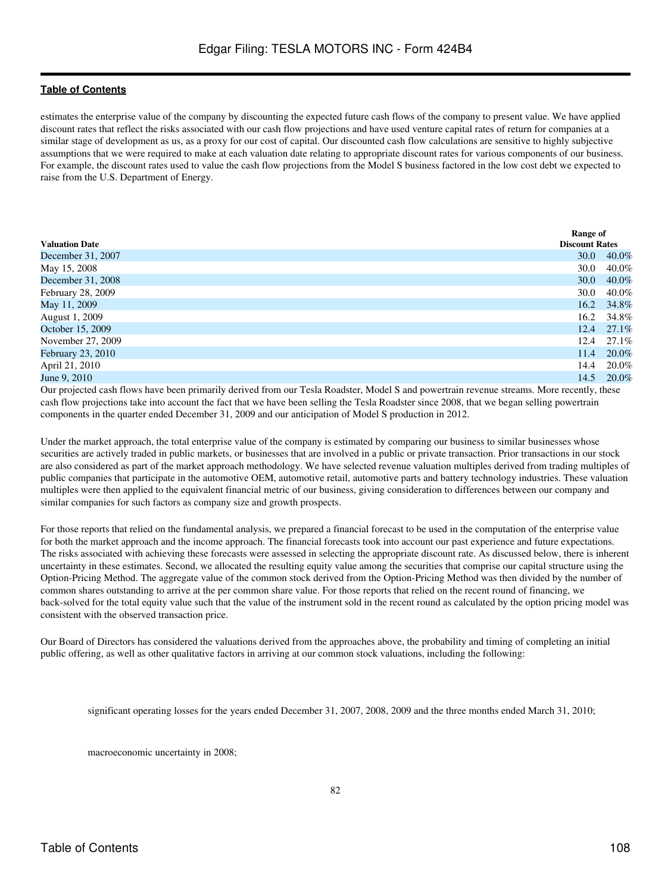estimates the enterprise value of the company by discounting the expected future cash flows of the company to present value. We have applied discount rates that reflect the risks associated with our cash flow projections and have used venture capital rates of return for companies at a similar stage of development as us, as a proxy for our cost of capital. Our discounted cash flow calculations are sensitive to highly subjective assumptions that we were required to make at each valuation date relating to appropriate discount rates for various components of our business. For example, the discount rates used to value the cash flow projections from the Model S business factored in the low cost debt we expected to raise from the U.S. Department of Energy.

|                          | Range of              |
|--------------------------|-----------------------|
| <b>Valuation Date</b>    | <b>Discount Rates</b> |
| December 31, 2007        | $40.0\%$<br>30.0      |
| May 15, 2008             | 40.0%<br>30.0         |
| December 31, 2008        | $40.0\%$<br>30.0      |
| February 28, 2009        | 40.0%<br>30.0         |
| May 11, 2009             | 16.2<br>34.8%         |
| August 1, 2009           | 34.8%<br>16.2         |
| October 15, 2009         | 12.4 27.1\%           |
| November 27, 2009        | 27.1%<br>12.4         |
| <b>February 23, 2010</b> | 20.0%<br>11.4         |
| April 21, 2010           | 14.4<br>20.0%         |
| June 9, 2010             | 20.0%<br>14.5         |
|                          |                       |

Our projected cash flows have been primarily derived from our Tesla Roadster, Model S and powertrain revenue streams. More recently, these cash flow projections take into account the fact that we have been selling the Tesla Roadster since 2008, that we began selling powertrain components in the quarter ended December 31, 2009 and our anticipation of Model S production in 2012.

Under the market approach, the total enterprise value of the company is estimated by comparing our business to similar businesses whose securities are actively traded in public markets, or businesses that are involved in a public or private transaction. Prior transactions in our stock are also considered as part of the market approach methodology. We have selected revenue valuation multiples derived from trading multiples of public companies that participate in the automotive OEM, automotive retail, automotive parts and battery technology industries. These valuation multiples were then applied to the equivalent financial metric of our business, giving consideration to differences between our company and similar companies for such factors as company size and growth prospects.

For those reports that relied on the fundamental analysis, we prepared a financial forecast to be used in the computation of the enterprise value for both the market approach and the income approach. The financial forecasts took into account our past experience and future expectations. The risks associated with achieving these forecasts were assessed in selecting the appropriate discount rate. As discussed below, there is inherent uncertainty in these estimates. Second, we allocated the resulting equity value among the securities that comprise our capital structure using the Option-Pricing Method. The aggregate value of the common stock derived from the Option-Pricing Method was then divided by the number of common shares outstanding to arrive at the per common share value. For those reports that relied on the recent round of financing, we back-solved for the total equity value such that the value of the instrument sold in the recent round as calculated by the option pricing model was consistent with the observed transaction price.

Our Board of Directors has considered the valuations derived from the approaches above, the probability and timing of completing an initial public offering, as well as other qualitative factors in arriving at our common stock valuations, including the following:

significant operating losses for the years ended December 31, 2007, 2008, 2009 and the three months ended March 31, 2010;

macroeconomic uncertainty in 2008;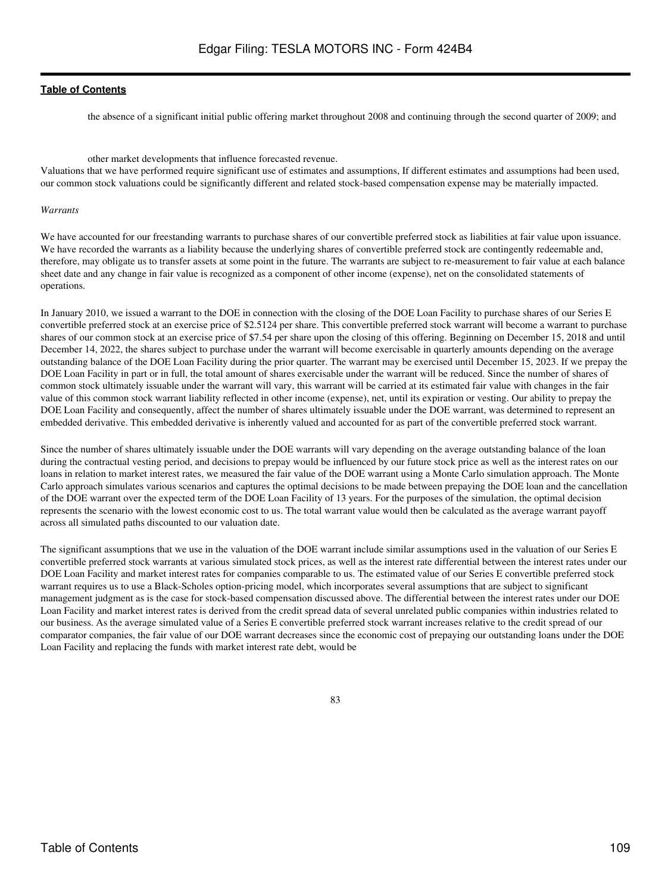the absence of a significant initial public offering market throughout 2008 and continuing through the second quarter of 2009; and

other market developments that influence forecasted revenue.

Valuations that we have performed require significant use of estimates and assumptions, If different estimates and assumptions had been used, our common stock valuations could be significantly different and related stock-based compensation expense may be materially impacted.

#### *Warrants*

We have accounted for our freestanding warrants to purchase shares of our convertible preferred stock as liabilities at fair value upon issuance. We have recorded the warrants as a liability because the underlying shares of convertible preferred stock are contingently redeemable and, therefore, may obligate us to transfer assets at some point in the future. The warrants are subject to re-measurement to fair value at each balance sheet date and any change in fair value is recognized as a component of other income (expense), net on the consolidated statements of operations.

In January 2010, we issued a warrant to the DOE in connection with the closing of the DOE Loan Facility to purchase shares of our Series E convertible preferred stock at an exercise price of \$2.5124 per share. This convertible preferred stock warrant will become a warrant to purchase shares of our common stock at an exercise price of \$7.54 per share upon the closing of this offering. Beginning on December 15, 2018 and until December 14, 2022, the shares subject to purchase under the warrant will become exercisable in quarterly amounts depending on the average outstanding balance of the DOE Loan Facility during the prior quarter. The warrant may be exercised until December 15, 2023. If we prepay the DOE Loan Facility in part or in full, the total amount of shares exercisable under the warrant will be reduced. Since the number of shares of common stock ultimately issuable under the warrant will vary, this warrant will be carried at its estimated fair value with changes in the fair value of this common stock warrant liability reflected in other income (expense), net, until its expiration or vesting. Our ability to prepay the DOE Loan Facility and consequently, affect the number of shares ultimately issuable under the DOE warrant, was determined to represent an embedded derivative. This embedded derivative is inherently valued and accounted for as part of the convertible preferred stock warrant.

Since the number of shares ultimately issuable under the DOE warrants will vary depending on the average outstanding balance of the loan during the contractual vesting period, and decisions to prepay would be influenced by our future stock price as well as the interest rates on our loans in relation to market interest rates, we measured the fair value of the DOE warrant using a Monte Carlo simulation approach. The Monte Carlo approach simulates various scenarios and captures the optimal decisions to be made between prepaying the DOE loan and the cancellation of the DOE warrant over the expected term of the DOE Loan Facility of 13 years. For the purposes of the simulation, the optimal decision represents the scenario with the lowest economic cost to us. The total warrant value would then be calculated as the average warrant payoff across all simulated paths discounted to our valuation date.

The significant assumptions that we use in the valuation of the DOE warrant include similar assumptions used in the valuation of our Series E convertible preferred stock warrants at various simulated stock prices, as well as the interest rate differential between the interest rates under our DOE Loan Facility and market interest rates for companies comparable to us. The estimated value of our Series E convertible preferred stock warrant requires us to use a Black-Scholes option-pricing model, which incorporates several assumptions that are subject to significant management judgment as is the case for stock-based compensation discussed above. The differential between the interest rates under our DOE Loan Facility and market interest rates is derived from the credit spread data of several unrelated public companies within industries related to our business. As the average simulated value of a Series E convertible preferred stock warrant increases relative to the credit spread of our comparator companies, the fair value of our DOE warrant decreases since the economic cost of prepaying our outstanding loans under the DOE Loan Facility and replacing the funds with market interest rate debt, would be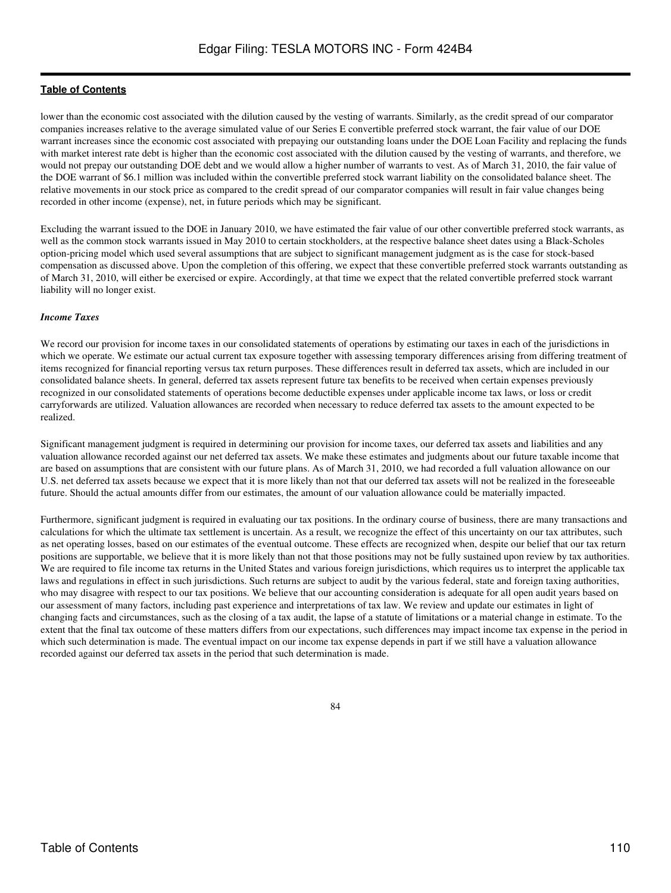lower than the economic cost associated with the dilution caused by the vesting of warrants. Similarly, as the credit spread of our comparator companies increases relative to the average simulated value of our Series E convertible preferred stock warrant, the fair value of our DOE warrant increases since the economic cost associated with prepaying our outstanding loans under the DOE Loan Facility and replacing the funds with market interest rate debt is higher than the economic cost associated with the dilution caused by the vesting of warrants, and therefore, we would not prepay our outstanding DOE debt and we would allow a higher number of warrants to vest. As of March 31, 2010, the fair value of the DOE warrant of \$6.1 million was included within the convertible preferred stock warrant liability on the consolidated balance sheet. The relative movements in our stock price as compared to the credit spread of our comparator companies will result in fair value changes being recorded in other income (expense), net, in future periods which may be significant.

Excluding the warrant issued to the DOE in January 2010, we have estimated the fair value of our other convertible preferred stock warrants, as well as the common stock warrants issued in May 2010 to certain stockholders, at the respective balance sheet dates using a Black-Scholes option-pricing model which used several assumptions that are subject to significant management judgment as is the case for stock-based compensation as discussed above. Upon the completion of this offering, we expect that these convertible preferred stock warrants outstanding as of March 31, 2010, will either be exercised or expire. Accordingly, at that time we expect that the related convertible preferred stock warrant liability will no longer exist.

## *Income Taxes*

We record our provision for income taxes in our consolidated statements of operations by estimating our taxes in each of the jurisdictions in which we operate. We estimate our actual current tax exposure together with assessing temporary differences arising from differing treatment of items recognized for financial reporting versus tax return purposes. These differences result in deferred tax assets, which are included in our consolidated balance sheets. In general, deferred tax assets represent future tax benefits to be received when certain expenses previously recognized in our consolidated statements of operations become deductible expenses under applicable income tax laws, or loss or credit carryforwards are utilized. Valuation allowances are recorded when necessary to reduce deferred tax assets to the amount expected to be realized.

Significant management judgment is required in determining our provision for income taxes, our deferred tax assets and liabilities and any valuation allowance recorded against our net deferred tax assets. We make these estimates and judgments about our future taxable income that are based on assumptions that are consistent with our future plans. As of March 31, 2010, we had recorded a full valuation allowance on our U.S. net deferred tax assets because we expect that it is more likely than not that our deferred tax assets will not be realized in the foreseeable future. Should the actual amounts differ from our estimates, the amount of our valuation allowance could be materially impacted.

Furthermore, significant judgment is required in evaluating our tax positions. In the ordinary course of business, there are many transactions and calculations for which the ultimate tax settlement is uncertain. As a result, we recognize the effect of this uncertainty on our tax attributes, such as net operating losses, based on our estimates of the eventual outcome. These effects are recognized when, despite our belief that our tax return positions are supportable, we believe that it is more likely than not that those positions may not be fully sustained upon review by tax authorities. We are required to file income tax returns in the United States and various foreign jurisdictions, which requires us to interpret the applicable tax laws and regulations in effect in such jurisdictions. Such returns are subject to audit by the various federal, state and foreign taxing authorities, who may disagree with respect to our tax positions. We believe that our accounting consideration is adequate for all open audit years based on our assessment of many factors, including past experience and interpretations of tax law. We review and update our estimates in light of changing facts and circumstances, such as the closing of a tax audit, the lapse of a statute of limitations or a material change in estimate. To the extent that the final tax outcome of these matters differs from our expectations, such differences may impact income tax expense in the period in which such determination is made. The eventual impact on our income tax expense depends in part if we still have a valuation allowance recorded against our deferred tax assets in the period that such determination is made.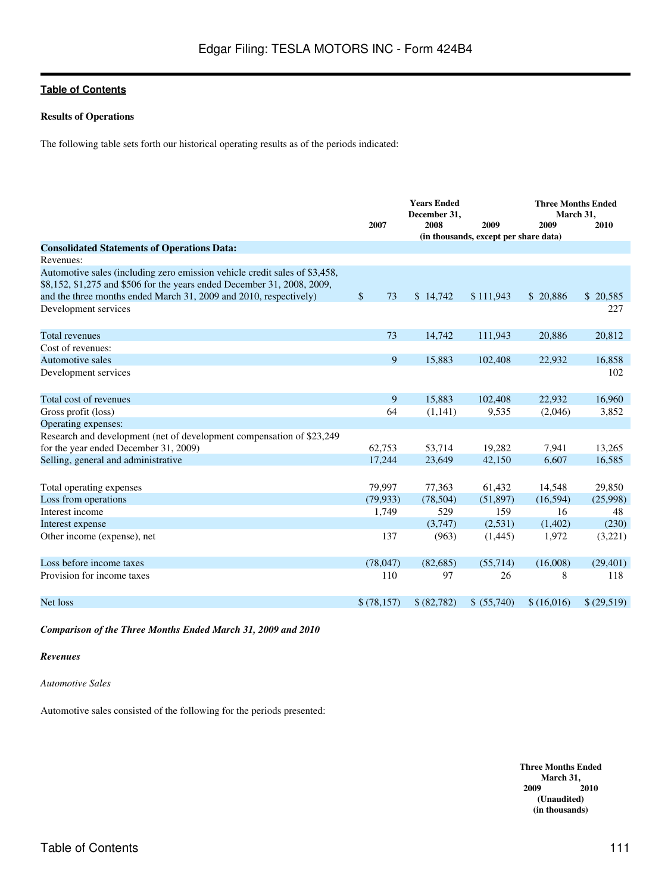# **Results of Operations**

The following table sets forth our historical operating results as of the periods indicated:

|                                                                                                                                                       | <b>Years Ended</b><br>December 31, |             |                                               | <b>Three Months Ended</b><br>March 31, |             |
|-------------------------------------------------------------------------------------------------------------------------------------------------------|------------------------------------|-------------|-----------------------------------------------|----------------------------------------|-------------|
|                                                                                                                                                       | 2007                               | 2008        | 2009<br>(in thousands, except per share data) | 2009                                   | 2010        |
| <b>Consolidated Statements of Operations Data:</b>                                                                                                    |                                    |             |                                               |                                        |             |
| Revenues:                                                                                                                                             |                                    |             |                                               |                                        |             |
| Automotive sales (including zero emission vehicle credit sales of \$3,458,<br>\$8,152, \$1,275 and \$506 for the years ended December 31, 2008, 2009, |                                    |             |                                               |                                        |             |
| and the three months ended March 31, 2009 and 2010, respectively)                                                                                     | $\sqrt{\ }$<br>73                  | \$14,742    | \$111,943                                     | \$20,886                               | \$20,585    |
| Development services                                                                                                                                  |                                    |             |                                               |                                        | 227         |
| <b>Total revenues</b>                                                                                                                                 | 73                                 | 14,742      | 111,943                                       | 20,886                                 | 20,812      |
| Cost of revenues:                                                                                                                                     |                                    |             |                                               |                                        |             |
| Automotive sales                                                                                                                                      | 9                                  | 15,883      | 102,408                                       | 22,932                                 | 16,858      |
| Development services                                                                                                                                  |                                    |             |                                               |                                        | 102         |
| Total cost of revenues                                                                                                                                | 9                                  | 15,883      | 102,408                                       | 22,932                                 | 16,960      |
| Gross profit (loss)                                                                                                                                   | 64                                 | (1,141)     | 9,535                                         | (2,046)                                | 3,852       |
| Operating expenses:                                                                                                                                   |                                    |             |                                               |                                        |             |
| Research and development (net of development compensation of \$23,249                                                                                 |                                    |             |                                               |                                        |             |
| for the year ended December 31, 2009)                                                                                                                 | 62,753                             | 53,714      | 19,282                                        | 7,941                                  | 13,265      |
| Selling, general and administrative                                                                                                                   | 17,244                             | 23,649      | 42,150                                        | 6,607                                  | 16,585      |
|                                                                                                                                                       |                                    |             |                                               |                                        |             |
| Total operating expenses                                                                                                                              | 79,997                             | 77,363      | 61,432                                        | 14,548                                 | 29,850      |
| Loss from operations                                                                                                                                  | (79, 933)                          | (78, 504)   | (51, 897)                                     | (16, 594)                              | (25,998)    |
| Interest income                                                                                                                                       | 1,749                              | 529         | 159                                           | 16                                     | 48          |
| Interest expense                                                                                                                                      |                                    | (3,747)     | (2,531)                                       | (1,402)                                | (230)       |
| Other income (expense), net                                                                                                                           | 137                                | (963)       | (1,445)                                       | 1,972                                  | (3,221)     |
| Loss before income taxes                                                                                                                              | (78,047)                           | (82, 685)   | (55,714)                                      | (16,008)                               | (29, 401)   |
| Provision for income taxes                                                                                                                            | 110                                | 97          | 26                                            | 8                                      | 118         |
| Net loss                                                                                                                                              | \$(78,157)                         | \$ (82,782) | \$ (55,740)                                   | \$(16,016)                             | \$ (29,519) |

*Comparison of the Three Months Ended March 31, 2009 and 2010*

# *Revenues*

*Automotive Sales*

Automotive sales consisted of the following for the periods presented:

**Three Months Ended March 31,<br>2009** 2 **2009 2010 (Unaudited) (in thousands)**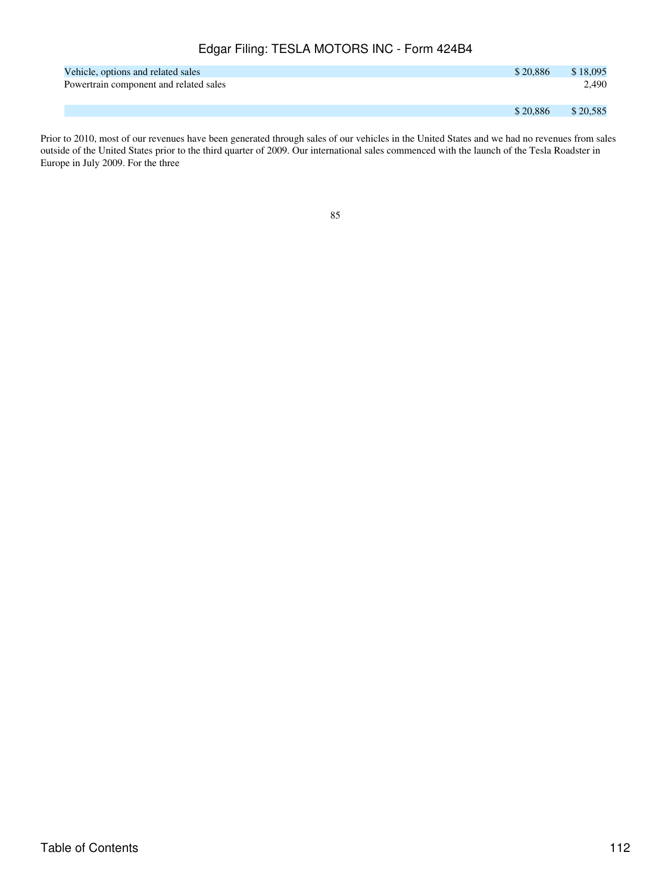# Edgar Filing: TESLA MOTORS INC - Form 424B4

| Vehicle, options and related sales     | \$20.886 | \$18,095 |
|----------------------------------------|----------|----------|
| Powertrain component and related sales |          | 2.490    |
|                                        |          |          |
|                                        | \$20,886 | \$20,585 |
|                                        |          |          |

Prior to 2010, most of our revenues have been generated through sales of our vehicles in the United States and we had no revenues from sales outside of the United States prior to the third quarter of 2009. Our international sales commenced with the launch of the Tesla Roadster in Europe in July 2009. For the three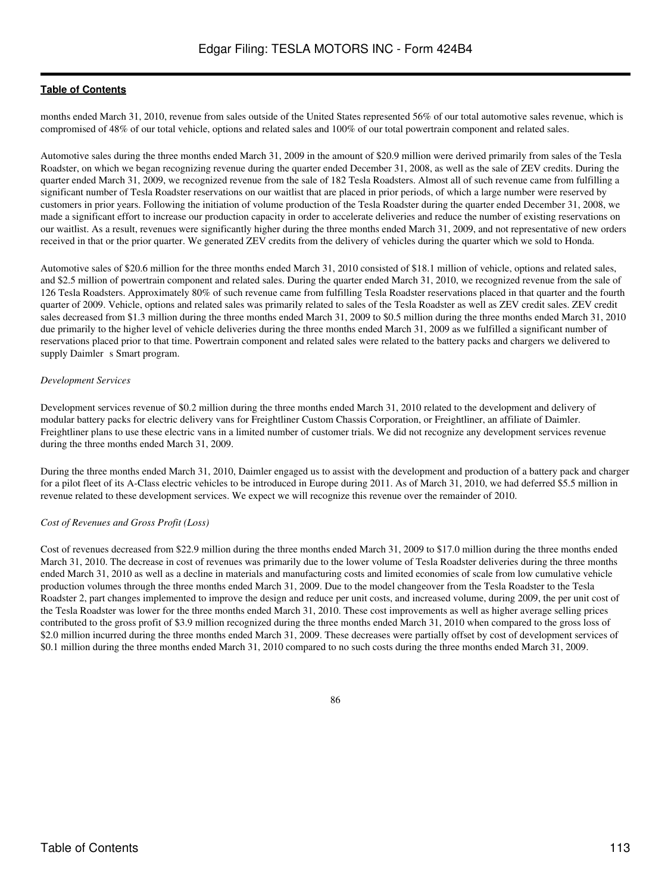months ended March 31, 2010, revenue from sales outside of the United States represented 56% of our total automotive sales revenue, which is compromised of 48% of our total vehicle, options and related sales and 100% of our total powertrain component and related sales.

Automotive sales during the three months ended March 31, 2009 in the amount of \$20.9 million were derived primarily from sales of the Tesla Roadster, on which we began recognizing revenue during the quarter ended December 31, 2008, as well as the sale of ZEV credits. During the quarter ended March 31, 2009, we recognized revenue from the sale of 182 Tesla Roadsters. Almost all of such revenue came from fulfilling a significant number of Tesla Roadster reservations on our waitlist that are placed in prior periods, of which a large number were reserved by customers in prior years. Following the initiation of volume production of the Tesla Roadster during the quarter ended December 31, 2008, we made a significant effort to increase our production capacity in order to accelerate deliveries and reduce the number of existing reservations on our waitlist. As a result, revenues were significantly higher during the three months ended March 31, 2009, and not representative of new orders received in that or the prior quarter. We generated ZEV credits from the delivery of vehicles during the quarter which we sold to Honda.

Automotive sales of \$20.6 million for the three months ended March 31, 2010 consisted of \$18.1 million of vehicle, options and related sales, and \$2.5 million of powertrain component and related sales. During the quarter ended March 31, 2010, we recognized revenue from the sale of 126 Tesla Roadsters. Approximately 80% of such revenue came from fulfilling Tesla Roadster reservations placed in that quarter and the fourth quarter of 2009. Vehicle, options and related sales was primarily related to sales of the Tesla Roadster as well as ZEV credit sales. ZEV credit sales decreased from \$1.3 million during the three months ended March 31, 2009 to \$0.5 million during the three months ended March 31, 2010 due primarily to the higher level of vehicle deliveries during the three months ended March 31, 2009 as we fulfilled a significant number of reservations placed prior to that time. Powertrain component and related sales were related to the battery packs and chargers we delivered to supply Daimler s Smart program.

## *Development Services*

Development services revenue of \$0.2 million during the three months ended March 31, 2010 related to the development and delivery of modular battery packs for electric delivery vans for Freightliner Custom Chassis Corporation, or Freightliner, an affiliate of Daimler. Freightliner plans to use these electric vans in a limited number of customer trials. We did not recognize any development services revenue during the three months ended March 31, 2009.

During the three months ended March 31, 2010, Daimler engaged us to assist with the development and production of a battery pack and charger for a pilot fleet of its A-Class electric vehicles to be introduced in Europe during 2011. As of March 31, 2010, we had deferred \$5.5 million in revenue related to these development services. We expect we will recognize this revenue over the remainder of 2010.

# *Cost of Revenues and Gross Profit (Loss)*

Cost of revenues decreased from \$22.9 million during the three months ended March 31, 2009 to \$17.0 million during the three months ended March 31, 2010. The decrease in cost of revenues was primarily due to the lower volume of Tesla Roadster deliveries during the three months ended March 31, 2010 as well as a decline in materials and manufacturing costs and limited economies of scale from low cumulative vehicle production volumes through the three months ended March 31, 2009. Due to the model changeover from the Tesla Roadster to the Tesla Roadster 2, part changes implemented to improve the design and reduce per unit costs, and increased volume, during 2009, the per unit cost of the Tesla Roadster was lower for the three months ended March 31, 2010. These cost improvements as well as higher average selling prices contributed to the gross profit of \$3.9 million recognized during the three months ended March 31, 2010 when compared to the gross loss of \$2.0 million incurred during the three months ended March 31, 2009. These decreases were partially offset by cost of development services of \$0.1 million during the three months ended March 31, 2010 compared to no such costs during the three months ended March 31, 2009.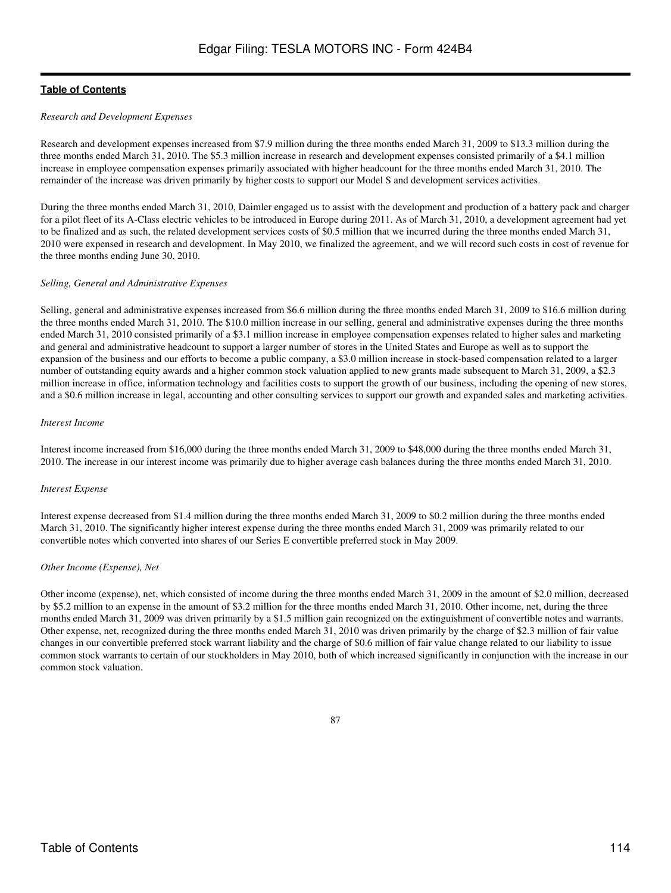## *Research and Development Expenses*

Research and development expenses increased from \$7.9 million during the three months ended March 31, 2009 to \$13.3 million during the three months ended March 31, 2010. The \$5.3 million increase in research and development expenses consisted primarily of a \$4.1 million increase in employee compensation expenses primarily associated with higher headcount for the three months ended March 31, 2010. The remainder of the increase was driven primarily by higher costs to support our Model S and development services activities.

During the three months ended March 31, 2010, Daimler engaged us to assist with the development and production of a battery pack and charger for a pilot fleet of its A-Class electric vehicles to be introduced in Europe during 2011. As of March 31, 2010, a development agreement had yet to be finalized and as such, the related development services costs of \$0.5 million that we incurred during the three months ended March 31, 2010 were expensed in research and development. In May 2010, we finalized the agreement, and we will record such costs in cost of revenue for the three months ending June 30, 2010.

## *Selling, General and Administrative Expenses*

Selling, general and administrative expenses increased from \$6.6 million during the three months ended March 31, 2009 to \$16.6 million during the three months ended March 31, 2010. The \$10.0 million increase in our selling, general and administrative expenses during the three months ended March 31, 2010 consisted primarily of a \$3.1 million increase in employee compensation expenses related to higher sales and marketing and general and administrative headcount to support a larger number of stores in the United States and Europe as well as to support the expansion of the business and our efforts to become a public company, a \$3.0 million increase in stock-based compensation related to a larger number of outstanding equity awards and a higher common stock valuation applied to new grants made subsequent to March 31, 2009, a \$2.3 million increase in office, information technology and facilities costs to support the growth of our business, including the opening of new stores, and a \$0.6 million increase in legal, accounting and other consulting services to support our growth and expanded sales and marketing activities.

#### *Interest Income*

Interest income increased from \$16,000 during the three months ended March 31, 2009 to \$48,000 during the three months ended March 31, 2010. The increase in our interest income was primarily due to higher average cash balances during the three months ended March 31, 2010.

#### *Interest Expense*

Interest expense decreased from \$1.4 million during the three months ended March 31, 2009 to \$0.2 million during the three months ended March 31, 2010. The significantly higher interest expense during the three months ended March 31, 2009 was primarily related to our convertible notes which converted into shares of our Series E convertible preferred stock in May 2009.

#### *Other Income (Expense), Net*

Other income (expense), net, which consisted of income during the three months ended March 31, 2009 in the amount of \$2.0 million, decreased by \$5.2 million to an expense in the amount of \$3.2 million for the three months ended March 31, 2010. Other income, net, during the three months ended March 31, 2009 was driven primarily by a \$1.5 million gain recognized on the extinguishment of convertible notes and warrants. Other expense, net, recognized during the three months ended March 31, 2010 was driven primarily by the charge of \$2.3 million of fair value changes in our convertible preferred stock warrant liability and the charge of \$0.6 million of fair value change related to our liability to issue common stock warrants to certain of our stockholders in May 2010, both of which increased significantly in conjunction with the increase in our common stock valuation.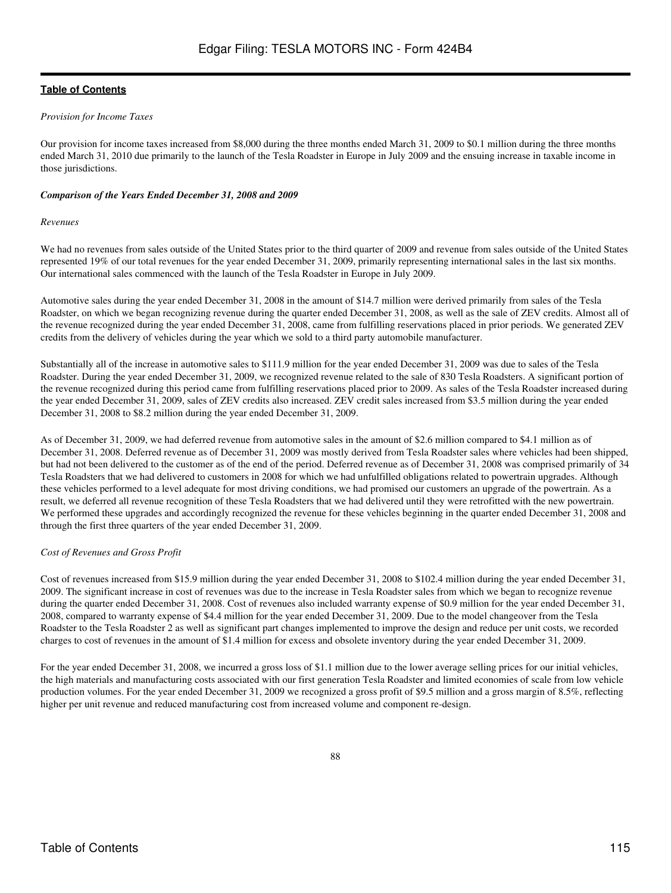## *Provision for Income Taxes*

Our provision for income taxes increased from \$8,000 during the three months ended March 31, 2009 to \$0.1 million during the three months ended March 31, 2010 due primarily to the launch of the Tesla Roadster in Europe in July 2009 and the ensuing increase in taxable income in those jurisdictions.

## *Comparison of the Years Ended December 31, 2008 and 2009*

#### *Revenues*

We had no revenues from sales outside of the United States prior to the third quarter of 2009 and revenue from sales outside of the United States represented 19% of our total revenues for the year ended December 31, 2009, primarily representing international sales in the last six months. Our international sales commenced with the launch of the Tesla Roadster in Europe in July 2009.

Automotive sales during the year ended December 31, 2008 in the amount of \$14.7 million were derived primarily from sales of the Tesla Roadster, on which we began recognizing revenue during the quarter ended December 31, 2008, as well as the sale of ZEV credits. Almost all of the revenue recognized during the year ended December 31, 2008, came from fulfilling reservations placed in prior periods. We generated ZEV credits from the delivery of vehicles during the year which we sold to a third party automobile manufacturer.

Substantially all of the increase in automotive sales to \$111.9 million for the year ended December 31, 2009 was due to sales of the Tesla Roadster. During the year ended December 31, 2009, we recognized revenue related to the sale of 830 Tesla Roadsters. A significant portion of the revenue recognized during this period came from fulfilling reservations placed prior to 2009. As sales of the Tesla Roadster increased during the year ended December 31, 2009, sales of ZEV credits also increased. ZEV credit sales increased from \$3.5 million during the year ended December 31, 2008 to \$8.2 million during the year ended December 31, 2009.

As of December 31, 2009, we had deferred revenue from automotive sales in the amount of \$2.6 million compared to \$4.1 million as of December 31, 2008. Deferred revenue as of December 31, 2009 was mostly derived from Tesla Roadster sales where vehicles had been shipped, but had not been delivered to the customer as of the end of the period. Deferred revenue as of December 31, 2008 was comprised primarily of 34 Tesla Roadsters that we had delivered to customers in 2008 for which we had unfulfilled obligations related to powertrain upgrades. Although these vehicles performed to a level adequate for most driving conditions, we had promised our customers an upgrade of the powertrain. As a result, we deferred all revenue recognition of these Tesla Roadsters that we had delivered until they were retrofitted with the new powertrain. We performed these upgrades and accordingly recognized the revenue for these vehicles beginning in the quarter ended December 31, 2008 and through the first three quarters of the year ended December 31, 2009.

# *Cost of Revenues and Gross Profit*

Cost of revenues increased from \$15.9 million during the year ended December 31, 2008 to \$102.4 million during the year ended December 31, 2009. The significant increase in cost of revenues was due to the increase in Tesla Roadster sales from which we began to recognize revenue during the quarter ended December 31, 2008. Cost of revenues also included warranty expense of \$0.9 million for the year ended December 31, 2008, compared to warranty expense of \$4.4 million for the year ended December 31, 2009. Due to the model changeover from the Tesla Roadster to the Tesla Roadster 2 as well as significant part changes implemented to improve the design and reduce per unit costs, we recorded charges to cost of revenues in the amount of \$1.4 million for excess and obsolete inventory during the year ended December 31, 2009.

For the year ended December 31, 2008, we incurred a gross loss of \$1.1 million due to the lower average selling prices for our initial vehicles, the high materials and manufacturing costs associated with our first generation Tesla Roadster and limited economies of scale from low vehicle production volumes. For the year ended December 31, 2009 we recognized a gross profit of \$9.5 million and a gross margin of 8.5%, reflecting higher per unit revenue and reduced manufacturing cost from increased volume and component re-design.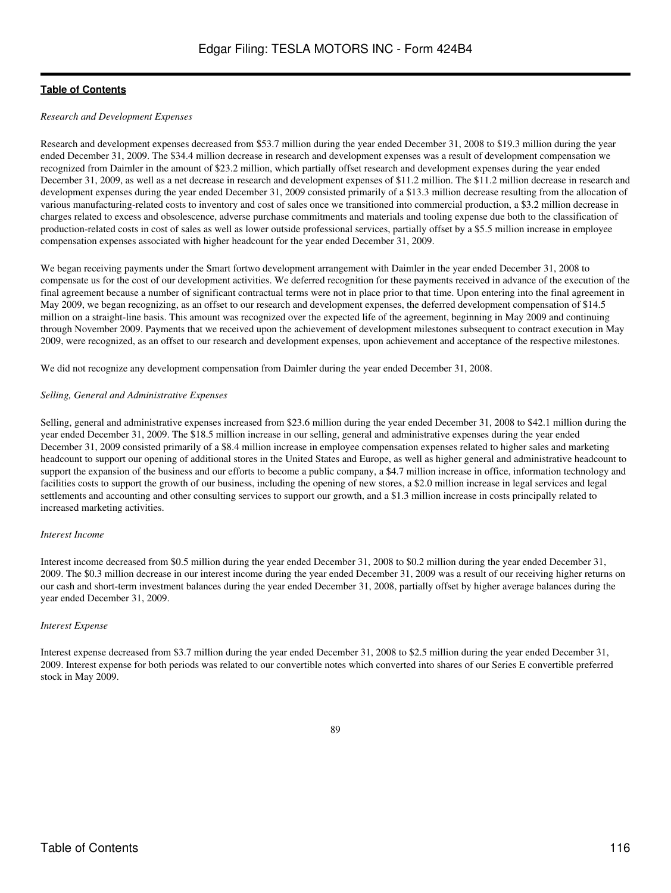## *Research and Development Expenses*

Research and development expenses decreased from \$53.7 million during the year ended December 31, 2008 to \$19.3 million during the year ended December 31, 2009. The \$34.4 million decrease in research and development expenses was a result of development compensation we recognized from Daimler in the amount of \$23.2 million, which partially offset research and development expenses during the year ended December 31, 2009, as well as a net decrease in research and development expenses of \$11.2 million. The \$11.2 million decrease in research and development expenses during the year ended December 31, 2009 consisted primarily of a \$13.3 million decrease resulting from the allocation of various manufacturing-related costs to inventory and cost of sales once we transitioned into commercial production, a \$3.2 million decrease in charges related to excess and obsolescence, adverse purchase commitments and materials and tooling expense due both to the classification of production-related costs in cost of sales as well as lower outside professional services, partially offset by a \$5.5 million increase in employee compensation expenses associated with higher headcount for the year ended December 31, 2009.

We began receiving payments under the Smart fortwo development arrangement with Daimler in the year ended December 31, 2008 to compensate us for the cost of our development activities. We deferred recognition for these payments received in advance of the execution of the final agreement because a number of significant contractual terms were not in place prior to that time. Upon entering into the final agreement in May 2009, we began recognizing, as an offset to our research and development expenses, the deferred development compensation of \$14.5 million on a straight-line basis. This amount was recognized over the expected life of the agreement, beginning in May 2009 and continuing through November 2009. Payments that we received upon the achievement of development milestones subsequent to contract execution in May 2009, were recognized, as an offset to our research and development expenses, upon achievement and acceptance of the respective milestones.

We did not recognize any development compensation from Daimler during the year ended December 31, 2008.

## *Selling, General and Administrative Expenses*

Selling, general and administrative expenses increased from \$23.6 million during the year ended December 31, 2008 to \$42.1 million during the year ended December 31, 2009. The \$18.5 million increase in our selling, general and administrative expenses during the year ended December 31, 2009 consisted primarily of a \$8.4 million increase in employee compensation expenses related to higher sales and marketing headcount to support our opening of additional stores in the United States and Europe, as well as higher general and administrative headcount to support the expansion of the business and our efforts to become a public company, a \$4.7 million increase in office, information technology and facilities costs to support the growth of our business, including the opening of new stores, a \$2.0 million increase in legal services and legal settlements and accounting and other consulting services to support our growth, and a \$1.3 million increase in costs principally related to increased marketing activities.

#### *Interest Income*

Interest income decreased from \$0.5 million during the year ended December 31, 2008 to \$0.2 million during the year ended December 31, 2009. The \$0.3 million decrease in our interest income during the year ended December 31, 2009 was a result of our receiving higher returns on our cash and short-term investment balances during the year ended December 31, 2008, partially offset by higher average balances during the year ended December 31, 2009.

#### *Interest Expense*

Interest expense decreased from \$3.7 million during the year ended December 31, 2008 to \$2.5 million during the year ended December 31, 2009. Interest expense for both periods was related to our convertible notes which converted into shares of our Series E convertible preferred stock in May 2009.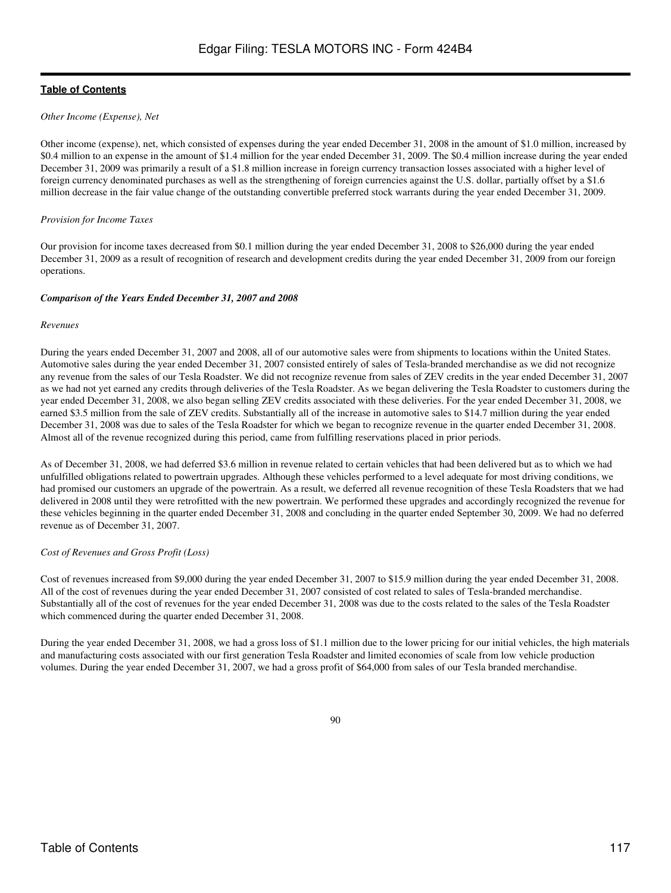## *Other Income (Expense), Net*

Other income (expense), net, which consisted of expenses during the year ended December 31, 2008 in the amount of \$1.0 million, increased by \$0.4 million to an expense in the amount of \$1.4 million for the year ended December 31, 2009. The \$0.4 million increase during the year ended December 31, 2009 was primarily a result of a \$1.8 million increase in foreign currency transaction losses associated with a higher level of foreign currency denominated purchases as well as the strengthening of foreign currencies against the U.S. dollar, partially offset by a \$1.6 million decrease in the fair value change of the outstanding convertible preferred stock warrants during the year ended December 31, 2009.

## *Provision for Income Taxes*

Our provision for income taxes decreased from \$0.1 million during the year ended December 31, 2008 to \$26,000 during the year ended December 31, 2009 as a result of recognition of research and development credits during the year ended December 31, 2009 from our foreign operations.

## *Comparison of the Years Ended December 31, 2007 and 2008*

#### *Revenues*

During the years ended December 31, 2007 and 2008, all of our automotive sales were from shipments to locations within the United States. Automotive sales during the year ended December 31, 2007 consisted entirely of sales of Tesla-branded merchandise as we did not recognize any revenue from the sales of our Tesla Roadster. We did not recognize revenue from sales of ZEV credits in the year ended December 31, 2007 as we had not yet earned any credits through deliveries of the Tesla Roadster. As we began delivering the Tesla Roadster to customers during the year ended December 31, 2008, we also began selling ZEV credits associated with these deliveries. For the year ended December 31, 2008, we earned \$3.5 million from the sale of ZEV credits. Substantially all of the increase in automotive sales to \$14.7 million during the year ended December 31, 2008 was due to sales of the Tesla Roadster for which we began to recognize revenue in the quarter ended December 31, 2008. Almost all of the revenue recognized during this period, came from fulfilling reservations placed in prior periods.

As of December 31, 2008, we had deferred \$3.6 million in revenue related to certain vehicles that had been delivered but as to which we had unfulfilled obligations related to powertrain upgrades. Although these vehicles performed to a level adequate for most driving conditions, we had promised our customers an upgrade of the powertrain. As a result, we deferred all revenue recognition of these Tesla Roadsters that we had delivered in 2008 until they were retrofitted with the new powertrain. We performed these upgrades and accordingly recognized the revenue for these vehicles beginning in the quarter ended December 31, 2008 and concluding in the quarter ended September 30, 2009. We had no deferred revenue as of December 31, 2007.

#### *Cost of Revenues and Gross Profit (Loss)*

Cost of revenues increased from \$9,000 during the year ended December 31, 2007 to \$15.9 million during the year ended December 31, 2008. All of the cost of revenues during the year ended December 31, 2007 consisted of cost related to sales of Tesla-branded merchandise. Substantially all of the cost of revenues for the year ended December 31, 2008 was due to the costs related to the sales of the Tesla Roadster which commenced during the quarter ended December 31, 2008.

During the year ended December 31, 2008, we had a gross loss of \$1.1 million due to the lower pricing for our initial vehicles, the high materials and manufacturing costs associated with our first generation Tesla Roadster and limited economies of scale from low vehicle production volumes. During the year ended December 31, 2007, we had a gross profit of \$64,000 from sales of our Tesla branded merchandise.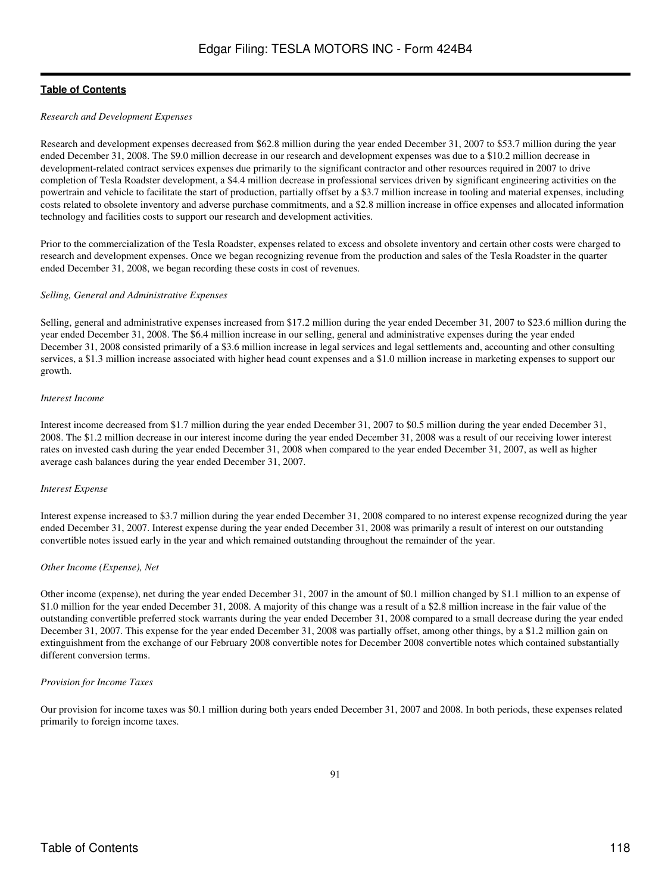## *Research and Development Expenses*

Research and development expenses decreased from \$62.8 million during the year ended December 31, 2007 to \$53.7 million during the year ended December 31, 2008. The \$9.0 million decrease in our research and development expenses was due to a \$10.2 million decrease in development-related contract services expenses due primarily to the significant contractor and other resources required in 2007 to drive completion of Tesla Roadster development, a \$4.4 million decrease in professional services driven by significant engineering activities on the powertrain and vehicle to facilitate the start of production, partially offset by a \$3.7 million increase in tooling and material expenses, including costs related to obsolete inventory and adverse purchase commitments, and a \$2.8 million increase in office expenses and allocated information technology and facilities costs to support our research and development activities.

Prior to the commercialization of the Tesla Roadster, expenses related to excess and obsolete inventory and certain other costs were charged to research and development expenses. Once we began recognizing revenue from the production and sales of the Tesla Roadster in the quarter ended December 31, 2008, we began recording these costs in cost of revenues.

## *Selling, General and Administrative Expenses*

Selling, general and administrative expenses increased from \$17.2 million during the year ended December 31, 2007 to \$23.6 million during the year ended December 31, 2008. The \$6.4 million increase in our selling, general and administrative expenses during the year ended December 31, 2008 consisted primarily of a \$3.6 million increase in legal services and legal settlements and, accounting and other consulting services, a \$1.3 million increase associated with higher head count expenses and a \$1.0 million increase in marketing expenses to support our growth.

#### *Interest Income*

Interest income decreased from \$1.7 million during the year ended December 31, 2007 to \$0.5 million during the year ended December 31, 2008. The \$1.2 million decrease in our interest income during the year ended December 31, 2008 was a result of our receiving lower interest rates on invested cash during the year ended December 31, 2008 when compared to the year ended December 31, 2007, as well as higher average cash balances during the year ended December 31, 2007.

#### *Interest Expense*

Interest expense increased to \$3.7 million during the year ended December 31, 2008 compared to no interest expense recognized during the year ended December 31, 2007. Interest expense during the year ended December 31, 2008 was primarily a result of interest on our outstanding convertible notes issued early in the year and which remained outstanding throughout the remainder of the year.

#### *Other Income (Expense), Net*

Other income (expense), net during the year ended December 31, 2007 in the amount of \$0.1 million changed by \$1.1 million to an expense of \$1.0 million for the year ended December 31, 2008. A majority of this change was a result of a \$2.8 million increase in the fair value of the outstanding convertible preferred stock warrants during the year ended December 31, 2008 compared to a small decrease during the year ended December 31, 2007. This expense for the year ended December 31, 2008 was partially offset, among other things, by a \$1.2 million gain on extinguishment from the exchange of our February 2008 convertible notes for December 2008 convertible notes which contained substantially different conversion terms.

# *Provision for Income Taxes*

Our provision for income taxes was \$0.1 million during both years ended December 31, 2007 and 2008. In both periods, these expenses related primarily to foreign income taxes.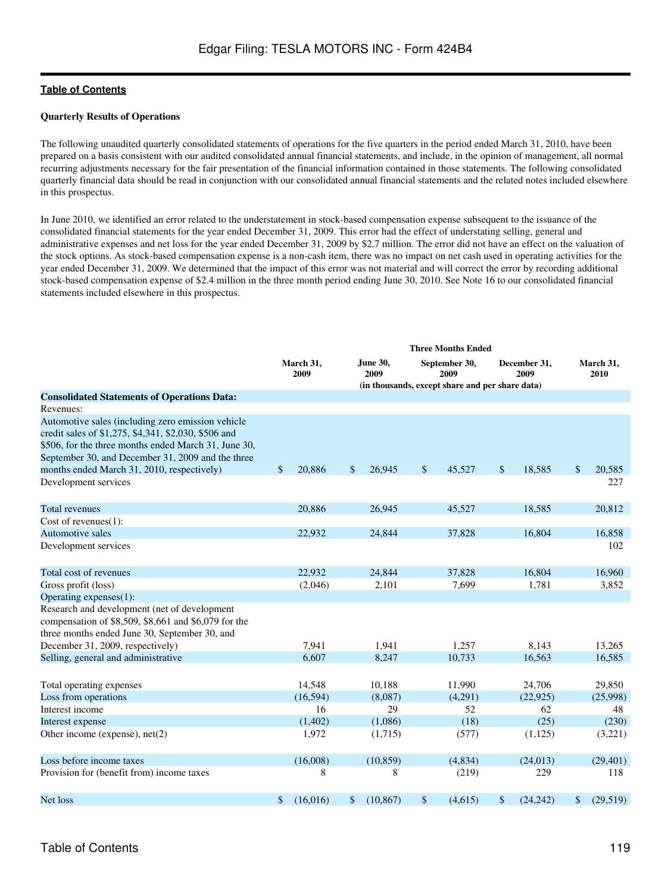# **Quarterly Results of Operations**

The following unaudited quarterly consolidated statements of operations for the five quarters in the period ended March 31, 2010, have been prepared on a basis consistent with our audited consolidated annual financial statements, and include, in the opinion of management, all normal recurring adjustments necessary for the fair presentation of the financial information contained in those statements. The following consolidated quarterly financial data should be read in conjunction with our consolidated annual financial statements and the related notes included elsewhere in this prospectus.

In June 2010, we identified an error related to the understatement in stock-based compensation expense subsequent to the issuance of the consolidated financial statements for the year ended December 31, 2009. This error had the effect of understating selling, general and administrative expenses and net loss for the year ended December 31, 2009 by \$2.7 million. The error did not have an effect on the valuation of the stock options. As stock-based compensation expense is a non-cash item, there was no impact on net cash used in operating activities for the year ended December 31, 2009. We determined that the impact of this error was not material and will correct the error by recording additional stock-based compensation expense of \$2.4 million in the three month period ending June 30, 2010. See Note 16 to our consolidated financial statements included elsewhere in this prospectus.

|                                                      | <b>Three Months Ended</b> |           |              |                  |                                                                          |         |                      |           |              |                   |  |
|------------------------------------------------------|---------------------------|-----------|--------------|------------------|--------------------------------------------------------------------------|---------|----------------------|-----------|--------------|-------------------|--|
|                                                      | March 31,<br>2009         |           |              | June 30,<br>2009 | September 30.<br>2009<br>(in thousands, except share and per share data) |         | December 31,<br>2009 |           |              | March 31,<br>2010 |  |
| <b>Consolidated Statements of Operations Data:</b>   |                           |           |              |                  |                                                                          |         |                      |           |              |                   |  |
| Revenues:                                            |                           |           |              |                  |                                                                          |         |                      |           |              |                   |  |
| Automotive sales (including zero emission vehicle    |                           |           |              |                  |                                                                          |         |                      |           |              |                   |  |
| credit sales of \$1,275, \$4,341, \$2,030, \$506 and |                           |           |              |                  |                                                                          |         |                      |           |              |                   |  |
| \$506, for the three months ended March 31, June 30, |                           |           |              |                  |                                                                          |         |                      |           |              |                   |  |
| September 30, and December 31, 2009 and the three    |                           |           |              |                  |                                                                          |         |                      |           |              |                   |  |
| months ended March 31, 2010, respectively)           | $\mathsf{\$}$             | 20.886    | $\mathbb{S}$ | 26.945           | $\mathbb{S}$                                                             | 45,527  | $\mathsf{\$}$        | 18,585    | $\sqrt{\ }$  | 20.585            |  |
| Development services                                 |                           |           |              |                  |                                                                          |         |                      |           |              | 227               |  |
| <b>Total revenues</b>                                |                           | 20,886    |              | 26,945           |                                                                          | 45,527  |                      | 18,585    |              | 20,812            |  |
| Cost of revenues $(1)$ :                             |                           |           |              |                  |                                                                          |         |                      |           |              |                   |  |
| Automotive sales                                     |                           | 22,932    |              | 24,844           |                                                                          | 37,828  |                      | 16,804    |              | 16,858            |  |
| Development services                                 |                           |           |              |                  |                                                                          |         |                      |           |              | 102               |  |
| Total cost of revenues                               |                           | 22,932    |              | 24,844           |                                                                          | 37,828  |                      | 16,804    |              | 16,960            |  |
| Gross profit (loss)                                  |                           | (2,046)   |              | 2,101            |                                                                          | 7,699   |                      | 1,781     |              | 3,852             |  |
| Operating expenses(1):                               |                           |           |              |                  |                                                                          |         |                      |           |              |                   |  |
| Research and development (net of development         |                           |           |              |                  |                                                                          |         |                      |           |              |                   |  |
| compensation of \$8,509, \$8,661 and \$6,079 for the |                           |           |              |                  |                                                                          |         |                      |           |              |                   |  |
| three months ended June 30, September 30, and        |                           |           |              |                  |                                                                          |         |                      |           |              |                   |  |
| December 31, 2009, respectively)                     |                           | 7,941     |              | 1,941            |                                                                          | 1,257   |                      | 8,143     |              | 13,265            |  |
| Selling, general and administrative                  |                           | 6,607     |              | 8,247            |                                                                          | 10,733  |                      | 16,563    |              | 16,585            |  |
| Total operating expenses                             |                           | 14,548    |              | 10,188           |                                                                          | 11,990  |                      | 24,706    |              | 29,850            |  |
| Loss from operations                                 |                           | (16, 594) |              | (8,087)          |                                                                          | (4,291) |                      | (22, 925) |              | (25,998)          |  |
| Interest income                                      |                           | 16        |              | 29               |                                                                          | 52      |                      | 62        |              | 48                |  |
| Interest expense                                     |                           | (1,402)   |              | (1,086)          |                                                                          | (18)    |                      | (25)      |              | (230)             |  |
| Other income (expense), $net(2)$                     |                           | 1,972     |              | (1,715)          |                                                                          | (577)   |                      | (1,125)   |              | (3,221)           |  |
| Loss before income taxes                             |                           | (16,008)  |              | (10, 859)        |                                                                          | (4,834) |                      | (24, 013) |              | (29, 401)         |  |
| Provision for (benefit from) income taxes            |                           | 8         |              | 8                |                                                                          | (219)   |                      | 229       |              | 118               |  |
| Net loss                                             | \$                        | (16,016)  | \$           | (10, 867)        | \$                                                                       | (4,615) | \$                   | (24, 242) | $\mathbb{S}$ | (29,519)          |  |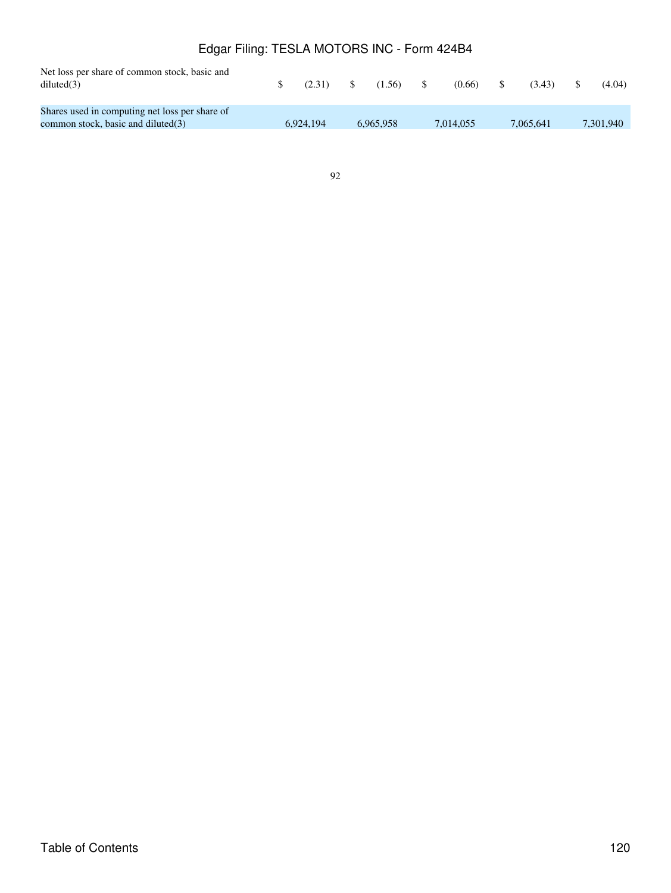| Edgar Filing: TESLA MOTORS INC - Form 424B4                                          |  |           |  |           |    |           |    |           |  |           |
|--------------------------------------------------------------------------------------|--|-----------|--|-----------|----|-----------|----|-----------|--|-----------|
| Net loss per share of common stock, basic and<br>diluted(3)                          |  | (2.31)    |  | (1.56)    | -S | (0.66)    | S. | (3.43)    |  | (4.04)    |
| Shares used in computing net loss per share of<br>common stock, basic and diluted(3) |  | 6.924.194 |  | 6,965,958 |    | 7,014,055 |    | 7,065,641 |  | 7,301,940 |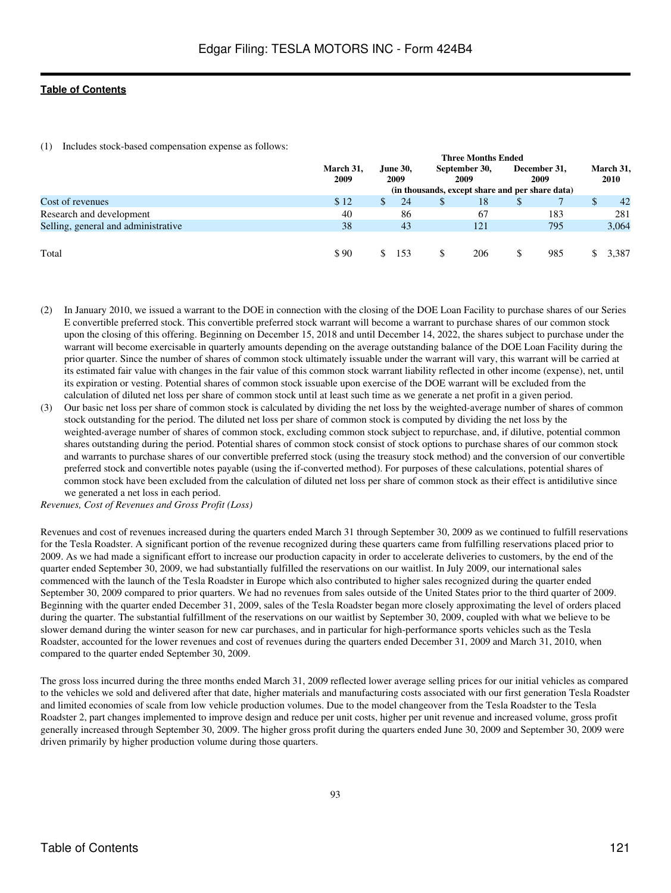#### (1) Includes stock-based compensation expense as follows:

|                                     | March 31,<br>2009 |                                                 | June 30,<br>2009 |              | September 30,<br>2009 |   | December 31,<br>2009 |    | March 31,<br>2010 |  |
|-------------------------------------|-------------------|-------------------------------------------------|------------------|--------------|-----------------------|---|----------------------|----|-------------------|--|
|                                     |                   | (in thousands, except share and per share data) |                  |              |                       |   |                      |    |                   |  |
| Cost of revenues                    | \$12              | \$.                                             | 24               | $\mathbb{S}$ | 18                    | S |                      | \$ | 42                |  |
| Research and development            | 40                |                                                 | 86               |              | 67                    |   | 183                  |    | 281               |  |
| Selling, general and administrative | 38                |                                                 | 43               |              | 121                   |   | 795                  |    | 3,064             |  |
|                                     |                   |                                                 |                  |              |                       |   |                      |    |                   |  |
| Total                               | \$90              |                                                 | 153              |              | 206                   |   | 985                  |    | 3.387             |  |

- (2) In January 2010, we issued a warrant to the DOE in connection with the closing of the DOE Loan Facility to purchase shares of our Series E convertible preferred stock. This convertible preferred stock warrant will become a warrant to purchase shares of our common stock upon the closing of this offering. Beginning on December 15, 2018 and until December 14, 2022, the shares subject to purchase under the warrant will become exercisable in quarterly amounts depending on the average outstanding balance of the DOE Loan Facility during the prior quarter. Since the number of shares of common stock ultimately issuable under the warrant will vary, this warrant will be carried at its estimated fair value with changes in the fair value of this common stock warrant liability reflected in other income (expense), net, until its expiration or vesting. Potential shares of common stock issuable upon exercise of the DOE warrant will be excluded from the calculation of diluted net loss per share of common stock until at least such time as we generate a net profit in a given period.
- (3) Our basic net loss per share of common stock is calculated by dividing the net loss by the weighted-average number of shares of common stock outstanding for the period. The diluted net loss per share of common stock is computed by dividing the net loss by the weighted-average number of shares of common stock, excluding common stock subject to repurchase, and, if dilutive, potential common shares outstanding during the period. Potential shares of common stock consist of stock options to purchase shares of our common stock and warrants to purchase shares of our convertible preferred stock (using the treasury stock method) and the conversion of our convertible preferred stock and convertible notes payable (using the if-converted method). For purposes of these calculations, potential shares of common stock have been excluded from the calculation of diluted net loss per share of common stock as their effect is antidilutive since we generated a net loss in each period.

*Revenues, Cost of Revenues and Gross Profit (Loss)*

Revenues and cost of revenues increased during the quarters ended March 31 through September 30, 2009 as we continued to fulfill reservations for the Tesla Roadster. A significant portion of the revenue recognized during these quarters came from fulfilling reservations placed prior to 2009. As we had made a significant effort to increase our production capacity in order to accelerate deliveries to customers, by the end of the quarter ended September 30, 2009, we had substantially fulfilled the reservations on our waitlist. In July 2009, our international sales commenced with the launch of the Tesla Roadster in Europe which also contributed to higher sales recognized during the quarter ended September 30, 2009 compared to prior quarters. We had no revenues from sales outside of the United States prior to the third quarter of 2009. Beginning with the quarter ended December 31, 2009, sales of the Tesla Roadster began more closely approximating the level of orders placed during the quarter. The substantial fulfillment of the reservations on our waitlist by September 30, 2009, coupled with what we believe to be slower demand during the winter season for new car purchases, and in particular for high-performance sports vehicles such as the Tesla Roadster, accounted for the lower revenues and cost of revenues during the quarters ended December 31, 2009 and March 31, 2010, when compared to the quarter ended September 30, 2009.

The gross loss incurred during the three months ended March 31, 2009 reflected lower average selling prices for our initial vehicles as compared to the vehicles we sold and delivered after that date, higher materials and manufacturing costs associated with our first generation Tesla Roadster and limited economies of scale from low vehicle production volumes. Due to the model changeover from the Tesla Roadster to the Tesla Roadster 2, part changes implemented to improve design and reduce per unit costs, higher per unit revenue and increased volume, gross profit generally increased through September 30, 2009. The higher gross profit during the quarters ended June 30, 2009 and September 30, 2009 were driven primarily by higher production volume during those quarters.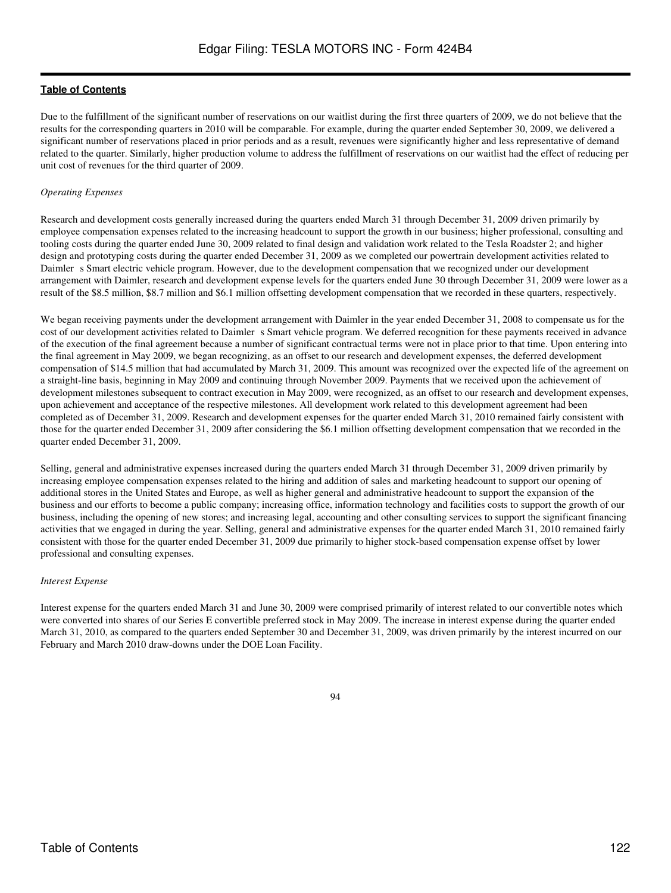Due to the fulfillment of the significant number of reservations on our waitlist during the first three quarters of 2009, we do not believe that the results for the corresponding quarters in 2010 will be comparable. For example, during the quarter ended September 30, 2009, we delivered a significant number of reservations placed in prior periods and as a result, revenues were significantly higher and less representative of demand related to the quarter. Similarly, higher production volume to address the fulfillment of reservations on our waitlist had the effect of reducing per unit cost of revenues for the third quarter of 2009.

## *Operating Expenses*

Research and development costs generally increased during the quarters ended March 31 through December 31, 2009 driven primarily by employee compensation expenses related to the increasing headcount to support the growth in our business; higher professional, consulting and tooling costs during the quarter ended June 30, 2009 related to final design and validation work related to the Tesla Roadster 2; and higher design and prototyping costs during the quarter ended December 31, 2009 as we completed our powertrain development activities related to Daimler s Smart electric vehicle program. However, due to the development compensation that we recognized under our development arrangement with Daimler, research and development expense levels for the quarters ended June 30 through December 31, 2009 were lower as a result of the \$8.5 million, \$8.7 million and \$6.1 million offsetting development compensation that we recorded in these quarters, respectively.

We began receiving payments under the development arrangement with Daimler in the year ended December 31, 2008 to compensate us for the cost of our development activities related to Daimler s Smart vehicle program. We deferred recognition for these payments received in advance of the execution of the final agreement because a number of significant contractual terms were not in place prior to that time. Upon entering into the final agreement in May 2009, we began recognizing, as an offset to our research and development expenses, the deferred development compensation of \$14.5 million that had accumulated by March 31, 2009. This amount was recognized over the expected life of the agreement on a straight-line basis, beginning in May 2009 and continuing through November 2009. Payments that we received upon the achievement of development milestones subsequent to contract execution in May 2009, were recognized, as an offset to our research and development expenses, upon achievement and acceptance of the respective milestones. All development work related to this development agreement had been completed as of December 31, 2009. Research and development expenses for the quarter ended March 31, 2010 remained fairly consistent with those for the quarter ended December 31, 2009 after considering the \$6.1 million offsetting development compensation that we recorded in the quarter ended December 31, 2009.

Selling, general and administrative expenses increased during the quarters ended March 31 through December 31, 2009 driven primarily by increasing employee compensation expenses related to the hiring and addition of sales and marketing headcount to support our opening of additional stores in the United States and Europe, as well as higher general and administrative headcount to support the expansion of the business and our efforts to become a public company; increasing office, information technology and facilities costs to support the growth of our business, including the opening of new stores; and increasing legal, accounting and other consulting services to support the significant financing activities that we engaged in during the year. Selling, general and administrative expenses for the quarter ended March 31, 2010 remained fairly consistent with those for the quarter ended December 31, 2009 due primarily to higher stock-based compensation expense offset by lower professional and consulting expenses.

#### *Interest Expense*

Interest expense for the quarters ended March 31 and June 30, 2009 were comprised primarily of interest related to our convertible notes which were converted into shares of our Series E convertible preferred stock in May 2009. The increase in interest expense during the quarter ended March 31, 2010, as compared to the quarters ended September 30 and December 31, 2009, was driven primarily by the interest incurred on our February and March 2010 draw-downs under the DOE Loan Facility.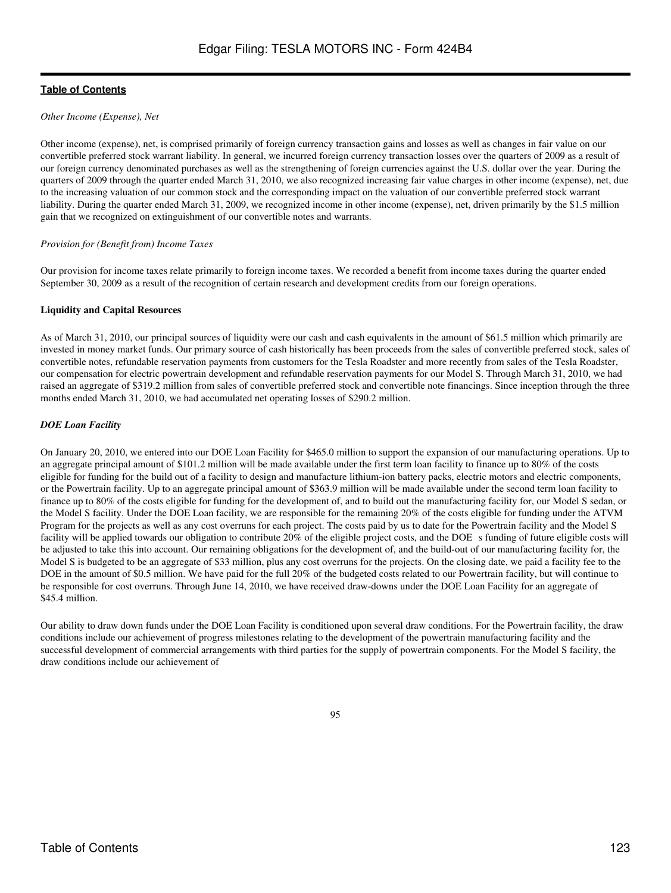# *Other Income (Expense), Net*

Other income (expense), net, is comprised primarily of foreign currency transaction gains and losses as well as changes in fair value on our convertible preferred stock warrant liability. In general, we incurred foreign currency transaction losses over the quarters of 2009 as a result of our foreign currency denominated purchases as well as the strengthening of foreign currencies against the U.S. dollar over the year. During the quarters of 2009 through the quarter ended March 31, 2010, we also recognized increasing fair value charges in other income (expense), net, due to the increasing valuation of our common stock and the corresponding impact on the valuation of our convertible preferred stock warrant liability. During the quarter ended March 31, 2009, we recognized income in other income (expense), net, driven primarily by the \$1.5 million gain that we recognized on extinguishment of our convertible notes and warrants.

## *Provision for (Benefit from) Income Taxes*

Our provision for income taxes relate primarily to foreign income taxes. We recorded a benefit from income taxes during the quarter ended September 30, 2009 as a result of the recognition of certain research and development credits from our foreign operations.

## **Liquidity and Capital Resources**

As of March 31, 2010, our principal sources of liquidity were our cash and cash equivalents in the amount of \$61.5 million which primarily are invested in money market funds. Our primary source of cash historically has been proceeds from the sales of convertible preferred stock, sales of convertible notes, refundable reservation payments from customers for the Tesla Roadster and more recently from sales of the Tesla Roadster, our compensation for electric powertrain development and refundable reservation payments for our Model S. Through March 31, 2010, we had raised an aggregate of \$319.2 million from sales of convertible preferred stock and convertible note financings. Since inception through the three months ended March 31, 2010, we had accumulated net operating losses of \$290.2 million.

## *DOE Loan Facility*

On January 20, 2010, we entered into our DOE Loan Facility for \$465.0 million to support the expansion of our manufacturing operations. Up to an aggregate principal amount of \$101.2 million will be made available under the first term loan facility to finance up to 80% of the costs eligible for funding for the build out of a facility to design and manufacture lithium-ion battery packs, electric motors and electric components, or the Powertrain facility. Up to an aggregate principal amount of \$363.9 million will be made available under the second term loan facility to finance up to 80% of the costs eligible for funding for the development of, and to build out the manufacturing facility for, our Model S sedan, or the Model S facility. Under the DOE Loan facility, we are responsible for the remaining 20% of the costs eligible for funding under the ATVM Program for the projects as well as any cost overruns for each project. The costs paid by us to date for the Powertrain facility and the Model S facility will be applied towards our obligation to contribute 20% of the eligible project costs, and the DOE s funding of future eligible costs will be adjusted to take this into account. Our remaining obligations for the development of, and the build-out of our manufacturing facility for, the Model S is budgeted to be an aggregate of \$33 million, plus any cost overruns for the projects. On the closing date, we paid a facility fee to the DOE in the amount of \$0.5 million. We have paid for the full 20% of the budgeted costs related to our Powertrain facility, but will continue to be responsible for cost overruns. Through June 14, 2010, we have received draw-downs under the DOE Loan Facility for an aggregate of \$45.4 million.

Our ability to draw down funds under the DOE Loan Facility is conditioned upon several draw conditions. For the Powertrain facility, the draw conditions include our achievement of progress milestones relating to the development of the powertrain manufacturing facility and the successful development of commercial arrangements with third parties for the supply of powertrain components. For the Model S facility, the draw conditions include our achievement of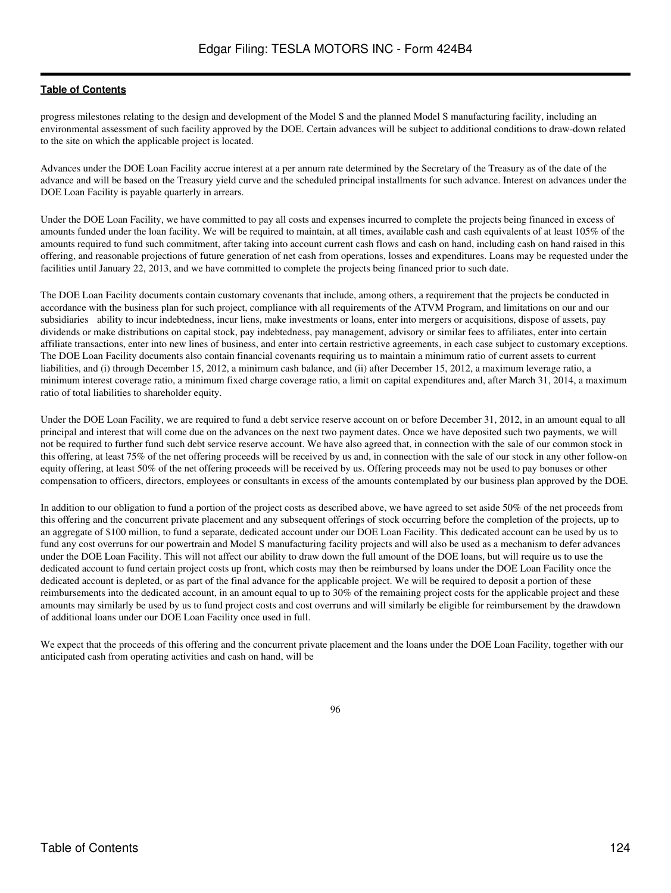progress milestones relating to the design and development of the Model S and the planned Model S manufacturing facility, including an environmental assessment of such facility approved by the DOE. Certain advances will be subject to additional conditions to draw-down related to the site on which the applicable project is located.

Advances under the DOE Loan Facility accrue interest at a per annum rate determined by the Secretary of the Treasury as of the date of the advance and will be based on the Treasury yield curve and the scheduled principal installments for such advance. Interest on advances under the DOE Loan Facility is payable quarterly in arrears.

Under the DOE Loan Facility, we have committed to pay all costs and expenses incurred to complete the projects being financed in excess of amounts funded under the loan facility. We will be required to maintain, at all times, available cash and cash equivalents of at least 105% of the amounts required to fund such commitment, after taking into account current cash flows and cash on hand, including cash on hand raised in this offering, and reasonable projections of future generation of net cash from operations, losses and expenditures. Loans may be requested under the facilities until January 22, 2013, and we have committed to complete the projects being financed prior to such date.

The DOE Loan Facility documents contain customary covenants that include, among others, a requirement that the projects be conducted in accordance with the business plan for such project, compliance with all requirements of the ATVM Program, and limitations on our and our subsidiaries ability to incur indebtedness, incur liens, make investments or loans, enter into mergers or acquisitions, dispose of assets, pay dividends or make distributions on capital stock, pay indebtedness, pay management, advisory or similar fees to affiliates, enter into certain affiliate transactions, enter into new lines of business, and enter into certain restrictive agreements, in each case subject to customary exceptions. The DOE Loan Facility documents also contain financial covenants requiring us to maintain a minimum ratio of current assets to current liabilities, and (i) through December 15, 2012, a minimum cash balance, and (ii) after December 15, 2012, a maximum leverage ratio, a minimum interest coverage ratio, a minimum fixed charge coverage ratio, a limit on capital expenditures and, after March 31, 2014, a maximum ratio of total liabilities to shareholder equity.

Under the DOE Loan Facility, we are required to fund a debt service reserve account on or before December 31, 2012, in an amount equal to all principal and interest that will come due on the advances on the next two payment dates. Once we have deposited such two payments, we will not be required to further fund such debt service reserve account. We have also agreed that, in connection with the sale of our common stock in this offering, at least 75% of the net offering proceeds will be received by us and, in connection with the sale of our stock in any other follow-on equity offering, at least 50% of the net offering proceeds will be received by us. Offering proceeds may not be used to pay bonuses or other compensation to officers, directors, employees or consultants in excess of the amounts contemplated by our business plan approved by the DOE.

In addition to our obligation to fund a portion of the project costs as described above, we have agreed to set aside 50% of the net proceeds from this offering and the concurrent private placement and any subsequent offerings of stock occurring before the completion of the projects, up to an aggregate of \$100 million, to fund a separate, dedicated account under our DOE Loan Facility. This dedicated account can be used by us to fund any cost overruns for our powertrain and Model S manufacturing facility projects and will also be used as a mechanism to defer advances under the DOE Loan Facility. This will not affect our ability to draw down the full amount of the DOE loans, but will require us to use the dedicated account to fund certain project costs up front, which costs may then be reimbursed by loans under the DOE Loan Facility once the dedicated account is depleted, or as part of the final advance for the applicable project. We will be required to deposit a portion of these reimbursements into the dedicated account, in an amount equal to up to 30% of the remaining project costs for the applicable project and these amounts may similarly be used by us to fund project costs and cost overruns and will similarly be eligible for reimbursement by the drawdown of additional loans under our DOE Loan Facility once used in full.

We expect that the proceeds of this offering and the concurrent private placement and the loans under the DOE Loan Facility, together with our anticipated cash from operating activities and cash on hand, will be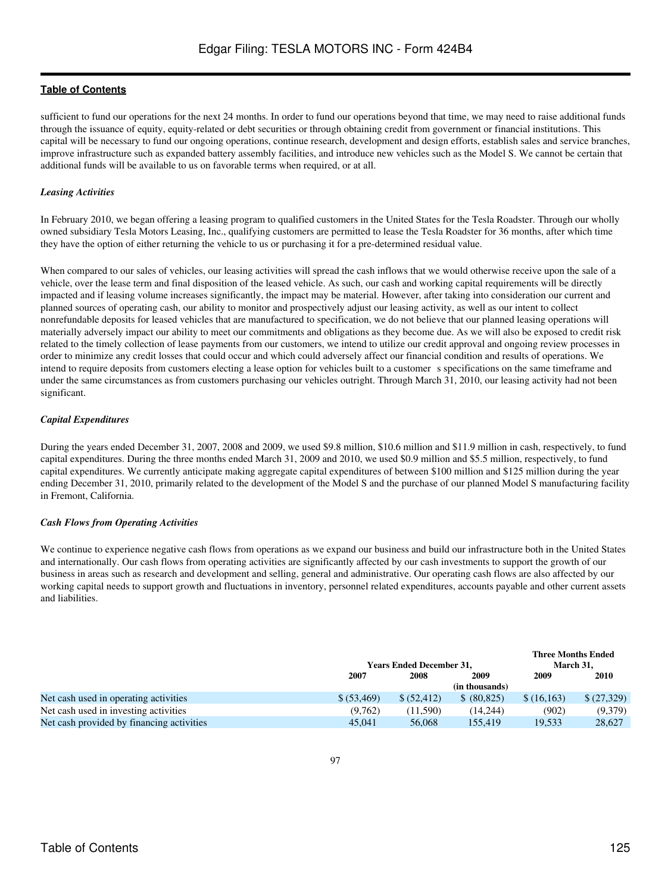sufficient to fund our operations for the next 24 months. In order to fund our operations beyond that time, we may need to raise additional funds through the issuance of equity, equity-related or debt securities or through obtaining credit from government or financial institutions. This capital will be necessary to fund our ongoing operations, continue research, development and design efforts, establish sales and service branches, improve infrastructure such as expanded battery assembly facilities, and introduce new vehicles such as the Model S. We cannot be certain that additional funds will be available to us on favorable terms when required, or at all.

## *Leasing Activities*

In February 2010, we began offering a leasing program to qualified customers in the United States for the Tesla Roadster. Through our wholly owned subsidiary Tesla Motors Leasing, Inc., qualifying customers are permitted to lease the Tesla Roadster for 36 months, after which time they have the option of either returning the vehicle to us or purchasing it for a pre-determined residual value.

When compared to our sales of vehicles, our leasing activities will spread the cash inflows that we would otherwise receive upon the sale of a vehicle, over the lease term and final disposition of the leased vehicle. As such, our cash and working capital requirements will be directly impacted and if leasing volume increases significantly, the impact may be material. However, after taking into consideration our current and planned sources of operating cash, our ability to monitor and prospectively adjust our leasing activity, as well as our intent to collect nonrefundable deposits for leased vehicles that are manufactured to specification, we do not believe that our planned leasing operations will materially adversely impact our ability to meet our commitments and obligations as they become due. As we will also be exposed to credit risk related to the timely collection of lease payments from our customers, we intend to utilize our credit approval and ongoing review processes in order to minimize any credit losses that could occur and which could adversely affect our financial condition and results of operations. We intend to require deposits from customers electing a lease option for vehicles built to a customer s specifications on the same timeframe and under the same circumstances as from customers purchasing our vehicles outright. Through March 31, 2010, our leasing activity had not been significant.

## *Capital Expenditures*

During the years ended December 31, 2007, 2008 and 2009, we used \$9.8 million, \$10.6 million and \$11.9 million in cash, respectively, to fund capital expenditures. During the three months ended March 31, 2009 and 2010, we used \$0.9 million and \$5.5 million, respectively, to fund capital expenditures. We currently anticipate making aggregate capital expenditures of between \$100 million and \$125 million during the year ending December 31, 2010, primarily related to the development of the Model S and the purchase of our planned Model S manufacturing facility in Fremont, California.

# *Cash Flows from Operating Activities*

We continue to experience negative cash flows from operations as we expand our business and build our infrastructure both in the United States and internationally. Our cash flows from operating activities are significantly affected by our cash investments to support the growth of our business in areas such as research and development and selling, general and administrative. Our operating cash flows are also affected by our working capital needs to support growth and fluctuations in inventory, personnel related expenditures, accounts payable and other current assets and liabilities.

|                                           |             |                                 |                | <b>Three Months Ended</b> |            |
|-------------------------------------------|-------------|---------------------------------|----------------|---------------------------|------------|
|                                           |             | <b>Years Ended December 31,</b> | March 31.      |                           |            |
|                                           | 2007        | 2008                            | 2009           | 2009                      | 2010       |
|                                           |             |                                 | (in thousands) |                           |            |
| Net cash used in operating activities     | \$ (53,469) | \$ (52.412)                     | \$ (80.825)    | \$(16,163)                | \$(27,329) |
| Net cash used in investing activities     | (9.762)     | (11.590)                        | (14.244)       | (902)                     | (9,379)    |
| Net cash provided by financing activities | 45,041      | 56,068                          | 155.419        | 19.533                    | 28,627     |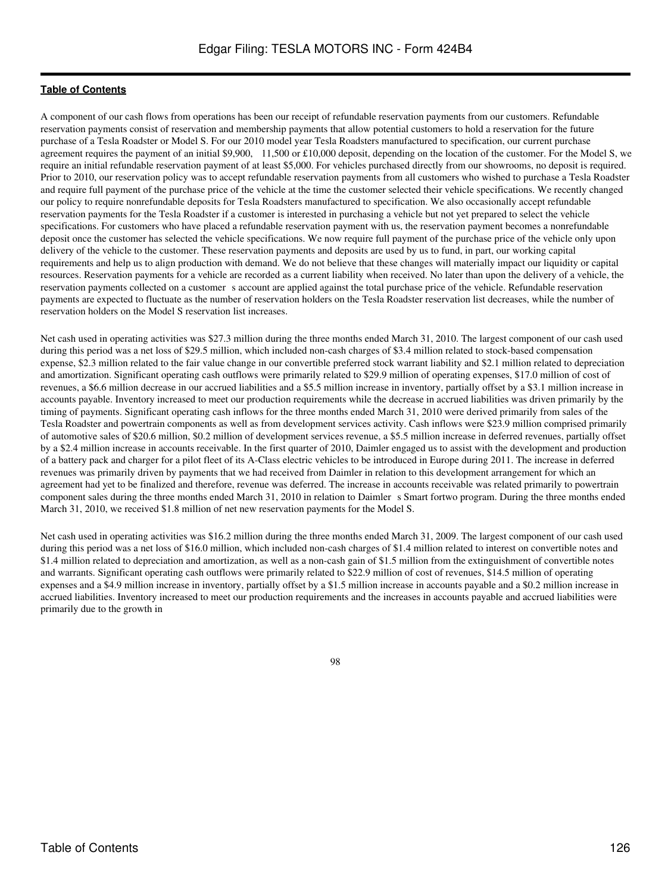A component of our cash flows from operations has been our receipt of refundable reservation payments from our customers. Refundable reservation payments consist of reservation and membership payments that allow potential customers to hold a reservation for the future purchase of a Tesla Roadster or Model S. For our 2010 model year Tesla Roadsters manufactured to specification, our current purchase agreement requires the payment of an initial \$9,900, 11,500 or £10,000 deposit, depending on the location of the customer. For the Model S, we require an initial refundable reservation payment of at least \$5,000. For vehicles purchased directly from our showrooms, no deposit is required. Prior to 2010, our reservation policy was to accept refundable reservation payments from all customers who wished to purchase a Tesla Roadster and require full payment of the purchase price of the vehicle at the time the customer selected their vehicle specifications. We recently changed our policy to require nonrefundable deposits for Tesla Roadsters manufactured to specification. We also occasionally accept refundable reservation payments for the Tesla Roadster if a customer is interested in purchasing a vehicle but not yet prepared to select the vehicle specifications. For customers who have placed a refundable reservation payment with us, the reservation payment becomes a nonrefundable deposit once the customer has selected the vehicle specifications. We now require full payment of the purchase price of the vehicle only upon delivery of the vehicle to the customer. These reservation payments and deposits are used by us to fund, in part, our working capital requirements and help us to align production with demand. We do not believe that these changes will materially impact our liquidity or capital resources. Reservation payments for a vehicle are recorded as a current liability when received. No later than upon the delivery of a vehicle, the reservation payments collected on a customer s account are applied against the total purchase price of the vehicle. Refundable reservation payments are expected to fluctuate as the number of reservation holders on the Tesla Roadster reservation list decreases, while the number of reservation holders on the Model S reservation list increases.

Net cash used in operating activities was \$27.3 million during the three months ended March 31, 2010. The largest component of our cash used during this period was a net loss of \$29.5 million, which included non-cash charges of \$3.4 million related to stock-based compensation expense, \$2.3 million related to the fair value change in our convertible preferred stock warrant liability and \$2.1 million related to depreciation and amortization. Significant operating cash outflows were primarily related to \$29.9 million of operating expenses, \$17.0 million of cost of revenues, a \$6.6 million decrease in our accrued liabilities and a \$5.5 million increase in inventory, partially offset by a \$3.1 million increase in accounts payable. Inventory increased to meet our production requirements while the decrease in accrued liabilities was driven primarily by the timing of payments. Significant operating cash inflows for the three months ended March 31, 2010 were derived primarily from sales of the Tesla Roadster and powertrain components as well as from development services activity. Cash inflows were \$23.9 million comprised primarily of automotive sales of \$20.6 million, \$0.2 million of development services revenue, a \$5.5 million increase in deferred revenues, partially offset by a \$2.4 million increase in accounts receivable. In the first quarter of 2010, Daimler engaged us to assist with the development and production of a battery pack and charger for a pilot fleet of its A-Class electric vehicles to be introduced in Europe during 2011. The increase in deferred revenues was primarily driven by payments that we had received from Daimler in relation to this development arrangement for which an agreement had yet to be finalized and therefore, revenue was deferred. The increase in accounts receivable was related primarily to powertrain component sales during the three months ended March 31, 2010 in relation to Daimler s Smart fortwo program. During the three months ended March 31, 2010, we received \$1.8 million of net new reservation payments for the Model S.

Net cash used in operating activities was \$16.2 million during the three months ended March 31, 2009. The largest component of our cash used during this period was a net loss of \$16.0 million, which included non-cash charges of \$1.4 million related to interest on convertible notes and \$1.4 million related to depreciation and amortization, as well as a non-cash gain of \$1.5 million from the extinguishment of convertible notes and warrants. Significant operating cash outflows were primarily related to \$22.9 million of cost of revenues, \$14.5 million of operating expenses and a \$4.9 million increase in inventory, partially offset by a \$1.5 million increase in accounts payable and a \$0.2 million increase in accrued liabilities. Inventory increased to meet our production requirements and the increases in accounts payable and accrued liabilities were primarily due to the growth in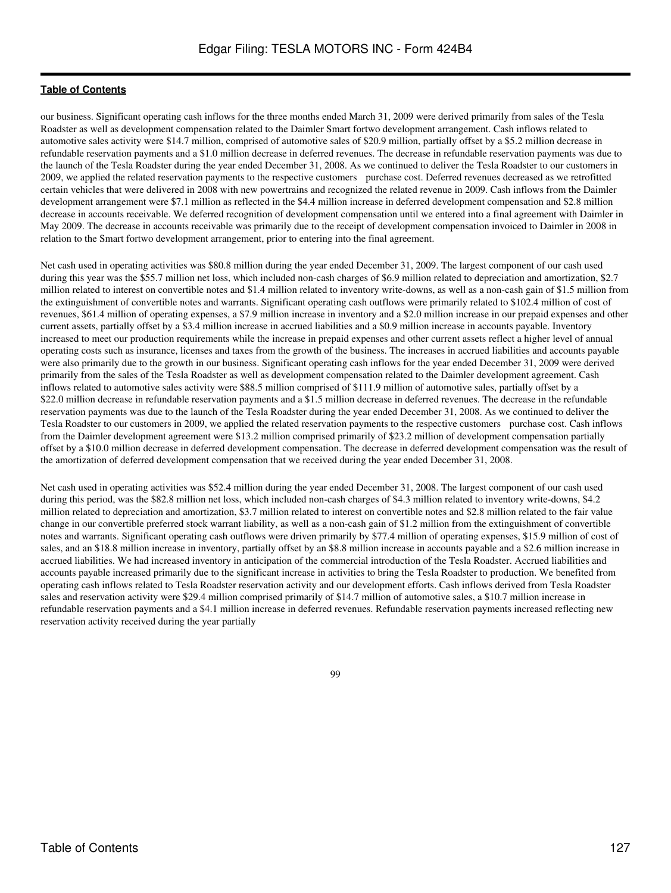our business. Significant operating cash inflows for the three months ended March 31, 2009 were derived primarily from sales of the Tesla Roadster as well as development compensation related to the Daimler Smart fortwo development arrangement. Cash inflows related to automotive sales activity were \$14.7 million, comprised of automotive sales of \$20.9 million, partially offset by a \$5.2 million decrease in refundable reservation payments and a \$1.0 million decrease in deferred revenues. The decrease in refundable reservation payments was due to the launch of the Tesla Roadster during the year ended December 31, 2008. As we continued to deliver the Tesla Roadster to our customers in 2009, we applied the related reservation payments to the respective customers purchase cost. Deferred revenues decreased as we retrofitted certain vehicles that were delivered in 2008 with new powertrains and recognized the related revenue in 2009. Cash inflows from the Daimler development arrangement were \$7.1 million as reflected in the \$4.4 million increase in deferred development compensation and \$2.8 million decrease in accounts receivable. We deferred recognition of development compensation until we entered into a final agreement with Daimler in May 2009. The decrease in accounts receivable was primarily due to the receipt of development compensation invoiced to Daimler in 2008 in relation to the Smart fortwo development arrangement, prior to entering into the final agreement.

Net cash used in operating activities was \$80.8 million during the year ended December 31, 2009. The largest component of our cash used during this year was the \$55.7 million net loss, which included non-cash charges of \$6.9 million related to depreciation and amortization, \$2.7 million related to interest on convertible notes and \$1.4 million related to inventory write-downs, as well as a non-cash gain of \$1.5 million from the extinguishment of convertible notes and warrants. Significant operating cash outflows were primarily related to \$102.4 million of cost of revenues, \$61.4 million of operating expenses, a \$7.9 million increase in inventory and a \$2.0 million increase in our prepaid expenses and other current assets, partially offset by a \$3.4 million increase in accrued liabilities and a \$0.9 million increase in accounts payable. Inventory increased to meet our production requirements while the increase in prepaid expenses and other current assets reflect a higher level of annual operating costs such as insurance, licenses and taxes from the growth of the business. The increases in accrued liabilities and accounts payable were also primarily due to the growth in our business. Significant operating cash inflows for the year ended December 31, 2009 were derived primarily from the sales of the Tesla Roadster as well as development compensation related to the Daimler development agreement. Cash inflows related to automotive sales activity were \$88.5 million comprised of \$111.9 million of automotive sales, partially offset by a \$22.0 million decrease in refundable reservation payments and a \$1.5 million decrease in deferred revenues. The decrease in the refundable reservation payments was due to the launch of the Tesla Roadster during the year ended December 31, 2008. As we continued to deliver the Tesla Roadster to our customers in 2009, we applied the related reservation payments to the respective customers purchase cost. Cash inflows from the Daimler development agreement were \$13.2 million comprised primarily of \$23.2 million of development compensation partially offset by a \$10.0 million decrease in deferred development compensation. The decrease in deferred development compensation was the result of the amortization of deferred development compensation that we received during the year ended December 31, 2008.

Net cash used in operating activities was \$52.4 million during the year ended December 31, 2008. The largest component of our cash used during this period, was the \$82.8 million net loss, which included non-cash charges of \$4.3 million related to inventory write-downs, \$4.2 million related to depreciation and amortization, \$3.7 million related to interest on convertible notes and \$2.8 million related to the fair value change in our convertible preferred stock warrant liability, as well as a non-cash gain of \$1.2 million from the extinguishment of convertible notes and warrants. Significant operating cash outflows were driven primarily by \$77.4 million of operating expenses, \$15.9 million of cost of sales, and an \$18.8 million increase in inventory, partially offset by an \$8.8 million increase in accounts payable and a \$2.6 million increase in accrued liabilities. We had increased inventory in anticipation of the commercial introduction of the Tesla Roadster. Accrued liabilities and accounts payable increased primarily due to the significant increase in activities to bring the Tesla Roadster to production. We benefited from operating cash inflows related to Tesla Roadster reservation activity and our development efforts. Cash inflows derived from Tesla Roadster sales and reservation activity were \$29.4 million comprised primarily of \$14.7 million of automotive sales, a \$10.7 million increase in refundable reservation payments and a \$4.1 million increase in deferred revenues. Refundable reservation payments increased reflecting new reservation activity received during the year partially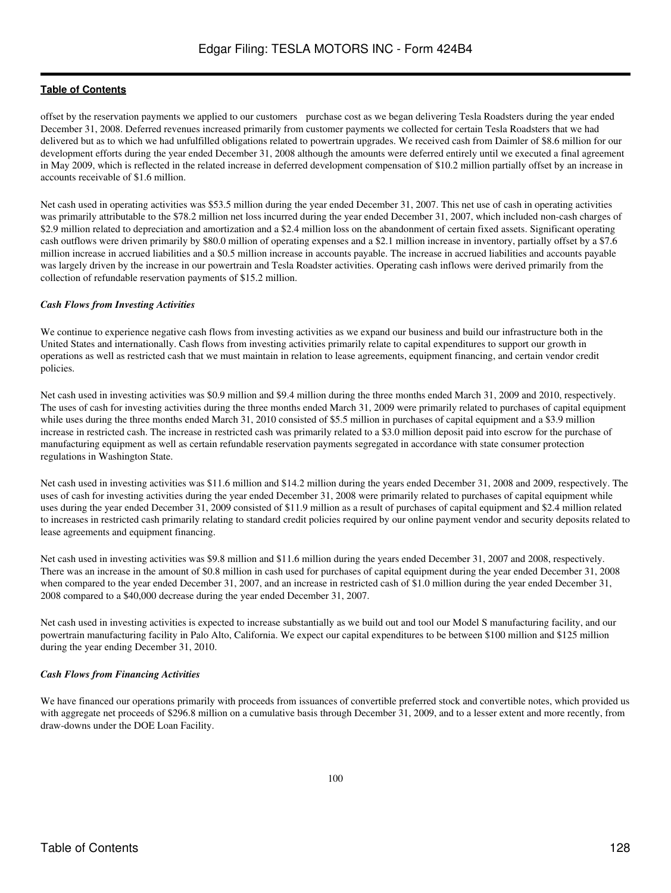offset by the reservation payments we applied to our customers purchase cost as we began delivering Tesla Roadsters during the year ended December 31, 2008. Deferred revenues increased primarily from customer payments we collected for certain Tesla Roadsters that we had delivered but as to which we had unfulfilled obligations related to powertrain upgrades. We received cash from Daimler of \$8.6 million for our development efforts during the year ended December 31, 2008 although the amounts were deferred entirely until we executed a final agreement in May 2009, which is reflected in the related increase in deferred development compensation of \$10.2 million partially offset by an increase in accounts receivable of \$1.6 million.

Net cash used in operating activities was \$53.5 million during the year ended December 31, 2007. This net use of cash in operating activities was primarily attributable to the \$78.2 million net loss incurred during the year ended December 31, 2007, which included non-cash charges of \$2.9 million related to depreciation and amortization and a \$2.4 million loss on the abandonment of certain fixed assets. Significant operating cash outflows were driven primarily by \$80.0 million of operating expenses and a \$2.1 million increase in inventory, partially offset by a \$7.6 million increase in accrued liabilities and a \$0.5 million increase in accounts payable. The increase in accrued liabilities and accounts payable was largely driven by the increase in our powertrain and Tesla Roadster activities. Operating cash inflows were derived primarily from the collection of refundable reservation payments of \$15.2 million.

# *Cash Flows from Investing Activities*

We continue to experience negative cash flows from investing activities as we expand our business and build our infrastructure both in the United States and internationally. Cash flows from investing activities primarily relate to capital expenditures to support our growth in operations as well as restricted cash that we must maintain in relation to lease agreements, equipment financing, and certain vendor credit policies.

Net cash used in investing activities was \$0.9 million and \$9.4 million during the three months ended March 31, 2009 and 2010, respectively. The uses of cash for investing activities during the three months ended March 31, 2009 were primarily related to purchases of capital equipment while uses during the three months ended March 31, 2010 consisted of \$5.5 million in purchases of capital equipment and a \$3.9 million increase in restricted cash. The increase in restricted cash was primarily related to a \$3.0 million deposit paid into escrow for the purchase of manufacturing equipment as well as certain refundable reservation payments segregated in accordance with state consumer protection regulations in Washington State.

Net cash used in investing activities was \$11.6 million and \$14.2 million during the years ended December 31, 2008 and 2009, respectively. The uses of cash for investing activities during the year ended December 31, 2008 were primarily related to purchases of capital equipment while uses during the year ended December 31, 2009 consisted of \$11.9 million as a result of purchases of capital equipment and \$2.4 million related to increases in restricted cash primarily relating to standard credit policies required by our online payment vendor and security deposits related to lease agreements and equipment financing.

Net cash used in investing activities was \$9.8 million and \$11.6 million during the years ended December 31, 2007 and 2008, respectively. There was an increase in the amount of \$0.8 million in cash used for purchases of capital equipment during the year ended December 31, 2008 when compared to the year ended December 31, 2007, and an increase in restricted cash of \$1.0 million during the year ended December 31, 2008 compared to a \$40,000 decrease during the year ended December 31, 2007.

Net cash used in investing activities is expected to increase substantially as we build out and tool our Model S manufacturing facility, and our powertrain manufacturing facility in Palo Alto, California. We expect our capital expenditures to be between \$100 million and \$125 million during the year ending December 31, 2010.

# *Cash Flows from Financing Activities*

We have financed our operations primarily with proceeds from issuances of convertible preferred stock and convertible notes, which provided us with aggregate net proceeds of \$296.8 million on a cumulative basis through December 31, 2009, and to a lesser extent and more recently, from draw-downs under the DOE Loan Facility.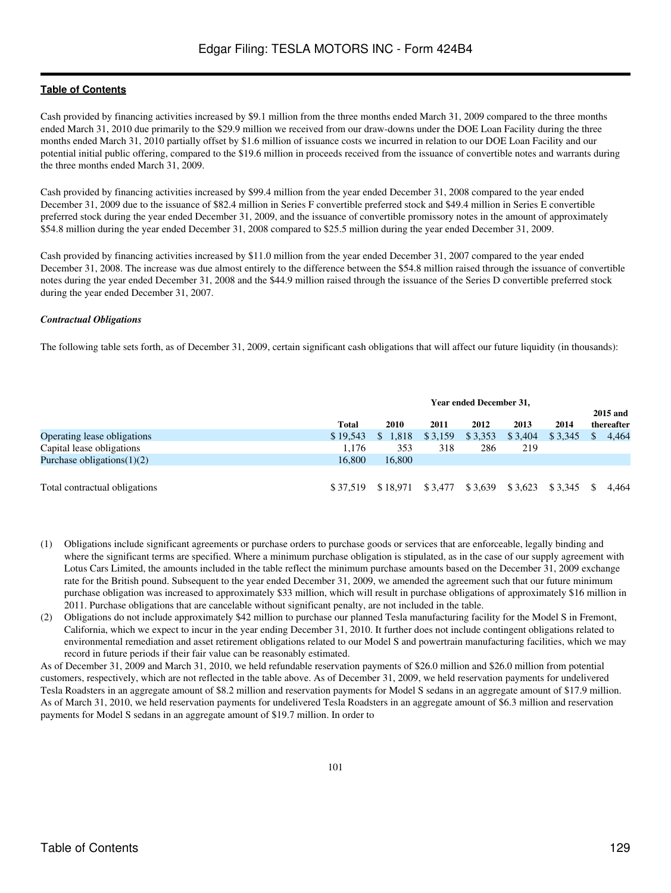Cash provided by financing activities increased by \$9.1 million from the three months ended March 31, 2009 compared to the three months ended March 31, 2010 due primarily to the \$29.9 million we received from our draw-downs under the DOE Loan Facility during the three months ended March 31, 2010 partially offset by \$1.6 million of issuance costs we incurred in relation to our DOE Loan Facility and our potential initial public offering, compared to the \$19.6 million in proceeds received from the issuance of convertible notes and warrants during the three months ended March 31, 2009.

Cash provided by financing activities increased by \$99.4 million from the year ended December 31, 2008 compared to the year ended December 31, 2009 due to the issuance of \$82.4 million in Series F convertible preferred stock and \$49.4 million in Series E convertible preferred stock during the year ended December 31, 2009, and the issuance of convertible promissory notes in the amount of approximately \$54.8 million during the year ended December 31, 2008 compared to \$25.5 million during the year ended December 31, 2009.

Cash provided by financing activities increased by \$11.0 million from the year ended December 31, 2007 compared to the year ended December 31, 2008. The increase was due almost entirely to the difference between the \$54.8 million raised through the issuance of convertible notes during the year ended December 31, 2008 and the \$44.9 million raised through the issuance of the Series D convertible preferred stock during the year ended December 31, 2007.

# *Contractual Obligations*

The following table sets forth, as of December 31, 2009, certain significant cash obligations that will affect our future liquidity (in thousands):

|                               |              | Year ended December 31, |         |         |         |         |  |                               |  |  |
|-------------------------------|--------------|-------------------------|---------|---------|---------|---------|--|-------------------------------|--|--|
|                               | <b>Total</b> | 2010                    | 2011    | 2012    | 2013    | 2014    |  | <b>2015</b> and<br>thereafter |  |  |
| Operating lease obligations   | \$19.543     | 1,818                   | \$3,159 | \$3,353 | \$3,404 | \$3,345 |  | 4,464                         |  |  |
| Capital lease obligations     | 1.176        | 353                     | 318     | 286     | 219     |         |  |                               |  |  |
| Purchase obligations $(1)(2)$ | 16,800       | 16,800                  |         |         |         |         |  |                               |  |  |
|                               |              |                         |         |         |         |         |  |                               |  |  |
| Total contractual obligations | \$37.519     | \$18.971                | \$3.477 | \$3,639 | \$3.623 | \$3.345 |  | 4.464                         |  |  |

- (1) Obligations include significant agreements or purchase orders to purchase goods or services that are enforceable, legally binding and where the significant terms are specified. Where a minimum purchase obligation is stipulated, as in the case of our supply agreement with Lotus Cars Limited, the amounts included in the table reflect the minimum purchase amounts based on the December 31, 2009 exchange rate for the British pound. Subsequent to the year ended December 31, 2009, we amended the agreement such that our future minimum purchase obligation was increased to approximately \$33 million, which will result in purchase obligations of approximately \$16 million in 2011. Purchase obligations that are cancelable without significant penalty, are not included in the table.
- (2) Obligations do not include approximately \$42 million to purchase our planned Tesla manufacturing facility for the Model S in Fremont, California, which we expect to incur in the year ending December 31, 2010. It further does not include contingent obligations related to environmental remediation and asset retirement obligations related to our Model S and powertrain manufacturing facilities, which we may record in future periods if their fair value can be reasonably estimated.

As of December 31, 2009 and March 31, 2010, we held refundable reservation payments of \$26.0 million and \$26.0 million from potential customers, respectively, which are not reflected in the table above. As of December 31, 2009, we held reservation payments for undelivered Tesla Roadsters in an aggregate amount of \$8.2 million and reservation payments for Model S sedans in an aggregate amount of \$17.9 million. As of March 31, 2010, we held reservation payments for undelivered Tesla Roadsters in an aggregate amount of \$6.3 million and reservation payments for Model S sedans in an aggregate amount of \$19.7 million. In order to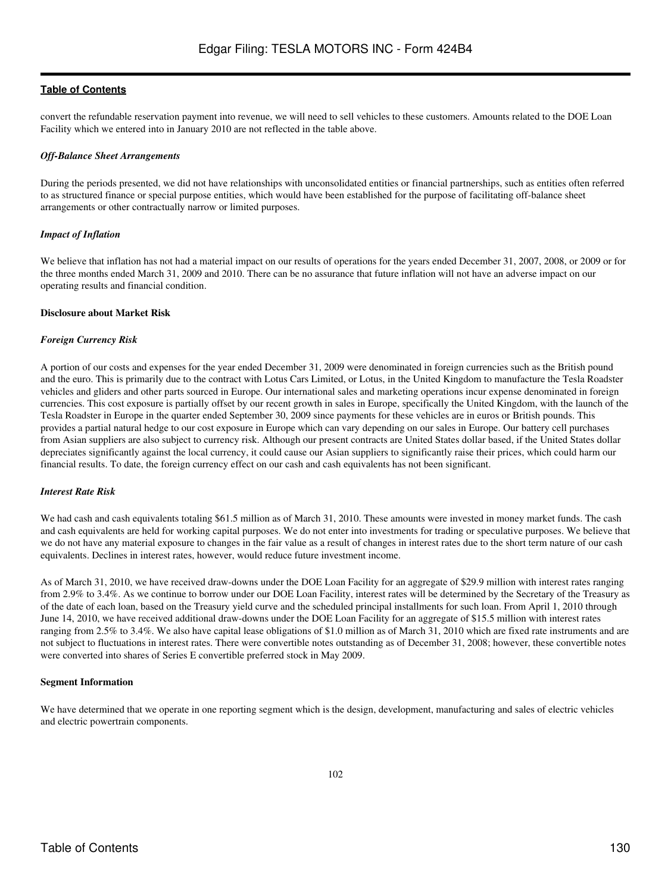convert the refundable reservation payment into revenue, we will need to sell vehicles to these customers. Amounts related to the DOE Loan Facility which we entered into in January 2010 are not reflected in the table above.

## *Off-Balance Sheet Arrangements*

During the periods presented, we did not have relationships with unconsolidated entities or financial partnerships, such as entities often referred to as structured finance or special purpose entities, which would have been established for the purpose of facilitating off-balance sheet arrangements or other contractually narrow or limited purposes.

# *Impact of Inflation*

We believe that inflation has not had a material impact on our results of operations for the years ended December 31, 2007, 2008, or 2009 or for the three months ended March 31, 2009 and 2010. There can be no assurance that future inflation will not have an adverse impact on our operating results and financial condition.

#### **Disclosure about Market Risk**

## *Foreign Currency Risk*

A portion of our costs and expenses for the year ended December 31, 2009 were denominated in foreign currencies such as the British pound and the euro. This is primarily due to the contract with Lotus Cars Limited, or Lotus, in the United Kingdom to manufacture the Tesla Roadster vehicles and gliders and other parts sourced in Europe. Our international sales and marketing operations incur expense denominated in foreign currencies. This cost exposure is partially offset by our recent growth in sales in Europe, specifically the United Kingdom, with the launch of the Tesla Roadster in Europe in the quarter ended September 30, 2009 since payments for these vehicles are in euros or British pounds. This provides a partial natural hedge to our cost exposure in Europe which can vary depending on our sales in Europe. Our battery cell purchases from Asian suppliers are also subject to currency risk. Although our present contracts are United States dollar based, if the United States dollar depreciates significantly against the local currency, it could cause our Asian suppliers to significantly raise their prices, which could harm our financial results. To date, the foreign currency effect on our cash and cash equivalents has not been significant.

#### *Interest Rate Risk*

We had cash and cash equivalents totaling \$61.5 million as of March 31, 2010. These amounts were invested in money market funds. The cash and cash equivalents are held for working capital purposes. We do not enter into investments for trading or speculative purposes. We believe that we do not have any material exposure to changes in the fair value as a result of changes in interest rates due to the short term nature of our cash equivalents. Declines in interest rates, however, would reduce future investment income.

As of March 31, 2010, we have received draw-downs under the DOE Loan Facility for an aggregate of \$29.9 million with interest rates ranging from 2.9% to 3.4%. As we continue to borrow under our DOE Loan Facility, interest rates will be determined by the Secretary of the Treasury as of the date of each loan, based on the Treasury yield curve and the scheduled principal installments for such loan. From April 1, 2010 through June 14, 2010, we have received additional draw-downs under the DOE Loan Facility for an aggregate of \$15.5 million with interest rates ranging from 2.5% to 3.4%. We also have capital lease obligations of \$1.0 million as of March 31, 2010 which are fixed rate instruments and are not subject to fluctuations in interest rates. There were convertible notes outstanding as of December 31, 2008; however, these convertible notes were converted into shares of Series E convertible preferred stock in May 2009.

#### **Segment Information**

We have determined that we operate in one reporting segment which is the design, development, manufacturing and sales of electric vehicles and electric powertrain components.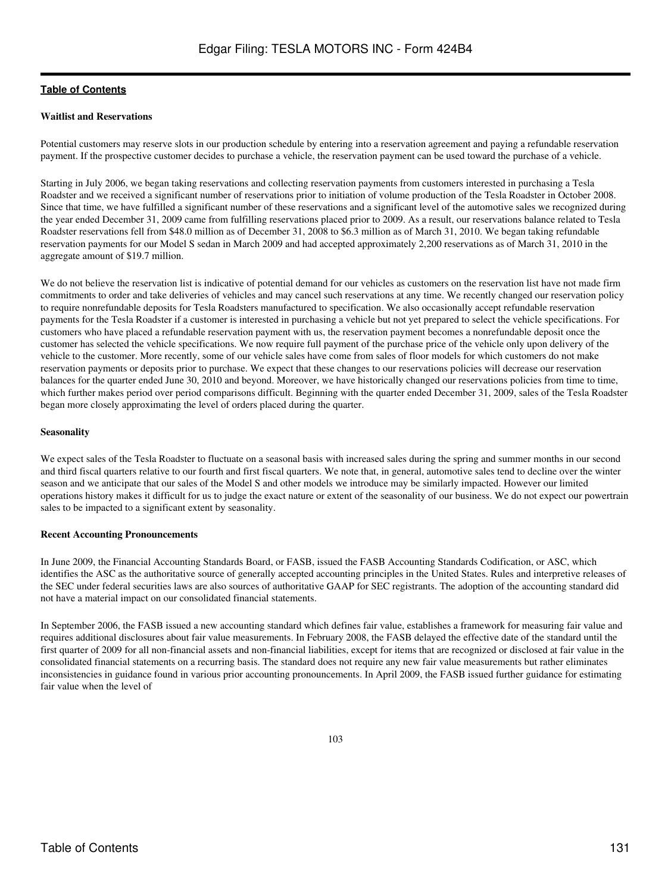## **Waitlist and Reservations**

Potential customers may reserve slots in our production schedule by entering into a reservation agreement and paying a refundable reservation payment. If the prospective customer decides to purchase a vehicle, the reservation payment can be used toward the purchase of a vehicle.

Starting in July 2006, we began taking reservations and collecting reservation payments from customers interested in purchasing a Tesla Roadster and we received a significant number of reservations prior to initiation of volume production of the Tesla Roadster in October 2008. Since that time, we have fulfilled a significant number of these reservations and a significant level of the automotive sales we recognized during the year ended December 31, 2009 came from fulfilling reservations placed prior to 2009. As a result, our reservations balance related to Tesla Roadster reservations fell from \$48.0 million as of December 31, 2008 to \$6.3 million as of March 31, 2010. We began taking refundable reservation payments for our Model S sedan in March 2009 and had accepted approximately 2,200 reservations as of March 31, 2010 in the aggregate amount of \$19.7 million.

We do not believe the reservation list is indicative of potential demand for our vehicles as customers on the reservation list have not made firm commitments to order and take deliveries of vehicles and may cancel such reservations at any time. We recently changed our reservation policy to require nonrefundable deposits for Tesla Roadsters manufactured to specification. We also occasionally accept refundable reservation payments for the Tesla Roadster if a customer is interested in purchasing a vehicle but not yet prepared to select the vehicle specifications. For customers who have placed a refundable reservation payment with us, the reservation payment becomes a nonrefundable deposit once the customer has selected the vehicle specifications. We now require full payment of the purchase price of the vehicle only upon delivery of the vehicle to the customer. More recently, some of our vehicle sales have come from sales of floor models for which customers do not make reservation payments or deposits prior to purchase. We expect that these changes to our reservations policies will decrease our reservation balances for the quarter ended June 30, 2010 and beyond. Moreover, we have historically changed our reservations policies from time to time, which further makes period over period comparisons difficult. Beginning with the quarter ended December 31, 2009, sales of the Tesla Roadster began more closely approximating the level of orders placed during the quarter.

## **Seasonality**

We expect sales of the Tesla Roadster to fluctuate on a seasonal basis with increased sales during the spring and summer months in our second and third fiscal quarters relative to our fourth and first fiscal quarters. We note that, in general, automotive sales tend to decline over the winter season and we anticipate that our sales of the Model S and other models we introduce may be similarly impacted. However our limited operations history makes it difficult for us to judge the exact nature or extent of the seasonality of our business. We do not expect our powertrain sales to be impacted to a significant extent by seasonality.

#### **Recent Accounting Pronouncements**

In June 2009, the Financial Accounting Standards Board, or FASB, issued the FASB Accounting Standards Codification, or ASC, which identifies the ASC as the authoritative source of generally accepted accounting principles in the United States. Rules and interpretive releases of the SEC under federal securities laws are also sources of authoritative GAAP for SEC registrants. The adoption of the accounting standard did not have a material impact on our consolidated financial statements.

In September 2006, the FASB issued a new accounting standard which defines fair value, establishes a framework for measuring fair value and requires additional disclosures about fair value measurements. In February 2008, the FASB delayed the effective date of the standard until the first quarter of 2009 for all non-financial assets and non-financial liabilities, except for items that are recognized or disclosed at fair value in the consolidated financial statements on a recurring basis. The standard does not require any new fair value measurements but rather eliminates inconsistencies in guidance found in various prior accounting pronouncements. In April 2009, the FASB issued further guidance for estimating fair value when the level of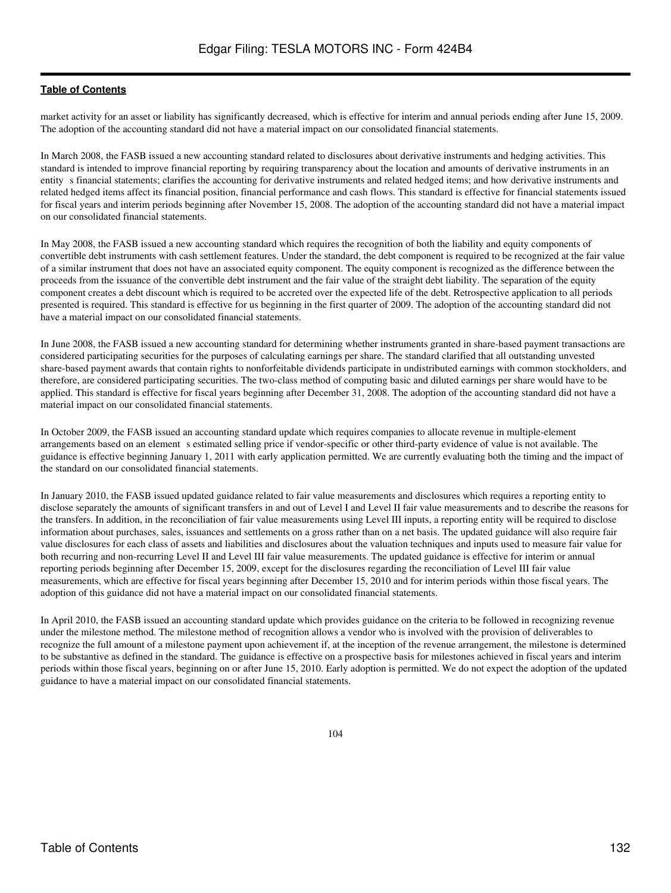market activity for an asset or liability has significantly decreased, which is effective for interim and annual periods ending after June 15, 2009. The adoption of the accounting standard did not have a material impact on our consolidated financial statements.

In March 2008, the FASB issued a new accounting standard related to disclosures about derivative instruments and hedging activities. This standard is intended to improve financial reporting by requiring transparency about the location and amounts of derivative instruments in an entity s financial statements; clarifies the accounting for derivative instruments and related hedged items; and how derivative instruments and related hedged items affect its financial position, financial performance and cash flows. This standard is effective for financial statements issued for fiscal years and interim periods beginning after November 15, 2008. The adoption of the accounting standard did not have a material impact on our consolidated financial statements.

In May 2008, the FASB issued a new accounting standard which requires the recognition of both the liability and equity components of convertible debt instruments with cash settlement features. Under the standard, the debt component is required to be recognized at the fair value of a similar instrument that does not have an associated equity component. The equity component is recognized as the difference between the proceeds from the issuance of the convertible debt instrument and the fair value of the straight debt liability. The separation of the equity component creates a debt discount which is required to be accreted over the expected life of the debt. Retrospective application to all periods presented is required. This standard is effective for us beginning in the first quarter of 2009. The adoption of the accounting standard did not have a material impact on our consolidated financial statements.

In June 2008, the FASB issued a new accounting standard for determining whether instruments granted in share-based payment transactions are considered participating securities for the purposes of calculating earnings per share. The standard clarified that all outstanding unvested share-based payment awards that contain rights to nonforfeitable dividends participate in undistributed earnings with common stockholders, and therefore, are considered participating securities. The two-class method of computing basic and diluted earnings per share would have to be applied. This standard is effective for fiscal years beginning after December 31, 2008. The adoption of the accounting standard did not have a material impact on our consolidated financial statements.

In October 2009, the FASB issued an accounting standard update which requires companies to allocate revenue in multiple-element arrangements based on an element s estimated selling price if vendor-specific or other third-party evidence of value is not available. The guidance is effective beginning January 1, 2011 with early application permitted. We are currently evaluating both the timing and the impact of the standard on our consolidated financial statements.

In January 2010, the FASB issued updated guidance related to fair value measurements and disclosures which requires a reporting entity to disclose separately the amounts of significant transfers in and out of Level I and Level II fair value measurements and to describe the reasons for the transfers. In addition, in the reconciliation of fair value measurements using Level III inputs, a reporting entity will be required to disclose information about purchases, sales, issuances and settlements on a gross rather than on a net basis. The updated guidance will also require fair value disclosures for each class of assets and liabilities and disclosures about the valuation techniques and inputs used to measure fair value for both recurring and non-recurring Level II and Level III fair value measurements. The updated guidance is effective for interim or annual reporting periods beginning after December 15, 2009, except for the disclosures regarding the reconciliation of Level III fair value measurements, which are effective for fiscal years beginning after December 15, 2010 and for interim periods within those fiscal years. The adoption of this guidance did not have a material impact on our consolidated financial statements.

In April 2010, the FASB issued an accounting standard update which provides guidance on the criteria to be followed in recognizing revenue under the milestone method. The milestone method of recognition allows a vendor who is involved with the provision of deliverables to recognize the full amount of a milestone payment upon achievement if, at the inception of the revenue arrangement, the milestone is determined to be substantive as defined in the standard. The guidance is effective on a prospective basis for milestones achieved in fiscal years and interim periods within those fiscal years, beginning on or after June 15, 2010. Early adoption is permitted. We do not expect the adoption of the updated guidance to have a material impact on our consolidated financial statements.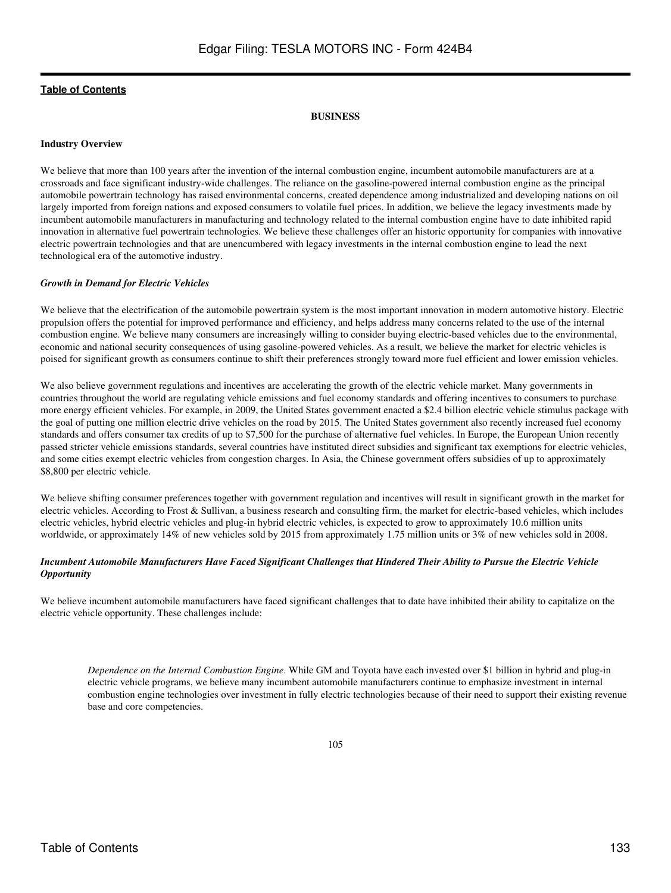## **BUSINESS**

## **Industry Overview**

We believe that more than 100 years after the invention of the internal combustion engine, incumbent automobile manufacturers are at a crossroads and face significant industry-wide challenges. The reliance on the gasoline-powered internal combustion engine as the principal automobile powertrain technology has raised environmental concerns, created dependence among industrialized and developing nations on oil largely imported from foreign nations and exposed consumers to volatile fuel prices. In addition, we believe the legacy investments made by incumbent automobile manufacturers in manufacturing and technology related to the internal combustion engine have to date inhibited rapid innovation in alternative fuel powertrain technologies. We believe these challenges offer an historic opportunity for companies with innovative electric powertrain technologies and that are unencumbered with legacy investments in the internal combustion engine to lead the next technological era of the automotive industry.

## *Growth in Demand for Electric Vehicles*

We believe that the electrification of the automobile powertrain system is the most important innovation in modern automotive history. Electric propulsion offers the potential for improved performance and efficiency, and helps address many concerns related to the use of the internal combustion engine. We believe many consumers are increasingly willing to consider buying electric-based vehicles due to the environmental, economic and national security consequences of using gasoline-powered vehicles. As a result, we believe the market for electric vehicles is poised for significant growth as consumers continue to shift their preferences strongly toward more fuel efficient and lower emission vehicles.

We also believe government regulations and incentives are accelerating the growth of the electric vehicle market. Many governments in countries throughout the world are regulating vehicle emissions and fuel economy standards and offering incentives to consumers to purchase more energy efficient vehicles. For example, in 2009, the United States government enacted a \$2.4 billion electric vehicle stimulus package with the goal of putting one million electric drive vehicles on the road by 2015. The United States government also recently increased fuel economy standards and offers consumer tax credits of up to \$7,500 for the purchase of alternative fuel vehicles. In Europe, the European Union recently passed stricter vehicle emissions standards, several countries have instituted direct subsidies and significant tax exemptions for electric vehicles, and some cities exempt electric vehicles from congestion charges. In Asia, the Chinese government offers subsidies of up to approximately \$8,800 per electric vehicle.

We believe shifting consumer preferences together with government regulation and incentives will result in significant growth in the market for electric vehicles. According to Frost & Sullivan, a business research and consulting firm, the market for electric-based vehicles, which includes electric vehicles, hybrid electric vehicles and plug-in hybrid electric vehicles, is expected to grow to approximately 10.6 million units worldwide, or approximately 14% of new vehicles sold by 2015 from approximately 1.75 million units or 3% of new vehicles sold in 2008.

# *Incumbent Automobile Manufacturers Have Faced Significant Challenges that Hindered Their Ability to Pursue the Electric Vehicle Opportunity*

We believe incumbent automobile manufacturers have faced significant challenges that to date have inhibited their ability to capitalize on the electric vehicle opportunity. These challenges include:

*Dependence on the Internal Combustion Engine*. While GM and Toyota have each invested over \$1 billion in hybrid and plug-in electric vehicle programs, we believe many incumbent automobile manufacturers continue to emphasize investment in internal combustion engine technologies over investment in fully electric technologies because of their need to support their existing revenue base and core competencies.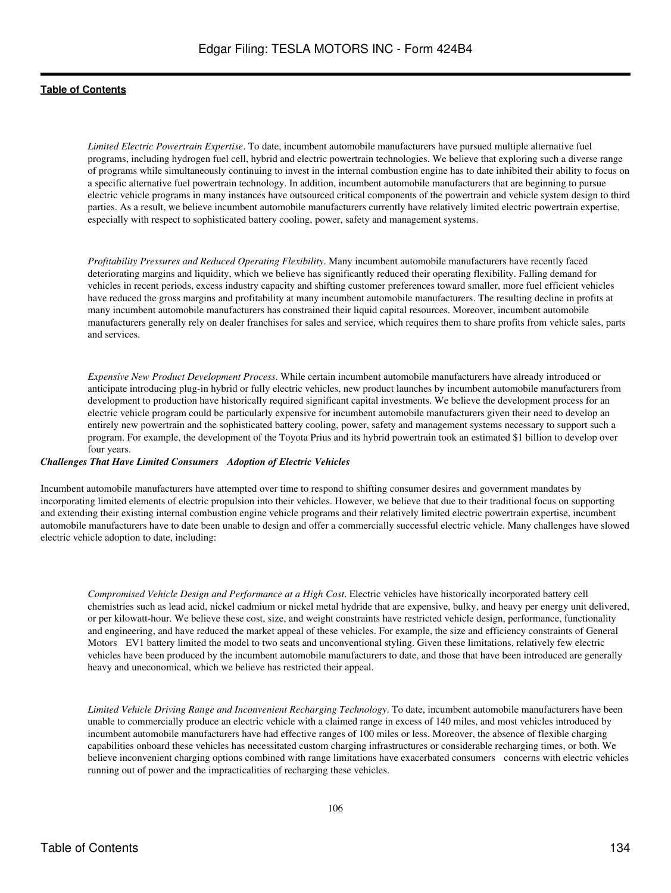*Limited Electric Powertrain Expertise*. To date, incumbent automobile manufacturers have pursued multiple alternative fuel programs, including hydrogen fuel cell, hybrid and electric powertrain technologies. We believe that exploring such a diverse range of programs while simultaneously continuing to invest in the internal combustion engine has to date inhibited their ability to focus on a specific alternative fuel powertrain technology. In addition, incumbent automobile manufacturers that are beginning to pursue electric vehicle programs in many instances have outsourced critical components of the powertrain and vehicle system design to third parties. As a result, we believe incumbent automobile manufacturers currently have relatively limited electric powertrain expertise, especially with respect to sophisticated battery cooling, power, safety and management systems.

*Profitability Pressures and Reduced Operating Flexibility*. Many incumbent automobile manufacturers have recently faced deteriorating margins and liquidity, which we believe has significantly reduced their operating flexibility. Falling demand for vehicles in recent periods, excess industry capacity and shifting customer preferences toward smaller, more fuel efficient vehicles have reduced the gross margins and profitability at many incumbent automobile manufacturers. The resulting decline in profits at many incumbent automobile manufacturers has constrained their liquid capital resources. Moreover, incumbent automobile manufacturers generally rely on dealer franchises for sales and service, which requires them to share profits from vehicle sales, parts and services.

*Expensive New Product Development Process*. While certain incumbent automobile manufacturers have already introduced or anticipate introducing plug-in hybrid or fully electric vehicles, new product launches by incumbent automobile manufacturers from development to production have historically required significant capital investments. We believe the development process for an electric vehicle program could be particularly expensive for incumbent automobile manufacturers given their need to develop an entirely new powertrain and the sophisticated battery cooling, power, safety and management systems necessary to support such a program. For example, the development of the Toyota Prius and its hybrid powertrain took an estimated \$1 billion to develop over four years.

# *Challenges That Have Limited Consumers Adoption of Electric Vehicles*

Incumbent automobile manufacturers have attempted over time to respond to shifting consumer desires and government mandates by incorporating limited elements of electric propulsion into their vehicles. However, we believe that due to their traditional focus on supporting and extending their existing internal combustion engine vehicle programs and their relatively limited electric powertrain expertise, incumbent automobile manufacturers have to date been unable to design and offer a commercially successful electric vehicle. Many challenges have slowed electric vehicle adoption to date, including:

*Compromised Vehicle Design and Performance at a High Cost*. Electric vehicles have historically incorporated battery cell chemistries such as lead acid, nickel cadmium or nickel metal hydride that are expensive, bulky, and heavy per energy unit delivered, or per kilowatt-hour. We believe these cost, size, and weight constraints have restricted vehicle design, performance, functionality and engineering, and have reduced the market appeal of these vehicles. For example, the size and efficiency constraints of General Motors EV1 battery limited the model to two seats and unconventional styling. Given these limitations, relatively few electric vehicles have been produced by the incumbent automobile manufacturers to date, and those that have been introduced are generally heavy and uneconomical, which we believe has restricted their appeal.

*Limited Vehicle Driving Range and Inconvenient Recharging Technology*. To date, incumbent automobile manufacturers have been unable to commercially produce an electric vehicle with a claimed range in excess of 140 miles, and most vehicles introduced by incumbent automobile manufacturers have had effective ranges of 100 miles or less. Moreover, the absence of flexible charging capabilities onboard these vehicles has necessitated custom charging infrastructures or considerable recharging times, or both. We believe inconvenient charging options combined with range limitations have exacerbated consumers concerns with electric vehicles running out of power and the impracticalities of recharging these vehicles.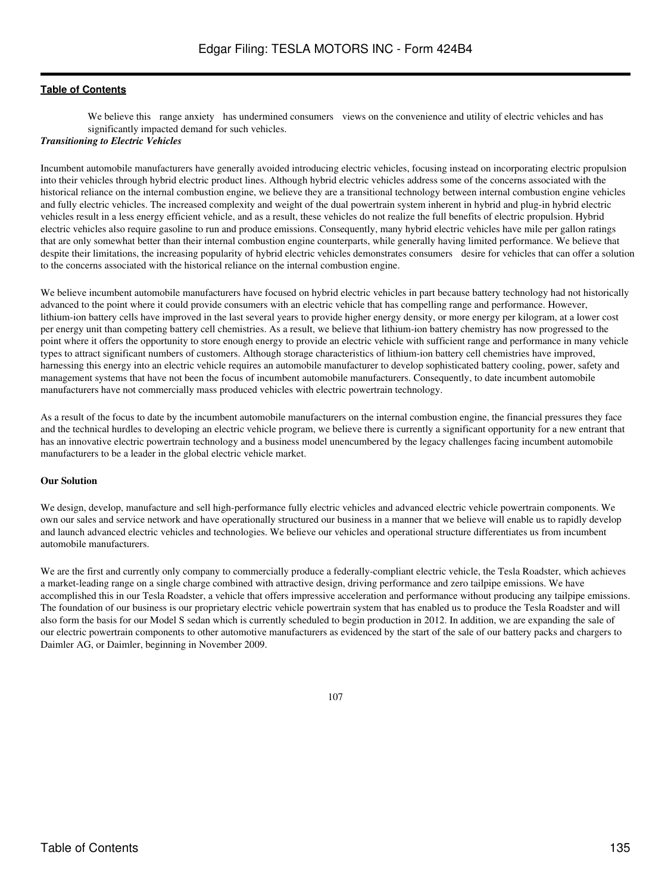We believe this range anxiety has undermined consumers views on the convenience and utility of electric vehicles and has significantly impacted demand for such vehicles.

# *Transitioning to Electric Vehicles*

Incumbent automobile manufacturers have generally avoided introducing electric vehicles, focusing instead on incorporating electric propulsion into their vehicles through hybrid electric product lines. Although hybrid electric vehicles address some of the concerns associated with the historical reliance on the internal combustion engine, we believe they are a transitional technology between internal combustion engine vehicles and fully electric vehicles. The increased complexity and weight of the dual powertrain system inherent in hybrid and plug-in hybrid electric vehicles result in a less energy efficient vehicle, and as a result, these vehicles do not realize the full benefits of electric propulsion. Hybrid electric vehicles also require gasoline to run and produce emissions. Consequently, many hybrid electric vehicles have mile per gallon ratings that are only somewhat better than their internal combustion engine counterparts, while generally having limited performance. We believe that despite their limitations, the increasing popularity of hybrid electric vehicles demonstrates consumers desire for vehicles that can offer a solution to the concerns associated with the historical reliance on the internal combustion engine.

We believe incumbent automobile manufacturers have focused on hybrid electric vehicles in part because battery technology had not historically advanced to the point where it could provide consumers with an electric vehicle that has compelling range and performance. However, lithium-ion battery cells have improved in the last several years to provide higher energy density, or more energy per kilogram, at a lower cost per energy unit than competing battery cell chemistries. As a result, we believe that lithium-ion battery chemistry has now progressed to the point where it offers the opportunity to store enough energy to provide an electric vehicle with sufficient range and performance in many vehicle types to attract significant numbers of customers. Although storage characteristics of lithium-ion battery cell chemistries have improved, harnessing this energy into an electric vehicle requires an automobile manufacturer to develop sophisticated battery cooling, power, safety and management systems that have not been the focus of incumbent automobile manufacturers. Consequently, to date incumbent automobile manufacturers have not commercially mass produced vehicles with electric powertrain technology.

As a result of the focus to date by the incumbent automobile manufacturers on the internal combustion engine, the financial pressures they face and the technical hurdles to developing an electric vehicle program, we believe there is currently a significant opportunity for a new entrant that has an innovative electric powertrain technology and a business model unencumbered by the legacy challenges facing incumbent automobile manufacturers to be a leader in the global electric vehicle market.

## **Our Solution**

We design, develop, manufacture and sell high-performance fully electric vehicles and advanced electric vehicle powertrain components. We own our sales and service network and have operationally structured our business in a manner that we believe will enable us to rapidly develop and launch advanced electric vehicles and technologies. We believe our vehicles and operational structure differentiates us from incumbent automobile manufacturers.

We are the first and currently only company to commercially produce a federally-compliant electric vehicle, the Tesla Roadster, which achieves a market-leading range on a single charge combined with attractive design, driving performance and zero tailpipe emissions. We have accomplished this in our Tesla Roadster, a vehicle that offers impressive acceleration and performance without producing any tailpipe emissions. The foundation of our business is our proprietary electric vehicle powertrain system that has enabled us to produce the Tesla Roadster and will also form the basis for our Model S sedan which is currently scheduled to begin production in 2012. In addition, we are expanding the sale of our electric powertrain components to other automotive manufacturers as evidenced by the start of the sale of our battery packs and chargers to Daimler AG, or Daimler, beginning in November 2009.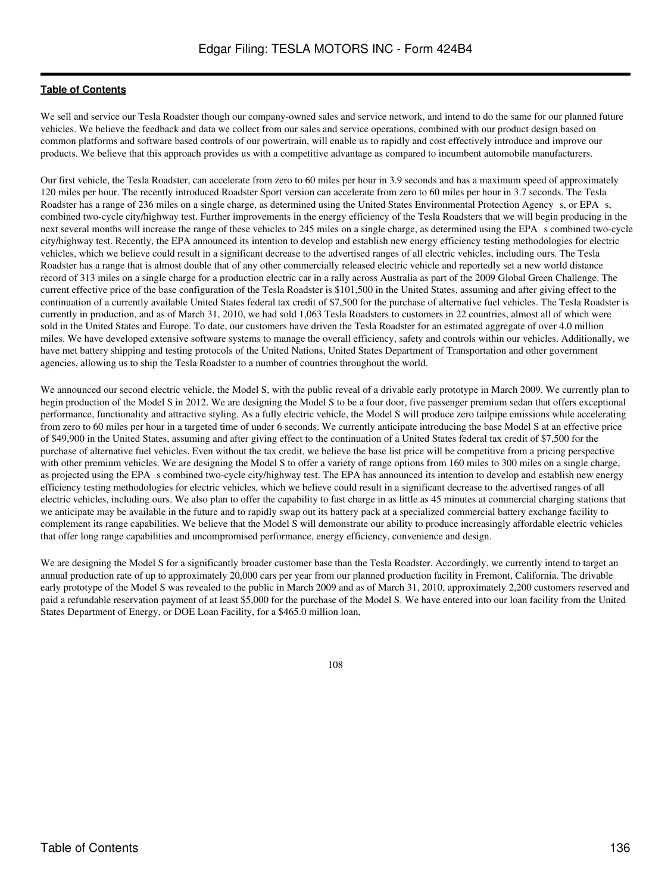We sell and service our Tesla Roadster though our company-owned sales and service network, and intend to do the same for our planned future vehicles. We believe the feedback and data we collect from our sales and service operations, combined with our product design based on common platforms and software based controls of our powertrain, will enable us to rapidly and cost effectively introduce and improve our products. We believe that this approach provides us with a competitive advantage as compared to incumbent automobile manufacturers.

Our first vehicle, the Tesla Roadster, can accelerate from zero to 60 miles per hour in 3.9 seconds and has a maximum speed of approximately 120 miles per hour. The recently introduced Roadster Sport version can accelerate from zero to 60 miles per hour in 3.7 seconds. The Tesla Roadster has a range of 236 miles on a single charge, as determined using the United States Environmental Protection Agency s, or EPA s, combined two-cycle city/highway test. Further improvements in the energy efficiency of the Tesla Roadsters that we will begin producing in the next several months will increase the range of these vehicles to 245 miles on a single charge, as determined using the EPA s combined two-cycle city/highway test. Recently, the EPA announced its intention to develop and establish new energy efficiency testing methodologies for electric vehicles, which we believe could result in a significant decrease to the advertised ranges of all electric vehicles, including ours. The Tesla Roadster has a range that is almost double that of any other commercially released electric vehicle and reportedly set a new world distance record of 313 miles on a single charge for a production electric car in a rally across Australia as part of the 2009 Global Green Challenge. The current effective price of the base configuration of the Tesla Roadster is \$101,500 in the United States, assuming and after giving effect to the continuation of a currently available United States federal tax credit of \$7,500 for the purchase of alternative fuel vehicles. The Tesla Roadster is currently in production, and as of March 31, 2010, we had sold 1,063 Tesla Roadsters to customers in 22 countries, almost all of which were sold in the United States and Europe. To date, our customers have driven the Tesla Roadster for an estimated aggregate of over 4.0 million miles. We have developed extensive software systems to manage the overall efficiency, safety and controls within our vehicles. Additionally, we have met battery shipping and testing protocols of the United Nations, United States Department of Transportation and other government agencies, allowing us to ship the Tesla Roadster to a number of countries throughout the world.

We announced our second electric vehicle, the Model S, with the public reveal of a drivable early prototype in March 2009. We currently plan to begin production of the Model S in 2012. We are designing the Model S to be a four door, five passenger premium sedan that offers exceptional performance, functionality and attractive styling. As a fully electric vehicle, the Model S will produce zero tailpipe emissions while accelerating from zero to 60 miles per hour in a targeted time of under 6 seconds. We currently anticipate introducing the base Model S at an effective price of \$49,900 in the United States, assuming and after giving effect to the continuation of a United States federal tax credit of \$7,500 for the purchase of alternative fuel vehicles. Even without the tax credit, we believe the base list price will be competitive from a pricing perspective with other premium vehicles. We are designing the Model S to offer a variety of range options from 160 miles to 300 miles on a single charge, as projected using the EPA s combined two-cycle city/highway test. The EPA has announced its intention to develop and establish new energy efficiency testing methodologies for electric vehicles, which we believe could result in a significant decrease to the advertised ranges of all electric vehicles, including ours. We also plan to offer the capability to fast charge in as little as 45 minutes at commercial charging stations that we anticipate may be available in the future and to rapidly swap out its battery pack at a specialized commercial battery exchange facility to complement its range capabilities. We believe that the Model S will demonstrate our ability to produce increasingly affordable electric vehicles that offer long range capabilities and uncompromised performance, energy efficiency, convenience and design.

We are designing the Model S for a significantly broader customer base than the Tesla Roadster. Accordingly, we currently intend to target an annual production rate of up to approximately 20,000 cars per year from our planned production facility in Fremont, California. The drivable early prototype of the Model S was revealed to the public in March 2009 and as of March 31, 2010, approximately 2,200 customers reserved and paid a refundable reservation payment of at least \$5,000 for the purchase of the Model S. We have entered into our loan facility from the United States Department of Energy, or DOE Loan Facility, for a \$465.0 million loan,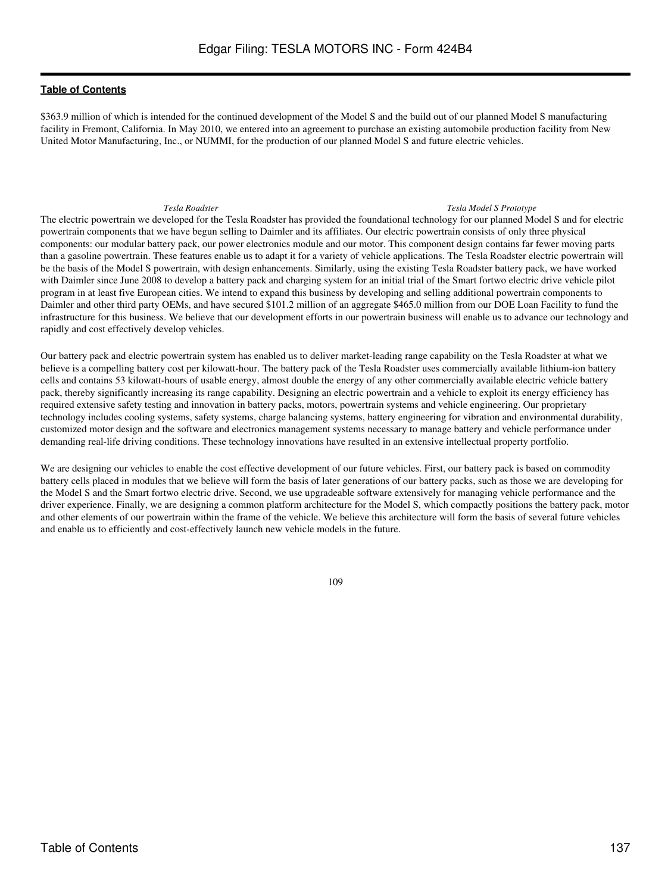\$363.9 million of which is intended for the continued development of the Model S and the build out of our planned Model S manufacturing facility in Fremont, California. In May 2010, we entered into an agreement to purchase an existing automobile production facility from New United Motor Manufacturing, Inc., or NUMMI, for the production of our planned Model S and future electric vehicles.

#### *Tesla Roadster Tesla Model S Prototype*

The electric powertrain we developed for the Tesla Roadster has provided the foundational technology for our planned Model S and for electric powertrain components that we have begun selling to Daimler and its affiliates. Our electric powertrain consists of only three physical components: our modular battery pack, our power electronics module and our motor. This component design contains far fewer moving parts than a gasoline powertrain. These features enable us to adapt it for a variety of vehicle applications. The Tesla Roadster electric powertrain will be the basis of the Model S powertrain, with design enhancements. Similarly, using the existing Tesla Roadster battery pack, we have worked with Daimler since June 2008 to develop a battery pack and charging system for an initial trial of the Smart fortwo electric drive vehicle pilot program in at least five European cities. We intend to expand this business by developing and selling additional powertrain components to Daimler and other third party OEMs, and have secured \$101.2 million of an aggregate \$465.0 million from our DOE Loan Facility to fund the infrastructure for this business. We believe that our development efforts in our powertrain business will enable us to advance our technology and rapidly and cost effectively develop vehicles.

Our battery pack and electric powertrain system has enabled us to deliver market-leading range capability on the Tesla Roadster at what we believe is a compelling battery cost per kilowatt-hour. The battery pack of the Tesla Roadster uses commercially available lithium-ion battery cells and contains 53 kilowatt-hours of usable energy, almost double the energy of any other commercially available electric vehicle battery pack, thereby significantly increasing its range capability. Designing an electric powertrain and a vehicle to exploit its energy efficiency has required extensive safety testing and innovation in battery packs, motors, powertrain systems and vehicle engineering. Our proprietary technology includes cooling systems, safety systems, charge balancing systems, battery engineering for vibration and environmental durability, customized motor design and the software and electronics management systems necessary to manage battery and vehicle performance under demanding real-life driving conditions. These technology innovations have resulted in an extensive intellectual property portfolio.

We are designing our vehicles to enable the cost effective development of our future vehicles. First, our battery pack is based on commodity battery cells placed in modules that we believe will form the basis of later generations of our battery packs, such as those we are developing for the Model S and the Smart fortwo electric drive. Second, we use upgradeable software extensively for managing vehicle performance and the driver experience. Finally, we are designing a common platform architecture for the Model S, which compactly positions the battery pack, motor and other elements of our powertrain within the frame of the vehicle. We believe this architecture will form the basis of several future vehicles and enable us to efficiently and cost-effectively launch new vehicle models in the future.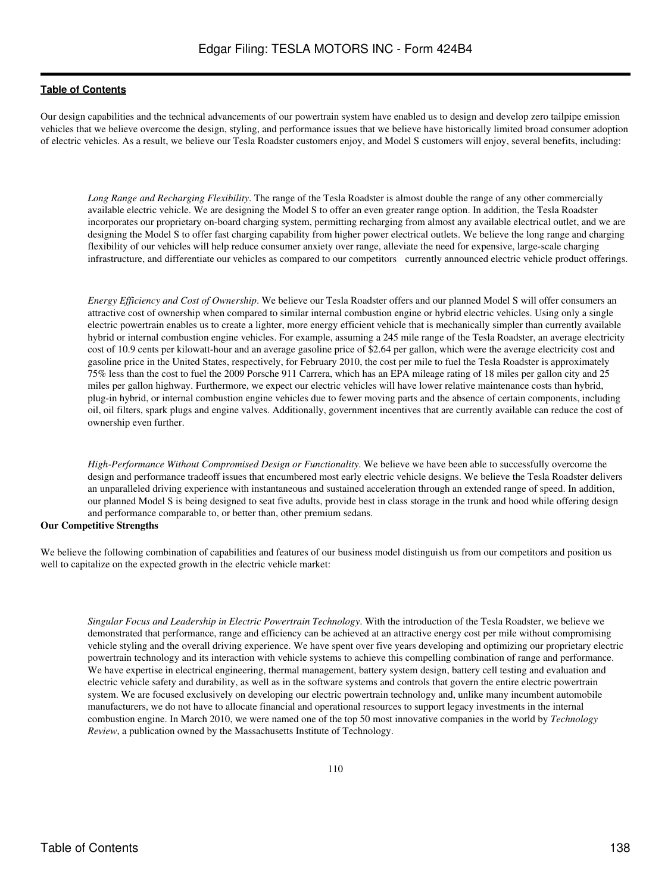Our design capabilities and the technical advancements of our powertrain system have enabled us to design and develop zero tailpipe emission vehicles that we believe overcome the design, styling, and performance issues that we believe have historically limited broad consumer adoption of electric vehicles. As a result, we believe our Tesla Roadster customers enjoy, and Model S customers will enjoy, several benefits, including:

*Long Range and Recharging Flexibility*. The range of the Tesla Roadster is almost double the range of any other commercially available electric vehicle. We are designing the Model S to offer an even greater range option. In addition, the Tesla Roadster incorporates our proprietary on-board charging system, permitting recharging from almost any available electrical outlet, and we are designing the Model S to offer fast charging capability from higher power electrical outlets. We believe the long range and charging flexibility of our vehicles will help reduce consumer anxiety over range, alleviate the need for expensive, large-scale charging infrastructure, and differentiate our vehicles as compared to our competitors currently announced electric vehicle product offerings.

*Energy Efficiency and Cost of Ownership*. We believe our Tesla Roadster offers and our planned Model S will offer consumers an attractive cost of ownership when compared to similar internal combustion engine or hybrid electric vehicles. Using only a single electric powertrain enables us to create a lighter, more energy efficient vehicle that is mechanically simpler than currently available hybrid or internal combustion engine vehicles. For example, assuming a 245 mile range of the Tesla Roadster, an average electricity cost of 10.9 cents per kilowatt-hour and an average gasoline price of \$2.64 per gallon, which were the average electricity cost and gasoline price in the United States, respectively, for February 2010, the cost per mile to fuel the Tesla Roadster is approximately 75% less than the cost to fuel the 2009 Porsche 911 Carrera, which has an EPA mileage rating of 18 miles per gallon city and 25 miles per gallon highway. Furthermore, we expect our electric vehicles will have lower relative maintenance costs than hybrid, plug-in hybrid, or internal combustion engine vehicles due to fewer moving parts and the absence of certain components, including oil, oil filters, spark plugs and engine valves. Additionally, government incentives that are currently available can reduce the cost of ownership even further.

*High-Performance Without Compromised Design or Functionality*. We believe we have been able to successfully overcome the design and performance tradeoff issues that encumbered most early electric vehicle designs. We believe the Tesla Roadster delivers an unparalleled driving experience with instantaneous and sustained acceleration through an extended range of speed. In addition, our planned Model S is being designed to seat five adults, provide best in class storage in the trunk and hood while offering design and performance comparable to, or better than, other premium sedans.

#### **Our Competitive Strengths**

We believe the following combination of capabilities and features of our business model distinguish us from our competitors and position us well to capitalize on the expected growth in the electric vehicle market:

*Singular Focus and Leadership in Electric Powertrain Technology*. With the introduction of the Tesla Roadster, we believe we demonstrated that performance, range and efficiency can be achieved at an attractive energy cost per mile without compromising vehicle styling and the overall driving experience. We have spent over five years developing and optimizing our proprietary electric powertrain technology and its interaction with vehicle systems to achieve this compelling combination of range and performance. We have expertise in electrical engineering, thermal management, battery system design, battery cell testing and evaluation and electric vehicle safety and durability, as well as in the software systems and controls that govern the entire electric powertrain system. We are focused exclusively on developing our electric powertrain technology and, unlike many incumbent automobile manufacturers, we do not have to allocate financial and operational resources to support legacy investments in the internal combustion engine. In March 2010, we were named one of the top 50 most innovative companies in the world by *Technology Review*, a publication owned by the Massachusetts Institute of Technology.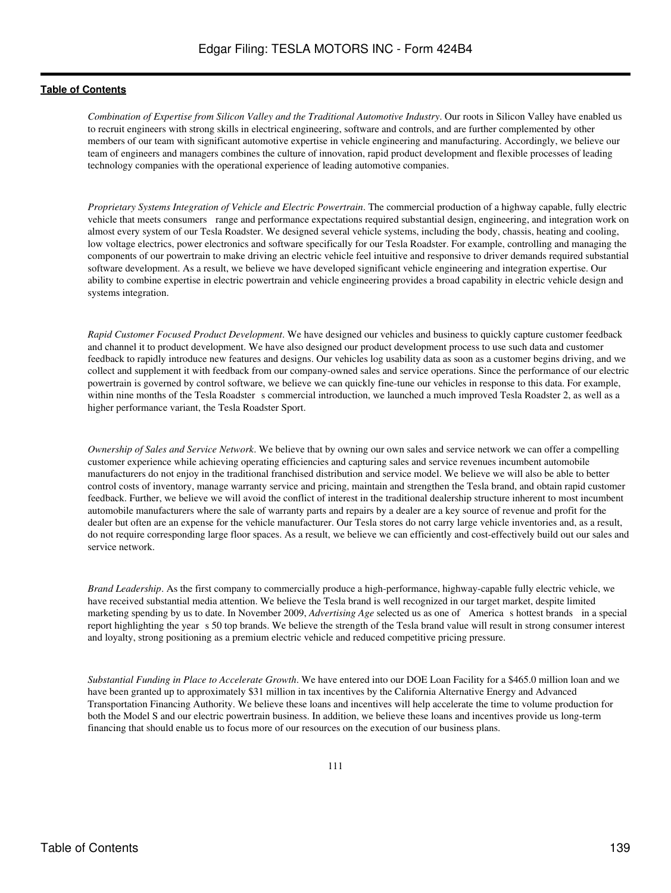*Combination of Expertise from Silicon Valley and the Traditional Automotive Industry*. Our roots in Silicon Valley have enabled us to recruit engineers with strong skills in electrical engineering, software and controls, and are further complemented by other members of our team with significant automotive expertise in vehicle engineering and manufacturing. Accordingly, we believe our team of engineers and managers combines the culture of innovation, rapid product development and flexible processes of leading technology companies with the operational experience of leading automotive companies.

*Proprietary Systems Integration of Vehicle and Electric Powertrain*. The commercial production of a highway capable, fully electric vehicle that meets consumers range and performance expectations required substantial design, engineering, and integration work on almost every system of our Tesla Roadster. We designed several vehicle systems, including the body, chassis, heating and cooling, low voltage electrics, power electronics and software specifically for our Tesla Roadster. For example, controlling and managing the components of our powertrain to make driving an electric vehicle feel intuitive and responsive to driver demands required substantial software development. As a result, we believe we have developed significant vehicle engineering and integration expertise. Our ability to combine expertise in electric powertrain and vehicle engineering provides a broad capability in electric vehicle design and systems integration.

*Rapid Customer Focused Product Development*. We have designed our vehicles and business to quickly capture customer feedback and channel it to product development. We have also designed our product development process to use such data and customer feedback to rapidly introduce new features and designs. Our vehicles log usability data as soon as a customer begins driving, and we collect and supplement it with feedback from our company-owned sales and service operations. Since the performance of our electric powertrain is governed by control software, we believe we can quickly fine-tune our vehicles in response to this data. For example, within nine months of the Tesla Roadster s commercial introduction, we launched a much improved Tesla Roadster 2, as well as a higher performance variant, the Tesla Roadster Sport.

*Ownership of Sales and Service Network*. We believe that by owning our own sales and service network we can offer a compelling customer experience while achieving operating efficiencies and capturing sales and service revenues incumbent automobile manufacturers do not enjoy in the traditional franchised distribution and service model. We believe we will also be able to better control costs of inventory, manage warranty service and pricing, maintain and strengthen the Tesla brand, and obtain rapid customer feedback. Further, we believe we will avoid the conflict of interest in the traditional dealership structure inherent to most incumbent automobile manufacturers where the sale of warranty parts and repairs by a dealer are a key source of revenue and profit for the dealer but often are an expense for the vehicle manufacturer. Our Tesla stores do not carry large vehicle inventories and, as a result, do not require corresponding large floor spaces. As a result, we believe we can efficiently and cost-effectively build out our sales and service network.

*Brand Leadership*. As the first company to commercially produce a high-performance, highway-capable fully electric vehicle, we have received substantial media attention. We believe the Tesla brand is well recognized in our target market, despite limited marketing spending by us to date. In November 2009, *Advertising Age* selected us as one of Americas hottest brands in a special report highlighting the year s 50 top brands. We believe the strength of the Tesla brand value will result in strong consumer interest and loyalty, strong positioning as a premium electric vehicle and reduced competitive pricing pressure.

*Substantial Funding in Place to Accelerate Growth*. We have entered into our DOE Loan Facility for a \$465.0 million loan and we have been granted up to approximately \$31 million in tax incentives by the California Alternative Energy and Advanced Transportation Financing Authority. We believe these loans and incentives will help accelerate the time to volume production for both the Model S and our electric powertrain business. In addition, we believe these loans and incentives provide us long-term financing that should enable us to focus more of our resources on the execution of our business plans.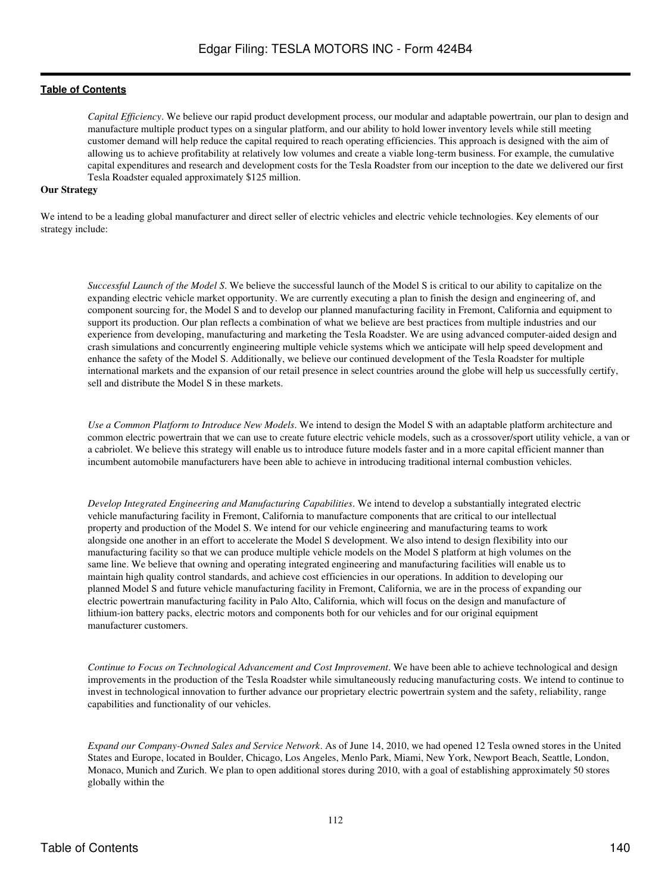*Capital Efficiency*. We believe our rapid product development process, our modular and adaptable powertrain, our plan to design and manufacture multiple product types on a singular platform, and our ability to hold lower inventory levels while still meeting customer demand will help reduce the capital required to reach operating efficiencies. This approach is designed with the aim of allowing us to achieve profitability at relatively low volumes and create a viable long-term business. For example, the cumulative capital expenditures and research and development costs for the Tesla Roadster from our inception to the date we delivered our first Tesla Roadster equaled approximately \$125 million.

#### **Our Strategy**

We intend to be a leading global manufacturer and direct seller of electric vehicles and electric vehicle technologies. Key elements of our strategy include:

*Successful Launch of the Model S*. We believe the successful launch of the Model S is critical to our ability to capitalize on the expanding electric vehicle market opportunity. We are currently executing a plan to finish the design and engineering of, and component sourcing for, the Model S and to develop our planned manufacturing facility in Fremont, California and equipment to support its production. Our plan reflects a combination of what we believe are best practices from multiple industries and our experience from developing, manufacturing and marketing the Tesla Roadster. We are using advanced computer-aided design and crash simulations and concurrently engineering multiple vehicle systems which we anticipate will help speed development and enhance the safety of the Model S. Additionally, we believe our continued development of the Tesla Roadster for multiple international markets and the expansion of our retail presence in select countries around the globe will help us successfully certify, sell and distribute the Model S in these markets.

*Use a Common Platform to Introduce New Models*. We intend to design the Model S with an adaptable platform architecture and common electric powertrain that we can use to create future electric vehicle models, such as a crossover/sport utility vehicle, a van or a cabriolet. We believe this strategy will enable us to introduce future models faster and in a more capital efficient manner than incumbent automobile manufacturers have been able to achieve in introducing traditional internal combustion vehicles.

*Develop Integrated Engineering and Manufacturing Capabilities*. We intend to develop a substantially integrated electric vehicle manufacturing facility in Fremont, California to manufacture components that are critical to our intellectual property and production of the Model S. We intend for our vehicle engineering and manufacturing teams to work alongside one another in an effort to accelerate the Model S development. We also intend to design flexibility into our manufacturing facility so that we can produce multiple vehicle models on the Model S platform at high volumes on the same line. We believe that owning and operating integrated engineering and manufacturing facilities will enable us to maintain high quality control standards, and achieve cost efficiencies in our operations. In addition to developing our planned Model S and future vehicle manufacturing facility in Fremont, California, we are in the process of expanding our electric powertrain manufacturing facility in Palo Alto, California, which will focus on the design and manufacture of lithium-ion battery packs, electric motors and components both for our vehicles and for our original equipment manufacturer customers.

*Continue to Focus on Technological Advancement and Cost Improvement*. We have been able to achieve technological and design improvements in the production of the Tesla Roadster while simultaneously reducing manufacturing costs. We intend to continue to invest in technological innovation to further advance our proprietary electric powertrain system and the safety, reliability, range capabilities and functionality of our vehicles.

*Expand our Company-Owned Sales and Service Network*. As of June 14, 2010, we had opened 12 Tesla owned stores in the United States and Europe, located in Boulder, Chicago, Los Angeles, Menlo Park, Miami, New York, Newport Beach, Seattle, London, Monaco, Munich and Zurich. We plan to open additional stores during 2010, with a goal of establishing approximately 50 stores globally within the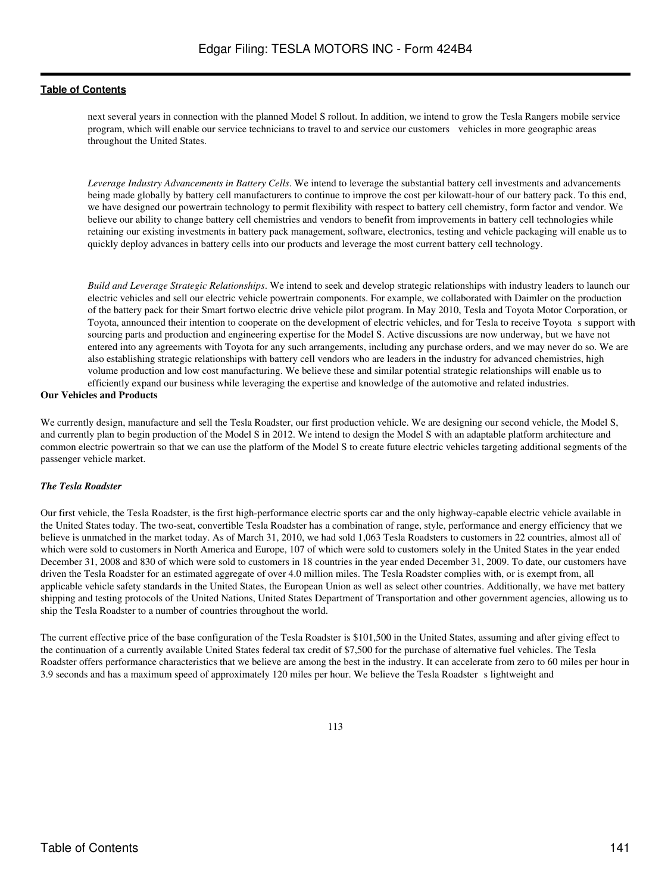next several years in connection with the planned Model S rollout. In addition, we intend to grow the Tesla Rangers mobile service program, which will enable our service technicians to travel to and service our customers vehicles in more geographic areas throughout the United States.

*Leverage Industry Advancements in Battery Cells*. We intend to leverage the substantial battery cell investments and advancements being made globally by battery cell manufacturers to continue to improve the cost per kilowatt-hour of our battery pack. To this end, we have designed our powertrain technology to permit flexibility with respect to battery cell chemistry, form factor and vendor. We believe our ability to change battery cell chemistries and vendors to benefit from improvements in battery cell technologies while retaining our existing investments in battery pack management, software, electronics, testing and vehicle packaging will enable us to quickly deploy advances in battery cells into our products and leverage the most current battery cell technology.

*Build and Leverage Strategic Relationships*. We intend to seek and develop strategic relationships with industry leaders to launch our electric vehicles and sell our electric vehicle powertrain components. For example, we collaborated with Daimler on the production of the battery pack for their Smart fortwo electric drive vehicle pilot program. In May 2010, Tesla and Toyota Motor Corporation, or Toyota, announced their intention to cooperate on the development of electric vehicles, and for Tesla to receive Toyotas support with sourcing parts and production and engineering expertise for the Model S. Active discussions are now underway, but we have not entered into any agreements with Toyota for any such arrangements, including any purchase orders, and we may never do so. We are also establishing strategic relationships with battery cell vendors who are leaders in the industry for advanced chemistries, high volume production and low cost manufacturing. We believe these and similar potential strategic relationships will enable us to efficiently expand our business while leveraging the expertise and knowledge of the automotive and related industries.

## **Our Vehicles and Products**

We currently design, manufacture and sell the Tesla Roadster, our first production vehicle. We are designing our second vehicle, the Model S, and currently plan to begin production of the Model S in 2012. We intend to design the Model S with an adaptable platform architecture and common electric powertrain so that we can use the platform of the Model S to create future electric vehicles targeting additional segments of the passenger vehicle market.

#### *The Tesla Roadster*

Our first vehicle, the Tesla Roadster, is the first high-performance electric sports car and the only highway-capable electric vehicle available in the United States today. The two-seat, convertible Tesla Roadster has a combination of range, style, performance and energy efficiency that we believe is unmatched in the market today. As of March 31, 2010, we had sold 1,063 Tesla Roadsters to customers in 22 countries, almost all of which were sold to customers in North America and Europe, 107 of which were sold to customers solely in the United States in the year ended December 31, 2008 and 830 of which were sold to customers in 18 countries in the year ended December 31, 2009. To date, our customers have driven the Tesla Roadster for an estimated aggregate of over 4.0 million miles. The Tesla Roadster complies with, or is exempt from, all applicable vehicle safety standards in the United States, the European Union as well as select other countries. Additionally, we have met battery shipping and testing protocols of the United Nations, United States Department of Transportation and other government agencies, allowing us to ship the Tesla Roadster to a number of countries throughout the world.

The current effective price of the base configuration of the Tesla Roadster is \$101,500 in the United States, assuming and after giving effect to the continuation of a currently available United States federal tax credit of \$7,500 for the purchase of alternative fuel vehicles. The Tesla Roadster offers performance characteristics that we believe are among the best in the industry. It can accelerate from zero to 60 miles per hour in 3.9 seconds and has a maximum speed of approximately 120 miles per hour. We believe the Tesla Roadsters lightweight and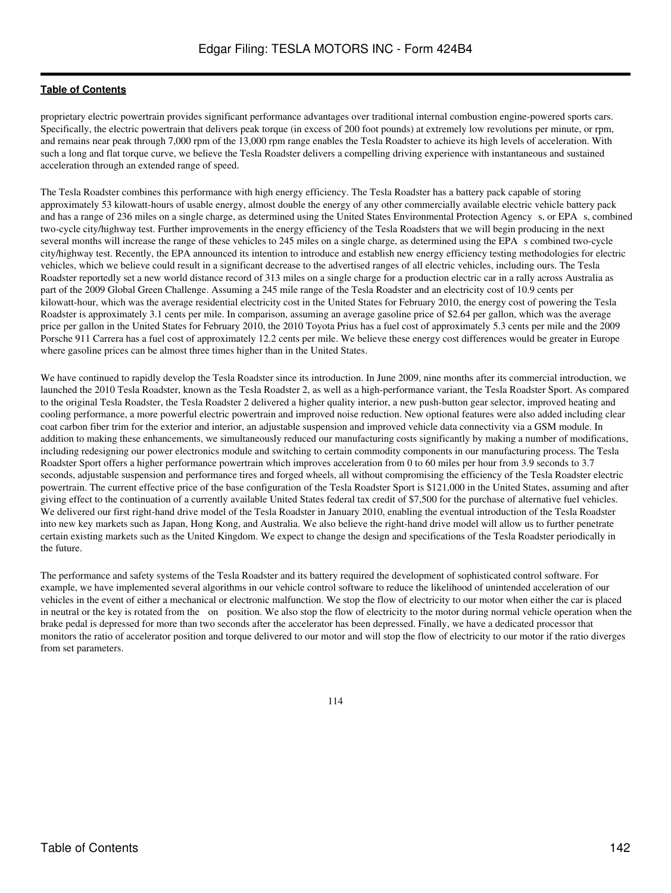proprietary electric powertrain provides significant performance advantages over traditional internal combustion engine-powered sports cars. Specifically, the electric powertrain that delivers peak torque (in excess of 200 foot pounds) at extremely low revolutions per minute, or rpm, and remains near peak through 7,000 rpm of the 13,000 rpm range enables the Tesla Roadster to achieve its high levels of acceleration. With such a long and flat torque curve, we believe the Tesla Roadster delivers a compelling driving experience with instantaneous and sustained acceleration through an extended range of speed.

The Tesla Roadster combines this performance with high energy efficiency. The Tesla Roadster has a battery pack capable of storing approximately 53 kilowatt-hours of usable energy, almost double the energy of any other commercially available electric vehicle battery pack and has a range of 236 miles on a single charge, as determined using the United States Environmental Protection Agency s, or EPA s, combined two-cycle city/highway test. Further improvements in the energy efficiency of the Tesla Roadsters that we will begin producing in the next several months will increase the range of these vehicles to 245 miles on a single charge, as determined using the EPA s combined two-cycle city/highway test. Recently, the EPA announced its intention to introduce and establish new energy efficiency testing methodologies for electric vehicles, which we believe could result in a significant decrease to the advertised ranges of all electric vehicles, including ours. The Tesla Roadster reportedly set a new world distance record of 313 miles on a single charge for a production electric car in a rally across Australia as part of the 2009 Global Green Challenge. Assuming a 245 mile range of the Tesla Roadster and an electricity cost of 10.9 cents per kilowatt-hour, which was the average residential electricity cost in the United States for February 2010, the energy cost of powering the Tesla Roadster is approximately 3.1 cents per mile. In comparison, assuming an average gasoline price of \$2.64 per gallon, which was the average price per gallon in the United States for February 2010, the 2010 Toyota Prius has a fuel cost of approximately 5.3 cents per mile and the 2009 Porsche 911 Carrera has a fuel cost of approximately 12.2 cents per mile. We believe these energy cost differences would be greater in Europe where gasoline prices can be almost three times higher than in the United States.

We have continued to rapidly develop the Tesla Roadster since its introduction. In June 2009, nine months after its commercial introduction, we launched the 2010 Tesla Roadster, known as the Tesla Roadster 2, as well as a high-performance variant, the Tesla Roadster Sport. As compared to the original Tesla Roadster, the Tesla Roadster 2 delivered a higher quality interior, a new push-button gear selector, improved heating and cooling performance, a more powerful electric powertrain and improved noise reduction. New optional features were also added including clear coat carbon fiber trim for the exterior and interior, an adjustable suspension and improved vehicle data connectivity via a GSM module. In addition to making these enhancements, we simultaneously reduced our manufacturing costs significantly by making a number of modifications, including redesigning our power electronics module and switching to certain commodity components in our manufacturing process. The Tesla Roadster Sport offers a higher performance powertrain which improves acceleration from 0 to 60 miles per hour from 3.9 seconds to 3.7 seconds, adjustable suspension and performance tires and forged wheels, all without compromising the efficiency of the Tesla Roadster electric powertrain. The current effective price of the base configuration of the Tesla Roadster Sport is \$121,000 in the United States, assuming and after giving effect to the continuation of a currently available United States federal tax credit of \$7,500 for the purchase of alternative fuel vehicles. We delivered our first right-hand drive model of the Tesla Roadster in January 2010, enabling the eventual introduction of the Tesla Roadster into new key markets such as Japan, Hong Kong, and Australia. We also believe the right-hand drive model will allow us to further penetrate certain existing markets such as the United Kingdom. We expect to change the design and specifications of the Tesla Roadster periodically in the future.

The performance and safety systems of the Tesla Roadster and its battery required the development of sophisticated control software. For example, we have implemented several algorithms in our vehicle control software to reduce the likelihood of unintended acceleration of our vehicles in the event of either a mechanical or electronic malfunction. We stop the flow of electricity to our motor when either the car is placed in neutral or the key is rotated from the on position. We also stop the flow of electricity to the motor during normal vehicle operation when the brake pedal is depressed for more than two seconds after the accelerator has been depressed. Finally, we have a dedicated processor that monitors the ratio of accelerator position and torque delivered to our motor and will stop the flow of electricity to our motor if the ratio diverges from set parameters.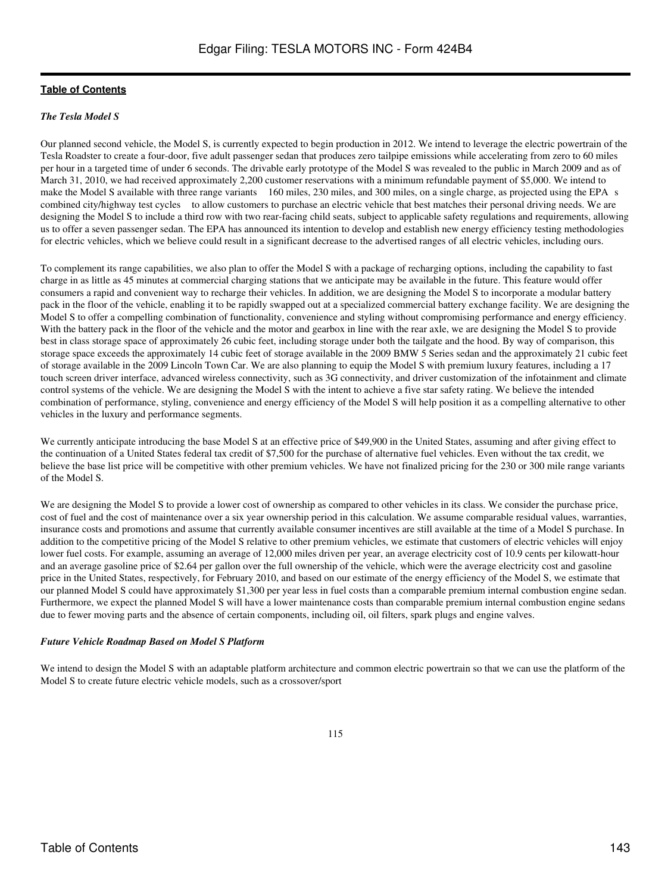# *The Tesla Model S*

Our planned second vehicle, the Model S, is currently expected to begin production in 2012. We intend to leverage the electric powertrain of the Tesla Roadster to create a four-door, five adult passenger sedan that produces zero tailpipe emissions while accelerating from zero to 60 miles per hour in a targeted time of under 6 seconds. The drivable early prototype of the Model S was revealed to the public in March 2009 and as of March 31, 2010, we had received approximately 2,200 customer reservations with a minimum refundable payment of \$5,000. We intend to make the Model S available with three range variants 160 miles, 230 miles, and 300 miles, on a single charge, as projected using the EPA s combined city/highway test cycles to allow customers to purchase an electric vehicle that best matches their personal driving needs. We are designing the Model S to include a third row with two rear-facing child seats, subject to applicable safety regulations and requirements, allowing us to offer a seven passenger sedan. The EPA has announced its intention to develop and establish new energy efficiency testing methodologies for electric vehicles, which we believe could result in a significant decrease to the advertised ranges of all electric vehicles, including ours.

To complement its range capabilities, we also plan to offer the Model S with a package of recharging options, including the capability to fast charge in as little as 45 minutes at commercial charging stations that we anticipate may be available in the future. This feature would offer consumers a rapid and convenient way to recharge their vehicles. In addition, we are designing the Model S to incorporate a modular battery pack in the floor of the vehicle, enabling it to be rapidly swapped out at a specialized commercial battery exchange facility. We are designing the Model S to offer a compelling combination of functionality, convenience and styling without compromising performance and energy efficiency. With the battery pack in the floor of the vehicle and the motor and gearbox in line with the rear axle, we are designing the Model S to provide best in class storage space of approximately 26 cubic feet, including storage under both the tailgate and the hood. By way of comparison, this storage space exceeds the approximately 14 cubic feet of storage available in the 2009 BMW 5 Series sedan and the approximately 21 cubic feet of storage available in the 2009 Lincoln Town Car. We are also planning to equip the Model S with premium luxury features, including a 17 touch screen driver interface, advanced wireless connectivity, such as 3G connectivity, and driver customization of the infotainment and climate control systems of the vehicle. We are designing the Model S with the intent to achieve a five star safety rating. We believe the intended combination of performance, styling, convenience and energy efficiency of the Model S will help position it as a compelling alternative to other vehicles in the luxury and performance segments.

We currently anticipate introducing the base Model S at an effective price of \$49,900 in the United States, assuming and after giving effect to the continuation of a United States federal tax credit of \$7,500 for the purchase of alternative fuel vehicles. Even without the tax credit, we believe the base list price will be competitive with other premium vehicles. We have not finalized pricing for the 230 or 300 mile range variants of the Model S.

We are designing the Model S to provide a lower cost of ownership as compared to other vehicles in its class. We consider the purchase price, cost of fuel and the cost of maintenance over a six year ownership period in this calculation. We assume comparable residual values, warranties, insurance costs and promotions and assume that currently available consumer incentives are still available at the time of a Model S purchase. In addition to the competitive pricing of the Model S relative to other premium vehicles, we estimate that customers of electric vehicles will enjoy lower fuel costs. For example, assuming an average of 12,000 miles driven per year, an average electricity cost of 10.9 cents per kilowatt-hour and an average gasoline price of \$2.64 per gallon over the full ownership of the vehicle, which were the average electricity cost and gasoline price in the United States, respectively, for February 2010, and based on our estimate of the energy efficiency of the Model S, we estimate that our planned Model S could have approximately \$1,300 per year less in fuel costs than a comparable premium internal combustion engine sedan. Furthermore, we expect the planned Model S will have a lower maintenance costs than comparable premium internal combustion engine sedans due to fewer moving parts and the absence of certain components, including oil, oil filters, spark plugs and engine valves.

# *Future Vehicle Roadmap Based on Model S Platform*

We intend to design the Model S with an adaptable platform architecture and common electric powertrain so that we can use the platform of the Model S to create future electric vehicle models, such as a crossover/sport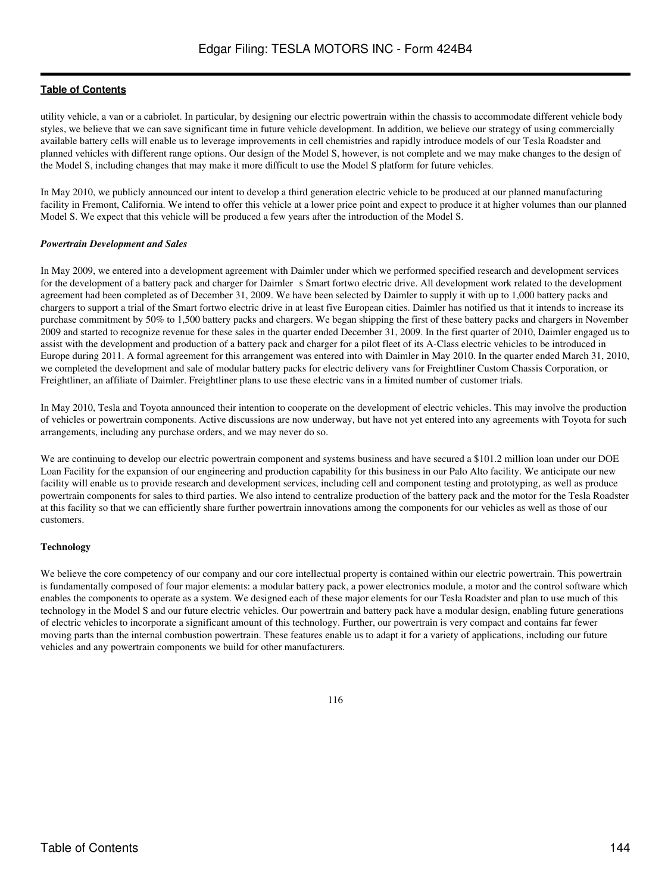utility vehicle, a van or a cabriolet. In particular, by designing our electric powertrain within the chassis to accommodate different vehicle body styles, we believe that we can save significant time in future vehicle development. In addition, we believe our strategy of using commercially available battery cells will enable us to leverage improvements in cell chemistries and rapidly introduce models of our Tesla Roadster and planned vehicles with different range options. Our design of the Model S, however, is not complete and we may make changes to the design of the Model S, including changes that may make it more difficult to use the Model S platform for future vehicles.

In May 2010, we publicly announced our intent to develop a third generation electric vehicle to be produced at our planned manufacturing facility in Fremont, California. We intend to offer this vehicle at a lower price point and expect to produce it at higher volumes than our planned Model S. We expect that this vehicle will be produced a few years after the introduction of the Model S.

# *Powertrain Development and Sales*

In May 2009, we entered into a development agreement with Daimler under which we performed specified research and development services for the development of a battery pack and charger for Daimler s Smart fortwo electric drive. All development work related to the development agreement had been completed as of December 31, 2009. We have been selected by Daimler to supply it with up to 1,000 battery packs and chargers to support a trial of the Smart fortwo electric drive in at least five European cities. Daimler has notified us that it intends to increase its purchase commitment by 50% to 1,500 battery packs and chargers. We began shipping the first of these battery packs and chargers in November 2009 and started to recognize revenue for these sales in the quarter ended December 31, 2009. In the first quarter of 2010, Daimler engaged us to assist with the development and production of a battery pack and charger for a pilot fleet of its A-Class electric vehicles to be introduced in Europe during 2011. A formal agreement for this arrangement was entered into with Daimler in May 2010. In the quarter ended March 31, 2010, we completed the development and sale of modular battery packs for electric delivery vans for Freightliner Custom Chassis Corporation, or Freightliner, an affiliate of Daimler. Freightliner plans to use these electric vans in a limited number of customer trials.

In May 2010, Tesla and Toyota announced their intention to cooperate on the development of electric vehicles. This may involve the production of vehicles or powertrain components. Active discussions are now underway, but have not yet entered into any agreements with Toyota for such arrangements, including any purchase orders, and we may never do so.

We are continuing to develop our electric powertrain component and systems business and have secured a \$101.2 million loan under our DOE Loan Facility for the expansion of our engineering and production capability for this business in our Palo Alto facility. We anticipate our new facility will enable us to provide research and development services, including cell and component testing and prototyping, as well as produce powertrain components for sales to third parties. We also intend to centralize production of the battery pack and the motor for the Tesla Roadster at this facility so that we can efficiently share further powertrain innovations among the components for our vehicles as well as those of our customers.

# **Technology**

We believe the core competency of our company and our core intellectual property is contained within our electric powertrain. This powertrain is fundamentally composed of four major elements: a modular battery pack, a power electronics module, a motor and the control software which enables the components to operate as a system. We designed each of these major elements for our Tesla Roadster and plan to use much of this technology in the Model S and our future electric vehicles. Our powertrain and battery pack have a modular design, enabling future generations of electric vehicles to incorporate a significant amount of this technology. Further, our powertrain is very compact and contains far fewer moving parts than the internal combustion powertrain. These features enable us to adapt it for a variety of applications, including our future vehicles and any powertrain components we build for other manufacturers.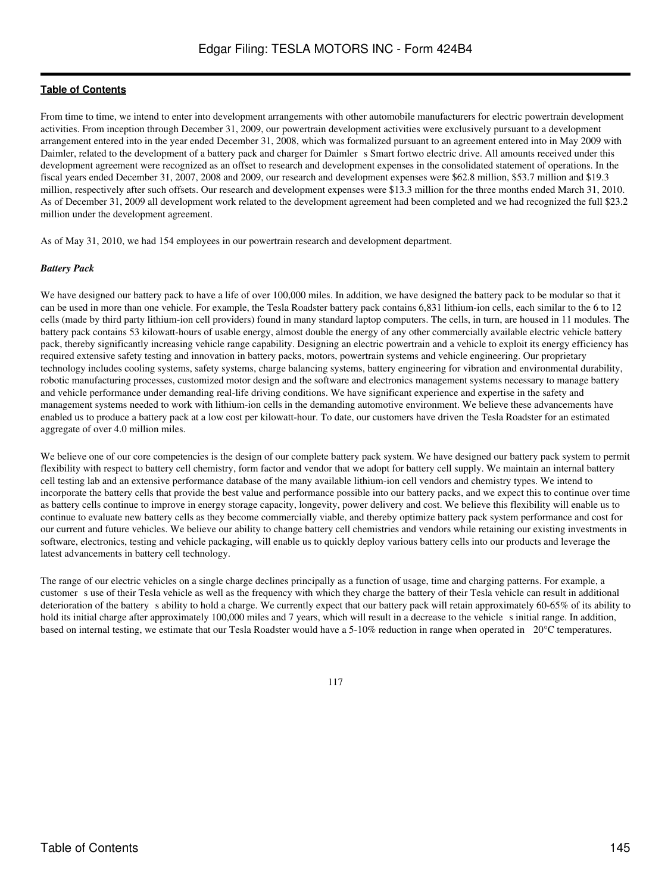From time to time, we intend to enter into development arrangements with other automobile manufacturers for electric powertrain development activities. From inception through December 31, 2009, our powertrain development activities were exclusively pursuant to a development arrangement entered into in the year ended December 31, 2008, which was formalized pursuant to an agreement entered into in May 2009 with Daimler, related to the development of a battery pack and charger for Daimler s Smart fortwo electric drive. All amounts received under this development agreement were recognized as an offset to research and development expenses in the consolidated statement of operations. In the fiscal years ended December 31, 2007, 2008 and 2009, our research and development expenses were \$62.8 million, \$53.7 million and \$19.3 million, respectively after such offsets. Our research and development expenses were \$13.3 million for the three months ended March 31, 2010. As of December 31, 2009 all development work related to the development agreement had been completed and we had recognized the full \$23.2 million under the development agreement.

As of May 31, 2010, we had 154 employees in our powertrain research and development department.

#### *Battery Pack*

We have designed our battery pack to have a life of over 100,000 miles. In addition, we have designed the battery pack to be modular so that it can be used in more than one vehicle. For example, the Tesla Roadster battery pack contains 6,831 lithium-ion cells, each similar to the 6 to 12 cells (made by third party lithium-ion cell providers) found in many standard laptop computers. The cells, in turn, are housed in 11 modules. The battery pack contains 53 kilowatt-hours of usable energy, almost double the energy of any other commercially available electric vehicle battery pack, thereby significantly increasing vehicle range capability. Designing an electric powertrain and a vehicle to exploit its energy efficiency has required extensive safety testing and innovation in battery packs, motors, powertrain systems and vehicle engineering. Our proprietary technology includes cooling systems, safety systems, charge balancing systems, battery engineering for vibration and environmental durability, robotic manufacturing processes, customized motor design and the software and electronics management systems necessary to manage battery and vehicle performance under demanding real-life driving conditions. We have significant experience and expertise in the safety and management systems needed to work with lithium-ion cells in the demanding automotive environment. We believe these advancements have enabled us to produce a battery pack at a low cost per kilowatt-hour. To date, our customers have driven the Tesla Roadster for an estimated aggregate of over 4.0 million miles.

We believe one of our core competencies is the design of our complete battery pack system. We have designed our battery pack system to permit flexibility with respect to battery cell chemistry, form factor and vendor that we adopt for battery cell supply. We maintain an internal battery cell testing lab and an extensive performance database of the many available lithium-ion cell vendors and chemistry types. We intend to incorporate the battery cells that provide the best value and performance possible into our battery packs, and we expect this to continue over time as battery cells continue to improve in energy storage capacity, longevity, power delivery and cost. We believe this flexibility will enable us to continue to evaluate new battery cells as they become commercially viable, and thereby optimize battery pack system performance and cost for our current and future vehicles. We believe our ability to change battery cell chemistries and vendors while retaining our existing investments in software, electronics, testing and vehicle packaging, will enable us to quickly deploy various battery cells into our products and leverage the latest advancements in battery cell technology.

The range of our electric vehicles on a single charge declines principally as a function of usage, time and charging patterns. For example, a customer s use of their Tesla vehicle as well as the frequency with which they charge the battery of their Tesla vehicle can result in additional deterioration of the battery s ability to hold a charge. We currently expect that our battery pack will retain approximately 60-65% of its ability to hold its initial charge after approximately 100,000 miles and 7 years, which will result in a decrease to the vehicle s initial range. In addition, based on internal testing, we estimate that our Tesla Roadster would have a 5-10% reduction in range when operated in 20°C temperatures.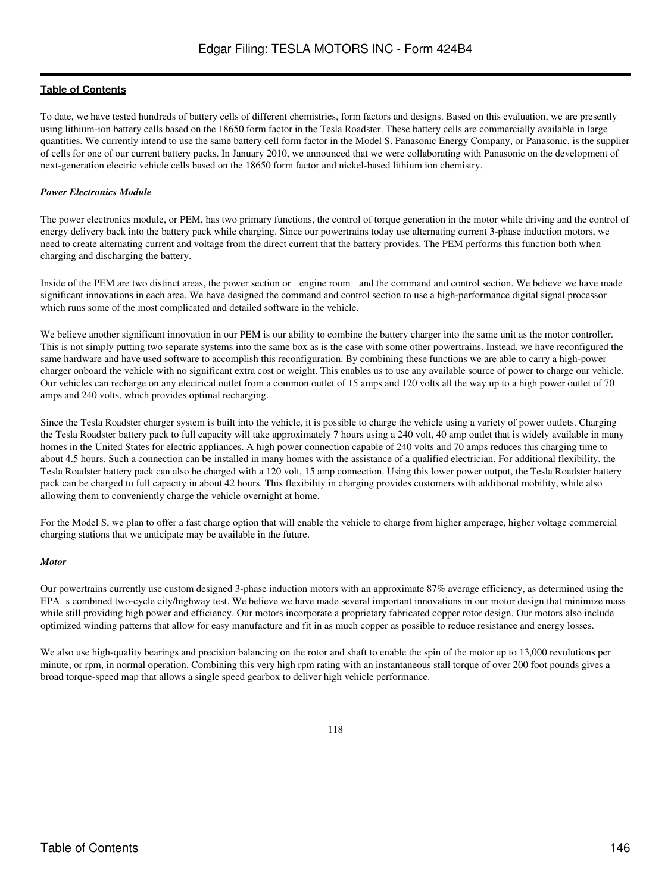To date, we have tested hundreds of battery cells of different chemistries, form factors and designs. Based on this evaluation, we are presently using lithium-ion battery cells based on the 18650 form factor in the Tesla Roadster. These battery cells are commercially available in large quantities. We currently intend to use the same battery cell form factor in the Model S. Panasonic Energy Company, or Panasonic, is the supplier of cells for one of our current battery packs. In January 2010, we announced that we were collaborating with Panasonic on the development of next-generation electric vehicle cells based on the 18650 form factor and nickel-based lithium ion chemistry.

## *Power Electronics Module*

The power electronics module, or PEM, has two primary functions, the control of torque generation in the motor while driving and the control of energy delivery back into the battery pack while charging. Since our powertrains today use alternating current 3-phase induction motors, we need to create alternating current and voltage from the direct current that the battery provides. The PEM performs this function both when charging and discharging the battery.

Inside of the PEM are two distinct areas, the power section or engine room and the command and control section. We believe we have made significant innovations in each area. We have designed the command and control section to use a high-performance digital signal processor which runs some of the most complicated and detailed software in the vehicle.

We believe another significant innovation in our PEM is our ability to combine the battery charger into the same unit as the motor controller. This is not simply putting two separate systems into the same box as is the case with some other powertrains. Instead, we have reconfigured the same hardware and have used software to accomplish this reconfiguration. By combining these functions we are able to carry a high-power charger onboard the vehicle with no significant extra cost or weight. This enables us to use any available source of power to charge our vehicle. Our vehicles can recharge on any electrical outlet from a common outlet of 15 amps and 120 volts all the way up to a high power outlet of 70 amps and 240 volts, which provides optimal recharging.

Since the Tesla Roadster charger system is built into the vehicle, it is possible to charge the vehicle using a variety of power outlets. Charging the Tesla Roadster battery pack to full capacity will take approximately 7 hours using a 240 volt, 40 amp outlet that is widely available in many homes in the United States for electric appliances. A high power connection capable of 240 volts and 70 amps reduces this charging time to about 4.5 hours. Such a connection can be installed in many homes with the assistance of a qualified electrician. For additional flexibility, the Tesla Roadster battery pack can also be charged with a 120 volt, 15 amp connection. Using this lower power output, the Tesla Roadster battery pack can be charged to full capacity in about 42 hours. This flexibility in charging provides customers with additional mobility, while also allowing them to conveniently charge the vehicle overnight at home.

For the Model S, we plan to offer a fast charge option that will enable the vehicle to charge from higher amperage, higher voltage commercial charging stations that we anticipate may be available in the future.

#### *Motor*

Our powertrains currently use custom designed 3-phase induction motors with an approximate 87% average efficiency, as determined using the EPA s combined two-cycle city/highway test. We believe we have made several important innovations in our motor design that minimize mass while still providing high power and efficiency. Our motors incorporate a proprietary fabricated copper rotor design. Our motors also include optimized winding patterns that allow for easy manufacture and fit in as much copper as possible to reduce resistance and energy losses.

We also use high-quality bearings and precision balancing on the rotor and shaft to enable the spin of the motor up to 13,000 revolutions per minute, or rpm, in normal operation. Combining this very high rpm rating with an instantaneous stall torque of over 200 foot pounds gives a broad torque-speed map that allows a single speed gearbox to deliver high vehicle performance.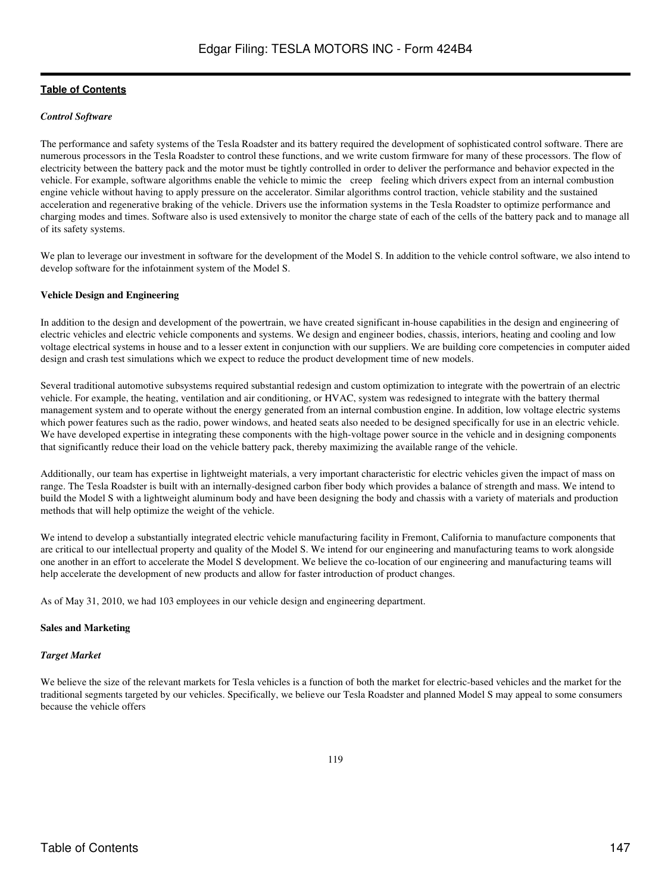### *Control Software*

The performance and safety systems of the Tesla Roadster and its battery required the development of sophisticated control software. There are numerous processors in the Tesla Roadster to control these functions, and we write custom firmware for many of these processors. The flow of electricity between the battery pack and the motor must be tightly controlled in order to deliver the performance and behavior expected in the vehicle. For example, software algorithms enable the vehicle to mimic the creep feeling which drivers expect from an internal combustion engine vehicle without having to apply pressure on the accelerator. Similar algorithms control traction, vehicle stability and the sustained acceleration and regenerative braking of the vehicle. Drivers use the information systems in the Tesla Roadster to optimize performance and charging modes and times. Software also is used extensively to monitor the charge state of each of the cells of the battery pack and to manage all of its safety systems.

We plan to leverage our investment in software for the development of the Model S. In addition to the vehicle control software, we also intend to develop software for the infotainment system of the Model S.

#### **Vehicle Design and Engineering**

In addition to the design and development of the powertrain, we have created significant in-house capabilities in the design and engineering of electric vehicles and electric vehicle components and systems. We design and engineer bodies, chassis, interiors, heating and cooling and low voltage electrical systems in house and to a lesser extent in conjunction with our suppliers. We are building core competencies in computer aided design and crash test simulations which we expect to reduce the product development time of new models.

Several traditional automotive subsystems required substantial redesign and custom optimization to integrate with the powertrain of an electric vehicle. For example, the heating, ventilation and air conditioning, or HVAC, system was redesigned to integrate with the battery thermal management system and to operate without the energy generated from an internal combustion engine. In addition, low voltage electric systems which power features such as the radio, power windows, and heated seats also needed to be designed specifically for use in an electric vehicle. We have developed expertise in integrating these components with the high-voltage power source in the vehicle and in designing components that significantly reduce their load on the vehicle battery pack, thereby maximizing the available range of the vehicle.

Additionally, our team has expertise in lightweight materials, a very important characteristic for electric vehicles given the impact of mass on range. The Tesla Roadster is built with an internally-designed carbon fiber body which provides a balance of strength and mass. We intend to build the Model S with a lightweight aluminum body and have been designing the body and chassis with a variety of materials and production methods that will help optimize the weight of the vehicle.

We intend to develop a substantially integrated electric vehicle manufacturing facility in Fremont, California to manufacture components that are critical to our intellectual property and quality of the Model S. We intend for our engineering and manufacturing teams to work alongside one another in an effort to accelerate the Model S development. We believe the co-location of our engineering and manufacturing teams will help accelerate the development of new products and allow for faster introduction of product changes.

As of May 31, 2010, we had 103 employees in our vehicle design and engineering department.

## **Sales and Marketing**

#### *Target Market*

We believe the size of the relevant markets for Tesla vehicles is a function of both the market for electric-based vehicles and the market for the traditional segments targeted by our vehicles. Specifically, we believe our Tesla Roadster and planned Model S may appeal to some consumers because the vehicle offers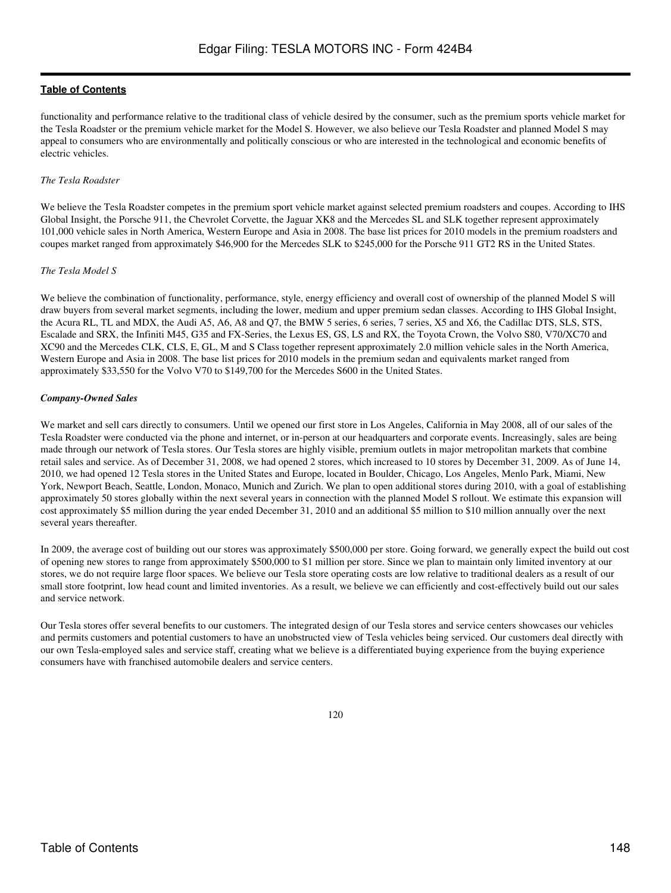functionality and performance relative to the traditional class of vehicle desired by the consumer, such as the premium sports vehicle market for the Tesla Roadster or the premium vehicle market for the Model S. However, we also believe our Tesla Roadster and planned Model S may appeal to consumers who are environmentally and politically conscious or who are interested in the technological and economic benefits of electric vehicles.

### *The Tesla Roadster*

We believe the Tesla Roadster competes in the premium sport vehicle market against selected premium roadsters and coupes. According to IHS Global Insight, the Porsche 911, the Chevrolet Corvette, the Jaguar XK8 and the Mercedes SL and SLK together represent approximately 101,000 vehicle sales in North America, Western Europe and Asia in 2008. The base list prices for 2010 models in the premium roadsters and coupes market ranged from approximately \$46,900 for the Mercedes SLK to \$245,000 for the Porsche 911 GT2 RS in the United States.

#### *The Tesla Model S*

We believe the combination of functionality, performance, style, energy efficiency and overall cost of ownership of the planned Model S will draw buyers from several market segments, including the lower, medium and upper premium sedan classes. According to IHS Global Insight, the Acura RL, TL and MDX, the Audi A5, A6, A8 and Q7, the BMW 5 series, 6 series, 7 series, X5 and X6, the Cadillac DTS, SLS, STS, Escalade and SRX, the Infiniti M45, G35 and FX-Series, the Lexus ES, GS, LS and RX, the Toyota Crown, the Volvo S80, V70/XC70 and XC90 and the Mercedes CLK, CLS, E, GL, M and S Class together represent approximately 2.0 million vehicle sales in the North America, Western Europe and Asia in 2008. The base list prices for 2010 models in the premium sedan and equivalents market ranged from approximately \$33,550 for the Volvo V70 to \$149,700 for the Mercedes S600 in the United States.

#### *Company-Owned Sales*

We market and sell cars directly to consumers. Until we opened our first store in Los Angeles, California in May 2008, all of our sales of the Tesla Roadster were conducted via the phone and internet, or in-person at our headquarters and corporate events. Increasingly, sales are being made through our network of Tesla stores. Our Tesla stores are highly visible, premium outlets in major metropolitan markets that combine retail sales and service. As of December 31, 2008, we had opened 2 stores, which increased to 10 stores by December 31, 2009. As of June 14, 2010, we had opened 12 Tesla stores in the United States and Europe, located in Boulder, Chicago, Los Angeles, Menlo Park, Miami, New York, Newport Beach, Seattle, London, Monaco, Munich and Zurich. We plan to open additional stores during 2010, with a goal of establishing approximately 50 stores globally within the next several years in connection with the planned Model S rollout. We estimate this expansion will cost approximately \$5 million during the year ended December 31, 2010 and an additional \$5 million to \$10 million annually over the next several years thereafter.

In 2009, the average cost of building out our stores was approximately \$500,000 per store. Going forward, we generally expect the build out cost of opening new stores to range from approximately \$500,000 to \$1 million per store. Since we plan to maintain only limited inventory at our stores, we do not require large floor spaces. We believe our Tesla store operating costs are low relative to traditional dealers as a result of our small store footprint, low head count and limited inventories. As a result, we believe we can efficiently and cost-effectively build out our sales and service network.

Our Tesla stores offer several benefits to our customers. The integrated design of our Tesla stores and service centers showcases our vehicles and permits customers and potential customers to have an unobstructed view of Tesla vehicles being serviced. Our customers deal directly with our own Tesla-employed sales and service staff, creating what we believe is a differentiated buying experience from the buying experience consumers have with franchised automobile dealers and service centers.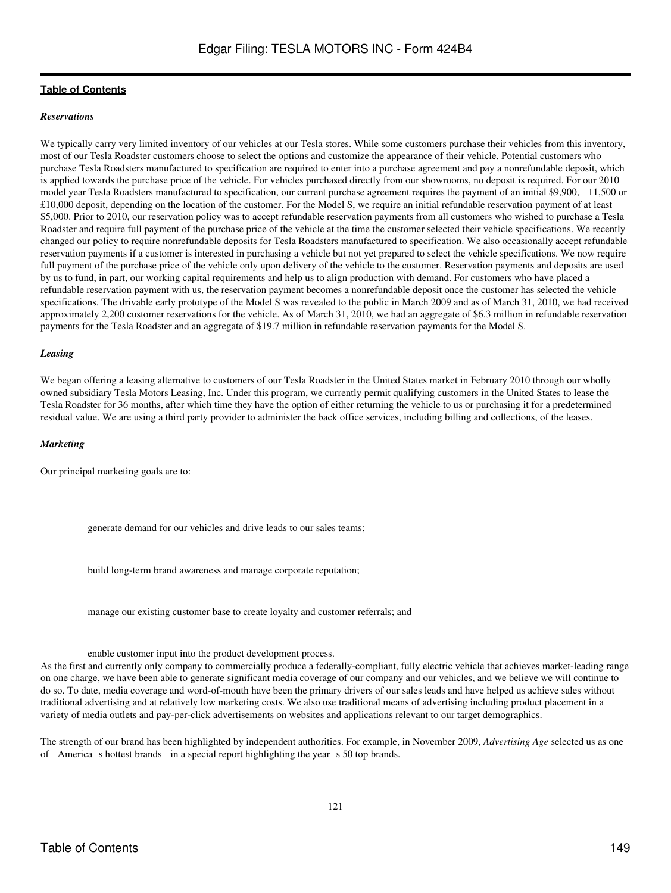#### *Reservations*

We typically carry very limited inventory of our vehicles at our Tesla stores. While some customers purchase their vehicles from this inventory, most of our Tesla Roadster customers choose to select the options and customize the appearance of their vehicle. Potential customers who purchase Tesla Roadsters manufactured to specification are required to enter into a purchase agreement and pay a nonrefundable deposit, which is applied towards the purchase price of the vehicle. For vehicles purchased directly from our showrooms, no deposit is required. For our 2010 model year Tesla Roadsters manufactured to specification, our current purchase agreement requires the payment of an initial \$9,900, 11,500 or £10,000 deposit, depending on the location of the customer. For the Model S, we require an initial refundable reservation payment of at least \$5,000. Prior to 2010, our reservation policy was to accept refundable reservation payments from all customers who wished to purchase a Tesla Roadster and require full payment of the purchase price of the vehicle at the time the customer selected their vehicle specifications. We recently changed our policy to require nonrefundable deposits for Tesla Roadsters manufactured to specification. We also occasionally accept refundable reservation payments if a customer is interested in purchasing a vehicle but not yet prepared to select the vehicle specifications. We now require full payment of the purchase price of the vehicle only upon delivery of the vehicle to the customer. Reservation payments and deposits are used by us to fund, in part, our working capital requirements and help us to align production with demand. For customers who have placed a refundable reservation payment with us, the reservation payment becomes a nonrefundable deposit once the customer has selected the vehicle specifications. The drivable early prototype of the Model S was revealed to the public in March 2009 and as of March 31, 2010, we had received approximately 2,200 customer reservations for the vehicle. As of March 31, 2010, we had an aggregate of \$6.3 million in refundable reservation payments for the Tesla Roadster and an aggregate of \$19.7 million in refundable reservation payments for the Model S.

#### *Leasing*

We began offering a leasing alternative to customers of our Tesla Roadster in the United States market in February 2010 through our wholly owned subsidiary Tesla Motors Leasing, Inc. Under this program, we currently permit qualifying customers in the United States to lease the Tesla Roadster for 36 months, after which time they have the option of either returning the vehicle to us or purchasing it for a predetermined residual value. We are using a third party provider to administer the back office services, including billing and collections, of the leases.

#### *Marketing*

Our principal marketing goals are to:

generate demand for our vehicles and drive leads to our sales teams;

build long-term brand awareness and manage corporate reputation;

manage our existing customer base to create loyalty and customer referrals; and

### enable customer input into the product development process.

As the first and currently only company to commercially produce a federally-compliant, fully electric vehicle that achieves market-leading range on one charge, we have been able to generate significant media coverage of our company and our vehicles, and we believe we will continue to do so. To date, media coverage and word-of-mouth have been the primary drivers of our sales leads and have helped us achieve sales without traditional advertising and at relatively low marketing costs. We also use traditional means of advertising including product placement in a variety of media outlets and pay-per-click advertisements on websites and applications relevant to our target demographics.

The strength of our brand has been highlighted by independent authorities. For example, in November 2009, *Advertising Age* selected us as one of America s hottest brands in a special report highlighting the year s 50 top brands.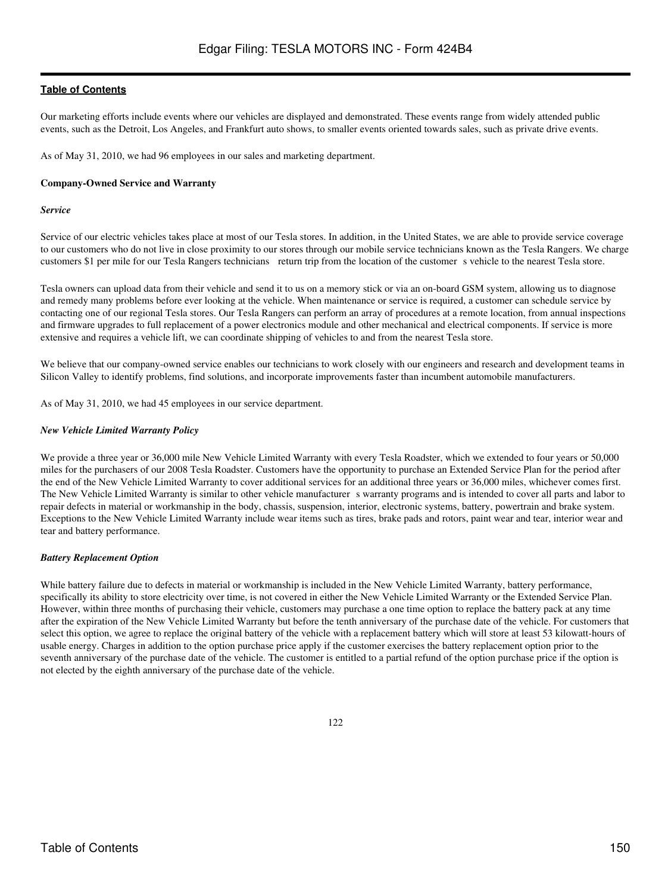Our marketing efforts include events where our vehicles are displayed and demonstrated. These events range from widely attended public events, such as the Detroit, Los Angeles, and Frankfurt auto shows, to smaller events oriented towards sales, such as private drive events.

As of May 31, 2010, we had 96 employees in our sales and marketing department.

### **Company-Owned Service and Warranty**

#### *Service*

Service of our electric vehicles takes place at most of our Tesla stores. In addition, in the United States, we are able to provide service coverage to our customers who do not live in close proximity to our stores through our mobile service technicians known as the Tesla Rangers. We charge customers \$1 per mile for our Tesla Rangers technicians return trip from the location of the customer s vehicle to the nearest Tesla store.

Tesla owners can upload data from their vehicle and send it to us on a memory stick or via an on-board GSM system, allowing us to diagnose and remedy many problems before ever looking at the vehicle. When maintenance or service is required, a customer can schedule service by contacting one of our regional Tesla stores. Our Tesla Rangers can perform an array of procedures at a remote location, from annual inspections and firmware upgrades to full replacement of a power electronics module and other mechanical and electrical components. If service is more extensive and requires a vehicle lift, we can coordinate shipping of vehicles to and from the nearest Tesla store.

We believe that our company-owned service enables our technicians to work closely with our engineers and research and development teams in Silicon Valley to identify problems, find solutions, and incorporate improvements faster than incumbent automobile manufacturers.

As of May 31, 2010, we had 45 employees in our service department.

#### *New Vehicle Limited Warranty Policy*

We provide a three year or 36,000 mile New Vehicle Limited Warranty with every Tesla Roadster, which we extended to four years or 50,000 miles for the purchasers of our 2008 Tesla Roadster. Customers have the opportunity to purchase an Extended Service Plan for the period after the end of the New Vehicle Limited Warranty to cover additional services for an additional three years or 36,000 miles, whichever comes first. The New Vehicle Limited Warranty is similar to other vehicle manufacturer s warranty programs and is intended to cover all parts and labor to repair defects in material or workmanship in the body, chassis, suspension, interior, electronic systems, battery, powertrain and brake system. Exceptions to the New Vehicle Limited Warranty include wear items such as tires, brake pads and rotors, paint wear and tear, interior wear and tear and battery performance.

## *Battery Replacement Option*

While battery failure due to defects in material or workmanship is included in the New Vehicle Limited Warranty, battery performance, specifically its ability to store electricity over time, is not covered in either the New Vehicle Limited Warranty or the Extended Service Plan. However, within three months of purchasing their vehicle, customers may purchase a one time option to replace the battery pack at any time after the expiration of the New Vehicle Limited Warranty but before the tenth anniversary of the purchase date of the vehicle. For customers that select this option, we agree to replace the original battery of the vehicle with a replacement battery which will store at least 53 kilowatt-hours of usable energy. Charges in addition to the option purchase price apply if the customer exercises the battery replacement option prior to the seventh anniversary of the purchase date of the vehicle. The customer is entitled to a partial refund of the option purchase price if the option is not elected by the eighth anniversary of the purchase date of the vehicle.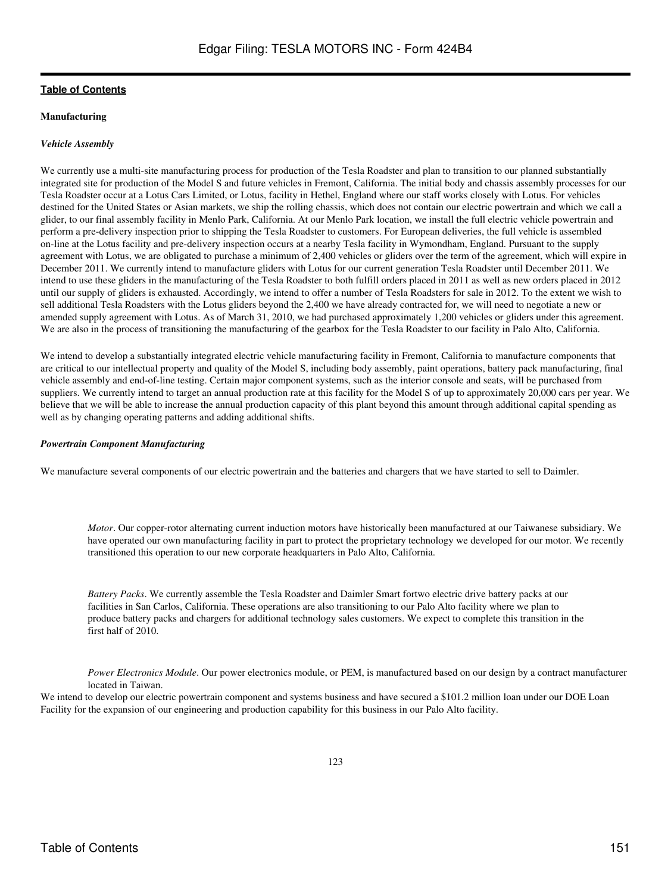### **Manufacturing**

### *Vehicle Assembly*

We currently use a multi-site manufacturing process for production of the Tesla Roadster and plan to transition to our planned substantially integrated site for production of the Model S and future vehicles in Fremont, California. The initial body and chassis assembly processes for our Tesla Roadster occur at a Lotus Cars Limited, or Lotus, facility in Hethel, England where our staff works closely with Lotus. For vehicles destined for the United States or Asian markets, we ship the rolling chassis, which does not contain our electric powertrain and which we call a glider, to our final assembly facility in Menlo Park, California. At our Menlo Park location, we install the full electric vehicle powertrain and perform a pre-delivery inspection prior to shipping the Tesla Roadster to customers. For European deliveries, the full vehicle is assembled on-line at the Lotus facility and pre-delivery inspection occurs at a nearby Tesla facility in Wymondham, England. Pursuant to the supply agreement with Lotus, we are obligated to purchase a minimum of 2,400 vehicles or gliders over the term of the agreement, which will expire in December 2011. We currently intend to manufacture gliders with Lotus for our current generation Tesla Roadster until December 2011. We intend to use these gliders in the manufacturing of the Tesla Roadster to both fulfill orders placed in 2011 as well as new orders placed in 2012 until our supply of gliders is exhausted. Accordingly, we intend to offer a number of Tesla Roadsters for sale in 2012. To the extent we wish to sell additional Tesla Roadsters with the Lotus gliders beyond the 2,400 we have already contracted for, we will need to negotiate a new or amended supply agreement with Lotus. As of March 31, 2010, we had purchased approximately 1,200 vehicles or gliders under this agreement. We are also in the process of transitioning the manufacturing of the gearbox for the Tesla Roadster to our facility in Palo Alto, California.

We intend to develop a substantially integrated electric vehicle manufacturing facility in Fremont, California to manufacture components that are critical to our intellectual property and quality of the Model S, including body assembly, paint operations, battery pack manufacturing, final vehicle assembly and end-of-line testing. Certain major component systems, such as the interior console and seats, will be purchased from suppliers. We currently intend to target an annual production rate at this facility for the Model S of up to approximately 20,000 cars per year. We believe that we will be able to increase the annual production capacity of this plant beyond this amount through additional capital spending as well as by changing operating patterns and adding additional shifts.

#### *Powertrain Component Manufacturing*

We manufacture several components of our electric powertrain and the batteries and chargers that we have started to sell to Daimler.

*Motor*. Our copper-rotor alternating current induction motors have historically been manufactured at our Taiwanese subsidiary. We have operated our own manufacturing facility in part to protect the proprietary technology we developed for our motor. We recently transitioned this operation to our new corporate headquarters in Palo Alto, California.

*Battery Packs*. We currently assemble the Tesla Roadster and Daimler Smart fortwo electric drive battery packs at our facilities in San Carlos, California. These operations are also transitioning to our Palo Alto facility where we plan to produce battery packs and chargers for additional technology sales customers. We expect to complete this transition in the first half of 2010.

*Power Electronics Module*. Our power electronics module, or PEM, is manufactured based on our design by a contract manufacturer located in Taiwan.

We intend to develop our electric powertrain component and systems business and have secured a \$101.2 million loan under our DOE Loan Facility for the expansion of our engineering and production capability for this business in our Palo Alto facility.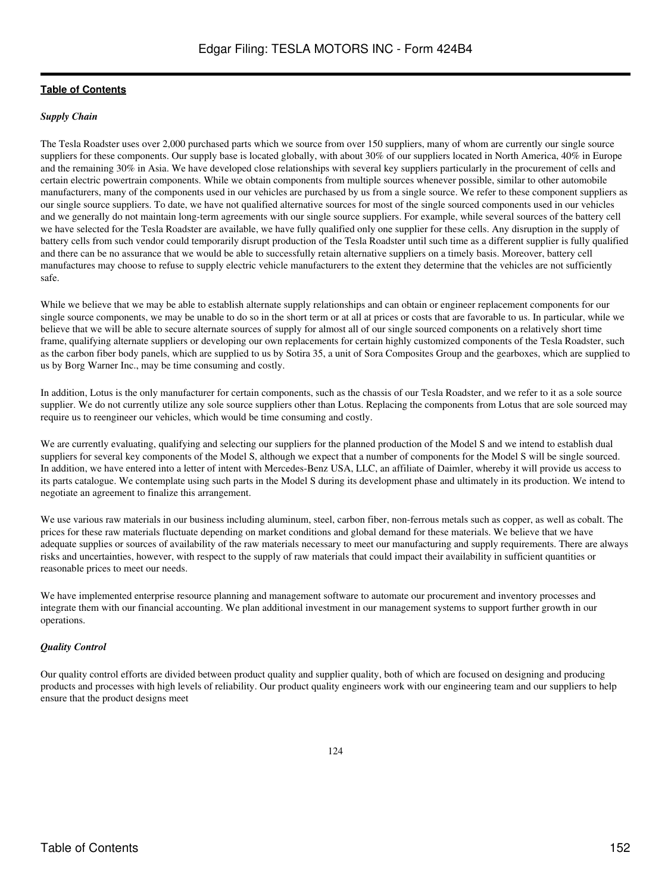### *Supply Chain*

The Tesla Roadster uses over 2,000 purchased parts which we source from over 150 suppliers, many of whom are currently our single source suppliers for these components. Our supply base is located globally, with about 30% of our suppliers located in North America, 40% in Europe and the remaining 30% in Asia. We have developed close relationships with several key suppliers particularly in the procurement of cells and certain electric powertrain components. While we obtain components from multiple sources whenever possible, similar to other automobile manufacturers, many of the components used in our vehicles are purchased by us from a single source. We refer to these component suppliers as our single source suppliers. To date, we have not qualified alternative sources for most of the single sourced components used in our vehicles and we generally do not maintain long-term agreements with our single source suppliers. For example, while several sources of the battery cell we have selected for the Tesla Roadster are available, we have fully qualified only one supplier for these cells. Any disruption in the supply of battery cells from such vendor could temporarily disrupt production of the Tesla Roadster until such time as a different supplier is fully qualified and there can be no assurance that we would be able to successfully retain alternative suppliers on a timely basis. Moreover, battery cell manufactures may choose to refuse to supply electric vehicle manufacturers to the extent they determine that the vehicles are not sufficiently safe.

While we believe that we may be able to establish alternate supply relationships and can obtain or engineer replacement components for our single source components, we may be unable to do so in the short term or at all at prices or costs that are favorable to us. In particular, while we believe that we will be able to secure alternate sources of supply for almost all of our single sourced components on a relatively short time frame, qualifying alternate suppliers or developing our own replacements for certain highly customized components of the Tesla Roadster, such as the carbon fiber body panels, which are supplied to us by Sotira 35, a unit of Sora Composites Group and the gearboxes, which are supplied to us by Borg Warner Inc., may be time consuming and costly.

In addition, Lotus is the only manufacturer for certain components, such as the chassis of our Tesla Roadster, and we refer to it as a sole source supplier. We do not currently utilize any sole source suppliers other than Lotus. Replacing the components from Lotus that are sole sourced may require us to reengineer our vehicles, which would be time consuming and costly.

We are currently evaluating, qualifying and selecting our suppliers for the planned production of the Model S and we intend to establish dual suppliers for several key components of the Model S, although we expect that a number of components for the Model S will be single sourced. In addition, we have entered into a letter of intent with Mercedes-Benz USA, LLC, an affiliate of Daimler, whereby it will provide us access to its parts catalogue. We contemplate using such parts in the Model S during its development phase and ultimately in its production. We intend to negotiate an agreement to finalize this arrangement.

We use various raw materials in our business including aluminum, steel, carbon fiber, non-ferrous metals such as copper, as well as cobalt. The prices for these raw materials fluctuate depending on market conditions and global demand for these materials. We believe that we have adequate supplies or sources of availability of the raw materials necessary to meet our manufacturing and supply requirements. There are always risks and uncertainties, however, with respect to the supply of raw materials that could impact their availability in sufficient quantities or reasonable prices to meet our needs.

We have implemented enterprise resource planning and management software to automate our procurement and inventory processes and integrate them with our financial accounting. We plan additional investment in our management systems to support further growth in our operations.

## *Quality Control*

Our quality control efforts are divided between product quality and supplier quality, both of which are focused on designing and producing products and processes with high levels of reliability. Our product quality engineers work with our engineering team and our suppliers to help ensure that the product designs meet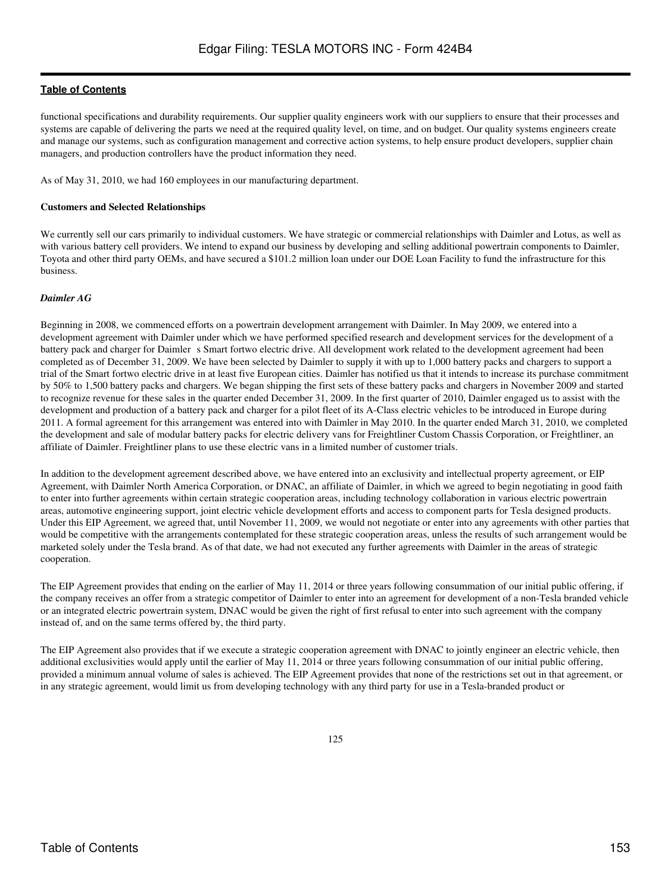functional specifications and durability requirements. Our supplier quality engineers work with our suppliers to ensure that their processes and systems are capable of delivering the parts we need at the required quality level, on time, and on budget. Our quality systems engineers create and manage our systems, such as configuration management and corrective action systems, to help ensure product developers, supplier chain managers, and production controllers have the product information they need.

As of May 31, 2010, we had 160 employees in our manufacturing department.

#### **Customers and Selected Relationships**

We currently sell our cars primarily to individual customers. We have strategic or commercial relationships with Daimler and Lotus, as well as with various battery cell providers. We intend to expand our business by developing and selling additional powertrain components to Daimler, Toyota and other third party OEMs, and have secured a \$101.2 million loan under our DOE Loan Facility to fund the infrastructure for this business.

## *Daimler AG*

Beginning in 2008, we commenced efforts on a powertrain development arrangement with Daimler. In May 2009, we entered into a development agreement with Daimler under which we have performed specified research and development services for the development of a battery pack and charger for Daimler s Smart fortwo electric drive. All development work related to the development agreement had been completed as of December 31, 2009. We have been selected by Daimler to supply it with up to 1,000 battery packs and chargers to support a trial of the Smart fortwo electric drive in at least five European cities. Daimler has notified us that it intends to increase its purchase commitment by 50% to 1,500 battery packs and chargers. We began shipping the first sets of these battery packs and chargers in November 2009 and started to recognize revenue for these sales in the quarter ended December 31, 2009. In the first quarter of 2010, Daimler engaged us to assist with the development and production of a battery pack and charger for a pilot fleet of its A-Class electric vehicles to be introduced in Europe during 2011. A formal agreement for this arrangement was entered into with Daimler in May 2010. In the quarter ended March 31, 2010, we completed the development and sale of modular battery packs for electric delivery vans for Freightliner Custom Chassis Corporation, or Freightliner, an affiliate of Daimler. Freightliner plans to use these electric vans in a limited number of customer trials.

In addition to the development agreement described above, we have entered into an exclusivity and intellectual property agreement, or EIP Agreement, with Daimler North America Corporation, or DNAC, an affiliate of Daimler, in which we agreed to begin negotiating in good faith to enter into further agreements within certain strategic cooperation areas, including technology collaboration in various electric powertrain areas, automotive engineering support, joint electric vehicle development efforts and access to component parts for Tesla designed products. Under this EIP Agreement, we agreed that, until November 11, 2009, we would not negotiate or enter into any agreements with other parties that would be competitive with the arrangements contemplated for these strategic cooperation areas, unless the results of such arrangement would be marketed solely under the Tesla brand. As of that date, we had not executed any further agreements with Daimler in the areas of strategic cooperation.

The EIP Agreement provides that ending on the earlier of May 11, 2014 or three years following consummation of our initial public offering, if the company receives an offer from a strategic competitor of Daimler to enter into an agreement for development of a non-Tesla branded vehicle or an integrated electric powertrain system, DNAC would be given the right of first refusal to enter into such agreement with the company instead of, and on the same terms offered by, the third party.

The EIP Agreement also provides that if we execute a strategic cooperation agreement with DNAC to jointly engineer an electric vehicle, then additional exclusivities would apply until the earlier of May 11, 2014 or three years following consummation of our initial public offering, provided a minimum annual volume of sales is achieved. The EIP Agreement provides that none of the restrictions set out in that agreement, or in any strategic agreement, would limit us from developing technology with any third party for use in a Tesla-branded product or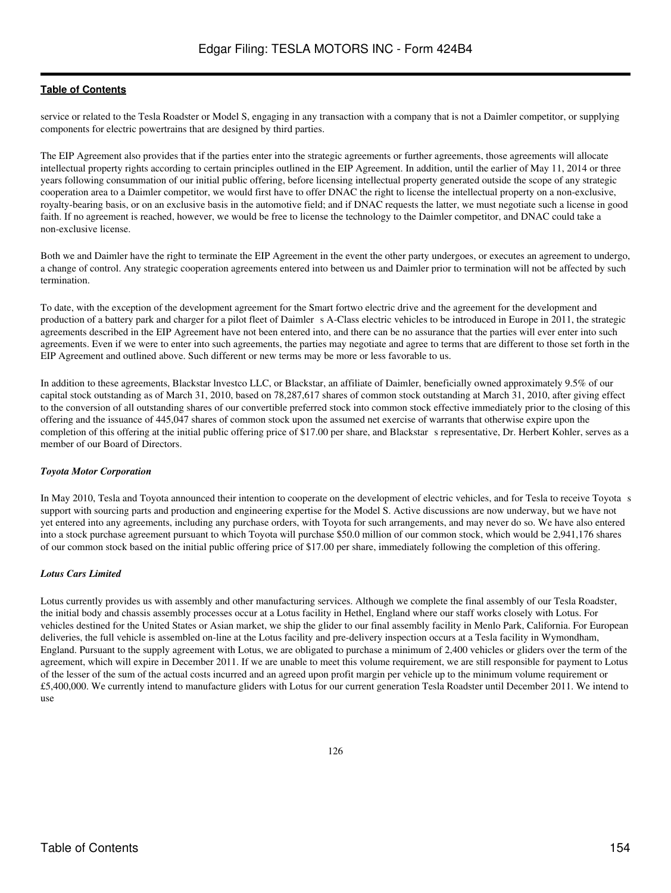service or related to the Tesla Roadster or Model S, engaging in any transaction with a company that is not a Daimler competitor, or supplying components for electric powertrains that are designed by third parties.

The EIP Agreement also provides that if the parties enter into the strategic agreements or further agreements, those agreements will allocate intellectual property rights according to certain principles outlined in the EIP Agreement. In addition, until the earlier of May 11, 2014 or three years following consummation of our initial public offering, before licensing intellectual property generated outside the scope of any strategic cooperation area to a Daimler competitor, we would first have to offer DNAC the right to license the intellectual property on a non-exclusive, royalty-bearing basis, or on an exclusive basis in the automotive field; and if DNAC requests the latter, we must negotiate such a license in good faith. If no agreement is reached, however, we would be free to license the technology to the Daimler competitor, and DNAC could take a non-exclusive license.

Both we and Daimler have the right to terminate the EIP Agreement in the event the other party undergoes, or executes an agreement to undergo, a change of control. Any strategic cooperation agreements entered into between us and Daimler prior to termination will not be affected by such termination.

To date, with the exception of the development agreement for the Smart fortwo electric drive and the agreement for the development and production of a battery park and charger for a pilot fleet of Daimler s A-Class electric vehicles to be introduced in Europe in 2011, the strategic agreements described in the EIP Agreement have not been entered into, and there can be no assurance that the parties will ever enter into such agreements. Even if we were to enter into such agreements, the parties may negotiate and agree to terms that are different to those set forth in the EIP Agreement and outlined above. Such different or new terms may be more or less favorable to us.

In addition to these agreements, Blackstar lnvestco LLC, or Blackstar, an affiliate of Daimler, beneficially owned approximately 9.5% of our capital stock outstanding as of March 31, 2010, based on 78,287,617 shares of common stock outstanding at March 31, 2010, after giving effect to the conversion of all outstanding shares of our convertible preferred stock into common stock effective immediately prior to the closing of this offering and the issuance of 445,047 shares of common stock upon the assumed net exercise of warrants that otherwise expire upon the completion of this offering at the initial public offering price of \$17.00 per share, and Blackstar s representative, Dr. Herbert Kohler, serves as a member of our Board of Directors.

## *Toyota Motor Corporation*

In May 2010, Tesla and Toyota announced their intention to cooperate on the development of electric vehicles, and for Tesla to receive Toyota s support with sourcing parts and production and engineering expertise for the Model S. Active discussions are now underway, but we have not yet entered into any agreements, including any purchase orders, with Toyota for such arrangements, and may never do so. We have also entered into a stock purchase agreement pursuant to which Toyota will purchase \$50.0 million of our common stock, which would be 2,941,176 shares of our common stock based on the initial public offering price of \$17.00 per share, immediately following the completion of this offering.

## *Lotus Cars Limited*

Lotus currently provides us with assembly and other manufacturing services. Although we complete the final assembly of our Tesla Roadster, the initial body and chassis assembly processes occur at a Lotus facility in Hethel, England where our staff works closely with Lotus. For vehicles destined for the United States or Asian market, we ship the glider to our final assembly facility in Menlo Park, California. For European deliveries, the full vehicle is assembled on-line at the Lotus facility and pre-delivery inspection occurs at a Tesla facility in Wymondham, England. Pursuant to the supply agreement with Lotus, we are obligated to purchase a minimum of 2,400 vehicles or gliders over the term of the agreement, which will expire in December 2011. If we are unable to meet this volume requirement, we are still responsible for payment to Lotus of the lesser of the sum of the actual costs incurred and an agreed upon profit margin per vehicle up to the minimum volume requirement or £5,400,000. We currently intend to manufacture gliders with Lotus for our current generation Tesla Roadster until December 2011. We intend to use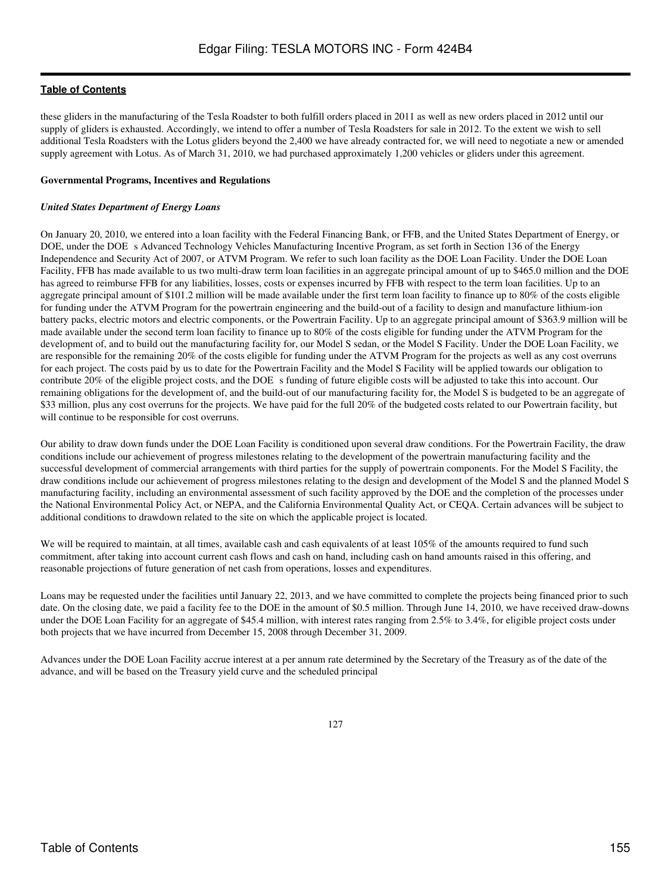these gliders in the manufacturing of the Tesla Roadster to both fulfill orders placed in 2011 as well as new orders placed in 2012 until our supply of gliders is exhausted. Accordingly, we intend to offer a number of Tesla Roadsters for sale in 2012. To the extent we wish to sell additional Tesla Roadsters with the Lotus gliders beyond the 2,400 we have already contracted for, we will need to negotiate a new or amended supply agreement with Lotus. As of March 31, 2010, we had purchased approximately 1,200 vehicles or gliders under this agreement.

#### **Governmental Programs, Incentives and Regulations**

#### *United States Department of Energy Loans*

On January 20, 2010, we entered into a loan facility with the Federal Financing Bank, or FFB, and the United States Department of Energy, or DOE, under the DOE s Advanced Technology Vehicles Manufacturing Incentive Program, as set forth in Section 136 of the Energy Independence and Security Act of 2007, or ATVM Program. We refer to such loan facility as the DOE Loan Facility. Under the DOE Loan Facility, FFB has made available to us two multi-draw term loan facilities in an aggregate principal amount of up to \$465.0 million and the DOE has agreed to reimburse FFB for any liabilities, losses, costs or expenses incurred by FFB with respect to the term loan facilities. Up to an aggregate principal amount of \$101.2 million will be made available under the first term loan facility to finance up to 80% of the costs eligible for funding under the ATVM Program for the powertrain engineering and the build-out of a facility to design and manufacture lithium-ion battery packs, electric motors and electric components, or the Powertrain Facility. Up to an aggregate principal amount of \$363.9 million will be made available under the second term loan facility to finance up to 80% of the costs eligible for funding under the ATVM Program for the development of, and to build out the manufacturing facility for, our Model S sedan, or the Model S Facility. Under the DOE Loan Facility, we are responsible for the remaining 20% of the costs eligible for funding under the ATVM Program for the projects as well as any cost overruns for each project. The costs paid by us to date for the Powertrain Facility and the Model S Facility will be applied towards our obligation to contribute 20% of the eligible project costs, and the DOE s funding of future eligible costs will be adjusted to take this into account. Our remaining obligations for the development of, and the build-out of our manufacturing facility for, the Model S is budgeted to be an aggregate of \$33 million, plus any cost overruns for the projects. We have paid for the full 20% of the budgeted costs related to our Powertrain facility, but will continue to be responsible for cost overruns.

Our ability to draw down funds under the DOE Loan Facility is conditioned upon several draw conditions. For the Powertrain Facility, the draw conditions include our achievement of progress milestones relating to the development of the powertrain manufacturing facility and the successful development of commercial arrangements with third parties for the supply of powertrain components. For the Model S Facility, the draw conditions include our achievement of progress milestones relating to the design and development of the Model S and the planned Model S manufacturing facility, including an environmental assessment of such facility approved by the DOE and the completion of the processes under the National Environmental Policy Act, or NEPA, and the California Environmental Quality Act, or CEQA. Certain advances will be subject to additional conditions to drawdown related to the site on which the applicable project is located.

We will be required to maintain, at all times, available cash and cash equivalents of at least 105% of the amounts required to fund such commitment, after taking into account current cash flows and cash on hand, including cash on hand amounts raised in this offering, and reasonable projections of future generation of net cash from operations, losses and expenditures.

Loans may be requested under the facilities until January 22, 2013, and we have committed to complete the projects being financed prior to such date. On the closing date, we paid a facility fee to the DOE in the amount of \$0.5 million. Through June 14, 2010, we have received draw-downs under the DOE Loan Facility for an aggregate of \$45.4 million, with interest rates ranging from 2.5% to 3.4%, for eligible project costs under both projects that we have incurred from December 15, 2008 through December 31, 2009.

Advances under the DOE Loan Facility accrue interest at a per annum rate determined by the Secretary of the Treasury as of the date of the advance, and will be based on the Treasury yield curve and the scheduled principal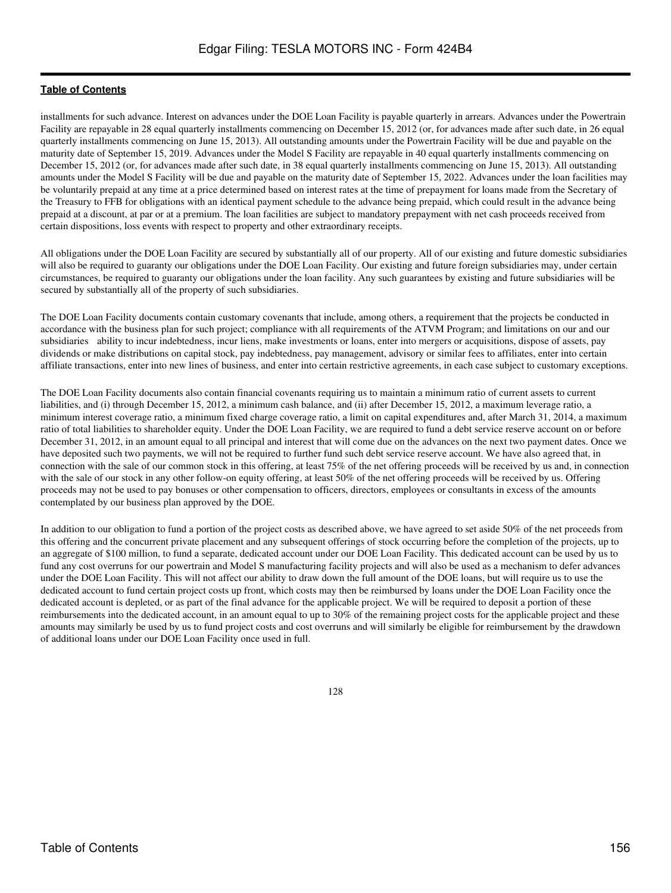installments for such advance. Interest on advances under the DOE Loan Facility is payable quarterly in arrears. Advances under the Powertrain Facility are repayable in 28 equal quarterly installments commencing on December 15, 2012 (or, for advances made after such date, in 26 equal quarterly installments commencing on June 15, 2013). All outstanding amounts under the Powertrain Facility will be due and payable on the maturity date of September 15, 2019. Advances under the Model S Facility are repayable in 40 equal quarterly installments commencing on December 15, 2012 (or, for advances made after such date, in 38 equal quarterly installments commencing on June 15, 2013). All outstanding amounts under the Model S Facility will be due and payable on the maturity date of September 15, 2022. Advances under the loan facilities may be voluntarily prepaid at any time at a price determined based on interest rates at the time of prepayment for loans made from the Secretary of the Treasury to FFB for obligations with an identical payment schedule to the advance being prepaid, which could result in the advance being prepaid at a discount, at par or at a premium. The loan facilities are subject to mandatory prepayment with net cash proceeds received from certain dispositions, loss events with respect to property and other extraordinary receipts.

All obligations under the DOE Loan Facility are secured by substantially all of our property. All of our existing and future domestic subsidiaries will also be required to guaranty our obligations under the DOE Loan Facility. Our existing and future foreign subsidiaries may, under certain circumstances, be required to guaranty our obligations under the loan facility. Any such guarantees by existing and future subsidiaries will be secured by substantially all of the property of such subsidiaries.

The DOE Loan Facility documents contain customary covenants that include, among others, a requirement that the projects be conducted in accordance with the business plan for such project; compliance with all requirements of the ATVM Program; and limitations on our and our subsidiaries ability to incur indebtedness, incur liens, make investments or loans, enter into mergers or acquisitions, dispose of assets, pay dividends or make distributions on capital stock, pay indebtedness, pay management, advisory or similar fees to affiliates, enter into certain affiliate transactions, enter into new lines of business, and enter into certain restrictive agreements, in each case subject to customary exceptions.

The DOE Loan Facility documents also contain financial covenants requiring us to maintain a minimum ratio of current assets to current liabilities, and (i) through December 15, 2012, a minimum cash balance, and (ii) after December 15, 2012, a maximum leverage ratio, a minimum interest coverage ratio, a minimum fixed charge coverage ratio, a limit on capital expenditures and, after March 31, 2014, a maximum ratio of total liabilities to shareholder equity. Under the DOE Loan Facility, we are required to fund a debt service reserve account on or before December 31, 2012, in an amount equal to all principal and interest that will come due on the advances on the next two payment dates. Once we have deposited such two payments, we will not be required to further fund such debt service reserve account. We have also agreed that, in connection with the sale of our common stock in this offering, at least 75% of the net offering proceeds will be received by us and, in connection with the sale of our stock in any other follow-on equity offering, at least 50% of the net offering proceeds will be received by us. Offering proceeds may not be used to pay bonuses or other compensation to officers, directors, employees or consultants in excess of the amounts contemplated by our business plan approved by the DOE.

In addition to our obligation to fund a portion of the project costs as described above, we have agreed to set aside 50% of the net proceeds from this offering and the concurrent private placement and any subsequent offerings of stock occurring before the completion of the projects, up to an aggregate of \$100 million, to fund a separate, dedicated account under our DOE Loan Facility. This dedicated account can be used by us to fund any cost overruns for our powertrain and Model S manufacturing facility projects and will also be used as a mechanism to defer advances under the DOE Loan Facility. This will not affect our ability to draw down the full amount of the DOE loans, but will require us to use the dedicated account to fund certain project costs up front, which costs may then be reimbursed by loans under the DOE Loan Facility once the dedicated account is depleted, or as part of the final advance for the applicable project. We will be required to deposit a portion of these reimbursements into the dedicated account, in an amount equal to up to 30% of the remaining project costs for the applicable project and these amounts may similarly be used by us to fund project costs and cost overruns and will similarly be eligible for reimbursement by the drawdown of additional loans under our DOE Loan Facility once used in full.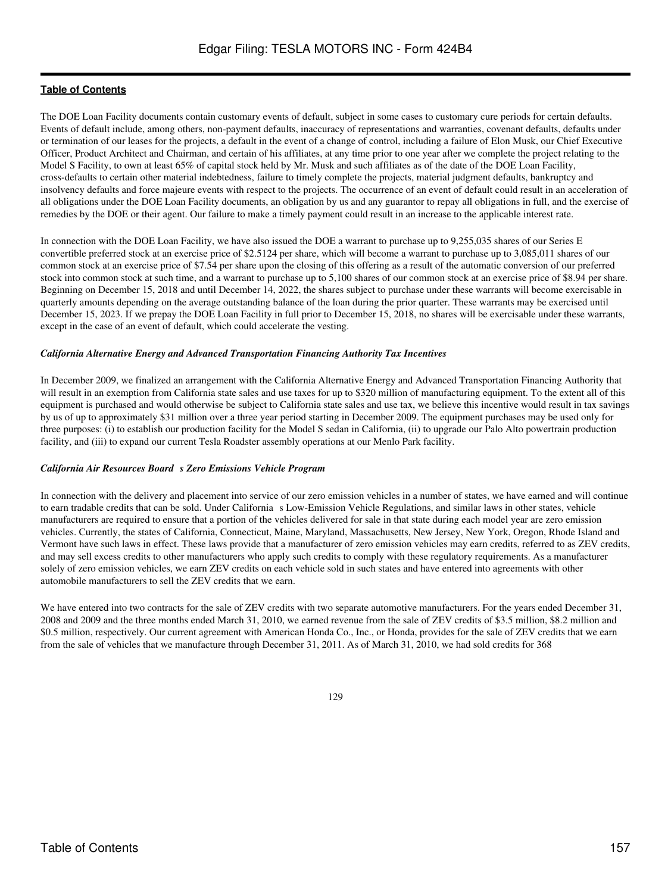The DOE Loan Facility documents contain customary events of default, subject in some cases to customary cure periods for certain defaults. Events of default include, among others, non-payment defaults, inaccuracy of representations and warranties, covenant defaults, defaults under or termination of our leases for the projects, a default in the event of a change of control, including a failure of Elon Musk, our Chief Executive Officer, Product Architect and Chairman, and certain of his affiliates, at any time prior to one year after we complete the project relating to the Model S Facility, to own at least 65% of capital stock held by Mr. Musk and such affiliates as of the date of the DOE Loan Facility, cross-defaults to certain other material indebtedness, failure to timely complete the projects, material judgment defaults, bankruptcy and insolvency defaults and force majeure events with respect to the projects. The occurrence of an event of default could result in an acceleration of all obligations under the DOE Loan Facility documents, an obligation by us and any guarantor to repay all obligations in full, and the exercise of remedies by the DOE or their agent. Our failure to make a timely payment could result in an increase to the applicable interest rate.

In connection with the DOE Loan Facility, we have also issued the DOE a warrant to purchase up to 9,255,035 shares of our Series E convertible preferred stock at an exercise price of \$2.5124 per share, which will become a warrant to purchase up to 3,085,011 shares of our common stock at an exercise price of \$7.54 per share upon the closing of this offering as a result of the automatic conversion of our preferred stock into common stock at such time, and a warrant to purchase up to 5,100 shares of our common stock at an exercise price of \$8.94 per share. Beginning on December 15, 2018 and until December 14, 2022, the shares subject to purchase under these warrants will become exercisable in quarterly amounts depending on the average outstanding balance of the loan during the prior quarter. These warrants may be exercised until December 15, 2023. If we prepay the DOE Loan Facility in full prior to December 15, 2018, no shares will be exercisable under these warrants, except in the case of an event of default, which could accelerate the vesting.

#### *California Alternative Energy and Advanced Transportation Financing Authority Tax Incentives*

In December 2009, we finalized an arrangement with the California Alternative Energy and Advanced Transportation Financing Authority that will result in an exemption from California state sales and use taxes for up to \$320 million of manufacturing equipment. To the extent all of this equipment is purchased and would otherwise be subject to California state sales and use tax, we believe this incentive would result in tax savings by us of up to approximately \$31 million over a three year period starting in December 2009. The equipment purchases may be used only for three purposes: (i) to establish our production facility for the Model S sedan in California, (ii) to upgrade our Palo Alto powertrain production facility, and (iii) to expand our current Tesla Roadster assembly operations at our Menlo Park facility.

#### *California Air Resources Boards Zero Emissions Vehicle Program*

In connection with the delivery and placement into service of our zero emission vehicles in a number of states, we have earned and will continue to earn tradable credits that can be sold. Under California s Low-Emission Vehicle Regulations, and similar laws in other states, vehicle manufacturers are required to ensure that a portion of the vehicles delivered for sale in that state during each model year are zero emission vehicles. Currently, the states of California, Connecticut, Maine, Maryland, Massachusetts, New Jersey, New York, Oregon, Rhode Island and Vermont have such laws in effect. These laws provide that a manufacturer of zero emission vehicles may earn credits, referred to as ZEV credits, and may sell excess credits to other manufacturers who apply such credits to comply with these regulatory requirements. As a manufacturer solely of zero emission vehicles, we earn ZEV credits on each vehicle sold in such states and have entered into agreements with other automobile manufacturers to sell the ZEV credits that we earn.

We have entered into two contracts for the sale of ZEV credits with two separate automotive manufacturers. For the years ended December 31, 2008 and 2009 and the three months ended March 31, 2010, we earned revenue from the sale of ZEV credits of \$3.5 million, \$8.2 million and \$0.5 million, respectively. Our current agreement with American Honda Co., Inc., or Honda, provides for the sale of ZEV credits that we earn from the sale of vehicles that we manufacture through December 31, 2011. As of March 31, 2010, we had sold credits for 368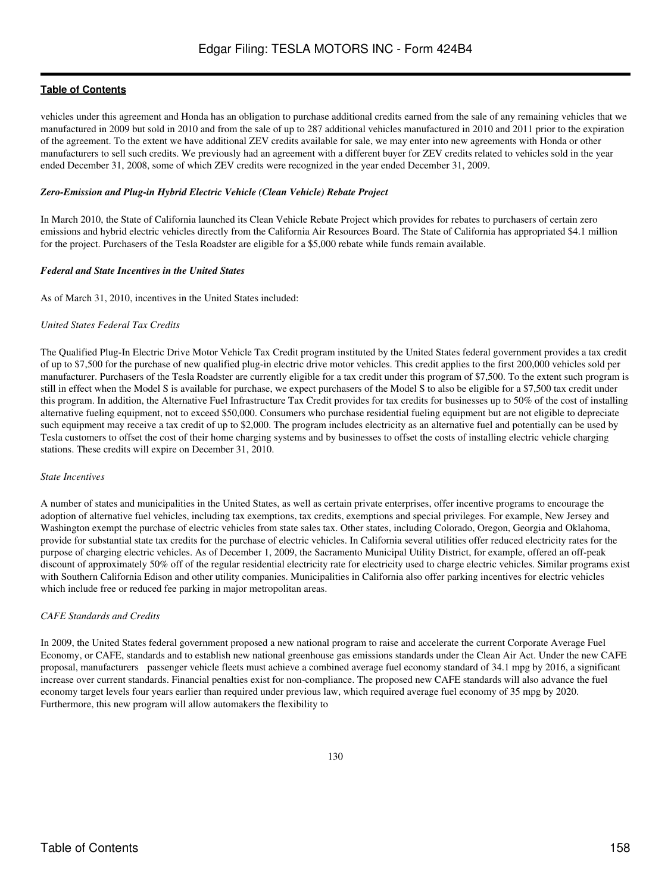vehicles under this agreement and Honda has an obligation to purchase additional credits earned from the sale of any remaining vehicles that we manufactured in 2009 but sold in 2010 and from the sale of up to 287 additional vehicles manufactured in 2010 and 2011 prior to the expiration of the agreement. To the extent we have additional ZEV credits available for sale, we may enter into new agreements with Honda or other manufacturers to sell such credits. We previously had an agreement with a different buyer for ZEV credits related to vehicles sold in the year ended December 31, 2008, some of which ZEV credits were recognized in the year ended December 31, 2009.

### *Zero-Emission and Plug-in Hybrid Electric Vehicle (Clean Vehicle) Rebate Project*

In March 2010, the State of California launched its Clean Vehicle Rebate Project which provides for rebates to purchasers of certain zero emissions and hybrid electric vehicles directly from the California Air Resources Board. The State of California has appropriated \$4.1 million for the project. Purchasers of the Tesla Roadster are eligible for a \$5,000 rebate while funds remain available.

#### *Federal and State Incentives in the United States*

As of March 31, 2010, incentives in the United States included:

#### *United States Federal Tax Credits*

The Qualified Plug-In Electric Drive Motor Vehicle Tax Credit program instituted by the United States federal government provides a tax credit of up to \$7,500 for the purchase of new qualified plug-in electric drive motor vehicles. This credit applies to the first 200,000 vehicles sold per manufacturer. Purchasers of the Tesla Roadster are currently eligible for a tax credit under this program of \$7,500. To the extent such program is still in effect when the Model S is available for purchase, we expect purchasers of the Model S to also be eligible for a \$7,500 tax credit under this program. In addition, the Alternative Fuel Infrastructure Tax Credit provides for tax credits for businesses up to 50% of the cost of installing alternative fueling equipment, not to exceed \$50,000. Consumers who purchase residential fueling equipment but are not eligible to depreciate such equipment may receive a tax credit of up to \$2,000. The program includes electricity as an alternative fuel and potentially can be used by Tesla customers to offset the cost of their home charging systems and by businesses to offset the costs of installing electric vehicle charging stations. These credits will expire on December 31, 2010.

#### *State Incentives*

A number of states and municipalities in the United States, as well as certain private enterprises, offer incentive programs to encourage the adoption of alternative fuel vehicles, including tax exemptions, tax credits, exemptions and special privileges. For example, New Jersey and Washington exempt the purchase of electric vehicles from state sales tax. Other states, including Colorado, Oregon, Georgia and Oklahoma, provide for substantial state tax credits for the purchase of electric vehicles. In California several utilities offer reduced electricity rates for the purpose of charging electric vehicles. As of December 1, 2009, the Sacramento Municipal Utility District, for example, offered an off-peak discount of approximately 50% off of the regular residential electricity rate for electricity used to charge electric vehicles. Similar programs exist with Southern California Edison and other utility companies. Municipalities in California also offer parking incentives for electric vehicles which include free or reduced fee parking in major metropolitan areas.

## *CAFE Standards and Credits*

In 2009, the United States federal government proposed a new national program to raise and accelerate the current Corporate Average Fuel Economy, or CAFE, standards and to establish new national greenhouse gas emissions standards under the Clean Air Act. Under the new CAFE proposal, manufacturers passenger vehicle fleets must achieve a combined average fuel economy standard of 34.1 mpg by 2016, a significant increase over current standards. Financial penalties exist for non-compliance. The proposed new CAFE standards will also advance the fuel economy target levels four years earlier than required under previous law, which required average fuel economy of 35 mpg by 2020. Furthermore, this new program will allow automakers the flexibility to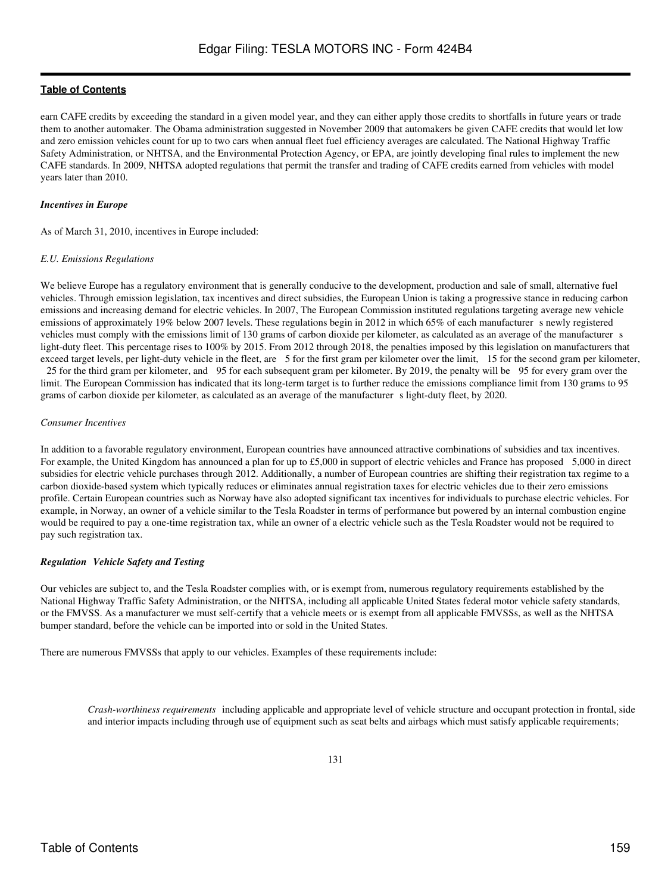earn CAFE credits by exceeding the standard in a given model year, and they can either apply those credits to shortfalls in future years or trade them to another automaker. The Obama administration suggested in November 2009 that automakers be given CAFE credits that would let low and zero emission vehicles count for up to two cars when annual fleet fuel efficiency averages are calculated. The National Highway Traffic Safety Administration, or NHTSA, and the Environmental Protection Agency, or EPA, are jointly developing final rules to implement the new CAFE standards. In 2009, NHTSA adopted regulations that permit the transfer and trading of CAFE credits earned from vehicles with model years later than 2010.

### *Incentives in Europe*

As of March 31, 2010, incentives in Europe included:

#### *E.U. Emissions Regulations*

We believe Europe has a regulatory environment that is generally conducive to the development, production and sale of small, alternative fuel vehicles. Through emission legislation, tax incentives and direct subsidies, the European Union is taking a progressive stance in reducing carbon emissions and increasing demand for electric vehicles. In 2007, The European Commission instituted regulations targeting average new vehicle emissions of approximately 19% below 2007 levels. These regulations begin in 2012 in which 65% of each manufacturer snewly registered vehicles must comply with the emissions limit of 130 grams of carbon dioxide per kilometer, as calculated as an average of the manufacturer s light-duty fleet. This percentage rises to 100% by 2015. From 2012 through 2018, the penalties imposed by this legislation on manufacturers that exceed target levels, per light-duty vehicle in the fleet, are 5 for the first gram per kilometer over the limit, 15 for the second gram per kilometer, 25 for the third gram per kilometer, and 95 for each subsequent gram per kilometer. By 2019, the penalty will be 95 for every gram over the limit. The European Commission has indicated that its long-term target is to further reduce the emissions compliance limit from 130 grams to 95 grams of carbon dioxide per kilometer, as calculated as an average of the manufacturer slight-duty fleet, by 2020.

#### *Consumer Incentives*

In addition to a favorable regulatory environment, European countries have announced attractive combinations of subsidies and tax incentives. For example, the United Kingdom has announced a plan for up to £5,000 in support of electric vehicles and France has proposed 5,000 in direct subsidies for electric vehicle purchases through 2012. Additionally, a number of European countries are shifting their registration tax regime to a carbon dioxide-based system which typically reduces or eliminates annual registration taxes for electric vehicles due to their zero emissions profile. Certain European countries such as Norway have also adopted significant tax incentives for individuals to purchase electric vehicles. For example, in Norway, an owner of a vehicle similar to the Tesla Roadster in terms of performance but powered by an internal combustion engine would be required to pay a one-time registration tax, while an owner of a electric vehicle such as the Tesla Roadster would not be required to pay such registration tax.

## *RegulationVehicle Safety and Testing*

Our vehicles are subject to, and the Tesla Roadster complies with, or is exempt from, numerous regulatory requirements established by the National Highway Traffic Safety Administration, or the NHTSA, including all applicable United States federal motor vehicle safety standards, or the FMVSS. As a manufacturer we must self-certify that a vehicle meets or is exempt from all applicable FMVSSs, as well as the NHTSA bumper standard, before the vehicle can be imported into or sold in the United States.

There are numerous FMVSSs that apply to our vehicles. Examples of these requirements include:

*Crash-worthiness requirements*including applicable and appropriate level of vehicle structure and occupant protection in frontal, side and interior impacts including through use of equipment such as seat belts and airbags which must satisfy applicable requirements;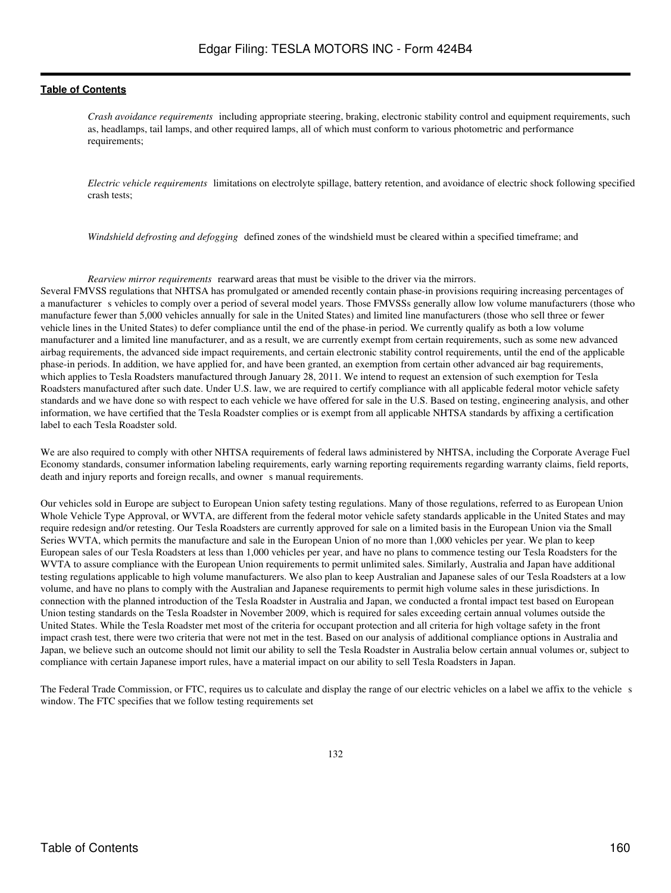*Crash avoidance requirements*including appropriate steering, braking, electronic stability control and equipment requirements, such as, headlamps, tail lamps, and other required lamps, all of which must conform to various photometric and performance requirements;

*Electric vehicle requirements* limitations on electrolyte spillage, battery retention, and avoidance of electric shock following specified crash tests;

*Windshield defrosting and defogging* defined zones of the windshield must be cleared within a specified timeframe; and

*Rearview mirror requirements* rearward areas that must be visible to the driver via the mirrors. Several FMVSS regulations that NHTSA has promulgated or amended recently contain phase-in provisions requiring increasing percentages of a manufacturer s vehicles to comply over a period of several model years. Those FMVSSs generally allow low volume manufacturers (those who manufacture fewer than 5,000 vehicles annually for sale in the United States) and limited line manufacturers (those who sell three or fewer vehicle lines in the United States) to defer compliance until the end of the phase-in period. We currently qualify as both a low volume manufacturer and a limited line manufacturer, and as a result, we are currently exempt from certain requirements, such as some new advanced airbag requirements, the advanced side impact requirements, and certain electronic stability control requirements, until the end of the applicable phase-in periods. In addition, we have applied for, and have been granted, an exemption from certain other advanced air bag requirements, which applies to Tesla Roadsters manufactured through January 28, 2011. We intend to request an extension of such exemption for Tesla Roadsters manufactured after such date. Under U.S. law, we are required to certify compliance with all applicable federal motor vehicle safety standards and we have done so with respect to each vehicle we have offered for sale in the U.S. Based on testing, engineering analysis, and other information, we have certified that the Tesla Roadster complies or is exempt from all applicable NHTSA standards by affixing a certification label to each Tesla Roadster sold.

We are also required to comply with other NHTSA requirements of federal laws administered by NHTSA, including the Corporate Average Fuel Economy standards, consumer information labeling requirements, early warning reporting requirements regarding warranty claims, field reports, death and injury reports and foreign recalls, and owner s manual requirements.

Our vehicles sold in Europe are subject to European Union safety testing regulations. Many of those regulations, referred to as European Union Whole Vehicle Type Approval, or WVTA, are different from the federal motor vehicle safety standards applicable in the United States and may require redesign and/or retesting. Our Tesla Roadsters are currently approved for sale on a limited basis in the European Union via the Small Series WVTA, which permits the manufacture and sale in the European Union of no more than 1,000 vehicles per year. We plan to keep European sales of our Tesla Roadsters at less than 1,000 vehicles per year, and have no plans to commence testing our Tesla Roadsters for the WVTA to assure compliance with the European Union requirements to permit unlimited sales. Similarly, Australia and Japan have additional testing regulations applicable to high volume manufacturers. We also plan to keep Australian and Japanese sales of our Tesla Roadsters at a low volume, and have no plans to comply with the Australian and Japanese requirements to permit high volume sales in these jurisdictions. In connection with the planned introduction of the Tesla Roadster in Australia and Japan, we conducted a frontal impact test based on European Union testing standards on the Tesla Roadster in November 2009, which is required for sales exceeding certain annual volumes outside the United States. While the Tesla Roadster met most of the criteria for occupant protection and all criteria for high voltage safety in the front impact crash test, there were two criteria that were not met in the test. Based on our analysis of additional compliance options in Australia and Japan, we believe such an outcome should not limit our ability to sell the Tesla Roadster in Australia below certain annual volumes or, subject to compliance with certain Japanese import rules, have a material impact on our ability to sell Tesla Roadsters in Japan.

The Federal Trade Commission, or FTC, requires us to calculate and display the range of our electric vehicles on a label we affix to the vehicles window. The FTC specifies that we follow testing requirements set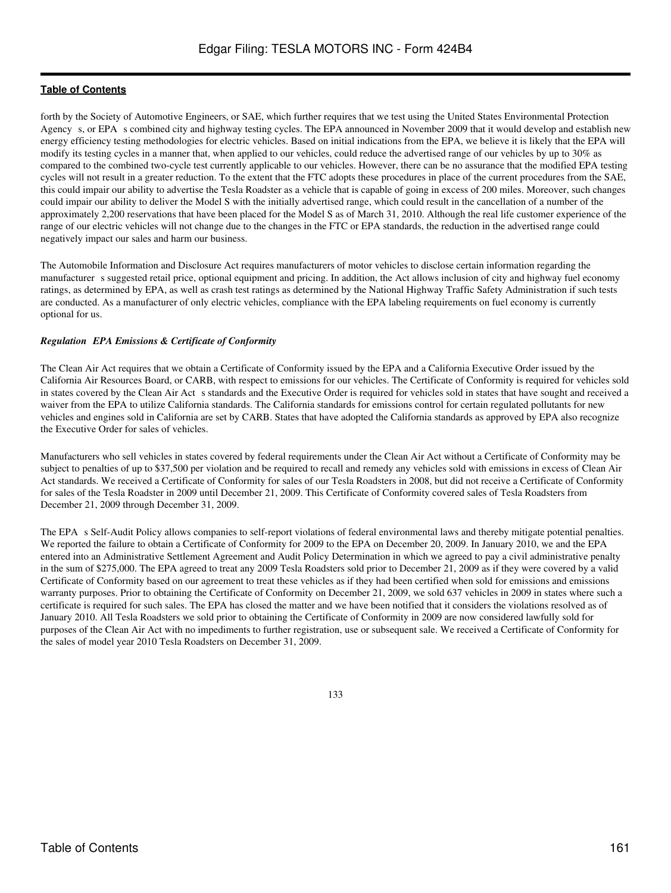forth by the Society of Automotive Engineers, or SAE, which further requires that we test using the United States Environmental Protection Agency s, or EPA s combined city and highway testing cycles. The EPA announced in November 2009 that it would develop and establish new energy efficiency testing methodologies for electric vehicles. Based on initial indications from the EPA, we believe it is likely that the EPA will modify its testing cycles in a manner that, when applied to our vehicles, could reduce the advertised range of our vehicles by up to 30% as compared to the combined two-cycle test currently applicable to our vehicles. However, there can be no assurance that the modified EPA testing cycles will not result in a greater reduction. To the extent that the FTC adopts these procedures in place of the current procedures from the SAE, this could impair our ability to advertise the Tesla Roadster as a vehicle that is capable of going in excess of 200 miles. Moreover, such changes could impair our ability to deliver the Model S with the initially advertised range, which could result in the cancellation of a number of the approximately 2,200 reservations that have been placed for the Model S as of March 31, 2010. Although the real life customer experience of the range of our electric vehicles will not change due to the changes in the FTC or EPA standards, the reduction in the advertised range could negatively impact our sales and harm our business.

The Automobile Information and Disclosure Act requires manufacturers of motor vehicles to disclose certain information regarding the manufacturer s suggested retail price, optional equipment and pricing. In addition, the Act allows inclusion of city and highway fuel economy ratings, as determined by EPA, as well as crash test ratings as determined by the National Highway Traffic Safety Administration if such tests are conducted. As a manufacturer of only electric vehicles, compliance with the EPA labeling requirements on fuel economy is currently optional for us.

## *RegulationEPA Emissions & Certificate of Conformity*

The Clean Air Act requires that we obtain a Certificate of Conformity issued by the EPA and a California Executive Order issued by the California Air Resources Board, or CARB, with respect to emissions for our vehicles. The Certificate of Conformity is required for vehicles sold in states covered by the Clean Air Act s standards and the Executive Order is required for vehicles sold in states that have sought and received a waiver from the EPA to utilize California standards. The California standards for emissions control for certain regulated pollutants for new vehicles and engines sold in California are set by CARB. States that have adopted the California standards as approved by EPA also recognize the Executive Order for sales of vehicles.

Manufacturers who sell vehicles in states covered by federal requirements under the Clean Air Act without a Certificate of Conformity may be subject to penalties of up to \$37,500 per violation and be required to recall and remedy any vehicles sold with emissions in excess of Clean Air Act standards. We received a Certificate of Conformity for sales of our Tesla Roadsters in 2008, but did not receive a Certificate of Conformity for sales of the Tesla Roadster in 2009 until December 21, 2009. This Certificate of Conformity covered sales of Tesla Roadsters from December 21, 2009 through December 31, 2009.

The EPA s Self-Audit Policy allows companies to self-report violations of federal environmental laws and thereby mitigate potential penalties. We reported the failure to obtain a Certificate of Conformity for 2009 to the EPA on December 20, 2009. In January 2010, we and the EPA entered into an Administrative Settlement Agreement and Audit Policy Determination in which we agreed to pay a civil administrative penalty in the sum of \$275,000. The EPA agreed to treat any 2009 Tesla Roadsters sold prior to December 21, 2009 as if they were covered by a valid Certificate of Conformity based on our agreement to treat these vehicles as if they had been certified when sold for emissions and emissions warranty purposes. Prior to obtaining the Certificate of Conformity on December 21, 2009, we sold 637 vehicles in 2009 in states where such a certificate is required for such sales. The EPA has closed the matter and we have been notified that it considers the violations resolved as of January 2010. All Tesla Roadsters we sold prior to obtaining the Certificate of Conformity in 2009 are now considered lawfully sold for purposes of the Clean Air Act with no impediments to further registration, use or subsequent sale. We received a Certificate of Conformity for the sales of model year 2010 Tesla Roadsters on December 31, 2009.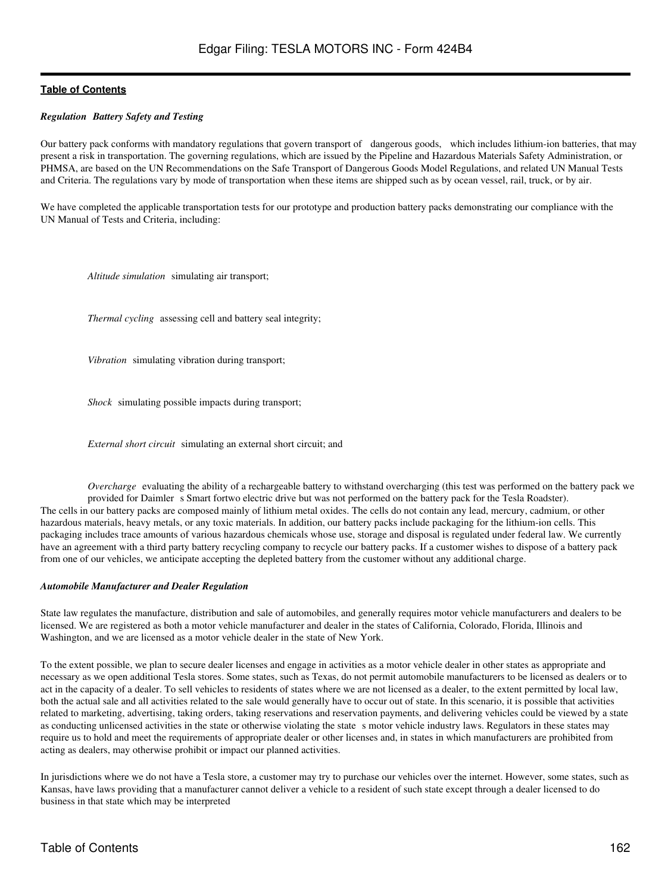## *RegulationBattery Safety and Testing*

Our battery pack conforms with mandatory regulations that govern transport of dangerous goods, which includes lithium-ion batteries, that may present a risk in transportation. The governing regulations, which are issued by the Pipeline and Hazardous Materials Safety Administration, or PHMSA, are based on the UN Recommendations on the Safe Transport of Dangerous Goods Model Regulations, and related UN Manual Tests and Criteria. The regulations vary by mode of transportation when these items are shipped such as by ocean vessel, rail, truck, or by air.

We have completed the applicable transportation tests for our prototype and production battery packs demonstrating our compliance with the UN Manual of Tests and Criteria, including:

*Altitude simulation* simulating air transport;

*Thermal cycling* assessing cell and battery seal integrity;

*Vibration* simulating vibration during transport;

Shock simulating possible impacts during transport;

*External short circuit* simulating an external short circuit; and

*Overcharge* evaluating the ability of a rechargeable battery to withstand overcharging (this test was performed on the battery pack we provided for Daimler s Smart fortwo electric drive but was not performed on the battery pack for the Tesla Roadster). The cells in our battery packs are composed mainly of lithium metal oxides. The cells do not contain any lead, mercury, cadmium, or other hazardous materials, heavy metals, or any toxic materials. In addition, our battery packs include packaging for the lithium-ion cells. This packaging includes trace amounts of various hazardous chemicals whose use, storage and disposal is regulated under federal law. We currently have an agreement with a third party battery recycling company to recycle our battery packs. If a customer wishes to dispose of a battery pack from one of our vehicles, we anticipate accepting the depleted battery from the customer without any additional charge.

#### *Automobile Manufacturer and Dealer Regulation*

State law regulates the manufacture, distribution and sale of automobiles, and generally requires motor vehicle manufacturers and dealers to be licensed. We are registered as both a motor vehicle manufacturer and dealer in the states of California, Colorado, Florida, Illinois and Washington, and we are licensed as a motor vehicle dealer in the state of New York.

To the extent possible, we plan to secure dealer licenses and engage in activities as a motor vehicle dealer in other states as appropriate and necessary as we open additional Tesla stores. Some states, such as Texas, do not permit automobile manufacturers to be licensed as dealers or to act in the capacity of a dealer. To sell vehicles to residents of states where we are not licensed as a dealer, to the extent permitted by local law, both the actual sale and all activities related to the sale would generally have to occur out of state. In this scenario, it is possible that activities related to marketing, advertising, taking orders, taking reservations and reservation payments, and delivering vehicles could be viewed by a state as conducting unlicensed activities in the state or otherwise violating the states motor vehicle industry laws. Regulators in these states may require us to hold and meet the requirements of appropriate dealer or other licenses and, in states in which manufacturers are prohibited from acting as dealers, may otherwise prohibit or impact our planned activities.

In jurisdictions where we do not have a Tesla store, a customer may try to purchase our vehicles over the internet. However, some states, such as Kansas, have laws providing that a manufacturer cannot deliver a vehicle to a resident of such state except through a dealer licensed to do business in that state which may be interpreted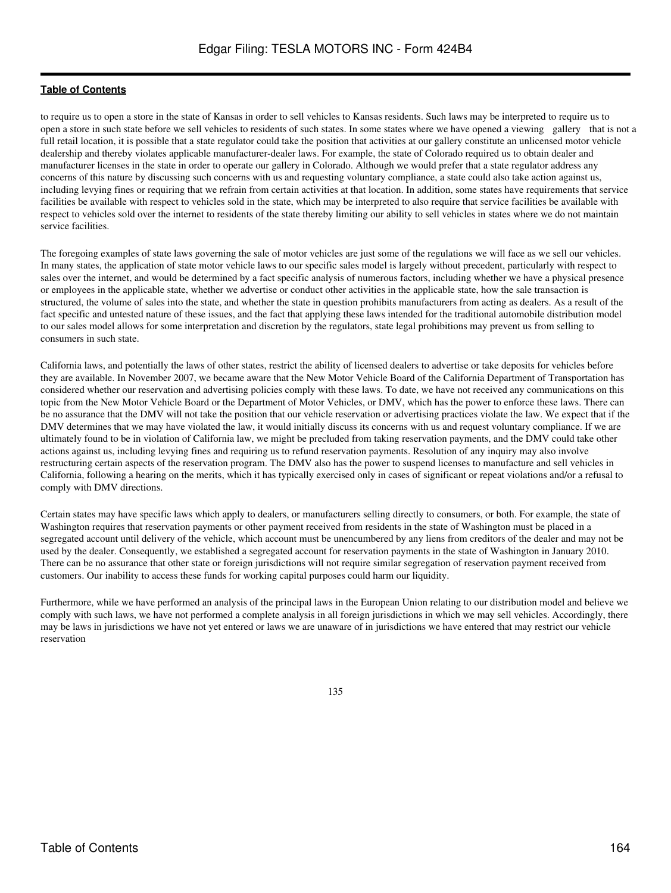to require us to open a store in the state of Kansas in order to sell vehicles to Kansas residents. Such laws may be interpreted to require us to open a store in such state before we sell vehicles to residents of such states. In some states where we have opened a viewing gallery that is not a full retail location, it is possible that a state regulator could take the position that activities at our gallery constitute an unlicensed motor vehicle dealership and thereby violates applicable manufacturer-dealer laws. For example, the state of Colorado required us to obtain dealer and manufacturer licenses in the state in order to operate our gallery in Colorado. Although we would prefer that a state regulator address any concerns of this nature by discussing such concerns with us and requesting voluntary compliance, a state could also take action against us, including levying fines or requiring that we refrain from certain activities at that location. In addition, some states have requirements that service facilities be available with respect to vehicles sold in the state, which may be interpreted to also require that service facilities be available with respect to vehicles sold over the internet to residents of the state thereby limiting our ability to sell vehicles in states where we do not maintain service facilities.

The foregoing examples of state laws governing the sale of motor vehicles are just some of the regulations we will face as we sell our vehicles. In many states, the application of state motor vehicle laws to our specific sales model is largely without precedent, particularly with respect to sales over the internet, and would be determined by a fact specific analysis of numerous factors, including whether we have a physical presence or employees in the applicable state, whether we advertise or conduct other activities in the applicable state, how the sale transaction is structured, the volume of sales into the state, and whether the state in question prohibits manufacturers from acting as dealers. As a result of the fact specific and untested nature of these issues, and the fact that applying these laws intended for the traditional automobile distribution model to our sales model allows for some interpretation and discretion by the regulators, state legal prohibitions may prevent us from selling to consumers in such state.

California laws, and potentially the laws of other states, restrict the ability of licensed dealers to advertise or take deposits for vehicles before they are available. In November 2007, we became aware that the New Motor Vehicle Board of the California Department of Transportation has considered whether our reservation and advertising policies comply with these laws. To date, we have not received any communications on this topic from the New Motor Vehicle Board or the Department of Motor Vehicles, or DMV, which has the power to enforce these laws. There can be no assurance that the DMV will not take the position that our vehicle reservation or advertising practices violate the law. We expect that if the DMV determines that we may have violated the law, it would initially discuss its concerns with us and request voluntary compliance. If we are ultimately found to be in violation of California law, we might be precluded from taking reservation payments, and the DMV could take other actions against us, including levying fines and requiring us to refund reservation payments. Resolution of any inquiry may also involve restructuring certain aspects of the reservation program. The DMV also has the power to suspend licenses to manufacture and sell vehicles in California, following a hearing on the merits, which it has typically exercised only in cases of significant or repeat violations and/or a refusal to comply with DMV directions.

Certain states may have specific laws which apply to dealers, or manufacturers selling directly to consumers, or both. For example, the state of Washington requires that reservation payments or other payment received from residents in the state of Washington must be placed in a segregated account until delivery of the vehicle, which account must be unencumbered by any liens from creditors of the dealer and may not be used by the dealer. Consequently, we established a segregated account for reservation payments in the state of Washington in January 2010. There can be no assurance that other state or foreign jurisdictions will not require similar segregation of reservation payment received from customers. Our inability to access these funds for working capital purposes could harm our liquidity.

Furthermore, while we have performed an analysis of the principal laws in the European Union relating to our distribution model and believe we comply with such laws, we have not performed a complete analysis in all foreign jurisdictions in which we may sell vehicles. Accordingly, there may be laws in jurisdictions we have not yet entered or laws we are unaware of in jurisdictions we have entered that may restrict our vehicle reservation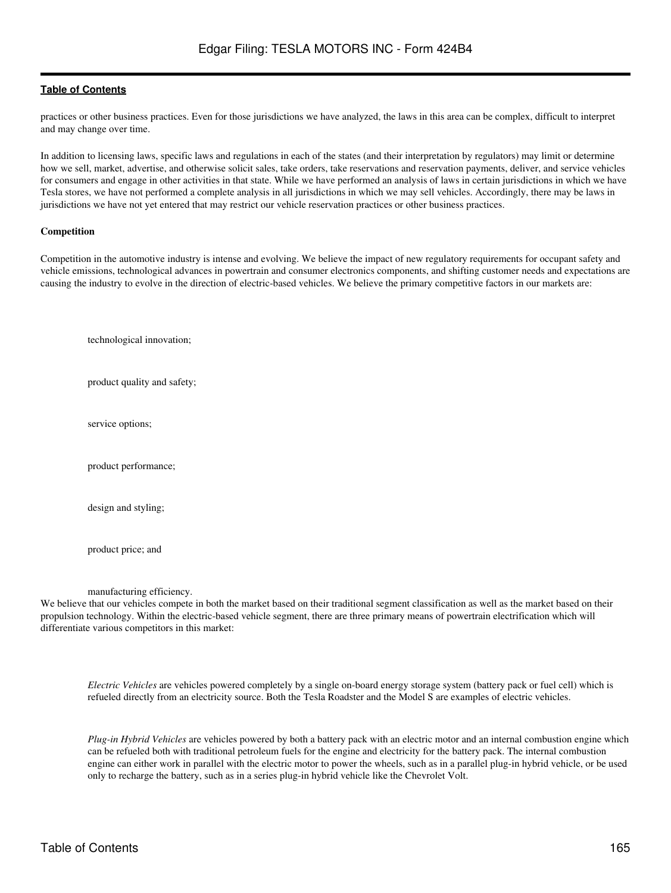practices or other business practices. Even for those jurisdictions we have analyzed, the laws in this area can be complex, difficult to interpret and may change over time.

In addition to licensing laws, specific laws and regulations in each of the states (and their interpretation by regulators) may limit or determine how we sell, market, advertise, and otherwise solicit sales, take orders, take reservations and reservation payments, deliver, and service vehicles for consumers and engage in other activities in that state. While we have performed an analysis of laws in certain jurisdictions in which we have Tesla stores, we have not performed a complete analysis in all jurisdictions in which we may sell vehicles. Accordingly, there may be laws in jurisdictions we have not yet entered that may restrict our vehicle reservation practices or other business practices.

#### **Competition**

Competition in the automotive industry is intense and evolving. We believe the impact of new regulatory requirements for occupant safety and vehicle emissions, technological advances in powertrain and consumer electronics components, and shifting customer needs and expectations are causing the industry to evolve in the direction of electric-based vehicles. We believe the primary competitive factors in our markets are:

technological innovation;

product quality and safety;

service options;

product performance;

design and styling;

product price; and

#### manufacturing efficiency.

We believe that our vehicles compete in both the market based on their traditional segment classification as well as the market based on their propulsion technology. Within the electric-based vehicle segment, there are three primary means of powertrain electrification which will differentiate various competitors in this market:

*Electric Vehicles* are vehicles powered completely by a single on-board energy storage system (battery pack or fuel cell) which is refueled directly from an electricity source. Both the Tesla Roadster and the Model S are examples of electric vehicles.

*Plug-in Hybrid Vehicles* are vehicles powered by both a battery pack with an electric motor and an internal combustion engine which can be refueled both with traditional petroleum fuels for the engine and electricity for the battery pack. The internal combustion engine can either work in parallel with the electric motor to power the wheels, such as in a parallel plug-in hybrid vehicle, or be used only to recharge the battery, such as in a series plug-in hybrid vehicle like the Chevrolet Volt.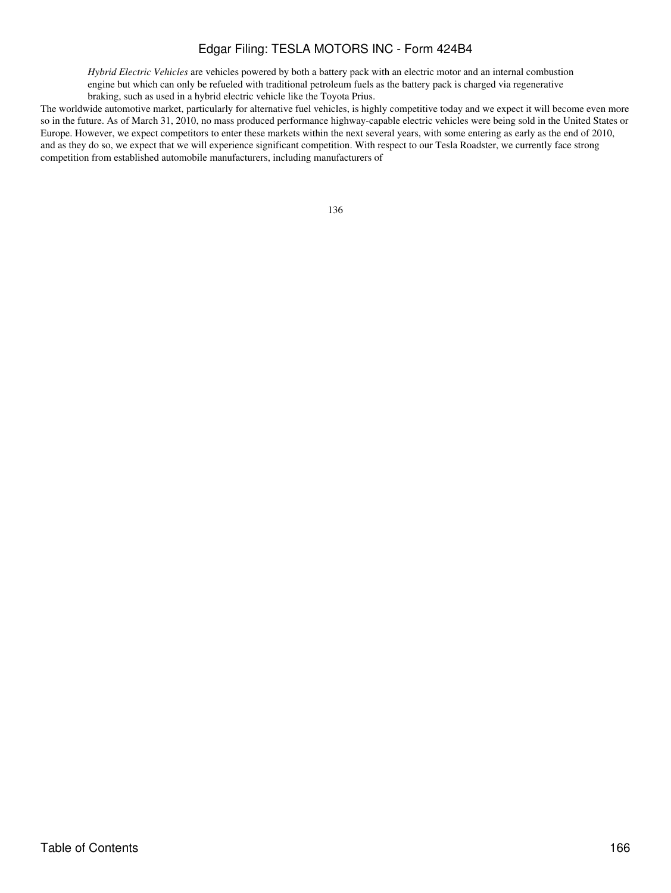# Edgar Filing: TESLA MOTORS INC - Form 424B4

*Hybrid Electric Vehicles* are vehicles powered by both a battery pack with an electric motor and an internal combustion engine but which can only be refueled with traditional petroleum fuels as the battery pack is charged via regenerative

braking, such as used in a hybrid electric vehicle like the Toyota Prius.

The worldwide automotive market, particularly for alternative fuel vehicles, is highly competitive today and we expect it will become even more so in the future. As of March 31, 2010, no mass produced performance highway-capable electric vehicles were being sold in the United States or Europe. However, we expect competitors to enter these markets within the next several years, with some entering as early as the end of 2010, and as they do so, we expect that we will experience significant competition. With respect to our Tesla Roadster, we currently face strong competition from established automobile manufacturers, including manufacturers of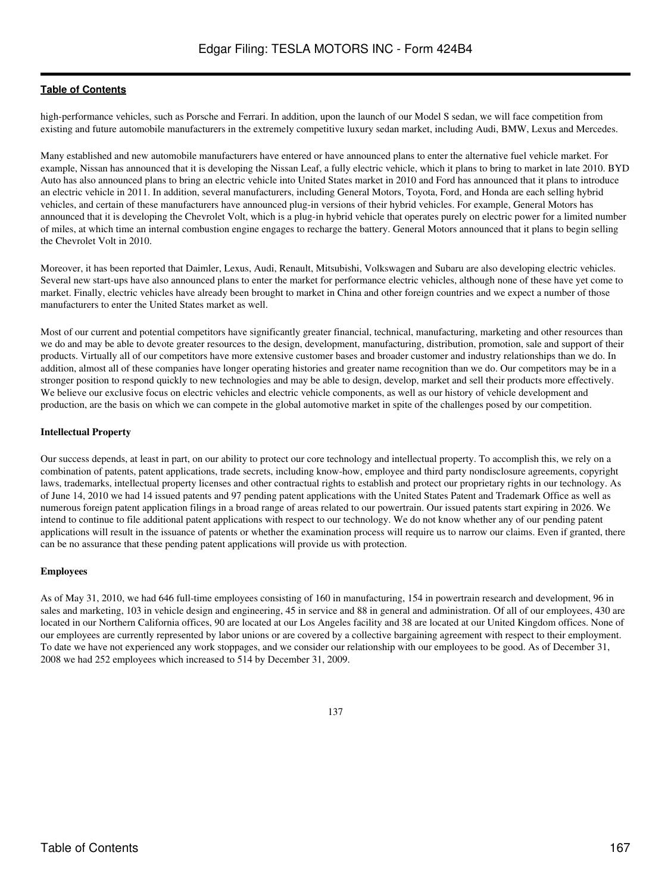high-performance vehicles, such as Porsche and Ferrari. In addition, upon the launch of our Model S sedan, we will face competition from existing and future automobile manufacturers in the extremely competitive luxury sedan market, including Audi, BMW, Lexus and Mercedes.

Many established and new automobile manufacturers have entered or have announced plans to enter the alternative fuel vehicle market. For example, Nissan has announced that it is developing the Nissan Leaf, a fully electric vehicle, which it plans to bring to market in late 2010. BYD Auto has also announced plans to bring an electric vehicle into United States market in 2010 and Ford has announced that it plans to introduce an electric vehicle in 2011. In addition, several manufacturers, including General Motors, Toyota, Ford, and Honda are each selling hybrid vehicles, and certain of these manufacturers have announced plug-in versions of their hybrid vehicles. For example, General Motors has announced that it is developing the Chevrolet Volt, which is a plug-in hybrid vehicle that operates purely on electric power for a limited number of miles, at which time an internal combustion engine engages to recharge the battery. General Motors announced that it plans to begin selling the Chevrolet Volt in 2010.

Moreover, it has been reported that Daimler, Lexus, Audi, Renault, Mitsubishi, Volkswagen and Subaru are also developing electric vehicles. Several new start-ups have also announced plans to enter the market for performance electric vehicles, although none of these have yet come to market. Finally, electric vehicles have already been brought to market in China and other foreign countries and we expect a number of those manufacturers to enter the United States market as well.

Most of our current and potential competitors have significantly greater financial, technical, manufacturing, marketing and other resources than we do and may be able to devote greater resources to the design, development, manufacturing, distribution, promotion, sale and support of their products. Virtually all of our competitors have more extensive customer bases and broader customer and industry relationships than we do. In addition, almost all of these companies have longer operating histories and greater name recognition than we do. Our competitors may be in a stronger position to respond quickly to new technologies and may be able to design, develop, market and sell their products more effectively. We believe our exclusive focus on electric vehicles and electric vehicle components, as well as our history of vehicle development and production, are the basis on which we can compete in the global automotive market in spite of the challenges posed by our competition.

#### **Intellectual Property**

Our success depends, at least in part, on our ability to protect our core technology and intellectual property. To accomplish this, we rely on a combination of patents, patent applications, trade secrets, including know-how, employee and third party nondisclosure agreements, copyright laws, trademarks, intellectual property licenses and other contractual rights to establish and protect our proprietary rights in our technology. As of June 14, 2010 we had 14 issued patents and 97 pending patent applications with the United States Patent and Trademark Office as well as numerous foreign patent application filings in a broad range of areas related to our powertrain. Our issued patents start expiring in 2026. We intend to continue to file additional patent applications with respect to our technology. We do not know whether any of our pending patent applications will result in the issuance of patents or whether the examination process will require us to narrow our claims. Even if granted, there can be no assurance that these pending patent applications will provide us with protection.

#### **Employees**

As of May 31, 2010, we had 646 full-time employees consisting of 160 in manufacturing, 154 in powertrain research and development, 96 in sales and marketing, 103 in vehicle design and engineering, 45 in service and 88 in general and administration. Of all of our employees, 430 are located in our Northern California offices, 90 are located at our Los Angeles facility and 38 are located at our United Kingdom offices. None of our employees are currently represented by labor unions or are covered by a collective bargaining agreement with respect to their employment. To date we have not experienced any work stoppages, and we consider our relationship with our employees to be good. As of December 31, 2008 we had 252 employees which increased to 514 by December 31, 2009.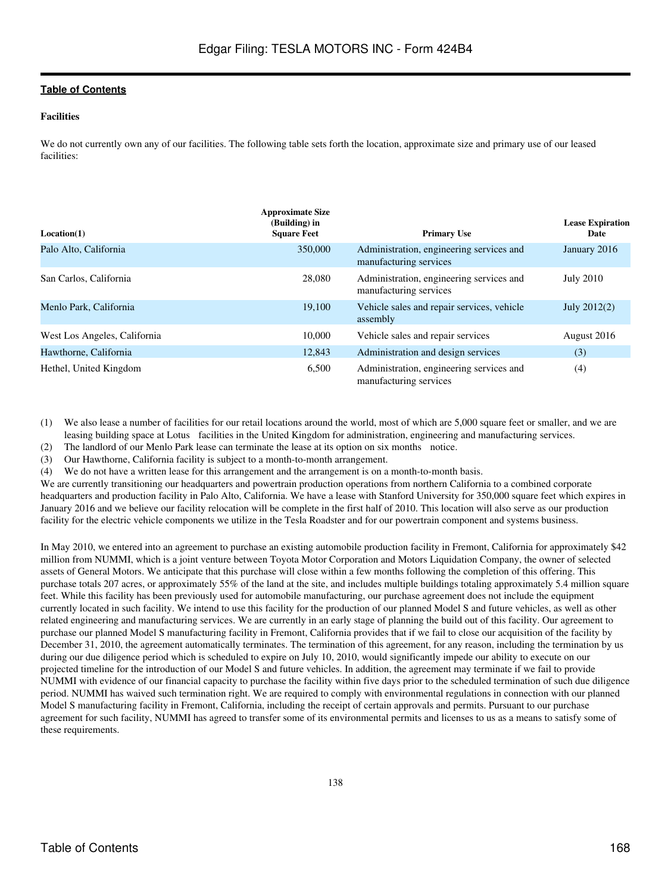## **Facilities**

We do not currently own any of our facilities. The following table sets forth the location, approximate size and primary use of our leased facilities:

| Location(1)                  | <b>Approximate Size</b><br>(Building) in<br><b>Square Feet</b> | <b>Primary Use</b>                                                 | <b>Lease Expiration</b><br>Date |
|------------------------------|----------------------------------------------------------------|--------------------------------------------------------------------|---------------------------------|
| Palo Alto, California        | 350,000                                                        | Administration, engineering services and<br>manufacturing services | January 2016                    |
| San Carlos, California       | 28,080                                                         | Administration, engineering services and<br>manufacturing services | <b>July 2010</b>                |
| Menlo Park, California       | 19,100                                                         | Vehicle sales and repair services, vehicle<br>assembly             | July 2012(2)                    |
| West Los Angeles, California | 10.000                                                         | Vehicle sales and repair services                                  | August 2016                     |
| Hawthorne, California        | 12.843                                                         | Administration and design services                                 | (3)                             |
| Hethel, United Kingdom       | 6,500                                                          | Administration, engineering services and<br>manufacturing services | (4)                             |

(1) We also lease a number of facilities for our retail locations around the world, most of which are 5,000 square feet or smaller, and we are leasing building space at Lotus facilities in the United Kingdom for administration, engineering and manufacturing services.

(2) The landlord of our Menlo Park lease can terminate the lease at its option on six months notice.

(3) Our Hawthorne, California facility is subject to a month-to-month arrangement.

(4) We do not have a written lease for this arrangement and the arrangement is on a month-to-month basis.

We are currently transitioning our headquarters and powertrain production operations from northern California to a combined corporate headquarters and production facility in Palo Alto, California. We have a lease with Stanford University for 350,000 square feet which expires in January 2016 and we believe our facility relocation will be complete in the first half of 2010. This location will also serve as our production facility for the electric vehicle components we utilize in the Tesla Roadster and for our powertrain component and systems business.

In May 2010, we entered into an agreement to purchase an existing automobile production facility in Fremont, California for approximately \$42 million from NUMMI, which is a joint venture between Toyota Motor Corporation and Motors Liquidation Company, the owner of selected assets of General Motors. We anticipate that this purchase will close within a few months following the completion of this offering. This purchase totals 207 acres, or approximately 55% of the land at the site, and includes multiple buildings totaling approximately 5.4 million square feet. While this facility has been previously used for automobile manufacturing, our purchase agreement does not include the equipment currently located in such facility. We intend to use this facility for the production of our planned Model S and future vehicles, as well as other related engineering and manufacturing services. We are currently in an early stage of planning the build out of this facility. Our agreement to purchase our planned Model S manufacturing facility in Fremont, California provides that if we fail to close our acquisition of the facility by December 31, 2010, the agreement automatically terminates. The termination of this agreement, for any reason, including the termination by us during our due diligence period which is scheduled to expire on July 10, 2010, would significantly impede our ability to execute on our projected timeline for the introduction of our Model S and future vehicles. In addition, the agreement may terminate if we fail to provide NUMMI with evidence of our financial capacity to purchase the facility within five days prior to the scheduled termination of such due diligence period. NUMMI has waived such termination right. We are required to comply with environmental regulations in connection with our planned Model S manufacturing facility in Fremont, California, including the receipt of certain approvals and permits. Pursuant to our purchase agreement for such facility, NUMMI has agreed to transfer some of its environmental permits and licenses to us as a means to satisfy some of these requirements.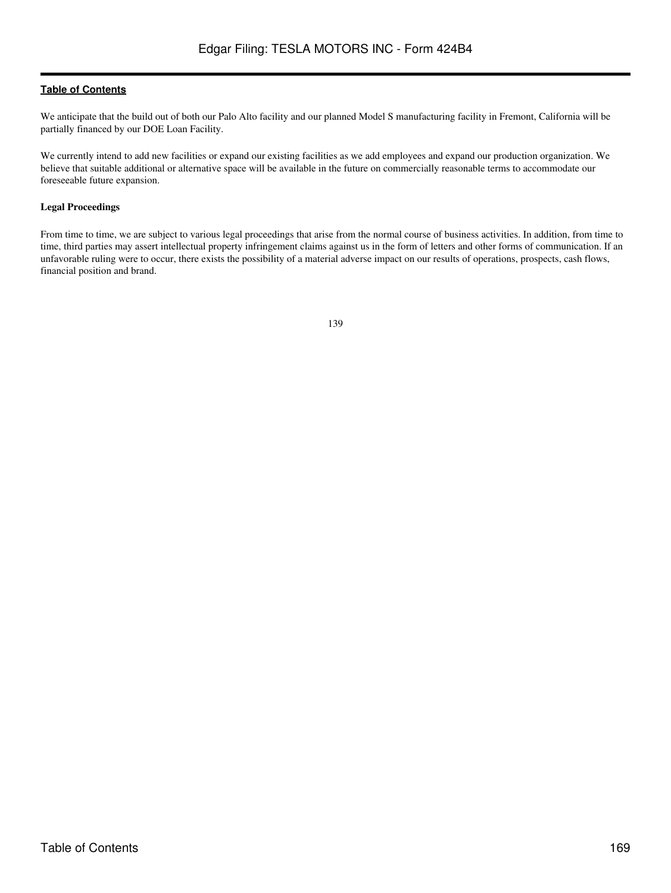We anticipate that the build out of both our Palo Alto facility and our planned Model S manufacturing facility in Fremont, California will be partially financed by our DOE Loan Facility.

We currently intend to add new facilities or expand our existing facilities as we add employees and expand our production organization. We believe that suitable additional or alternative space will be available in the future on commercially reasonable terms to accommodate our foreseeable future expansion.

#### **Legal Proceedings**

From time to time, we are subject to various legal proceedings that arise from the normal course of business activities. In addition, from time to time, third parties may assert intellectual property infringement claims against us in the form of letters and other forms of communication. If an unfavorable ruling were to occur, there exists the possibility of a material adverse impact on our results of operations, prospects, cash flows, financial position and brand.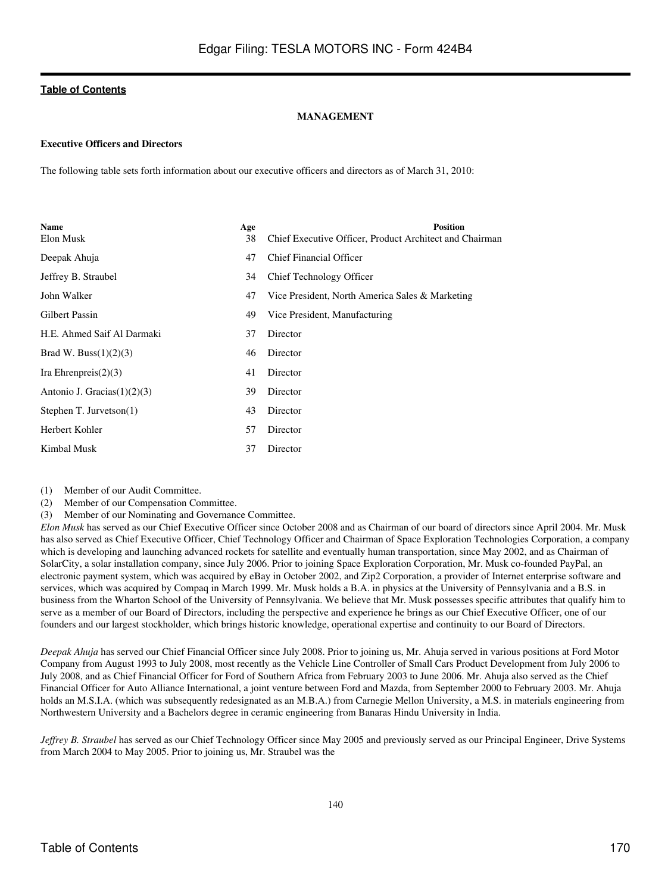# **MANAGEMENT**

## **Executive Officers and Directors**

The following table sets forth information about our executive officers and directors as of March 31, 2010:

| <b>Name</b><br>Elon Musk       | Age<br>38 | <b>Position</b><br>Chief Executive Officer, Product Architect and Chairman |
|--------------------------------|-----------|----------------------------------------------------------------------------|
| Deepak Ahuja                   | 47        | Chief Financial Officer                                                    |
| Jeffrey B. Straubel            | 34        | Chief Technology Officer                                                   |
| John Walker                    | 47        | Vice President, North America Sales & Marketing                            |
| <b>Gilbert Passin</b>          | 49        | Vice President, Manufacturing                                              |
| H.E. Ahmed Saif Al Darmaki     | 37        | Director                                                                   |
| Brad W. Buss $(1)(2)(3)$       | 46        | Director                                                                   |
| Ira Ehrenpreis $(2)(3)$        | 41        | Director                                                                   |
| Antonio J. Gracias $(1)(2)(3)$ | 39        | Director                                                                   |
| Stephen T. Jurvetson $(1)$     | 43        | Director                                                                   |
| Herbert Kohler                 | 57        | Director                                                                   |
| Kimbal Musk                    | 37        | Director                                                                   |

(1) Member of our Audit Committee.

(2) Member of our Compensation Committee.

(3) Member of our Nominating and Governance Committee.

*Elon Musk* has served as our Chief Executive Officer since October 2008 and as Chairman of our board of directors since April 2004. Mr. Musk has also served as Chief Executive Officer, Chief Technology Officer and Chairman of Space Exploration Technologies Corporation, a company which is developing and launching advanced rockets for satellite and eventually human transportation, since May 2002, and as Chairman of SolarCity, a solar installation company, since July 2006. Prior to joining Space Exploration Corporation, Mr. Musk co-founded PayPal, an electronic payment system, which was acquired by eBay in October 2002, and Zip2 Corporation, a provider of Internet enterprise software and services, which was acquired by Compaq in March 1999. Mr. Musk holds a B.A. in physics at the University of Pennsylvania and a B.S. in business from the Wharton School of the University of Pennsylvania. We believe that Mr. Musk possesses specific attributes that qualify him to serve as a member of our Board of Directors, including the perspective and experience he brings as our Chief Executive Officer, one of our founders and our largest stockholder, which brings historic knowledge, operational expertise and continuity to our Board of Directors.

*Deepak Ahuja* has served our Chief Financial Officer since July 2008. Prior to joining us, Mr. Ahuja served in various positions at Ford Motor Company from August 1993 to July 2008, most recently as the Vehicle Line Controller of Small Cars Product Development from July 2006 to July 2008, and as Chief Financial Officer for Ford of Southern Africa from February 2003 to June 2006. Mr. Ahuja also served as the Chief Financial Officer for Auto Alliance International, a joint venture between Ford and Mazda, from September 2000 to February 2003. Mr. Ahuja holds an M.S.I.A. (which was subsequently redesignated as an M.B.A.) from Carnegie Mellon University, a M.S. in materials engineering from Northwestern University and a Bachelors degree in ceramic engineering from Banaras Hindu University in India.

*Jeffrey B. Straubel* has served as our Chief Technology Officer since May 2005 and previously served as our Principal Engineer, Drive Systems from March 2004 to May 2005. Prior to joining us, Mr. Straubel was the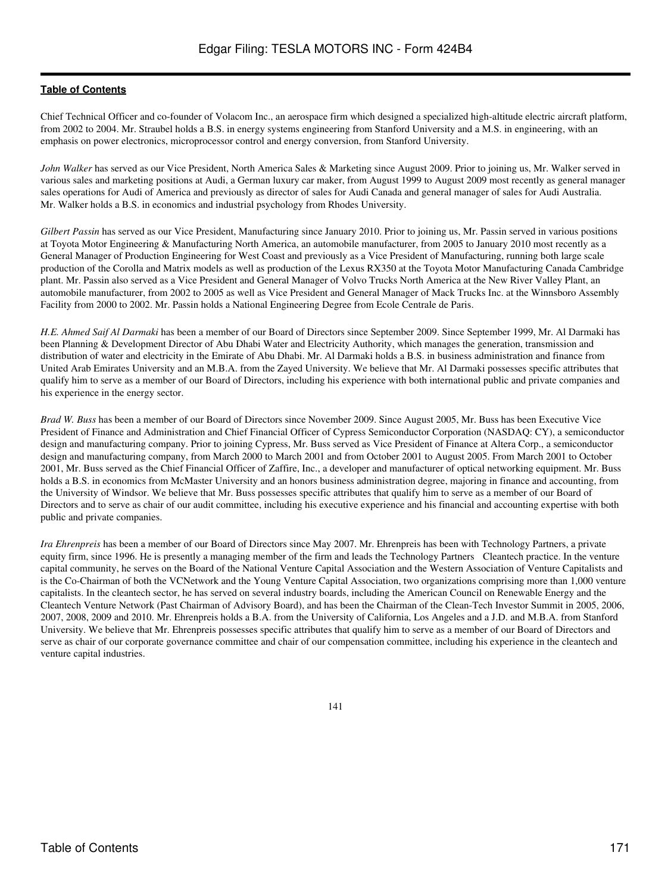Chief Technical Officer and co-founder of Volacom Inc., an aerospace firm which designed a specialized high-altitude electric aircraft platform, from 2002 to 2004. Mr. Straubel holds a B.S. in energy systems engineering from Stanford University and a M.S. in engineering, with an emphasis on power electronics, microprocessor control and energy conversion, from Stanford University.

*John Walker* has served as our Vice President, North America Sales & Marketing since August 2009. Prior to joining us, Mr. Walker served in various sales and marketing positions at Audi, a German luxury car maker, from August 1999 to August 2009 most recently as general manager sales operations for Audi of America and previously as director of sales for Audi Canada and general manager of sales for Audi Australia. Mr. Walker holds a B.S. in economics and industrial psychology from Rhodes University.

*Gilbert Passin* has served as our Vice President, Manufacturing since January 2010. Prior to joining us, Mr. Passin served in various positions at Toyota Motor Engineering & Manufacturing North America, an automobile manufacturer, from 2005 to January 2010 most recently as a General Manager of Production Engineering for West Coast and previously as a Vice President of Manufacturing, running both large scale production of the Corolla and Matrix models as well as production of the Lexus RX350 at the Toyota Motor Manufacturing Canada Cambridge plant. Mr. Passin also served as a Vice President and General Manager of Volvo Trucks North America at the New River Valley Plant, an automobile manufacturer, from 2002 to 2005 as well as Vice President and General Manager of Mack Trucks Inc. at the Winnsboro Assembly Facility from 2000 to 2002. Mr. Passin holds a National Engineering Degree from Ecole Centrale de Paris.

*H.E. Ahmed Saif Al Darmaki* has been a member of our Board of Directors since September 2009. Since September 1999, Mr. Al Darmaki has been Planning & Development Director of Abu Dhabi Water and Electricity Authority, which manages the generation, transmission and distribution of water and electricity in the Emirate of Abu Dhabi. Mr. Al Darmaki holds a B.S. in business administration and finance from United Arab Emirates University and an M.B.A. from the Zayed University. We believe that Mr. Al Darmaki possesses specific attributes that qualify him to serve as a member of our Board of Directors, including his experience with both international public and private companies and his experience in the energy sector.

*Brad W. Buss* has been a member of our Board of Directors since November 2009. Since August 2005, Mr. Buss has been Executive Vice President of Finance and Administration and Chief Financial Officer of Cypress Semiconductor Corporation (NASDAQ: CY), a semiconductor design and manufacturing company. Prior to joining Cypress, Mr. Buss served as Vice President of Finance at Altera Corp., a semiconductor design and manufacturing company, from March 2000 to March 2001 and from October 2001 to August 2005. From March 2001 to October 2001, Mr. Buss served as the Chief Financial Officer of Zaffire, Inc., a developer and manufacturer of optical networking equipment. Mr. Buss holds a B.S. in economics from McMaster University and an honors business administration degree, majoring in finance and accounting, from the University of Windsor. We believe that Mr. Buss possesses specific attributes that qualify him to serve as a member of our Board of Directors and to serve as chair of our audit committee, including his executive experience and his financial and accounting expertise with both public and private companies.

*Ira Ehrenpreis* has been a member of our Board of Directors since May 2007. Mr. Ehrenpreis has been with Technology Partners, a private equity firm, since 1996. He is presently a managing member of the firm and leads the Technology Partners Cleantech practice. In the venture capital community, he serves on the Board of the National Venture Capital Association and the Western Association of Venture Capitalists and is the Co-Chairman of both the VCNetwork and the Young Venture Capital Association, two organizations comprising more than 1,000 venture capitalists. In the cleantech sector, he has served on several industry boards, including the American Council on Renewable Energy and the Cleantech Venture Network (Past Chairman of Advisory Board), and has been the Chairman of the Clean-Tech Investor Summit in 2005, 2006, 2007, 2008, 2009 and 2010. Mr. Ehrenpreis holds a B.A. from the University of California, Los Angeles and a J.D. and M.B.A. from Stanford University. We believe that Mr. Ehrenpreis possesses specific attributes that qualify him to serve as a member of our Board of Directors and serve as chair of our corporate governance committee and chair of our compensation committee, including his experience in the cleantech and venture capital industries.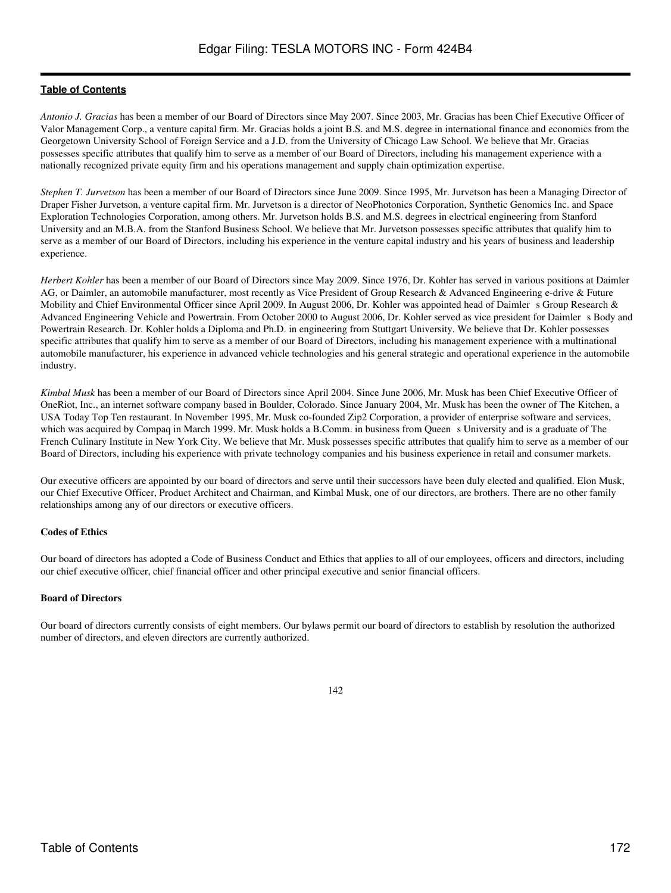*Antonio J. Gracias* has been a member of our Board of Directors since May 2007. Since 2003, Mr. Gracias has been Chief Executive Officer of Valor Management Corp., a venture capital firm. Mr. Gracias holds a joint B.S. and M.S. degree in international finance and economics from the Georgetown University School of Foreign Service and a J.D. from the University of Chicago Law School. We believe that Mr. Gracias possesses specific attributes that qualify him to serve as a member of our Board of Directors, including his management experience with a nationally recognized private equity firm and his operations management and supply chain optimization expertise.

*Stephen T. Jurvetson* has been a member of our Board of Directors since June 2009. Since 1995, Mr. Jurvetson has been a Managing Director of Draper Fisher Jurvetson, a venture capital firm. Mr. Jurvetson is a director of NeoPhotonics Corporation, Synthetic Genomics Inc. and Space Exploration Technologies Corporation, among others. Mr. Jurvetson holds B.S. and M.S. degrees in electrical engineering from Stanford University and an M.B.A. from the Stanford Business School. We believe that Mr. Jurvetson possesses specific attributes that qualify him to serve as a member of our Board of Directors, including his experience in the venture capital industry and his years of business and leadership experience.

*Herbert Kohler* has been a member of our Board of Directors since May 2009. Since 1976, Dr. Kohler has served in various positions at Daimler AG, or Daimler, an automobile manufacturer, most recently as Vice President of Group Research & Advanced Engineering e-drive & Future Mobility and Chief Environmental Officer since April 2009. In August 2006, Dr. Kohler was appointed head of Daimler s Group Research & Advanced Engineering Vehicle and Powertrain. From October 2000 to August 2006, Dr. Kohler served as vice president for Daimler s Body and Powertrain Research. Dr. Kohler holds a Diploma and Ph.D. in engineering from Stuttgart University. We believe that Dr. Kohler possesses specific attributes that qualify him to serve as a member of our Board of Directors, including his management experience with a multinational automobile manufacturer, his experience in advanced vehicle technologies and his general strategic and operational experience in the automobile industry.

*Kimbal Musk* has been a member of our Board of Directors since April 2004. Since June 2006, Mr. Musk has been Chief Executive Officer of OneRiot, Inc., an internet software company based in Boulder, Colorado. Since January 2004, Mr. Musk has been the owner of The Kitchen, a USA Today Top Ten restaurant. In November 1995, Mr. Musk co-founded Zip2 Corporation, a provider of enterprise software and services, which was acquired by Compaq in March 1999. Mr. Musk holds a B.Comm. in business from Queen s University and is a graduate of The French Culinary Institute in New York City. We believe that Mr. Musk possesses specific attributes that qualify him to serve as a member of our Board of Directors, including his experience with private technology companies and his business experience in retail and consumer markets.

Our executive officers are appointed by our board of directors and serve until their successors have been duly elected and qualified. Elon Musk, our Chief Executive Officer, Product Architect and Chairman, and Kimbal Musk, one of our directors, are brothers. There are no other family relationships among any of our directors or executive officers.

## **Codes of Ethics**

Our board of directors has adopted a Code of Business Conduct and Ethics that applies to all of our employees, officers and directors, including our chief executive officer, chief financial officer and other principal executive and senior financial officers.

## **Board of Directors**

Our board of directors currently consists of eight members. Our bylaws permit our board of directors to establish by resolution the authorized number of directors, and eleven directors are currently authorized.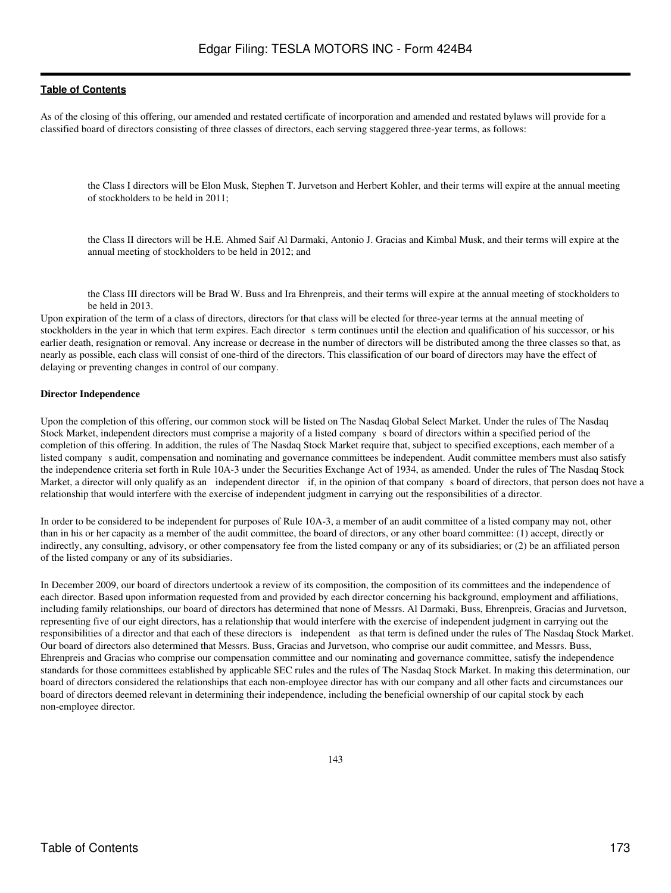As of the closing of this offering, our amended and restated certificate of incorporation and amended and restated bylaws will provide for a classified board of directors consisting of three classes of directors, each serving staggered three-year terms, as follows:

the Class I directors will be Elon Musk, Stephen T. Jurvetson and Herbert Kohler, and their terms will expire at the annual meeting of stockholders to be held in 2011;

the Class II directors will be H.E. Ahmed Saif Al Darmaki, Antonio J. Gracias and Kimbal Musk, and their terms will expire at the annual meeting of stockholders to be held in 2012; and

the Class III directors will be Brad W. Buss and Ira Ehrenpreis, and their terms will expire at the annual meeting of stockholders to be held in 2013.

Upon expiration of the term of a class of directors, directors for that class will be elected for three-year terms at the annual meeting of stockholders in the year in which that term expires. Each director s term continues until the election and qualification of his successor, or his earlier death, resignation or removal. Any increase or decrease in the number of directors will be distributed among the three classes so that, as nearly as possible, each class will consist of one-third of the directors. This classification of our board of directors may have the effect of delaying or preventing changes in control of our company.

## **Director Independence**

Upon the completion of this offering, our common stock will be listed on The Nasdaq Global Select Market. Under the rules of The Nasdaq Stock Market, independent directors must comprise a majority of a listed companys board of directors within a specified period of the completion of this offering. In addition, the rules of The Nasdaq Stock Market require that, subject to specified exceptions, each member of a listed companys audit, compensation and nominating and governance committees be independent. Audit committee members must also satisfy the independence criteria set forth in Rule 10A-3 under the Securities Exchange Act of 1934, as amended. Under the rules of The Nasdaq Stock Market, a director will only qualify as an independent director if, in the opinion of that company s board of directors, that person does not have a relationship that would interfere with the exercise of independent judgment in carrying out the responsibilities of a director.

In order to be considered to be independent for purposes of Rule 10A-3, a member of an audit committee of a listed company may not, other than in his or her capacity as a member of the audit committee, the board of directors, or any other board committee: (1) accept, directly or indirectly, any consulting, advisory, or other compensatory fee from the listed company or any of its subsidiaries; or (2) be an affiliated person of the listed company or any of its subsidiaries.

In December 2009, our board of directors undertook a review of its composition, the composition of its committees and the independence of each director. Based upon information requested from and provided by each director concerning his background, employment and affiliations, including family relationships, our board of directors has determined that none of Messrs. Al Darmaki, Buss, Ehrenpreis, Gracias and Jurvetson, representing five of our eight directors, has a relationship that would interfere with the exercise of independent judgment in carrying out the responsibilities of a director and that each of these directors is independent as that term is defined under the rules of The Nasdaq Stock Market. Our board of directors also determined that Messrs. Buss, Gracias and Jurvetson, who comprise our audit committee, and Messrs. Buss, Ehrenpreis and Gracias who comprise our compensation committee and our nominating and governance committee, satisfy the independence standards for those committees established by applicable SEC rules and the rules of The Nasdaq Stock Market. In making this determination, our board of directors considered the relationships that each non-employee director has with our company and all other facts and circumstances our board of directors deemed relevant in determining their independence, including the beneficial ownership of our capital stock by each non-employee director.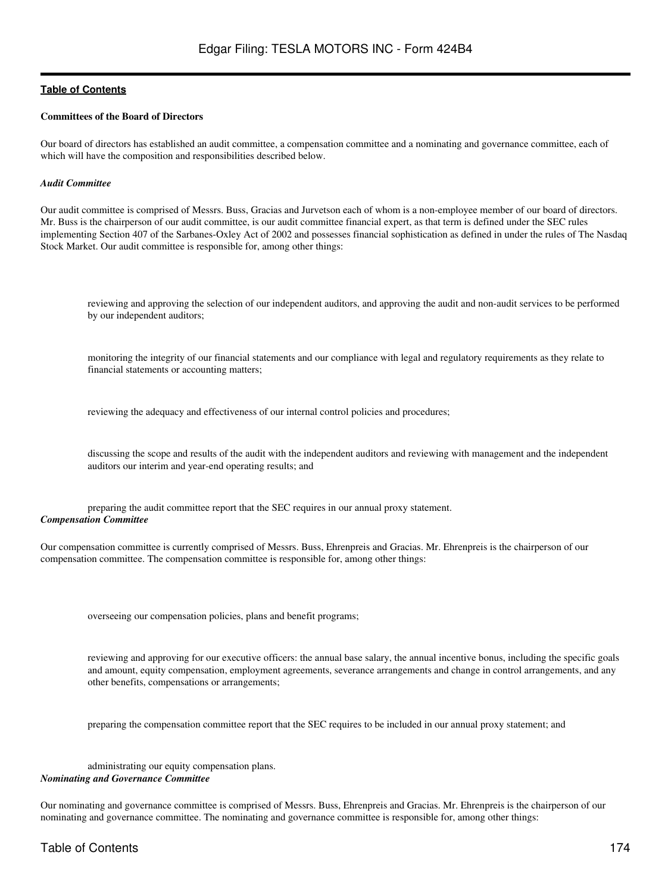### **Committees of the Board of Directors**

Our board of directors has established an audit committee, a compensation committee and a nominating and governance committee, each of which will have the composition and responsibilities described below.

#### *Audit Committee*

Our audit committee is comprised of Messrs. Buss, Gracias and Jurvetson each of whom is a non-employee member of our board of directors. Mr. Buss is the chairperson of our audit committee, is our audit committee financial expert, as that term is defined under the SEC rules implementing Section 407 of the Sarbanes-Oxley Act of 2002 and possesses financial sophistication as defined in under the rules of The Nasdaq Stock Market. Our audit committee is responsible for, among other things:

reviewing and approving the selection of our independent auditors, and approving the audit and non-audit services to be performed by our independent auditors;

monitoring the integrity of our financial statements and our compliance with legal and regulatory requirements as they relate to financial statements or accounting matters;

reviewing the adequacy and effectiveness of our internal control policies and procedures;

discussing the scope and results of the audit with the independent auditors and reviewing with management and the independent auditors our interim and year-end operating results; and

preparing the audit committee report that the SEC requires in our annual proxy statement. *Compensation Committee*

Our compensation committee is currently comprised of Messrs. Buss, Ehrenpreis and Gracias. Mr. Ehrenpreis is the chairperson of our compensation committee. The compensation committee is responsible for, among other things:

overseeing our compensation policies, plans and benefit programs;

reviewing and approving for our executive officers: the annual base salary, the annual incentive bonus, including the specific goals and amount, equity compensation, employment agreements, severance arrangements and change in control arrangements, and any other benefits, compensations or arrangements;

preparing the compensation committee report that the SEC requires to be included in our annual proxy statement; and

administrating our equity compensation plans. *Nominating and Governance Committee*

Our nominating and governance committee is comprised of Messrs. Buss, Ehrenpreis and Gracias. Mr. Ehrenpreis is the chairperson of our nominating and governance committee. The nominating and governance committee is responsible for, among other things:

# Table of Contents 174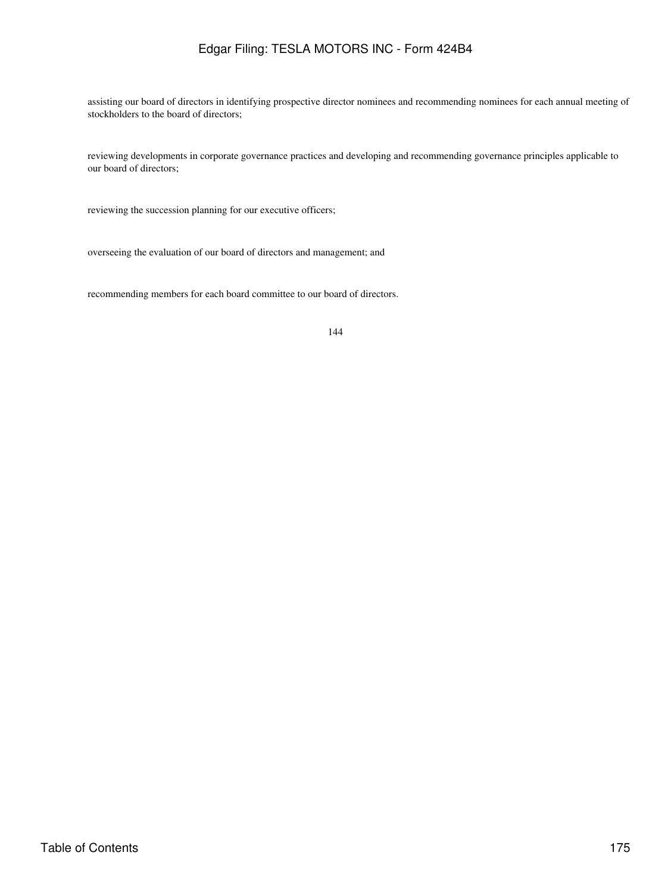# Edgar Filing: TESLA MOTORS INC - Form 424B4

assisting our board of directors in identifying prospective director nominees and recommending nominees for each annual meeting of stockholders to the board of directors;

reviewing developments in corporate governance practices and developing and recommending governance principles applicable to our board of directors;

reviewing the succession planning for our executive officers;

overseeing the evaluation of our board of directors and management; and

recommending members for each board committee to our board of directors.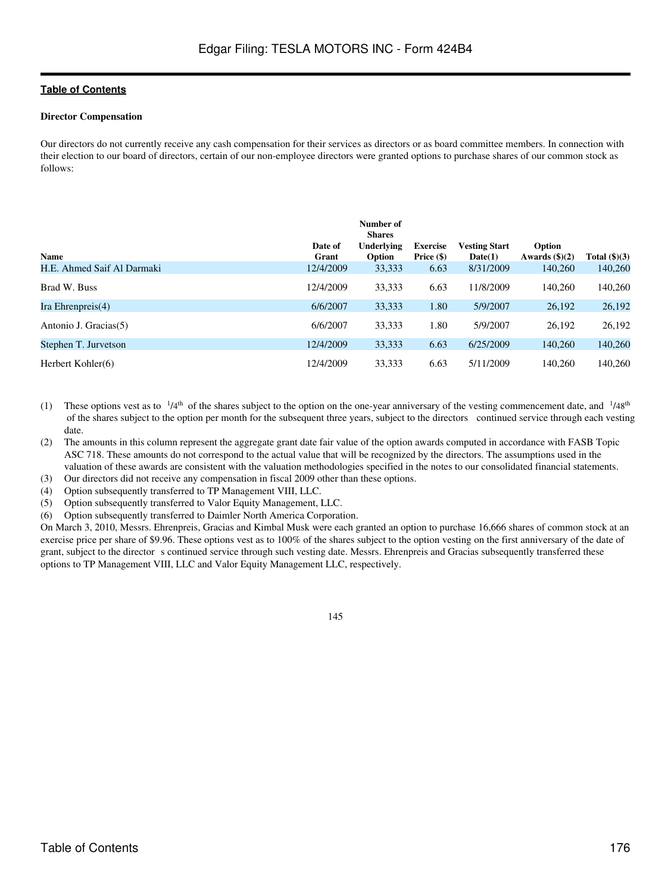### **Director Compensation**

Our directors do not currently receive any cash compensation for their services as directors or as board committee members. In connection with their election to our board of directors, certain of our non-employee directors were granted options to purchase shares of our common stock as follows:

|                            |                  | Number of<br><b>Shares</b> |                                 |                                 |                                  |                        |
|----------------------------|------------------|----------------------------|---------------------------------|---------------------------------|----------------------------------|------------------------|
| <b>Name</b>                | Date of<br>Grant | Underlying<br>Option       | <b>Exercise</b><br>Price $(\$)$ | <b>Vesting Start</b><br>Date(1) | Option<br>Awards $(\frac{6}{2})$ | Total $(\text{$}5)(3)$ |
| H.E. Ahmed Saif Al Darmaki | 12/4/2009        | 33,333                     | 6.63                            | 8/31/2009                       | 140,260                          | 140,260                |
| Brad W. Buss               | 12/4/2009        | 33,333                     | 6.63                            | 11/8/2009                       | 140,260                          | 140,260                |
| Ira Ehrenpreis $(4)$       | 6/6/2007         | 33,333                     | 1.80                            | 5/9/2007                        | 26,192                           | 26,192                 |
| Antonio J. Gracias(5)      | 6/6/2007         | 33,333                     | 1.80                            | 5/9/2007                        | 26,192                           | 26,192                 |
| Stephen T. Jurvetson       | 12/4/2009        | 33,333                     | 6.63                            | 6/25/2009                       | 140,260                          | 140,260                |
| Herbert Kohler(6)          | 12/4/2009        | 33,333                     | 6.63                            | 5/11/2009                       | 140,260                          | 140,260                |

- (1) These options vest as to  $\frac{1}{4}$ <sup>th</sup> of the shares subject to the option on the one-year anniversary of the vesting commencement date, and  $\frac{1}{4}$ 8<sup>th</sup> of the shares subject to the option per month for the subsequent three years, subject to the directors continued service through each vesting date.
- (2) The amounts in this column represent the aggregate grant date fair value of the option awards computed in accordance with FASB Topic ASC 718. These amounts do not correspond to the actual value that will be recognized by the directors. The assumptions used in the valuation of these awards are consistent with the valuation methodologies specified in the notes to our consolidated financial statements.
- (3) Our directors did not receive any compensation in fiscal 2009 other than these options.
- (4) Option subsequently transferred to TP Management VIII, LLC.
- (5) Option subsequently transferred to Valor Equity Management, LLC.
- (6) Option subsequently transferred to Daimler North America Corporation.

On March 3, 2010, Messrs. Ehrenpreis, Gracias and Kimbal Musk were each granted an option to purchase 16,666 shares of common stock at an exercise price per share of \$9.96. These options vest as to 100% of the shares subject to the option vesting on the first anniversary of the date of grant, subject to the director s continued service through such vesting date. Messrs. Ehrenpreis and Gracias subsequently transferred these options to TP Management VIII, LLC and Valor Equity Management LLC, respectively.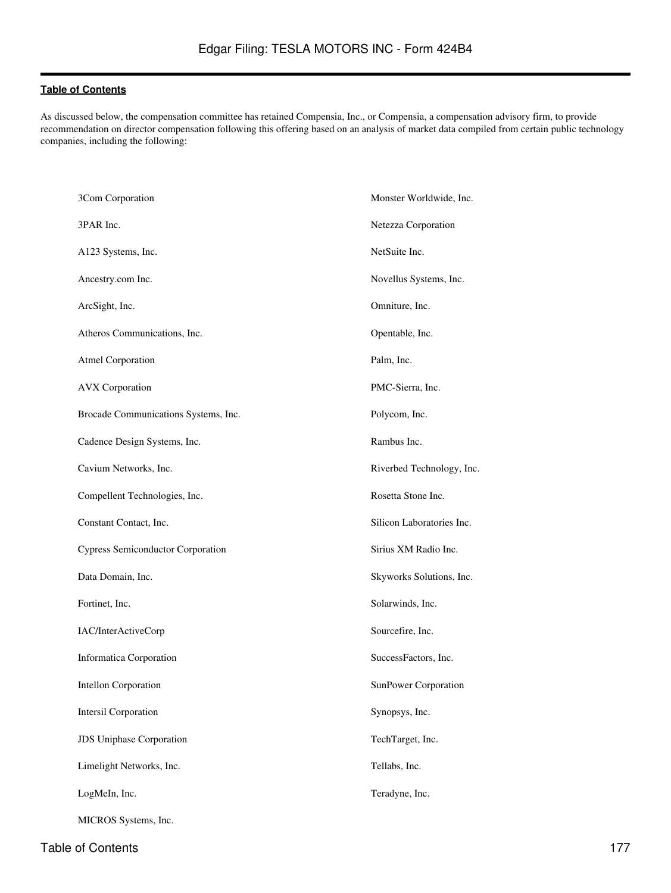As discussed below, the compensation committee has retained Compensia, Inc., or Compensia, a compensation advisory firm, to provide recommendation on director compensation following this offering based on an analysis of market data compiled from certain public technology companies, including the following:

| 3Com Corporation                         | Monster Worldwide, Inc.   |
|------------------------------------------|---------------------------|
| 3PAR Inc.                                | Netezza Corporation       |
| A123 Systems, Inc.                       | NetSuite Inc.             |
| Ancestry.com Inc.                        | Novellus Systems, Inc.    |
| ArcSight, Inc.                           | Omniture, Inc.            |
| Atheros Communications, Inc.             | Opentable, Inc.           |
| <b>Atmel Corporation</b>                 | Palm, Inc.                |
| <b>AVX</b> Corporation                   | PMC-Sierra, Inc.          |
| Brocade Communications Systems, Inc.     | Polycom, Inc.             |
| Cadence Design Systems, Inc.             | Rambus Inc.               |
| Cavium Networks, Inc.                    | Riverbed Technology, Inc. |
| Compellent Technologies, Inc.            | Rosetta Stone Inc.        |
| Constant Contact, Inc.                   | Silicon Laboratories Inc. |
| <b>Cypress Semiconductor Corporation</b> | Sirius XM Radio Inc.      |
| Data Domain, Inc.                        | Skyworks Solutions, Inc.  |
| Fortinet, Inc.                           | Solarwinds, Inc.          |
| IAC/InterActiveCorp                      | Sourcefire, Inc.          |
| Informatica Corporation                  | SuccessFactors, Inc.      |
| Intellon Corporation                     | SunPower Corporation      |
| <b>Intersil Corporation</b>              | Synopsys, Inc.            |
| JDS Uniphase Corporation                 | TechTarget, Inc.          |
| Limelight Networks, Inc.                 | Tellabs, Inc.             |
| LogMeIn, Inc.                            | Teradyne, Inc.            |
| MICROS Systems, Inc.                     |                           |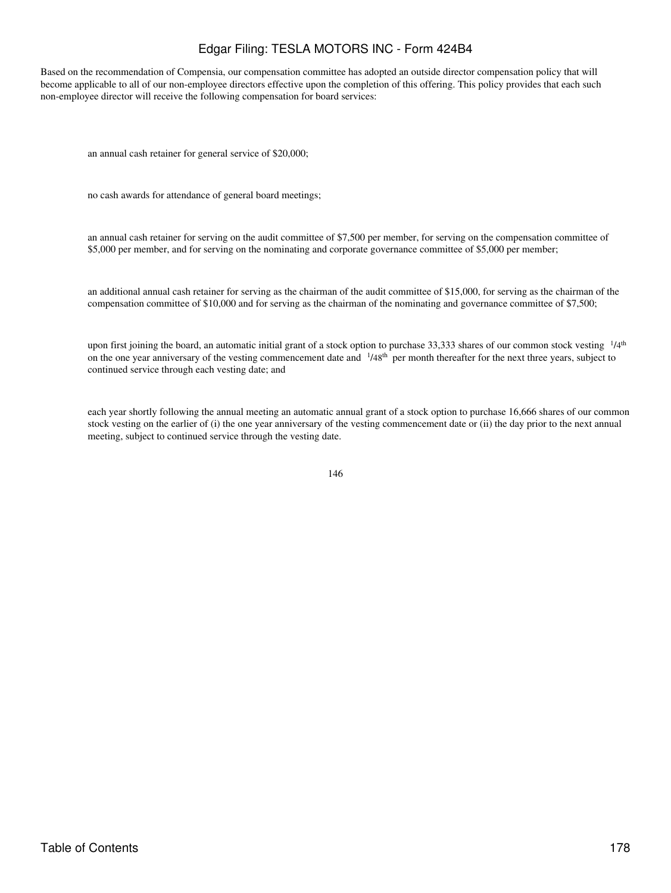# Edgar Filing: TESLA MOTORS INC - Form 424B4

Based on the recommendation of Compensia, our compensation committee has adopted an outside director compensation policy that will become applicable to all of our non-employee directors effective upon the completion of this offering. This policy provides that each such non-employee director will receive the following compensation for board services:

an annual cash retainer for general service of \$20,000;

no cash awards for attendance of general board meetings;

an annual cash retainer for serving on the audit committee of \$7,500 per member, for serving on the compensation committee of \$5,000 per member, and for serving on the nominating and corporate governance committee of \$5,000 per member;

an additional annual cash retainer for serving as the chairman of the audit committee of \$15,000, for serving as the chairman of the compensation committee of \$10,000 and for serving as the chairman of the nominating and governance committee of \$7,500;

upon first joining the board, an automatic initial grant of a stock option to purchase 33,333 shares of our common stock vesting  $\frac{1}{4}$ <sup>th</sup> on the one year anniversary of the vesting commencement date and <sup>1</sup>/48<sup>th</sup> per month thereafter for the next three years, subject to continued service through each vesting date; and

each year shortly following the annual meeting an automatic annual grant of a stock option to purchase 16,666 shares of our common stock vesting on the earlier of (i) the one year anniversary of the vesting commencement date or (ii) the day prior to the next annual meeting, subject to continued service through the vesting date.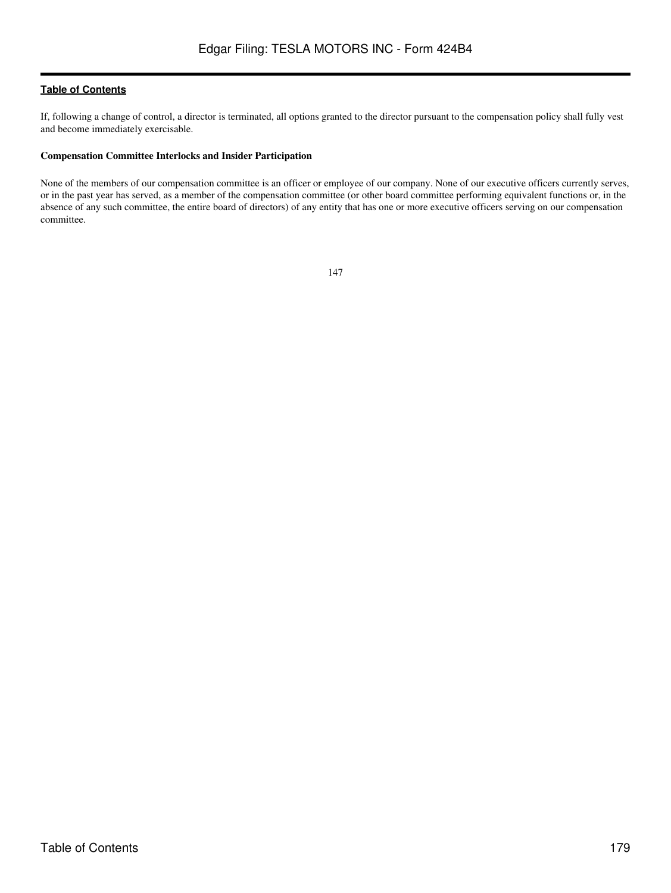If, following a change of control, a director is terminated, all options granted to the director pursuant to the compensation policy shall fully vest and become immediately exercisable.

# **Compensation Committee Interlocks and Insider Participation**

None of the members of our compensation committee is an officer or employee of our company. None of our executive officers currently serves, or in the past year has served, as a member of the compensation committee (or other board committee performing equivalent functions or, in the absence of any such committee, the entire board of directors) of any entity that has one or more executive officers serving on our compensation committee.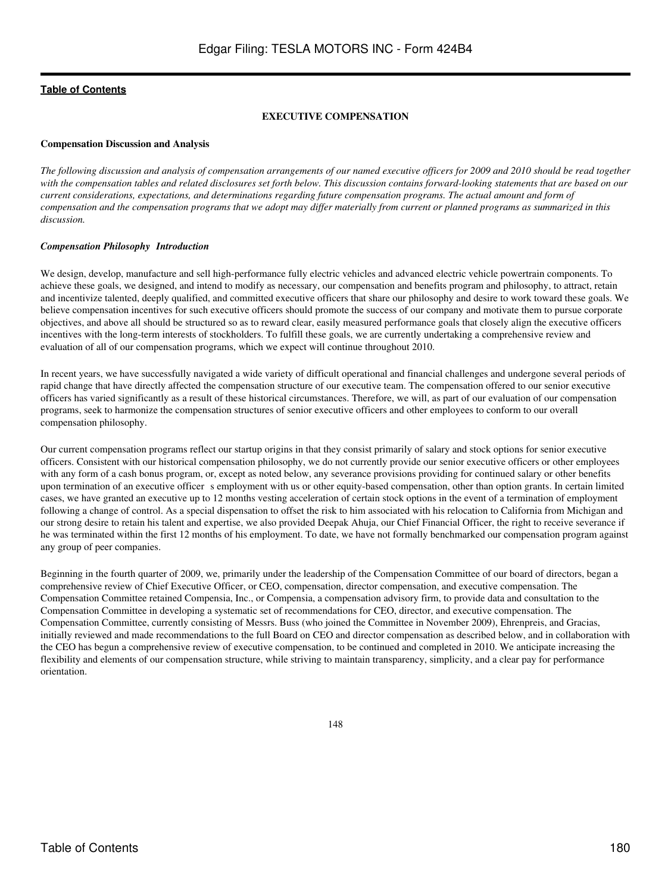### **EXECUTIVE COMPENSATION**

#### **Compensation Discussion and Analysis**

*The following discussion and analysis of compensation arrangements of our named executive officers for 2009 and 2010 should be read together with the compensation tables and related disclosures set forth below. This discussion contains forward-looking statements that are based on our current considerations, expectations, and determinations regarding future compensation programs. The actual amount and form of compensation and the compensation programs that we adopt may differ materially from current or planned programs as summarized in this discussion.*

#### *Compensation PhilosophyIntroduction*

We design, develop, manufacture and sell high-performance fully electric vehicles and advanced electric vehicle powertrain components. To achieve these goals, we designed, and intend to modify as necessary, our compensation and benefits program and philosophy, to attract, retain and incentivize talented, deeply qualified, and committed executive officers that share our philosophy and desire to work toward these goals. We believe compensation incentives for such executive officers should promote the success of our company and motivate them to pursue corporate objectives, and above all should be structured so as to reward clear, easily measured performance goals that closely align the executive officers incentives with the long-term interests of stockholders. To fulfill these goals, we are currently undertaking a comprehensive review and evaluation of all of our compensation programs, which we expect will continue throughout 2010.

In recent years, we have successfully navigated a wide variety of difficult operational and financial challenges and undergone several periods of rapid change that have directly affected the compensation structure of our executive team. The compensation offered to our senior executive officers has varied significantly as a result of these historical circumstances. Therefore, we will, as part of our evaluation of our compensation programs, seek to harmonize the compensation structures of senior executive officers and other employees to conform to our overall compensation philosophy.

Our current compensation programs reflect our startup origins in that they consist primarily of salary and stock options for senior executive officers. Consistent with our historical compensation philosophy, we do not currently provide our senior executive officers or other employees with any form of a cash bonus program, or, except as noted below, any severance provisions providing for continued salary or other benefits upon termination of an executive officer s employment with us or other equity-based compensation, other than option grants. In certain limited cases, we have granted an executive up to 12 months vesting acceleration of certain stock options in the event of a termination of employment following a change of control. As a special dispensation to offset the risk to him associated with his relocation to California from Michigan and our strong desire to retain his talent and expertise, we also provided Deepak Ahuja, our Chief Financial Officer, the right to receive severance if he was terminated within the first 12 months of his employment. To date, we have not formally benchmarked our compensation program against any group of peer companies.

Beginning in the fourth quarter of 2009, we, primarily under the leadership of the Compensation Committee of our board of directors, began a comprehensive review of Chief Executive Officer, or CEO, compensation, director compensation, and executive compensation. The Compensation Committee retained Compensia, Inc., or Compensia, a compensation advisory firm, to provide data and consultation to the Compensation Committee in developing a systematic set of recommendations for CEO, director, and executive compensation. The Compensation Committee, currently consisting of Messrs. Buss (who joined the Committee in November 2009), Ehrenpreis, and Gracias, initially reviewed and made recommendations to the full Board on CEO and director compensation as described below, and in collaboration with the CEO has begun a comprehensive review of executive compensation, to be continued and completed in 2010. We anticipate increasing the flexibility and elements of our compensation structure, while striving to maintain transparency, simplicity, and a clear pay for performance orientation.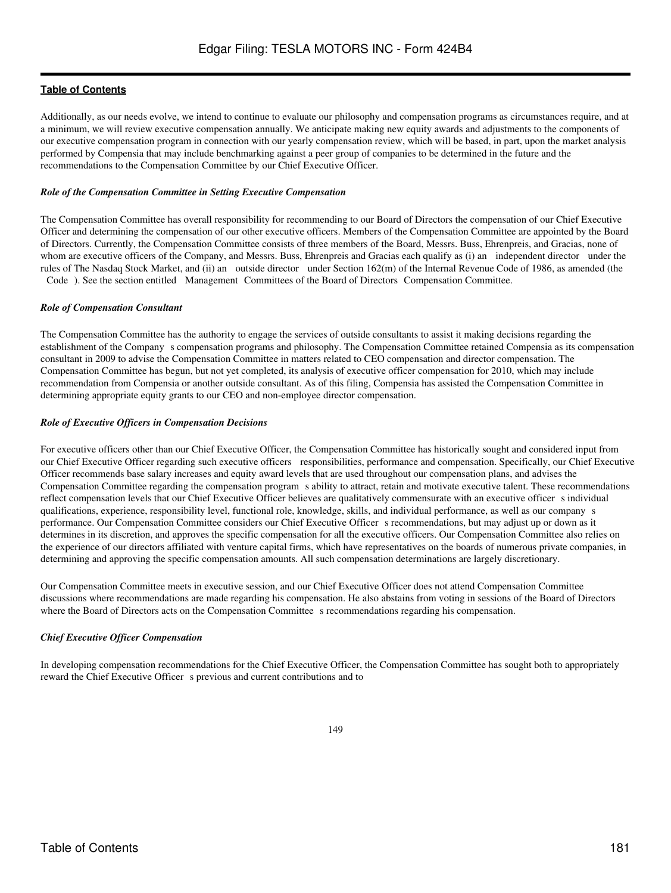Additionally, as our needs evolve, we intend to continue to evaluate our philosophy and compensation programs as circumstances require, and at a minimum, we will review executive compensation annually. We anticipate making new equity awards and adjustments to the components of our executive compensation program in connection with our yearly compensation review, which will be based, in part, upon the market analysis performed by Compensia that may include benchmarking against a peer group of companies to be determined in the future and the recommendations to the Compensation Committee by our Chief Executive Officer.

#### *Role of the Compensation Committee in Setting Executive Compensation*

The Compensation Committee has overall responsibility for recommending to our Board of Directors the compensation of our Chief Executive Officer and determining the compensation of our other executive officers. Members of the Compensation Committee are appointed by the Board of Directors. Currently, the Compensation Committee consists of three members of the Board, Messrs. Buss, Ehrenpreis, and Gracias, none of whom are executive officers of the Company, and Messrs. Buss, Ehrenpreis and Gracias each qualify as (i) an independent director under the rules of The Nasdaq Stock Market, and (ii) an outside director under Section 162(m) of the Internal Revenue Code of 1986, as amended (the Code). See the section entitled Management Committees of the Board of Directors Compensation Committee.

#### *Role of Compensation Consultant*

The Compensation Committee has the authority to engage the services of outside consultants to assist it making decisions regarding the establishment of the Companys compensation programs and philosophy. The Compensation Committee retained Compensia as its compensation consultant in 2009 to advise the Compensation Committee in matters related to CEO compensation and director compensation. The Compensation Committee has begun, but not yet completed, its analysis of executive officer compensation for 2010, which may include recommendation from Compensia or another outside consultant. As of this filing, Compensia has assisted the Compensation Committee in determining appropriate equity grants to our CEO and non-employee director compensation.

#### *Role of Executive Officers in Compensation Decisions*

For executive officers other than our Chief Executive Officer, the Compensation Committee has historically sought and considered input from our Chief Executive Officer regarding such executive officers responsibilities, performance and compensation. Specifically, our Chief Executive Officer recommends base salary increases and equity award levels that are used throughout our compensation plans, and advises the Compensation Committee regarding the compensation programs ability to attract, retain and motivate executive talent. These recommendations reflect compensation levels that our Chief Executive Officer believes are qualitatively commensurate with an executive officer s individual qualifications, experience, responsibility level, functional role, knowledge, skills, and individual performance, as well as our companys performance. Our Compensation Committee considers our Chief Executive Officers recommendations, but may adjust up or down as it determines in its discretion, and approves the specific compensation for all the executive officers. Our Compensation Committee also relies on the experience of our directors affiliated with venture capital firms, which have representatives on the boards of numerous private companies, in determining and approving the specific compensation amounts. All such compensation determinations are largely discretionary.

Our Compensation Committee meets in executive session, and our Chief Executive Officer does not attend Compensation Committee discussions where recommendations are made regarding his compensation. He also abstains from voting in sessions of the Board of Directors where the Board of Directors acts on the Compensation Committee s recommendations regarding his compensation.

## *Chief Executive Officer Compensation*

In developing compensation recommendations for the Chief Executive Officer, the Compensation Committee has sought both to appropriately reward the Chief Executive Officer s previous and current contributions and to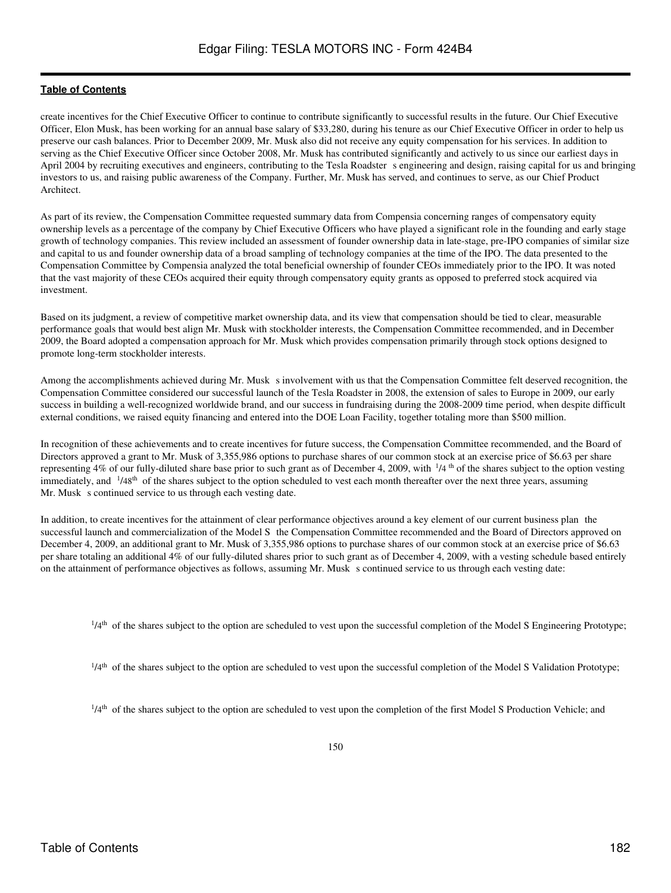create incentives for the Chief Executive Officer to continue to contribute significantly to successful results in the future. Our Chief Executive Officer, Elon Musk, has been working for an annual base salary of \$33,280, during his tenure as our Chief Executive Officer in order to help us preserve our cash balances. Prior to December 2009, Mr. Musk also did not receive any equity compensation for his services. In addition to serving as the Chief Executive Officer since October 2008, Mr. Musk has contributed significantly and actively to us since our earliest days in April 2004 by recruiting executives and engineers, contributing to the Tesla Roadster s engineering and design, raising capital for us and bringing investors to us, and raising public awareness of the Company. Further, Mr. Musk has served, and continues to serve, as our Chief Product Architect.

As part of its review, the Compensation Committee requested summary data from Compensia concerning ranges of compensatory equity ownership levels as a percentage of the company by Chief Executive Officers who have played a significant role in the founding and early stage growth of technology companies. This review included an assessment of founder ownership data in late-stage, pre-IPO companies of similar size and capital to us and founder ownership data of a broad sampling of technology companies at the time of the IPO. The data presented to the Compensation Committee by Compensia analyzed the total beneficial ownership of founder CEOs immediately prior to the IPO. It was noted that the vast majority of these CEOs acquired their equity through compensatory equity grants as opposed to preferred stock acquired via investment.

Based on its judgment, a review of competitive market ownership data, and its view that compensation should be tied to clear, measurable performance goals that would best align Mr. Musk with stockholder interests, the Compensation Committee recommended, and in December 2009, the Board adopted a compensation approach for Mr. Musk which provides compensation primarily through stock options designed to promote long-term stockholder interests.

Among the accomplishments achieved during Mr. Musk s involvement with us that the Compensation Committee felt deserved recognition, the Compensation Committee considered our successful launch of the Tesla Roadster in 2008, the extension of sales to Europe in 2009, our early success in building a well-recognized worldwide brand, and our success in fundraising during the 2008-2009 time period, when despite difficult external conditions, we raised equity financing and entered into the DOE Loan Facility, together totaling more than \$500 million.

In recognition of these achievements and to create incentives for future success, the Compensation Committee recommended, and the Board of Directors approved a grant to Mr. Musk of 3,355,986 options to purchase shares of our common stock at an exercise price of \$6.63 per share representing 4% of our fully-diluted share base prior to such grant as of December 4, 2009, with  $\frac{1}{4}$ <sup>th</sup> of the shares subject to the option vesting immediately, and  $1/48<sup>th</sup>$  of the shares subject to the option scheduled to vest each month thereafter over the next three years, assuming Mr. Musk s continued service to us through each vesting date.

In addition, to create incentives for the attainment of clear performance objectives around a key element of our current business plan the successful launch and commercialization of the Model S the Compensation Committee recommended and the Board of Directors approved on December 4, 2009, an additional grant to Mr. Musk of 3,355,986 options to purchase shares of our common stock at an exercise price of \$6.63 per share totaling an additional 4% of our fully-diluted shares prior to such grant as of December 4, 2009, with a vesting schedule based entirely on the attainment of performance objectives as follows, assuming Mr. Musk s continued service to us through each vesting date:

<sup>1</sup>/4<sup>th</sup> of the shares subject to the option are scheduled to vest upon the successful completion of the Model S Engineering Prototype;

<sup>1</sup>/4<sup>th</sup> of the shares subject to the option are scheduled to vest upon the successful completion of the Model S Validation Prototype;

<sup>1</sup>/4<sup>th</sup> of the shares subject to the option are scheduled to vest upon the completion of the first Model S Production Vehicle; and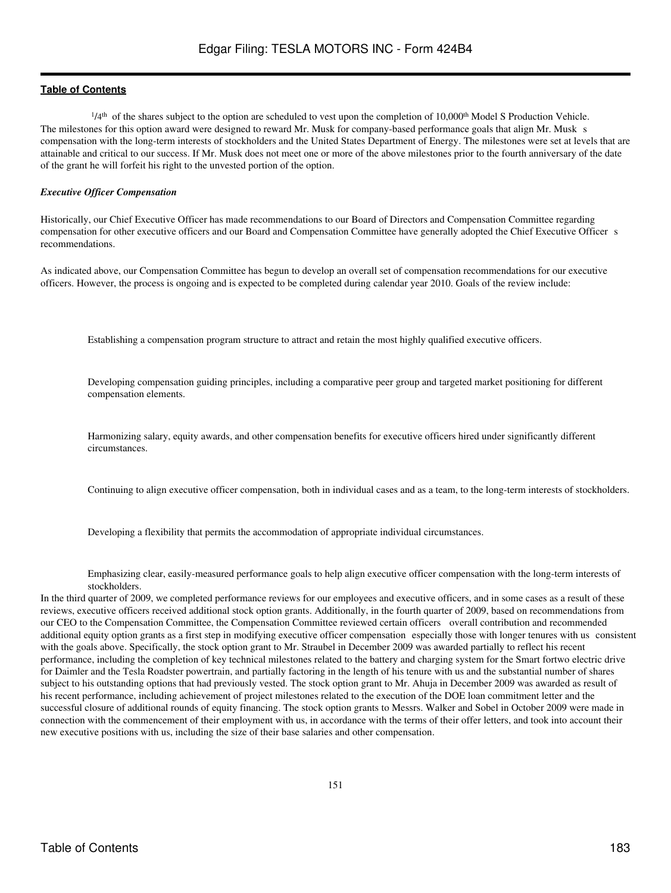<sup>1</sup>/4<sup>th</sup> of the shares subject to the option are scheduled to vest upon the completion of 10,000<sup>th</sup> Model S Production Vehicle. The milestones for this option award were designed to reward Mr. Musk for company-based performance goals that align Mr. Musk s compensation with the long-term interests of stockholders and the United States Department of Energy. The milestones were set at levels that are attainable and critical to our success. If Mr. Musk does not meet one or more of the above milestones prior to the fourth anniversary of the date of the grant he will forfeit his right to the unvested portion of the option.

#### *Executive Officer Compensation*

Historically, our Chief Executive Officer has made recommendations to our Board of Directors and Compensation Committee regarding compensation for other executive officers and our Board and Compensation Committee have generally adopted the Chief Executive Officers recommendations.

As indicated above, our Compensation Committee has begun to develop an overall set of compensation recommendations for our executive officers. However, the process is ongoing and is expected to be completed during calendar year 2010. Goals of the review include:

Establishing a compensation program structure to attract and retain the most highly qualified executive officers.

Developing compensation guiding principles, including a comparative peer group and targeted market positioning for different compensation elements.

Harmonizing salary, equity awards, and other compensation benefits for executive officers hired under significantly different circumstances.

Continuing to align executive officer compensation, both in individual cases and as a team, to the long-term interests of stockholders.

Developing a flexibility that permits the accommodation of appropriate individual circumstances.

Emphasizing clear, easily-measured performance goals to help align executive officer compensation with the long-term interests of stockholders.

In the third quarter of 2009, we completed performance reviews for our employees and executive officers, and in some cases as a result of these reviews, executive officers received additional stock option grants. Additionally, in the fourth quarter of 2009, based on recommendations from our CEO to the Compensation Committee, the Compensation Committee reviewed certain officers overall contribution and recommended additional equity option grants as a first step in modifying executive officer compensation especially those with longer tenures with us consistent with the goals above. Specifically, the stock option grant to Mr. Straubel in December 2009 was awarded partially to reflect his recent performance, including the completion of key technical milestones related to the battery and charging system for the Smart fortwo electric drive for Daimler and the Tesla Roadster powertrain, and partially factoring in the length of his tenure with us and the substantial number of shares subject to his outstanding options that had previously vested. The stock option grant to Mr. Ahuja in December 2009 was awarded as result of his recent performance, including achievement of project milestones related to the execution of the DOE loan commitment letter and the successful closure of additional rounds of equity financing. The stock option grants to Messrs. Walker and Sobel in October 2009 were made in connection with the commencement of their employment with us, in accordance with the terms of their offer letters, and took into account their new executive positions with us, including the size of their base salaries and other compensation.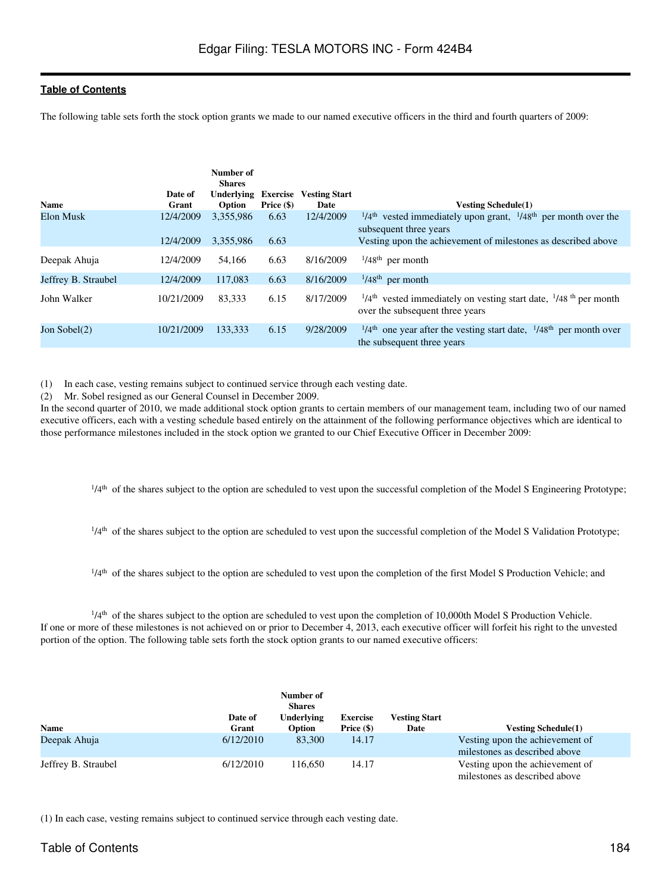The following table sets forth the stock option grants we made to our named executive officers in the third and fourth quarters of 2009:

|                     |                        | Number of<br><b>Shares</b> |                                 |                              |                                                                                                                                                                                       |
|---------------------|------------------------|----------------------------|---------------------------------|------------------------------|---------------------------------------------------------------------------------------------------------------------------------------------------------------------------------------|
| <b>Name</b>         | Date of<br>Grant       | Underlying<br>Option       | <b>Exercise</b><br>Price $(\$)$ | <b>Vesting Start</b><br>Date | <b>Vesting Schedule(1)</b>                                                                                                                                                            |
| <b>Elon Musk</b>    | 12/4/2009<br>12/4/2009 | 3,355,986<br>3,355,986     | 6.63<br>6.63                    | 12/4/2009                    | $1/4$ <sup>th</sup> vested immediately upon grant, $1/48$ <sup>th</sup> per month over the<br>subsequent three years<br>Vesting upon the achievement of milestones as described above |
| Deepak Ahuja        | 12/4/2009              | 54,166                     | 6.63                            | 8/16/2009                    | $1/48$ <sup>th</sup> per month                                                                                                                                                        |
| Jeffrey B. Straubel | 12/4/2009              | 117,083                    | 6.63                            | 8/16/2009                    | $1/48$ <sup>th</sup> per month                                                                                                                                                        |
| John Walker         | 10/21/2009             | 83,333                     | 6.15                            | 8/17/2009                    | $\frac{1}{4}$ <sup>th</sup> vested immediately on vesting start date, $\frac{1}{48}$ <sup>th</sup> per month<br>over the subsequent three years                                       |
| Jon Sobel(2)        | 10/21/2009             | 133,333                    | 6.15                            | 9/28/2009                    | $\frac{1}{4}$ one year after the vesting start date, $\frac{1}{48}$ per month over<br>the subsequent three years                                                                      |

(1) In each case, vesting remains subject to continued service through each vesting date.

(2) Mr. Sobel resigned as our General Counsel in December 2009.

In the second quarter of 2010, we made additional stock option grants to certain members of our management team, including two of our named executive officers, each with a vesting schedule based entirely on the attainment of the following performance objectives which are identical to those performance milestones included in the stock option we granted to our Chief Executive Officer in December 2009:

<sup>1</sup>/4<sup>th</sup> of the shares subject to the option are scheduled to vest upon the successful completion of the Model S Engineering Prototype;

<sup>1</sup>/4<sup>th</sup> of the shares subject to the option are scheduled to vest upon the successful completion of the Model S Validation Prototype;

<sup>1</sup>/4<sup>th</sup> of the shares subject to the option are scheduled to vest upon the completion of the first Model S Production Vehicle; and

<sup>1</sup>/4<sup>th</sup> of the shares subject to the option are scheduled to vest upon the completion of 10,000th Model S Production Vehicle. If one or more of these milestones is not achieved on or prior to December 4, 2013, each executive officer will forfeit his right to the unvested portion of the option. The following table sets forth the stock option grants to our named executive officers:

| <b>Name</b>         | Date of<br>Grant | Number of<br><b>Shares</b><br><b>Underlying</b><br>Option | <b>Exercise</b><br>Price $(\$)$ | <b>Vesting Start</b><br>Date | <b>Vesting Schedule(1)</b>                                       |
|---------------------|------------------|-----------------------------------------------------------|---------------------------------|------------------------------|------------------------------------------------------------------|
| Deepak Ahuja        | 6/12/2010        | 83,300                                                    | 14.17                           |                              | Vesting upon the achievement of<br>milestones as described above |
| Jeffrey B. Straubel | 6/12/2010        | 116,650                                                   | 14.17                           |                              | Vesting upon the achievement of<br>milestones as described above |

(1) In each case, vesting remains subject to continued service through each vesting date.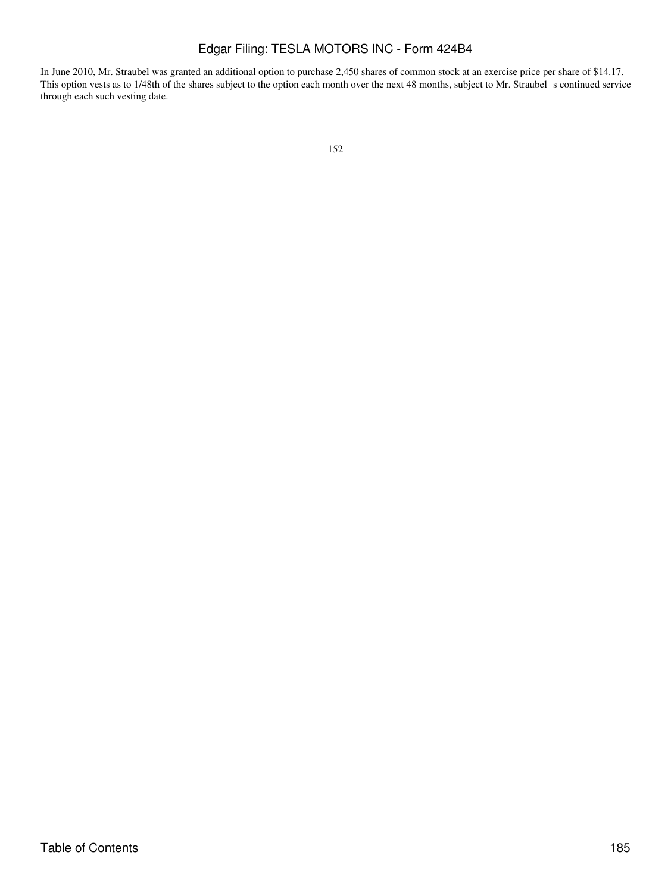## Edgar Filing: TESLA MOTORS INC - Form 424B4

In June 2010, Mr. Straubel was granted an additional option to purchase 2,450 shares of common stock at an exercise price per share of \$14.17. This option vests as to 1/48th of the shares subject to the option each month over the next 48 months, subject to Mr. Straubel s continued service through each such vesting date.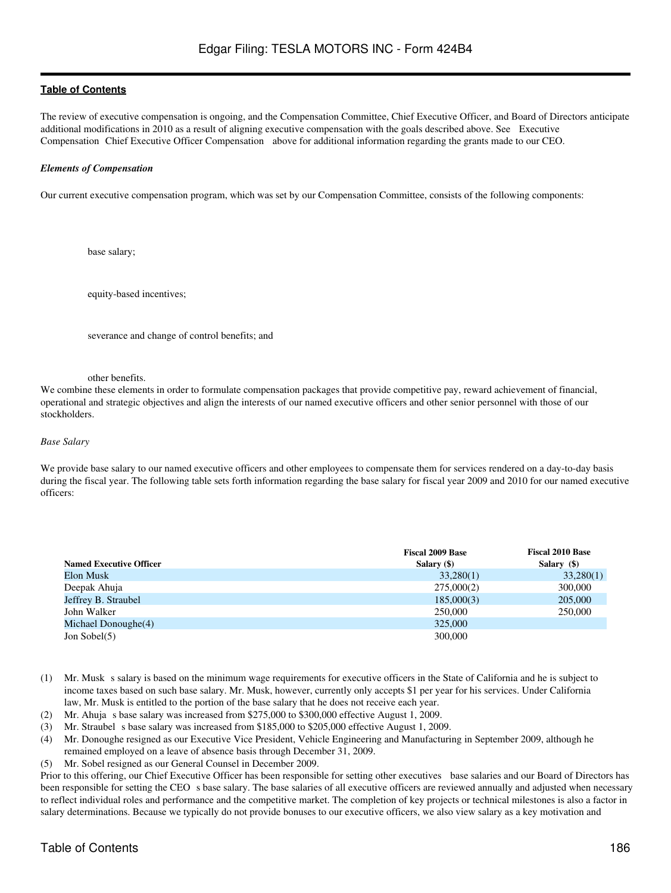The review of executive compensation is ongoing, and the Compensation Committee, Chief Executive Officer, and Board of Directors anticipate additional modifications in 2010 as a result of aligning executive compensation with the goals described above. See Executive Compensation Chief Executive Officer Compensation above for additional information regarding the grants made to our CEO.

#### *Elements of Compensation*

Our current executive compensation program, which was set by our Compensation Committee, consists of the following components:

base salary;

equity-based incentives;

severance and change of control benefits; and

other benefits.

We combine these elements in order to formulate compensation packages that provide competitive pay, reward achievement of financial, operational and strategic objectives and align the interests of our named executive officers and other senior personnel with those of our stockholders.

#### *Base Salary*

We provide base salary to our named executive officers and other employees to compensate them for services rendered on a day-to-day basis during the fiscal year. The following table sets forth information regarding the base salary for fiscal year 2009 and 2010 for our named executive officers:

|                                | <b>Fiscal 2009 Base</b> | <b>Fiscal 2010 Base</b> |
|--------------------------------|-------------------------|-------------------------|
| <b>Named Executive Officer</b> | Salary (\$)             | Salary (\$)             |
| Elon Musk                      | 33,280(1)               | 33,280(1)               |
| Deepak Ahuja                   | 275,000(2)              | 300,000                 |
| Jeffrey B. Straubel            | 185,000(3)              | 205,000                 |
| John Walker                    | 250,000                 | 250,000                 |
| Michael Donoughe(4)            | 325,000                 |                         |
| Jon Sobel $(5)$                | 300,000                 |                         |

- (1) Mr. Musks salary is based on the minimum wage requirements for executive officers in the State of California and he is subject to income taxes based on such base salary. Mr. Musk, however, currently only accepts \$1 per year for his services. Under California law, Mr. Musk is entitled to the portion of the base salary that he does not receive each year.
- (2) Mr. Ahujas base salary was increased from \$275,000 to \$300,000 effective August 1, 2009.
- (3) Mr. Straubel s base salary was increased from \$185,000 to \$205,000 effective August 1, 2009.
- (4) Mr. Donoughe resigned as our Executive Vice President, Vehicle Engineering and Manufacturing in September 2009, although he remained employed on a leave of absence basis through December 31, 2009.
- (5) Mr. Sobel resigned as our General Counsel in December 2009.

Prior to this offering, our Chief Executive Officer has been responsible for setting other executives base salaries and our Board of Directors has been responsible for setting the CEO s base salary. The base salaries of all executive officers are reviewed annually and adjusted when necessary to reflect individual roles and performance and the competitive market. The completion of key projects or technical milestones is also a factor in salary determinations. Because we typically do not provide bonuses to our executive officers, we also view salary as a key motivation and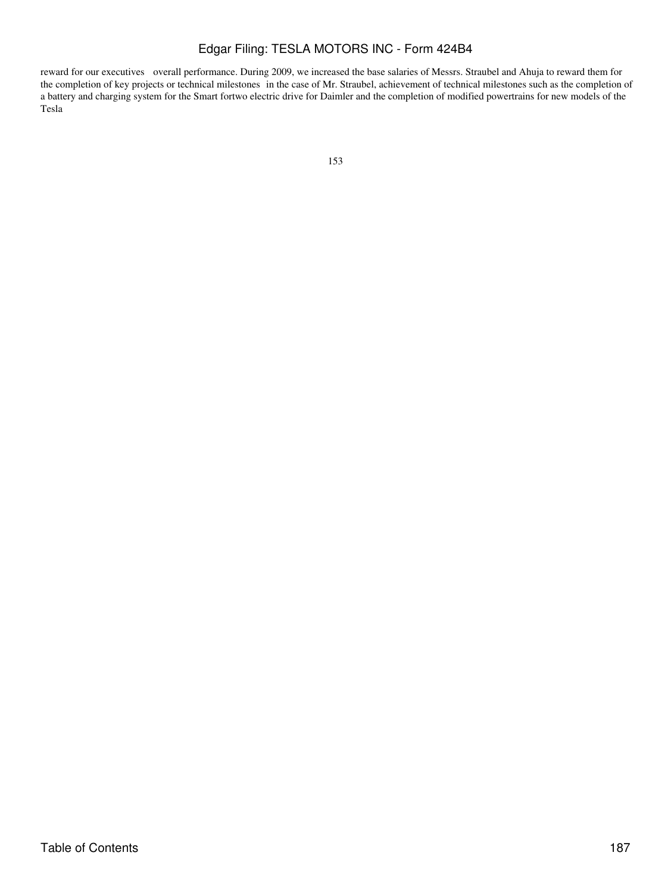## Edgar Filing: TESLA MOTORS INC - Form 424B4

reward for our executives overall performance. During 2009, we increased the base salaries of Messrs. Straubel and Ahuja to reward them for the completion of key projects or technical milestones in the case of Mr. Straubel, achievement of technical milestones such as the completion of a battery and charging system for the Smart fortwo electric drive for Daimler and the completion of modified powertrains for new models of the Tesla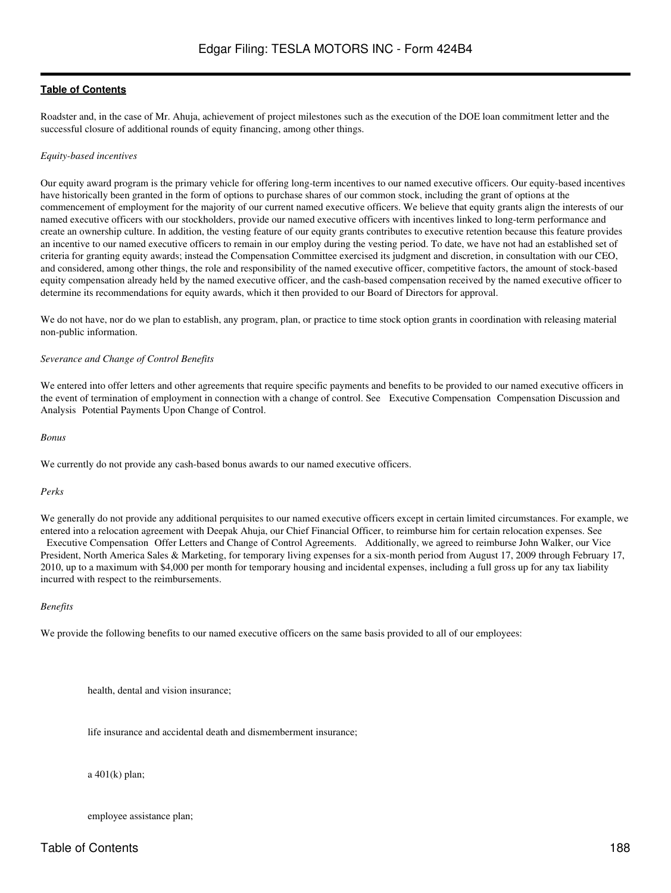Roadster and, in the case of Mr. Ahuja, achievement of project milestones such as the execution of the DOE loan commitment letter and the successful closure of additional rounds of equity financing, among other things.

#### *Equity-based incentives*

Our equity award program is the primary vehicle for offering long-term incentives to our named executive officers. Our equity-based incentives have historically been granted in the form of options to purchase shares of our common stock, including the grant of options at the commencement of employment for the majority of our current named executive officers. We believe that equity grants align the interests of our named executive officers with our stockholders, provide our named executive officers with incentives linked to long-term performance and create an ownership culture. In addition, the vesting feature of our equity grants contributes to executive retention because this feature provides an incentive to our named executive officers to remain in our employ during the vesting period. To date, we have not had an established set of criteria for granting equity awards; instead the Compensation Committee exercised its judgment and discretion, in consultation with our CEO, and considered, among other things, the role and responsibility of the named executive officer, competitive factors, the amount of stock-based equity compensation already held by the named executive officer, and the cash-based compensation received by the named executive officer to determine its recommendations for equity awards, which it then provided to our Board of Directors for approval.

We do not have, nor do we plan to establish, any program, plan, or practice to time stock option grants in coordination with releasing material non-public information.

#### *Severance and Change of Control Benefits*

We entered into offer letters and other agreements that require specific payments and benefits to be provided to our named executive officers in the event of termination of employment in connection with a change of control. See Executive Compensation Compensation Discussion and Analysis Potential Payments Upon Change of Control.

*Bonus*

We currently do not provide any cash-based bonus awards to our named executive officers.

#### *Perks*

We generally do not provide any additional perquisites to our named executive officers except in certain limited circumstances. For example, we entered into a relocation agreement with Deepak Ahuja, our Chief Financial Officer, to reimburse him for certain relocation expenses. See

Executive Compensation Offer Letters and Change of Control Agreements. Additionally, we agreed to reimburse John Walker, our Vice President, North America Sales & Marketing, for temporary living expenses for a six-month period from August 17, 2009 through February 17, 2010, up to a maximum with \$4,000 per month for temporary housing and incidental expenses, including a full gross up for any tax liability incurred with respect to the reimbursements.

## *Benefits*

We provide the following benefits to our named executive officers on the same basis provided to all of our employees:

health, dental and vision insurance;

life insurance and accidental death and dismemberment insurance;

a 401(k) plan;

employee assistance plan;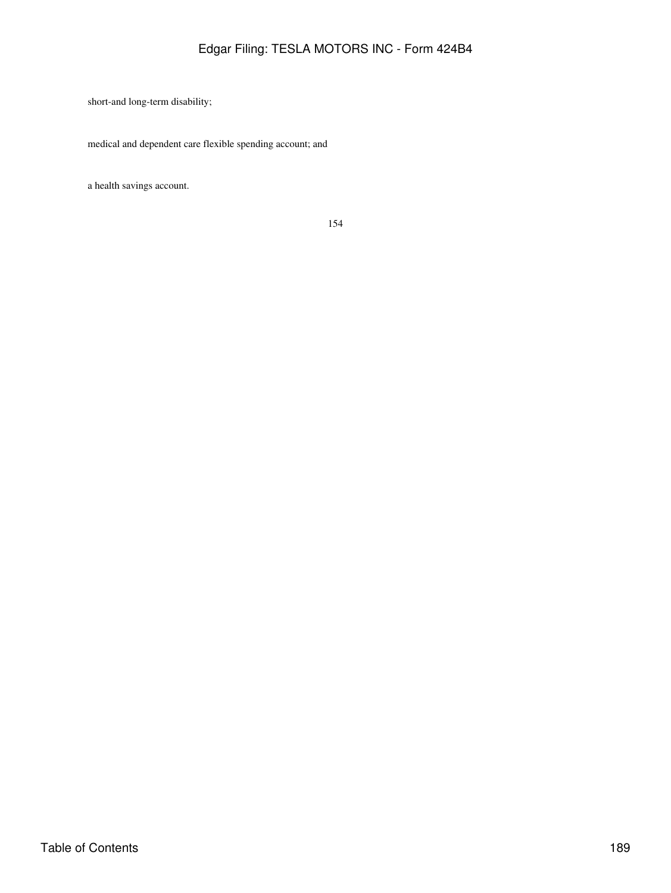## Edgar Filing: TESLA MOTORS INC - Form 424B4

short-and long-term disability;

medical and dependent care flexible spending account; and

a health savings account.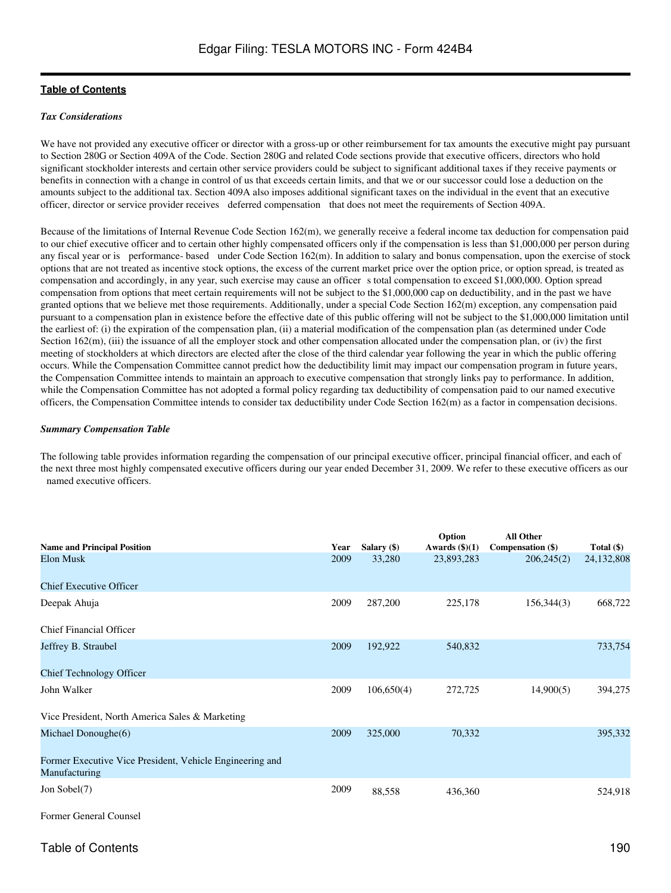#### *Tax Considerations*

We have not provided any executive officer or director with a gross-up or other reimbursement for tax amounts the executive might pay pursuant to Section 280G or Section 409A of the Code. Section 280G and related Code sections provide that executive officers, directors who hold significant stockholder interests and certain other service providers could be subject to significant additional taxes if they receive payments or benefits in connection with a change in control of us that exceeds certain limits, and that we or our successor could lose a deduction on the amounts subject to the additional tax. Section 409A also imposes additional significant taxes on the individual in the event that an executive officer, director or service provider receives deferred compensation that does not meet the requirements of Section 409A.

Because of the limitations of Internal Revenue Code Section 162(m), we generally receive a federal income tax deduction for compensation paid to our chief executive officer and to certain other highly compensated officers only if the compensation is less than \$1,000,000 per person during any fiscal year or is performance- based under Code Section 162(m). In addition to salary and bonus compensation, upon the exercise of stock options that are not treated as incentive stock options, the excess of the current market price over the option price, or option spread, is treated as compensation and accordingly, in any year, such exercise may cause an officer s total compensation to exceed \$1,000,000. Option spread compensation from options that meet certain requirements will not be subject to the \$1,000,000 cap on deductibility, and in the past we have granted options that we believe met those requirements. Additionally, under a special Code Section 162(m) exception, any compensation paid pursuant to a compensation plan in existence before the effective date of this public offering will not be subject to the \$1,000,000 limitation until the earliest of: (i) the expiration of the compensation plan, (ii) a material modification of the compensation plan (as determined under Code Section 162(m), (iii) the issuance of all the employer stock and other compensation allocated under the compensation plan, or (iv) the first meeting of stockholders at which directors are elected after the close of the third calendar year following the year in which the public offering occurs. While the Compensation Committee cannot predict how the deductibility limit may impact our compensation program in future years, the Compensation Committee intends to maintain an approach to executive compensation that strongly links pay to performance. In addition, while the Compensation Committee has not adopted a formal policy regarding tax deductibility of compensation paid to our named executive officers, the Compensation Committee intends to consider tax deductibility under Code Section 162(m) as a factor in compensation decisions.

#### *Summary Compensation Table*

The following table provides information regarding the compensation of our principal executive officer, principal financial officer, and each of the next three most highly compensated executive officers during our year ended December 31, 2009. We refer to these executive officers as our named executive officers.

| <b>Name and Principal Position</b>                                        | Year | Salary $(\$)$ | Option<br>Awards $(\text{$}0)(1)$ | <b>All Other</b><br>Compensation (\$) | Total $(\$)$ |
|---------------------------------------------------------------------------|------|---------------|-----------------------------------|---------------------------------------|--------------|
| <b>Elon Musk</b>                                                          | 2009 | 33,280        | 23,893,283                        | 206,245(2)                            | 24,132,808   |
| <b>Chief Executive Officer</b>                                            |      |               |                                   |                                       |              |
| Deepak Ahuja                                                              | 2009 | 287,200       | 225,178                           | 156,344(3)                            | 668,722      |
| <b>Chief Financial Officer</b>                                            |      |               |                                   |                                       |              |
| Jeffrey B. Straubel                                                       | 2009 | 192,922       | 540,832                           |                                       | 733,754      |
| <b>Chief Technology Officer</b>                                           |      |               |                                   |                                       |              |
| John Walker                                                               | 2009 | 106,650(4)    | 272,725                           | 14,900(5)                             | 394,275      |
| Vice President, North America Sales & Marketing                           |      |               |                                   |                                       |              |
| Michael Donoughe(6)                                                       | 2009 | 325,000       | 70,332                            |                                       | 395,332      |
| Former Executive Vice President, Vehicle Engineering and<br>Manufacturing |      |               |                                   |                                       |              |
| Jon Sobel(7)<br>$\sim$ $\sim$ $\sim$ $\sim$                               | 2009 | 88,558        | 436,360                           |                                       | 524,918      |

## Former General Counsel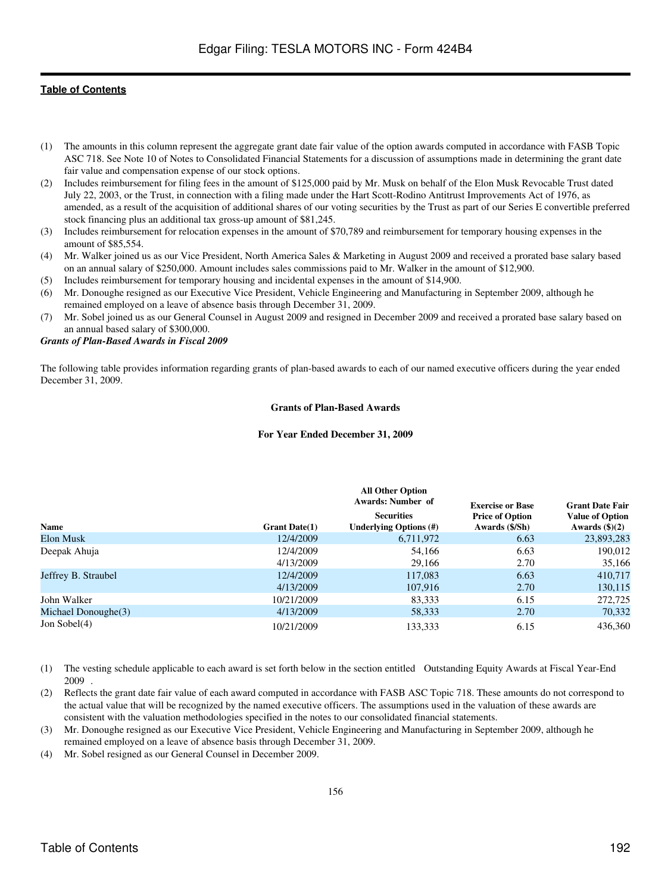- (1) The amounts in this column represent the aggregate grant date fair value of the option awards computed in accordance with FASB Topic ASC 718. See Note 10 of Notes to Consolidated Financial Statements for a discussion of assumptions made in determining the grant date fair value and compensation expense of our stock options.
- (2) Includes reimbursement for filing fees in the amount of \$125,000 paid by Mr. Musk on behalf of the Elon Musk Revocable Trust dated July 22, 2003, or the Trust, in connection with a filing made under the Hart Scott-Rodino Antitrust Improvements Act of 1976, as amended, as a result of the acquisition of additional shares of our voting securities by the Trust as part of our Series E convertible preferred stock financing plus an additional tax gross-up amount of \$81,245.
- (3) Includes reimbursement for relocation expenses in the amount of \$70,789 and reimbursement for temporary housing expenses in the amount of \$85,554.
- (4) Mr. Walker joined us as our Vice President, North America Sales & Marketing in August 2009 and received a prorated base salary based on an annual salary of \$250,000. Amount includes sales commissions paid to Mr. Walker in the amount of \$12,900.
- (5) Includes reimbursement for temporary housing and incidental expenses in the amount of \$14,900.
- (6) Mr. Donoughe resigned as our Executive Vice President, Vehicle Engineering and Manufacturing in September 2009, although he remained employed on a leave of absence basis through December 31, 2009.
- (7) Mr. Sobel joined us as our General Counsel in August 2009 and resigned in December 2009 and received a prorated base salary based on an annual based salary of \$300,000.

#### *Grants of Plan-Based Awards in Fiscal 2009*

The following table provides information regarding grants of plan-based awards to each of our named executive officers during the year ended December 31, 2009.

#### **Grants of Plan-Based Awards**

#### **For Year Ended December 31, 2009**

|                     |                      | <b>All Other Option</b><br><b>Awards: Number of</b> | <b>Exercise or Base</b> | <b>Grant Date Fair</b> |
|---------------------|----------------------|-----------------------------------------------------|-------------------------|------------------------|
|                     |                      | <b>Securities</b>                                   | <b>Price of Option</b>  | <b>Value of Option</b> |
| <b>Name</b>         | <b>Grant Date(1)</b> | <b>Underlying Options (#)</b>                       | Awards (\$/Sh)          | Awards $(\frac{6}{2})$ |
| <b>Elon Musk</b>    | 12/4/2009            | 6,711,972                                           | 6.63                    | 23,893,283             |
| Deepak Ahuja        | 12/4/2009            | 54,166                                              | 6.63                    | 190,012                |
|                     | 4/13/2009            | 29.166                                              | 2.70                    | 35,166                 |
| Jeffrey B. Straubel | 12/4/2009            | 117,083                                             | 6.63                    | 410,717                |
|                     | 4/13/2009            | 107.916                                             | 2.70                    | 130,115                |
| John Walker         | 10/21/2009           | 83,333                                              | 6.15                    | 272,725                |
| Michael Donoughe(3) | 4/13/2009            | 58,333                                              | 2.70                    | 70,332                 |
| Jon Sobel(4)        | 10/21/2009           | 133,333                                             | 6.15                    | 436,360                |

(1) The vesting schedule applicable to each award is set forth below in the section entitled Outstanding Equity Awards at Fiscal Year-End 2009.

- (3) Mr. Donoughe resigned as our Executive Vice President, Vehicle Engineering and Manufacturing in September 2009, although he remained employed on a leave of absence basis through December 31, 2009.
- (4) Mr. Sobel resigned as our General Counsel in December 2009.

<sup>(2)</sup> Reflects the grant date fair value of each award computed in accordance with FASB ASC Topic 718. These amounts do not correspond to the actual value that will be recognized by the named executive officers. The assumptions used in the valuation of these awards are consistent with the valuation methodologies specified in the notes to our consolidated financial statements.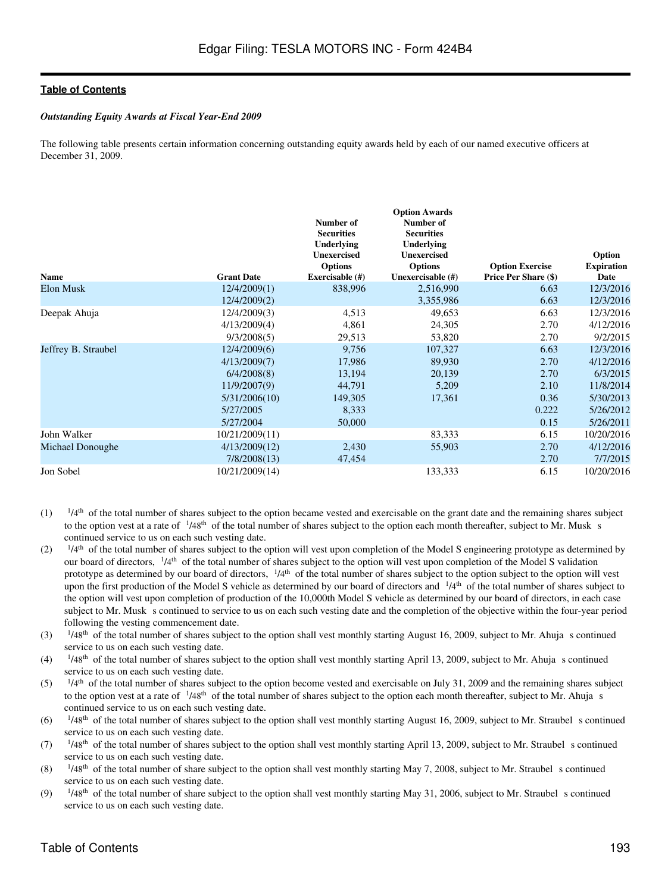#### *Outstanding Equity Awards at Fiscal Year-End 2009*

The following table presents certain information concerning outstanding equity awards held by each of our named executive officers at December 31, 2009.

| <b>Name</b>         | <b>Grant Date</b> | Number of<br><b>Securities</b><br>Underlying<br><b>Unexercised</b><br><b>Options</b><br>Exercisable (#) | <b>Option Awards</b><br>Number of<br><b>Securities</b><br><b>Underlying</b><br><b>Unexercised</b><br><b>Options</b><br>Unexercisable (#) | <b>Option Exercise</b><br><b>Price Per Share (\$)</b> | Option<br><b>Expiration</b><br>Date |
|---------------------|-------------------|---------------------------------------------------------------------------------------------------------|------------------------------------------------------------------------------------------------------------------------------------------|-------------------------------------------------------|-------------------------------------|
| <b>Elon Musk</b>    | 12/4/2009(1)      | 838,996                                                                                                 | 2,516,990                                                                                                                                | 6.63                                                  | 12/3/2016                           |
|                     | 12/4/2009(2)      |                                                                                                         | 3,355,986                                                                                                                                | 6.63                                                  | 12/3/2016                           |
| Deepak Ahuja        | 12/4/2009(3)      | 4,513                                                                                                   | 49,653                                                                                                                                   | 6.63                                                  | 12/3/2016                           |
|                     | 4/13/2009(4)      | 4,861                                                                                                   | 24,305                                                                                                                                   | 2.70                                                  | 4/12/2016                           |
|                     | 9/3/2008(5)       | 29,513                                                                                                  | 53,820                                                                                                                                   | 2.70                                                  | 9/2/2015                            |
| Jeffrey B. Straubel | 12/4/2009(6)      | 9,756                                                                                                   | 107,327                                                                                                                                  | 6.63                                                  | 12/3/2016                           |
|                     | 4/13/2009(7)      | 17,986                                                                                                  | 89,930                                                                                                                                   | 2.70                                                  | 4/12/2016                           |
|                     | 6/4/2008(8)       | 13,194                                                                                                  | 20,139                                                                                                                                   | 2.70                                                  | 6/3/2015                            |
|                     | 11/9/2007(9)      | 44,791                                                                                                  | 5,209                                                                                                                                    | 2.10                                                  | 11/8/2014                           |
|                     | 5/31/2006(10)     | 149,305                                                                                                 | 17,361                                                                                                                                   | 0.36                                                  | 5/30/2013                           |
|                     | 5/27/2005         | 8,333                                                                                                   |                                                                                                                                          | 0.222                                                 | 5/26/2012                           |
|                     | 5/27/2004         | 50,000                                                                                                  |                                                                                                                                          | 0.15                                                  | 5/26/2011                           |
| John Walker         | 10/21/2009(11)    |                                                                                                         | 83,333                                                                                                                                   | 6.15                                                  | 10/20/2016                          |
| Michael Donoughe    | 4/13/2009(12)     | 2,430                                                                                                   | 55,903                                                                                                                                   | 2.70                                                  | 4/12/2016                           |
|                     | 7/8/2008(13)      | 47,454                                                                                                  |                                                                                                                                          | 2.70                                                  | 7/7/2015                            |
| Jon Sobel           | 10/21/2009(14)    |                                                                                                         | 133,333                                                                                                                                  | 6.15                                                  | 10/20/2016                          |

- $(1)$  $1/4<sup>th</sup>$  of the total number of shares subject to the option became vested and exercisable on the grant date and the remaining shares subject to the option vest at a rate of  $1/48<sup>th</sup>$  of the total number of shares subject to the option each month thereafter, subject to Mr. Musk s continued service to us on each such vesting date.
- $(2)$  <sup>1</sup>/4<sup>th</sup> of the total number of shares subject to the option will vest upon completion of the Model S engineering prototype as determined by our board of directors,  $\frac{1}{4}$ <sup>th</sup> of the total number of shares subject to the option will vest upon completion of the Model S validation prototype as determined by our board of directors,  $1/4$ <sup>th</sup> of the total number of shares subject to the option subject to the option will vest upon the first production of the Model S vehicle as determined by our board of directors and  $1/4<sup>th</sup>$  of the total number of shares subject to the option will vest upon completion of production of the 10,000th Model S vehicle as determined by our board of directors, in each case subject to Mr. Musk s continued to service to us on each such vesting date and the completion of the objective within the four-year period following the vesting commencement date.
- $(3)$ <sup>1</sup>/48<sup>th</sup> of the total number of shares subject to the option shall vest monthly starting August 16, 2009, subject to Mr. Ahuja s continued service to us on each such vesting date.
- $(4)$ <sup>1</sup>/48<sup>th</sup> of the total number of shares subject to the option shall vest monthly starting April 13, 2009, subject to Mr. Ahuja s continued service to us on each such vesting date.
- $(5)$  <sup>1</sup>/4<sup>th</sup> of the total number of shares subject to the option become vested and exercisable on July 31, 2009 and the remaining shares subject to the option vest at a rate of  $1/48<sup>th</sup>$  of the total number of shares subject to the option each month thereafter, subject to Mr. Ahuja s continued service to us on each such vesting date.
- $(6)$ <sup> $1/48$ th of the total number of shares subject to the option shall vest monthly starting August 16, 2009, subject to Mr. Straubel s continued</sup> service to us on each such vesting date.
- $(7)$ <sup>1</sup>/48<sup>th</sup> of the total number of shares subject to the option shall vest monthly starting April 13, 2009, subject to Mr. Straubel s continued service to us on each such vesting date.
- $(8)$ <sup>1</sup>/48<sup>th</sup> of the total number of share subject to the option shall vest monthly starting May 7, 2008, subject to Mr. Straubel s continued service to us on each such vesting date.
- $(9)$ <sup>1</sup>/48<sup>th</sup> of the total number of share subject to the option shall vest monthly starting May 31, 2006, subject to Mr. Straubel s continued service to us on each such vesting date.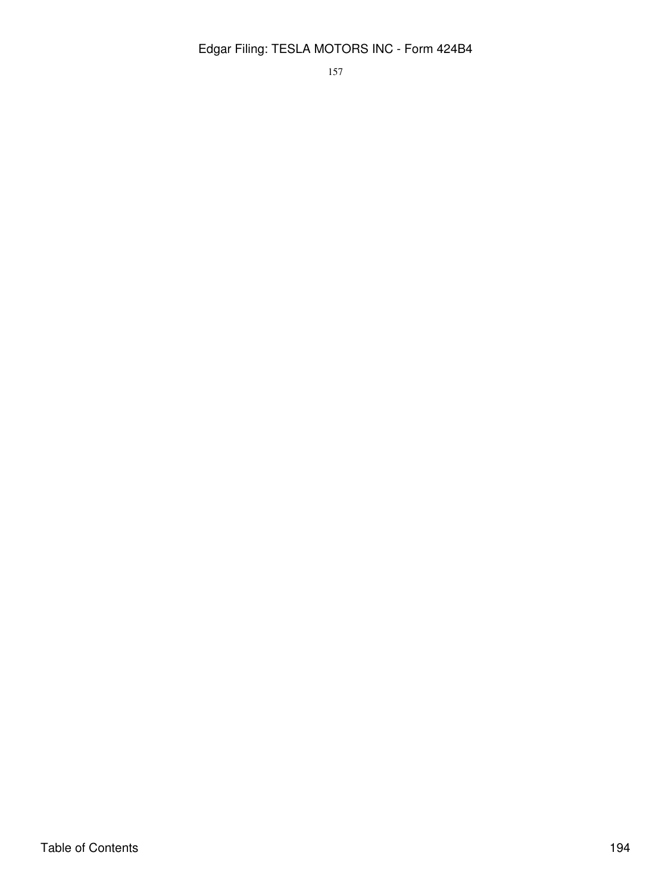# Edgar Filing: TESLA MOTORS INC - Form 424B4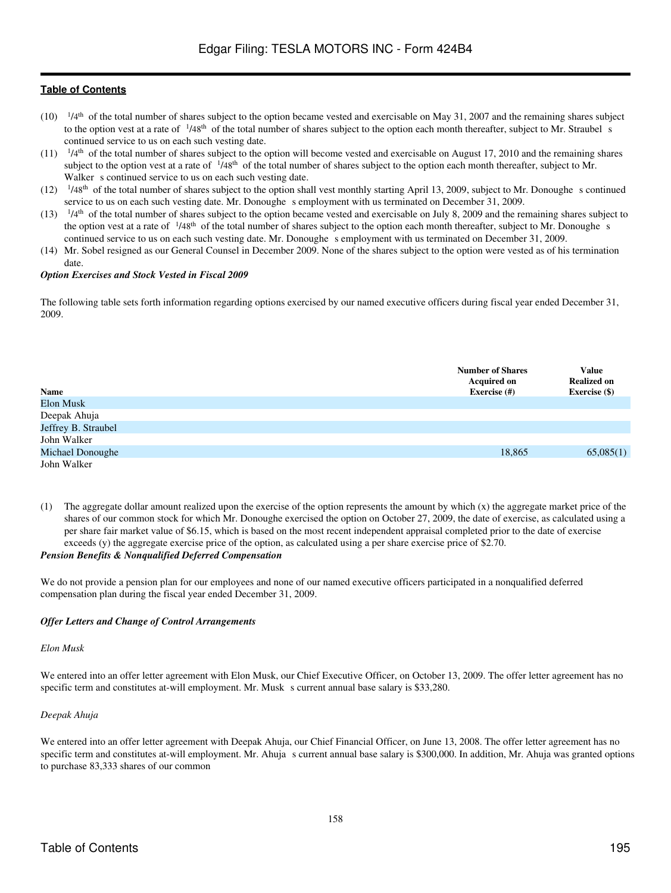- $(10)$ <sup>1</sup>/4<sup>th</sup> of the total number of shares subject to the option became vested and exercisable on May 31, 2007 and the remaining shares subject to the option vest at a rate of  $1/48<sup>th</sup>$  of the total number of shares subject to the option each month thereafter, subject to Mr. Straubel s continued service to us on each such vesting date.
- $(11)$   $\frac{1}{4}$ <sup>th</sup> of the total number of shares subject to the option will become vested and exercisable on August 17, 2010 and the remaining shares subject to the option vest at a rate of <sup>1</sup>/48<sup>th</sup> of the total number of shares subject to the option each month thereafter, subject to Mr. Walker s continued service to us on each such vesting date.
- $(12)$ <sup>1</sup>/48<sup>th</sup> of the total number of shares subject to the option shall vest monthly starting April 13, 2009, subject to Mr. Donoughe s continued service to us on each such vesting date. Mr. Donoughe s employment with us terminated on December 31, 2009.
- $(13)$ <sup>1</sup>/4<sup>th</sup> of the total number of shares subject to the option became vested and exercisable on July 8, 2009 and the remaining shares subject to the option vest at a rate of  $1/48<sup>th</sup>$  of the total number of shares subject to the option each month thereafter, subject to Mr. Donoughe s continued service to us on each such vesting date. Mr. Donoughe s employment with us terminated on December 31, 2009.
- (14) Mr. Sobel resigned as our General Counsel in December 2009. None of the shares subject to the option were vested as of his termination date.

#### *Option Exercises and Stock Vested in Fiscal 2009*

The following table sets forth information regarding options exercised by our named executive officers during fiscal year ended December 31, 2009.

| Name                | <b>Number of Shares</b><br><b>Acquired on</b><br>Exercise (#) | <b>Value</b><br><b>Realized on</b><br><b>Exercise</b> (\$) |
|---------------------|---------------------------------------------------------------|------------------------------------------------------------|
| <b>Elon Musk</b>    |                                                               |                                                            |
| Deepak Ahuja        |                                                               |                                                            |
| Jeffrey B. Straubel |                                                               |                                                            |
| John Walker         |                                                               |                                                            |
| Michael Donoughe    | 18,865                                                        | 65,085(1)                                                  |
| John Walker         |                                                               |                                                            |

(1) The aggregate dollar amount realized upon the exercise of the option represents the amount by which (x) the aggregate market price of the shares of our common stock for which Mr. Donoughe exercised the option on October 27, 2009, the date of exercise, as calculated using a per share fair market value of \$6.15, which is based on the most recent independent appraisal completed prior to the date of exercise exceeds (y) the aggregate exercise price of the option, as calculated using a per share exercise price of \$2.70.

#### *Pension Benefits & Nonqualified Deferred Compensation*

We do not provide a pension plan for our employees and none of our named executive officers participated in a nonqualified deferred compensation plan during the fiscal year ended December 31, 2009.

#### *Offer Letters and Change of Control Arrangements*

#### *Elon Musk*

We entered into an offer letter agreement with Elon Musk, our Chief Executive Officer, on October 13, 2009. The offer letter agreement has no specific term and constitutes at-will employment. Mr. Musk s current annual base salary is \$33,280.

#### *Deepak Ahuja*

We entered into an offer letter agreement with Deepak Ahuja, our Chief Financial Officer, on June 13, 2008. The offer letter agreement has no specific term and constitutes at-will employment. Mr. Ahuja s current annual base salary is \$300,000. In addition, Mr. Ahuja was granted options to purchase 83,333 shares of our common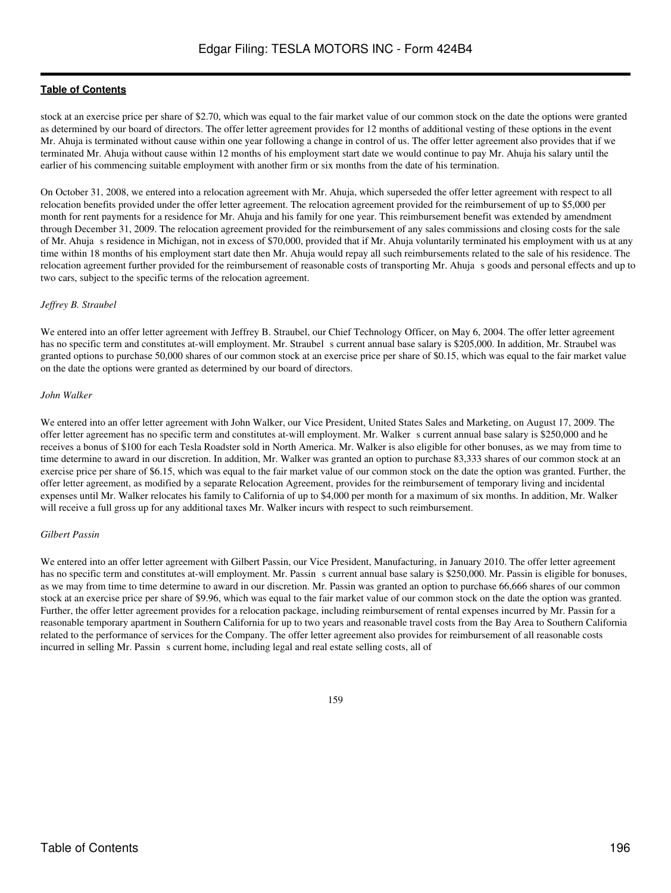stock at an exercise price per share of \$2.70, which was equal to the fair market value of our common stock on the date the options were granted as determined by our board of directors. The offer letter agreement provides for 12 months of additional vesting of these options in the event Mr. Ahuja is terminated without cause within one year following a change in control of us. The offer letter agreement also provides that if we terminated Mr. Ahuja without cause within 12 months of his employment start date we would continue to pay Mr. Ahuja his salary until the earlier of his commencing suitable employment with another firm or six months from the date of his termination.

On October 31, 2008, we entered into a relocation agreement with Mr. Ahuja, which superseded the offer letter agreement with respect to all relocation benefits provided under the offer letter agreement. The relocation agreement provided for the reimbursement of up to \$5,000 per month for rent payments for a residence for Mr. Ahuja and his family for one year. This reimbursement benefit was extended by amendment through December 31, 2009. The relocation agreement provided for the reimbursement of any sales commissions and closing costs for the sale of Mr. Ahuja s residence in Michigan, not in excess of \$70,000, provided that if Mr. Ahuja voluntarily terminated his employment with us at any time within 18 months of his employment start date then Mr. Ahuja would repay all such reimbursements related to the sale of his residence. The relocation agreement further provided for the reimbursement of reasonable costs of transporting Mr. Ahujas goods and personal effects and up to two cars, subject to the specific terms of the relocation agreement.

## *Jeffrey B. Straubel*

We entered into an offer letter agreement with Jeffrey B. Straubel, our Chief Technology Officer, on May 6, 2004. The offer letter agreement has no specific term and constitutes at-will employment. Mr. Straubel s current annual base salary is \$205,000. In addition, Mr. Straubel was granted options to purchase 50,000 shares of our common stock at an exercise price per share of \$0.15, which was equal to the fair market value on the date the options were granted as determined by our board of directors.

#### *John Walker*

We entered into an offer letter agreement with John Walker, our Vice President, United States Sales and Marketing, on August 17, 2009. The offer letter agreement has no specific term and constitutes at-will employment. Mr. Walker s current annual base salary is \$250,000 and he receives a bonus of \$100 for each Tesla Roadster sold in North America. Mr. Walker is also eligible for other bonuses, as we may from time to time determine to award in our discretion. In addition, Mr. Walker was granted an option to purchase 83,333 shares of our common stock at an exercise price per share of \$6.15, which was equal to the fair market value of our common stock on the date the option was granted. Further, the offer letter agreement, as modified by a separate Relocation Agreement, provides for the reimbursement of temporary living and incidental expenses until Mr. Walker relocates his family to California of up to \$4,000 per month for a maximum of six months. In addition, Mr. Walker will receive a full gross up for any additional taxes Mr. Walker incurs with respect to such reimbursement.

## *Gilbert Passin*

We entered into an offer letter agreement with Gilbert Passin, our Vice President, Manufacturing, in January 2010. The offer letter agreement has no specific term and constitutes at-will employment. Mr. Passin s current annual base salary is \$250,000. Mr. Passin is eligible for bonuses, as we may from time to time determine to award in our discretion. Mr. Passin was granted an option to purchase 66,666 shares of our common stock at an exercise price per share of \$9.96, which was equal to the fair market value of our common stock on the date the option was granted. Further, the offer letter agreement provides for a relocation package, including reimbursement of rental expenses incurred by Mr. Passin for a reasonable temporary apartment in Southern California for up to two years and reasonable travel costs from the Bay Area to Southern California related to the performance of services for the Company. The offer letter agreement also provides for reimbursement of all reasonable costs incurred in selling Mr. Passin s current home, including legal and real estate selling costs, all of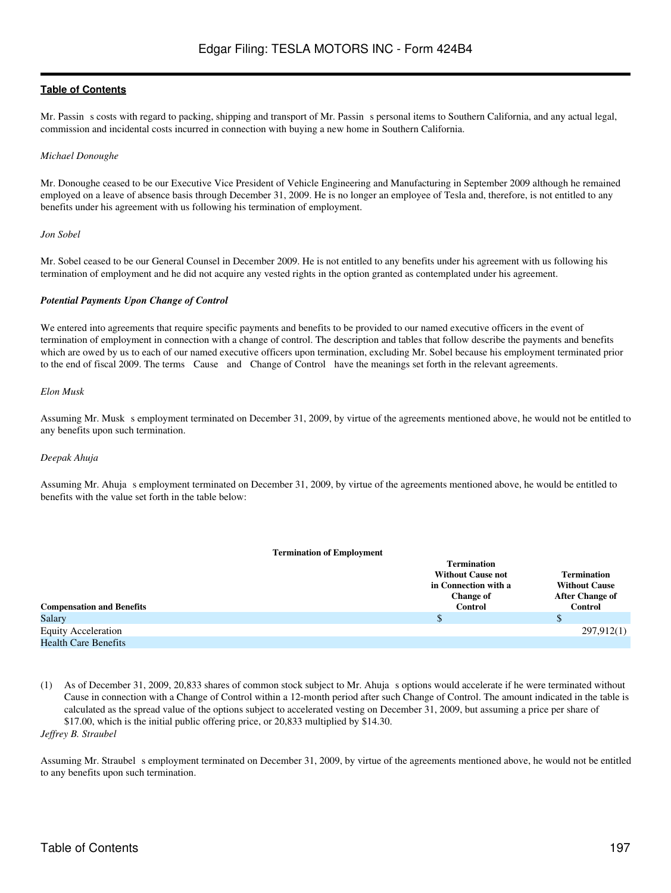Mr. Passin s costs with regard to packing, shipping and transport of Mr. Passin s personal items to Southern California, and any actual legal, commission and incidental costs incurred in connection with buying a new home in Southern California.

#### *Michael Donoughe*

Mr. Donoughe ceased to be our Executive Vice President of Vehicle Engineering and Manufacturing in September 2009 although he remained employed on a leave of absence basis through December 31, 2009. He is no longer an employee of Tesla and, therefore, is not entitled to any benefits under his agreement with us following his termination of employment.

#### *Jon Sobel*

Mr. Sobel ceased to be our General Counsel in December 2009. He is not entitled to any benefits under his agreement with us following his termination of employment and he did not acquire any vested rights in the option granted as contemplated under his agreement.

#### *Potential Payments Upon Change of Control*

We entered into agreements that require specific payments and benefits to be provided to our named executive officers in the event of termination of employment in connection with a change of control. The description and tables that follow describe the payments and benefits which are owed by us to each of our named executive officers upon termination, excluding Mr. Sobel because his employment terminated prior to the end of fiscal 2009. The terms Cause and Change of Control have the meanings set forth in the relevant agreements.

#### *Elon Musk*

Assuming Mr. Musk s employment terminated on December 31, 2009, by virtue of the agreements mentioned above, he would not be entitled to any benefits upon such termination.

#### *Deepak Ahuja*

Assuming Mr. Ahuja s employment terminated on December 31, 2009, by virtue of the agreements mentioned above, he would be entitled to benefits with the value set forth in the table below:

| <b>Termination of Employment</b> | <b>Termination</b><br><b>Without Cause not</b><br>in Connection with a<br><b>Change of</b> | <b>Termination</b><br><b>Without Cause</b><br><b>After Change of</b> |
|----------------------------------|--------------------------------------------------------------------------------------------|----------------------------------------------------------------------|
| <b>Compensation and Benefits</b> | <b>Control</b>                                                                             | Control                                                              |
| Salary                           |                                                                                            | \$                                                                   |
| <b>Equity Acceleration</b>       |                                                                                            | 297,912(1)                                                           |
| <b>Health Care Benefits</b>      |                                                                                            |                                                                      |

(1) As of December 31, 2009, 20,833 shares of common stock subject to Mr. Ahuja s options would accelerate if he were terminated without Cause in connection with a Change of Control within a 12-month period after such Change of Control. The amount indicated in the table is calculated as the spread value of the options subject to accelerated vesting on December 31, 2009, but assuming a price per share of \$17.00, which is the initial public offering price, or 20,833 multiplied by \$14.30. *Jeffrey B. Straubel*

Assuming Mr. Straubel s employment terminated on December 31, 2009, by virtue of the agreements mentioned above, he would not be entitled to any benefits upon such termination.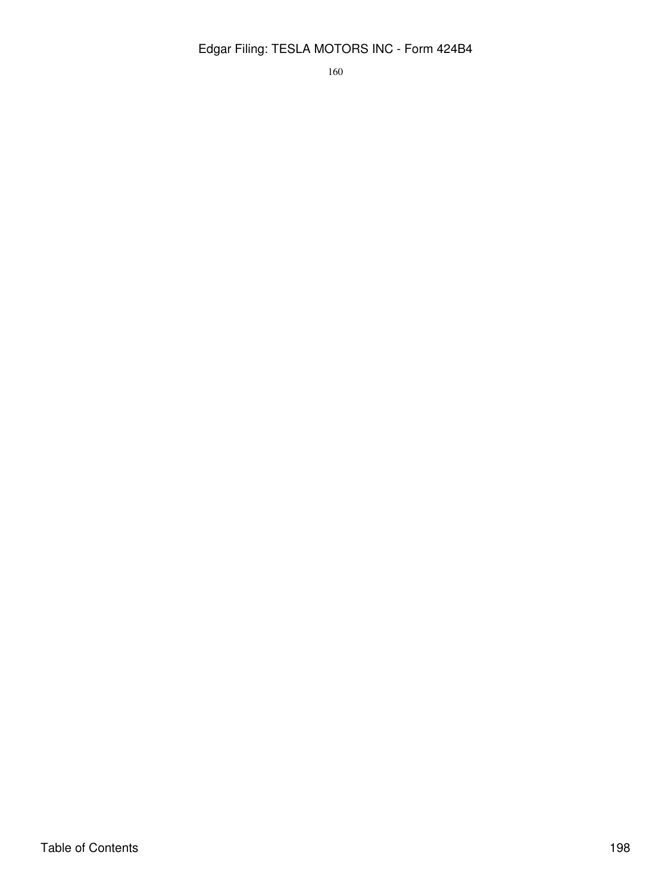## Edgar Filing: TESLA MOTORS INC - Form 424B4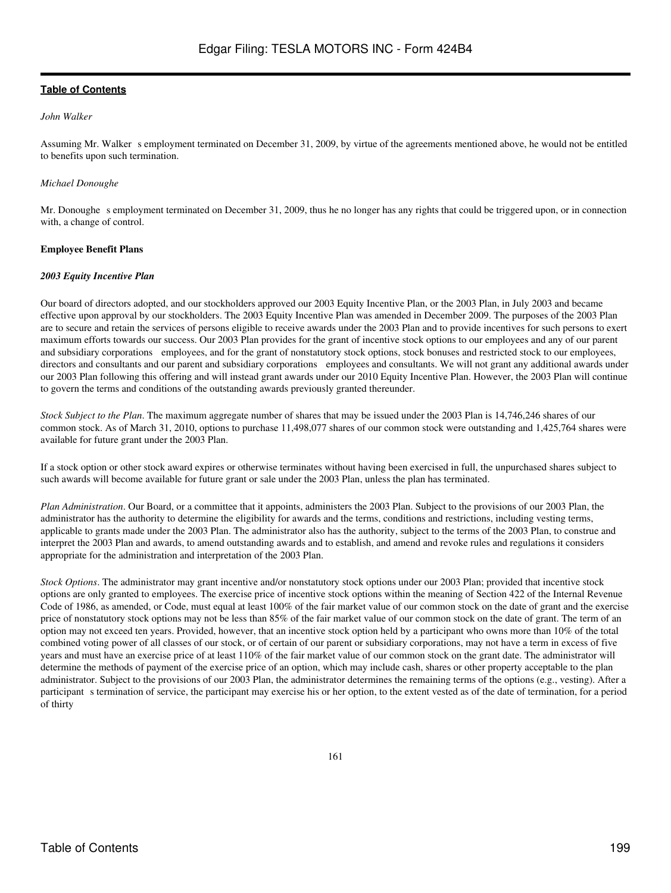#### *John Walker*

Assuming Mr. Walker s employment terminated on December 31, 2009, by virtue of the agreements mentioned above, he would not be entitled to benefits upon such termination.

#### *Michael Donoughe*

Mr. Donoughe s employment terminated on December 31, 2009, thus he no longer has any rights that could be triggered upon, or in connection with, a change of control.

#### **Employee Benefit Plans**

#### *2003 Equity Incentive Plan*

Our board of directors adopted, and our stockholders approved our 2003 Equity Incentive Plan, or the 2003 Plan, in July 2003 and became effective upon approval by our stockholders. The 2003 Equity Incentive Plan was amended in December 2009. The purposes of the 2003 Plan are to secure and retain the services of persons eligible to receive awards under the 2003 Plan and to provide incentives for such persons to exert maximum efforts towards our success. Our 2003 Plan provides for the grant of incentive stock options to our employees and any of our parent and subsidiary corporations employees, and for the grant of nonstatutory stock options, stock bonuses and restricted stock to our employees, directors and consultants and our parent and subsidiary corporations employees and consultants. We will not grant any additional awards under our 2003 Plan following this offering and will instead grant awards under our 2010 Equity Incentive Plan. However, the 2003 Plan will continue to govern the terms and conditions of the outstanding awards previously granted thereunder.

*Stock Subject to the Plan*. The maximum aggregate number of shares that may be issued under the 2003 Plan is 14,746,246 shares of our common stock. As of March 31, 2010, options to purchase 11,498,077 shares of our common stock were outstanding and 1,425,764 shares were available for future grant under the 2003 Plan.

If a stock option or other stock award expires or otherwise terminates without having been exercised in full, the unpurchased shares subject to such awards will become available for future grant or sale under the 2003 Plan, unless the plan has terminated.

*Plan Administration*. Our Board, or a committee that it appoints, administers the 2003 Plan. Subject to the provisions of our 2003 Plan, the administrator has the authority to determine the eligibility for awards and the terms, conditions and restrictions, including vesting terms, applicable to grants made under the 2003 Plan. The administrator also has the authority, subject to the terms of the 2003 Plan, to construe and interpret the 2003 Plan and awards, to amend outstanding awards and to establish, and amend and revoke rules and regulations it considers appropriate for the administration and interpretation of the 2003 Plan.

*Stock Options*. The administrator may grant incentive and/or nonstatutory stock options under our 2003 Plan; provided that incentive stock options are only granted to employees. The exercise price of incentive stock options within the meaning of Section 422 of the Internal Revenue Code of 1986, as amended, or Code, must equal at least 100% of the fair market value of our common stock on the date of grant and the exercise price of nonstatutory stock options may not be less than 85% of the fair market value of our common stock on the date of grant. The term of an option may not exceed ten years. Provided, however, that an incentive stock option held by a participant who owns more than 10% of the total combined voting power of all classes of our stock, or of certain of our parent or subsidiary corporations, may not have a term in excess of five years and must have an exercise price of at least 110% of the fair market value of our common stock on the grant date. The administrator will determine the methods of payment of the exercise price of an option, which may include cash, shares or other property acceptable to the plan administrator. Subject to the provisions of our 2003 Plan, the administrator determines the remaining terms of the options (e.g., vesting). After a participant s termination of service, the participant may exercise his or her option, to the extent vested as of the date of termination, for a period of thirty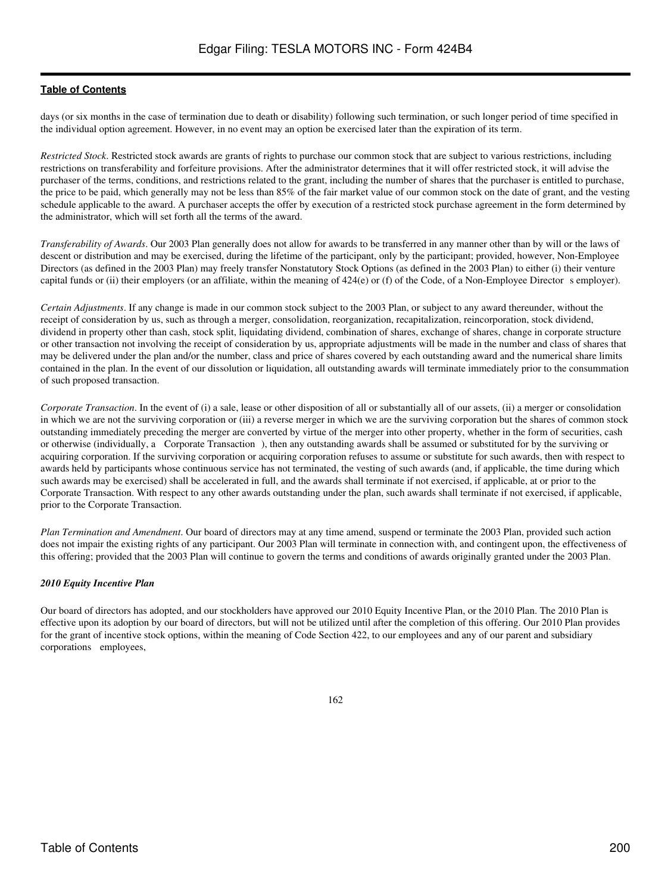days (or six months in the case of termination due to death or disability) following such termination, or such longer period of time specified in the individual option agreement. However, in no event may an option be exercised later than the expiration of its term.

*Restricted Stock*. Restricted stock awards are grants of rights to purchase our common stock that are subject to various restrictions, including restrictions on transferability and forfeiture provisions. After the administrator determines that it will offer restricted stock, it will advise the purchaser of the terms, conditions, and restrictions related to the grant, including the number of shares that the purchaser is entitled to purchase, the price to be paid, which generally may not be less than 85% of the fair market value of our common stock on the date of grant, and the vesting schedule applicable to the award. A purchaser accepts the offer by execution of a restricted stock purchase agreement in the form determined by the administrator, which will set forth all the terms of the award.

*Transferability of Awards*. Our 2003 Plan generally does not allow for awards to be transferred in any manner other than by will or the laws of descent or distribution and may be exercised, during the lifetime of the participant, only by the participant; provided, however, Non-Employee Directors (as defined in the 2003 Plan) may freely transfer Nonstatutory Stock Options (as defined in the 2003 Plan) to either (i) their venture capital funds or (ii) their employers (or an affiliate, within the meaning of 424(e) or (f) of the Code, of a Non-Employee Director s employer).

*Certain Adjustments*. If any change is made in our common stock subject to the 2003 Plan, or subject to any award thereunder, without the receipt of consideration by us, such as through a merger, consolidation, reorganization, recapitalization, reincorporation, stock dividend, dividend in property other than cash, stock split, liquidating dividend, combination of shares, exchange of shares, change in corporate structure or other transaction not involving the receipt of consideration by us, appropriate adjustments will be made in the number and class of shares that may be delivered under the plan and/or the number, class and price of shares covered by each outstanding award and the numerical share limits contained in the plan. In the event of our dissolution or liquidation, all outstanding awards will terminate immediately prior to the consummation of such proposed transaction.

*Corporate Transaction*. In the event of (i) a sale, lease or other disposition of all or substantially all of our assets, (ii) a merger or consolidation in which we are not the surviving corporation or (iii) a reverse merger in which we are the surviving corporation but the shares of common stock outstanding immediately preceding the merger are converted by virtue of the merger into other property, whether in the form of securities, cash or otherwise (individually, a Corporate Transaction), then any outstanding awards shall be assumed or substituted for by the surviving or acquiring corporation. If the surviving corporation or acquiring corporation refuses to assume or substitute for such awards, then with respect to awards held by participants whose continuous service has not terminated, the vesting of such awards (and, if applicable, the time during which such awards may be exercised) shall be accelerated in full, and the awards shall terminate if not exercised, if applicable, at or prior to the Corporate Transaction. With respect to any other awards outstanding under the plan, such awards shall terminate if not exercised, if applicable, prior to the Corporate Transaction.

*Plan Termination and Amendment*. Our board of directors may at any time amend, suspend or terminate the 2003 Plan, provided such action does not impair the existing rights of any participant. Our 2003 Plan will terminate in connection with, and contingent upon, the effectiveness of this offering; provided that the 2003 Plan will continue to govern the terms and conditions of awards originally granted under the 2003 Plan.

## *2010 Equity Incentive Plan*

Our board of directors has adopted, and our stockholders have approved our 2010 Equity Incentive Plan, or the 2010 Plan. The 2010 Plan is effective upon its adoption by our board of directors, but will not be utilized until after the completion of this offering. Our 2010 Plan provides for the grant of incentive stock options, within the meaning of Code Section 422, to our employees and any of our parent and subsidiary corporations employees,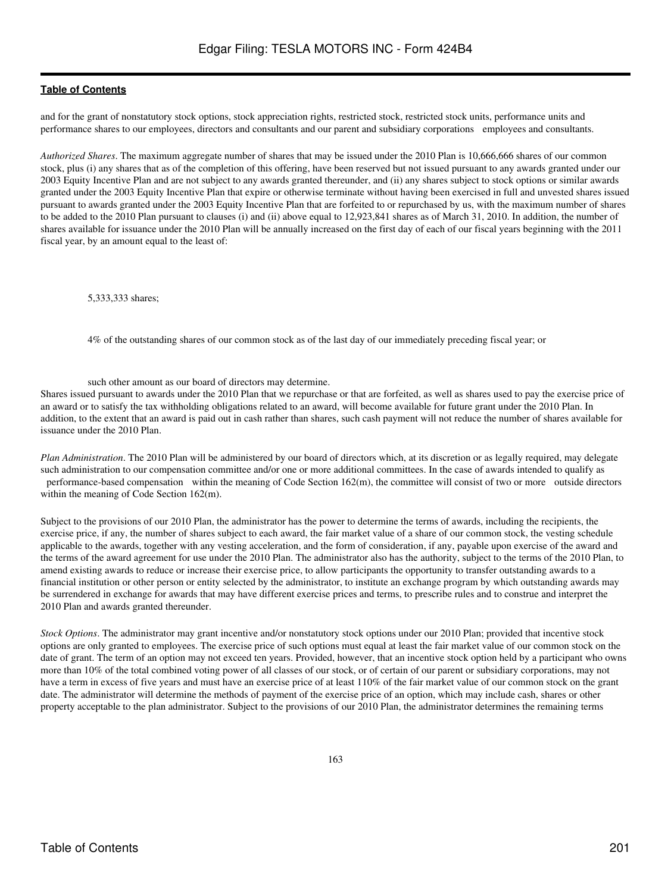and for the grant of nonstatutory stock options, stock appreciation rights, restricted stock, restricted stock units, performance units and performance shares to our employees, directors and consultants and our parent and subsidiary corporations employees and consultants.

*Authorized Shares*. The maximum aggregate number of shares that may be issued under the 2010 Plan is 10,666,666 shares of our common stock, plus (i) any shares that as of the completion of this offering, have been reserved but not issued pursuant to any awards granted under our 2003 Equity Incentive Plan and are not subject to any awards granted thereunder, and (ii) any shares subject to stock options or similar awards granted under the 2003 Equity Incentive Plan that expire or otherwise terminate without having been exercised in full and unvested shares issued pursuant to awards granted under the 2003 Equity Incentive Plan that are forfeited to or repurchased by us, with the maximum number of shares to be added to the 2010 Plan pursuant to clauses (i) and (ii) above equal to 12,923,841 shares as of March 31, 2010. In addition, the number of shares available for issuance under the 2010 Plan will be annually increased on the first day of each of our fiscal years beginning with the 2011 fiscal year, by an amount equal to the least of:

5,333,333 shares;

4% of the outstanding shares of our common stock as of the last day of our immediately preceding fiscal year; or

such other amount as our board of directors may determine.

Shares issued pursuant to awards under the 2010 Plan that we repurchase or that are forfeited, as well as shares used to pay the exercise price of an award or to satisfy the tax withholding obligations related to an award, will become available for future grant under the 2010 Plan. In addition, to the extent that an award is paid out in cash rather than shares, such cash payment will not reduce the number of shares available for issuance under the 2010 Plan.

*Plan Administration*. The 2010 Plan will be administered by our board of directors which, at its discretion or as legally required, may delegate such administration to our compensation committee and/or one or more additional committees. In the case of awards intended to qualify as performance-based compensation within the meaning of Code Section 162(m), the committee will consist of two or more outside directors within the meaning of Code Section 162(m).

Subject to the provisions of our 2010 Plan, the administrator has the power to determine the terms of awards, including the recipients, the exercise price, if any, the number of shares subject to each award, the fair market value of a share of our common stock, the vesting schedule applicable to the awards, together with any vesting acceleration, and the form of consideration, if any, payable upon exercise of the award and the terms of the award agreement for use under the 2010 Plan. The administrator also has the authority, subject to the terms of the 2010 Plan, to amend existing awards to reduce or increase their exercise price, to allow participants the opportunity to transfer outstanding awards to a financial institution or other person or entity selected by the administrator, to institute an exchange program by which outstanding awards may be surrendered in exchange for awards that may have different exercise prices and terms, to prescribe rules and to construe and interpret the 2010 Plan and awards granted thereunder.

*Stock Options*. The administrator may grant incentive and/or nonstatutory stock options under our 2010 Plan; provided that incentive stock options are only granted to employees. The exercise price of such options must equal at least the fair market value of our common stock on the date of grant. The term of an option may not exceed ten years. Provided, however, that an incentive stock option held by a participant who owns more than 10% of the total combined voting power of all classes of our stock, or of certain of our parent or subsidiary corporations, may not have a term in excess of five years and must have an exercise price of at least 110% of the fair market value of our common stock on the grant date. The administrator will determine the methods of payment of the exercise price of an option, which may include cash, shares or other property acceptable to the plan administrator. Subject to the provisions of our 2010 Plan, the administrator determines the remaining terms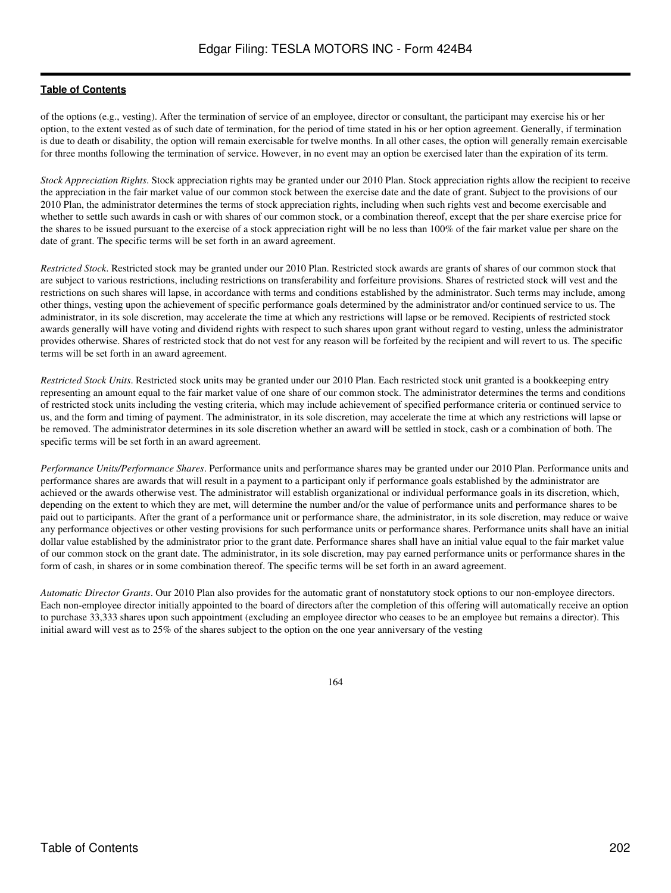of the options (e.g., vesting). After the termination of service of an employee, director or consultant, the participant may exercise his or her option, to the extent vested as of such date of termination, for the period of time stated in his or her option agreement. Generally, if termination is due to death or disability, the option will remain exercisable for twelve months. In all other cases, the option will generally remain exercisable for three months following the termination of service. However, in no event may an option be exercised later than the expiration of its term.

*Stock Appreciation Rights*. Stock appreciation rights may be granted under our 2010 Plan. Stock appreciation rights allow the recipient to receive the appreciation in the fair market value of our common stock between the exercise date and the date of grant. Subject to the provisions of our 2010 Plan, the administrator determines the terms of stock appreciation rights, including when such rights vest and become exercisable and whether to settle such awards in cash or with shares of our common stock, or a combination thereof, except that the per share exercise price for the shares to be issued pursuant to the exercise of a stock appreciation right will be no less than 100% of the fair market value per share on the date of grant. The specific terms will be set forth in an award agreement.

*Restricted Stock*. Restricted stock may be granted under our 2010 Plan. Restricted stock awards are grants of shares of our common stock that are subject to various restrictions, including restrictions on transferability and forfeiture provisions. Shares of restricted stock will vest and the restrictions on such shares will lapse, in accordance with terms and conditions established by the administrator. Such terms may include, among other things, vesting upon the achievement of specific performance goals determined by the administrator and/or continued service to us. The administrator, in its sole discretion, may accelerate the time at which any restrictions will lapse or be removed. Recipients of restricted stock awards generally will have voting and dividend rights with respect to such shares upon grant without regard to vesting, unless the administrator provides otherwise. Shares of restricted stock that do not vest for any reason will be forfeited by the recipient and will revert to us. The specific terms will be set forth in an award agreement.

*Restricted Stock Units*. Restricted stock units may be granted under our 2010 Plan. Each restricted stock unit granted is a bookkeeping entry representing an amount equal to the fair market value of one share of our common stock. The administrator determines the terms and conditions of restricted stock units including the vesting criteria, which may include achievement of specified performance criteria or continued service to us, and the form and timing of payment. The administrator, in its sole discretion, may accelerate the time at which any restrictions will lapse or be removed. The administrator determines in its sole discretion whether an award will be settled in stock, cash or a combination of both. The specific terms will be set forth in an award agreement.

*Performance Units/Performance Shares*. Performance units and performance shares may be granted under our 2010 Plan. Performance units and performance shares are awards that will result in a payment to a participant only if performance goals established by the administrator are achieved or the awards otherwise vest. The administrator will establish organizational or individual performance goals in its discretion, which, depending on the extent to which they are met, will determine the number and/or the value of performance units and performance shares to be paid out to participants. After the grant of a performance unit or performance share, the administrator, in its sole discretion, may reduce or waive any performance objectives or other vesting provisions for such performance units or performance shares. Performance units shall have an initial dollar value established by the administrator prior to the grant date. Performance shares shall have an initial value equal to the fair market value of our common stock on the grant date. The administrator, in its sole discretion, may pay earned performance units or performance shares in the form of cash, in shares or in some combination thereof. The specific terms will be set forth in an award agreement.

*Automatic Director Grants*. Our 2010 Plan also provides for the automatic grant of nonstatutory stock options to our non-employee directors. Each non-employee director initially appointed to the board of directors after the completion of this offering will automatically receive an option to purchase 33,333 shares upon such appointment (excluding an employee director who ceases to be an employee but remains a director). This initial award will vest as to 25% of the shares subject to the option on the one year anniversary of the vesting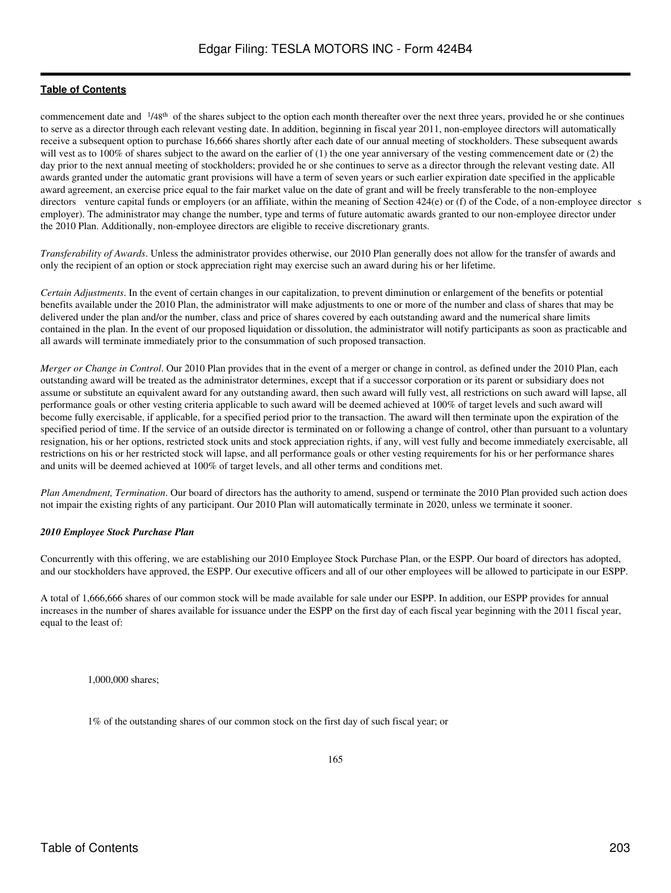commencement date and <sup>1</sup>/48<sup>th</sup> of the shares subject to the option each month thereafter over the next three years, provided he or she continues to serve as a director through each relevant vesting date. In addition, beginning in fiscal year 2011, non-employee directors will automatically receive a subsequent option to purchase 16,666 shares shortly after each date of our annual meeting of stockholders. These subsequent awards will vest as to 100% of shares subject to the award on the earlier of (1) the one year anniversary of the vesting commencement date or (2) the day prior to the next annual meeting of stockholders; provided he or she continues to serve as a director through the relevant vesting date. All awards granted under the automatic grant provisions will have a term of seven years or such earlier expiration date specified in the applicable award agreement, an exercise price equal to the fair market value on the date of grant and will be freely transferable to the non-employee directors venture capital funds or employers (or an affiliate, within the meaning of Section 424(e) or (f) of the Code, of a non-employee director s employer). The administrator may change the number, type and terms of future automatic awards granted to our non-employee director under the 2010 Plan. Additionally, non-employee directors are eligible to receive discretionary grants.

*Transferability of Awards*. Unless the administrator provides otherwise, our 2010 Plan generally does not allow for the transfer of awards and only the recipient of an option or stock appreciation right may exercise such an award during his or her lifetime.

*Certain Adjustments*. In the event of certain changes in our capitalization, to prevent diminution or enlargement of the benefits or potential benefits available under the 2010 Plan, the administrator will make adjustments to one or more of the number and class of shares that may be delivered under the plan and/or the number, class and price of shares covered by each outstanding award and the numerical share limits contained in the plan. In the event of our proposed liquidation or dissolution, the administrator will notify participants as soon as practicable and all awards will terminate immediately prior to the consummation of such proposed transaction.

*Merger or Change in Control*. Our 2010 Plan provides that in the event of a merger or change in control, as defined under the 2010 Plan, each outstanding award will be treated as the administrator determines, except that if a successor corporation or its parent or subsidiary does not assume or substitute an equivalent award for any outstanding award, then such award will fully vest, all restrictions on such award will lapse, all performance goals or other vesting criteria applicable to such award will be deemed achieved at 100% of target levels and such award will become fully exercisable, if applicable, for a specified period prior to the transaction. The award will then terminate upon the expiration of the specified period of time. If the service of an outside director is terminated on or following a change of control, other than pursuant to a voluntary resignation, his or her options, restricted stock units and stock appreciation rights, if any, will vest fully and become immediately exercisable, all restrictions on his or her restricted stock will lapse, and all performance goals or other vesting requirements for his or her performance shares and units will be deemed achieved at 100% of target levels, and all other terms and conditions met.

*Plan Amendment, Termination*. Our board of directors has the authority to amend, suspend or terminate the 2010 Plan provided such action does not impair the existing rights of any participant. Our 2010 Plan will automatically terminate in 2020, unless we terminate it sooner.

## *2010 Employee Stock Purchase Plan*

Concurrently with this offering, we are establishing our 2010 Employee Stock Purchase Plan, or the ESPP. Our board of directors has adopted, and our stockholders have approved, the ESPP. Our executive officers and all of our other employees will be allowed to participate in our ESPP.

A total of 1,666,666 shares of our common stock will be made available for sale under our ESPP. In addition, our ESPP provides for annual increases in the number of shares available for issuance under the ESPP on the first day of each fiscal year beginning with the 2011 fiscal year, equal to the least of:

1,000,000 shares;

1% of the outstanding shares of our common stock on the first day of such fiscal year; or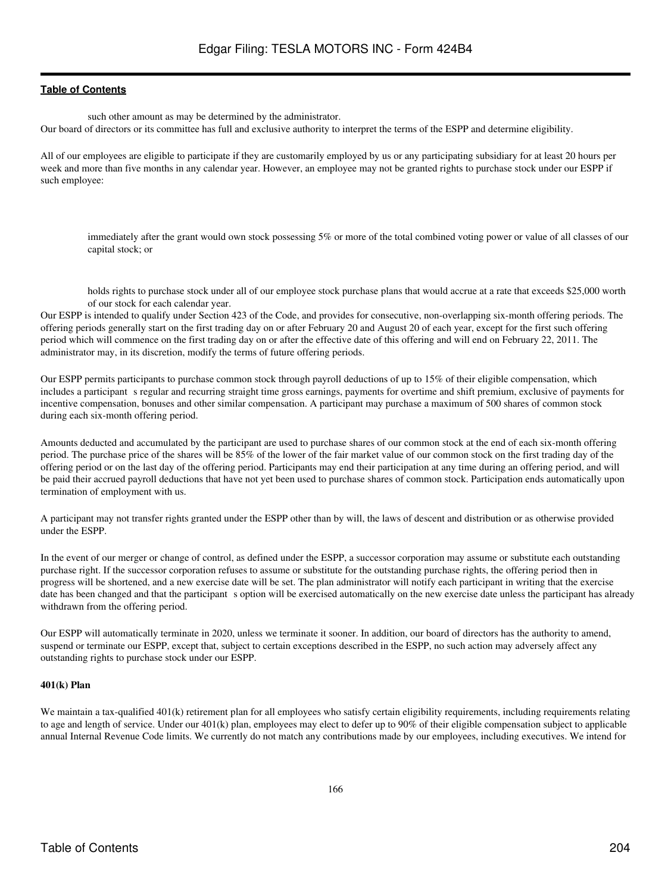such other amount as may be determined by the administrator. Our board of directors or its committee has full and exclusive authority to interpret the terms of the ESPP and determine eligibility.

All of our employees are eligible to participate if they are customarily employed by us or any participating subsidiary for at least 20 hours per week and more than five months in any calendar year. However, an employee may not be granted rights to purchase stock under our ESPP if such employee:

immediately after the grant would own stock possessing 5% or more of the total combined voting power or value of all classes of our capital stock; or

holds rights to purchase stock under all of our employee stock purchase plans that would accrue at a rate that exceeds \$25,000 worth of our stock for each calendar year.

Our ESPP is intended to qualify under Section 423 of the Code, and provides for consecutive, non-overlapping six-month offering periods. The offering periods generally start on the first trading day on or after February 20 and August 20 of each year, except for the first such offering period which will commence on the first trading day on or after the effective date of this offering and will end on February 22, 2011. The administrator may, in its discretion, modify the terms of future offering periods.

Our ESPP permits participants to purchase common stock through payroll deductions of up to 15% of their eligible compensation, which includes a participant s regular and recurring straight time gross earnings, payments for overtime and shift premium, exclusive of payments for incentive compensation, bonuses and other similar compensation. A participant may purchase a maximum of 500 shares of common stock during each six-month offering period.

Amounts deducted and accumulated by the participant are used to purchase shares of our common stock at the end of each six-month offering period. The purchase price of the shares will be 85% of the lower of the fair market value of our common stock on the first trading day of the offering period or on the last day of the offering period. Participants may end their participation at any time during an offering period, and will be paid their accrued payroll deductions that have not yet been used to purchase shares of common stock. Participation ends automatically upon termination of employment with us.

A participant may not transfer rights granted under the ESPP other than by will, the laws of descent and distribution or as otherwise provided under the ESPP.

In the event of our merger or change of control, as defined under the ESPP, a successor corporation may assume or substitute each outstanding purchase right. If the successor corporation refuses to assume or substitute for the outstanding purchase rights, the offering period then in progress will be shortened, and a new exercise date will be set. The plan administrator will notify each participant in writing that the exercise date has been changed and that the participant s option will be exercised automatically on the new exercise date unless the participant has already withdrawn from the offering period.

Our ESPP will automatically terminate in 2020, unless we terminate it sooner. In addition, our board of directors has the authority to amend, suspend or terminate our ESPP, except that, subject to certain exceptions described in the ESPP, no such action may adversely affect any outstanding rights to purchase stock under our ESPP.

## **401(k) Plan**

We maintain a tax-qualified 401(k) retirement plan for all employees who satisfy certain eligibility requirements, including requirements relating to age and length of service. Under our 401(k) plan, employees may elect to defer up to 90% of their eligible compensation subject to applicable annual Internal Revenue Code limits. We currently do not match any contributions made by our employees, including executives. We intend for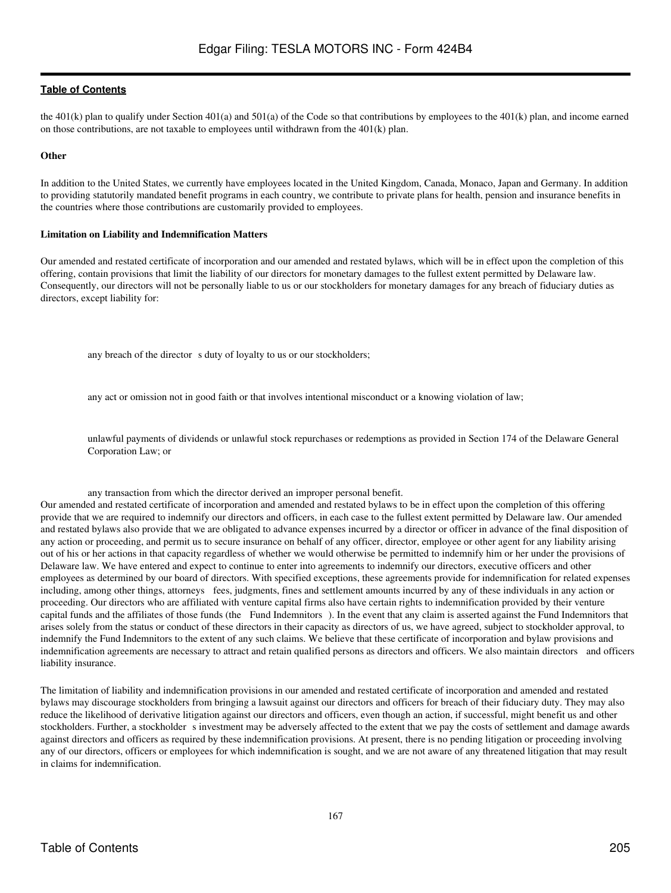the 401(k) plan to qualify under Section 401(a) and 501(a) of the Code so that contributions by employees to the 401(k) plan, and income earned on those contributions, are not taxable to employees until withdrawn from the 401(k) plan.

#### **Other**

In addition to the United States, we currently have employees located in the United Kingdom, Canada, Monaco, Japan and Germany. In addition to providing statutorily mandated benefit programs in each country, we contribute to private plans for health, pension and insurance benefits in the countries where those contributions are customarily provided to employees.

#### **Limitation on Liability and Indemnification Matters**

Our amended and restated certificate of incorporation and our amended and restated bylaws, which will be in effect upon the completion of this offering, contain provisions that limit the liability of our directors for monetary damages to the fullest extent permitted by Delaware law. Consequently, our directors will not be personally liable to us or our stockholders for monetary damages for any breach of fiduciary duties as directors, except liability for:

any breach of the director s duty of loyalty to us or our stockholders;

any act or omission not in good faith or that involves intentional misconduct or a knowing violation of law;

unlawful payments of dividends or unlawful stock repurchases or redemptions as provided in Section 174 of the Delaware General Corporation Law; or

any transaction from which the director derived an improper personal benefit.

Our amended and restated certificate of incorporation and amended and restated bylaws to be in effect upon the completion of this offering provide that we are required to indemnify our directors and officers, in each case to the fullest extent permitted by Delaware law. Our amended and restated bylaws also provide that we are obligated to advance expenses incurred by a director or officer in advance of the final disposition of any action or proceeding, and permit us to secure insurance on behalf of any officer, director, employee or other agent for any liability arising out of his or her actions in that capacity regardless of whether we would otherwise be permitted to indemnify him or her under the provisions of Delaware law. We have entered and expect to continue to enter into agreements to indemnify our directors, executive officers and other employees as determined by our board of directors. With specified exceptions, these agreements provide for indemnification for related expenses including, among other things, attorneys fees, judgments, fines and settlement amounts incurred by any of these individuals in any action or proceeding. Our directors who are affiliated with venture capital firms also have certain rights to indemnification provided by their venture capital funds and the affiliates of those funds (the Fund Indemnitors). In the event that any claim is asserted against the Fund Indemnitors that arises solely from the status or conduct of these directors in their capacity as directors of us, we have agreed, subject to stockholder approval, to indemnify the Fund Indemnitors to the extent of any such claims. We believe that these certificate of incorporation and bylaw provisions and indemnification agreements are necessary to attract and retain qualified persons as directors and officers. We also maintain directors and officers liability insurance.

The limitation of liability and indemnification provisions in our amended and restated certificate of incorporation and amended and restated bylaws may discourage stockholders from bringing a lawsuit against our directors and officers for breach of their fiduciary duty. They may also reduce the likelihood of derivative litigation against our directors and officers, even though an action, if successful, might benefit us and other stockholders. Further, a stockholder s investment may be adversely affected to the extent that we pay the costs of settlement and damage awards against directors and officers as required by these indemnification provisions. At present, there is no pending litigation or proceeding involving any of our directors, officers or employees for which indemnification is sought, and we are not aware of any threatened litigation that may result in claims for indemnification.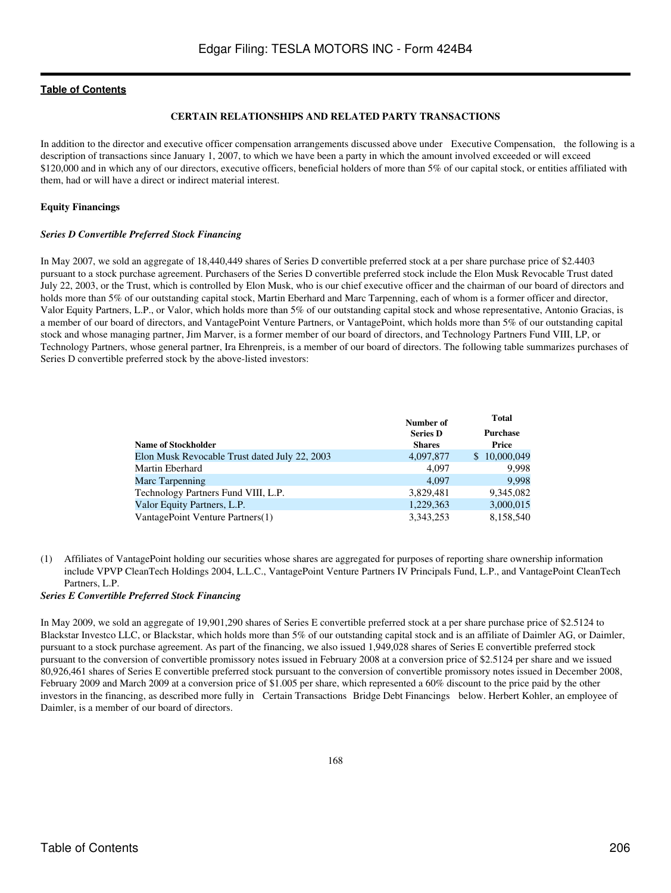#### **CERTAIN RELATIONSHIPS AND RELATED PARTY TRANSACTIONS**

In addition to the director and executive officer compensation arrangements discussed above under Executive Compensation, the following is a description of transactions since January 1, 2007, to which we have been a party in which the amount involved exceeded or will exceed \$120,000 and in which any of our directors, executive officers, beneficial holders of more than 5% of our capital stock, or entities affiliated with them, had or will have a direct or indirect material interest.

#### **Equity Financings**

#### *Series D Convertible Preferred Stock Financing*

In May 2007, we sold an aggregate of 18,440,449 shares of Series D convertible preferred stock at a per share purchase price of \$2.4403 pursuant to a stock purchase agreement. Purchasers of the Series D convertible preferred stock include the Elon Musk Revocable Trust dated July 22, 2003, or the Trust, which is controlled by Elon Musk, who is our chief executive officer and the chairman of our board of directors and holds more than 5% of our outstanding capital stock, Martin Eberhard and Marc Tarpenning, each of whom is a former officer and director, Valor Equity Partners, L.P., or Valor, which holds more than 5% of our outstanding capital stock and whose representative, Antonio Gracias, is a member of our board of directors, and VantagePoint Venture Partners, or VantagePoint, which holds more than 5% of our outstanding capital stock and whose managing partner, Jim Marver, is a former member of our board of directors, and Technology Partners Fund VIII, LP, or Technology Partners, whose general partner, Ira Ehrenpreis, is a member of our board of directors. The following table summarizes purchases of Series D convertible preferred stock by the above-listed investors:

|                                               | Number of                        | <b>Total</b>             |
|-----------------------------------------------|----------------------------------|--------------------------|
| <b>Name of Stockholder</b>                    | <b>Series D</b><br><b>Shares</b> | <b>Purchase</b><br>Price |
|                                               |                                  |                          |
| Elon Musk Revocable Trust dated July 22, 2003 | 4,097,877                        | 10,000,049<br>\$.        |
| Martin Eberhard                               | 4.097                            | 9.998                    |
| <b>Marc Tarpenning</b>                        | 4.097                            | 9.998                    |
| Technology Partners Fund VIII, L.P.           | 3,829,481                        | 9,345,082                |
| Valor Equity Partners, L.P.                   | 1,229,363                        | 3,000,015                |
| VantagePoint Venture Partners(1)              | 3.343.253                        | 8,158,540                |

(1) Affiliates of VantagePoint holding our securities whose shares are aggregated for purposes of reporting share ownership information include VPVP CleanTech Holdings 2004, L.L.C., VantagePoint Venture Partners IV Principals Fund, L.P., and VantagePoint CleanTech Partners, L.P.

## *Series E Convertible Preferred Stock Financing*

In May 2009, we sold an aggregate of 19,901,290 shares of Series E convertible preferred stock at a per share purchase price of \$2.5124 to Blackstar Investco LLC, or Blackstar, which holds more than 5% of our outstanding capital stock and is an affiliate of Daimler AG, or Daimler, pursuant to a stock purchase agreement. As part of the financing, we also issued 1,949,028 shares of Series E convertible preferred stock pursuant to the conversion of convertible promissory notes issued in February 2008 at a conversion price of \$2.5124 per share and we issued 80,926,461 shares of Series E convertible preferred stock pursuant to the conversion of convertible promissory notes issued in December 2008, February 2009 and March 2009 at a conversion price of \$1.005 per share, which represented a 60% discount to the price paid by the other investors in the financing, as described more fully in Certain Transactions Bridge Debt Financings below. Herbert Kohler, an employee of Daimler, is a member of our board of directors.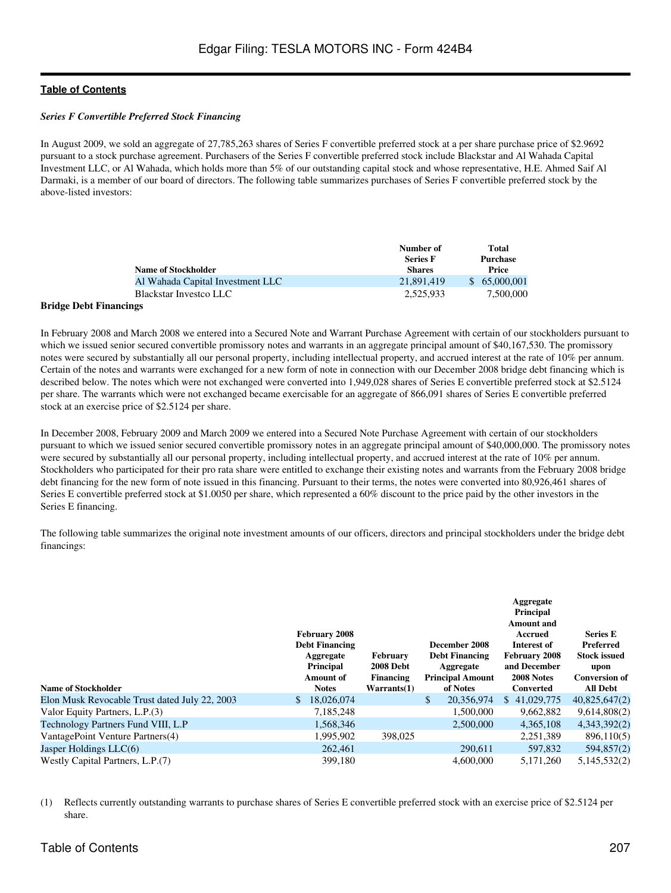#### *Series F Convertible Preferred Stock Financing*

In August 2009, we sold an aggregate of 27,785,263 shares of Series F convertible preferred stock at a per share purchase price of \$2.9692 pursuant to a stock purchase agreement. Purchasers of the Series F convertible preferred stock include Blackstar and Al Wahada Capital Investment LLC, or Al Wahada, which holds more than 5% of our outstanding capital stock and whose representative, H.E. Ahmed Saif Al Darmaki, is a member of our board of directors. The following table summarizes purchases of Series F convertible preferred stock by the above-listed investors:

|                                  | Number of<br><b>Series F</b> | Total<br><b>Purchase</b> |
|----------------------------------|------------------------------|--------------------------|
| <b>Name of Stockholder</b>       | <b>Shares</b>                | Price                    |
| Al Wahada Capital Investment LLC | 21.891.419                   | \$65,000,001             |
| <b>Blackstar Investco LLC</b>    | 2.525.933                    | 7.500,000                |

#### **Bridge Debt Financings**

In February 2008 and March 2008 we entered into a Secured Note and Warrant Purchase Agreement with certain of our stockholders pursuant to which we issued senior secured convertible promissory notes and warrants in an aggregate principal amount of \$40,167,530. The promissory notes were secured by substantially all our personal property, including intellectual property, and accrued interest at the rate of 10% per annum. Certain of the notes and warrants were exchanged for a new form of note in connection with our December 2008 bridge debt financing which is described below. The notes which were not exchanged were converted into 1,949,028 shares of Series E convertible preferred stock at \$2.5124 per share. The warrants which were not exchanged became exercisable for an aggregate of 866,091 shares of Series E convertible preferred stock at an exercise price of \$2.5124 per share.

In December 2008, February 2009 and March 2009 we entered into a Secured Note Purchase Agreement with certain of our stockholders pursuant to which we issued senior secured convertible promissory notes in an aggregate principal amount of \$40,000,000. The promissory notes were secured by substantially all our personal property, including intellectual property, and accrued interest at the rate of 10% per annum. Stockholders who participated for their pro rata share were entitled to exchange their existing notes and warrants from the February 2008 bridge debt financing for the new form of note issued in this financing. Pursuant to their terms, the notes were converted into 80,926,461 shares of Series E convertible preferred stock at \$1.0050 per share, which represented a 60% discount to the price paid by the other investors in the Series E financing.

The following table summarizes the original note investment amounts of our officers, directors and principal stockholders under the bridge debt financings:

|                                               | February 2008<br><b>Debt Financing</b><br>Aggregate<br>Principal<br><b>Amount of</b> | <b>February</b><br><b>2008 Debt</b><br>Financing | December 2008<br><b>Debt Financing</b><br>Aggregate<br><b>Principal Amount</b> | Aggregate<br>Principal<br><b>Amount</b> and<br>Accrued<br>Interest of<br><b>February 2008</b><br>and December<br>2008 Notes | <b>Series E</b><br>Preferred<br><b>Stock issued</b><br>upon<br><b>Conversion of</b> |
|-----------------------------------------------|--------------------------------------------------------------------------------------|--------------------------------------------------|--------------------------------------------------------------------------------|-----------------------------------------------------------------------------------------------------------------------------|-------------------------------------------------------------------------------------|
| <b>Name of Stockholder</b>                    | <b>Notes</b>                                                                         | Warrants(1)                                      | of Notes                                                                       | Converted                                                                                                                   | <b>All Debt</b>                                                                     |
| Elon Musk Revocable Trust dated July 22, 2003 | 18,026,074<br>S.                                                                     |                                                  | 20,356,974<br>S                                                                | \$41,029,775                                                                                                                | 40,825,647(2)                                                                       |
| Valor Equity Partners, L.P.(3)                | 7,185,248                                                                            |                                                  | 1,500,000                                                                      | 9,662,882                                                                                                                   | 9,614,808(2)                                                                        |
| Technology Partners Fund VIII, L.P            | 1,568,346                                                                            |                                                  | 2.500,000                                                                      | 4, 365, 108                                                                                                                 | 4,343,392(2)                                                                        |
| VantagePoint Venture Partners(4)              | 1.995.902                                                                            | 398,025                                          |                                                                                | 2,251,389                                                                                                                   | 896,110(5)                                                                          |
| Jasper Holdings $LLC(6)$                      | 262,461                                                                              |                                                  | 290,611                                                                        | 597,832                                                                                                                     | 594,857(2)                                                                          |
| Westly Capital Partners, L.P.(7)              | 399.180                                                                              |                                                  | 4.600,000                                                                      | 5.171.260                                                                                                                   | 5,145,532(2)                                                                        |

(1) Reflects currently outstanding warrants to purchase shares of Series E convertible preferred stock with an exercise price of \$2.5124 per share.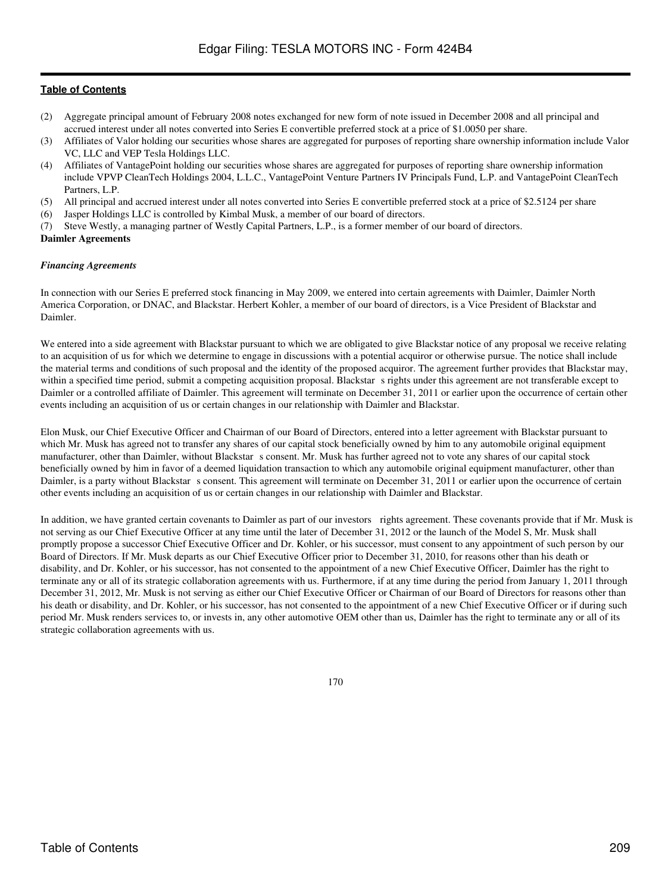- (2) Aggregate principal amount of February 2008 notes exchanged for new form of note issued in December 2008 and all principal and accrued interest under all notes converted into Series E convertible preferred stock at a price of \$1.0050 per share.
- (3) Affiliates of Valor holding our securities whose shares are aggregated for purposes of reporting share ownership information include Valor VC, LLC and VEP Tesla Holdings LLC.
- (4) Affiliates of VantagePoint holding our securities whose shares are aggregated for purposes of reporting share ownership information include VPVP CleanTech Holdings 2004, L.L.C., VantagePoint Venture Partners IV Principals Fund, L.P. and VantagePoint CleanTech Partners, L.P.
- (5) All principal and accrued interest under all notes converted into Series E convertible preferred stock at a price of \$2.5124 per share
- (6) Jasper Holdings LLC is controlled by Kimbal Musk, a member of our board of directors.
- (7) Steve Westly, a managing partner of Westly Capital Partners, L.P., is a former member of our board of directors.

#### **Daimler Agreements**

#### *Financing Agreements*

In connection with our Series E preferred stock financing in May 2009, we entered into certain agreements with Daimler, Daimler North America Corporation, or DNAC, and Blackstar. Herbert Kohler, a member of our board of directors, is a Vice President of Blackstar and Daimler.

We entered into a side agreement with Blackstar pursuant to which we are obligated to give Blackstar notice of any proposal we receive relating to an acquisition of us for which we determine to engage in discussions with a potential acquiror or otherwise pursue. The notice shall include the material terms and conditions of such proposal and the identity of the proposed acquiror. The agreement further provides that Blackstar may, within a specified time period, submit a competing acquisition proposal. Blackstar s rights under this agreement are not transferable except to Daimler or a controlled affiliate of Daimler. This agreement will terminate on December 31, 2011 or earlier upon the occurrence of certain other events including an acquisition of us or certain changes in our relationship with Daimler and Blackstar.

Elon Musk, our Chief Executive Officer and Chairman of our Board of Directors, entered into a letter agreement with Blackstar pursuant to which Mr. Musk has agreed not to transfer any shares of our capital stock beneficially owned by him to any automobile original equipment manufacturer, other than Daimler, without Blackstars consent. Mr. Musk has further agreed not to vote any shares of our capital stock beneficially owned by him in favor of a deemed liquidation transaction to which any automobile original equipment manufacturer, other than Daimler, is a party without Blackstar s consent. This agreement will terminate on December 31, 2011 or earlier upon the occurrence of certain other events including an acquisition of us or certain changes in our relationship with Daimler and Blackstar.

In addition, we have granted certain covenants to Daimler as part of our investors rights agreement. These covenants provide that if Mr. Musk is not serving as our Chief Executive Officer at any time until the later of December 31, 2012 or the launch of the Model S, Mr. Musk shall promptly propose a successor Chief Executive Officer and Dr. Kohler, or his successor, must consent to any appointment of such person by our Board of Directors. If Mr. Musk departs as our Chief Executive Officer prior to December 31, 2010, for reasons other than his death or disability, and Dr. Kohler, or his successor, has not consented to the appointment of a new Chief Executive Officer, Daimler has the right to terminate any or all of its strategic collaboration agreements with us. Furthermore, if at any time during the period from January 1, 2011 through December 31, 2012, Mr. Musk is not serving as either our Chief Executive Officer or Chairman of our Board of Directors for reasons other than his death or disability, and Dr. Kohler, or his successor, has not consented to the appointment of a new Chief Executive Officer or if during such period Mr. Musk renders services to, or invests in, any other automotive OEM other than us, Daimler has the right to terminate any or all of its strategic collaboration agreements with us.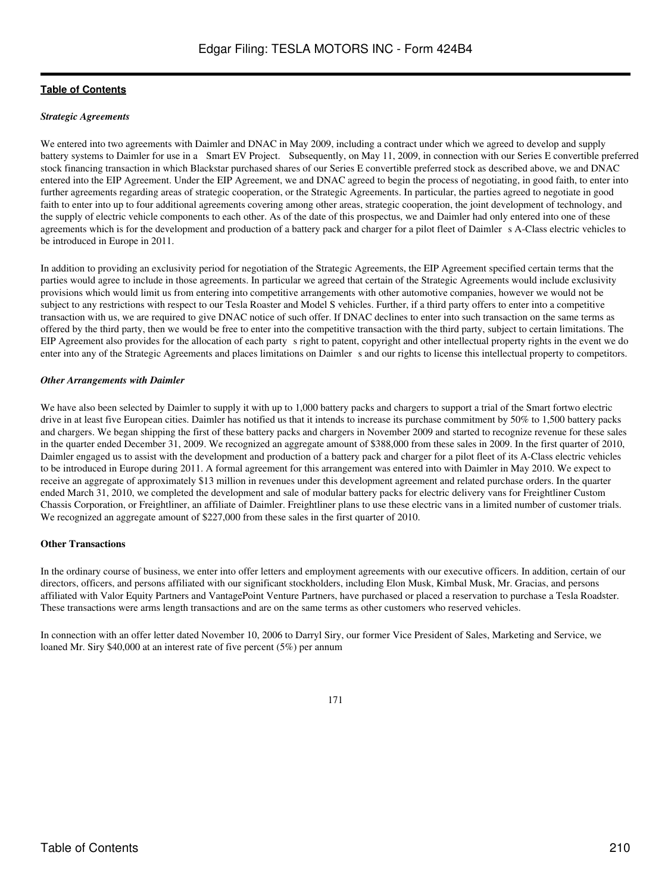#### *Strategic Agreements*

We entered into two agreements with Daimler and DNAC in May 2009, including a contract under which we agreed to develop and supply battery systems to Daimler for use in a Smart EV Project. Subsequently, on May 11, 2009, in connection with our Series E convertible preferred stock financing transaction in which Blackstar purchased shares of our Series E convertible preferred stock as described above, we and DNAC entered into the EIP Agreement. Under the EIP Agreement, we and DNAC agreed to begin the process of negotiating, in good faith, to enter into further agreements regarding areas of strategic cooperation, or the Strategic Agreements. In particular, the parties agreed to negotiate in good faith to enter into up to four additional agreements covering among other areas, strategic cooperation, the joint development of technology, and the supply of electric vehicle components to each other. As of the date of this prospectus, we and Daimler had only entered into one of these agreements which is for the development and production of a battery pack and charger for a pilot fleet of Daimler s A-Class electric vehicles to be introduced in Europe in 2011.

In addition to providing an exclusivity period for negotiation of the Strategic Agreements, the EIP Agreement specified certain terms that the parties would agree to include in those agreements. In particular we agreed that certain of the Strategic Agreements would include exclusivity provisions which would limit us from entering into competitive arrangements with other automotive companies, however we would not be subject to any restrictions with respect to our Tesla Roaster and Model S vehicles. Further, if a third party offers to enter into a competitive transaction with us, we are required to give DNAC notice of such offer. If DNAC declines to enter into such transaction on the same terms as offered by the third party, then we would be free to enter into the competitive transaction with the third party, subject to certain limitations. The EIP Agreement also provides for the allocation of each party s right to patent, copyright and other intellectual property rights in the event we do enter into any of the Strategic Agreements and places limitations on Daimler s and our rights to license this intellectual property to competitors.

#### *Other Arrangements with Daimler*

We have also been selected by Daimler to supply it with up to 1,000 battery packs and chargers to support a trial of the Smart fortwo electric drive in at least five European cities. Daimler has notified us that it intends to increase its purchase commitment by 50% to 1,500 battery packs and chargers. We began shipping the first of these battery packs and chargers in November 2009 and started to recognize revenue for these sales in the quarter ended December 31, 2009. We recognized an aggregate amount of \$388,000 from these sales in 2009. In the first quarter of 2010, Daimler engaged us to assist with the development and production of a battery pack and charger for a pilot fleet of its A-Class electric vehicles to be introduced in Europe during 2011. A formal agreement for this arrangement was entered into with Daimler in May 2010. We expect to receive an aggregate of approximately \$13 million in revenues under this development agreement and related purchase orders. In the quarter ended March 31, 2010, we completed the development and sale of modular battery packs for electric delivery vans for Freightliner Custom Chassis Corporation, or Freightliner, an affiliate of Daimler. Freightliner plans to use these electric vans in a limited number of customer trials. We recognized an aggregate amount of \$227,000 from these sales in the first quarter of 2010.

## **Other Transactions**

In the ordinary course of business, we enter into offer letters and employment agreements with our executive officers. In addition, certain of our directors, officers, and persons affiliated with our significant stockholders, including Elon Musk, Kimbal Musk, Mr. Gracias, and persons affiliated with Valor Equity Partners and VantagePoint Venture Partners, have purchased or placed a reservation to purchase a Tesla Roadster. These transactions were arms length transactions and are on the same terms as other customers who reserved vehicles.

In connection with an offer letter dated November 10, 2006 to Darryl Siry, our former Vice President of Sales, Marketing and Service, we loaned Mr. Siry \$40,000 at an interest rate of five percent (5%) per annum

<sup>171</sup>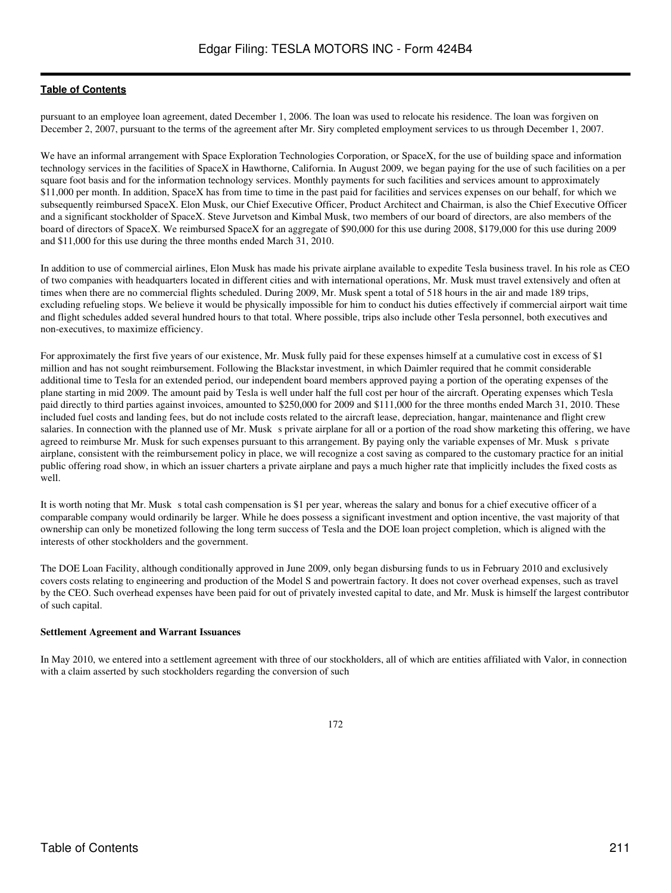pursuant to an employee loan agreement, dated December 1, 2006. The loan was used to relocate his residence. The loan was forgiven on December 2, 2007, pursuant to the terms of the agreement after Mr. Siry completed employment services to us through December 1, 2007.

We have an informal arrangement with Space Exploration Technologies Corporation, or SpaceX, for the use of building space and information technology services in the facilities of SpaceX in Hawthorne, California. In August 2009, we began paying for the use of such facilities on a per square foot basis and for the information technology services. Monthly payments for such facilities and services amount to approximately \$11,000 per month. In addition, SpaceX has from time to time in the past paid for facilities and services expenses on our behalf, for which we subsequently reimbursed SpaceX. Elon Musk, our Chief Executive Officer, Product Architect and Chairman, is also the Chief Executive Officer and a significant stockholder of SpaceX. Steve Jurvetson and Kimbal Musk, two members of our board of directors, are also members of the board of directors of SpaceX. We reimbursed SpaceX for an aggregate of \$90,000 for this use during 2008, \$179,000 for this use during 2009 and \$11,000 for this use during the three months ended March 31, 2010.

In addition to use of commercial airlines, Elon Musk has made his private airplane available to expedite Tesla business travel. In his role as CEO of two companies with headquarters located in different cities and with international operations, Mr. Musk must travel extensively and often at times when there are no commercial flights scheduled. During 2009, Mr. Musk spent a total of 518 hours in the air and made 189 trips, excluding refueling stops. We believe it would be physically impossible for him to conduct his duties effectively if commercial airport wait time and flight schedules added several hundred hours to that total. Where possible, trips also include other Tesla personnel, both executives and non-executives, to maximize efficiency.

For approximately the first five years of our existence, Mr. Musk fully paid for these expenses himself at a cumulative cost in excess of \$1 million and has not sought reimbursement. Following the Blackstar investment, in which Daimler required that he commit considerable additional time to Tesla for an extended period, our independent board members approved paying a portion of the operating expenses of the plane starting in mid 2009. The amount paid by Tesla is well under half the full cost per hour of the aircraft. Operating expenses which Tesla paid directly to third parties against invoices, amounted to \$250,000 for 2009 and \$111,000 for the three months ended March 31, 2010. These included fuel costs and landing fees, but do not include costs related to the aircraft lease, depreciation, hangar, maintenance and flight crew salaries. In connection with the planned use of Mr. Musk s private airplane for all or a portion of the road show marketing this offering, we have agreed to reimburse Mr. Musk for such expenses pursuant to this arrangement. By paying only the variable expenses of Mr. Musk s private airplane, consistent with the reimbursement policy in place, we will recognize a cost saving as compared to the customary practice for an initial public offering road show, in which an issuer charters a private airplane and pays a much higher rate that implicitly includes the fixed costs as well.

It is worth noting that Mr. Musk s total cash compensation is \$1 per year, whereas the salary and bonus for a chief executive officer of a comparable company would ordinarily be larger. While he does possess a significant investment and option incentive, the vast majority of that ownership can only be monetized following the long term success of Tesla and the DOE loan project completion, which is aligned with the interests of other stockholders and the government.

The DOE Loan Facility, although conditionally approved in June 2009, only began disbursing funds to us in February 2010 and exclusively covers costs relating to engineering and production of the Model S and powertrain factory. It does not cover overhead expenses, such as travel by the CEO. Such overhead expenses have been paid for out of privately invested capital to date, and Mr. Musk is himself the largest contributor of such capital.

#### **Settlement Agreement and Warrant Issuances**

In May 2010, we entered into a settlement agreement with three of our stockholders, all of which are entities affiliated with Valor, in connection with a claim asserted by such stockholders regarding the conversion of such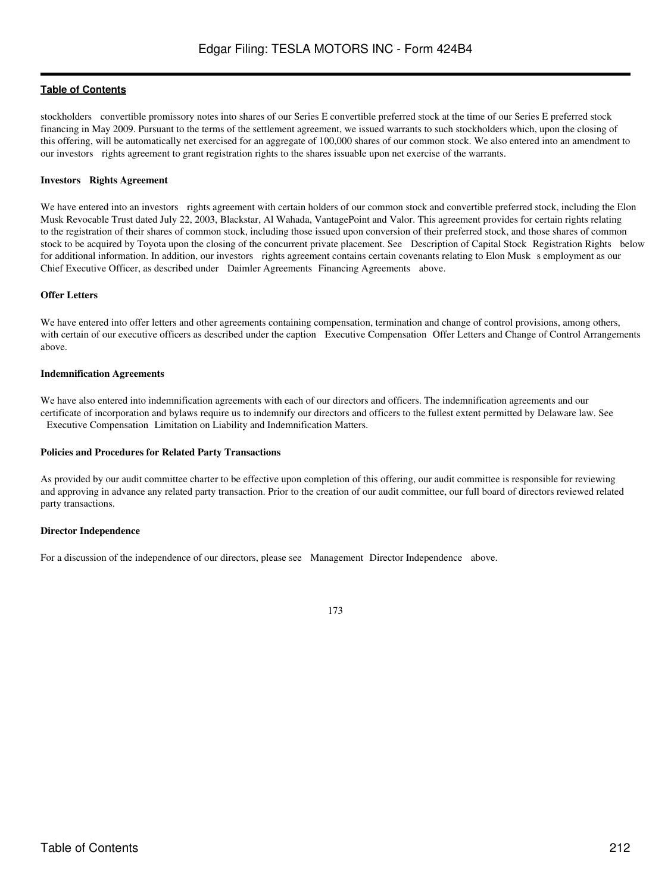stockholders convertible promissory notes into shares of our Series E convertible preferred stock at the time of our Series E preferred stock financing in May 2009. Pursuant to the terms of the settlement agreement, we issued warrants to such stockholders which, upon the closing of this offering, will be automatically net exercised for an aggregate of 100,000 shares of our common stock. We also entered into an amendment to our investors rights agreement to grant registration rights to the shares issuable upon net exercise of the warrants.

#### **Investors Rights Agreement**

We have entered into an investors rights agreement with certain holders of our common stock and convertible preferred stock, including the Elon Musk Revocable Trust dated July 22, 2003, Blackstar, Al Wahada, VantagePoint and Valor. This agreement provides for certain rights relating to the registration of their shares of common stock, including those issued upon conversion of their preferred stock, and those shares of common stock to be acquired by Toyota upon the closing of the concurrent private placement. See Description of Capital Stock Registration Rights below for additional information. In addition, our investors rights agreement contains certain covenants relating to Elon Musk s employment as our Chief Executive Officer, as described under Daimler Agreements Financing Agreements above.

#### **Offer Letters**

We have entered into offer letters and other agreements containing compensation, termination and change of control provisions, among others, with certain of our executive officers as described under the caption Executive Compensation Offer Letters and Change of Control Arrangements above.

#### **Indemnification Agreements**

We have also entered into indemnification agreements with each of our directors and officers. The indemnification agreements and our certificate of incorporation and bylaws require us to indemnify our directors and officers to the fullest extent permitted by Delaware law. See Executive Compensation Limitation on Liability and Indemnification Matters.

#### **Policies and Procedures for Related Party Transactions**

As provided by our audit committee charter to be effective upon completion of this offering, our audit committee is responsible for reviewing and approving in advance any related party transaction. Prior to the creation of our audit committee, our full board of directors reviewed related party transactions.

## **Director Independence**

For a discussion of the independence of our directors, please see Management Director Independence above.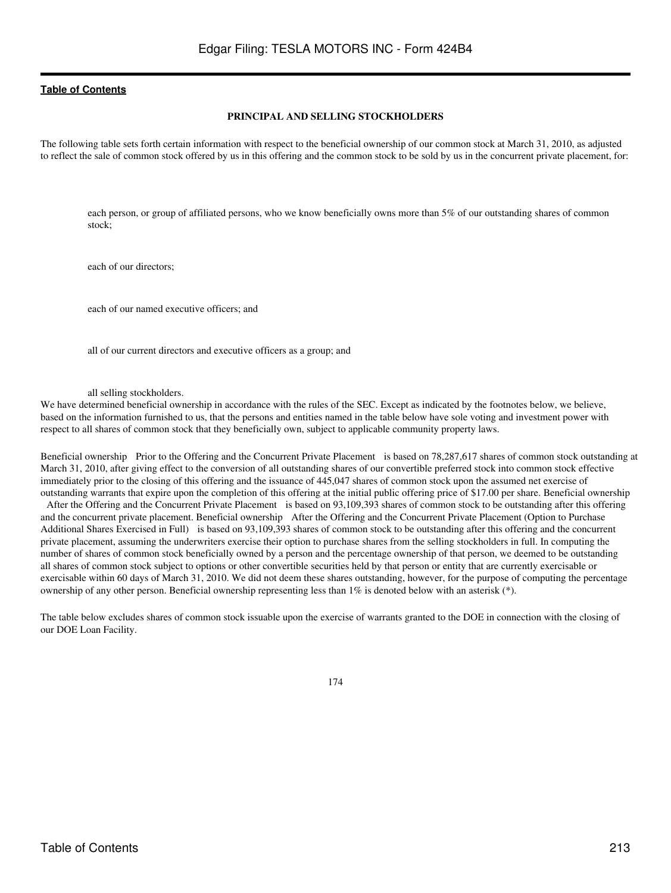#### **PRINCIPAL AND SELLING STOCKHOLDERS**

The following table sets forth certain information with respect to the beneficial ownership of our common stock at March 31, 2010, as adjusted to reflect the sale of common stock offered by us in this offering and the common stock to be sold by us in the concurrent private placement, for:

each person, or group of affiliated persons, who we know beneficially owns more than 5% of our outstanding shares of common stock;

each of our directors;

each of our named executive officers; and

all of our current directors and executive officers as a group; and

all selling stockholders.

We have determined beneficial ownership in accordance with the rules of the SEC. Except as indicated by the footnotes below, we believe, based on the information furnished to us, that the persons and entities named in the table below have sole voting and investment power with respect to all shares of common stock that they beneficially own, subject to applicable community property laws.

Beneficial ownership Prior to the Offering and the Concurrent Private Placement is based on 78,287,617 shares of common stock outstanding at March 31, 2010, after giving effect to the conversion of all outstanding shares of our convertible preferred stock into common stock effective immediately prior to the closing of this offering and the issuance of 445,047 shares of common stock upon the assumed net exercise of outstanding warrants that expire upon the completion of this offering at the initial public offering price of \$17.00 per share. Beneficial ownership

After the Offering and the Concurrent Private Placement is based on 93,109,393 shares of common stock to be outstanding after this offering and the concurrent private placement. Beneficial ownership After the Offering and the Concurrent Private Placement (Option to Purchase Additional Shares Exercised in Full) is based on 93,109,393 shares of common stock to be outstanding after this offering and the concurrent private placement, assuming the underwriters exercise their option to purchase shares from the selling stockholders in full. In computing the number of shares of common stock beneficially owned by a person and the percentage ownership of that person, we deemed to be outstanding all shares of common stock subject to options or other convertible securities held by that person or entity that are currently exercisable or exercisable within 60 days of March 31, 2010. We did not deem these shares outstanding, however, for the purpose of computing the percentage ownership of any other person. Beneficial ownership representing less than 1% is denoted below with an asterisk (\*).

The table below excludes shares of common stock issuable upon the exercise of warrants granted to the DOE in connection with the closing of our DOE Loan Facility.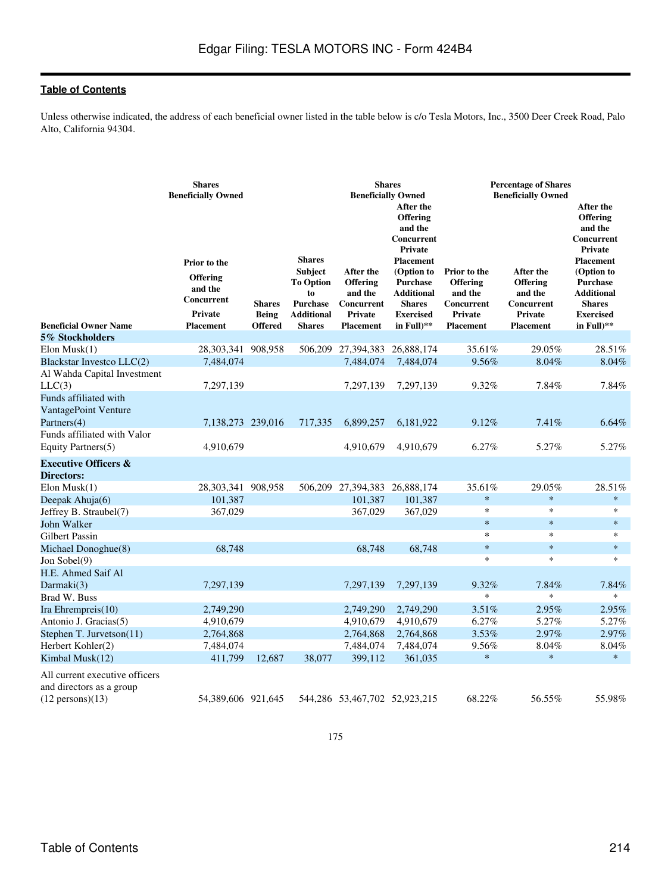Unless otherwise indicated, the address of each beneficial owner listed in the table below is c/o Tesla Motors, Inc., 3500 Deer Creek Road, Palo Alto, California 94304.

|                                                                                          | <b>Shares</b><br><b>Beneficially Owned</b><br>Prior to the<br><b>Offering</b><br>and the<br>Concurrent<br><b>Private</b> | <b>Shares</b><br><b>Being</b> | <b>Shares</b><br><b>Subject</b><br><b>To Option</b><br>to<br>Purchase<br><b>Additional</b> | <b>Shares</b><br>After the<br><b>Offering</b><br>and the<br>Concurrent<br><b>Private</b> | <b>Beneficially Owned</b><br>After the<br><b>Offering</b><br>and the<br><b>Concurrent</b><br>Private<br><b>Placement</b><br>(Option to<br><b>Purchase</b><br><b>Additional</b><br><b>Shares</b><br><b>Exercised</b> | Prior to the<br><b>Offering</b><br>and the<br>Concurrent<br><b>Private</b> | <b>Percentage of Shares</b><br><b>Beneficially Owned</b><br>After the<br><b>Offering</b><br>and the<br>Concurrent<br><b>Private</b> | After the<br><b>Offering</b><br>and the<br>Concurrent<br>Private<br><b>Placement</b><br>(Option to<br><b>Purchase</b><br><b>Additional</b><br><b>Shares</b><br><b>Exercised</b> |
|------------------------------------------------------------------------------------------|--------------------------------------------------------------------------------------------------------------------------|-------------------------------|--------------------------------------------------------------------------------------------|------------------------------------------------------------------------------------------|---------------------------------------------------------------------------------------------------------------------------------------------------------------------------------------------------------------------|----------------------------------------------------------------------------|-------------------------------------------------------------------------------------------------------------------------------------|---------------------------------------------------------------------------------------------------------------------------------------------------------------------------------|
| <b>Beneficial Owner Name</b>                                                             | <b>Placement</b>                                                                                                         | <b>Offered</b>                | <b>Shares</b>                                                                              | <b>Placement</b>                                                                         | in Full)**                                                                                                                                                                                                          | <b>Placement</b>                                                           | <b>Placement</b>                                                                                                                    | in Full)**                                                                                                                                                                      |
| 5% Stockholders                                                                          |                                                                                                                          |                               |                                                                                            |                                                                                          |                                                                                                                                                                                                                     |                                                                            |                                                                                                                                     |                                                                                                                                                                                 |
| Elon Musk(1)                                                                             | 28,303,341                                                                                                               | 908,958                       | 506,209                                                                                    |                                                                                          | 27,394,383 26,888,174                                                                                                                                                                                               | 35.61%<br>9.56%                                                            | 29.05%<br>8.04%                                                                                                                     | 28.51%<br>8.04%                                                                                                                                                                 |
| Blackstar Investco LLC(2)<br>Al Wahda Capital Investment                                 | 7,484,074                                                                                                                |                               |                                                                                            | 7,484,074                                                                                | 7,484,074                                                                                                                                                                                                           |                                                                            |                                                                                                                                     |                                                                                                                                                                                 |
| LLC(3)                                                                                   | 7,297,139                                                                                                                |                               |                                                                                            | 7,297,139                                                                                | 7,297,139                                                                                                                                                                                                           | 9.32%                                                                      | 7.84%                                                                                                                               | 7.84%                                                                                                                                                                           |
| Funds affiliated with<br>VantagePoint Venture<br>Partners(4)                             | 7,138,273 239,016                                                                                                        |                               | 717,335                                                                                    | 6,899,257                                                                                | 6,181,922                                                                                                                                                                                                           | 9.12%                                                                      | 7.41%                                                                                                                               | 6.64%                                                                                                                                                                           |
| Funds affiliated with Valor<br>Equity Partners(5)                                        | 4,910,679                                                                                                                |                               |                                                                                            | 4,910,679                                                                                | 4,910,679                                                                                                                                                                                                           | 6.27%                                                                      | 5.27%                                                                                                                               | 5.27%                                                                                                                                                                           |
| <b>Executive Officers &amp;</b><br><b>Directors:</b>                                     |                                                                                                                          |                               |                                                                                            |                                                                                          |                                                                                                                                                                                                                     |                                                                            |                                                                                                                                     |                                                                                                                                                                                 |
| Elon Musk(1)                                                                             | 28,303,341 908,958                                                                                                       |                               |                                                                                            | 506,209 27,394,383 26,888,174                                                            |                                                                                                                                                                                                                     | 35.61%                                                                     | 29.05%                                                                                                                              | 28.51%                                                                                                                                                                          |
| Deepak Ahuja(6)                                                                          | 101,387                                                                                                                  |                               |                                                                                            | 101,387                                                                                  | 101,387                                                                                                                                                                                                             | $\ast$                                                                     | $\ast$                                                                                                                              | $\ast$                                                                                                                                                                          |
| Jeffrey B. Straubel(7)                                                                   | 367,029                                                                                                                  |                               |                                                                                            | 367,029                                                                                  | 367,029                                                                                                                                                                                                             | $\ast$                                                                     | $\ast$                                                                                                                              | $\ast$                                                                                                                                                                          |
| John Walker                                                                              |                                                                                                                          |                               |                                                                                            |                                                                                          |                                                                                                                                                                                                                     | $\ast$                                                                     | $\ast$                                                                                                                              | $\ast$                                                                                                                                                                          |
| Gilbert Passin                                                                           |                                                                                                                          |                               |                                                                                            |                                                                                          |                                                                                                                                                                                                                     | $\ast$                                                                     | $\ast$                                                                                                                              | $\ast$                                                                                                                                                                          |
| Michael Donoghue(8)                                                                      | 68,748                                                                                                                   |                               |                                                                                            | 68,748                                                                                   | 68,748                                                                                                                                                                                                              | $\ast$                                                                     | $\ast$                                                                                                                              | $\ast$                                                                                                                                                                          |
| Jon Sobel(9)                                                                             |                                                                                                                          |                               |                                                                                            |                                                                                          |                                                                                                                                                                                                                     | $\ast$                                                                     | $\ast$                                                                                                                              | $\ast$                                                                                                                                                                          |
| H.E. Ahmed Saif Al                                                                       |                                                                                                                          |                               |                                                                                            |                                                                                          |                                                                                                                                                                                                                     |                                                                            |                                                                                                                                     |                                                                                                                                                                                 |
| Darmaki(3)                                                                               | 7,297,139                                                                                                                |                               |                                                                                            | 7,297,139                                                                                | 7,297,139                                                                                                                                                                                                           | 9.32%                                                                      | 7.84%                                                                                                                               | 7.84%                                                                                                                                                                           |
| Brad W. Buss                                                                             |                                                                                                                          |                               |                                                                                            |                                                                                          |                                                                                                                                                                                                                     | $\ast$                                                                     | $\ast$                                                                                                                              | $\ast$                                                                                                                                                                          |
| Ira Ehrempreis(10)                                                                       | 2,749,290                                                                                                                |                               |                                                                                            | 2,749,290                                                                                | 2,749,290                                                                                                                                                                                                           | 3.51%                                                                      | 2.95%                                                                                                                               | 2.95%                                                                                                                                                                           |
| Antonio J. Gracias(5)                                                                    | 4,910,679                                                                                                                |                               |                                                                                            | 4,910,679                                                                                | 4,910,679                                                                                                                                                                                                           | 6.27%                                                                      | 5.27%                                                                                                                               | 5.27%                                                                                                                                                                           |
| Stephen T. Jurvetson(11)                                                                 | 2,764,868                                                                                                                |                               |                                                                                            | 2,764,868                                                                                | 2,764,868                                                                                                                                                                                                           | 3.53%                                                                      | 2.97%                                                                                                                               | 2.97%                                                                                                                                                                           |
| Herbert Kohler(2)                                                                        | 7,484,074                                                                                                                |                               |                                                                                            | 7,484,074                                                                                | 7,484,074                                                                                                                                                                                                           | 9.56%                                                                      | 8.04%                                                                                                                               | 8.04%                                                                                                                                                                           |
| Kimbal Musk(12)                                                                          | 411,799                                                                                                                  | 12,687                        | 38,077                                                                                     | 399,112                                                                                  | 361,035                                                                                                                                                                                                             | $\ast$                                                                     | $\ast$                                                                                                                              | $\ast$                                                                                                                                                                          |
| All current executive officers<br>and directors as a group<br>$(12 \text{ persons})(13)$ | 54,389,606 921,645                                                                                                       |                               |                                                                                            | 544,286 53,467,702 52,923,215                                                            |                                                                                                                                                                                                                     | 68.22%                                                                     | 56.55%                                                                                                                              | 55.98%                                                                                                                                                                          |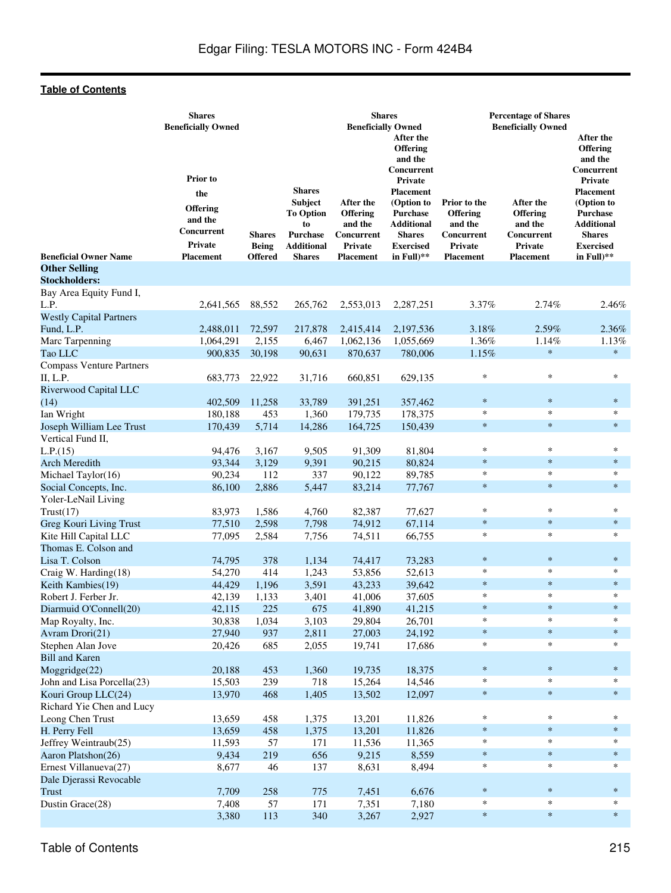|                                 | <b>Shares</b><br><b>Beneficially Owned</b>                                                 |                                                 |                                                                                                             | <b>Shares</b><br><b>Beneficially Owned</b>                                                  |                                                                                                                                                                                 | <b>Percentage of Shares</b><br><b>Beneficially Owned</b>                                       |                                                                                      |                                                                                                                                                                                        |
|---------------------------------|--------------------------------------------------------------------------------------------|-------------------------------------------------|-------------------------------------------------------------------------------------------------------------|---------------------------------------------------------------------------------------------|---------------------------------------------------------------------------------------------------------------------------------------------------------------------------------|------------------------------------------------------------------------------------------------|--------------------------------------------------------------------------------------|----------------------------------------------------------------------------------------------------------------------------------------------------------------------------------------|
| <b>Beneficial Owner Name</b>    | Prior to<br>the<br><b>Offering</b><br>and the<br>Concurrent<br>Private<br><b>Placement</b> | <b>Shares</b><br><b>Being</b><br><b>Offered</b> | <b>Shares</b><br><b>Subject</b><br><b>To Option</b><br>to<br><b>Purchase</b><br>Additional<br><b>Shares</b> | After the<br><b>Offering</b><br>and the<br>Concurrent<br><b>Private</b><br><b>Placement</b> | After the<br>Offering<br>and the<br>Concurrent<br>Private<br><b>Placement</b><br>(Option to<br>Purchase<br><b>Additional</b><br><b>Shares</b><br><b>Exercised</b><br>in Full)** | Prior to the<br><b>Offering</b><br>and the<br>Concurrent<br><b>Private</b><br><b>Placement</b> | After the<br><b>Offering</b><br>and the<br>Concurrent<br>Private<br><b>Placement</b> | After the<br><b>Offering</b><br>and the<br>Concurrent<br>Private<br><b>Placement</b><br>(Option to<br>Purchase<br><b>Additional</b><br><b>Shares</b><br><b>Exercised</b><br>in Full)** |
| <b>Other Selling</b>            |                                                                                            |                                                 |                                                                                                             |                                                                                             |                                                                                                                                                                                 |                                                                                                |                                                                                      |                                                                                                                                                                                        |
| <b>Stockholders:</b>            |                                                                                            |                                                 |                                                                                                             |                                                                                             |                                                                                                                                                                                 |                                                                                                |                                                                                      |                                                                                                                                                                                        |
| Bay Area Equity Fund I,         |                                                                                            |                                                 |                                                                                                             |                                                                                             |                                                                                                                                                                                 |                                                                                                |                                                                                      |                                                                                                                                                                                        |
| L.P.                            | 2,641,565                                                                                  | 88,552                                          | 265,762                                                                                                     | 2,553,013                                                                                   | 2,287,251                                                                                                                                                                       | 3.37%                                                                                          | 2.74%                                                                                | 2.46%                                                                                                                                                                                  |
| <b>Westly Capital Partners</b>  |                                                                                            |                                                 |                                                                                                             |                                                                                             |                                                                                                                                                                                 |                                                                                                |                                                                                      |                                                                                                                                                                                        |
| Fund, L.P.                      | 2,488,011                                                                                  | 72,597                                          | 217,878                                                                                                     | 2,415,414                                                                                   | 2,197,536                                                                                                                                                                       | 3.18%                                                                                          | 2.59%                                                                                | 2.36%                                                                                                                                                                                  |
| Marc Tarpenning                 | 1,064,291                                                                                  | 2,155                                           | 6,467                                                                                                       | 1,062,136                                                                                   | 1,055,669                                                                                                                                                                       | 1.36%                                                                                          | 1.14%                                                                                | 1.13%                                                                                                                                                                                  |
| Tao LLC                         | 900,835                                                                                    | 30,198                                          | 90,631                                                                                                      | 870,637                                                                                     | 780,006                                                                                                                                                                         | 1.15%                                                                                          | $\ast$                                                                               | $\ast$                                                                                                                                                                                 |
| <b>Compass Venture Partners</b> |                                                                                            |                                                 |                                                                                                             |                                                                                             |                                                                                                                                                                                 |                                                                                                |                                                                                      |                                                                                                                                                                                        |
| II, L.P.                        | 683,773                                                                                    | 22,922                                          | 31,716                                                                                                      | 660,851                                                                                     | 629,135                                                                                                                                                                         | $\ast$                                                                                         | $\ast$                                                                               | $\ast$                                                                                                                                                                                 |
| Riverwood Capital LLC           |                                                                                            |                                                 |                                                                                                             |                                                                                             |                                                                                                                                                                                 |                                                                                                |                                                                                      |                                                                                                                                                                                        |
| (14)                            | 402,509                                                                                    | 11,258                                          | 33,789                                                                                                      | 391,251                                                                                     | 357,462                                                                                                                                                                         | $\ast$                                                                                         | $\ast$                                                                               | $\ast$                                                                                                                                                                                 |
| Ian Wright                      | 180,188                                                                                    | 453                                             | 1,360                                                                                                       | 179,735                                                                                     | 178,375                                                                                                                                                                         | $\ast$                                                                                         | $\ast$                                                                               | $\ast$                                                                                                                                                                                 |
| Joseph William Lee Trust        | 170,439                                                                                    | 5,714                                           | 14,286                                                                                                      | 164,725                                                                                     | 150,439                                                                                                                                                                         | $\ast$                                                                                         | $\ast$                                                                               | $\ast$                                                                                                                                                                                 |
| Vertical Fund II,               |                                                                                            |                                                 |                                                                                                             |                                                                                             |                                                                                                                                                                                 |                                                                                                |                                                                                      |                                                                                                                                                                                        |
| L.P.(15)                        | 94,476                                                                                     | 3,167                                           | 9,505                                                                                                       | 91,309                                                                                      | 81,804                                                                                                                                                                          | $\ast$                                                                                         | $\ast$                                                                               | $\ast$                                                                                                                                                                                 |
| <b>Arch Meredith</b>            | 93,344                                                                                     | 3,129                                           | 9,391                                                                                                       | 90,215                                                                                      | 80,824                                                                                                                                                                          | $\ast$                                                                                         | $\ast$                                                                               | $\ast$                                                                                                                                                                                 |
| Michael Taylor(16)              | 90,234                                                                                     | 112                                             | 337                                                                                                         | 90,122                                                                                      | 89,785                                                                                                                                                                          | $\ast$                                                                                         | $\ast$                                                                               | $\ast$                                                                                                                                                                                 |
| Social Concepts, Inc.           | 86,100                                                                                     | 2,886                                           | 5,447                                                                                                       | 83,214                                                                                      | 77,767                                                                                                                                                                          | $\ast$                                                                                         | $\ast$                                                                               | $\ast$                                                                                                                                                                                 |
| Yoler-LeNail Living             |                                                                                            |                                                 |                                                                                                             |                                                                                             |                                                                                                                                                                                 |                                                                                                |                                                                                      |                                                                                                                                                                                        |
| Trust(17)                       | 83,973                                                                                     | 1,586                                           | 4,760                                                                                                       | 82,387                                                                                      | 77,627                                                                                                                                                                          | $\ast$                                                                                         | $\ast$                                                                               | *                                                                                                                                                                                      |
| <b>Greg Kouri Living Trust</b>  | 77,510                                                                                     | 2,598                                           | 7,798                                                                                                       | 74,912                                                                                      | 67,114                                                                                                                                                                          | $\ast$                                                                                         | $\ast$                                                                               | $\ast$                                                                                                                                                                                 |
| Kite Hill Capital LLC           | 77,095                                                                                     | 2,584                                           | 7,756                                                                                                       | 74,511                                                                                      | 66,755                                                                                                                                                                          | $\ast$                                                                                         | $\ast$                                                                               | $\ast$                                                                                                                                                                                 |
| Thomas E. Colson and            |                                                                                            |                                                 |                                                                                                             |                                                                                             |                                                                                                                                                                                 |                                                                                                |                                                                                      |                                                                                                                                                                                        |
| Lisa T. Colson                  | 74,795                                                                                     | 378                                             | 1,134                                                                                                       | 74,417                                                                                      | 73,283                                                                                                                                                                          | $\ast$                                                                                         | $\ast$                                                                               | $\ast$                                                                                                                                                                                 |
| Craig W. Harding(18)            | 54,270                                                                                     | 414                                             | 1,243                                                                                                       | 53,856                                                                                      | 52,613                                                                                                                                                                          | $\ast$                                                                                         | $\ast$                                                                               | $\ast$                                                                                                                                                                                 |
| Keith Kambies(19)               | 44,429                                                                                     | 1,196                                           | 3,591                                                                                                       | 43,233                                                                                      | 39,642                                                                                                                                                                          | $\ast$                                                                                         | $\ast$                                                                               | $\ast$                                                                                                                                                                                 |
| Robert J. Ferber Jr.            | 42,139                                                                                     | 1,133                                           | 3,401                                                                                                       | 41,006                                                                                      | 37,605                                                                                                                                                                          | $\ast$                                                                                         | $\ast$                                                                               | $\ast$                                                                                                                                                                                 |
| Diarmuid O'Connell(20)          | 42,115                                                                                     | 225                                             | 675                                                                                                         | 41,890                                                                                      | 41,215                                                                                                                                                                          | $\ast$                                                                                         | $\ast$                                                                               | $\ast$                                                                                                                                                                                 |
| Map Royalty, Inc.               | 30,838                                                                                     | 1,034                                           | 3,103                                                                                                       | 29,804                                                                                      | 26,701                                                                                                                                                                          | $\ast$                                                                                         | $\ast$                                                                               | $\ast$                                                                                                                                                                                 |
| Avram Drori(21)                 | 27,940                                                                                     | 937                                             | 2,811                                                                                                       | 27,003                                                                                      | 24,192                                                                                                                                                                          | $\ast$                                                                                         | $\ast$                                                                               | $\ast$                                                                                                                                                                                 |
| Stephen Alan Jove               | 20,426                                                                                     | 685                                             | 2,055                                                                                                       | 19,741                                                                                      | 17,686                                                                                                                                                                          | $\ast$                                                                                         | $\ast$                                                                               | $\ast$                                                                                                                                                                                 |
| <b>Bill and Karen</b>           |                                                                                            |                                                 |                                                                                                             |                                                                                             |                                                                                                                                                                                 |                                                                                                |                                                                                      |                                                                                                                                                                                        |
| Moggridge(22)                   | 20,188                                                                                     | 453                                             | 1,360                                                                                                       | 19,735                                                                                      | 18,375                                                                                                                                                                          | $\ast$                                                                                         | $\ast$                                                                               | $\ast$                                                                                                                                                                                 |
| John and Lisa Porcella(23)      | 15,503                                                                                     | 239                                             | 718                                                                                                         | 15,264                                                                                      | 14,546                                                                                                                                                                          | $\ast$                                                                                         | $\ast$<br>$\ast$                                                                     | $\ast$<br>$\ast$                                                                                                                                                                       |
| Kouri Group LLC(24)             | 13,970                                                                                     | 468                                             | 1,405                                                                                                       | 13,502                                                                                      | 12,097                                                                                                                                                                          | $\ast$                                                                                         |                                                                                      |                                                                                                                                                                                        |
| Richard Yie Chen and Lucy       |                                                                                            |                                                 |                                                                                                             |                                                                                             |                                                                                                                                                                                 |                                                                                                |                                                                                      |                                                                                                                                                                                        |
| Leong Chen Trust                | 13,659                                                                                     | 458                                             | 1,375                                                                                                       | 13,201                                                                                      | 11,826                                                                                                                                                                          | $\ast$                                                                                         | $\ast$                                                                               | $\ast$                                                                                                                                                                                 |
| H. Perry Fell                   | 13,659                                                                                     | 458                                             | 1,375                                                                                                       | 13,201                                                                                      | 11,826                                                                                                                                                                          | $\ast$                                                                                         | $\ast$                                                                               | $\ast$                                                                                                                                                                                 |
| Jeffrey Weintraub(25)           | 11,593                                                                                     | 57                                              | 171                                                                                                         | 11,536                                                                                      | 11,365                                                                                                                                                                          | $\ast$                                                                                         | $\ast$                                                                               | $\ast$                                                                                                                                                                                 |
| Aaron Platshon(26)              | 9,434                                                                                      | 219                                             | 656                                                                                                         | 9,215                                                                                       | 8,559                                                                                                                                                                           | $\ast$                                                                                         | $\ast$                                                                               | $\ast$                                                                                                                                                                                 |
| Ernest Villanueva(27)           | 8,677                                                                                      | 46                                              | 137                                                                                                         | 8,631                                                                                       | 8,494                                                                                                                                                                           | $\ast$                                                                                         | $\ast$                                                                               | $\ast$                                                                                                                                                                                 |
| Dale Djerassi Revocable         |                                                                                            |                                                 |                                                                                                             |                                                                                             |                                                                                                                                                                                 |                                                                                                |                                                                                      |                                                                                                                                                                                        |
| Trust                           | 7,709                                                                                      | 258                                             | 775                                                                                                         | 7,451                                                                                       | 6,676                                                                                                                                                                           | $\ast$                                                                                         | $\ast$                                                                               | $\ast$                                                                                                                                                                                 |
| Dustin Grace(28)                | 7,408                                                                                      | 57                                              | 171                                                                                                         | 7,351                                                                                       | 7,180                                                                                                                                                                           | $\ast$                                                                                         | $\ast$                                                                               | $\ast$                                                                                                                                                                                 |
|                                 | 3,380                                                                                      | 113                                             | 340                                                                                                         | 3,267                                                                                       | 2,927                                                                                                                                                                           | $\ast$                                                                                         | $\ast$                                                                               | $\ast$                                                                                                                                                                                 |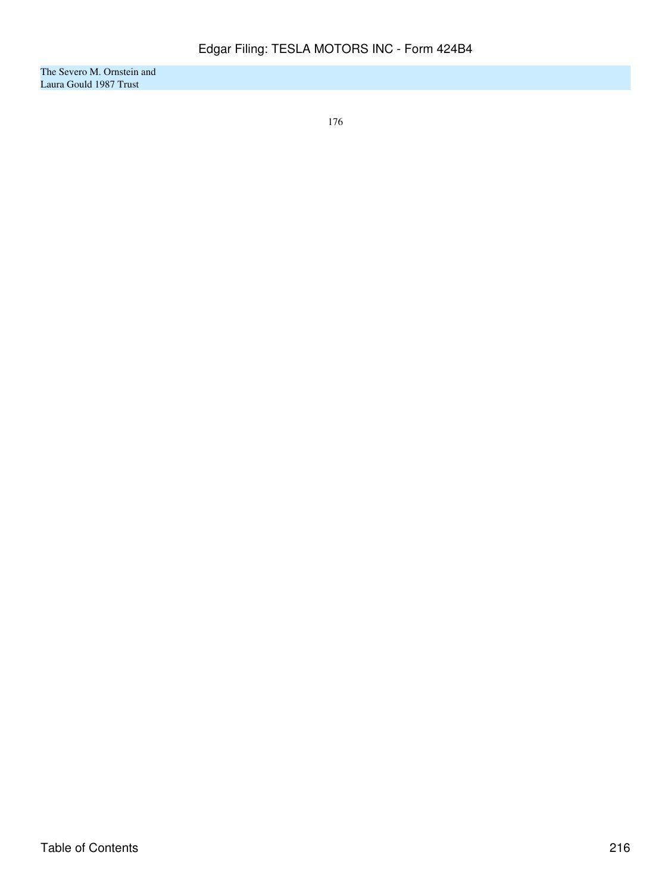The Severo M. Ornstein and Laura Gould 1987 Trust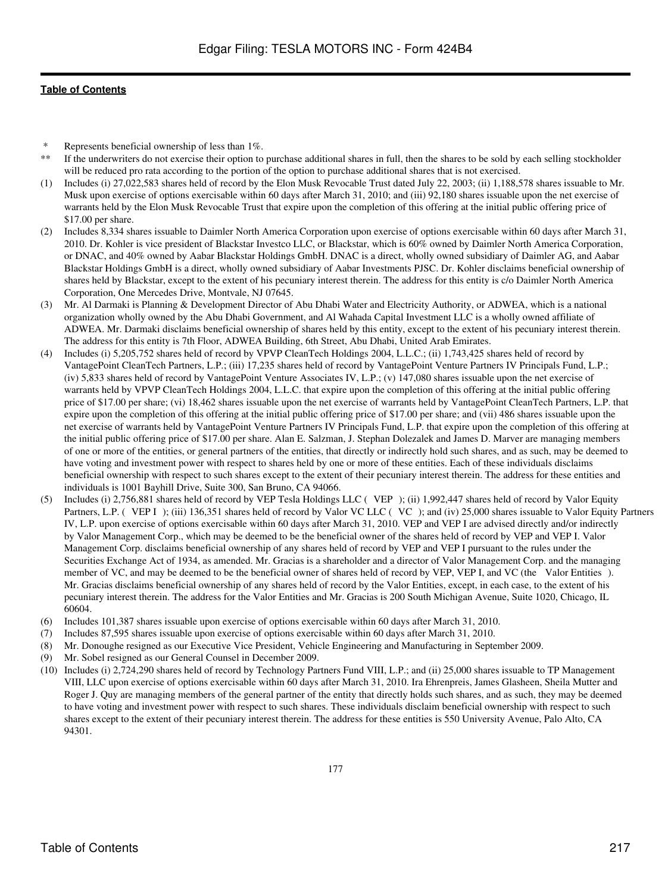#### Represents beneficial ownership of less than 1%.

- \*\* If the underwriters do not exercise their option to purchase additional shares in full, then the shares to be sold by each selling stockholder will be reduced pro rata according to the portion of the option to purchase additional shares that is not exercised.
- (1) Includes (i) 27,022,583 shares held of record by the Elon Musk Revocable Trust dated July 22, 2003; (ii) 1,188,578 shares issuable to Mr. Musk upon exercise of options exercisable within 60 days after March 31, 2010; and (iii) 92,180 shares issuable upon the net exercise of warrants held by the Elon Musk Revocable Trust that expire upon the completion of this offering at the initial public offering price of \$17.00 per share.
- (2) Includes 8,334 shares issuable to Daimler North America Corporation upon exercise of options exercisable within 60 days after March 31, 2010. Dr. Kohler is vice president of Blackstar Investco LLC, or Blackstar, which is 60% owned by Daimler North America Corporation, or DNAC, and 40% owned by Aabar Blackstar Holdings GmbH. DNAC is a direct, wholly owned subsidiary of Daimler AG, and Aabar Blackstar Holdings GmbH is a direct, wholly owned subsidiary of Aabar Investments PJSC. Dr. Kohler disclaims beneficial ownership of shares held by Blackstar, except to the extent of his pecuniary interest therein. The address for this entity is c/o Daimler North America Corporation, One Mercedes Drive, Montvale, NJ 07645.
- (3) Mr. Al Darmaki is Planning & Development Director of Abu Dhabi Water and Electricity Authority, or ADWEA, which is a national organization wholly owned by the Abu Dhabi Government, and Al Wahada Capital Investment LLC is a wholly owned affiliate of ADWEA. Mr. Darmaki disclaims beneficial ownership of shares held by this entity, except to the extent of his pecuniary interest therein. The address for this entity is 7th Floor, ADWEA Building, 6th Street, Abu Dhabi, United Arab Emirates.
- Includes (i) 5,205,752 shares held of record by VPVP CleanTech Holdings 2004, L.L.C.; (ii) 1,743,425 shares held of record by VantagePoint CleanTech Partners, L.P.; (iii) 17,235 shares held of record by VantagePoint Venture Partners IV Principals Fund, L.P.; (iv) 5,833 shares held of record by VantagePoint Venture Associates IV, L.P.; (v) 147,080 shares issuable upon the net exercise of warrants held by VPVP CleanTech Holdings 2004, L.L.C. that expire upon the completion of this offering at the initial public offering price of \$17.00 per share; (vi) 18,462 shares issuable upon the net exercise of warrants held by VantagePoint CleanTech Partners, L.P. that expire upon the completion of this offering at the initial public offering price of \$17.00 per share; and (vii) 486 shares issuable upon the net exercise of warrants held by VantagePoint Venture Partners IV Principals Fund, L.P. that expire upon the completion of this offering at the initial public offering price of \$17.00 per share. Alan E. Salzman, J. Stephan Dolezalek and James D. Marver are managing members of one or more of the entities, or general partners of the entities, that directly or indirectly hold such shares, and as such, may be deemed to have voting and investment power with respect to shares held by one or more of these entities. Each of these individuals disclaims beneficial ownership with respect to such shares except to the extent of their pecuniary interest therein. The address for these entities and individuals is 1001 Bayhill Drive, Suite 300, San Bruno, CA 94066.
- (5) Includes (i) 2,756,881 shares held of record by VEP Tesla Holdings LLC (VEP); (ii) 1,992,447 shares held of record by Valor Equity Partners, L.P. (VEP I); (iii) 136,351 shares held of record by Valor VC LLC (VC); and (iv) 25,000 shares issuable to Valor Equity Partners IV, L.P. upon exercise of options exercisable within 60 days after March 31, 2010. VEP and VEP I are advised directly and/or indirectly by Valor Management Corp., which may be deemed to be the beneficial owner of the shares held of record by VEP and VEP I. Valor Management Corp. disclaims beneficial ownership of any shares held of record by VEP and VEP I pursuant to the rules under the Securities Exchange Act of 1934, as amended. Mr. Gracias is a shareholder and a director of Valor Management Corp. and the managing member of VC, and may be deemed to be the beneficial owner of shares held of record by VEP, VEP I, and VC (the Valor Entities). Mr. Gracias disclaims beneficial ownership of any shares held of record by the Valor Entities, except, in each case, to the extent of his pecuniary interest therein. The address for the Valor Entities and Mr. Gracias is 200 South Michigan Avenue, Suite 1020, Chicago, IL 60604.
- (6) Includes 101,387 shares issuable upon exercise of options exercisable within 60 days after March 31, 2010.
- (7) Includes 87,595 shares issuable upon exercise of options exercisable within 60 days after March 31, 2010.
- (8) Mr. Donoughe resigned as our Executive Vice President, Vehicle Engineering and Manufacturing in September 2009.
- (9) Mr. Sobel resigned as our General Counsel in December 2009.
- (10) Includes (i) 2,724,290 shares held of record by Technology Partners Fund VIII, L.P.; and (ii) 25,000 shares issuable to TP Management VIII, LLC upon exercise of options exercisable within 60 days after March 31, 2010. Ira Ehrenpreis, James Glasheen, Sheila Mutter and Roger J. Quy are managing members of the general partner of the entity that directly holds such shares, and as such, they may be deemed to have voting and investment power with respect to such shares. These individuals disclaim beneficial ownership with respect to such shares except to the extent of their pecuniary interest therein. The address for these entities is 550 University Avenue, Palo Alto, CA 94301.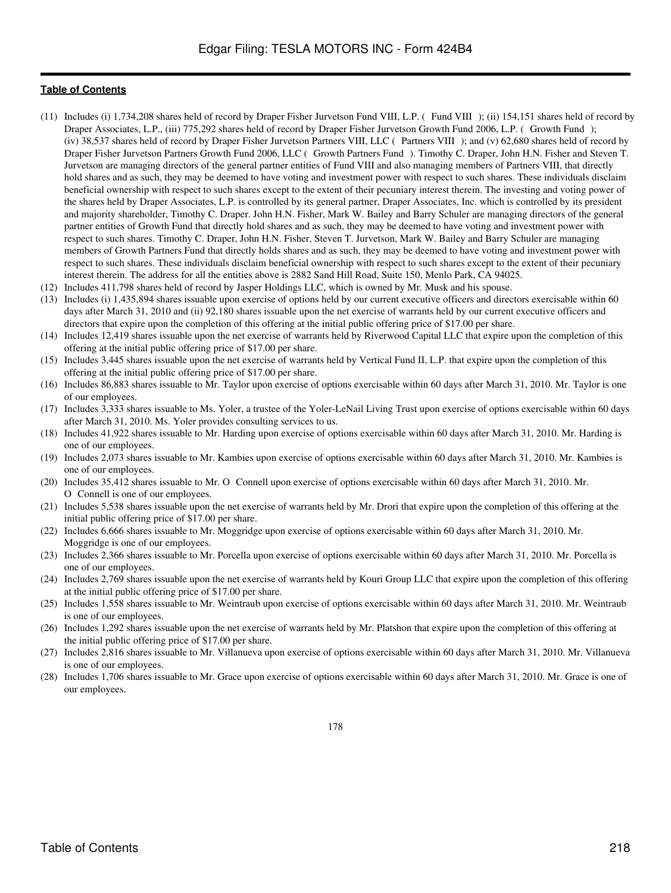- (11) Includes (i) 1,734,208 shares held of record by Draper Fisher Jurvetson Fund VIII, L.P. (Fund VIII); (ii) 154,151 shares held of record by Draper Associates, L.P., (iii) 775,292 shares held of record by Draper Fisher Jurvetson Growth Fund 2006, L.P. (Growth Fund); (iv) 38,537 shares held of record by Draper Fisher Jurvetson Partners VIII, LLC (Partners VIII); and (v) 62,680 shares held of record by Draper Fisher Jurvetson Partners Growth Fund 2006, LLC (Growth Partners Fund). Timothy C. Draper, John H.N. Fisher and Steven T. Jurvetson are managing directors of the general partner entities of Fund VIII and also managing members of Partners VIII, that directly hold shares and as such, they may be deemed to have voting and investment power with respect to such shares. These individuals disclaim beneficial ownership with respect to such shares except to the extent of their pecuniary interest therein. The investing and voting power of the shares held by Draper Associates, L.P. is controlled by its general partner, Draper Associates, Inc. which is controlled by its president and majority shareholder, Timothy C. Draper. John H.N. Fisher, Mark W. Bailey and Barry Schuler are managing directors of the general partner entities of Growth Fund that directly hold shares and as such, they may be deemed to have voting and investment power with respect to such shares. Timothy C. Draper, John H.N. Fisher, Steven T. Jurvetson, Mark W. Bailey and Barry Schuler are managing members of Growth Partners Fund that directly holds shares and as such, they may be deemed to have voting and investment power with respect to such shares. These individuals disclaim beneficial ownership with respect to such shares except to the extent of their pecuniary interest therein. The address for all the entities above is 2882 Sand Hill Road, Suite 150, Menlo Park, CA 94025.
- (12) Includes 411,798 shares held of record by Jasper Holdings LLC, which is owned by Mr. Musk and his spouse.
- (13) Includes (i) 1,435,894 shares issuable upon exercise of options held by our current executive officers and directors exercisable within 60 days after March 31, 2010 and (ii) 92,180 shares issuable upon the net exercise of warrants held by our current executive officers and directors that expire upon the completion of this offering at the initial public offering price of \$17.00 per share.
- (14) Includes 12,419 shares issuable upon the net exercise of warrants held by Riverwood Capital LLC that expire upon the completion of this offering at the initial public offering price of \$17.00 per share.
- (15) Includes 3,445 shares issuable upon the net exercise of warrants held by Vertical Fund II, L.P. that expire upon the completion of this offering at the initial public offering price of \$17.00 per share.
- (16) Includes 86,883 shares issuable to Mr. Taylor upon exercise of options exercisable within 60 days after March 31, 2010. Mr. Taylor is one of our employees.
- (17) Includes 3,333 shares issuable to Ms. Yoler, a trustee of the Yoler-LeNail Living Trust upon exercise of options exercisable within 60 days after March 31, 2010. Ms. Yoler provides consulting services to us.
- (18) Includes 41,922 shares issuable to Mr. Harding upon exercise of options exercisable within 60 days after March 31, 2010. Mr. Harding is one of our employees.
- (19) Includes 2,073 shares issuable to Mr. Kambies upon exercise of options exercisable within 60 days after March 31, 2010. Mr. Kambies is one of our employees.
- (20) Includes 35,412 shares issuable to Mr. O Connell upon exercise of options exercisable within 60 days after March 31, 2010. Mr. O Connell is one of our employees.
- (21) Includes 5,538 shares issuable upon the net exercise of warrants held by Mr. Drori that expire upon the completion of this offering at the initial public offering price of \$17.00 per share.
- (22) Includes 6,666 shares issuable to Mr. Moggridge upon exercise of options exercisable within 60 days after March 31, 2010. Mr. Moggridge is one of our employees.
- (23) Includes 2,366 shares issuable to Mr. Porcella upon exercise of options exercisable within 60 days after March 31, 2010. Mr. Porcella is one of our employees.
- (24) Includes 2,769 shares issuable upon the net exercise of warrants held by Kouri Group LLC that expire upon the completion of this offering at the initial public offering price of \$17.00 per share.
- (25) Includes 1,558 shares issuable to Mr. Weintraub upon exercise of options exercisable within 60 days after March 31, 2010. Mr. Weintraub is one of our employees.
- (26) Includes 1,292 shares issuable upon the net exercise of warrants held by Mr. Platshon that expire upon the completion of this offering at the initial public offering price of \$17.00 per share.
- (27) Includes 2,816 shares issuable to Mr. Villanueva upon exercise of options exercisable within 60 days after March 31, 2010. Mr. Villanueva is one of our employees.
- (28) Includes 1,706 shares issuable to Mr. Grace upon exercise of options exercisable within 60 days after March 31, 2010. Mr. Grace is one of our employees.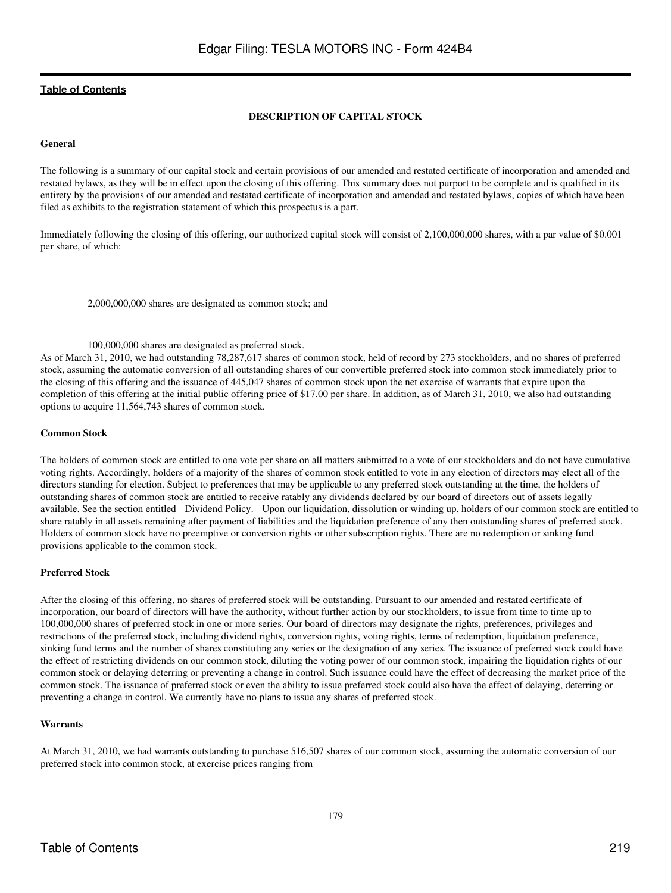# **DESCRIPTION OF CAPITAL STOCK**

## **General**

The following is a summary of our capital stock and certain provisions of our amended and restated certificate of incorporation and amended and restated bylaws, as they will be in effect upon the closing of this offering. This summary does not purport to be complete and is qualified in its entirety by the provisions of our amended and restated certificate of incorporation and amended and restated bylaws, copies of which have been filed as exhibits to the registration statement of which this prospectus is a part.

Immediately following the closing of this offering, our authorized capital stock will consist of 2,100,000,000 shares, with a par value of \$0.001 per share, of which:

2,000,000,000 shares are designated as common stock; and

#### 100,000,000 shares are designated as preferred stock.

As of March 31, 2010, we had outstanding 78,287,617 shares of common stock, held of record by 273 stockholders, and no shares of preferred stock, assuming the automatic conversion of all outstanding shares of our convertible preferred stock into common stock immediately prior to the closing of this offering and the issuance of 445,047 shares of common stock upon the net exercise of warrants that expire upon the completion of this offering at the initial public offering price of \$17.00 per share. In addition, as of March 31, 2010, we also had outstanding options to acquire 11,564,743 shares of common stock.

#### **Common Stock**

The holders of common stock are entitled to one vote per share on all matters submitted to a vote of our stockholders and do not have cumulative voting rights. Accordingly, holders of a majority of the shares of common stock entitled to vote in any election of directors may elect all of the directors standing for election. Subject to preferences that may be applicable to any preferred stock outstanding at the time, the holders of outstanding shares of common stock are entitled to receive ratably any dividends declared by our board of directors out of assets legally available. See the section entitled Dividend Policy. Upon our liquidation, dissolution or winding up, holders of our common stock are entitled to share ratably in all assets remaining after payment of liabilities and the liquidation preference of any then outstanding shares of preferred stock. Holders of common stock have no preemptive or conversion rights or other subscription rights. There are no redemption or sinking fund provisions applicable to the common stock.

### **Preferred Stock**

After the closing of this offering, no shares of preferred stock will be outstanding. Pursuant to our amended and restated certificate of incorporation, our board of directors will have the authority, without further action by our stockholders, to issue from time to time up to 100,000,000 shares of preferred stock in one or more series. Our board of directors may designate the rights, preferences, privileges and restrictions of the preferred stock, including dividend rights, conversion rights, voting rights, terms of redemption, liquidation preference, sinking fund terms and the number of shares constituting any series or the designation of any series. The issuance of preferred stock could have the effect of restricting dividends on our common stock, diluting the voting power of our common stock, impairing the liquidation rights of our common stock or delaying deterring or preventing a change in control. Such issuance could have the effect of decreasing the market price of the common stock. The issuance of preferred stock or even the ability to issue preferred stock could also have the effect of delaying, deterring or preventing a change in control. We currently have no plans to issue any shares of preferred stock.

### **Warrants**

At March 31, 2010, we had warrants outstanding to purchase 516,507 shares of our common stock, assuming the automatic conversion of our preferred stock into common stock, at exercise prices ranging from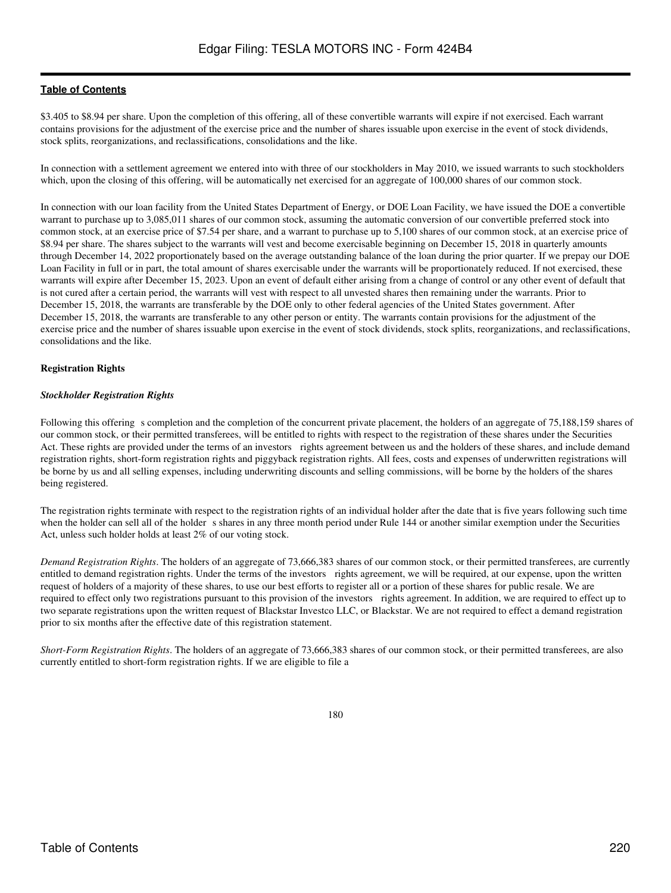\$3.405 to \$8.94 per share. Upon the completion of this offering, all of these convertible warrants will expire if not exercised. Each warrant contains provisions for the adjustment of the exercise price and the number of shares issuable upon exercise in the event of stock dividends, stock splits, reorganizations, and reclassifications, consolidations and the like.

In connection with a settlement agreement we entered into with three of our stockholders in May 2010, we issued warrants to such stockholders which, upon the closing of this offering, will be automatically net exercised for an aggregate of 100,000 shares of our common stock.

In connection with our loan facility from the United States Department of Energy, or DOE Loan Facility, we have issued the DOE a convertible warrant to purchase up to 3,085,011 shares of our common stock, assuming the automatic conversion of our convertible preferred stock into common stock, at an exercise price of \$7.54 per share, and a warrant to purchase up to 5,100 shares of our common stock, at an exercise price of \$8.94 per share. The shares subject to the warrants will vest and become exercisable beginning on December 15, 2018 in quarterly amounts through December 14, 2022 proportionately based on the average outstanding balance of the loan during the prior quarter. If we prepay our DOE Loan Facility in full or in part, the total amount of shares exercisable under the warrants will be proportionately reduced. If not exercised, these warrants will expire after December 15, 2023. Upon an event of default either arising from a change of control or any other event of default that is not cured after a certain period, the warrants will vest with respect to all unvested shares then remaining under the warrants. Prior to December 15, 2018, the warrants are transferable by the DOE only to other federal agencies of the United States government. After December 15, 2018, the warrants are transferable to any other person or entity. The warrants contain provisions for the adjustment of the exercise price and the number of shares issuable upon exercise in the event of stock dividends, stock splits, reorganizations, and reclassifications, consolidations and the like.

#### **Registration Rights**

#### *Stockholder Registration Rights*

Following this offering s completion and the completion of the concurrent private placement, the holders of an aggregate of 75,188,159 shares of our common stock, or their permitted transferees, will be entitled to rights with respect to the registration of these shares under the Securities Act. These rights are provided under the terms of an investors rights agreement between us and the holders of these shares, and include demand registration rights, short-form registration rights and piggyback registration rights. All fees, costs and expenses of underwritten registrations will be borne by us and all selling expenses, including underwriting discounts and selling commissions, will be borne by the holders of the shares being registered.

The registration rights terminate with respect to the registration rights of an individual holder after the date that is five years following such time when the holder can sell all of the holder s shares in any three month period under Rule 144 or another similar exemption under the Securities Act, unless such holder holds at least 2% of our voting stock.

*Demand Registration Rights*. The holders of an aggregate of 73,666,383 shares of our common stock, or their permitted transferees, are currently entitled to demand registration rights. Under the terms of the investors rights agreement, we will be required, at our expense, upon the written request of holders of a majority of these shares, to use our best efforts to register all or a portion of these shares for public resale. We are required to effect only two registrations pursuant to this provision of the investors rights agreement. In addition, we are required to effect up to two separate registrations upon the written request of Blackstar Investco LLC, or Blackstar. We are not required to effect a demand registration prior to six months after the effective date of this registration statement.

*Short-Form Registration Rights*. The holders of an aggregate of 73,666,383 shares of our common stock, or their permitted transferees, are also currently entitled to short-form registration rights. If we are eligible to file a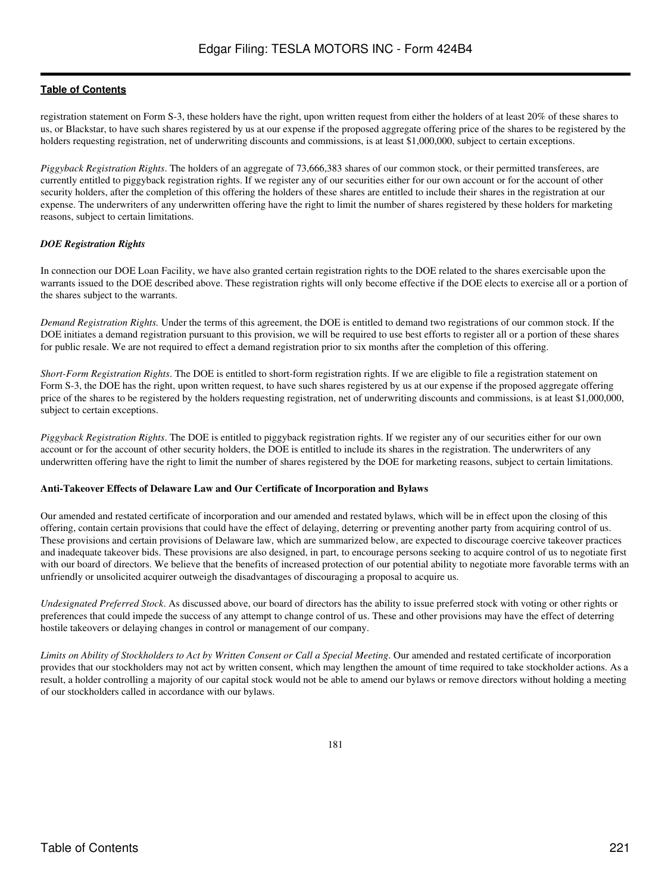registration statement on Form S-3, these holders have the right, upon written request from either the holders of at least 20% of these shares to us, or Blackstar, to have such shares registered by us at our expense if the proposed aggregate offering price of the shares to be registered by the holders requesting registration, net of underwriting discounts and commissions, is at least \$1,000,000, subject to certain exceptions.

*Piggyback Registration Rights*. The holders of an aggregate of 73,666,383 shares of our common stock, or their permitted transferees, are currently entitled to piggyback registration rights. If we register any of our securities either for our own account or for the account of other security holders, after the completion of this offering the holders of these shares are entitled to include their shares in the registration at our expense. The underwriters of any underwritten offering have the right to limit the number of shares registered by these holders for marketing reasons, subject to certain limitations.

### *DOE Registration Rights*

In connection our DOE Loan Facility, we have also granted certain registration rights to the DOE related to the shares exercisable upon the warrants issued to the DOE described above. These registration rights will only become effective if the DOE elects to exercise all or a portion of the shares subject to the warrants.

*Demand Registration Rights.* Under the terms of this agreement, the DOE is entitled to demand two registrations of our common stock. If the DOE initiates a demand registration pursuant to this provision, we will be required to use best efforts to register all or a portion of these shares for public resale. We are not required to effect a demand registration prior to six months after the completion of this offering.

*Short-Form Registration Rights*. The DOE is entitled to short-form registration rights. If we are eligible to file a registration statement on Form S-3, the DOE has the right, upon written request, to have such shares registered by us at our expense if the proposed aggregate offering price of the shares to be registered by the holders requesting registration, net of underwriting discounts and commissions, is at least \$1,000,000, subject to certain exceptions.

*Piggyback Registration Rights*. The DOE is entitled to piggyback registration rights. If we register any of our securities either for our own account or for the account of other security holders, the DOE is entitled to include its shares in the registration. The underwriters of any underwritten offering have the right to limit the number of shares registered by the DOE for marketing reasons, subject to certain limitations.

### **Anti-Takeover Effects of Delaware Law and Our Certificate of Incorporation and Bylaws**

Our amended and restated certificate of incorporation and our amended and restated bylaws, which will be in effect upon the closing of this offering, contain certain provisions that could have the effect of delaying, deterring or preventing another party from acquiring control of us. These provisions and certain provisions of Delaware law, which are summarized below, are expected to discourage coercive takeover practices and inadequate takeover bids. These provisions are also designed, in part, to encourage persons seeking to acquire control of us to negotiate first with our board of directors. We believe that the benefits of increased protection of our potential ability to negotiate more favorable terms with an unfriendly or unsolicited acquirer outweigh the disadvantages of discouraging a proposal to acquire us.

*Undesignated Preferred Stock*. As discussed above, our board of directors has the ability to issue preferred stock with voting or other rights or preferences that could impede the success of any attempt to change control of us. These and other provisions may have the effect of deterring hostile takeovers or delaying changes in control or management of our company.

*Limits on Ability of Stockholders to Act by Written Consent or Call a Special Meeting*. Our amended and restated certificate of incorporation provides that our stockholders may not act by written consent, which may lengthen the amount of time required to take stockholder actions. As a result, a holder controlling a majority of our capital stock would not be able to amend our bylaws or remove directors without holding a meeting of our stockholders called in accordance with our bylaws.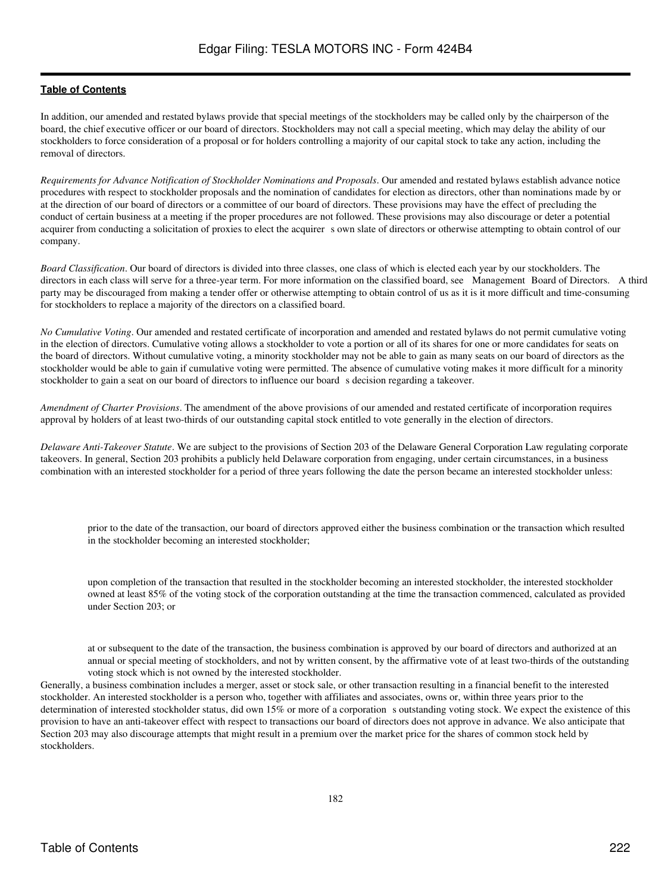In addition, our amended and restated bylaws provide that special meetings of the stockholders may be called only by the chairperson of the board, the chief executive officer or our board of directors. Stockholders may not call a special meeting, which may delay the ability of our stockholders to force consideration of a proposal or for holders controlling a majority of our capital stock to take any action, including the removal of directors.

*Requirements for Advance Notification of Stockholder Nominations and Proposals*. Our amended and restated bylaws establish advance notice procedures with respect to stockholder proposals and the nomination of candidates for election as directors, other than nominations made by or at the direction of our board of directors or a committee of our board of directors. These provisions may have the effect of precluding the conduct of certain business at a meeting if the proper procedures are not followed. These provisions may also discourage or deter a potential acquirer from conducting a solicitation of proxies to elect the acquirer sown slate of directors or otherwise attempting to obtain control of our company.

*Board Classification*. Our board of directors is divided into three classes, one class of which is elected each year by our stockholders. The directors in each class will serve for a three-year term. For more information on the classified board, see Management Board of Directors. A third party may be discouraged from making a tender offer or otherwise attempting to obtain control of us as it is it more difficult and time-consuming for stockholders to replace a majority of the directors on a classified board.

*No Cumulative Voting*. Our amended and restated certificate of incorporation and amended and restated bylaws do not permit cumulative voting in the election of directors. Cumulative voting allows a stockholder to vote a portion or all of its shares for one or more candidates for seats on the board of directors. Without cumulative voting, a minority stockholder may not be able to gain as many seats on our board of directors as the stockholder would be able to gain if cumulative voting were permitted. The absence of cumulative voting makes it more difficult for a minority stockholder to gain a seat on our board of directors to influence our board s decision regarding a takeover.

*Amendment of Charter Provisions*. The amendment of the above provisions of our amended and restated certificate of incorporation requires approval by holders of at least two-thirds of our outstanding capital stock entitled to vote generally in the election of directors.

*Delaware Anti-Takeover Statute*. We are subject to the provisions of Section 203 of the Delaware General Corporation Law regulating corporate takeovers. In general, Section 203 prohibits a publicly held Delaware corporation from engaging, under certain circumstances, in a business combination with an interested stockholder for a period of three years following the date the person became an interested stockholder unless:

prior to the date of the transaction, our board of directors approved either the business combination or the transaction which resulted in the stockholder becoming an interested stockholder;

upon completion of the transaction that resulted in the stockholder becoming an interested stockholder, the interested stockholder owned at least 85% of the voting stock of the corporation outstanding at the time the transaction commenced, calculated as provided under Section 203; or

at or subsequent to the date of the transaction, the business combination is approved by our board of directors and authorized at an annual or special meeting of stockholders, and not by written consent, by the affirmative vote of at least two-thirds of the outstanding voting stock which is not owned by the interested stockholder.

Generally, a business combination includes a merger, asset or stock sale, or other transaction resulting in a financial benefit to the interested stockholder. An interested stockholder is a person who, together with affiliates and associates, owns or, within three years prior to the determination of interested stockholder status, did own 15% or more of a corporation s outstanding voting stock. We expect the existence of this provision to have an anti-takeover effect with respect to transactions our board of directors does not approve in advance. We also anticipate that Section 203 may also discourage attempts that might result in a premium over the market price for the shares of common stock held by stockholders.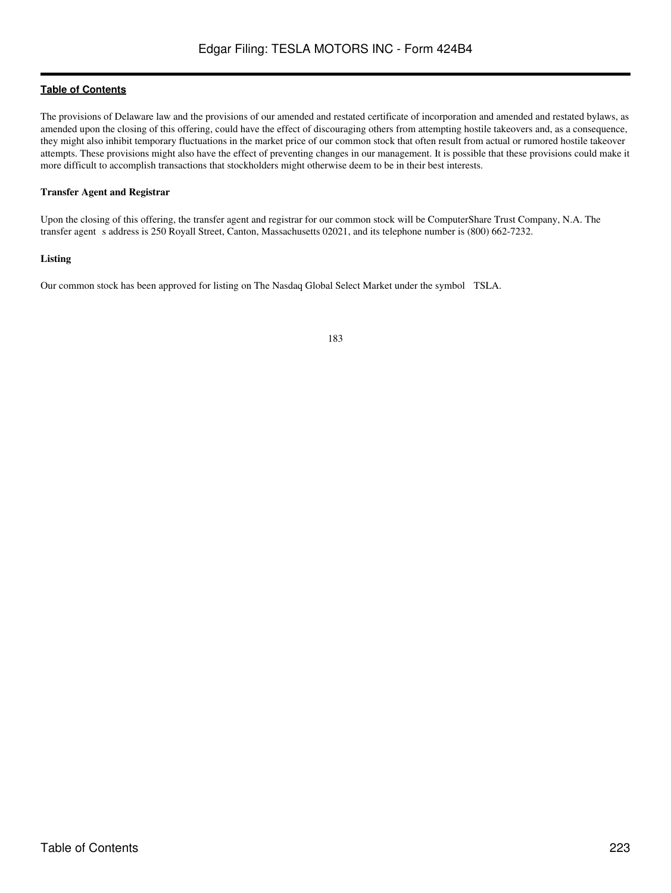The provisions of Delaware law and the provisions of our amended and restated certificate of incorporation and amended and restated bylaws, as amended upon the closing of this offering, could have the effect of discouraging others from attempting hostile takeovers and, as a consequence, they might also inhibit temporary fluctuations in the market price of our common stock that often result from actual or rumored hostile takeover attempts. These provisions might also have the effect of preventing changes in our management. It is possible that these provisions could make it more difficult to accomplish transactions that stockholders might otherwise deem to be in their best interests.

#### **Transfer Agent and Registrar**

Upon the closing of this offering, the transfer agent and registrar for our common stock will be ComputerShare Trust Company, N.A. The transfer agent s address is 250 Royall Street, Canton, Massachusetts 02021, and its telephone number is (800) 662-7232.

#### **Listing**

Our common stock has been approved for listing on The Nasdaq Global Select Market under the symbol TSLA.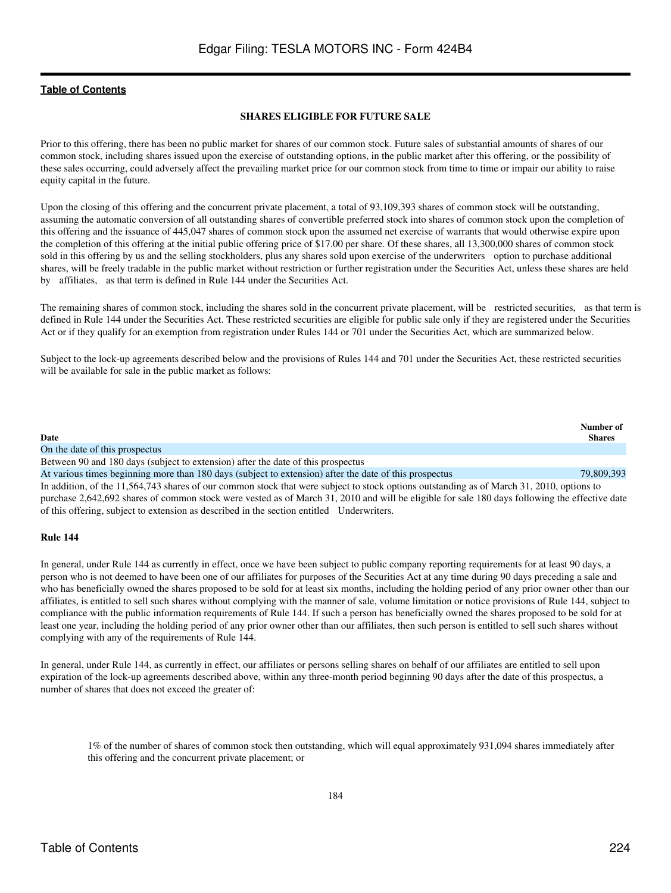#### **SHARES ELIGIBLE FOR FUTURE SALE**

Prior to this offering, there has been no public market for shares of our common stock. Future sales of substantial amounts of shares of our common stock, including shares issued upon the exercise of outstanding options, in the public market after this offering, or the possibility of these sales occurring, could adversely affect the prevailing market price for our common stock from time to time or impair our ability to raise equity capital in the future.

Upon the closing of this offering and the concurrent private placement, a total of 93,109,393 shares of common stock will be outstanding, assuming the automatic conversion of all outstanding shares of convertible preferred stock into shares of common stock upon the completion of this offering and the issuance of 445,047 shares of common stock upon the assumed net exercise of warrants that would otherwise expire upon the completion of this offering at the initial public offering price of \$17.00 per share. Of these shares, all 13,300,000 shares of common stock sold in this offering by us and the selling stockholders, plus any shares sold upon exercise of the underwriters option to purchase additional shares, will be freely tradable in the public market without restriction or further registration under the Securities Act, unless these shares are held by affiliates, as that term is defined in Rule 144 under the Securities Act.

The remaining shares of common stock, including the shares sold in the concurrent private placement, will be restricted securities, as that term is defined in Rule 144 under the Securities Act. These restricted securities are eligible for public sale only if they are registered under the Securities Act or if they qualify for an exemption from registration under Rules 144 or 701 under the Securities Act, which are summarized below.

Subject to the lock-up agreements described below and the provisions of Rules 144 and 701 under the Securities Act, these restricted securities will be available for sale in the public market as follows:

| Date                                                                                                                                           | Number of<br><b>Shares</b> |
|------------------------------------------------------------------------------------------------------------------------------------------------|----------------------------|
| On the date of this prospectus                                                                                                                 |                            |
| Between 90 and 180 days (subject to extension) after the date of this prospectus                                                               |                            |
| At various times beginning more than 180 days (subject to extension) after the date of this prospectus                                         | 79,809,393                 |
| In addition, of the 11,564,743 shares of our common stock that were subject to stock options outstanding as of March 31, 2010, options to      |                            |
| purchase 2,642,692 shares of common stock were vested as of March 31, 2010 and will be eligible for sale 180 days following the effective date |                            |
| of this offering, subject to extension as described in the section entitled Underwriters.                                                      |                            |

#### **Rule 144**

In general, under Rule 144 as currently in effect, once we have been subject to public company reporting requirements for at least 90 days, a person who is not deemed to have been one of our affiliates for purposes of the Securities Act at any time during 90 days preceding a sale and who has beneficially owned the shares proposed to be sold for at least six months, including the holding period of any prior owner other than our affiliates, is entitled to sell such shares without complying with the manner of sale, volume limitation or notice provisions of Rule 144, subject to compliance with the public information requirements of Rule 144. If such a person has beneficially owned the shares proposed to be sold for at least one year, including the holding period of any prior owner other than our affiliates, then such person is entitled to sell such shares without complying with any of the requirements of Rule 144.

In general, under Rule 144, as currently in effect, our affiliates or persons selling shares on behalf of our affiliates are entitled to sell upon expiration of the lock-up agreements described above, within any three-month period beginning 90 days after the date of this prospectus, a number of shares that does not exceed the greater of:

1% of the number of shares of common stock then outstanding, which will equal approximately 931,094 shares immediately after this offering and the concurrent private placement; or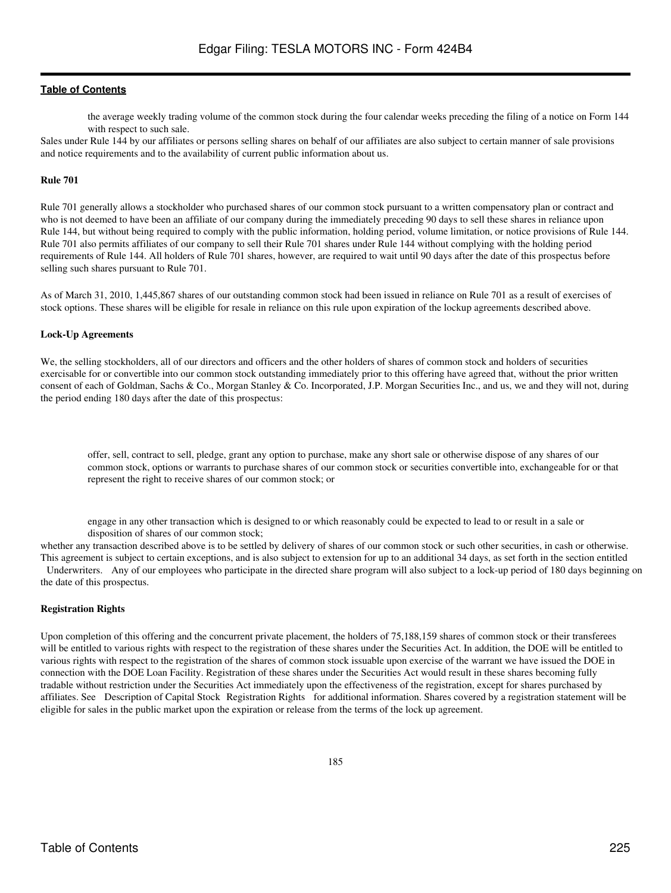the average weekly trading volume of the common stock during the four calendar weeks preceding the filing of a notice on Form 144 with respect to such sale.

Sales under Rule 144 by our affiliates or persons selling shares on behalf of our affiliates are also subject to certain manner of sale provisions and notice requirements and to the availability of current public information about us.

## **Rule 701**

Rule 701 generally allows a stockholder who purchased shares of our common stock pursuant to a written compensatory plan or contract and who is not deemed to have been an affiliate of our company during the immediately preceding 90 days to sell these shares in reliance upon Rule 144, but without being required to comply with the public information, holding period, volume limitation, or notice provisions of Rule 144. Rule 701 also permits affiliates of our company to sell their Rule 701 shares under Rule 144 without complying with the holding period requirements of Rule 144. All holders of Rule 701 shares, however, are required to wait until 90 days after the date of this prospectus before selling such shares pursuant to Rule 701.

As of March 31, 2010, 1,445,867 shares of our outstanding common stock had been issued in reliance on Rule 701 as a result of exercises of stock options. These shares will be eligible for resale in reliance on this rule upon expiration of the lockup agreements described above.

#### **Lock-Up Agreements**

We, the selling stockholders, all of our directors and officers and the other holders of shares of common stock and holders of securities exercisable for or convertible into our common stock outstanding immediately prior to this offering have agreed that, without the prior written consent of each of Goldman, Sachs & Co., Morgan Stanley & Co. Incorporated, J.P. Morgan Securities Inc., and us, we and they will not, during the period ending 180 days after the date of this prospectus:

offer, sell, contract to sell, pledge, grant any option to purchase, make any short sale or otherwise dispose of any shares of our common stock, options or warrants to purchase shares of our common stock or securities convertible into, exchangeable for or that represent the right to receive shares of our common stock; or

engage in any other transaction which is designed to or which reasonably could be expected to lead to or result in a sale or disposition of shares of our common stock;

whether any transaction described above is to be settled by delivery of shares of our common stock or such other securities, in cash or otherwise. This agreement is subject to certain exceptions, and is also subject to extension for up to an additional 34 days, as set forth in the section entitled Underwriters. Any of our employees who participate in the directed share program will also subject to a lock-up period of 180 days beginning on the date of this prospectus.

### **Registration Rights**

Upon completion of this offering and the concurrent private placement, the holders of 75,188,159 shares of common stock or their transferees will be entitled to various rights with respect to the registration of these shares under the Securities Act. In addition, the DOE will be entitled to various rights with respect to the registration of the shares of common stock issuable upon exercise of the warrant we have issued the DOE in connection with the DOE Loan Facility. Registration of these shares under the Securities Act would result in these shares becoming fully tradable without restriction under the Securities Act immediately upon the effectiveness of the registration, except for shares purchased by affiliates. See Description of Capital Stock Registration Rights for additional information. Shares covered by a registration statement will be eligible for sales in the public market upon the expiration or release from the terms of the lock up agreement.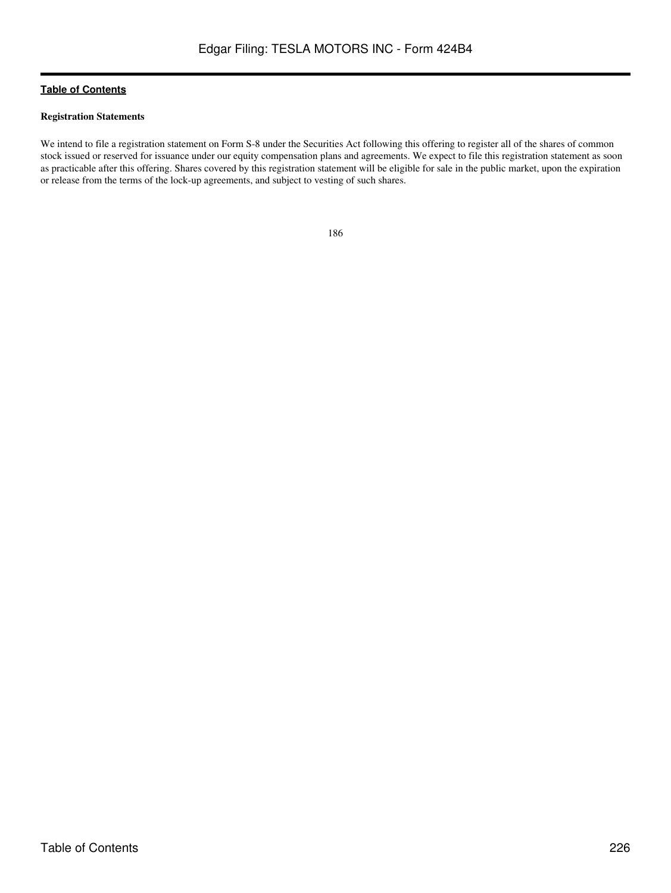#### **Registration Statements**

We intend to file a registration statement on Form S-8 under the Securities Act following this offering to register all of the shares of common stock issued or reserved for issuance under our equity compensation plans and agreements. We expect to file this registration statement as soon as practicable after this offering. Shares covered by this registration statement will be eligible for sale in the public market, upon the expiration or release from the terms of the lock-up agreements, and subject to vesting of such shares.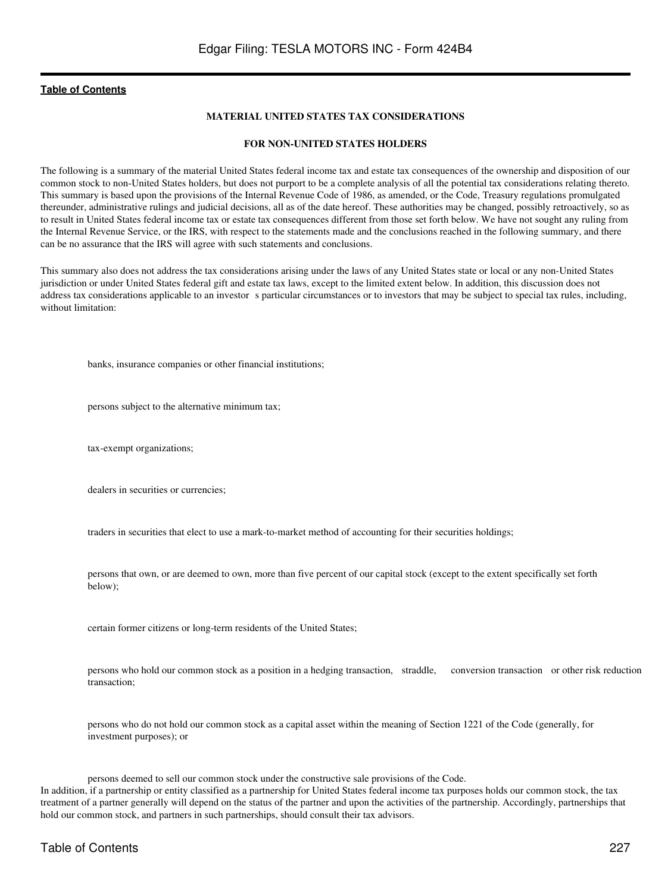#### **MATERIAL UNITED STATES TAX CONSIDERATIONS**

## **FOR NON-UNITED STATES HOLDERS**

The following is a summary of the material United States federal income tax and estate tax consequences of the ownership and disposition of our common stock to non-United States holders, but does not purport to be a complete analysis of all the potential tax considerations relating thereto. This summary is based upon the provisions of the Internal Revenue Code of 1986, as amended, or the Code, Treasury regulations promulgated thereunder, administrative rulings and judicial decisions, all as of the date hereof. These authorities may be changed, possibly retroactively, so as to result in United States federal income tax or estate tax consequences different from those set forth below. We have not sought any ruling from the Internal Revenue Service, or the IRS, with respect to the statements made and the conclusions reached in the following summary, and there can be no assurance that the IRS will agree with such statements and conclusions.

This summary also does not address the tax considerations arising under the laws of any United States state or local or any non-United States jurisdiction or under United States federal gift and estate tax laws, except to the limited extent below. In addition, this discussion does not address tax considerations applicable to an investor s particular circumstances or to investors that may be subject to special tax rules, including, without limitation:

banks, insurance companies or other financial institutions;

persons subject to the alternative minimum tax;

tax-exempt organizations;

dealers in securities or currencies;

traders in securities that elect to use a mark-to-market method of accounting for their securities holdings;

persons that own, or are deemed to own, more than five percent of our capital stock (except to the extent specifically set forth below);

certain former citizens or long-term residents of the United States;

persons who hold our common stock as a position in a hedging transaction, straddle, conversion transaction or other risk reduction transaction;

persons who do not hold our common stock as a capital asset within the meaning of Section 1221 of the Code (generally, for investment purposes); or

persons deemed to sell our common stock under the constructive sale provisions of the Code.

In addition, if a partnership or entity classified as a partnership for United States federal income tax purposes holds our common stock, the tax treatment of a partner generally will depend on the status of the partner and upon the activities of the partnership. Accordingly, partnerships that hold our common stock, and partners in such partnerships, should consult their tax advisors.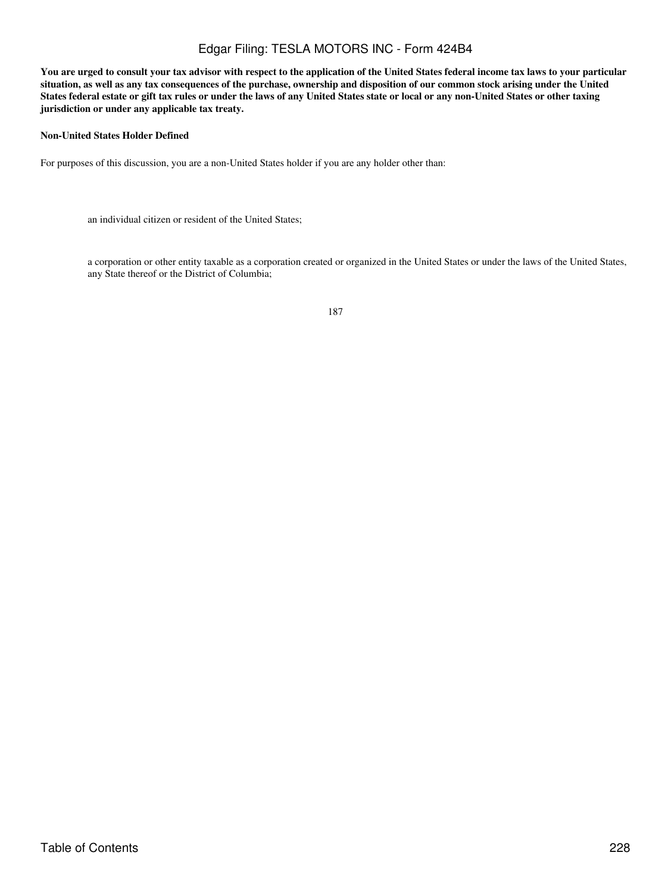**You are urged to consult your tax advisor with respect to the application of the United States federal income tax laws to your particular situation, as well as any tax consequences of the purchase, ownership and disposition of our common stock arising under the United States federal estate or gift tax rules or under the laws of any United States state or local or any non-United States or other taxing jurisdiction or under any applicable tax treaty.**

#### **Non-United States Holder Defined**

For purposes of this discussion, you are a non-United States holder if you are any holder other than:

an individual citizen or resident of the United States;

a corporation or other entity taxable as a corporation created or organized in the United States or under the laws of the United States, any State thereof or the District of Columbia;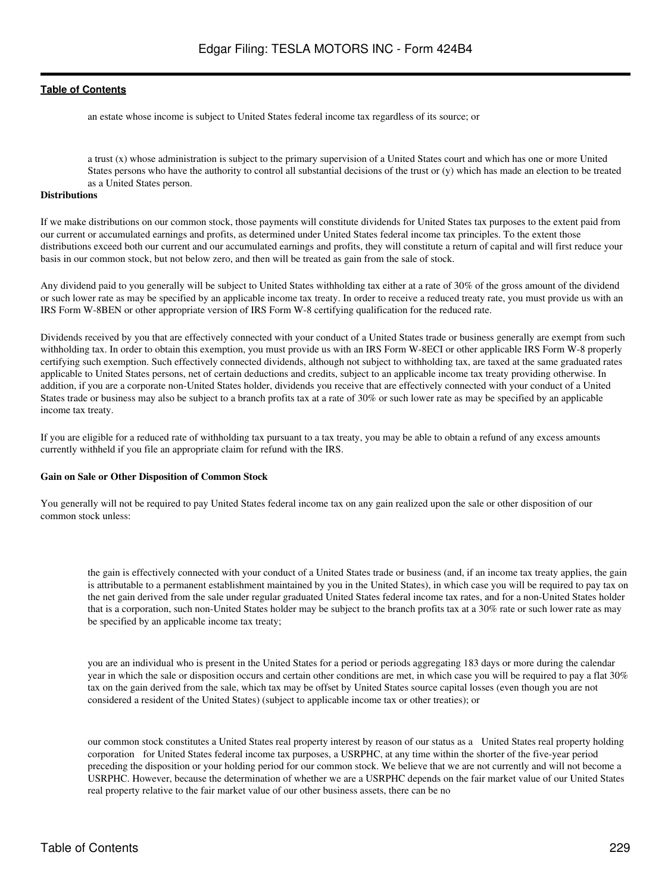an estate whose income is subject to United States federal income tax regardless of its source; or

a trust (x) whose administration is subject to the primary supervision of a United States court and which has one or more United States persons who have the authority to control all substantial decisions of the trust or (y) which has made an election to be treated as a United States person.

#### **Distributions**

If we make distributions on our common stock, those payments will constitute dividends for United States tax purposes to the extent paid from our current or accumulated earnings and profits, as determined under United States federal income tax principles. To the extent those distributions exceed both our current and our accumulated earnings and profits, they will constitute a return of capital and will first reduce your basis in our common stock, but not below zero, and then will be treated as gain from the sale of stock.

Any dividend paid to you generally will be subject to United States withholding tax either at a rate of 30% of the gross amount of the dividend or such lower rate as may be specified by an applicable income tax treaty. In order to receive a reduced treaty rate, you must provide us with an IRS Form W-8BEN or other appropriate version of IRS Form W-8 certifying qualification for the reduced rate.

Dividends received by you that are effectively connected with your conduct of a United States trade or business generally are exempt from such withholding tax. In order to obtain this exemption, you must provide us with an IRS Form W-8ECI or other applicable IRS Form W-8 properly certifying such exemption. Such effectively connected dividends, although not subject to withholding tax, are taxed at the same graduated rates applicable to United States persons, net of certain deductions and credits, subject to an applicable income tax treaty providing otherwise. In addition, if you are a corporate non-United States holder, dividends you receive that are effectively connected with your conduct of a United States trade or business may also be subject to a branch profits tax at a rate of 30% or such lower rate as may be specified by an applicable income tax treaty.

If you are eligible for a reduced rate of withholding tax pursuant to a tax treaty, you may be able to obtain a refund of any excess amounts currently withheld if you file an appropriate claim for refund with the IRS.

#### **Gain on Sale or Other Disposition of Common Stock**

You generally will not be required to pay United States federal income tax on any gain realized upon the sale or other disposition of our common stock unless:

the gain is effectively connected with your conduct of a United States trade or business (and, if an income tax treaty applies, the gain is attributable to a permanent establishment maintained by you in the United States), in which case you will be required to pay tax on the net gain derived from the sale under regular graduated United States federal income tax rates, and for a non-United States holder that is a corporation, such non-United States holder may be subject to the branch profits tax at a 30% rate or such lower rate as may be specified by an applicable income tax treaty;

you are an individual who is present in the United States for a period or periods aggregating 183 days or more during the calendar year in which the sale or disposition occurs and certain other conditions are met, in which case you will be required to pay a flat 30% tax on the gain derived from the sale, which tax may be offset by United States source capital losses (even though you are not considered a resident of the United States) (subject to applicable income tax or other treaties); or

our common stock constitutes a United States real property interest by reason of our status as a United States real property holding corporation for United States federal income tax purposes, a USRPHC, at any time within the shorter of the five-year period preceding the disposition or your holding period for our common stock. We believe that we are not currently and will not become a USRPHC. However, because the determination of whether we are a USRPHC depends on the fair market value of our United States real property relative to the fair market value of our other business assets, there can be no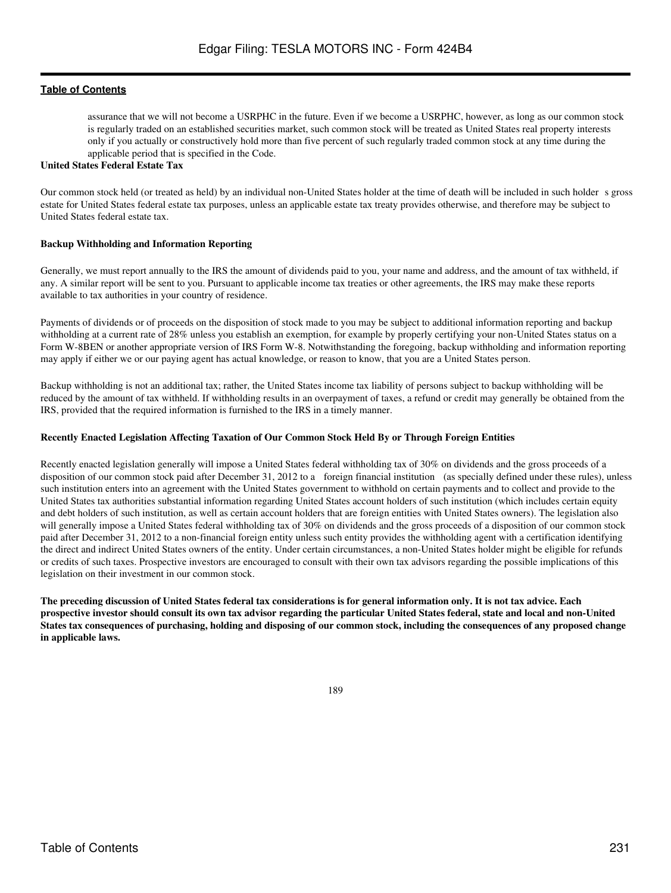assurance that we will not become a USRPHC in the future. Even if we become a USRPHC, however, as long as our common stock is regularly traded on an established securities market, such common stock will be treated as United States real property interests only if you actually or constructively hold more than five percent of such regularly traded common stock at any time during the applicable period that is specified in the Code.

#### **United States Federal Estate Tax**

Our common stock held (or treated as held) by an individual non-United States holder at the time of death will be included in such holder s gross estate for United States federal estate tax purposes, unless an applicable estate tax treaty provides otherwise, and therefore may be subject to United States federal estate tax.

#### **Backup Withholding and Information Reporting**

Generally, we must report annually to the IRS the amount of dividends paid to you, your name and address, and the amount of tax withheld, if any. A similar report will be sent to you. Pursuant to applicable income tax treaties or other agreements, the IRS may make these reports available to tax authorities in your country of residence.

Payments of dividends or of proceeds on the disposition of stock made to you may be subject to additional information reporting and backup withholding at a current rate of 28% unless you establish an exemption, for example by properly certifying your non-United States status on a Form W-8BEN or another appropriate version of IRS Form W-8. Notwithstanding the foregoing, backup withholding and information reporting may apply if either we or our paying agent has actual knowledge, or reason to know, that you are a United States person.

Backup withholding is not an additional tax; rather, the United States income tax liability of persons subject to backup withholding will be reduced by the amount of tax withheld. If withholding results in an overpayment of taxes, a refund or credit may generally be obtained from the IRS, provided that the required information is furnished to the IRS in a timely manner.

#### **Recently Enacted Legislation Affecting Taxation of Our Common Stock Held By or Through Foreign Entities**

Recently enacted legislation generally will impose a United States federal withholding tax of 30% on dividends and the gross proceeds of a disposition of our common stock paid after December 31, 2012 to a foreign financial institution (as specially defined under these rules), unless such institution enters into an agreement with the United States government to withhold on certain payments and to collect and provide to the United States tax authorities substantial information regarding United States account holders of such institution (which includes certain equity and debt holders of such institution, as well as certain account holders that are foreign entities with United States owners). The legislation also will generally impose a United States federal withholding tax of 30% on dividends and the gross proceeds of a disposition of our common stock paid after December 31, 2012 to a non-financial foreign entity unless such entity provides the withholding agent with a certification identifying the direct and indirect United States owners of the entity. Under certain circumstances, a non-United States holder might be eligible for refunds or credits of such taxes. Prospective investors are encouraged to consult with their own tax advisors regarding the possible implications of this legislation on their investment in our common stock.

**The preceding discussion of United States federal tax considerations is for general information only. It is not tax advice. Each prospective investor should consult its own tax advisor regarding the particular United States federal, state and local and non-United States tax consequences of purchasing, holding and disposing of our common stock, including the consequences of any proposed change in applicable laws.**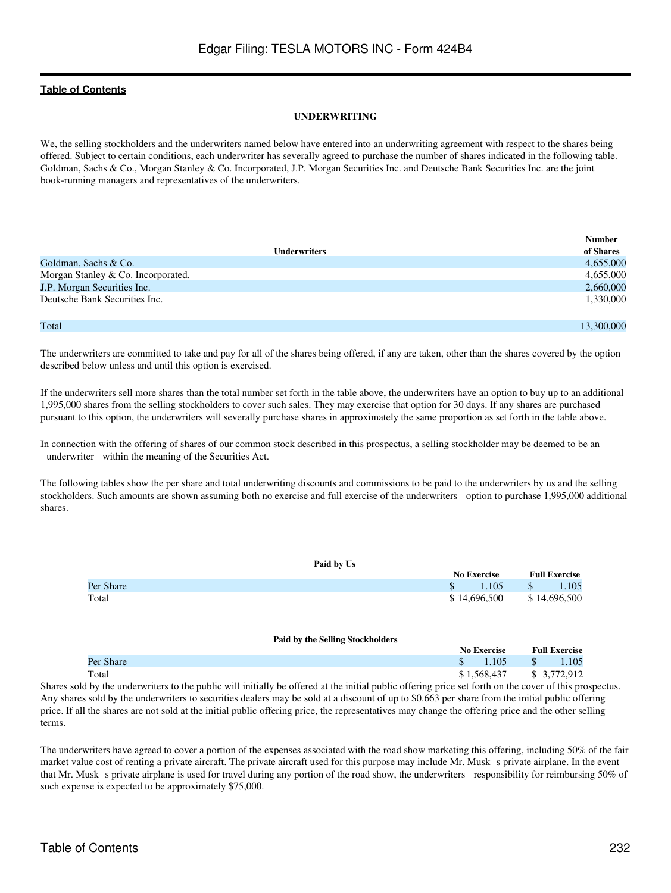#### **UNDERWRITING**

We, the selling stockholders and the underwriters named below have entered into an underwriting agreement with respect to the shares being offered. Subject to certain conditions, each underwriter has severally agreed to purchase the number of shares indicated in the following table. Goldman, Sachs & Co., Morgan Stanley & Co. Incorporated, J.P. Morgan Securities Inc. and Deutsche Bank Securities Inc. are the joint book-running managers and representatives of the underwriters.

|                                    |                     | <b>Number</b> |
|------------------------------------|---------------------|---------------|
|                                    | <b>Underwriters</b> | of Shares     |
| Goldman, Sachs & Co.               |                     | 4,655,000     |
| Morgan Stanley & Co. Incorporated. |                     | 4,655,000     |
| J.P. Morgan Securities Inc.        |                     | 2,660,000     |
| Deutsche Bank Securities Inc.      |                     | 1,330,000     |
| Total                              |                     | 13,300,000    |

The underwriters are committed to take and pay for all of the shares being offered, if any are taken, other than the shares covered by the option described below unless and until this option is exercised.

If the underwriters sell more shares than the total number set forth in the table above, the underwriters have an option to buy up to an additional 1,995,000 shares from the selling stockholders to cover such sales. They may exercise that option for 30 days. If any shares are purchased pursuant to this option, the underwriters will severally purchase shares in approximately the same proportion as set forth in the table above.

In connection with the offering of shares of our common stock described in this prospectus, a selling stockholder may be deemed to be an underwriter within the meaning of the Securities Act.

The following tables show the per share and total underwriting discounts and commissions to be paid to the underwriters by us and the selling stockholders. Such amounts are shown assuming both no exercise and full exercise of the underwriters option to purchase 1,995,000 additional shares.

|           | Paid by Us |                    |                      |
|-----------|------------|--------------------|----------------------|
|           |            | <b>No Exercise</b> | <b>Full Exercise</b> |
| Per Share |            | 1.105              | 1.105                |
| Total     |            | \$14,696,500       | \$14,696,500         |

|           | Paid by the Selling Stockholders |                                   |                       |
|-----------|----------------------------------|-----------------------------------|-----------------------|
|           |                                  | <b>No Exercise</b>                | <b>Full Exercise</b>  |
| Per Share |                                  | $\frac{\text{I}}{\text{I}}$ 1.105 | 1.105<br><sup>S</sup> |
| Total     |                                  | \$1,568,437                       | \$ 3.772.912          |

Shares sold by the underwriters to the public will initially be offered at the initial public offering price set forth on the cover of this prospectus. Any shares sold by the underwriters to securities dealers may be sold at a discount of up to \$0.663 per share from the initial public offering price. If all the shares are not sold at the initial public offering price, the representatives may change the offering price and the other selling terms.

The underwriters have agreed to cover a portion of the expenses associated with the road show marketing this offering, including 50% of the fair market value cost of renting a private aircraft. The private aircraft used for this purpose may include Mr. Musks private airplane. In the event that Mr. Musk s private airplane is used for travel during any portion of the road show, the underwriters responsibility for reimbursing 50% of such expense is expected to be approximately \$75,000.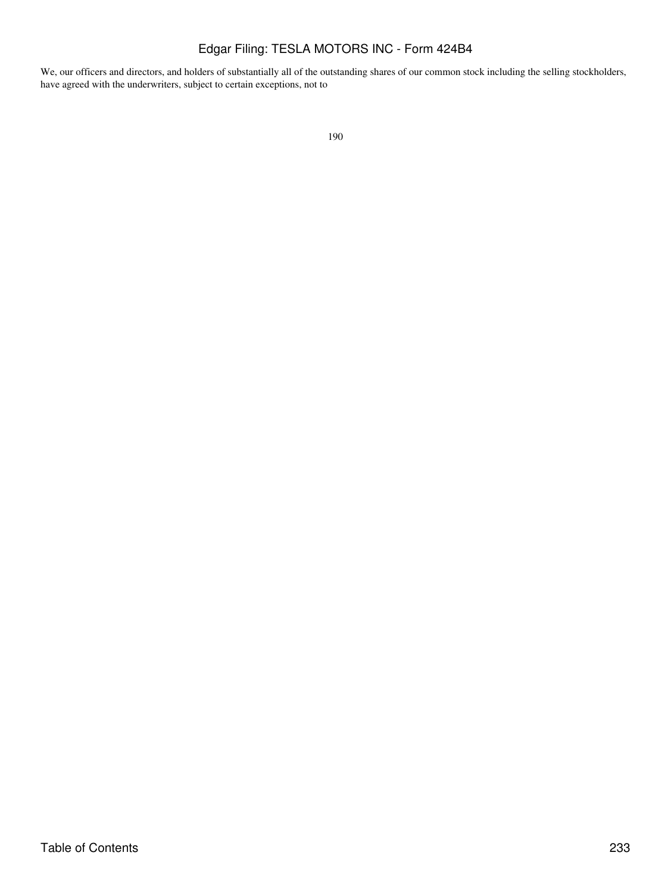We, our officers and directors, and holders of substantially all of the outstanding shares of our common stock including the selling stockholders, have agreed with the underwriters, subject to certain exceptions, not to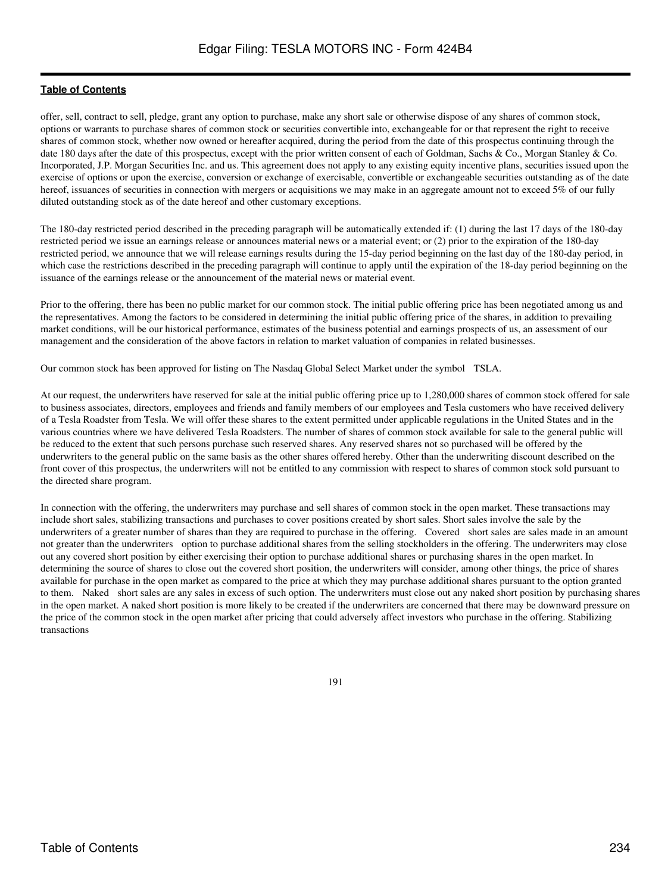offer, sell, contract to sell, pledge, grant any option to purchase, make any short sale or otherwise dispose of any shares of common stock, options or warrants to purchase shares of common stock or securities convertible into, exchangeable for or that represent the right to receive shares of common stock, whether now owned or hereafter acquired, during the period from the date of this prospectus continuing through the date 180 days after the date of this prospectus, except with the prior written consent of each of Goldman, Sachs & Co., Morgan Stanley & Co. Incorporated, J.P. Morgan Securities Inc. and us. This agreement does not apply to any existing equity incentive plans, securities issued upon the exercise of options or upon the exercise, conversion or exchange of exercisable, convertible or exchangeable securities outstanding as of the date hereof, issuances of securities in connection with mergers or acquisitions we may make in an aggregate amount not to exceed 5% of our fully diluted outstanding stock as of the date hereof and other customary exceptions.

The 180-day restricted period described in the preceding paragraph will be automatically extended if: (1) during the last 17 days of the 180-day restricted period we issue an earnings release or announces material news or a material event; or (2) prior to the expiration of the 180-day restricted period, we announce that we will release earnings results during the 15-day period beginning on the last day of the 180-day period, in which case the restrictions described in the preceding paragraph will continue to apply until the expiration of the 18-day period beginning on the issuance of the earnings release or the announcement of the material news or material event.

Prior to the offering, there has been no public market for our common stock. The initial public offering price has been negotiated among us and the representatives. Among the factors to be considered in determining the initial public offering price of the shares, in addition to prevailing market conditions, will be our historical performance, estimates of the business potential and earnings prospects of us, an assessment of our management and the consideration of the above factors in relation to market valuation of companies in related businesses.

Our common stock has been approved for listing on The Nasdaq Global Select Market under the symbol TSLA.

At our request, the underwriters have reserved for sale at the initial public offering price up to 1,280,000 shares of common stock offered for sale to business associates, directors, employees and friends and family members of our employees and Tesla customers who have received delivery of a Tesla Roadster from Tesla. We will offer these shares to the extent permitted under applicable regulations in the United States and in the various countries where we have delivered Tesla Roadsters. The number of shares of common stock available for sale to the general public will be reduced to the extent that such persons purchase such reserved shares. Any reserved shares not so purchased will be offered by the underwriters to the general public on the same basis as the other shares offered hereby. Other than the underwriting discount described on the front cover of this prospectus, the underwriters will not be entitled to any commission with respect to shares of common stock sold pursuant to the directed share program.

In connection with the offering, the underwriters may purchase and sell shares of common stock in the open market. These transactions may include short sales, stabilizing transactions and purchases to cover positions created by short sales. Short sales involve the sale by the underwriters of a greater number of shares than they are required to purchase in the offering. Covered short sales are sales made in an amount not greater than the underwriters option to purchase additional shares from the selling stockholders in the offering. The underwriters may close out any covered short position by either exercising their option to purchase additional shares or purchasing shares in the open market. In determining the source of shares to close out the covered short position, the underwriters will consider, among other things, the price of shares available for purchase in the open market as compared to the price at which they may purchase additional shares pursuant to the option granted to them. Naked short sales are any sales in excess of such option. The underwriters must close out any naked short position by purchasing shares in the open market. A naked short position is more likely to be created if the underwriters are concerned that there may be downward pressure on the price of the common stock in the open market after pricing that could adversely affect investors who purchase in the offering. Stabilizing transactions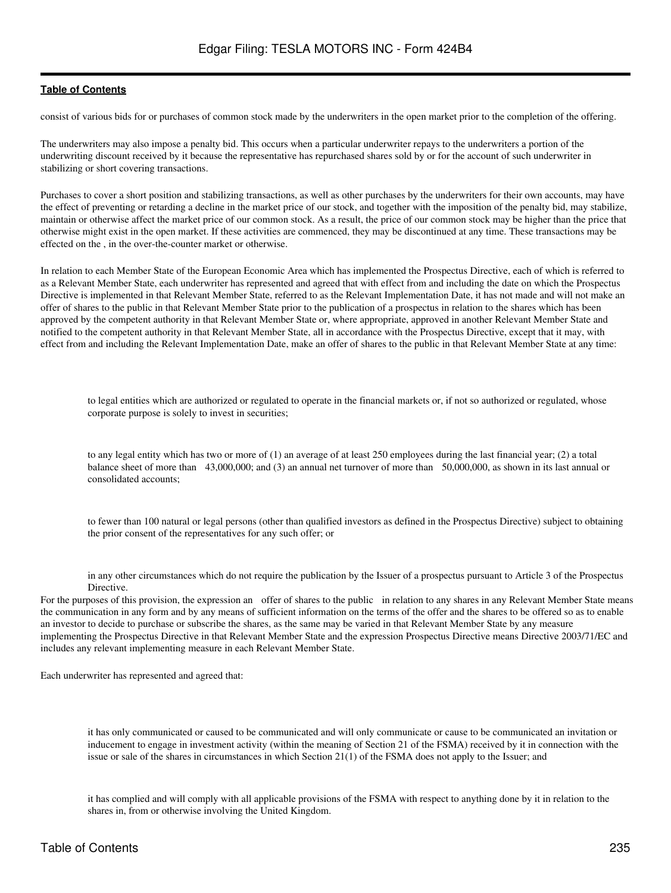consist of various bids for or purchases of common stock made by the underwriters in the open market prior to the completion of the offering.

The underwriters may also impose a penalty bid. This occurs when a particular underwriter repays to the underwriters a portion of the underwriting discount received by it because the representative has repurchased shares sold by or for the account of such underwriter in stabilizing or short covering transactions.

Purchases to cover a short position and stabilizing transactions, as well as other purchases by the underwriters for their own accounts, may have the effect of preventing or retarding a decline in the market price of our stock, and together with the imposition of the penalty bid, may stabilize, maintain or otherwise affect the market price of our common stock. As a result, the price of our common stock may be higher than the price that otherwise might exist in the open market. If these activities are commenced, they may be discontinued at any time. These transactions may be effected on the , in the over-the-counter market or otherwise.

In relation to each Member State of the European Economic Area which has implemented the Prospectus Directive, each of which is referred to as a Relevant Member State, each underwriter has represented and agreed that with effect from and including the date on which the Prospectus Directive is implemented in that Relevant Member State, referred to as the Relevant Implementation Date, it has not made and will not make an offer of shares to the public in that Relevant Member State prior to the publication of a prospectus in relation to the shares which has been approved by the competent authority in that Relevant Member State or, where appropriate, approved in another Relevant Member State and notified to the competent authority in that Relevant Member State, all in accordance with the Prospectus Directive, except that it may, with effect from and including the Relevant Implementation Date, make an offer of shares to the public in that Relevant Member State at any time:

to legal entities which are authorized or regulated to operate in the financial markets or, if not so authorized or regulated, whose corporate purpose is solely to invest in securities;

to any legal entity which has two or more of (1) an average of at least 250 employees during the last financial year; (2) a total balance sheet of more than 43,000,000; and (3) an annual net turnover of more than 50,000,000, as shown in its last annual or consolidated accounts;

to fewer than 100 natural or legal persons (other than qualified investors as defined in the Prospectus Directive) subject to obtaining the prior consent of the representatives for any such offer; or

in any other circumstances which do not require the publication by the Issuer of a prospectus pursuant to Article 3 of the Prospectus Directive.

For the purposes of this provision, the expression an offer of shares to the public in relation to any shares in any Relevant Member State means the communication in any form and by any means of sufficient information on the terms of the offer and the shares to be offered so as to enable an investor to decide to purchase or subscribe the shares, as the same may be varied in that Relevant Member State by any measure implementing the Prospectus Directive in that Relevant Member State and the expression Prospectus Directive means Directive 2003/71/EC and includes any relevant implementing measure in each Relevant Member State.

Each underwriter has represented and agreed that:

it has only communicated or caused to be communicated and will only communicate or cause to be communicated an invitation or inducement to engage in investment activity (within the meaning of Section 21 of the FSMA) received by it in connection with the issue or sale of the shares in circumstances in which Section 21(1) of the FSMA does not apply to the Issuer; and

it has complied and will comply with all applicable provisions of the FSMA with respect to anything done by it in relation to the shares in, from or otherwise involving the United Kingdom.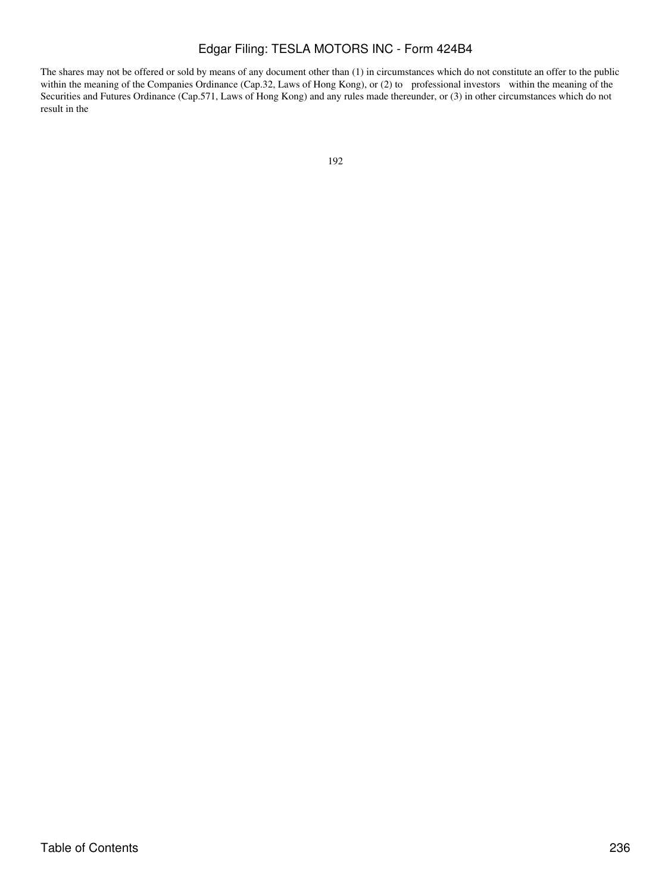The shares may not be offered or sold by means of any document other than (1) in circumstances which do not constitute an offer to the public within the meaning of the Companies Ordinance (Cap.32, Laws of Hong Kong), or (2) to professional investors within the meaning of the Securities and Futures Ordinance (Cap.571, Laws of Hong Kong) and any rules made thereunder, or (3) in other circumstances which do not result in the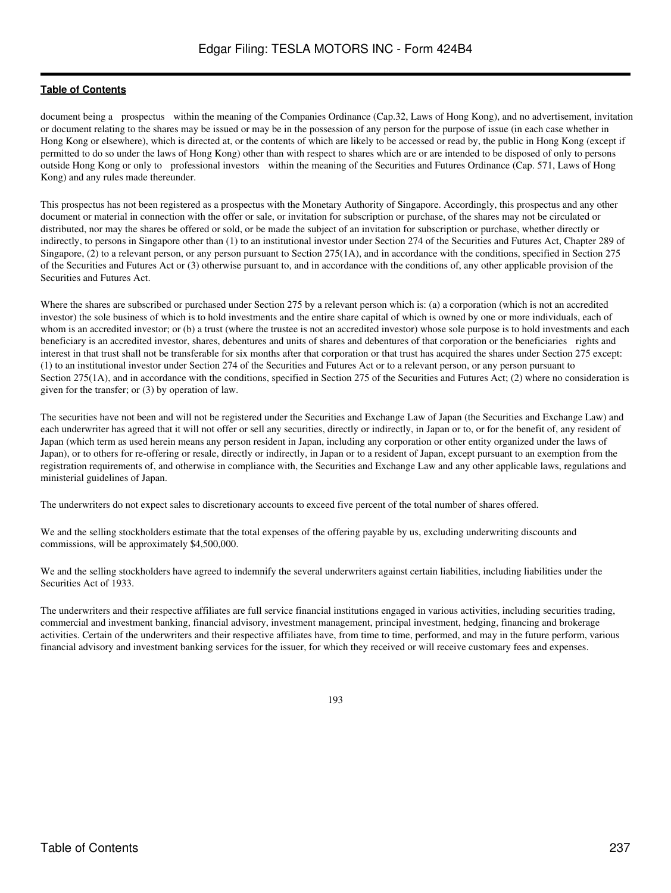document being a prospectus within the meaning of the Companies Ordinance (Cap.32, Laws of Hong Kong), and no advertisement, invitation or document relating to the shares may be issued or may be in the possession of any person for the purpose of issue (in each case whether in Hong Kong or elsewhere), which is directed at, or the contents of which are likely to be accessed or read by, the public in Hong Kong (except if permitted to do so under the laws of Hong Kong) other than with respect to shares which are or are intended to be disposed of only to persons outside Hong Kong or only to professional investors within the meaning of the Securities and Futures Ordinance (Cap. 571, Laws of Hong Kong) and any rules made thereunder.

This prospectus has not been registered as a prospectus with the Monetary Authority of Singapore. Accordingly, this prospectus and any other document or material in connection with the offer or sale, or invitation for subscription or purchase, of the shares may not be circulated or distributed, nor may the shares be offered or sold, or be made the subject of an invitation for subscription or purchase, whether directly or indirectly, to persons in Singapore other than (1) to an institutional investor under Section 274 of the Securities and Futures Act, Chapter 289 of Singapore, (2) to a relevant person, or any person pursuant to Section 275(1A), and in accordance with the conditions, specified in Section 275 of the Securities and Futures Act or (3) otherwise pursuant to, and in accordance with the conditions of, any other applicable provision of the Securities and Futures Act.

Where the shares are subscribed or purchased under Section 275 by a relevant person which is: (a) a corporation (which is not an accredited investor) the sole business of which is to hold investments and the entire share capital of which is owned by one or more individuals, each of whom is an accredited investor; or (b) a trust (where the trustee is not an accredited investor) whose sole purpose is to hold investments and each beneficiary is an accredited investor, shares, debentures and units of shares and debentures of that corporation or the beneficiaries rights and interest in that trust shall not be transferable for six months after that corporation or that trust has acquired the shares under Section 275 except: (1) to an institutional investor under Section 274 of the Securities and Futures Act or to a relevant person, or any person pursuant to Section 275(1A), and in accordance with the conditions, specified in Section 275 of the Securities and Futures Act; (2) where no consideration is given for the transfer; or (3) by operation of law.

The securities have not been and will not be registered under the Securities and Exchange Law of Japan (the Securities and Exchange Law) and each underwriter has agreed that it will not offer or sell any securities, directly or indirectly, in Japan or to, or for the benefit of, any resident of Japan (which term as used herein means any person resident in Japan, including any corporation or other entity organized under the laws of Japan), or to others for re-offering or resale, directly or indirectly, in Japan or to a resident of Japan, except pursuant to an exemption from the registration requirements of, and otherwise in compliance with, the Securities and Exchange Law and any other applicable laws, regulations and ministerial guidelines of Japan.

The underwriters do not expect sales to discretionary accounts to exceed five percent of the total number of shares offered.

We and the selling stockholders estimate that the total expenses of the offering payable by us, excluding underwriting discounts and commissions, will be approximately \$4,500,000.

We and the selling stockholders have agreed to indemnify the several underwriters against certain liabilities, including liabilities under the Securities Act of 1933.

The underwriters and their respective affiliates are full service financial institutions engaged in various activities, including securities trading, commercial and investment banking, financial advisory, investment management, principal investment, hedging, financing and brokerage activities. Certain of the underwriters and their respective affiliates have, from time to time, performed, and may in the future perform, various financial advisory and investment banking services for the issuer, for which they received or will receive customary fees and expenses.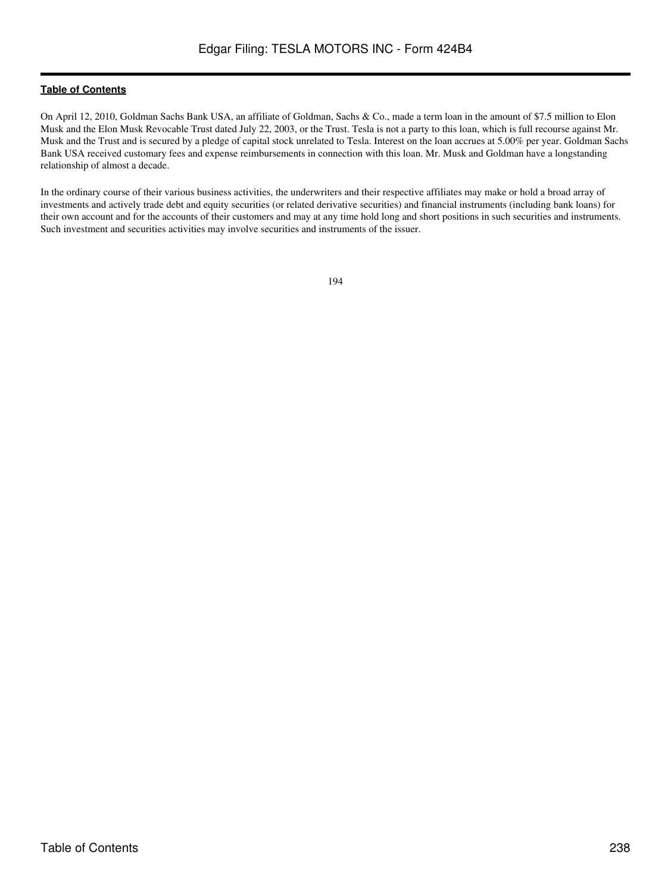On April 12, 2010, Goldman Sachs Bank USA, an affiliate of Goldman, Sachs & Co., made a term loan in the amount of \$7.5 million to Elon Musk and the Elon Musk Revocable Trust dated July 22, 2003, or the Trust. Tesla is not a party to this loan, which is full recourse against Mr. Musk and the Trust and is secured by a pledge of capital stock unrelated to Tesla. Interest on the loan accrues at 5.00% per year. Goldman Sachs Bank USA received customary fees and expense reimbursements in connection with this loan. Mr. Musk and Goldman have a longstanding relationship of almost a decade.

In the ordinary course of their various business activities, the underwriters and their respective affiliates may make or hold a broad array of investments and actively trade debt and equity securities (or related derivative securities) and financial instruments (including bank loans) for their own account and for the accounts of their customers and may at any time hold long and short positions in such securities and instruments. Such investment and securities activities may involve securities and instruments of the issuer.

```
194
```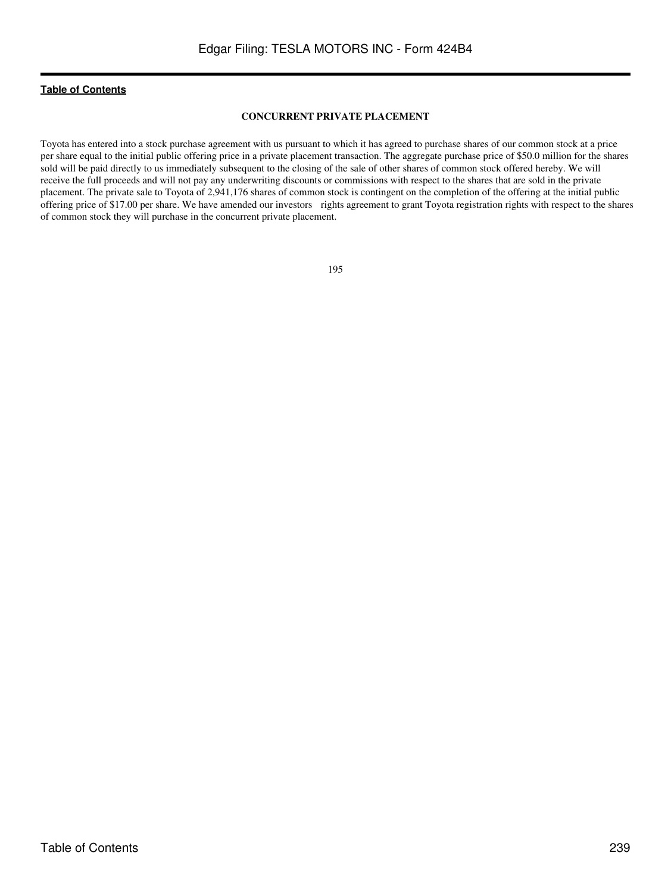#### **CONCURRENT PRIVATE PLACEMENT**

Toyota has entered into a stock purchase agreement with us pursuant to which it has agreed to purchase shares of our common stock at a price per share equal to the initial public offering price in a private placement transaction. The aggregate purchase price of \$50.0 million for the shares sold will be paid directly to us immediately subsequent to the closing of the sale of other shares of common stock offered hereby. We will receive the full proceeds and will not pay any underwriting discounts or commissions with respect to the shares that are sold in the private placement. The private sale to Toyota of 2,941,176 shares of common stock is contingent on the completion of the offering at the initial public offering price of \$17.00 per share. We have amended our investors rights agreement to grant Toyota registration rights with respect to the shares of common stock they will purchase in the concurrent private placement.

| n sa<br>٠<br>ł<br>۰.<br>٠ | I<br>۰. |
|---------------------------|---------|
|---------------------------|---------|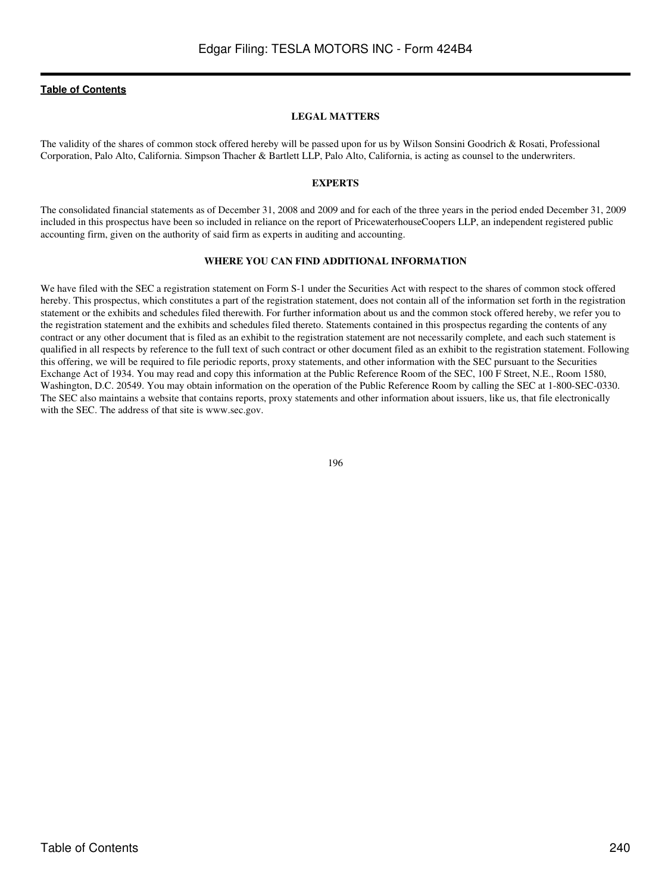#### **LEGAL MATTERS**

The validity of the shares of common stock offered hereby will be passed upon for us by Wilson Sonsini Goodrich & Rosati, Professional Corporation, Palo Alto, California. Simpson Thacher & Bartlett LLP, Palo Alto, California, is acting as counsel to the underwriters.

#### **EXPERTS**

The consolidated financial statements as of December 31, 2008 and 2009 and for each of the three years in the period ended December 31, 2009 included in this prospectus have been so included in reliance on the report of PricewaterhouseCoopers LLP, an independent registered public accounting firm, given on the authority of said firm as experts in auditing and accounting.

#### **WHERE YOU CAN FIND ADDITIONAL INFORMATION**

We have filed with the SEC a registration statement on Form S-1 under the Securities Act with respect to the shares of common stock offered hereby. This prospectus, which constitutes a part of the registration statement, does not contain all of the information set forth in the registration statement or the exhibits and schedules filed therewith. For further information about us and the common stock offered hereby, we refer you to the registration statement and the exhibits and schedules filed thereto. Statements contained in this prospectus regarding the contents of any contract or any other document that is filed as an exhibit to the registration statement are not necessarily complete, and each such statement is qualified in all respects by reference to the full text of such contract or other document filed as an exhibit to the registration statement. Following this offering, we will be required to file periodic reports, proxy statements, and other information with the SEC pursuant to the Securities Exchange Act of 1934. You may read and copy this information at the Public Reference Room of the SEC, 100 F Street, N.E., Room 1580, Washington, D.C. 20549. You may obtain information on the operation of the Public Reference Room by calling the SEC at 1-800-SEC-0330. The SEC also maintains a website that contains reports, proxy statements and other information about issuers, like us, that file electronically with the SEC. The address of that site is www.sec.gov.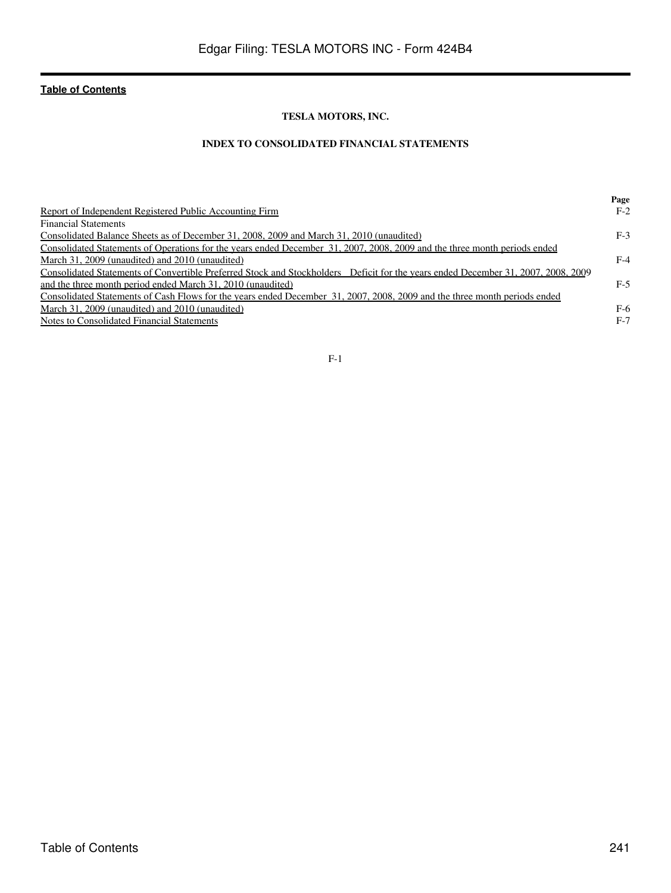# **TESLA MOTORS, INC.**

# **INDEX TO CONSOLIDATED FINANCIAL STATEMENTS**

|                                                                                                                                   | Page  |
|-----------------------------------------------------------------------------------------------------------------------------------|-------|
| Report of Independent Registered Public Accounting Firm                                                                           | $F-2$ |
| <b>Financial Statements</b>                                                                                                       |       |
| Consolidated Balance Sheets as of December 31, 2008, 2009 and March 31, 2010 (unaudited)                                          | $F-3$ |
| Consolidated Statements of Operations for the years ended December 31, 2007, 2008, 2009 and the three month periods ended         |       |
| March 31, 2009 (unaudited) and 2010 (unaudited)                                                                                   | $F-4$ |
| Consolidated Statements of Convertible Preferred Stock and Stockholders Deficit for the years ended December 31, 2007, 2008, 2009 |       |
| and the three month period ended March 31, 2010 (unaudited)                                                                       | $F-5$ |
| Consolidated Statements of Cash Flows for the years ended December 31, 2007, 2008, 2009 and the three month periods ended         |       |
| March 31, 2009 (unaudited) and 2010 (unaudited)                                                                                   | $F-6$ |
| Notes to Consolidated Financial Statements                                                                                        | $F-7$ |
|                                                                                                                                   |       |

| ÷<br>۰<br>v. |  |
|--------------|--|
|--------------|--|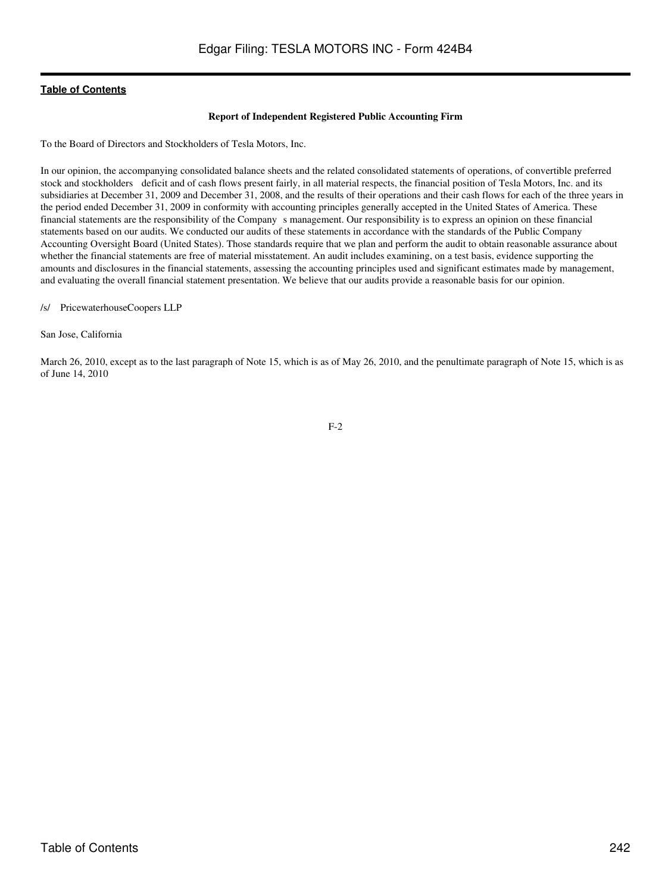### **Report of Independent Registered Public Accounting Firm**

<span id="page-241-0"></span>To the Board of Directors and Stockholders of Tesla Motors, Inc.

In our opinion, the accompanying consolidated balance sheets and the related consolidated statements of operations, of convertible preferred stock and stockholders deficit and of cash flows present fairly, in all material respects, the financial position of Tesla Motors, Inc. and its subsidiaries at December 31, 2009 and December 31, 2008, and the results of their operations and their cash flows for each of the three years in the period ended December 31, 2009 in conformity with accounting principles generally accepted in the United States of America. These financial statements are the responsibility of the Company s management. Our responsibility is to express an opinion on these financial statements based on our audits. We conducted our audits of these statements in accordance with the standards of the Public Company Accounting Oversight Board (United States). Those standards require that we plan and perform the audit to obtain reasonable assurance about whether the financial statements are free of material misstatement. An audit includes examining, on a test basis, evidence supporting the amounts and disclosures in the financial statements, assessing the accounting principles used and significant estimates made by management, and evaluating the overall financial statement presentation. We believe that our audits provide a reasonable basis for our opinion.

/s/ PricewaterhouseCoopers LLP

San Jose, California

March 26, 2010, except as to the last paragraph of Note 15, which is as of May 26, 2010, and the penultimate paragraph of Note 15, which is as of June 14, 2010

F-2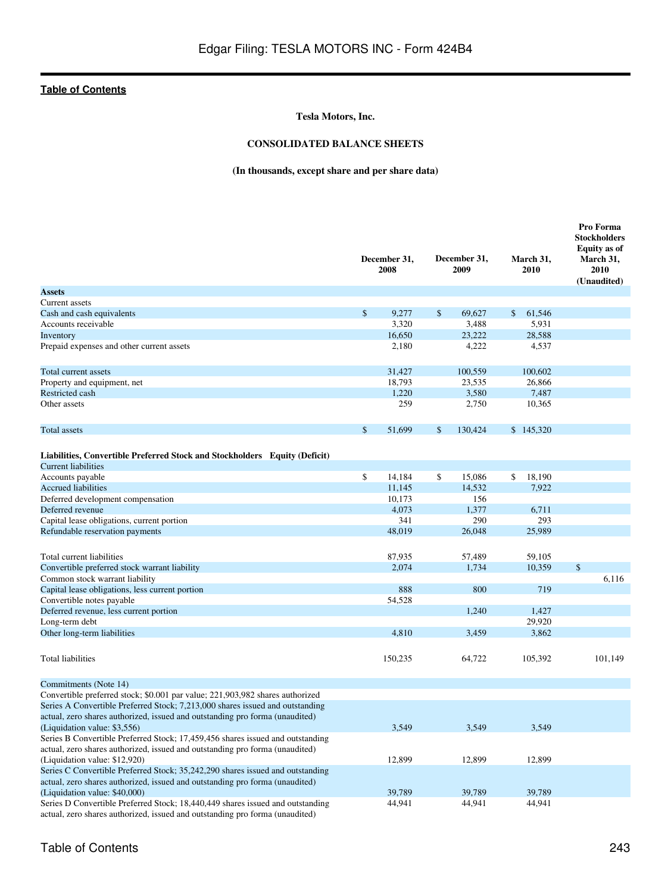#### **Tesla Motors, Inc.**

# **CONSOLIDATED BALANCE SHEETS**

# **(In thousands, except share and per share data)**

<span id="page-242-0"></span>

|                                                                                                                                                                | December 31,<br>2008 |            | December 31,<br>2009 | March 31,<br>2010 | Pro Forma<br><b>Stockholders</b><br><b>Equity</b> as of<br>March 31,<br>2010<br>(Unaudited) |
|----------------------------------------------------------------------------------------------------------------------------------------------------------------|----------------------|------------|----------------------|-------------------|---------------------------------------------------------------------------------------------|
| <b>Assets</b>                                                                                                                                                  |                      |            |                      |                   |                                                                                             |
| Current assets                                                                                                                                                 |                      |            |                      |                   |                                                                                             |
| Cash and cash equivalents                                                                                                                                      | \$<br>9,277          | $\sqrt{3}$ | 69,627               | \$<br>61,546      |                                                                                             |
| Accounts receivable                                                                                                                                            | 3,320                |            | 3,488                | 5,931             |                                                                                             |
| Inventory                                                                                                                                                      | 16,650               |            | 23,222               | 28,588            |                                                                                             |
| Prepaid expenses and other current assets                                                                                                                      | 2,180                |            | 4,222                | 4,537             |                                                                                             |
| Total current assets                                                                                                                                           | 31,427               |            | 100,559              | 100,602           |                                                                                             |
| Property and equipment, net                                                                                                                                    | 18,793               |            | 23,535               | 26,866            |                                                                                             |
| Restricted cash                                                                                                                                                | 1,220                |            | 3,580                | 7,487             |                                                                                             |
| Other assets                                                                                                                                                   | 259                  |            | 2,750                | 10,365            |                                                                                             |
| <b>Total</b> assets                                                                                                                                            | \$<br>51,699         | $\sqrt{3}$ | 130,424              | \$145,320         |                                                                                             |
| Liabilities, Convertible Preferred Stock and Stockholders Equity (Deficit)<br><b>Current liabilities</b>                                                       |                      |            |                      |                   |                                                                                             |
| Accounts payable                                                                                                                                               | \$<br>14,184         | \$         | 15,086               | \$<br>18,190      |                                                                                             |
| <b>Accrued liabilities</b>                                                                                                                                     | 11,145               |            | 14,532               | 7,922             |                                                                                             |
| Deferred development compensation                                                                                                                              | 10,173               |            | 156                  |                   |                                                                                             |
| Deferred revenue                                                                                                                                               | 4,073                |            | 1,377                | 6,711             |                                                                                             |
| Capital lease obligations, current portion                                                                                                                     | 341                  |            | 290                  | 293               |                                                                                             |
| Refundable reservation payments                                                                                                                                | 48,019               |            | 26,048               | 25,989            |                                                                                             |
|                                                                                                                                                                |                      |            |                      |                   |                                                                                             |
| Total current liabilities                                                                                                                                      | 87,935               |            | 57,489               | 59,105            |                                                                                             |
| Convertible preferred stock warrant liability                                                                                                                  | 2,074                |            | 1,734                | 10,359            | \$                                                                                          |
| Common stock warrant liability                                                                                                                                 |                      |            |                      |                   | 6,116                                                                                       |
| Capital lease obligations, less current portion                                                                                                                | 888                  |            | 800                  | 719               |                                                                                             |
| Convertible notes payable                                                                                                                                      | 54,528               |            |                      |                   |                                                                                             |
| Deferred revenue, less current portion                                                                                                                         |                      |            | 1,240                | 1,427             |                                                                                             |
| Long-term debt                                                                                                                                                 |                      |            |                      | 29,920            |                                                                                             |
| Other long-term liabilities                                                                                                                                    | 4,810                |            | 3,459                | 3,862             |                                                                                             |
| <b>Total liabilities</b>                                                                                                                                       | 150,235              |            | 64,722               | 105,392           | 101,149                                                                                     |
| Commitments (Note 14)                                                                                                                                          |                      |            |                      |                   |                                                                                             |
| Convertible preferred stock; \$0.001 par value; 221,903,982 shares authorized                                                                                  |                      |            |                      |                   |                                                                                             |
| Series A Convertible Preferred Stock; 7,213,000 shares issued and outstanding                                                                                  |                      |            |                      |                   |                                                                                             |
| actual, zero shares authorized, issued and outstanding pro forma (unaudited)                                                                                   |                      |            |                      |                   |                                                                                             |
| (Liquidation value: \$3,556)                                                                                                                                   | 3,549                |            | 3,549                | 3,549             |                                                                                             |
| Series B Convertible Preferred Stock; 17,459,456 shares issued and outstanding<br>actual, zero shares authorized, issued and outstanding pro forma (unaudited) |                      |            |                      |                   |                                                                                             |
| (Liquidation value: \$12,920)                                                                                                                                  | 12,899               |            | 12,899               | 12,899            |                                                                                             |
| Series C Convertible Preferred Stock; 35,242,290 shares issued and outstanding                                                                                 |                      |            |                      |                   |                                                                                             |
| actual, zero shares authorized, issued and outstanding pro forma (unaudited)                                                                                   |                      |            |                      |                   |                                                                                             |
| (Liquidation value: \$40,000)                                                                                                                                  | 39,789               |            | 39,789               | 39,789            |                                                                                             |
| Series D Convertible Preferred Stock; 18,440,449 shares issued and outstanding<br>actual, zero shares authorized, issued and outstanding pro forma (unaudited) | 44,941               |            | 44,941               | 44,941            |                                                                                             |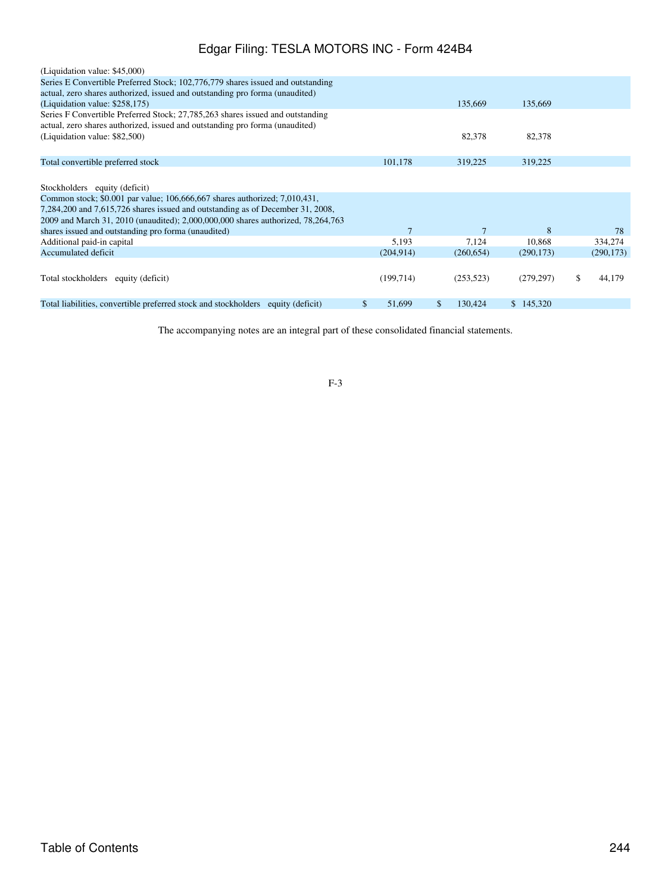| (Liquidation value: \$45,000)                                                       |                |                |            |              |
|-------------------------------------------------------------------------------------|----------------|----------------|------------|--------------|
| Series E Convertible Preferred Stock; 102,776,779 shares issued and outstanding     |                |                |            |              |
| actual, zero shares authorized, issued and outstanding pro forma (unaudited)        |                |                |            |              |
| (Liquidation value: \$258,175)                                                      |                | 135,669        | 135,669    |              |
| Series F Convertible Preferred Stock; 27,785,263 shares issued and outstanding      |                |                |            |              |
| actual, zero shares authorized, issued and outstanding pro forma (unaudited)        |                |                |            |              |
| (Liquidation value: \$82,500)                                                       |                | 82,378         | 82,378     |              |
|                                                                                     |                |                |            |              |
| Total convertible preferred stock                                                   | 101,178        | 319,225        | 319,225    |              |
|                                                                                     |                |                |            |              |
| Stockholders equity (deficit)                                                       |                |                |            |              |
| Common stock; \$0.001 par value; 106,666,667 shares authorized; 7,010,431,          |                |                |            |              |
| 7,284,200 and 7,615,726 shares issued and outstanding as of December 31, 2008,      |                |                |            |              |
| 2009 and March 31, 2010 (unaudited); 2,000,000,000 shares authorized, 78,264,763    |                |                |            |              |
| shares issued and outstanding pro forma (unaudited)                                 | $\overline{7}$ | $\overline{7}$ | 8          | 78           |
| Additional paid-in capital                                                          | 5,193          | 7,124          | 10,868     | 334,274      |
| Accumulated deficit                                                                 | (204, 914)     | (260, 654)     | (290, 173) | (290, 173)   |
|                                                                                     |                |                |            |              |
| Total stockholders equity (deficit)                                                 | (199,714)      | (253, 523)     | (279, 297) | \$<br>44,179 |
|                                                                                     |                |                |            |              |
| Total liabilities, convertible preferred stock and stockholders<br>equity (deficit) | \$<br>51,699   | \$<br>130,424  | \$145,320  |              |

The accompanying notes are an integral part of these consolidated financial statements.

F-3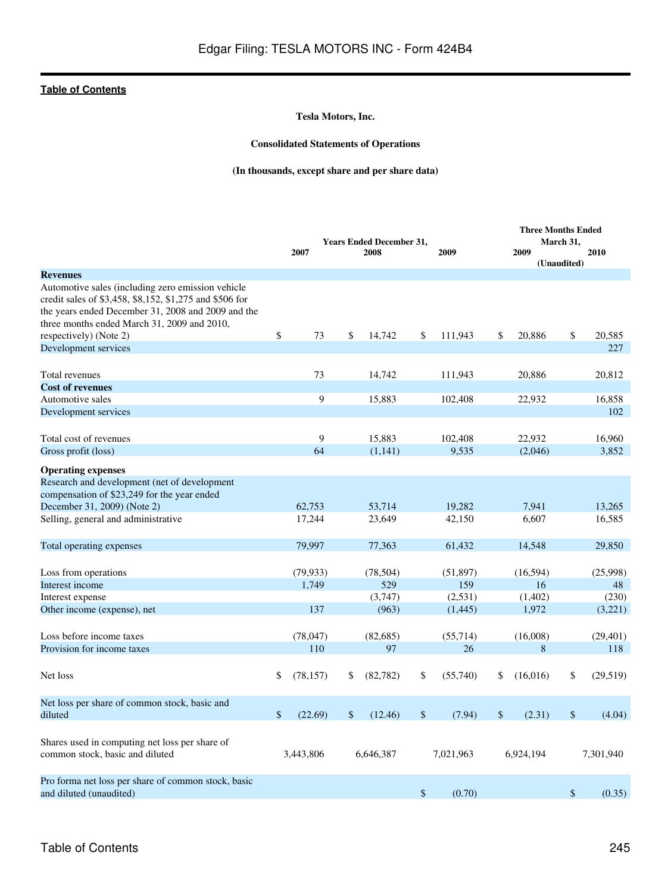#### **Tesla Motors, Inc.**

# **Consolidated Statements of Operations**

# **(In thousands, except share and per share data)**

<span id="page-244-0"></span>

|                                                                                                                                                                                                                                      | <b>Years Ended December 31,</b><br>2007<br>2008<br>2009 |   |               | <b>Three Months Ended</b><br>March 31,<br>2009<br>2010 |                |                |             |           |
|--------------------------------------------------------------------------------------------------------------------------------------------------------------------------------------------------------------------------------------|---------------------------------------------------------|---|---------------|--------------------------------------------------------|----------------|----------------|-------------|-----------|
|                                                                                                                                                                                                                                      |                                                         |   |               |                                                        |                |                | (Unaudited) |           |
| <b>Revenues</b><br>Automotive sales (including zero emission vehicle<br>credit sales of \$3,458, \$8,152, \$1,275 and \$506 for<br>the years ended December 31, 2008 and 2009 and the<br>three months ended March 31, 2009 and 2010, |                                                         |   |               |                                                        |                |                |             |           |
| respectively) (Note 2)                                                                                                                                                                                                               | \$<br>73                                                |   | \$            | 14,742                                                 | \$<br>111,943  | \$<br>20,886   | \$          | 20,585    |
| Development services                                                                                                                                                                                                                 |                                                         |   |               |                                                        |                |                |             | 227       |
|                                                                                                                                                                                                                                      |                                                         |   |               |                                                        |                |                |             |           |
| Total revenues                                                                                                                                                                                                                       | 73                                                      |   |               | 14.742                                                 | 111,943        | 20.886         |             | 20,812    |
| <b>Cost of revenues</b>                                                                                                                                                                                                              |                                                         |   |               |                                                        |                |                |             |           |
| Automotive sales                                                                                                                                                                                                                     |                                                         | 9 |               | 15,883                                                 | 102,408        | 22,932         |             | 16,858    |
| Development services                                                                                                                                                                                                                 |                                                         |   |               |                                                        |                |                |             | 102       |
|                                                                                                                                                                                                                                      |                                                         |   |               |                                                        |                |                |             |           |
| Total cost of revenues                                                                                                                                                                                                               |                                                         | 9 |               | 15,883                                                 | 102,408        | 22,932         |             | 16,960    |
| Gross profit (loss)                                                                                                                                                                                                                  | 64                                                      |   |               | (1,141)                                                | 9,535          | (2,046)        |             | 3,852     |
|                                                                                                                                                                                                                                      |                                                         |   |               |                                                        |                |                |             |           |
| <b>Operating expenses</b><br>Research and development (net of development<br>compensation of \$23,249 for the year ended                                                                                                             |                                                         |   |               |                                                        |                |                |             |           |
| December 31, 2009) (Note 2)                                                                                                                                                                                                          | 62,753                                                  |   |               | 53,714                                                 | 19,282         | 7,941          |             | 13,265    |
| Selling, general and administrative                                                                                                                                                                                                  | 17,244                                                  |   |               | 23,649                                                 | 42,150         | 6,607          |             | 16,585    |
| Total operating expenses                                                                                                                                                                                                             | 79,997                                                  |   |               | 77,363                                                 | 61,432         | 14,548         |             | 29,850    |
| Loss from operations                                                                                                                                                                                                                 | (79, 933)                                               |   |               | (78, 504)                                              | (51,897)       | (16, 594)      |             | (25,998)  |
| Interest income                                                                                                                                                                                                                      | 1,749                                                   |   |               | 529                                                    | 159            | 16             |             | 48        |
| Interest expense                                                                                                                                                                                                                     |                                                         |   |               | (3,747)                                                | (2,531)        | (1,402)        |             | (230)     |
| Other income (expense), net                                                                                                                                                                                                          | 137                                                     |   |               | (963)                                                  | (1,445)        | 1,972          |             | (3,221)   |
| Loss before income taxes                                                                                                                                                                                                             | (78, 047)                                               |   |               | (82, 685)                                              | (55,714)       | (16,008)       |             | (29, 401) |
| Provision for income taxes                                                                                                                                                                                                           | 110                                                     |   |               | 97                                                     | 26             | 8              |             | 118       |
| Net loss                                                                                                                                                                                                                             | \$<br>(78, 157)                                         |   | \$            | (82, 782)                                              | \$<br>(55,740) | \$<br>(16,016) | \$          | (29, 519) |
| Net loss per share of common stock, basic and<br>diluted                                                                                                                                                                             | \$<br>(22.69)                                           |   | $\mathcal{S}$ | (12.46)                                                | \$<br>(7.94)   | \$<br>(2.31)   | \$          | (4.04)    |
| Shares used in computing net loss per share of<br>common stock, basic and diluted                                                                                                                                                    | 3,443,806                                               |   |               | 6,646,387                                              | 7,021,963      | 6,924,194      |             | 7,301,940 |
| Pro forma net loss per share of common stock, basic<br>and diluted (unaudited)                                                                                                                                                       |                                                         |   |               |                                                        | \$<br>(0.70)   |                | \$          | (0.35)    |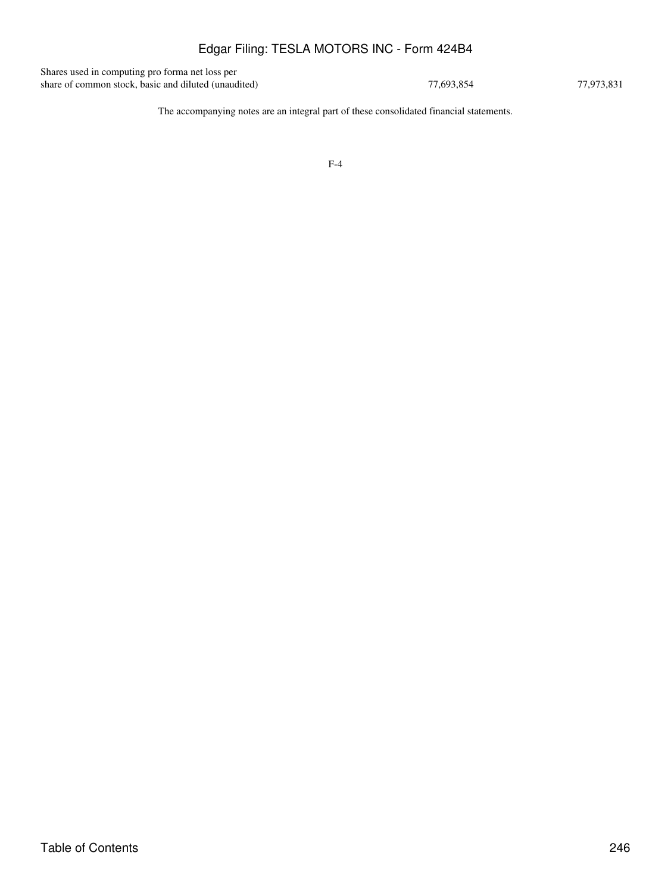Shares used in computing pro forma net loss per share of common stock, basic and diluted (unaudited) 77,693,854 77,973,831 77,973,831

The accompanying notes are an integral part of these consolidated financial statements.

F-4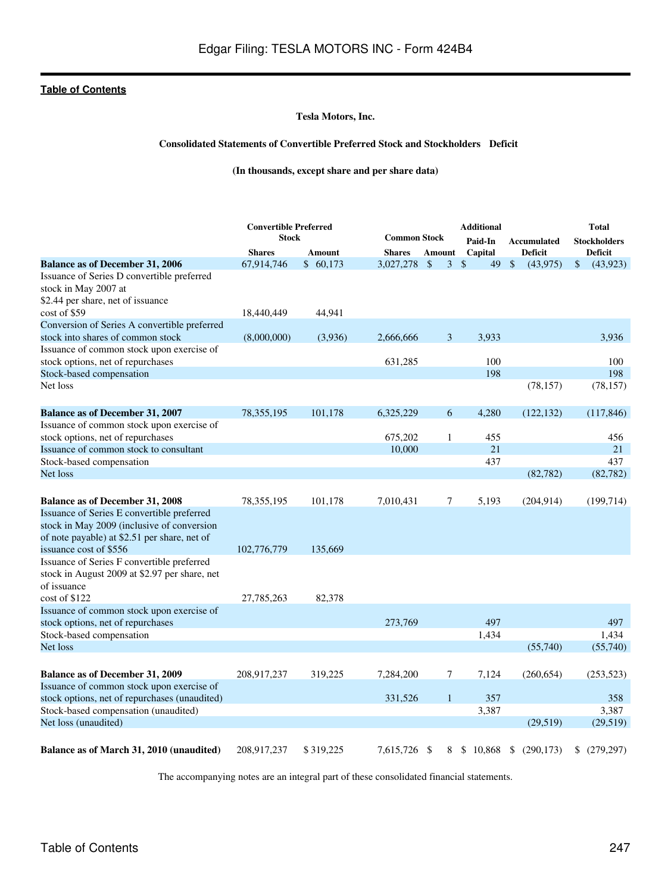# **Tesla Motors, Inc.**

# **Consolidated Statements of Convertible Preferred Stock and Stockholders Deficit**

# **(In thousands, except share and per share data)**

<span id="page-246-0"></span>

|                                                                                                            | <b>Convertible Preferred</b><br><b>Stock</b> |           |               | <b>Additional</b><br><b>Common Stock</b><br>Paid-In<br><b>Accumulated</b> |                     |                           |                                       |
|------------------------------------------------------------------------------------------------------------|----------------------------------------------|-----------|---------------|---------------------------------------------------------------------------|---------------------|---------------------------|---------------------------------------|
|                                                                                                            | <b>Shares</b>                                | Amount    | <b>Shares</b> | Amount                                                                    | Capital             | Deficit                   | <b>Stockholders</b><br><b>Deficit</b> |
| <b>Balance as of December 31, 2006</b>                                                                     | 67,914,746                                   | \$60,173  | 3,027,278     | 3<br>$\mathbb{S}$                                                         | $\mathcal{S}$<br>49 | $\mathcal{S}$<br>(43,975) | $\sqrt{\ }$<br>(43, 923)              |
| Issuance of Series D convertible preferred<br>stock in May 2007 at<br>\$2.44 per share, net of issuance    |                                              |           |               |                                                                           |                     |                           |                                       |
| cost of \$59                                                                                               | 18,440,449                                   | 44,941    |               |                                                                           |                     |                           |                                       |
| Conversion of Series A convertible preferred                                                               |                                              |           |               |                                                                           |                     |                           |                                       |
| stock into shares of common stock                                                                          | (8,000,000)                                  | (3,936)   | 2.666.666     | $\mathfrak{Z}$                                                            | 3,933               |                           | 3,936                                 |
| Issuance of common stock upon exercise of<br>stock options, net of repurchases                             |                                              |           | 631,285       |                                                                           | 100                 |                           | 100                                   |
| Stock-based compensation                                                                                   |                                              |           |               |                                                                           | 198                 |                           | 198                                   |
| Net loss                                                                                                   |                                              |           |               |                                                                           |                     | (78, 157)                 | (78, 157)                             |
| <b>Balance as of December 31, 2007</b>                                                                     | 78, 355, 195                                 | 101,178   | 6,325,229     | 6                                                                         | 4,280               | (122, 132)                | (117, 846)                            |
| Issuance of common stock upon exercise of                                                                  |                                              |           |               |                                                                           |                     |                           |                                       |
| stock options, net of repurchases                                                                          |                                              |           | 675,202       | $\mathbf{1}$                                                              | 455                 |                           | 456                                   |
| Issuance of common stock to consultant                                                                     |                                              |           | 10,000        |                                                                           | 21                  |                           | 21                                    |
| Stock-based compensation                                                                                   |                                              |           |               |                                                                           | 437                 |                           | 437                                   |
| Net loss                                                                                                   |                                              |           |               |                                                                           |                     | (82, 782)                 | (82, 782)                             |
|                                                                                                            |                                              |           |               |                                                                           |                     |                           |                                       |
| <b>Balance as of December 31, 2008</b>                                                                     | 78,355,195                                   | 101,178   | 7,010,431     | 7                                                                         | 5,193               | (204, 914)                | (199, 714)                            |
| Issuance of Series E convertible preferred<br>stock in May 2009 (inclusive of conversion                   |                                              |           |               |                                                                           |                     |                           |                                       |
| of note payable) at \$2.51 per share, net of                                                               |                                              |           |               |                                                                           |                     |                           |                                       |
| issuance cost of \$556                                                                                     | 102,776,779                                  | 135,669   |               |                                                                           |                     |                           |                                       |
| Issuance of Series F convertible preferred<br>stock in August 2009 at \$2.97 per share, net<br>of issuance |                                              |           |               |                                                                           |                     |                           |                                       |
| cost of \$122                                                                                              | 27,785,263                                   | 82,378    |               |                                                                           |                     |                           |                                       |
| Issuance of common stock upon exercise of                                                                  |                                              |           |               |                                                                           |                     |                           |                                       |
| stock options, net of repurchases                                                                          |                                              |           | 273,769       |                                                                           | 497                 |                           | 497                                   |
| Stock-based compensation                                                                                   |                                              |           |               |                                                                           | 1,434               |                           | 1,434                                 |
| Net loss                                                                                                   |                                              |           |               |                                                                           |                     | (55,740)                  | (55,740)                              |
|                                                                                                            |                                              |           |               |                                                                           |                     |                           |                                       |
| <b>Balance as of December 31, 2009</b>                                                                     | 208,917,237                                  | 319,225   | 7,284,200     | 7                                                                         | 7,124               | (260, 654)                | (253, 523)                            |
| Issuance of common stock upon exercise of                                                                  |                                              |           |               |                                                                           |                     |                           |                                       |
| stock options, net of repurchases (unaudited)                                                              |                                              |           | 331,526       | $\mathbf{1}$                                                              | 357                 |                           | 358                                   |
| Stock-based compensation (unaudited)                                                                       |                                              |           |               |                                                                           | 3,387               |                           | 3,387                                 |
| Net loss (unaudited)                                                                                       |                                              |           |               |                                                                           |                     | (29,519)                  | (29,519)                              |
|                                                                                                            |                                              |           |               |                                                                           |                     |                           |                                       |
| Balance as of March 31, 2010 (unaudited)                                                                   | 208,917,237                                  | \$319,225 | 7.615.726     | \$<br>8                                                                   | \$10,868            | \$<br>(290, 173)          | \$<br>(279, 297)                      |

The accompanying notes are an integral part of these consolidated financial statements.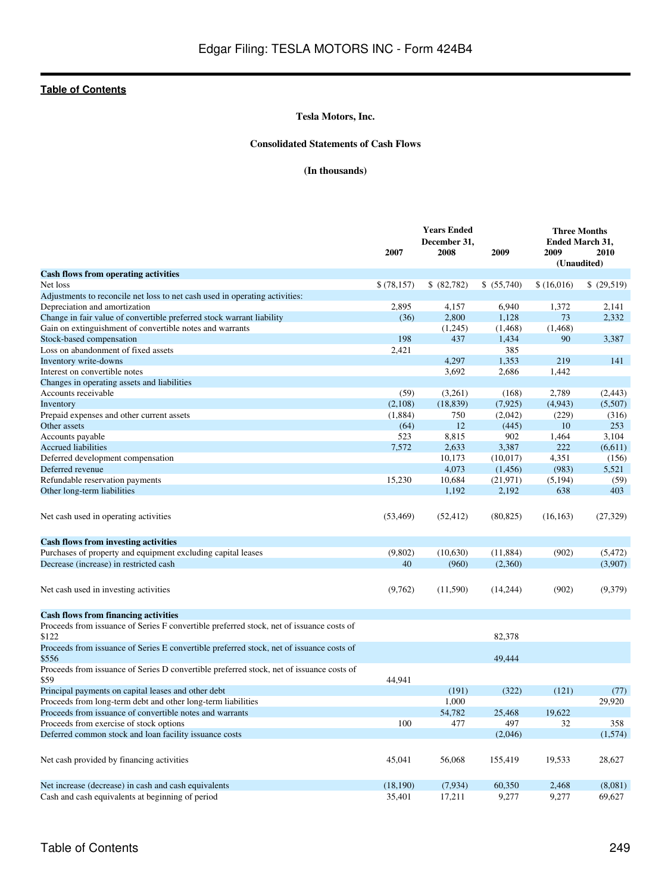# **Tesla Motors, Inc.**

# **Consolidated Statements of Cash Flows**

# **(In thousands)**

<span id="page-248-0"></span>

|                                                                                                   | 2007        | <b>Years Ended</b><br>December 31,<br>2008 | 2009        | <b>Three Months</b><br><b>Ended March 31,</b><br>2009<br>2010<br>(Unaudited) |            |
|---------------------------------------------------------------------------------------------------|-------------|--------------------------------------------|-------------|------------------------------------------------------------------------------|------------|
| <b>Cash flows from operating activities</b><br>Net loss                                           | \$(78, 157) | \$ (82,782)                                | \$ (55,740) | \$(16,016)                                                                   | \$(29,519) |
| Adjustments to reconcile net loss to net cash used in operating activities:                       |             |                                            |             |                                                                              |            |
| Depreciation and amortization                                                                     | 2.895       | 4.157                                      | 6.940       | 1.372                                                                        | 2.141      |
| Change in fair value of convertible preferred stock warrant liability                             | (36)        | 2,800                                      | 1,128       | 73                                                                           | 2,332      |
| Gain on extinguishment of convertible notes and warrants                                          |             | (1,245)                                    | (1, 468)    | (1, 468)                                                                     |            |
| Stock-based compensation                                                                          | 198         | 437                                        | 1,434       | 90                                                                           | 3,387      |
| Loss on abandonment of fixed assets                                                               | 2,421       |                                            | 385         |                                                                              |            |
| Inventory write-downs                                                                             |             | 4,297                                      | 1,353       | 219                                                                          | 141        |
| Interest on convertible notes                                                                     |             | 3,692                                      | 2,686       | 1,442                                                                        |            |
| Changes in operating assets and liabilities                                                       |             |                                            |             |                                                                              |            |
| Accounts receivable                                                                               | (59)        | (3,261)                                    | (168)       | 2.789                                                                        | (2, 443)   |
| Inventory                                                                                         | (2,108)     | (18, 839)                                  | (7, 925)    | (4,943)                                                                      | (5,507)    |
| Prepaid expenses and other current assets                                                         | (1,884)     | 750                                        | (2,042)     | (229)                                                                        | (316)      |
| Other assets                                                                                      | (64)        | 12                                         | (445)       | 10                                                                           | 253        |
| Accounts payable                                                                                  | 523         | 8,815                                      | 902         | 1,464                                                                        | 3,104      |
| <b>Accrued liabilities</b>                                                                        | 7,572       | 2,633                                      | 3,387       | 222                                                                          | (6,611)    |
| Deferred development compensation                                                                 |             | 10,173                                     | (10,017)    | 4,351                                                                        | (156)      |
| Deferred revenue                                                                                  |             | 4,073                                      | (1, 456)    | (983)                                                                        | 5,521      |
| Refundable reservation payments                                                                   | 15,230      | 10,684                                     | (21, 971)   | (5,194)                                                                      | (59)       |
| Other long-term liabilities                                                                       |             | 1,192                                      | 2,192       | 638                                                                          | 403        |
| Net cash used in operating activities<br><b>Cash flows from investing activities</b>              | (53, 469)   | (52, 412)                                  | (80, 825)   | (16, 163)                                                                    | (27, 329)  |
| Purchases of property and equipment excluding capital leases                                      | (9,802)     | (10,630)                                   | (11, 884)   | (902)                                                                        | (5, 472)   |
| Decrease (increase) in restricted cash                                                            | 40          | (960)                                      | (2,360)     |                                                                              | (3,907)    |
| Net cash used in investing activities                                                             | (9,762)     | (11,590)                                   | (14, 244)   | (902)                                                                        | (9,379)    |
| <b>Cash flows from financing activities</b>                                                       |             |                                            |             |                                                                              |            |
| Proceeds from issuance of Series F convertible preferred stock, net of issuance costs of<br>\$122 |             |                                            | 82.378      |                                                                              |            |
| Proceeds from issuance of Series E convertible preferred stock, net of issuance costs of<br>\$556 |             |                                            | 49,444      |                                                                              |            |
| Proceeds from issuance of Series D convertible preferred stock, net of issuance costs of<br>\$59  | 44,941      |                                            |             |                                                                              |            |
| Principal payments on capital leases and other debt                                               |             | (191)                                      | (322)       | (121)                                                                        | (77)       |
| Proceeds from long-term debt and other long-term liabilities                                      |             | 1,000                                      |             |                                                                              | 29,920     |
| Proceeds from issuance of convertible notes and warrants                                          |             | 54,782                                     | 25,468      | 19.622                                                                       |            |
| Proceeds from exercise of stock options                                                           | 100         | 477                                        | 497         | 32                                                                           | 358        |
| Deferred common stock and loan facility issuance costs                                            |             |                                            | (2,046)     |                                                                              | (1,574)    |
| Net cash provided by financing activities                                                         | 45,041      | 56,068                                     | 155,419     | 19,533                                                                       | 28,627     |
| Net increase (decrease) in cash and cash equivalents                                              | (18, 190)   | (7,934)                                    | 60,350      | 2,468                                                                        | (8,081)    |
| Cash and cash equivalents at beginning of period                                                  | 35,401      | 17,211                                     | 9,277       | 9,277                                                                        | 69,627     |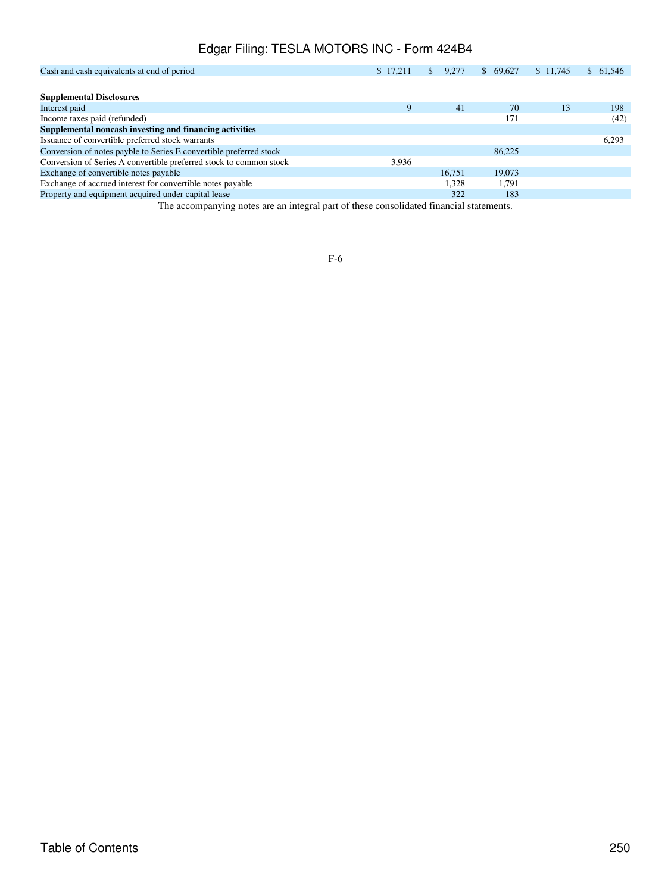| Cash and cash equivalents at end of period                         | \$17,211 | 9.277<br>S. | \$69,627 | \$11,745 | \$61,546 |
|--------------------------------------------------------------------|----------|-------------|----------|----------|----------|
|                                                                    |          |             |          |          |          |
| <b>Supplemental Disclosures</b>                                    |          |             |          |          |          |
| Interest paid                                                      | 9        | 41          | 70       | 13       | 198      |
| Income taxes paid (refunded)                                       |          |             | 171      |          | (42)     |
| Supplemental noncash investing and financing activities            |          |             |          |          |          |
| Issuance of convertible preferred stock warrants                   |          |             |          |          | 6,293    |
| Conversion of notes payble to Series E convertible preferred stock |          |             | 86,225   |          |          |
| Conversion of Series A convertible preferred stock to common stock | 3,936    |             |          |          |          |
| Exchange of convertible notes payable                              |          | 16.751      | 19,073   |          |          |
| Exchange of accrued interest for convertible notes payable         |          | 1.328       | 1,791    |          |          |
| Property and equipment acquired under capital lease                |          | 322         | 183      |          |          |
|                                                                    |          |             |          |          |          |

The accompanying notes are an integral part of these consolidated financial statements.

F-6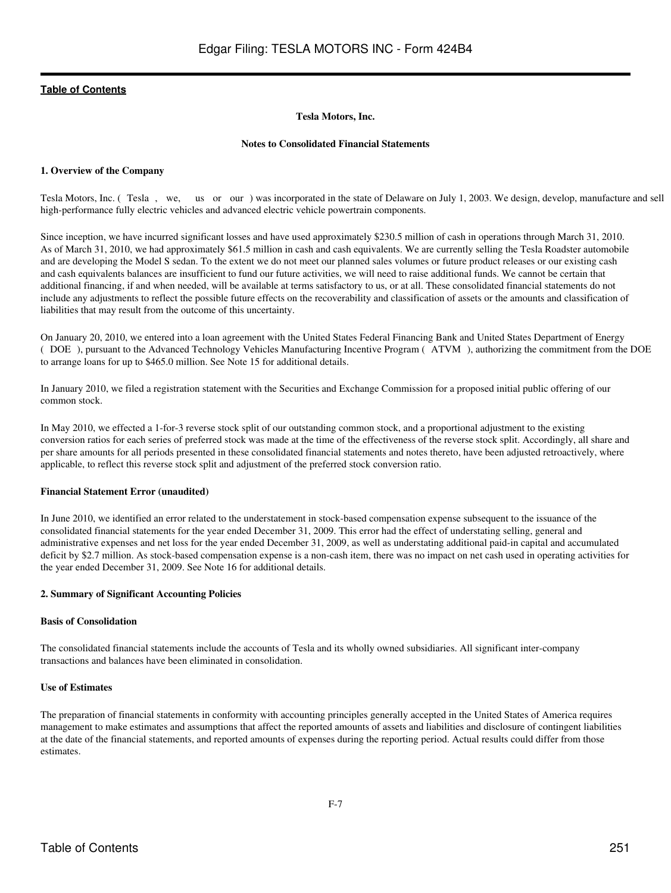#### **Tesla Motors, Inc.**

#### **Notes to Consolidated Financial Statements**

#### <span id="page-250-0"></span>**1. Overview of the Company**

Tesla Motors, Inc. (Tesla, we, us or our) was incorporated in the state of Delaware on July 1, 2003. We design, develop, manufacture and sell high-performance fully electric vehicles and advanced electric vehicle powertrain components.

Since inception, we have incurred significant losses and have used approximately \$230.5 million of cash in operations through March 31, 2010. As of March 31, 2010, we had approximately \$61.5 million in cash and cash equivalents. We are currently selling the Tesla Roadster automobile and are developing the Model S sedan. To the extent we do not meet our planned sales volumes or future product releases or our existing cash and cash equivalents balances are insufficient to fund our future activities, we will need to raise additional funds. We cannot be certain that additional financing, if and when needed, will be available at terms satisfactory to us, or at all. These consolidated financial statements do not include any adjustments to reflect the possible future effects on the recoverability and classification of assets or the amounts and classification of liabilities that may result from the outcome of this uncertainty.

On January 20, 2010, we entered into a loan agreement with the United States Federal Financing Bank and United States Department of Energy (DOE), pursuant to the Advanced Technology Vehicles Manufacturing Incentive Program (ATVM), authorizing the commitment from the DOE to arrange loans for up to \$465.0 million. See Note 15 for additional details.

In January 2010, we filed a registration statement with the Securities and Exchange Commission for a proposed initial public offering of our common stock.

In May 2010, we effected a 1-for-3 reverse stock split of our outstanding common stock, and a proportional adjustment to the existing conversion ratios for each series of preferred stock was made at the time of the effectiveness of the reverse stock split. Accordingly, all share and per share amounts for all periods presented in these consolidated financial statements and notes thereto, have been adjusted retroactively, where applicable, to reflect this reverse stock split and adjustment of the preferred stock conversion ratio.

#### **Financial Statement Error (unaudited)**

In June 2010, we identified an error related to the understatement in stock-based compensation expense subsequent to the issuance of the consolidated financial statements for the year ended December 31, 2009. This error had the effect of understating selling, general and administrative expenses and net loss for the year ended December 31, 2009, as well as understating additional paid-in capital and accumulated deficit by \$2.7 million. As stock-based compensation expense is a non-cash item, there was no impact on net cash used in operating activities for the year ended December 31, 2009. See Note 16 for additional details.

#### **2. Summary of Significant Accounting Policies**

#### **Basis of Consolidation**

The consolidated financial statements include the accounts of Tesla and its wholly owned subsidiaries. All significant inter-company transactions and balances have been eliminated in consolidation.

#### **Use of Estimates**

The preparation of financial statements in conformity with accounting principles generally accepted in the United States of America requires management to make estimates and assumptions that affect the reported amounts of assets and liabilities and disclosure of contingent liabilities at the date of the financial statements, and reported amounts of expenses during the reporting period. Actual results could differ from those estimates.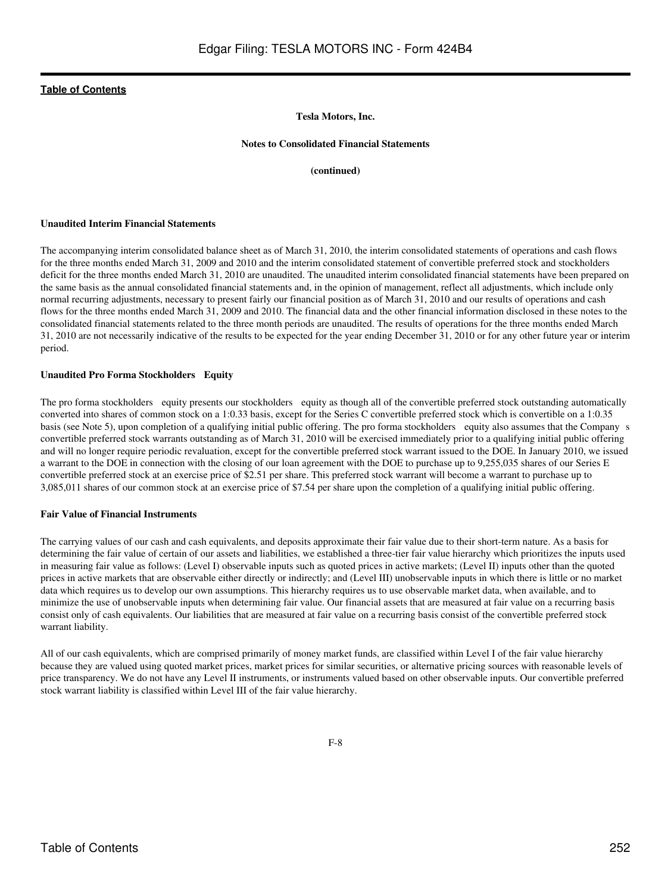#### **Tesla Motors, Inc.**

#### **Notes to Consolidated Financial Statements**

**(continued)**

#### **Unaudited Interim Financial Statements**

The accompanying interim consolidated balance sheet as of March 31, 2010, the interim consolidated statements of operations and cash flows for the three months ended March 31, 2009 and 2010 and the interim consolidated statement of convertible preferred stock and stockholders deficit for the three months ended March 31, 2010 are unaudited. The unaudited interim consolidated financial statements have been prepared on the same basis as the annual consolidated financial statements and, in the opinion of management, reflect all adjustments, which include only normal recurring adjustments, necessary to present fairly our financial position as of March 31, 2010 and our results of operations and cash flows for the three months ended March 31, 2009 and 2010. The financial data and the other financial information disclosed in these notes to the consolidated financial statements related to the three month periods are unaudited. The results of operations for the three months ended March 31, 2010 are not necessarily indicative of the results to be expected for the year ending December 31, 2010 or for any other future year or interim period.

#### **Unaudited Pro Forma Stockholders Equity**

The pro forma stockholders equity presents our stockholders equity as though all of the convertible preferred stock outstanding automatically converted into shares of common stock on a 1:0.33 basis, except for the Series C convertible preferred stock which is convertible on a 1:0.35 basis (see Note 5), upon completion of a qualifying initial public offering. The pro forma stockholders equity also assumes that the Company s convertible preferred stock warrants outstanding as of March 31, 2010 will be exercised immediately prior to a qualifying initial public offering and will no longer require periodic revaluation, except for the convertible preferred stock warrant issued to the DOE. In January 2010, we issued a warrant to the DOE in connection with the closing of our loan agreement with the DOE to purchase up to 9,255,035 shares of our Series E convertible preferred stock at an exercise price of \$2.51 per share. This preferred stock warrant will become a warrant to purchase up to 3,085,011 shares of our common stock at an exercise price of \$7.54 per share upon the completion of a qualifying initial public offering.

#### **Fair Value of Financial Instruments**

The carrying values of our cash and cash equivalents, and deposits approximate their fair value due to their short-term nature. As a basis for determining the fair value of certain of our assets and liabilities, we established a three-tier fair value hierarchy which prioritizes the inputs used in measuring fair value as follows: (Level I) observable inputs such as quoted prices in active markets; (Level II) inputs other than the quoted prices in active markets that are observable either directly or indirectly; and (Level III) unobservable inputs in which there is little or no market data which requires us to develop our own assumptions. This hierarchy requires us to use observable market data, when available, and to minimize the use of unobservable inputs when determining fair value. Our financial assets that are measured at fair value on a recurring basis consist only of cash equivalents. Our liabilities that are measured at fair value on a recurring basis consist of the convertible preferred stock warrant liability.

All of our cash equivalents, which are comprised primarily of money market funds, are classified within Level I of the fair value hierarchy because they are valued using quoted market prices, market prices for similar securities, or alternative pricing sources with reasonable levels of price transparency. We do not have any Level II instruments, or instruments valued based on other observable inputs. Our convertible preferred stock warrant liability is classified within Level III of the fair value hierarchy.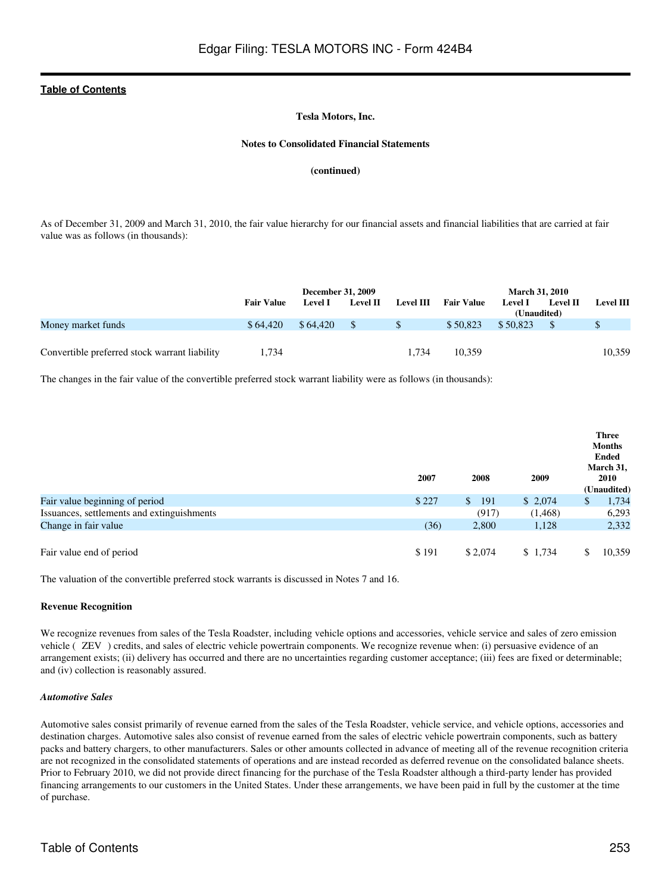## **Tesla Motors, Inc.**

## **Notes to Consolidated Financial Statements**

#### **(continued)**

As of December 31, 2009 and March 31, 2010, the fair value hierarchy for our financial assets and financial liabilities that are carried at fair value was as follows (in thousands):

|                                               | <b>December 31, 2009</b> |          |                 |                  | <b>March 31, 2010</b> |                |          |                  |
|-----------------------------------------------|--------------------------|----------|-----------------|------------------|-----------------------|----------------|----------|------------------|
|                                               | <b>Fair Value</b>        | Level I  | <b>Level II</b> | <b>Level III</b> | <b>Fair Value</b>     | <b>Level I</b> | Level II | <b>Level III</b> |
|                                               |                          |          |                 |                  |                       | (Unaudited)    |          |                  |
| Money market funds                            | \$64.420                 | \$64,420 |                 | $\mathbb{S}$     | \$50.823              | \$50.823       |          | $\mathbb{S}$     |
|                                               |                          |          |                 |                  |                       |                |          |                  |
| Convertible preferred stock warrant liability | 1.734                    |          |                 | 1.734            | 10.359                |                |          | 10.359           |

The changes in the fair value of the convertible preferred stock warrant liability were as follows (in thousands):

|                                            | 2007  | 2008                  | 2009     |               | <b>Three</b><br><b>Months</b><br><b>Ended</b><br>March 31,<br>2010<br>(Unaudited) |
|--------------------------------------------|-------|-----------------------|----------|---------------|-----------------------------------------------------------------------------------|
| Fair value beginning of period             | \$227 | 191<br>$\mathbb{S}^-$ | \$2,074  | <sup>\$</sup> | 1,734                                                                             |
| Issuances, settlements and extinguishments |       | (917)                 | (1, 468) |               | 6,293                                                                             |
| Change in fair value                       | (36)  | 2,800                 | 1,128    |               | 2,332                                                                             |
| Fair value end of period                   | \$191 | \$2.074               | \$1,734  |               | 10,359                                                                            |

The valuation of the convertible preferred stock warrants is discussed in Notes 7 and 16.

### **Revenue Recognition**

We recognize revenues from sales of the Tesla Roadster, including vehicle options and accessories, vehicle service and sales of zero emission vehicle (ZEV) credits, and sales of electric vehicle powertrain components. We recognize revenue when: (i) persuasive evidence of an arrangement exists; (ii) delivery has occurred and there are no uncertainties regarding customer acceptance; (iii) fees are fixed or determinable; and (iv) collection is reasonably assured.

## *Automotive Sales*

Automotive sales consist primarily of revenue earned from the sales of the Tesla Roadster, vehicle service, and vehicle options, accessories and destination charges. Automotive sales also consist of revenue earned from the sales of electric vehicle powertrain components, such as battery packs and battery chargers, to other manufacturers. Sales or other amounts collected in advance of meeting all of the revenue recognition criteria are not recognized in the consolidated statements of operations and are instead recorded as deferred revenue on the consolidated balance sheets. Prior to February 2010, we did not provide direct financing for the purchase of the Tesla Roadster although a third-party lender has provided financing arrangements to our customers in the United States. Under these arrangements, we have been paid in full by the customer at the time of purchase.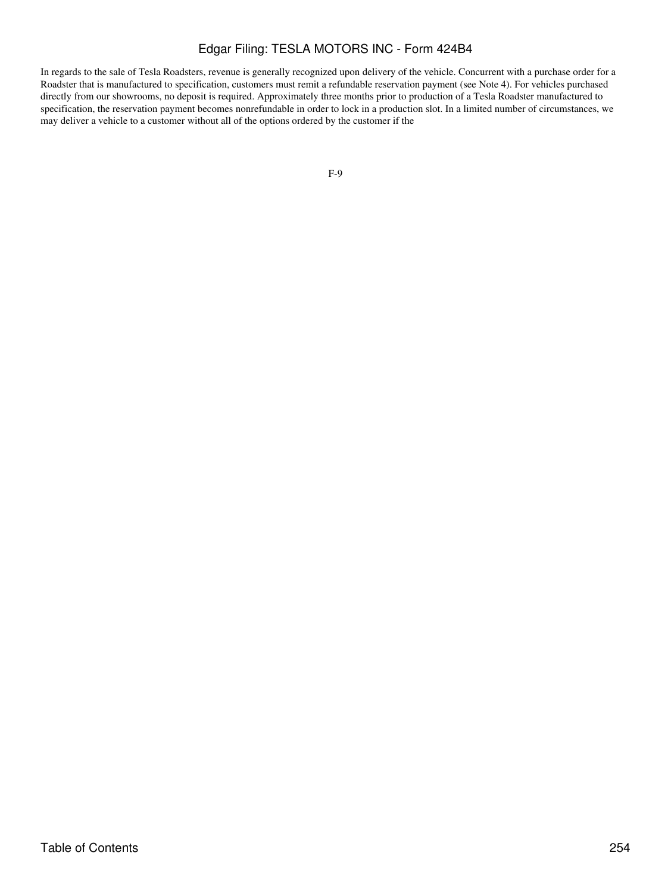In regards to the sale of Tesla Roadsters, revenue is generally recognized upon delivery of the vehicle. Concurrent with a purchase order for a Roadster that is manufactured to specification, customers must remit a refundable reservation payment (see Note 4). For vehicles purchased directly from our showrooms, no deposit is required. Approximately three months prior to production of a Tesla Roadster manufactured to specification, the reservation payment becomes nonrefundable in order to lock in a production slot. In a limited number of circumstances, we may deliver a vehicle to a customer without all of the options ordered by the customer if the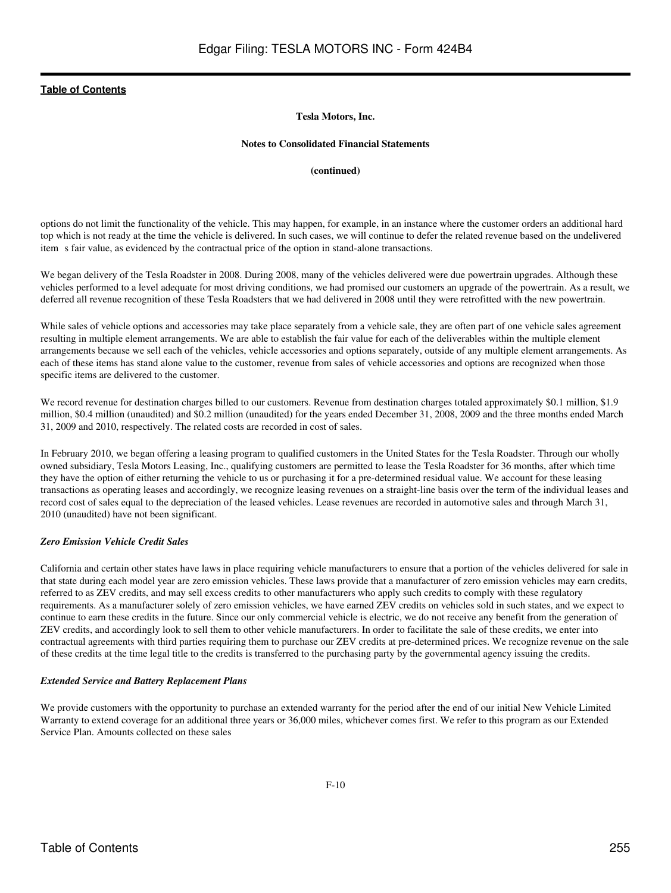# **Tesla Motors, Inc.**

## **Notes to Consolidated Financial Statements**

### **(continued)**

options do not limit the functionality of the vehicle. This may happen, for example, in an instance where the customer orders an additional hard top which is not ready at the time the vehicle is delivered. In such cases, we will continue to defer the related revenue based on the undelivered item s fair value, as evidenced by the contractual price of the option in stand-alone transactions.

We began delivery of the Tesla Roadster in 2008. During 2008, many of the vehicles delivered were due powertrain upgrades. Although these vehicles performed to a level adequate for most driving conditions, we had promised our customers an upgrade of the powertrain. As a result, we deferred all revenue recognition of these Tesla Roadsters that we had delivered in 2008 until they were retrofitted with the new powertrain.

While sales of vehicle options and accessories may take place separately from a vehicle sale, they are often part of one vehicle sales agreement resulting in multiple element arrangements. We are able to establish the fair value for each of the deliverables within the multiple element arrangements because we sell each of the vehicles, vehicle accessories and options separately, outside of any multiple element arrangements. As each of these items has stand alone value to the customer, revenue from sales of vehicle accessories and options are recognized when those specific items are delivered to the customer.

We record revenue for destination charges billed to our customers. Revenue from destination charges totaled approximately \$0.1 million, \$1.9 million, \$0.4 million (unaudited) and \$0.2 million (unaudited) for the years ended December 31, 2008, 2009 and the three months ended March 31, 2009 and 2010, respectively. The related costs are recorded in cost of sales.

In February 2010, we began offering a leasing program to qualified customers in the United States for the Tesla Roadster. Through our wholly owned subsidiary, Tesla Motors Leasing, Inc., qualifying customers are permitted to lease the Tesla Roadster for 36 months, after which time they have the option of either returning the vehicle to us or purchasing it for a pre-determined residual value. We account for these leasing transactions as operating leases and accordingly, we recognize leasing revenues on a straight-line basis over the term of the individual leases and record cost of sales equal to the depreciation of the leased vehicles. Lease revenues are recorded in automotive sales and through March 31, 2010 (unaudited) have not been significant.

# *Zero Emission Vehicle Credit Sales*

California and certain other states have laws in place requiring vehicle manufacturers to ensure that a portion of the vehicles delivered for sale in that state during each model year are zero emission vehicles. These laws provide that a manufacturer of zero emission vehicles may earn credits, referred to as ZEV credits, and may sell excess credits to other manufacturers who apply such credits to comply with these regulatory requirements. As a manufacturer solely of zero emission vehicles, we have earned ZEV credits on vehicles sold in such states, and we expect to continue to earn these credits in the future. Since our only commercial vehicle is electric, we do not receive any benefit from the generation of ZEV credits, and accordingly look to sell them to other vehicle manufacturers. In order to facilitate the sale of these credits, we enter into contractual agreements with third parties requiring them to purchase our ZEV credits at pre-determined prices. We recognize revenue on the sale of these credits at the time legal title to the credits is transferred to the purchasing party by the governmental agency issuing the credits.

# *Extended Service and Battery Replacement Plans*

We provide customers with the opportunity to purchase an extended warranty for the period after the end of our initial New Vehicle Limited Warranty to extend coverage for an additional three years or 36,000 miles, whichever comes first. We refer to this program as our Extended Service Plan. Amounts collected on these sales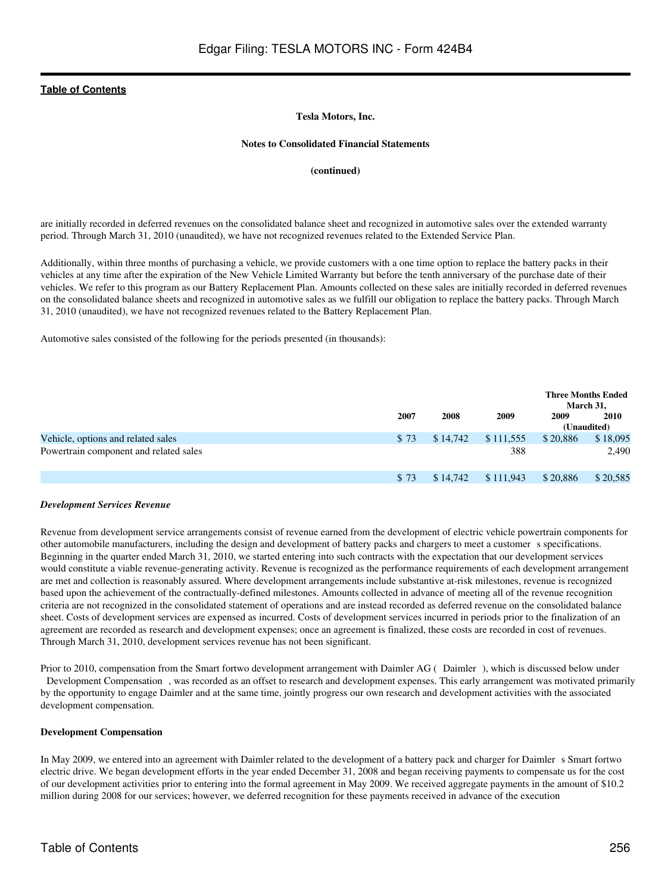## **Tesla Motors, Inc.**

## **Notes to Consolidated Financial Statements**

#### **(continued)**

are initially recorded in deferred revenues on the consolidated balance sheet and recognized in automotive sales over the extended warranty period. Through March 31, 2010 (unaudited), we have not recognized revenues related to the Extended Service Plan.

Additionally, within three months of purchasing a vehicle, we provide customers with a one time option to replace the battery packs in their vehicles at any time after the expiration of the New Vehicle Limited Warranty but before the tenth anniversary of the purchase date of their vehicles. We refer to this program as our Battery Replacement Plan. Amounts collected on these sales are initially recorded in deferred revenues on the consolidated balance sheets and recognized in automotive sales as we fulfill our obligation to replace the battery packs. Through March 31, 2010 (unaudited), we have not recognized revenues related to the Battery Replacement Plan.

Automotive sales consisted of the following for the periods presented (in thousands):

|                                                                              |      |          |                  | <b>Three Months Ended</b><br>March 31, |                     |
|------------------------------------------------------------------------------|------|----------|------------------|----------------------------------------|---------------------|
|                                                                              | 2007 | 2008     | 2009             | 2009                                   | 2010<br>(Unaudited) |
| Vehicle, options and related sales<br>Powertrain component and related sales | \$73 | \$14,742 | \$111,555<br>388 | \$20,886                               | \$18,095<br>2,490   |
|                                                                              | \$73 | \$14,742 | \$111,943        | \$20,886                               | \$20,585            |

#### *Development Services Revenue*

Revenue from development service arrangements consist of revenue earned from the development of electric vehicle powertrain components for other automobile manufacturers, including the design and development of battery packs and chargers to meet a customer s specifications. Beginning in the quarter ended March 31, 2010, we started entering into such contracts with the expectation that our development services would constitute a viable revenue-generating activity. Revenue is recognized as the performance requirements of each development arrangement are met and collection is reasonably assured. Where development arrangements include substantive at-risk milestones, revenue is recognized based upon the achievement of the contractually-defined milestones. Amounts collected in advance of meeting all of the revenue recognition criteria are not recognized in the consolidated statement of operations and are instead recorded as deferred revenue on the consolidated balance sheet. Costs of development services are expensed as incurred. Costs of development services incurred in periods prior to the finalization of an agreement are recorded as research and development expenses; once an agreement is finalized, these costs are recorded in cost of revenues. Through March 31, 2010, development services revenue has not been significant.

Prior to 2010, compensation from the Smart fortwo development arrangement with Daimler AG (Daimler), which is discussed below under Development Compensation, was recorded as an offset to research and development expenses. This early arrangement was motivated primarily by the opportunity to engage Daimler and at the same time, jointly progress our own research and development activities with the associated development compensation.

## **Development Compensation**

In May 2009, we entered into an agreement with Daimler related to the development of a battery pack and charger for Daimler s Smart fortwo electric drive. We began development efforts in the year ended December 31, 2008 and began receiving payments to compensate us for the cost of our development activities prior to entering into the formal agreement in May 2009. We received aggregate payments in the amount of \$10.2 million during 2008 for our services; however, we deferred recognition for these payments received in advance of the execution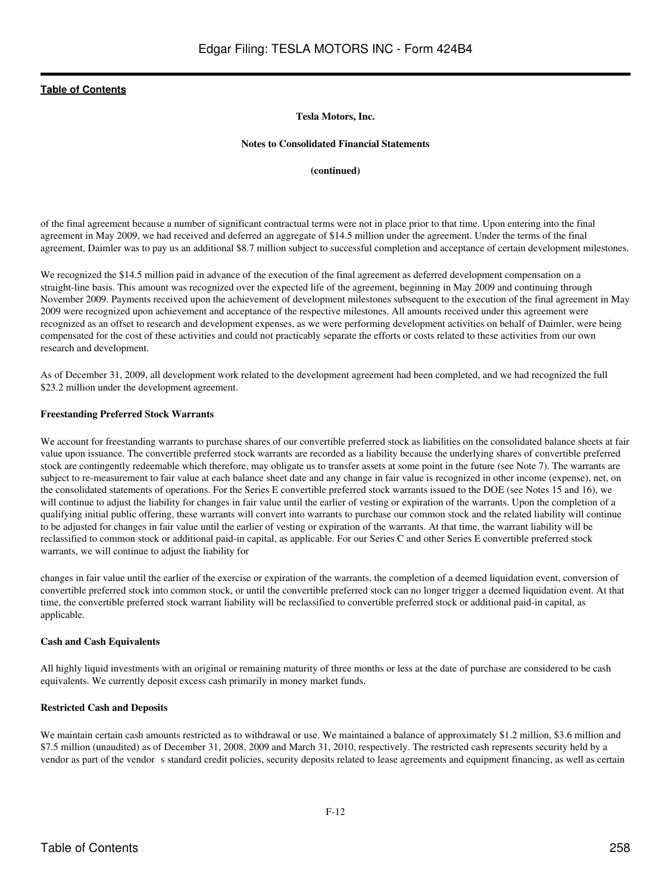# **Tesla Motors, Inc.**

## **Notes to Consolidated Financial Statements**

**(continued)**

of the final agreement because a number of significant contractual terms were not in place prior to that time. Upon entering into the final agreement in May 2009, we had received and deferred an aggregate of \$14.5 million under the agreement. Under the terms of the final agreement, Daimler was to pay us an additional \$8.7 million subject to successful completion and acceptance of certain development milestones.

We recognized the \$14.5 million paid in advance of the execution of the final agreement as deferred development compensation on a straight-line basis. This amount was recognized over the expected life of the agreement, beginning in May 2009 and continuing through November 2009. Payments received upon the achievement of development milestones subsequent to the execution of the final agreement in May 2009 were recognized upon achievement and acceptance of the respective milestones. All amounts received under this agreement were recognized as an offset to research and development expenses, as we were performing development activities on behalf of Daimler, were being compensated for the cost of these activities and could not practicably separate the efforts or costs related to these activities from our own research and development.

As of December 31, 2009, all development work related to the development agreement had been completed, and we had recognized the full \$23.2 million under the development agreement.

## **Freestanding Preferred Stock Warrants**

We account for freestanding warrants to purchase shares of our convertible preferred stock as liabilities on the consolidated balance sheets at fair value upon issuance. The convertible preferred stock warrants are recorded as a liability because the underlying shares of convertible preferred stock are contingently redeemable which therefore, may obligate us to transfer assets at some point in the future (see Note 7). The warrants are subject to re-measurement to fair value at each balance sheet date and any change in fair value is recognized in other income (expense), net, on the consolidated statements of operations. For the Series E convertible preferred stock warrants issued to the DOE (see Notes 15 and 16), we will continue to adjust the liability for changes in fair value until the earlier of vesting or expiration of the warrants. Upon the completion of a qualifying initial public offering, these warrants will convert into warrants to purchase our common stock and the related liability will continue to be adjusted for changes in fair value until the earlier of vesting or expiration of the warrants. At that time, the warrant liability will be reclassified to common stock or additional paid-in capital, as applicable. For our Series C and other Series E convertible preferred stock warrants, we will continue to adjust the liability for

changes in fair value until the earlier of the exercise or expiration of the warrants, the completion of a deemed liquidation event, conversion of convertible preferred stock into common stock, or until the convertible preferred stock can no longer trigger a deemed liquidation event. At that time, the convertible preferred stock warrant liability will be reclassified to convertible preferred stock or additional paid-in capital, as applicable.

# **Cash and Cash Equivalents**

All highly liquid investments with an original or remaining maturity of three months or less at the date of purchase are considered to be cash equivalents. We currently deposit excess cash primarily in money market funds.

# **Restricted Cash and Deposits**

We maintain certain cash amounts restricted as to withdrawal or use. We maintained a balance of approximately \$1.2 million, \$3.6 million and \$7.5 million (unaudited) as of December 31, 2008, 2009 and March 31, 2010, respectively. The restricted cash represents security held by a vendor as part of the vendor s standard credit policies, security deposits related to lease agreements and equipment financing, as well as certain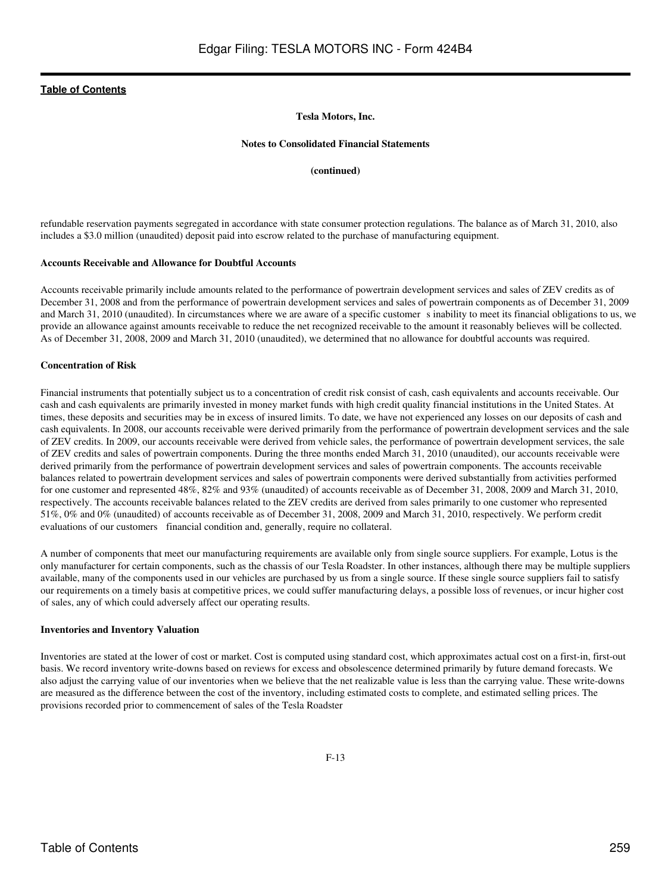# **Tesla Motors, Inc.**

### **Notes to Consolidated Financial Statements**

**(continued)**

refundable reservation payments segregated in accordance with state consumer protection regulations. The balance as of March 31, 2010, also includes a \$3.0 million (unaudited) deposit paid into escrow related to the purchase of manufacturing equipment.

## **Accounts Receivable and Allowance for Doubtful Accounts**

Accounts receivable primarily include amounts related to the performance of powertrain development services and sales of ZEV credits as of December 31, 2008 and from the performance of powertrain development services and sales of powertrain components as of December 31, 2009 and March 31, 2010 (unaudited). In circumstances where we are aware of a specific customer s inability to meet its financial obligations to us, we provide an allowance against amounts receivable to reduce the net recognized receivable to the amount it reasonably believes will be collected. As of December 31, 2008, 2009 and March 31, 2010 (unaudited), we determined that no allowance for doubtful accounts was required.

### **Concentration of Risk**

Financial instruments that potentially subject us to a concentration of credit risk consist of cash, cash equivalents and accounts receivable. Our cash and cash equivalents are primarily invested in money market funds with high credit quality financial institutions in the United States. At times, these deposits and securities may be in excess of insured limits. To date, we have not experienced any losses on our deposits of cash and cash equivalents. In 2008, our accounts receivable were derived primarily from the performance of powertrain development services and the sale of ZEV credits. In 2009, our accounts receivable were derived from vehicle sales, the performance of powertrain development services, the sale of ZEV credits and sales of powertrain components. During the three months ended March 31, 2010 (unaudited), our accounts receivable were derived primarily from the performance of powertrain development services and sales of powertrain components. The accounts receivable balances related to powertrain development services and sales of powertrain components were derived substantially from activities performed for one customer and represented 48%, 82% and 93% (unaudited) of accounts receivable as of December 31, 2008, 2009 and March 31, 2010, respectively. The accounts receivable balances related to the ZEV credits are derived from sales primarily to one customer who represented 51%, 0% and 0% (unaudited) of accounts receivable as of December 31, 2008, 2009 and March 31, 2010, respectively. We perform credit evaluations of our customers financial condition and, generally, require no collateral.

A number of components that meet our manufacturing requirements are available only from single source suppliers. For example, Lotus is the only manufacturer for certain components, such as the chassis of our Tesla Roadster. In other instances, although there may be multiple suppliers available, many of the components used in our vehicles are purchased by us from a single source. If these single source suppliers fail to satisfy our requirements on a timely basis at competitive prices, we could suffer manufacturing delays, a possible loss of revenues, or incur higher cost of sales, any of which could adversely affect our operating results.

### **Inventories and Inventory Valuation**

Inventories are stated at the lower of cost or market. Cost is computed using standard cost, which approximates actual cost on a first-in, first-out basis. We record inventory write-downs based on reviews for excess and obsolescence determined primarily by future demand forecasts. We also adjust the carrying value of our inventories when we believe that the net realizable value is less than the carrying value. These write-downs are measured as the difference between the cost of the inventory, including estimated costs to complete, and estimated selling prices. The provisions recorded prior to commencement of sales of the Tesla Roadster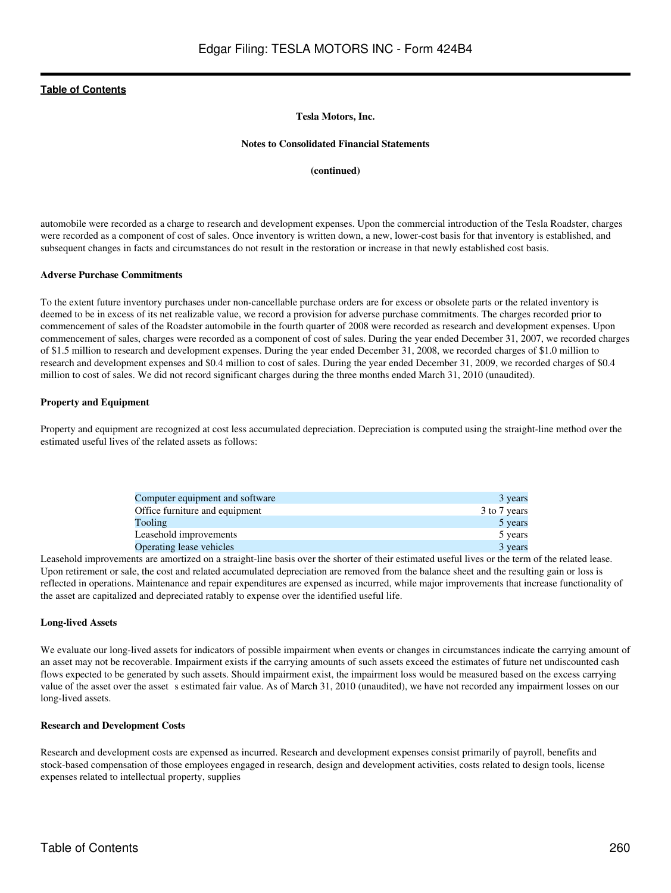## **Tesla Motors, Inc.**

## **Notes to Consolidated Financial Statements**

**(continued)**

automobile were recorded as a charge to research and development expenses. Upon the commercial introduction of the Tesla Roadster, charges were recorded as a component of cost of sales. Once inventory is written down, a new, lower-cost basis for that inventory is established, and subsequent changes in facts and circumstances do not result in the restoration or increase in that newly established cost basis.

### **Adverse Purchase Commitments**

To the extent future inventory purchases under non-cancellable purchase orders are for excess or obsolete parts or the related inventory is deemed to be in excess of its net realizable value, we record a provision for adverse purchase commitments. The charges recorded prior to commencement of sales of the Roadster automobile in the fourth quarter of 2008 were recorded as research and development expenses. Upon commencement of sales, charges were recorded as a component of cost of sales. During the year ended December 31, 2007, we recorded charges of \$1.5 million to research and development expenses. During the year ended December 31, 2008, we recorded charges of \$1.0 million to research and development expenses and \$0.4 million to cost of sales. During the year ended December 31, 2009, we recorded charges of \$0.4 million to cost of sales. We did not record significant charges during the three months ended March 31, 2010 (unaudited).

## **Property and Equipment**

Property and equipment are recognized at cost less accumulated depreciation. Depreciation is computed using the straight-line method over the estimated useful lives of the related assets as follows:

| Computer equipment and software | 3 years      |
|---------------------------------|--------------|
| Office furniture and equipment  | 3 to 7 years |
| <b>Tooling</b>                  | 5 years      |
| Leasehold improvements          | 5 years      |
| Operating lease vehicles        | 3 years      |

Leasehold improvements are amortized on a straight-line basis over the shorter of their estimated useful lives or the term of the related lease. Upon retirement or sale, the cost and related accumulated depreciation are removed from the balance sheet and the resulting gain or loss is reflected in operations. Maintenance and repair expenditures are expensed as incurred, while major improvements that increase functionality of the asset are capitalized and depreciated ratably to expense over the identified useful life.

### **Long-lived Assets**

We evaluate our long-lived assets for indicators of possible impairment when events or changes in circumstances indicate the carrying amount of an asset may not be recoverable. Impairment exists if the carrying amounts of such assets exceed the estimates of future net undiscounted cash flows expected to be generated by such assets. Should impairment exist, the impairment loss would be measured based on the excess carrying value of the asset over the asset s estimated fair value. As of March 31, 2010 (unaudited), we have not recorded any impairment losses on our long-lived assets.

### **Research and Development Costs**

Research and development costs are expensed as incurred. Research and development expenses consist primarily of payroll, benefits and stock-based compensation of those employees engaged in research, design and development activities, costs related to design tools, license expenses related to intellectual property, supplies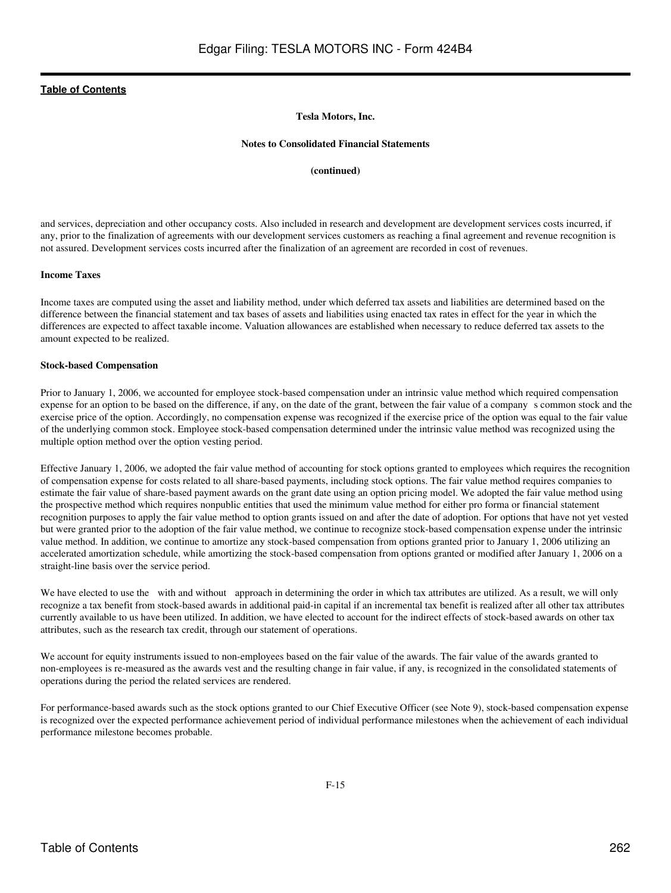# **Tesla Motors, Inc.**

### **Notes to Consolidated Financial Statements**

**(continued)**

and services, depreciation and other occupancy costs. Also included in research and development are development services costs incurred, if any, prior to the finalization of agreements with our development services customers as reaching a final agreement and revenue recognition is not assured. Development services costs incurred after the finalization of an agreement are recorded in cost of revenues.

## **Income Taxes**

Income taxes are computed using the asset and liability method, under which deferred tax assets and liabilities are determined based on the difference between the financial statement and tax bases of assets and liabilities using enacted tax rates in effect for the year in which the differences are expected to affect taxable income. Valuation allowances are established when necessary to reduce deferred tax assets to the amount expected to be realized.

#### **Stock-based Compensation**

Prior to January 1, 2006, we accounted for employee stock-based compensation under an intrinsic value method which required compensation expense for an option to be based on the difference, if any, on the date of the grant, between the fair value of a company s common stock and the exercise price of the option. Accordingly, no compensation expense was recognized if the exercise price of the option was equal to the fair value of the underlying common stock. Employee stock-based compensation determined under the intrinsic value method was recognized using the multiple option method over the option vesting period.

Effective January 1, 2006, we adopted the fair value method of accounting for stock options granted to employees which requires the recognition of compensation expense for costs related to all share-based payments, including stock options. The fair value method requires companies to estimate the fair value of share-based payment awards on the grant date using an option pricing model. We adopted the fair value method using the prospective method which requires nonpublic entities that used the minimum value method for either pro forma or financial statement recognition purposes to apply the fair value method to option grants issued on and after the date of adoption. For options that have not yet vested but were granted prior to the adoption of the fair value method, we continue to recognize stock-based compensation expense under the intrinsic value method. In addition, we continue to amortize any stock-based compensation from options granted prior to January 1, 2006 utilizing an accelerated amortization schedule, while amortizing the stock-based compensation from options granted or modified after January 1, 2006 on a straight-line basis over the service period.

We have elected to use the with and without approach in determining the order in which tax attributes are utilized. As a result, we will only recognize a tax benefit from stock-based awards in additional paid-in capital if an incremental tax benefit is realized after all other tax attributes currently available to us have been utilized. In addition, we have elected to account for the indirect effects of stock-based awards on other tax attributes, such as the research tax credit, through our statement of operations.

We account for equity instruments issued to non-employees based on the fair value of the awards. The fair value of the awards granted to non-employees is re-measured as the awards vest and the resulting change in fair value, if any, is recognized in the consolidated statements of operations during the period the related services are rendered.

For performance-based awards such as the stock options granted to our Chief Executive Officer (see Note 9), stock-based compensation expense is recognized over the expected performance achievement period of individual performance milestones when the achievement of each individual performance milestone becomes probable.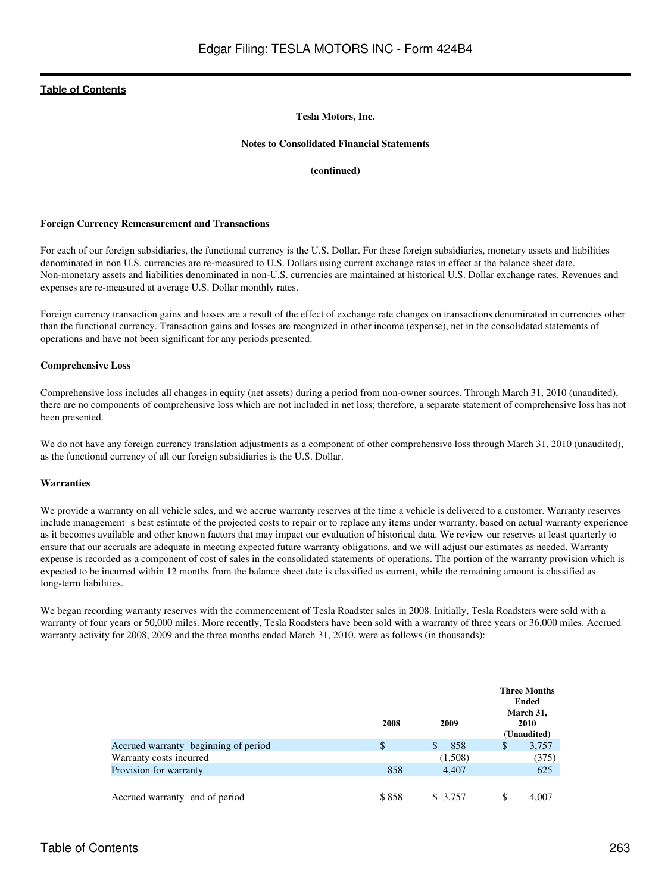# **Tesla Motors, Inc.**

## **Notes to Consolidated Financial Statements**

**(continued)**

#### **Foreign Currency Remeasurement and Transactions**

For each of our foreign subsidiaries, the functional currency is the U.S. Dollar. For these foreign subsidiaries, monetary assets and liabilities denominated in non U.S. currencies are re-measured to U.S. Dollars using current exchange rates in effect at the balance sheet date. Non-monetary assets and liabilities denominated in non-U.S. currencies are maintained at historical U.S. Dollar exchange rates. Revenues and expenses are re-measured at average U.S. Dollar monthly rates.

Foreign currency transaction gains and losses are a result of the effect of exchange rate changes on transactions denominated in currencies other than the functional currency. Transaction gains and losses are recognized in other income (expense), net in the consolidated statements of operations and have not been significant for any periods presented.

### **Comprehensive Loss**

Comprehensive loss includes all changes in equity (net assets) during a period from non-owner sources. Through March 31, 2010 (unaudited), there are no components of comprehensive loss which are not included in net loss; therefore, a separate statement of comprehensive loss has not been presented.

We do not have any foreign currency translation adjustments as a component of other comprehensive loss through March 31, 2010 (unaudited), as the functional currency of all our foreign subsidiaries is the U.S. Dollar.

## **Warranties**

We provide a warranty on all vehicle sales, and we accrue warranty reserves at the time a vehicle is delivered to a customer. Warranty reserves include management s best estimate of the projected costs to repair or to replace any items under warranty, based on actual warranty experience as it becomes available and other known factors that may impact our evaluation of historical data. We review our reserves at least quarterly to ensure that our accruals are adequate in meeting expected future warranty obligations, and we will adjust our estimates as needed. Warranty expense is recorded as a component of cost of sales in the consolidated statements of operations. The portion of the warranty provision which is expected to be incurred within 12 months from the balance sheet date is classified as current, while the remaining amount is classified as long-term liabilities.

We began recording warranty reserves with the commencement of Tesla Roadster sales in 2008. Initially, Tesla Roadsters were sold with a warranty of four years or 50,000 miles. More recently, Tesla Roadsters have been sold with a warranty of three years or 36,000 miles. Accrued warranty activity for 2008, 2009 and the three months ended March 31, 2010, were as follows (in thousands):

|                                      | 2008  | 2009       | <b>Three Months</b><br>Ended<br>March 31,<br>2010<br>(Unaudited) |
|--------------------------------------|-------|------------|------------------------------------------------------------------|
| Accrued warranty beginning of period | \$    | 858<br>\$. | \$<br>3,757                                                      |
| Warranty costs incurred              |       | (1,508)    | (375)                                                            |
| Provision for warranty               | 858   | 4,407      | 625                                                              |
| Accrued warranty end of period       | \$858 | \$ 3,757   | \$<br>4,007                                                      |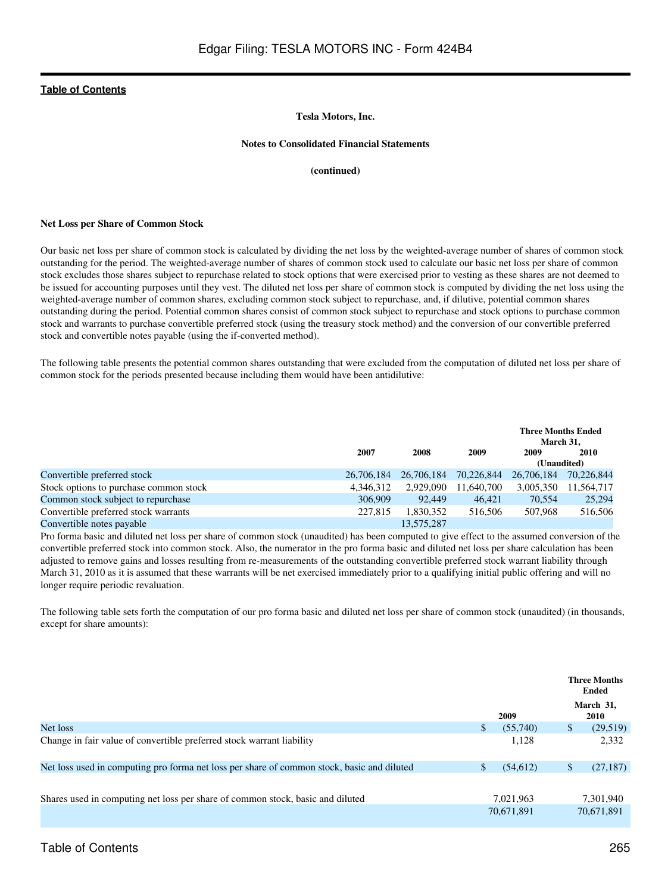## **Tesla Motors, Inc.**

## **Notes to Consolidated Financial Statements**

**(continued)**

#### **Net Loss per Share of Common Stock**

Our basic net loss per share of common stock is calculated by dividing the net loss by the weighted-average number of shares of common stock outstanding for the period. The weighted-average number of shares of common stock used to calculate our basic net loss per share of common stock excludes those shares subject to repurchase related to stock options that were exercised prior to vesting as these shares are not deemed to be issued for accounting purposes until they vest. The diluted net loss per share of common stock is computed by dividing the net loss using the weighted-average number of common shares, excluding common stock subject to repurchase, and, if dilutive, potential common shares outstanding during the period. Potential common shares consist of common stock subject to repurchase and stock options to purchase common stock and warrants to purchase convertible preferred stock (using the treasury stock method) and the conversion of our convertible preferred stock and convertible notes payable (using the if-converted method).

The following table presents the potential common shares outstanding that were excluded from the computation of diluted net loss per share of common stock for the periods presented because including them would have been antidilutive:

|                                        |            |            |            | <b>Three Months Ended</b><br>March 31, |            |
|----------------------------------------|------------|------------|------------|----------------------------------------|------------|
|                                        | 2007       | 2008       | 2009       | 2009                                   | 2010       |
|                                        |            |            |            | (Unaudited)                            |            |
| Convertible preferred stock            | 26,706,184 | 26,706,184 | 70,226,844 | 26,706,184                             | 70.226.844 |
| Stock options to purchase common stock | 4,346,312  | 2.929.090  | 11,640,700 | 3,005,350                              | 11,564,717 |
| Common stock subject to repurchase     | 306,909    | 92,449     | 46.421     | 70.554                                 | 25,294     |
| Convertible preferred stock warrants   | 227,815    | 1,830,352  | 516.506    | 507.968                                | 516,506    |
| Convertible notes payable              |            | 13,575,287 |            |                                        |            |

Pro forma basic and diluted net loss per share of common stock (unaudited) has been computed to give effect to the assumed conversion of the convertible preferred stock into common stock. Also, the numerator in the pro forma basic and diluted net loss per share calculation has been adjusted to remove gains and losses resulting from re-measurements of the outstanding convertible preferred stock warrant liability through March 31, 2010 as it is assumed that these warrants will be net exercised immediately prior to a qualifying initial public offering and will no longer require periodic revaluation.

The following table sets forth the computation of our pro forma basic and diluted net loss per share of common stock (unaudited) (in thousands, except for share amounts):

|                                                                                            |               |            | <b>Three Months</b><br><b>Ended</b> |
|--------------------------------------------------------------------------------------------|---------------|------------|-------------------------------------|
|                                                                                            |               | 2009       | March 31,<br><b>2010</b>            |
| Net loss                                                                                   | \$            | (55,740)   | \$<br>(29,519)                      |
| Change in fair value of convertible preferred stock warrant liability                      |               | 1,128      | 2,332                               |
| Net loss used in computing pro forma net loss per share of common stock, basic and diluted | <sup>\$</sup> | (54, 612)  | \$<br>(27, 187)                     |
| Shares used in computing net loss per share of common stock, basic and diluted             |               | 7,021,963  | 7,301,940                           |
|                                                                                            |               | 70.671.891 | 70.671.891                          |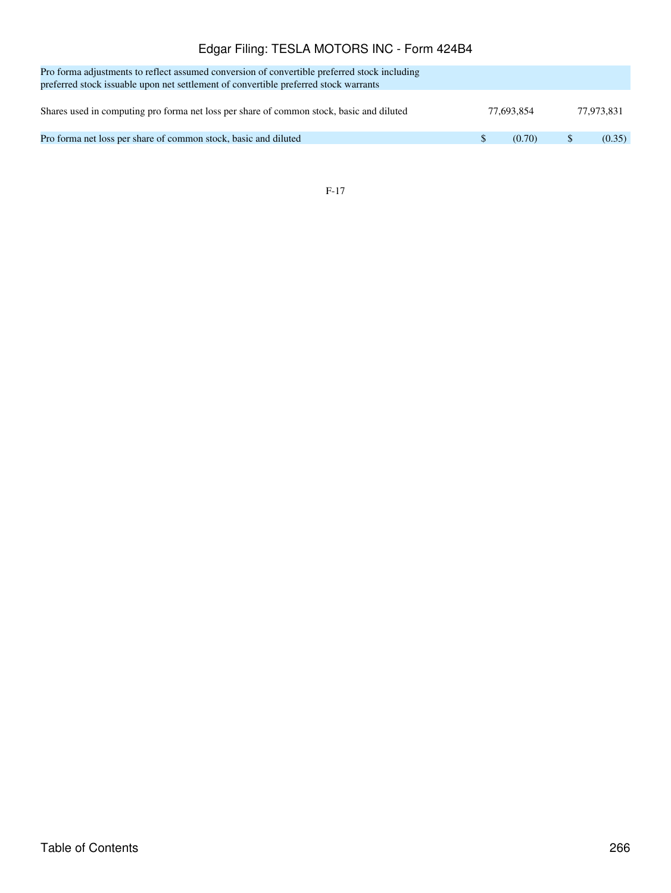| Pro forma adjustments to reflect assumed conversion of convertible preferred stock including<br>preferred stock issuable upon net settlement of convertible preferred stock warrants |               |            |  |            |  |
|--------------------------------------------------------------------------------------------------------------------------------------------------------------------------------------|---------------|------------|--|------------|--|
| Shares used in computing pro forma net loss per share of common stock, basic and diluted                                                                                             |               | 77,693,854 |  | 77,973,831 |  |
| Pro forma net loss per share of common stock, basic and diluted                                                                                                                      | <sup>\$</sup> | (0.70)     |  | (0.35)     |  |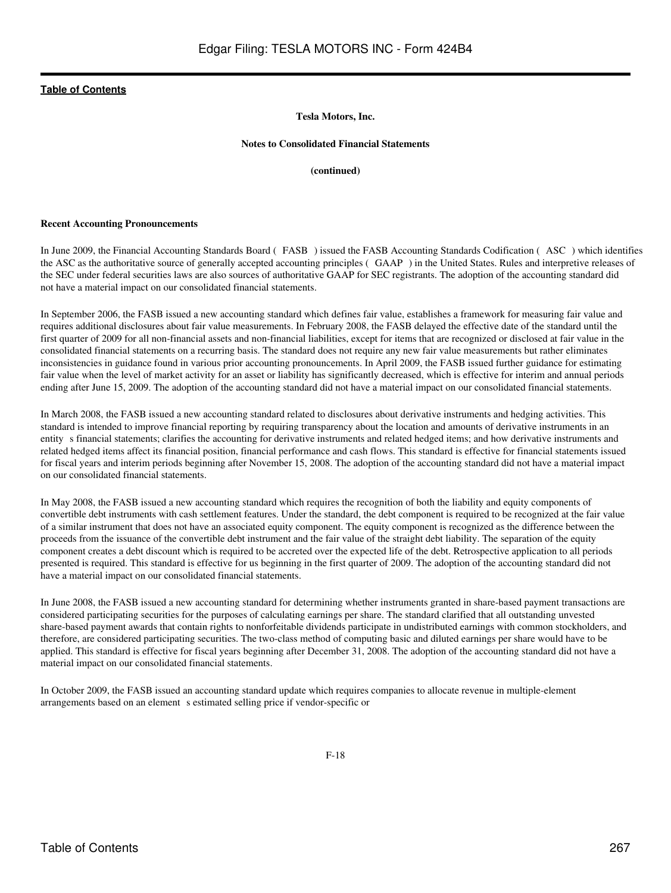# **Tesla Motors, Inc.**

### **Notes to Consolidated Financial Statements**

**(continued)**

## **Recent Accounting Pronouncements**

In June 2009, the Financial Accounting Standards Board (FASB) issued the FASB Accounting Standards Codification (ASC) which identifies the ASC as the authoritative source of generally accepted accounting principles (GAAP) in the United States. Rules and interpretive releases of the SEC under federal securities laws are also sources of authoritative GAAP for SEC registrants. The adoption of the accounting standard did not have a material impact on our consolidated financial statements.

In September 2006, the FASB issued a new accounting standard which defines fair value, establishes a framework for measuring fair value and requires additional disclosures about fair value measurements. In February 2008, the FASB delayed the effective date of the standard until the first quarter of 2009 for all non-financial assets and non-financial liabilities, except for items that are recognized or disclosed at fair value in the consolidated financial statements on a recurring basis. The standard does not require any new fair value measurements but rather eliminates inconsistencies in guidance found in various prior accounting pronouncements. In April 2009, the FASB issued further guidance for estimating fair value when the level of market activity for an asset or liability has significantly decreased, which is effective for interim and annual periods ending after June 15, 2009. The adoption of the accounting standard did not have a material impact on our consolidated financial statements.

In March 2008, the FASB issued a new accounting standard related to disclosures about derivative instruments and hedging activities. This standard is intended to improve financial reporting by requiring transparency about the location and amounts of derivative instruments in an entity s financial statements; clarifies the accounting for derivative instruments and related hedged items; and how derivative instruments and related hedged items affect its financial position, financial performance and cash flows. This standard is effective for financial statements issued for fiscal years and interim periods beginning after November 15, 2008. The adoption of the accounting standard did not have a material impact on our consolidated financial statements.

In May 2008, the FASB issued a new accounting standard which requires the recognition of both the liability and equity components of convertible debt instruments with cash settlement features. Under the standard, the debt component is required to be recognized at the fair value of a similar instrument that does not have an associated equity component. The equity component is recognized as the difference between the proceeds from the issuance of the convertible debt instrument and the fair value of the straight debt liability. The separation of the equity component creates a debt discount which is required to be accreted over the expected life of the debt. Retrospective application to all periods presented is required. This standard is effective for us beginning in the first quarter of 2009. The adoption of the accounting standard did not have a material impact on our consolidated financial statements.

In June 2008, the FASB issued a new accounting standard for determining whether instruments granted in share-based payment transactions are considered participating securities for the purposes of calculating earnings per share. The standard clarified that all outstanding unvested share-based payment awards that contain rights to nonforfeitable dividends participate in undistributed earnings with common stockholders, and therefore, are considered participating securities. The two-class method of computing basic and diluted earnings per share would have to be applied. This standard is effective for fiscal years beginning after December 31, 2008. The adoption of the accounting standard did not have a material impact on our consolidated financial statements.

In October 2009, the FASB issued an accounting standard update which requires companies to allocate revenue in multiple-element arrangements based on an element s estimated selling price if vendor-specific or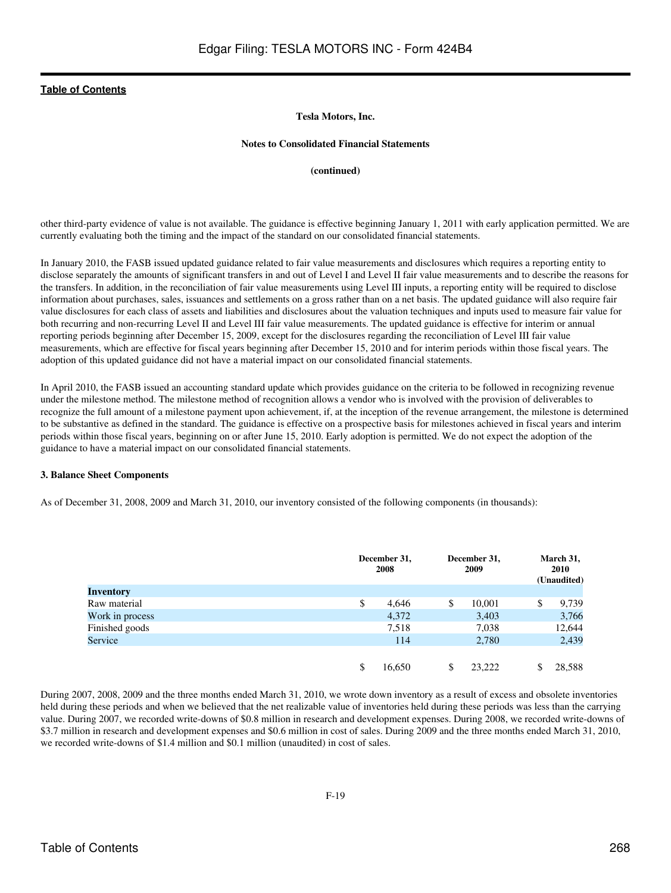# **Tesla Motors, Inc.**

## **Notes to Consolidated Financial Statements**

**(continued)**

other third-party evidence of value is not available. The guidance is effective beginning January 1, 2011 with early application permitted. We are currently evaluating both the timing and the impact of the standard on our consolidated financial statements.

In January 2010, the FASB issued updated guidance related to fair value measurements and disclosures which requires a reporting entity to disclose separately the amounts of significant transfers in and out of Level I and Level II fair value measurements and to describe the reasons for the transfers. In addition, in the reconciliation of fair value measurements using Level III inputs, a reporting entity will be required to disclose information about purchases, sales, issuances and settlements on a gross rather than on a net basis. The updated guidance will also require fair value disclosures for each class of assets and liabilities and disclosures about the valuation techniques and inputs used to measure fair value for both recurring and non-recurring Level II and Level III fair value measurements. The updated guidance is effective for interim or annual reporting periods beginning after December 15, 2009, except for the disclosures regarding the reconciliation of Level III fair value measurements, which are effective for fiscal years beginning after December 15, 2010 and for interim periods within those fiscal years. The adoption of this updated guidance did not have a material impact on our consolidated financial statements.

In April 2010, the FASB issued an accounting standard update which provides guidance on the criteria to be followed in recognizing revenue under the milestone method. The milestone method of recognition allows a vendor who is involved with the provision of deliverables to recognize the full amount of a milestone payment upon achievement, if, at the inception of the revenue arrangement, the milestone is determined to be substantive as defined in the standard. The guidance is effective on a prospective basis for milestones achieved in fiscal years and interim periods within those fiscal years, beginning on or after June 15, 2010. Early adoption is permitted. We do not expect the adoption of the guidance to have a material impact on our consolidated financial statements.

### **3. Balance Sheet Components**

As of December 31, 2008, 2009 and March 31, 2010, our inventory consisted of the following components (in thousands):

|                  |    | December 31,<br>2008 |    | December 31,<br>2009 |    |        |  | March 31,<br>2010<br>(Unaudited) |
|------------------|----|----------------------|----|----------------------|----|--------|--|----------------------------------|
| <b>Inventory</b> |    |                      |    |                      |    |        |  |                                  |
| Raw material     | \$ | 4,646                | \$ | 10,001               | \$ | 9,739  |  |                                  |
| Work in process  |    | 4,372                |    | 3,403                |    | 3,766  |  |                                  |
| Finished goods   |    | 7,518                |    | 7,038                |    | 12,644 |  |                                  |
| Service          |    | 114                  |    | 2,780                |    | 2,439  |  |                                  |
|                  |    |                      |    |                      |    |        |  |                                  |
|                  | \$ | 16.650               | \$ | 23,222               | \$ | 28.588 |  |                                  |

During 2007, 2008, 2009 and the three months ended March 31, 2010, we wrote down inventory as a result of excess and obsolete inventories held during these periods and when we believed that the net realizable value of inventories held during these periods was less than the carrying value. During 2007, we recorded write-downs of \$0.8 million in research and development expenses. During 2008, we recorded write-downs of \$3.7 million in research and development expenses and \$0.6 million in cost of sales. During 2009 and the three months ended March 31, 2010, we recorded write-downs of \$1.4 million and \$0.1 million (unaudited) in cost of sales.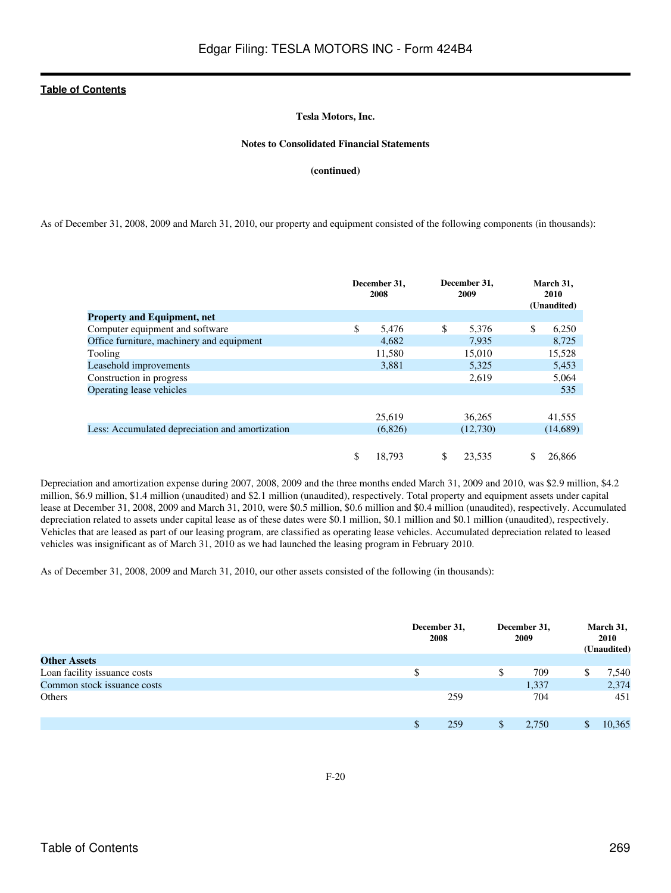# **Tesla Motors, Inc.**

# **Notes to Consolidated Financial Statements**

#### **(continued)**

As of December 31, 2008, 2009 and March 31, 2010, our property and equipment consisted of the following components (in thousands):

|                                                 | December 31,<br>2008 |              | December 31,<br>2009 |    |          |  | March 31,<br>2010<br>(Unaudited) |
|-------------------------------------------------|----------------------|--------------|----------------------|----|----------|--|----------------------------------|
| <b>Property and Equipment, net</b>              |                      |              |                      |    |          |  |                                  |
| Computer equipment and software                 | \$<br>5,476          | $\mathbb{S}$ | 5,376                | \$ | 6,250    |  |                                  |
| Office furniture, machinery and equipment       | 4,682                |              | 7,935                |    | 8,725    |  |                                  |
| Tooling                                         | 11,580               |              | 15,010               |    | 15,528   |  |                                  |
| Leasehold improvements                          | 3,881                |              | 5,325                |    | 5,453    |  |                                  |
| Construction in progress                        |                      |              | 2,619                |    | 5,064    |  |                                  |
| Operating lease vehicles                        |                      |              |                      |    | 535      |  |                                  |
|                                                 |                      |              |                      |    |          |  |                                  |
|                                                 | 25,619               |              | 36,265               |    | 41,555   |  |                                  |
| Less: Accumulated depreciation and amortization | (6,826)              |              | (12,730)             |    | (14,689) |  |                                  |
|                                                 |                      |              |                      |    |          |  |                                  |
|                                                 | \$<br>18.793         | \$.          | 23,535               |    | 26,866   |  |                                  |

Depreciation and amortization expense during 2007, 2008, 2009 and the three months ended March 31, 2009 and 2010, was \$2.9 million, \$4.2 million, \$6.9 million, \$1.4 million (unaudited) and \$2.1 million (unaudited), respectively. Total property and equipment assets under capital lease at December 31, 2008, 2009 and March 31, 2010, were \$0.5 million, \$0.6 million and \$0.4 million (unaudited), respectively. Accumulated depreciation related to assets under capital lease as of these dates were \$0.1 million, \$0.1 million and \$0.1 million (unaudited), respectively. Vehicles that are leased as part of our leasing program, are classified as operating lease vehicles. Accumulated depreciation related to leased vehicles was insignificant as of March 31, 2010 as we had launched the leasing program in February 2010.

As of December 31, 2008, 2009 and March 31, 2010, our other assets consisted of the following (in thousands):

|                              | December 31,<br>2008 | December 31,<br>2009 | March 31,<br>2010<br>(Unaudited) |
|------------------------------|----------------------|----------------------|----------------------------------|
| <b>Other Assets</b>          |                      |                      |                                  |
| Loan facility issuance costs |                      | \$<br>709            | 7,540                            |
| Common stock issuance costs  |                      | 1,337                | 2,374                            |
| Others                       | 259                  | 704                  | 451                              |
|                              | 259                  | \$<br>2.750          | 10,365                           |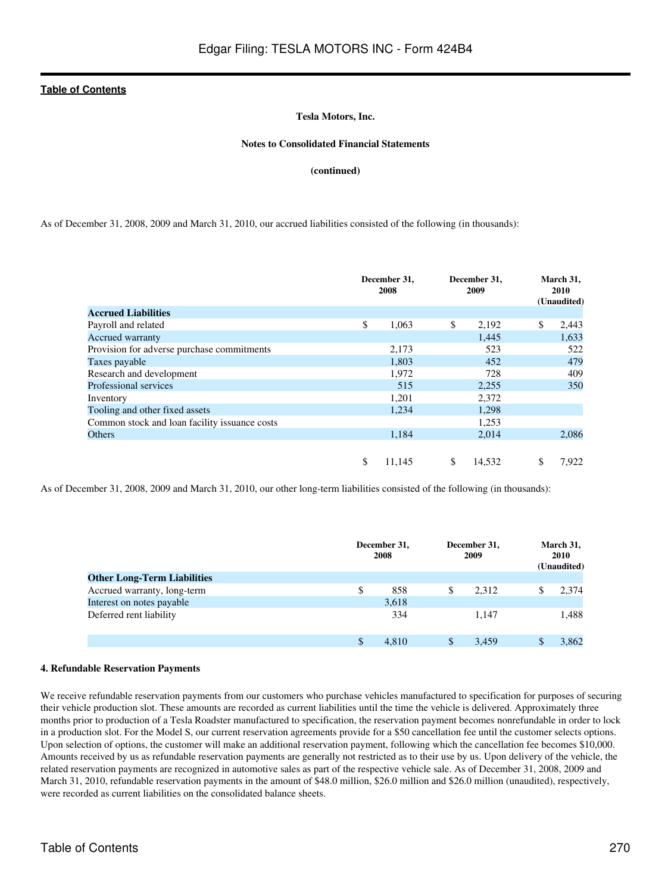# **Tesla Motors, Inc.**

# **Notes to Consolidated Financial Statements**

#### **(continued)**

As of December 31, 2008, 2009 and March 31, 2010, our accrued liabilities consisted of the following (in thousands):

|                                               | December 31,<br>2008 |        | December 31,<br>2009 |        |             |  | March 31,<br><b>2010</b><br>(Unaudited) |
|-----------------------------------------------|----------------------|--------|----------------------|--------|-------------|--|-----------------------------------------|
| <b>Accrued Liabilities</b>                    |                      |        |                      |        |             |  |                                         |
| Payroll and related                           | \$                   | 1,063  | \$                   | 2,192  | \$<br>2,443 |  |                                         |
| <b>Accrued warranty</b>                       |                      |        |                      | 1,445  | 1,633       |  |                                         |
| Provision for adverse purchase commitments    |                      | 2,173  |                      | 523    | 522         |  |                                         |
| Taxes payable                                 |                      | 1,803  |                      | 452    | 479         |  |                                         |
| Research and development                      |                      | 1,972  |                      | 728    | 409         |  |                                         |
| Professional services                         |                      | 515    |                      | 2,255  | 350         |  |                                         |
| Inventory                                     |                      | 1,201  |                      | 2,372  |             |  |                                         |
| Tooling and other fixed assets                |                      | 1,234  |                      | 1,298  |             |  |                                         |
| Common stock and loan facility issuance costs |                      |        |                      | 1,253  |             |  |                                         |
| Others                                        |                      | 1,184  |                      | 2,014  | 2,086       |  |                                         |
|                                               |                      |        |                      |        |             |  |                                         |
|                                               | \$                   | 11.145 | S                    | 14.532 | \$<br>7.922 |  |                                         |

As of December 31, 2008, 2009 and March 31, 2010, our other long-term liabilities consisted of the following (in thousands):

|                                    | December 31,<br>2008 |    |       |   | March 31,<br>2010<br>(Unaudited) |  |
|------------------------------------|----------------------|----|-------|---|----------------------------------|--|
| <b>Other Long-Term Liabilities</b> |                      |    |       |   |                                  |  |
| Accrued warranty, long-term        | \$<br>858            | \$ | 2.312 | S | 2,374                            |  |
| Interest on notes payable          | 3,618                |    |       |   |                                  |  |
| Deferred rent liability            | 334                  |    | 1.147 |   | 1,488                            |  |
|                                    | 4.810                |    | 3.459 |   | 3,862                            |  |

#### **4. Refundable Reservation Payments**

We receive refundable reservation payments from our customers who purchase vehicles manufactured to specification for purposes of securing their vehicle production slot. These amounts are recorded as current liabilities until the time the vehicle is delivered. Approximately three months prior to production of a Tesla Roadster manufactured to specification, the reservation payment becomes nonrefundable in order to lock in a production slot. For the Model S, our current reservation agreements provide for a \$50 cancellation fee until the customer selects options. Upon selection of options, the customer will make an additional reservation payment, following which the cancellation fee becomes \$10,000. Amounts received by us as refundable reservation payments are generally not restricted as to their use by us. Upon delivery of the vehicle, the related reservation payments are recognized in automotive sales as part of the respective vehicle sale. As of December 31, 2008, 2009 and March 31, 2010, refundable reservation payments in the amount of \$48.0 million, \$26.0 million and \$26.0 million (unaudited), respectively, were recorded as current liabilities on the consolidated balance sheets.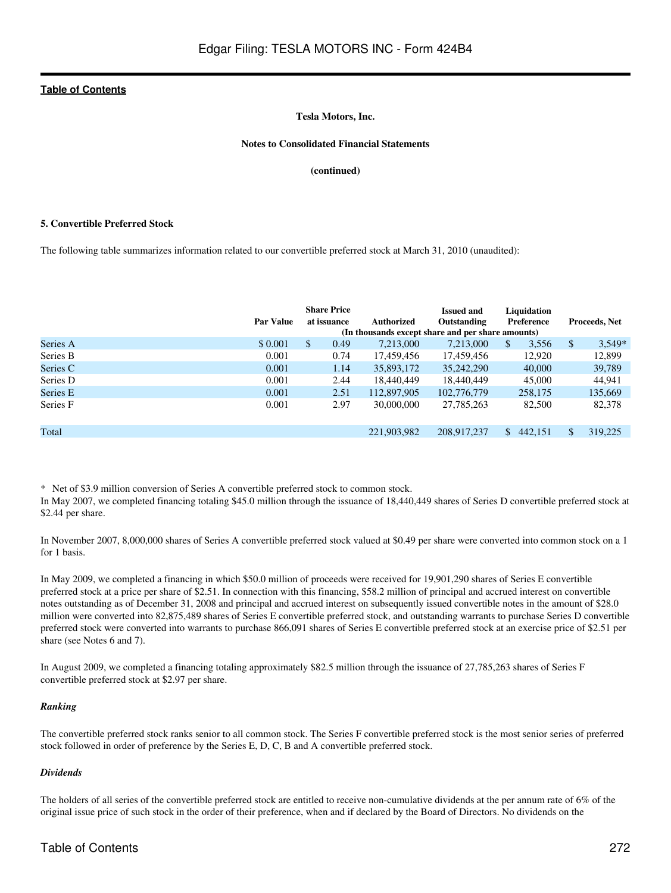## **Tesla Motors, Inc.**

### **Notes to Consolidated Financial Statements**

#### **(continued)**

## **5. Convertible Preferred Stock**

The following table summarizes information related to our convertible preferred stock at March 31, 2010 (unaudited):

|          | <b>Par Value</b> | <b>Share Price</b><br>at issuance | Authorized<br>(In thousands except share and per share amounts) | <b>Issued and</b><br>Outstanding |     | Liquidation<br>Preference |              | <b>Proceeds, Net</b> |
|----------|------------------|-----------------------------------|-----------------------------------------------------------------|----------------------------------|-----|---------------------------|--------------|----------------------|
| Series A | \$0.001          | \$<br>0.49                        | 7,213,000                                                       | 7.213,000                        | \$  | 3,556                     | $\mathbb{S}$ | $3,549*$             |
| Series B | 0.001            | 0.74                              | 17,459,456                                                      | 17,459,456                       |     | 12,920                    |              | 12,899               |
| Series C | 0.001            | 1.14                              | 35,893,172                                                      | 35,242,290                       |     | 40,000                    |              | 39,789               |
| Series D | 0.001            | 2.44                              | 18,440,449                                                      | 18,440,449                       |     | 45,000                    |              | 44,941               |
| Series E | 0.001            | 2.51                              | 112,897,905                                                     | 102,776,779                      |     | 258,175                   |              | 135,669              |
| Series F | 0.001            | 2.97                              | 30,000,000                                                      | 27,785,263                       |     | 82,500                    |              | 82,378               |
| Total    |                  |                                   | 221,903,982                                                     | 208,917,237                      | \$. | 442,151                   | \$           | 319,225              |

\* Net of \$3.9 million conversion of Series A convertible preferred stock to common stock.

In May 2007, we completed financing totaling \$45.0 million through the issuance of 18,440,449 shares of Series D convertible preferred stock at \$2.44 per share.

In November 2007, 8,000,000 shares of Series A convertible preferred stock valued at \$0.49 per share were converted into common stock on a 1 for 1 basis.

In May 2009, we completed a financing in which \$50.0 million of proceeds were received for 19,901,290 shares of Series E convertible preferred stock at a price per share of \$2.51. In connection with this financing, \$58.2 million of principal and accrued interest on convertible notes outstanding as of December 31, 2008 and principal and accrued interest on subsequently issued convertible notes in the amount of \$28.0 million were converted into 82,875,489 shares of Series E convertible preferred stock, and outstanding warrants to purchase Series D convertible preferred stock were converted into warrants to purchase 866,091 shares of Series E convertible preferred stock at an exercise price of \$2.51 per share (see Notes 6 and 7).

In August 2009, we completed a financing totaling approximately \$82.5 million through the issuance of 27,785,263 shares of Series F convertible preferred stock at \$2.97 per share.

### *Ranking*

The convertible preferred stock ranks senior to all common stock. The Series F convertible preferred stock is the most senior series of preferred stock followed in order of preference by the Series E, D, C, B and A convertible preferred stock.

### *Dividends*

The holders of all series of the convertible preferred stock are entitled to receive non-cumulative dividends at the per annum rate of 6% of the original issue price of such stock in the order of their preference, when and if declared by the Board of Directors. No dividends on the

# Table of Contents 272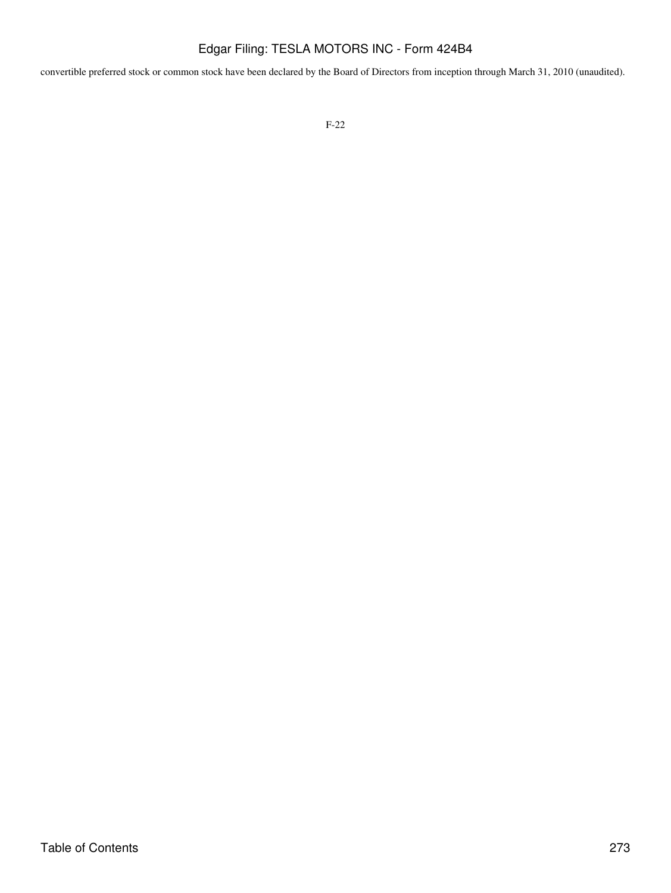convertible preferred stock or common stock have been declared by the Board of Directors from inception through March 31, 2010 (unaudited).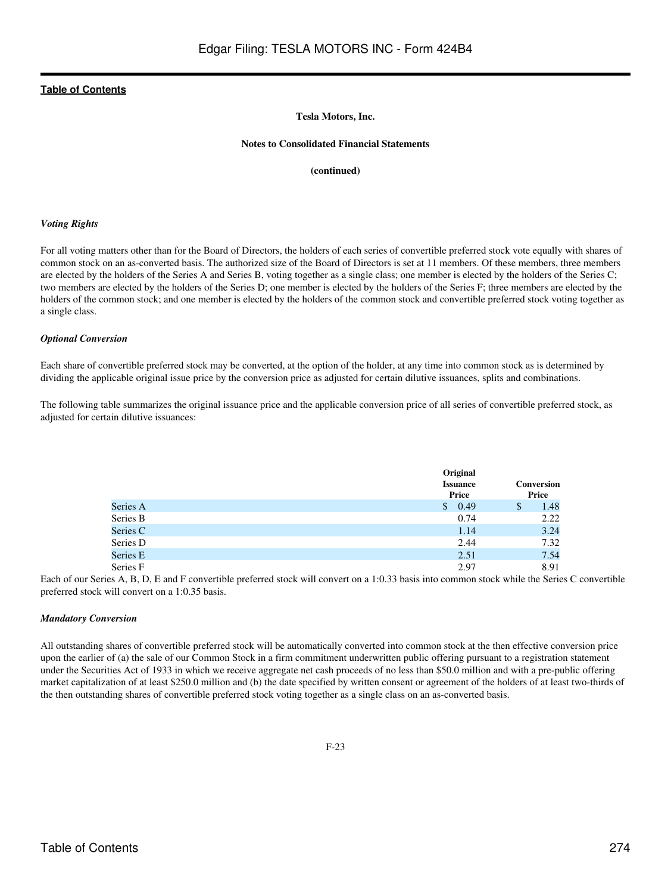## **Tesla Motors, Inc.**

## **Notes to Consolidated Financial Statements**

**(continued)**

## *Voting Rights*

For all voting matters other than for the Board of Directors, the holders of each series of convertible preferred stock vote equally with shares of common stock on an as-converted basis. The authorized size of the Board of Directors is set at 11 members. Of these members, three members are elected by the holders of the Series A and Series B, voting together as a single class; one member is elected by the holders of the Series C; two members are elected by the holders of the Series D; one member is elected by the holders of the Series F; three members are elected by the holders of the common stock; and one member is elected by the holders of the common stock and convertible preferred stock voting together as a single class.

### *Optional Conversion*

Each share of convertible preferred stock may be converted, at the option of the holder, at any time into common stock as is determined by dividing the applicable original issue price by the conversion price as adjusted for certain dilutive issuances, splits and combinations.

The following table summarizes the original issuance price and the applicable conversion price of all series of convertible preferred stock, as adjusted for certain dilutive issuances:

|          | Original                 |                     |
|----------|--------------------------|---------------------|
|          | <b>Issuance</b><br>Price | Conversion<br>Price |
| Series A | 0.49<br>$\mathbb{S}^-$   | 1.48<br>\$          |
| Series B | 0.74                     | 2.22                |
| Series C | 1.14                     | 3.24                |
| Series D | 2.44                     | 7.32                |
| Series E | 2.51                     | 7.54                |
| Series F | 2.97                     | 8.91                |

Each of our Series A, B, D, E and F convertible preferred stock will convert on a 1:0.33 basis into common stock while the Series C convertible preferred stock will convert on a 1:0.35 basis.

# *Mandatory Conversion*

All outstanding shares of convertible preferred stock will be automatically converted into common stock at the then effective conversion price upon the earlier of (a) the sale of our Common Stock in a firm commitment underwritten public offering pursuant to a registration statement under the Securities Act of 1933 in which we receive aggregate net cash proceeds of no less than \$50.0 million and with a pre-public offering market capitalization of at least \$250.0 million and (b) the date specified by written consent or agreement of the holders of at least two-thirds of the then outstanding shares of convertible preferred stock voting together as a single class on an as-converted basis.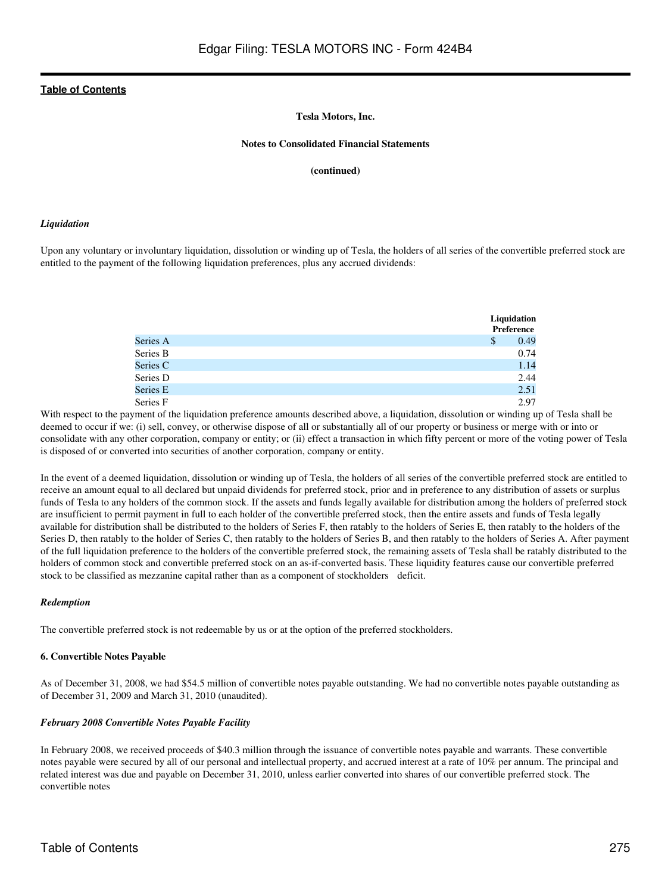## **Tesla Motors, Inc.**

## **Notes to Consolidated Financial Statements**

**(continued)**

## *Liquidation*

Upon any voluntary or involuntary liquidation, dissolution or winding up of Tesla, the holders of all series of the convertible preferred stock are entitled to the payment of the following liquidation preferences, plus any accrued dividends:

|          | Liquidation<br>Preference |
|----------|---------------------------|
| Series A | 0.49<br>S                 |
| Series B | 0.74                      |
| Series C | 1.14                      |
| Series D | 2.44                      |
| Series E | 2.51                      |
| Series F | 2.97                      |

**Liquidation**

With respect to the payment of the liquidation preference amounts described above, a liquidation, dissolution or winding up of Tesla shall be deemed to occur if we: (i) sell, convey, or otherwise dispose of all or substantially all of our property or business or merge with or into or consolidate with any other corporation, company or entity; or (ii) effect a transaction in which fifty percent or more of the voting power of Tesla is disposed of or converted into securities of another corporation, company or entity.

In the event of a deemed liquidation, dissolution or winding up of Tesla, the holders of all series of the convertible preferred stock are entitled to receive an amount equal to all declared but unpaid dividends for preferred stock, prior and in preference to any distribution of assets or surplus funds of Tesla to any holders of the common stock. If the assets and funds legally available for distribution among the holders of preferred stock are insufficient to permit payment in full to each holder of the convertible preferred stock, then the entire assets and funds of Tesla legally available for distribution shall be distributed to the holders of Series F, then ratably to the holders of Series E, then ratably to the holders of the Series D, then ratably to the holder of Series C, then ratably to the holders of Series B, and then ratably to the holders of Series A. After payment of the full liquidation preference to the holders of the convertible preferred stock, the remaining assets of Tesla shall be ratably distributed to the holders of common stock and convertible preferred stock on an as-if-converted basis. These liquidity features cause our convertible preferred stock to be classified as mezzanine capital rather than as a component of stockholders deficit.

## *Redemption*

The convertible preferred stock is not redeemable by us or at the option of the preferred stockholders.

### **6. Convertible Notes Payable**

As of December 31, 2008, we had \$54.5 million of convertible notes payable outstanding. We had no convertible notes payable outstanding as of December 31, 2009 and March 31, 2010 (unaudited).

# *February 2008 Convertible Notes Payable Facility*

In February 2008, we received proceeds of \$40.3 million through the issuance of convertible notes payable and warrants. These convertible notes payable were secured by all of our personal and intellectual property, and accrued interest at a rate of 10% per annum. The principal and related interest was due and payable on December 31, 2010, unless earlier converted into shares of our convertible preferred stock. The convertible notes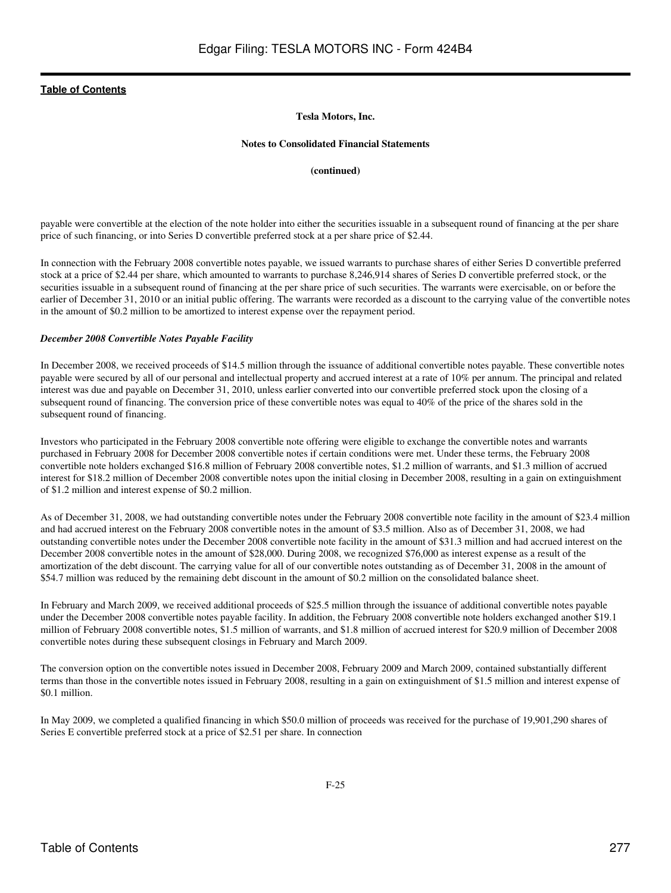# **Tesla Motors, Inc.**

## **Notes to Consolidated Financial Statements**

**(continued)**

payable were convertible at the election of the note holder into either the securities issuable in a subsequent round of financing at the per share price of such financing, or into Series D convertible preferred stock at a per share price of \$2.44.

In connection with the February 2008 convertible notes payable, we issued warrants to purchase shares of either Series D convertible preferred stock at a price of \$2.44 per share, which amounted to warrants to purchase 8,246,914 shares of Series D convertible preferred stock, or the securities issuable in a subsequent round of financing at the per share price of such securities. The warrants were exercisable, on or before the earlier of December 31, 2010 or an initial public offering. The warrants were recorded as a discount to the carrying value of the convertible notes in the amount of \$0.2 million to be amortized to interest expense over the repayment period.

## *December 2008 Convertible Notes Payable Facility*

In December 2008, we received proceeds of \$14.5 million through the issuance of additional convertible notes payable. These convertible notes payable were secured by all of our personal and intellectual property and accrued interest at a rate of 10% per annum. The principal and related interest was due and payable on December 31, 2010, unless earlier converted into our convertible preferred stock upon the closing of a subsequent round of financing. The conversion price of these convertible notes was equal to 40% of the price of the shares sold in the subsequent round of financing.

Investors who participated in the February 2008 convertible note offering were eligible to exchange the convertible notes and warrants purchased in February 2008 for December 2008 convertible notes if certain conditions were met. Under these terms, the February 2008 convertible note holders exchanged \$16.8 million of February 2008 convertible notes, \$1.2 million of warrants, and \$1.3 million of accrued interest for \$18.2 million of December 2008 convertible notes upon the initial closing in December 2008, resulting in a gain on extinguishment of \$1.2 million and interest expense of \$0.2 million.

As of December 31, 2008, we had outstanding convertible notes under the February 2008 convertible note facility in the amount of \$23.4 million and had accrued interest on the February 2008 convertible notes in the amount of \$3.5 million. Also as of December 31, 2008, we had outstanding convertible notes under the December 2008 convertible note facility in the amount of \$31.3 million and had accrued interest on the December 2008 convertible notes in the amount of \$28,000. During 2008, we recognized \$76,000 as interest expense as a result of the amortization of the debt discount. The carrying value for all of our convertible notes outstanding as of December 31, 2008 in the amount of \$54.7 million was reduced by the remaining debt discount in the amount of \$0.2 million on the consolidated balance sheet.

In February and March 2009, we received additional proceeds of \$25.5 million through the issuance of additional convertible notes payable under the December 2008 convertible notes payable facility. In addition, the February 2008 convertible note holders exchanged another \$19.1 million of February 2008 convertible notes, \$1.5 million of warrants, and \$1.8 million of accrued interest for \$20.9 million of December 2008 convertible notes during these subsequent closings in February and March 2009.

The conversion option on the convertible notes issued in December 2008, February 2009 and March 2009, contained substantially different terms than those in the convertible notes issued in February 2008, resulting in a gain on extinguishment of \$1.5 million and interest expense of \$0.1 million.

In May 2009, we completed a qualified financing in which \$50.0 million of proceeds was received for the purchase of 19,901,290 shares of Series E convertible preferred stock at a price of \$2.51 per share. In connection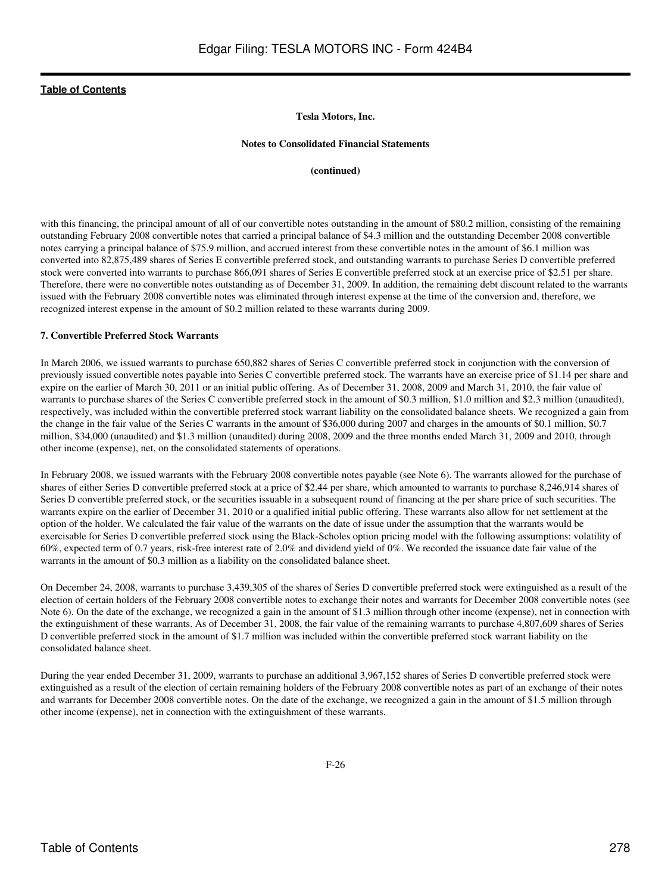## **Tesla Motors, Inc.**

## **Notes to Consolidated Financial Statements**

**(continued)**

with this financing, the principal amount of all of our convertible notes outstanding in the amount of \$80.2 million, consisting of the remaining outstanding February 2008 convertible notes that carried a principal balance of \$4.3 million and the outstanding December 2008 convertible notes carrying a principal balance of \$75.9 million, and accrued interest from these convertible notes in the amount of \$6.1 million was converted into 82,875,489 shares of Series E convertible preferred stock, and outstanding warrants to purchase Series D convertible preferred stock were converted into warrants to purchase 866,091 shares of Series E convertible preferred stock at an exercise price of \$2.51 per share. Therefore, there were no convertible notes outstanding as of December 31, 2009. In addition, the remaining debt discount related to the warrants issued with the February 2008 convertible notes was eliminated through interest expense at the time of the conversion and, therefore, we recognized interest expense in the amount of \$0.2 million related to these warrants during 2009.

## **7. Convertible Preferred Stock Warrants**

In March 2006, we issued warrants to purchase 650,882 shares of Series C convertible preferred stock in conjunction with the conversion of previously issued convertible notes payable into Series C convertible preferred stock. The warrants have an exercise price of \$1.14 per share and expire on the earlier of March 30, 2011 or an initial public offering. As of December 31, 2008, 2009 and March 31, 2010, the fair value of warrants to purchase shares of the Series C convertible preferred stock in the amount of \$0.3 million, \$1.0 million and \$2.3 million (unaudited), respectively, was included within the convertible preferred stock warrant liability on the consolidated balance sheets. We recognized a gain from the change in the fair value of the Series C warrants in the amount of \$36,000 during 2007 and charges in the amounts of \$0.1 million, \$0.7 million, \$34,000 (unaudited) and \$1.3 million (unaudited) during 2008, 2009 and the three months ended March 31, 2009 and 2010, through other income (expense), net, on the consolidated statements of operations.

In February 2008, we issued warrants with the February 2008 convertible notes payable (see Note 6). The warrants allowed for the purchase of shares of either Series D convertible preferred stock at a price of \$2.44 per share, which amounted to warrants to purchase 8,246,914 shares of Series D convertible preferred stock, or the securities issuable in a subsequent round of financing at the per share price of such securities. The warrants expire on the earlier of December 31, 2010 or a qualified initial public offering. These warrants also allow for net settlement at the option of the holder. We calculated the fair value of the warrants on the date of issue under the assumption that the warrants would be exercisable for Series D convertible preferred stock using the Black-Scholes option pricing model with the following assumptions: volatility of 60%, expected term of 0.7 years, risk-free interest rate of 2.0% and dividend yield of 0%. We recorded the issuance date fair value of the warrants in the amount of \$0.3 million as a liability on the consolidated balance sheet.

On December 24, 2008, warrants to purchase 3,439,305 of the shares of Series D convertible preferred stock were extinguished as a result of the election of certain holders of the February 2008 convertible notes to exchange their notes and warrants for December 2008 convertible notes (see Note 6). On the date of the exchange, we recognized a gain in the amount of \$1.3 million through other income (expense), net in connection with the extinguishment of these warrants. As of December 31, 2008, the fair value of the remaining warrants to purchase 4,807,609 shares of Series D convertible preferred stock in the amount of \$1.7 million was included within the convertible preferred stock warrant liability on the consolidated balance sheet.

During the year ended December 31, 2009, warrants to purchase an additional 3,967,152 shares of Series D convertible preferred stock were extinguished as a result of the election of certain remaining holders of the February 2008 convertible notes as part of an exchange of their notes and warrants for December 2008 convertible notes. On the date of the exchange, we recognized a gain in the amount of \$1.5 million through other income (expense), net in connection with the extinguishment of these warrants.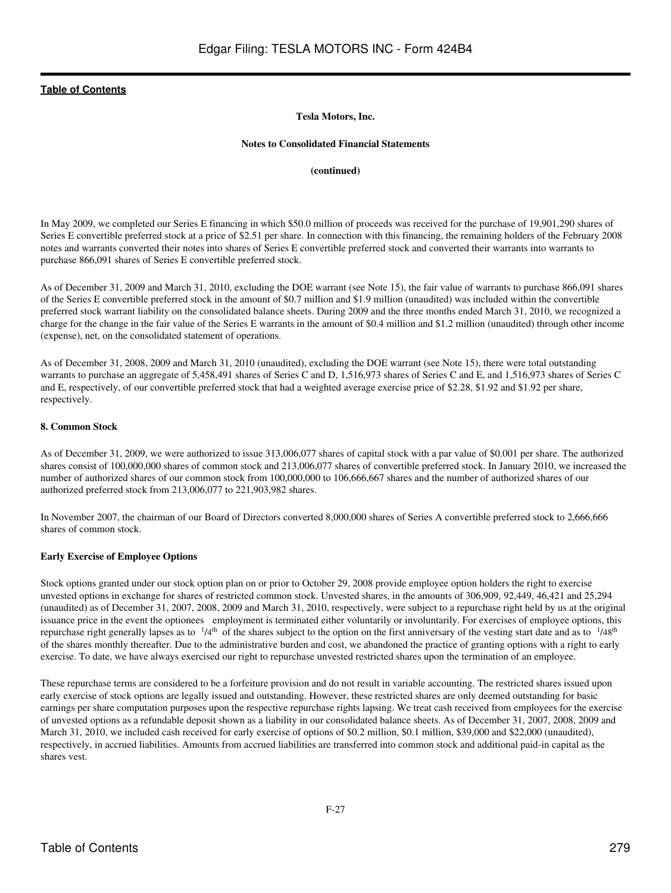# **Tesla Motors, Inc.**

## **Notes to Consolidated Financial Statements**

**(continued)**

In May 2009, we completed our Series E financing in which \$50.0 million of proceeds was received for the purchase of 19,901,290 shares of Series E convertible preferred stock at a price of \$2.51 per share. In connection with this financing, the remaining holders of the February 2008 notes and warrants converted their notes into shares of Series E convertible preferred stock and converted their warrants into warrants to purchase 866,091 shares of Series E convertible preferred stock.

As of December 31, 2009 and March 31, 2010, excluding the DOE warrant (see Note 15), the fair value of warrants to purchase 866,091 shares of the Series E convertible preferred stock in the amount of \$0.7 million and \$1.9 million (unaudited) was included within the convertible preferred stock warrant liability on the consolidated balance sheets. During 2009 and the three months ended March 31, 2010, we recognized a charge for the change in the fair value of the Series E warrants in the amount of \$0.4 million and \$1.2 million (unaudited) through other income (expense), net, on the consolidated statement of operations.

As of December 31, 2008, 2009 and March 31, 2010 (unaudited), excluding the DOE warrant (see Note 15), there were total outstanding warrants to purchase an aggregate of 5,458,491 shares of Series C and D, 1,516,973 shares of Series C and E, and 1,516,973 shares of Series C and E, respectively, of our convertible preferred stock that had a weighted average exercise price of \$2.28, \$1.92 and \$1.92 per share, respectively.

# **8. Common Stock**

As of December 31, 2009, we were authorized to issue 313,006,077 shares of capital stock with a par value of \$0.001 per share. The authorized shares consist of 100,000,000 shares of common stock and 213,006,077 shares of convertible preferred stock. In January 2010, we increased the number of authorized shares of our common stock from 100,000,000 to 106,666,667 shares and the number of authorized shares of our authorized preferred stock from 213,006,077 to 221,903,982 shares.

In November 2007, the chairman of our Board of Directors converted 8,000,000 shares of Series A convertible preferred stock to 2,666,666 shares of common stock.

# **Early Exercise of Employee Options**

Stock options granted under our stock option plan on or prior to October 29, 2008 provide employee option holders the right to exercise unvested options in exchange for shares of restricted common stock. Unvested shares, in the amounts of 306,909, 92,449, 46,421 and 25,294 (unaudited) as of December 31, 2007, 2008, 2009 and March 31, 2010, respectively, were subject to a repurchase right held by us at the original issuance price in the event the optionees employment is terminated either voluntarily or involuntarily. For exercises of employee options, this repurchase right generally lapses as to  $\frac{1}{4}$ <sup>th</sup> of the shares subject to the option on the first anniversary of the vesting start date and as to  $\frac{1}{4}$ 8<sup>th</sup> of the shares monthly thereafter. Due to the administrative burden and cost, we abandoned the practice of granting options with a right to early exercise. To date, we have always exercised our right to repurchase unvested restricted shares upon the termination of an employee.

These repurchase terms are considered to be a forfeiture provision and do not result in variable accounting. The restricted shares issued upon early exercise of stock options are legally issued and outstanding. However, these restricted shares are only deemed outstanding for basic earnings per share computation purposes upon the respective repurchase rights lapsing. We treat cash received from employees for the exercise of unvested options as a refundable deposit shown as a liability in our consolidated balance sheets. As of December 31, 2007, 2008, 2009 and March 31, 2010, we included cash received for early exercise of options of \$0.2 million, \$0.1 million, \$39,000 and \$22,000 (unaudited), respectively, in accrued liabilities. Amounts from accrued liabilities are transferred into common stock and additional paid-in capital as the shares vest.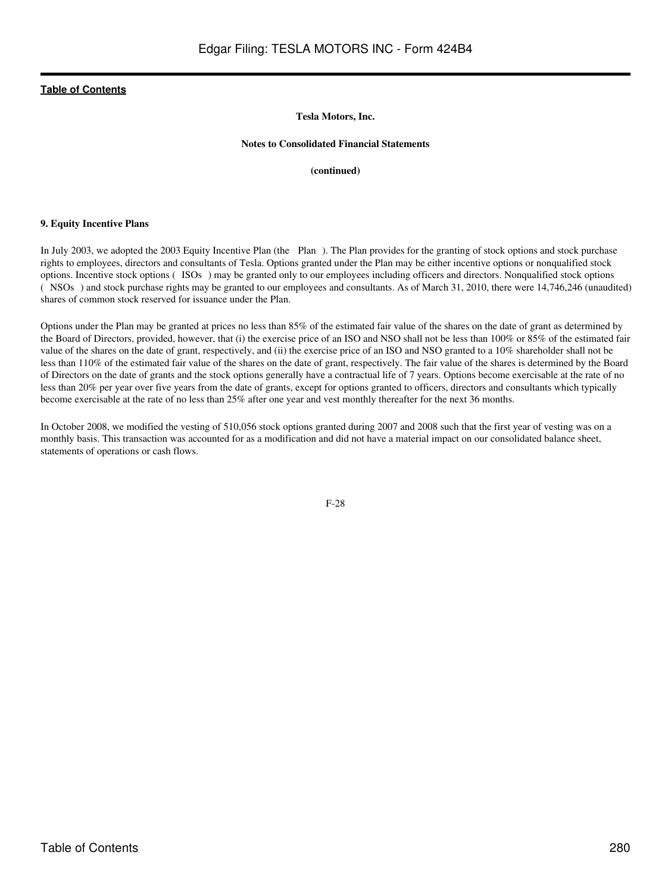# **Tesla Motors, Inc.**

## **Notes to Consolidated Financial Statements**

**(continued)**

## **9. Equity Incentive Plans**

In July 2003, we adopted the 2003 Equity Incentive Plan (the Plan). The Plan provides for the granting of stock options and stock purchase rights to employees, directors and consultants of Tesla. Options granted under the Plan may be either incentive options or nonqualified stock options. Incentive stock options (ISOs) may be granted only to our employees including officers and directors. Nonqualified stock options (NSOs) and stock purchase rights may be granted to our employees and consultants. As of March 31, 2010, there were 14,746,246 (unaudited) shares of common stock reserved for issuance under the Plan.

Options under the Plan may be granted at prices no less than 85% of the estimated fair value of the shares on the date of grant as determined by the Board of Directors, provided, however, that (i) the exercise price of an ISO and NSO shall not be less than 100% or 85% of the estimated fair value of the shares on the date of grant, respectively, and (ii) the exercise price of an ISO and NSO granted to a 10% shareholder shall not be less than 110% of the estimated fair value of the shares on the date of grant, respectively. The fair value of the shares is determined by the Board of Directors on the date of grants and the stock options generally have a contractual life of 7 years. Options become exercisable at the rate of no less than 20% per year over five years from the date of grants, except for options granted to officers, directors and consultants which typically become exercisable at the rate of no less than 25% after one year and vest monthly thereafter for the next 36 months.

In October 2008, we modified the vesting of 510,056 stock options granted during 2007 and 2008 such that the first year of vesting was on a monthly basis. This transaction was accounted for as a modification and did not have a material impact on our consolidated balance sheet, statements of operations or cash flows.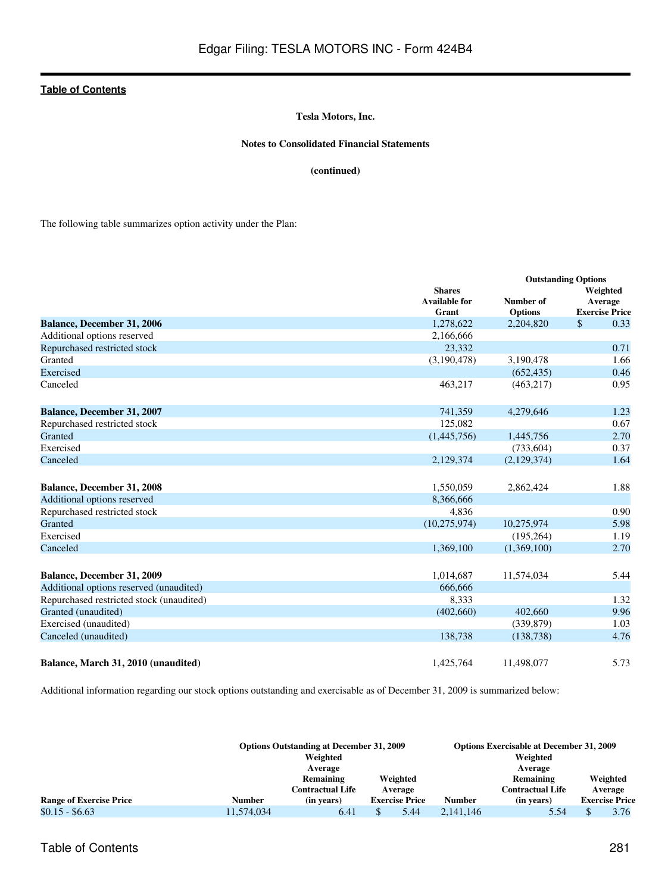# **Tesla Motors, Inc.**

# **Notes to Consolidated Financial Statements**

## **(continued)**

The following table summarizes option activity under the Plan:

|                                          | <b>Shares</b>                 |                             | <b>Outstanding Options</b><br>Weighted |  |
|------------------------------------------|-------------------------------|-----------------------------|----------------------------------------|--|
|                                          | <b>Available for</b><br>Grant | Number of<br><b>Options</b> | Average<br><b>Exercise Price</b>       |  |
| Balance, December 31, 2006               | 1,278,622                     | 2,204,820                   | $\mathsf{\$}$<br>0.33                  |  |
| Additional options reserved              | 2,166,666                     |                             |                                        |  |
| Repurchased restricted stock             | 23,332                        |                             | 0.71                                   |  |
| Granted                                  | (3,190,478)                   | 3,190,478                   | 1.66                                   |  |
| Exercised                                |                               | (652, 435)                  | 0.46                                   |  |
| Canceled                                 | 463,217                       | (463, 217)                  | 0.95                                   |  |
| Balance, December 31, 2007               | 741,359                       | 4,279,646                   | 1.23                                   |  |
| Repurchased restricted stock             | 125,082                       |                             | 0.67                                   |  |
| Granted                                  | (1,445,756)                   | 1,445,756                   | 2.70                                   |  |
| Exercised                                |                               | (733, 604)                  | 0.37                                   |  |
| Canceled                                 | 2,129,374                     | (2, 129, 374)               | 1.64                                   |  |
| Balance, December 31, 2008               | 1,550,059                     | 2,862,424                   | 1.88                                   |  |
| Additional options reserved              | 8,366,666                     |                             |                                        |  |
| Repurchased restricted stock             | 4,836                         |                             | 0.90                                   |  |
| Granted                                  | (10, 275, 974)                | 10,275,974                  | 5.98                                   |  |
| Exercised                                |                               | (195, 264)                  | 1.19                                   |  |
| Canceled                                 | 1,369,100                     | (1,369,100)                 | 2.70                                   |  |
| Balance, December 31, 2009               | 1,014,687                     | 11,574,034                  | 5.44                                   |  |
| Additional options reserved (unaudited)  | 666.666                       |                             |                                        |  |
| Repurchased restricted stock (unaudited) | 8,333                         |                             | 1.32                                   |  |
| Granted (unaudited)                      | (402,660)                     | 402,660                     | 9.96                                   |  |
| Exercised (unaudited)                    |                               | (339, 879)                  | 1.03                                   |  |
| Canceled (unaudited)                     | 138,738                       | (138, 738)                  | 4.76                                   |  |
| Balance, March 31, 2010 (unaudited)      | 1,425,764                     | 11,498,077                  | 5.73                                   |  |

Additional information regarding our stock options outstanding and exercisable as of December 31, 2009 is summarized below:

|                                |            | <b>Options Outstanding at December 31, 2009</b> |                       |      |               | <b>Options Exercisable at December 31, 2009</b> |  |                       |  |
|--------------------------------|------------|-------------------------------------------------|-----------------------|------|---------------|-------------------------------------------------|--|-----------------------|--|
|                                |            | Weighted                                        |                       |      | Weighted      |                                                 |  |                       |  |
|                                |            | Average                                         |                       |      |               | Average                                         |  |                       |  |
|                                |            | <b>Remaining</b>                                | Weighted              |      |               | Remaining                                       |  | Weighted              |  |
|                                |            | <b>Contractual Life</b>                         | Average               |      |               | <b>Contractual Life</b>                         |  | Average               |  |
| <b>Range of Exercise Price</b> | Number     | (in vears)                                      | <b>Exercise Price</b> |      | <b>Number</b> | (in years)                                      |  | <b>Exercise Price</b> |  |
| $$0.15 - $6.63$                | 11,574,034 | 6.41                                            |                       | 5.44 | 2, 141, 146   | 5.54                                            |  | 3.76                  |  |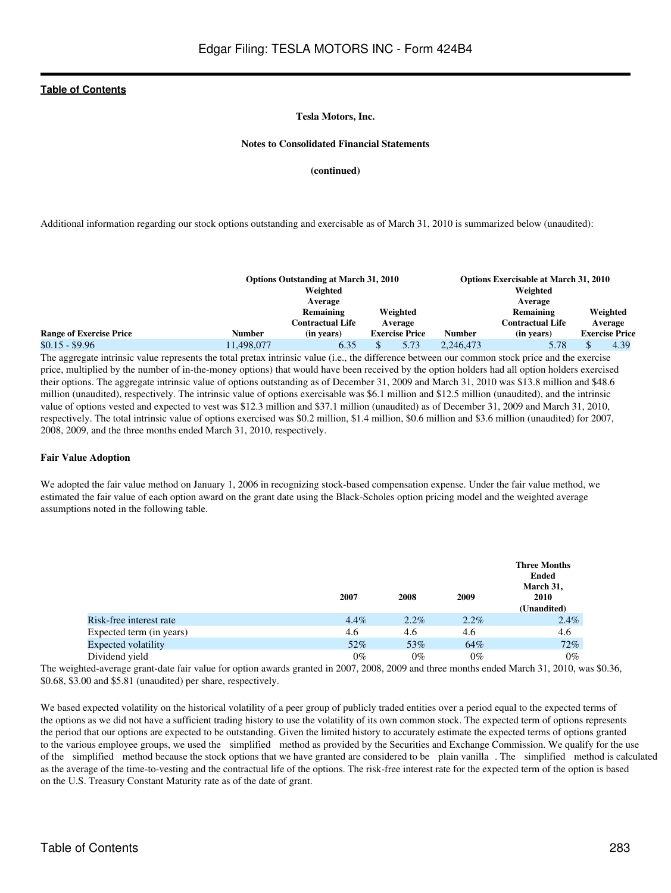# **Tesla Motors, Inc.**

## **Notes to Consolidated Financial Statements**

#### **(continued)**

Additional information regarding our stock options outstanding and exercisable as of March 31, 2010 is summarized below (unaudited):

|                                |               | <b>Options Outstanding at March 31, 2010</b> |  |                       |               | <b>Options Exercisable at March 31, 2010</b> |  |                       |  |
|--------------------------------|---------------|----------------------------------------------|--|-----------------------|---------------|----------------------------------------------|--|-----------------------|--|
|                                |               | Weighted                                     |  |                       |               | Weighted                                     |  |                       |  |
|                                |               | Average                                      |  |                       |               | Average                                      |  |                       |  |
|                                |               | Remaining                                    |  | Weighted              |               | Remaining                                    |  | Weighted              |  |
|                                |               | <b>Contractual Life</b>                      |  | Average               |               | <b>Contractual Life</b>                      |  | Average               |  |
| <b>Range of Exercise Price</b> | <b>Number</b> | (in vears)                                   |  | <b>Exercise Price</b> | <b>Number</b> | (in years)                                   |  | <b>Exercise Price</b> |  |
| $$0.15 - $9.96$                | 11,498,077    | 6.35                                         |  | 5.73                  | 2.246,473     | 5.78                                         |  | 4.39                  |  |

The aggregate intrinsic value represents the total pretax intrinsic value (i.e., the difference between our common stock price and the exercise price, multiplied by the number of in-the-money options) that would have been received by the option holders had all option holders exercised their options. The aggregate intrinsic value of options outstanding as of December 31, 2009 and March 31, 2010 was \$13.8 million and \$48.6 million (unaudited), respectively. The intrinsic value of options exercisable was \$6.1 million and \$12.5 million (unaudited), and the intrinsic value of options vested and expected to vest was \$12.3 million and \$37.1 million (unaudited) as of December 31, 2009 and March 31, 2010, respectively. The total intrinsic value of options exercised was \$0.2 million, \$1.4 million, \$0.6 million and \$3.6 million (unaudited) for 2007, 2008, 2009, and the three months ended March 31, 2010, respectively.

### **Fair Value Adoption**

We adopted the fair value method on January 1, 2006 in recognizing stock-based compensation expense. Under the fair value method, we estimated the fair value of each option award on the grant date using the Black-Scholes option pricing model and the weighted average assumptions noted in the following table.

|                            | 2007    | 2008    | 2009    | <b>Three Months</b><br><b>Ended</b><br>March 31,<br>2010<br>(Unaudited) |
|----------------------------|---------|---------|---------|-------------------------------------------------------------------------|
| Risk-free interest rate    | $4.4\%$ | $2.2\%$ | $2.2\%$ | $2.4\%$                                                                 |
| Expected term (in years)   | 4.6     | 4.6     | 4.6     | 4.6                                                                     |
| <b>Expected volatility</b> | 52%     | 53%     | 64%     | 72%                                                                     |
| Dividend yield             | $0\%$   | $0\%$   | $0\%$   | $0\%$                                                                   |

The weighted-average grant-date fair value for option awards granted in 2007, 2008, 2009 and three months ended March 31, 2010, was \$0.36, \$0.68, \$3.00 and \$5.81 (unaudited) per share, respectively.

We based expected volatility on the historical volatility of a peer group of publicly traded entities over a period equal to the expected terms of the options as we did not have a sufficient trading history to use the volatility of its own common stock. The expected term of options represents the period that our options are expected to be outstanding. Given the limited history to accurately estimate the expected terms of options granted to the various employee groups, we used the simplified method as provided by the Securities and Exchange Commission. We qualify for the use of the simplified method because the stock options that we have granted are considered to be plain vanilla. The simplified method is calculated as the average of the time-to-vesting and the contractual life of the options. The risk-free interest rate for the expected term of the option is based on the U.S. Treasury Constant Maturity rate as of the date of grant.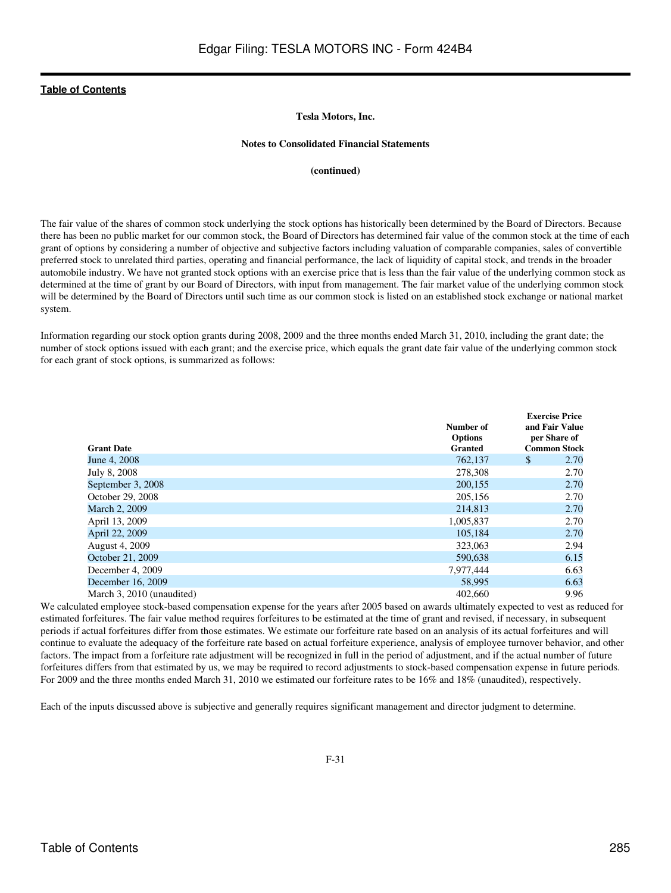## **Tesla Motors, Inc.**

## **Notes to Consolidated Financial Statements**

**(continued)**

The fair value of the shares of common stock underlying the stock options has historically been determined by the Board of Directors. Because there has been no public market for our common stock, the Board of Directors has determined fair value of the common stock at the time of each grant of options by considering a number of objective and subjective factors including valuation of comparable companies, sales of convertible preferred stock to unrelated third parties, operating and financial performance, the lack of liquidity of capital stock, and trends in the broader automobile industry. We have not granted stock options with an exercise price that is less than the fair value of the underlying common stock as determined at the time of grant by our Board of Directors, with input from management. The fair market value of the underlying common stock will be determined by the Board of Directors until such time as our common stock is listed on an established stock exchange or national market system.

Information regarding our stock option grants during 2008, 2009 and the three months ended March 31, 2010, including the grant date; the number of stock options issued with each grant; and the exercise price, which equals the grant date fair value of the underlying common stock for each grant of stock options, is summarized as follows:

|                           | Number of<br><b>Options</b> | <b>Exercise Price</b><br>and Fair Value<br>per Share of |  |  |
|---------------------------|-----------------------------|---------------------------------------------------------|--|--|
| <b>Grant Date</b>         | <b>Granted</b>              | <b>Common Stock</b>                                     |  |  |
| June 4, 2008              | 762,137                     | $\mathcal{S}$<br>2.70                                   |  |  |
| July 8, 2008              | 278,308                     | 2.70                                                    |  |  |
| September 3, 2008         | 200,155                     | 2.70                                                    |  |  |
| October 29, 2008          | 205,156                     | 2.70                                                    |  |  |
| March 2, 2009             | 214.813                     | 2.70                                                    |  |  |
| April 13, 2009            | 1,005,837                   | 2.70                                                    |  |  |
| April 22, 2009            | 105,184                     | 2.70                                                    |  |  |
| August 4, 2009            | 323,063                     | 2.94                                                    |  |  |
| October 21, 2009          | 590.638                     | 6.15                                                    |  |  |
| December 4, 2009          | 7,977,444                   | 6.63                                                    |  |  |
| December 16, 2009         | 58,995                      | 6.63                                                    |  |  |
| March 3, 2010 (unaudited) | 402,660                     | 9.96                                                    |  |  |

We calculated employee stock-based compensation expense for the years after 2005 based on awards ultimately expected to vest as reduced for estimated forfeitures. The fair value method requires forfeitures to be estimated at the time of grant and revised, if necessary, in subsequent periods if actual forfeitures differ from those estimates. We estimate our forfeiture rate based on an analysis of its actual forfeitures and will continue to evaluate the adequacy of the forfeiture rate based on actual forfeiture experience, analysis of employee turnover behavior, and other factors. The impact from a forfeiture rate adjustment will be recognized in full in the period of adjustment, and if the actual number of future forfeitures differs from that estimated by us, we may be required to record adjustments to stock-based compensation expense in future periods. For 2009 and the three months ended March 31, 2010 we estimated our forfeiture rates to be 16% and 18% (unaudited), respectively.

Each of the inputs discussed above is subjective and generally requires significant management and director judgment to determine.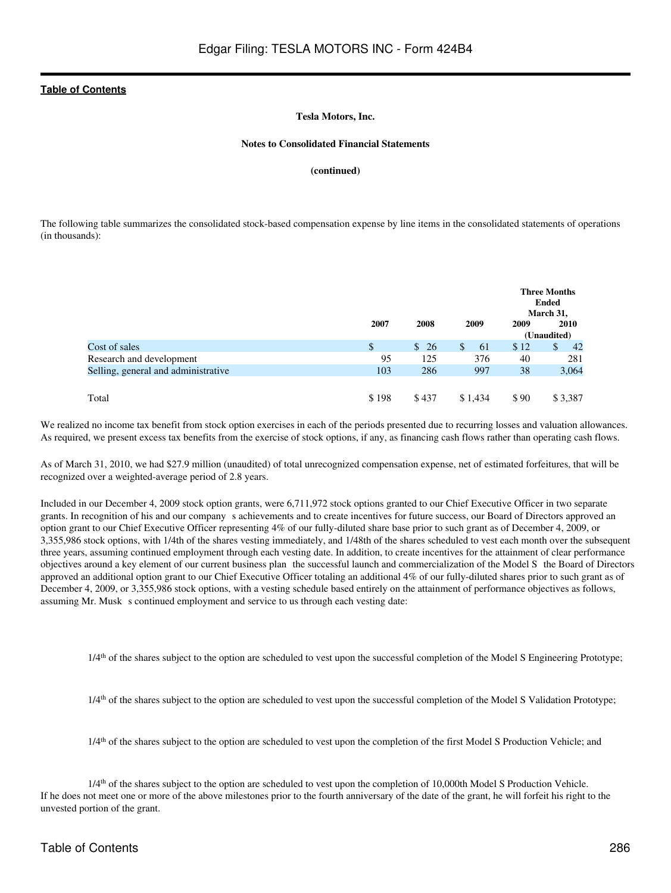# **Tesla Motors, Inc.**

## **Notes to Consolidated Financial Statements**

#### **(continued)**

The following table summarizes the consolidated stock-based compensation expense by line items in the consolidated statements of operations (in thousands):

|                                     |       |       |          | <b>Three Months</b><br>Ended<br>March 31, |             |  |
|-------------------------------------|-------|-------|----------|-------------------------------------------|-------------|--|
|                                     | 2007  | 2008  | 2009     | 2009                                      | 2010        |  |
|                                     |       |       |          |                                           | (Unaudited) |  |
| Cost of sales                       | \$    | \$26  | \$<br>61 | \$12                                      | \$<br>42    |  |
| Research and development            | 95    | 125   | 376      | 40                                        | 281         |  |
| Selling, general and administrative | 103   | 286   | 997      | 38                                        | 3,064       |  |
|                                     |       |       |          |                                           |             |  |
| Total                               | \$198 | \$437 | \$1,434  | \$90                                      | \$3,387     |  |

We realized no income tax benefit from stock option exercises in each of the periods presented due to recurring losses and valuation allowances. As required, we present excess tax benefits from the exercise of stock options, if any, as financing cash flows rather than operating cash flows.

As of March 31, 2010, we had \$27.9 million (unaudited) of total unrecognized compensation expense, net of estimated forfeitures, that will be recognized over a weighted-average period of 2.8 years.

Included in our December 4, 2009 stock option grants, were 6,711,972 stock options granted to our Chief Executive Officer in two separate grants. In recognition of his and our company s achievements and to create incentives for future success, our Board of Directors approved an option grant to our Chief Executive Officer representing 4% of our fully-diluted share base prior to such grant as of December 4, 2009, or 3,355,986 stock options, with 1/4th of the shares vesting immediately, and 1/48th of the shares scheduled to vest each month over the subsequent three years, assuming continued employment through each vesting date. In addition, to create incentives for the attainment of clear performance objectives around a key element of our current business plan the successful launch and commercialization of the Model S the Board of Directors approved an additional option grant to our Chief Executive Officer totaling an additional 4% of our fully-diluted shares prior to such grant as of December 4, 2009, or 3,355,986 stock options, with a vesting schedule based entirely on the attainment of performance objectives as follows, assuming Mr. Musk s continued employment and service to us through each vesting date:

1/4<sup>th</sup> of the shares subject to the option are scheduled to vest upon the successful completion of the Model S Engineering Prototype;

1/4<sup>th</sup> of the shares subject to the option are scheduled to vest upon the successful completion of the Model S Validation Prototype;

1/4<sup>th</sup> of the shares subject to the option are scheduled to vest upon the completion of the first Model S Production Vehicle; and

 $1/4<sup>th</sup>$  of the shares subject to the option are scheduled to vest upon the completion of 10,000th Model S Production Vehicle. If he does not meet one or more of the above milestones prior to the fourth anniversary of the date of the grant, he will forfeit his right to the unvested portion of the grant.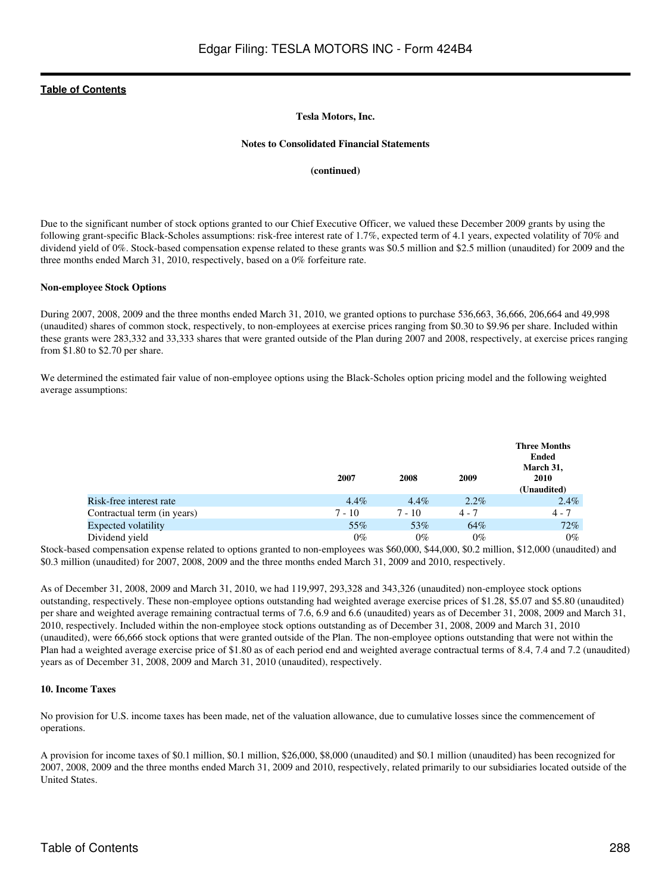## **Tesla Motors, Inc.**

### **Notes to Consolidated Financial Statements**

#### **(continued)**

Due to the significant number of stock options granted to our Chief Executive Officer, we valued these December 2009 grants by using the following grant-specific Black-Scholes assumptions: risk-free interest rate of 1.7%, expected term of 4.1 years, expected volatility of 70% and dividend yield of 0%. Stock-based compensation expense related to these grants was \$0.5 million and \$2.5 million (unaudited) for 2009 and the three months ended March 31, 2010, respectively, based on a 0% forfeiture rate.

### **Non-employee Stock Options**

During 2007, 2008, 2009 and the three months ended March 31, 2010, we granted options to purchase 536,663, 36,666, 206,664 and 49,998 (unaudited) shares of common stock, respectively, to non-employees at exercise prices ranging from \$0.30 to \$9.96 per share. Included within these grants were 283,332 and 33,333 shares that were granted outside of the Plan during 2007 and 2008, respectively, at exercise prices ranging from \$1.80 to \$2.70 per share.

We determined the estimated fair value of non-employee options using the Black-Scholes option pricing model and the following weighted average assumptions:

|                             |          |          |         | <b>Three Months</b> |
|-----------------------------|----------|----------|---------|---------------------|
|                             |          |          |         | Ended               |
|                             |          |          |         | March 31,           |
|                             | 2007     | 2008     | 2009    | 2010                |
|                             |          |          |         | (Unaudited)         |
| Risk-free interest rate     | $4.4\%$  | $4.4\%$  | $2.2\%$ | $2.4\%$             |
| Contractual term (in years) | $7 - 10$ | $7 - 10$ | $4 - 7$ | $4 - 7$             |
| <b>Expected volatility</b>  | 55%      | 53%      | 64%     | 72%                 |
| Dividend yield              | $0\%$    | $0\%$    | $0\%$   | $0\%$               |

Stock-based compensation expense related to options granted to non-employees was \$60,000, \$44,000, \$0.2 million, \$12,000 (unaudited) and \$0.3 million (unaudited) for 2007, 2008, 2009 and the three months ended March 31, 2009 and 2010, respectively.

As of December 31, 2008, 2009 and March 31, 2010, we had 119,997, 293,328 and 343,326 (unaudited) non-employee stock options outstanding, respectively. These non-employee options outstanding had weighted average exercise prices of \$1.28, \$5.07 and \$5.80 (unaudited) per share and weighted average remaining contractual terms of 7.6, 6.9 and 6.6 (unaudited) years as of December 31, 2008, 2009 and March 31, 2010, respectively. Included within the non-employee stock options outstanding as of December 31, 2008, 2009 and March 31, 2010 (unaudited), were 66,666 stock options that were granted outside of the Plan. The non-employee options outstanding that were not within the Plan had a weighted average exercise price of \$1.80 as of each period end and weighted average contractual terms of 8.4, 7.4 and 7.2 (unaudited) years as of December 31, 2008, 2009 and March 31, 2010 (unaudited), respectively.

### **10. Income Taxes**

No provision for U.S. income taxes has been made, net of the valuation allowance, due to cumulative losses since the commencement of operations.

A provision for income taxes of \$0.1 million, \$0.1 million, \$26,000, \$8,000 (unaudited) and \$0.1 million (unaudited) has been recognized for 2007, 2008, 2009 and the three months ended March 31, 2009 and 2010, respectively, related primarily to our subsidiaries located outside of the United States.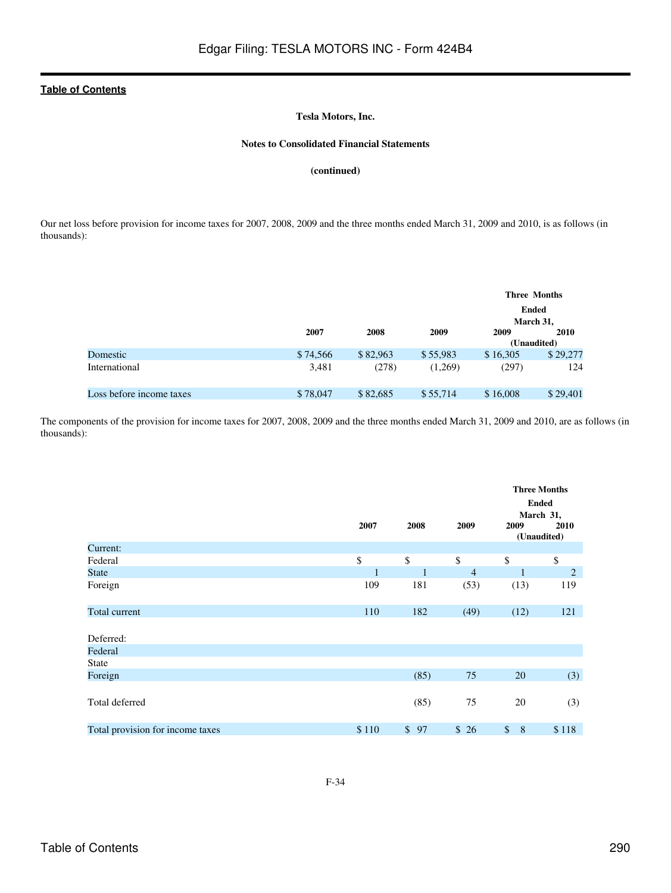## **Tesla Motors, Inc.**

# **Notes to Consolidated Financial Statements**

## **(continued)**

Our net loss before provision for income taxes for 2007, 2008, 2009 and the three months ended March 31, 2009 and 2010, is as follows (in thousands):

|                          |          |          |          |                           | <b>Three Months</b> |  |  |
|--------------------------|----------|----------|----------|---------------------------|---------------------|--|--|
|                          |          |          |          | <b>Ended</b><br>March 31, |                     |  |  |
|                          | 2007     | 2008     | 2009     | 2009                      | 2010                |  |  |
|                          |          |          |          |                           | (Unaudited)         |  |  |
| Domestic                 | \$74,566 | \$82,963 | \$55,983 | \$16,305                  | \$29,277            |  |  |
| International            | 3,481    | (278)    | (1,269)  | (297)                     | 124                 |  |  |
|                          |          |          |          |                           |                     |  |  |
| Loss before income taxes | \$78,047 | \$82,685 | \$55,714 | \$16,008                  | \$29,401            |  |  |

The components of the provision for income taxes for 2007, 2008, 2009 and the three months ended March 31, 2009 and 2010, are as follows (in thousands):

|                                  | 2007         | 2008                      | 2009                      | <b>Three Months</b><br><b>Ended</b><br>March 31,<br>2009<br>(Unaudited) | 2010                      |
|----------------------------------|--------------|---------------------------|---------------------------|-------------------------------------------------------------------------|---------------------------|
| Current:                         |              |                           |                           |                                                                         |                           |
| Federal                          | $\mathbb{S}$ | $\boldsymbol{\mathsf{S}}$ | $\boldsymbol{\mathsf{S}}$ | \$                                                                      | $\boldsymbol{\mathsf{S}}$ |
| <b>State</b>                     | $\mathbf{1}$ | $\mathbf{1}$              | $\overline{4}$            | 1                                                                       | 2                         |
| Foreign                          | 109          | 181                       | (53)                      | (13)                                                                    | 119                       |
| <b>Total current</b>             | 110          | 182                       | (49)                      | (12)                                                                    | 121                       |
| Deferred:                        |              |                           |                           |                                                                         |                           |
| Federal                          |              |                           |                           |                                                                         |                           |
| <b>State</b>                     |              |                           |                           |                                                                         |                           |
| Foreign                          |              | (85)                      | 75                        | 20                                                                      | (3)                       |
| Total deferred                   |              | (85)                      | 75                        | 20                                                                      | (3)                       |
| Total provision for income taxes | \$110        | \$97                      | \$26                      | $\mathbb{S}$<br>8                                                       | \$118                     |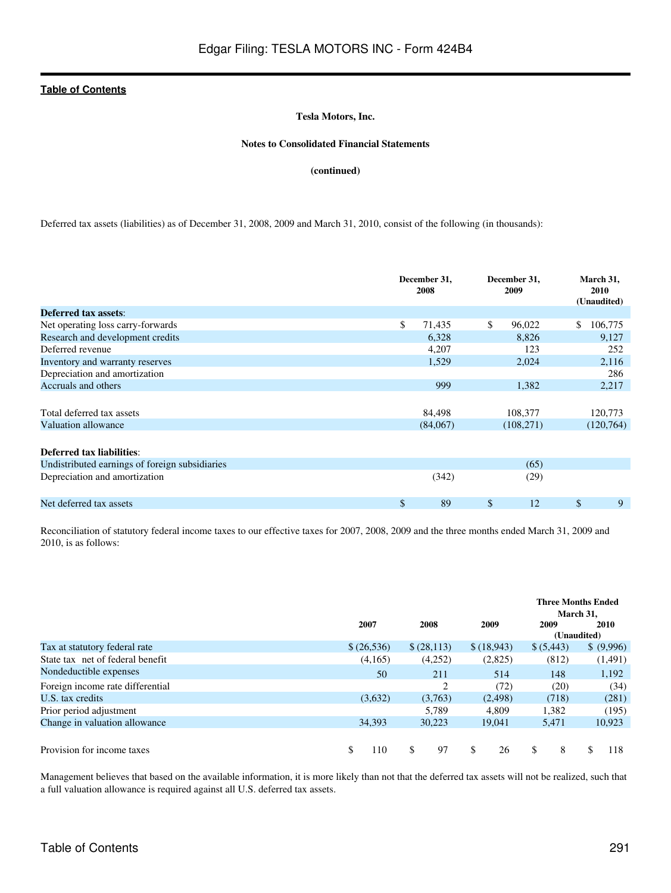# **Tesla Motors, Inc.**

# **Notes to Consolidated Financial Statements**

#### **(continued)**

Deferred tax assets (liabilities) as of December 31, 2008, 2009 and March 31, 2010, consist of the following (in thousands):

|                                                | December 31,<br>2008 |          | December 31,<br>2009 |           |              | March 31,<br><b>2010</b><br>(Unaudited) |  |
|------------------------------------------------|----------------------|----------|----------------------|-----------|--------------|-----------------------------------------|--|
| Deferred tax assets:                           |                      |          |                      |           |              |                                         |  |
| Net operating loss carry-forwards              | \$                   | 71,435   | \$                   | 96,022    | \$           | 106,775                                 |  |
| Research and development credits               |                      | 6,328    |                      | 8,826     |              | 9,127                                   |  |
| Deferred revenue                               |                      | 4,207    |                      | 123       |              | 252                                     |  |
| Inventory and warranty reserves                |                      | 1,529    |                      | 2,024     |              | 2,116                                   |  |
| Depreciation and amortization                  |                      |          |                      |           |              | 286                                     |  |
| Accruals and others                            |                      | 999      |                      | 1,382     |              | 2,217                                   |  |
| Total deferred tax assets                      |                      | 84,498   |                      | 108,377   |              | 120,773                                 |  |
| Valuation allowance                            |                      | (84,067) |                      | (108,271) |              | (120, 764)                              |  |
| <b>Deferred tax liabilities:</b>               |                      |          |                      |           |              |                                         |  |
| Undistributed earnings of foreign subsidiaries |                      |          |                      | (65)      |              |                                         |  |
| Depreciation and amortization                  |                      | (342)    |                      | (29)      |              |                                         |  |
| Net deferred tax assets                        | \$                   | 89       | \$                   | 12        | $\mathbb{S}$ | 9                                       |  |

Reconciliation of statutory federal income taxes to our effective taxes for 2007, 2008, 2009 and the three months ended March 31, 2009 and 2010, is as follows:

|                                  |             |            |             | <b>Three Months Ended</b><br>March 31, |            |
|----------------------------------|-------------|------------|-------------|----------------------------------------|------------|
|                                  | 2007        | 2008       | 2009        | 2009<br>(Unaudited)                    | 2010       |
| Tax at statutory federal rate    | \$ (26,536) | \$(28,113) | \$ (18,943) | \$ (5,443)                             | \$ (9,996) |
| State tax net of federal benefit | (4,165)     | (4,252)    | (2,825)     | (812)                                  | (1,491)    |
| Nondeductible expenses           | 50          | 211        | 514         | 148                                    | 1,192      |
| Foreign income rate differential |             |            | (72)        | (20)                                   | (34)       |
| U.S. tax credits                 | (3,632)     | (3,763)    | (2,498)     | (718)                                  | (281)      |
| Prior period adjustment          |             | 5,789      | 4.809       | 1,382                                  | (195)      |
| Change in valuation allowance    | 34,393      | 30.223     | 19.041      | 5,471                                  | 10,923     |
| Provision for income taxes       | \$<br>110   | 97<br>S.   | 26<br>\$.   | \$.<br>8                               | 118        |

Management believes that based on the available information, it is more likely than not that the deferred tax assets will not be realized, such that a full valuation allowance is required against all U.S. deferred tax assets.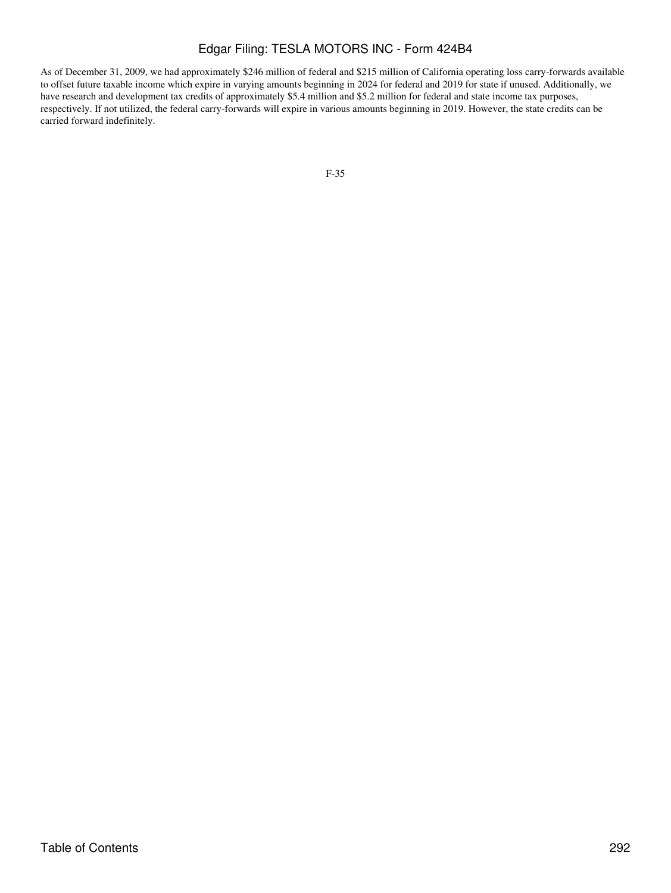As of December 31, 2009, we had approximately \$246 million of federal and \$215 million of California operating loss carry-forwards available to offset future taxable income which expire in varying amounts beginning in 2024 for federal and 2019 for state if unused. Additionally, we have research and development tax credits of approximately \$5.4 million and \$5.2 million for federal and state income tax purposes, respectively. If not utilized, the federal carry-forwards will expire in various amounts beginning in 2019. However, the state credits can be carried forward indefinitely.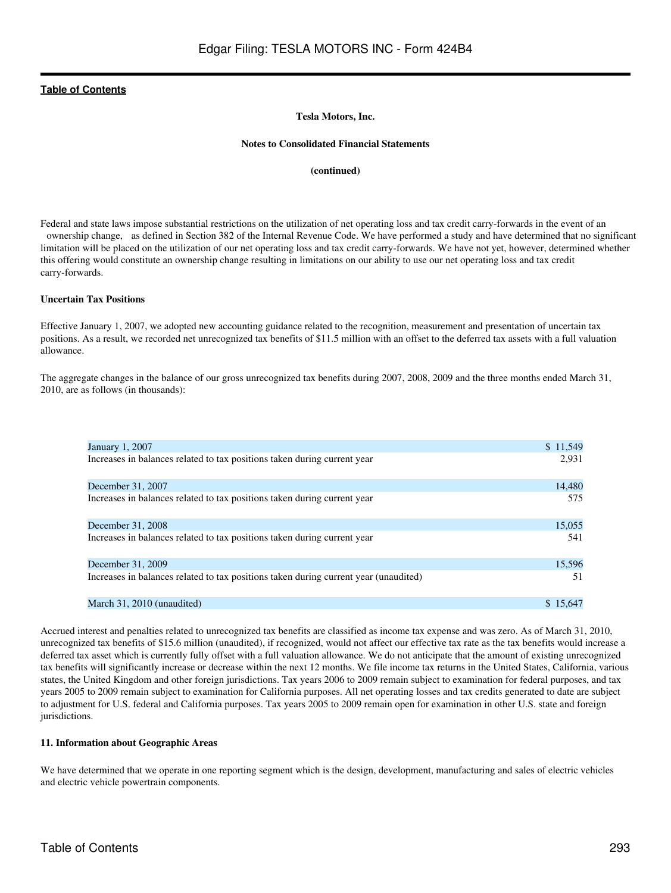## **Tesla Motors, Inc.**

#### **Notes to Consolidated Financial Statements**

#### **(continued)**

Federal and state laws impose substantial restrictions on the utilization of net operating loss and tax credit carry-forwards in the event of an ownership change, as defined in Section 382 of the Internal Revenue Code. We have performed a study and have determined that no significant limitation will be placed on the utilization of our net operating loss and tax credit carry-forwards. We have not yet, however, determined whether this offering would constitute an ownership change resulting in limitations on our ability to use our net operating loss and tax credit carry-forwards.

## **Uncertain Tax Positions**

Effective January 1, 2007, we adopted new accounting guidance related to the recognition, measurement and presentation of uncertain tax positions. As a result, we recorded net unrecognized tax benefits of \$11.5 million with an offset to the deferred tax assets with a full valuation allowance.

The aggregate changes in the balance of our gross unrecognized tax benefits during 2007, 2008, 2009 and the three months ended March 31, 2010, are as follows (in thousands):

| January 1, 2007                                                                      | \$11,549 |
|--------------------------------------------------------------------------------------|----------|
| Increases in balances related to tax positions taken during current year             | 2.931    |
| December 31, 2007                                                                    | 14,480   |
| Increases in balances related to tax positions taken during current year             | 575      |
| December 31, 2008                                                                    | 15,055   |
| Increases in balances related to tax positions taken during current year             | 541      |
| December 31, 2009                                                                    | 15,596   |
| Increases in balances related to tax positions taken during current year (unaudited) | 51       |
| March 31, 2010 (unaudited)                                                           | \$15,647 |

Accrued interest and penalties related to unrecognized tax benefits are classified as income tax expense and was zero. As of March 31, 2010, unrecognized tax benefits of \$15.6 million (unaudited), if recognized, would not affect our effective tax rate as the tax benefits would increase a deferred tax asset which is currently fully offset with a full valuation allowance. We do not anticipate that the amount of existing unrecognized tax benefits will significantly increase or decrease within the next 12 months. We file income tax returns in the United States, California, various states, the United Kingdom and other foreign jurisdictions. Tax years 2006 to 2009 remain subject to examination for federal purposes, and tax years 2005 to 2009 remain subject to examination for California purposes. All net operating losses and tax credits generated to date are subject to adjustment for U.S. federal and California purposes. Tax years 2005 to 2009 remain open for examination in other U.S. state and foreign jurisdictions.

#### **11. Information about Geographic Areas**

We have determined that we operate in one reporting segment which is the design, development, manufacturing and sales of electric vehicles and electric vehicle powertrain components.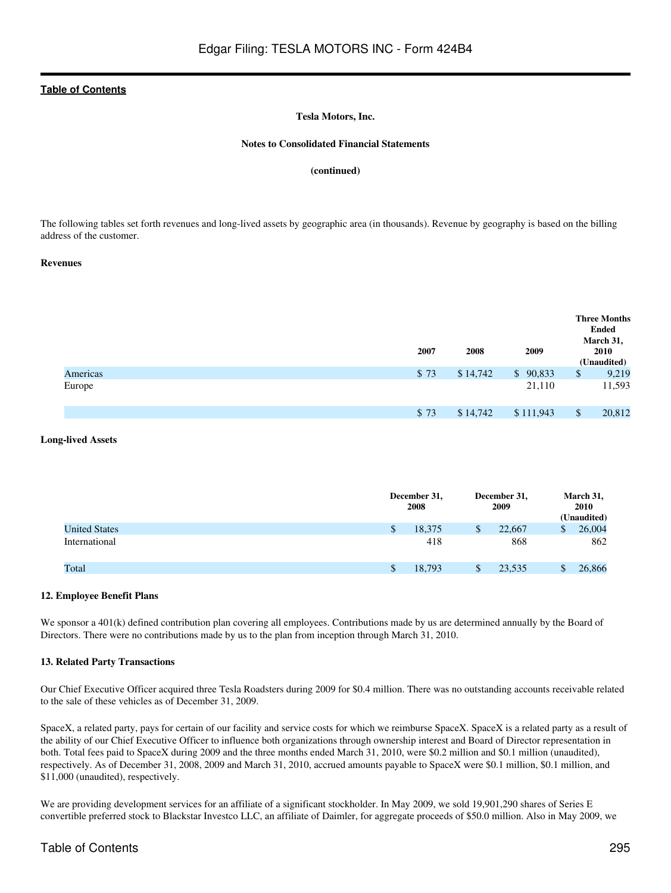# **Tesla Motors, Inc.**

#### **Notes to Consolidated Financial Statements**

#### **(continued)**

The following tables set forth revenues and long-lived assets by geographic area (in thousands). Revenue by geography is based on the billing address of the customer.

#### **Revenues**

|          | 2007 | 2008     | 2009      | <b>Three Months</b><br><b>Ended</b><br>March 31,<br>2010<br>(Unaudited) |
|----------|------|----------|-----------|-------------------------------------------------------------------------|
| Americas | \$73 | \$14,742 | \$90,833  | \$<br>9,219                                                             |
| Europe   |      |          | 21,110    | 11,593                                                                  |
|          | \$73 | \$14,742 | \$111,943 | \$<br>20,812                                                            |

#### **Long-lived Assets**

|                      | December 31,<br>2008 | December 31,<br>2009 |   | March 31,<br>2010<br>(Unaudited) |
|----------------------|----------------------|----------------------|---|----------------------------------|
| <b>United States</b> | 18,375               | 22,667               | Φ | 26,004                           |
| International        | 418                  | 868                  |   | 862                              |
| Total                | 18.793               | 23,535               |   | 26,866                           |

#### **12. Employee Benefit Plans**

We sponsor a 401(k) defined contribution plan covering all employees. Contributions made by us are determined annually by the Board of Directors. There were no contributions made by us to the plan from inception through March 31, 2010.

## **13. Related Party Transactions**

Our Chief Executive Officer acquired three Tesla Roadsters during 2009 for \$0.4 million. There was no outstanding accounts receivable related to the sale of these vehicles as of December 31, 2009.

SpaceX, a related party, pays for certain of our facility and service costs for which we reimburse SpaceX. SpaceX is a related party as a result of the ability of our Chief Executive Officer to influence both organizations through ownership interest and Board of Director representation in both. Total fees paid to SpaceX during 2009 and the three months ended March 31, 2010, were \$0.2 million and \$0.1 million (unaudited), respectively. As of December 31, 2008, 2009 and March 31, 2010, accrued amounts payable to SpaceX were \$0.1 million, \$0.1 million, and \$11,000 (unaudited), respectively.

We are providing development services for an affiliate of a significant stockholder. In May 2009, we sold 19,901,290 shares of Series E convertible preferred stock to Blackstar Investco LLC, an affiliate of Daimler, for aggregate proceeds of \$50.0 million. Also in May 2009, we

# Table of Contents 295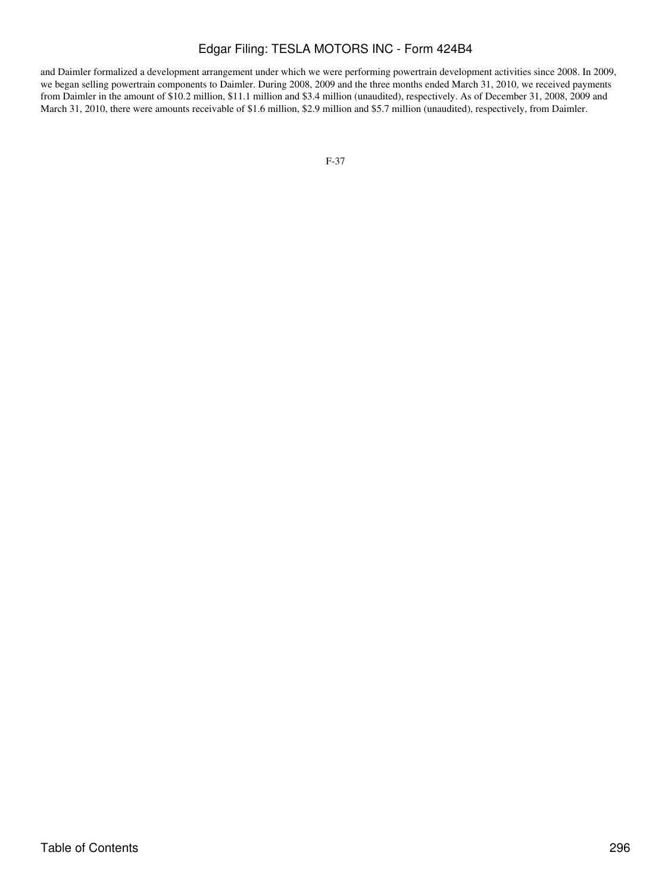and Daimler formalized a development arrangement under which we were performing powertrain development activities since 2008. In 2009, we began selling powertrain components to Daimler. During 2008, 2009 and the three months ended March 31, 2010, we received payments from Daimler in the amount of \$10.2 million, \$11.1 million and \$3.4 million (unaudited), respectively. As of December 31, 2008, 2009 and March 31, 2010, there were amounts receivable of \$1.6 million, \$2.9 million and \$5.7 million (unaudited), respectively, from Daimler.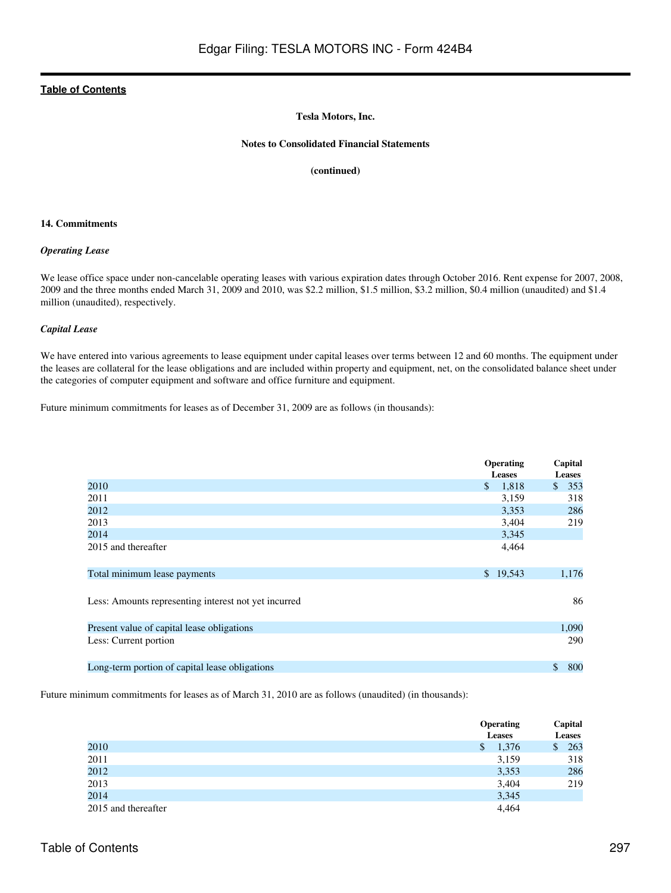# **Tesla Motors, Inc.**

# **Notes to Consolidated Financial Statements**

**(continued)**

#### **14. Commitments**

## *Operating Lease*

We lease office space under non-cancelable operating leases with various expiration dates through October 2016. Rent expense for 2007, 2008, 2009 and the three months ended March 31, 2009 and 2010, was \$2.2 million, \$1.5 million, \$3.2 million, \$0.4 million (unaudited) and \$1.4 million (unaudited), respectively.

# *Capital Lease*

We have entered into various agreements to lease equipment under capital leases over terms between 12 and 60 months. The equipment under the leases are collateral for the lease obligations and are included within property and equipment, net, on the consolidated balance sheet under the categories of computer equipment and software and office furniture and equipment.

Future minimum commitments for leases as of December 31, 2009 are as follows (in thousands):

|                                                      | Operating<br><b>Leases</b> | Capital<br>Leases   |
|------------------------------------------------------|----------------------------|---------------------|
| 2010                                                 | \$<br>1,818                | 353<br>$\mathbb{S}$ |
| 2011                                                 | 3,159                      | 318                 |
| 2012                                                 | 3,353                      | 286                 |
| 2013                                                 | 3,404                      | 219                 |
| 2014                                                 | 3,345                      |                     |
| 2015 and thereafter                                  | 4,464                      |                     |
| Total minimum lease payments                         | \$19,543                   | 1,176               |
| Less: Amounts representing interest not yet incurred |                            | 86                  |
| Present value of capital lease obligations           |                            | 1,090               |
| Less: Current portion                                |                            | 290                 |
| Long-term portion of capital lease obligations       |                            | 800                 |

Future minimum commitments for leases as of March 31, 2010 are as follows (unaudited) (in thousands):

|                     | <b>Operating</b><br>Leases | Capital<br><b>Leases</b> |
|---------------------|----------------------------|--------------------------|
| 2010                | 1,376<br>\$                | 263<br>\$                |
| 2011                | 3,159                      | 318                      |
| 2012                | 3,353                      | 286                      |
| 2013                | 3,404                      | 219                      |
| 2014                | 3,345                      |                          |
| 2015 and thereafter | 4.464                      |                          |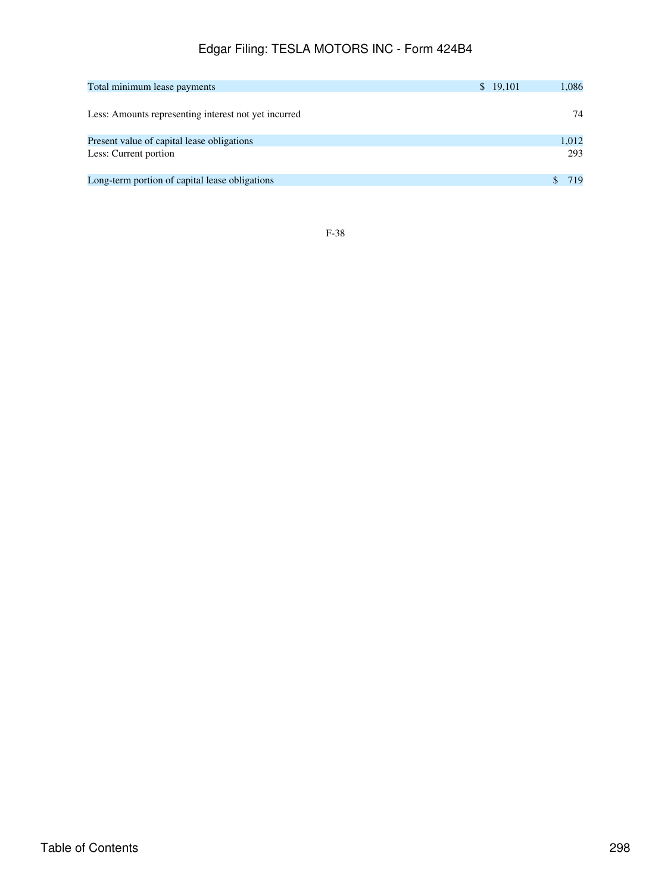| Total minimum lease payments                                        | \$19,101 | 1,086        |
|---------------------------------------------------------------------|----------|--------------|
| Less: Amounts representing interest not yet incurred                |          | 74           |
| Present value of capital lease obligations<br>Less: Current portion |          | 1,012<br>293 |
| Long-term portion of capital lease obligations                      |          | 719          |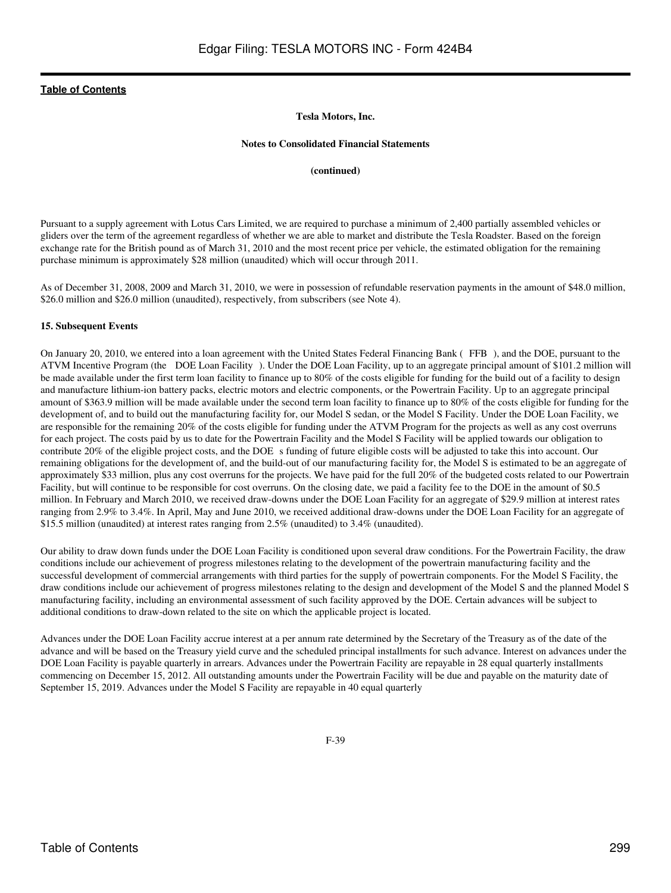# **Tesla Motors, Inc.**

#### **Notes to Consolidated Financial Statements**

**(continued)**

Pursuant to a supply agreement with Lotus Cars Limited, we are required to purchase a minimum of 2,400 partially assembled vehicles or gliders over the term of the agreement regardless of whether we are able to market and distribute the Tesla Roadster. Based on the foreign exchange rate for the British pound as of March 31, 2010 and the most recent price per vehicle, the estimated obligation for the remaining purchase minimum is approximately \$28 million (unaudited) which will occur through 2011.

As of December 31, 2008, 2009 and March 31, 2010, we were in possession of refundable reservation payments in the amount of \$48.0 million, \$26.0 million and \$26.0 million (unaudited), respectively, from subscribers (see Note 4).

## **15. Subsequent Events**

On January 20, 2010, we entered into a loan agreement with the United States Federal Financing Bank (FFB), and the DOE, pursuant to the ATVM Incentive Program (the DOE Loan Facility). Under the DOE Loan Facility, up to an aggregate principal amount of \$101.2 million will be made available under the first term loan facility to finance up to 80% of the costs eligible for funding for the build out of a facility to design and manufacture lithium-ion battery packs, electric motors and electric components, or the Powertrain Facility. Up to an aggregate principal amount of \$363.9 million will be made available under the second term loan facility to finance up to 80% of the costs eligible for funding for the development of, and to build out the manufacturing facility for, our Model S sedan, or the Model S Facility. Under the DOE Loan Facility, we are responsible for the remaining 20% of the costs eligible for funding under the ATVM Program for the projects as well as any cost overruns for each project. The costs paid by us to date for the Powertrain Facility and the Model S Facility will be applied towards our obligation to contribute 20% of the eligible project costs, and the DOE s funding of future eligible costs will be adjusted to take this into account. Our remaining obligations for the development of, and the build-out of our manufacturing facility for, the Model S is estimated to be an aggregate of approximately \$33 million, plus any cost overruns for the projects. We have paid for the full 20% of the budgeted costs related to our Powertrain Facility, but will continue to be responsible for cost overruns. On the closing date, we paid a facility fee to the DOE in the amount of \$0.5 million. In February and March 2010, we received draw-downs under the DOE Loan Facility for an aggregate of \$29.9 million at interest rates ranging from 2.9% to 3.4%. In April, May and June 2010, we received additional draw-downs under the DOE Loan Facility for an aggregate of \$15.5 million (unaudited) at interest rates ranging from 2.5% (unaudited) to 3.4% (unaudited).

Our ability to draw down funds under the DOE Loan Facility is conditioned upon several draw conditions. For the Powertrain Facility, the draw conditions include our achievement of progress milestones relating to the development of the powertrain manufacturing facility and the successful development of commercial arrangements with third parties for the supply of powertrain components. For the Model S Facility, the draw conditions include our achievement of progress milestones relating to the design and development of the Model S and the planned Model S manufacturing facility, including an environmental assessment of such facility approved by the DOE. Certain advances will be subject to additional conditions to draw-down related to the site on which the applicable project is located.

Advances under the DOE Loan Facility accrue interest at a per annum rate determined by the Secretary of the Treasury as of the date of the advance and will be based on the Treasury yield curve and the scheduled principal installments for such advance. Interest on advances under the DOE Loan Facility is payable quarterly in arrears. Advances under the Powertrain Facility are repayable in 28 equal quarterly installments commencing on December 15, 2012. All outstanding amounts under the Powertrain Facility will be due and payable on the maturity date of September 15, 2019. Advances under the Model S Facility are repayable in 40 equal quarterly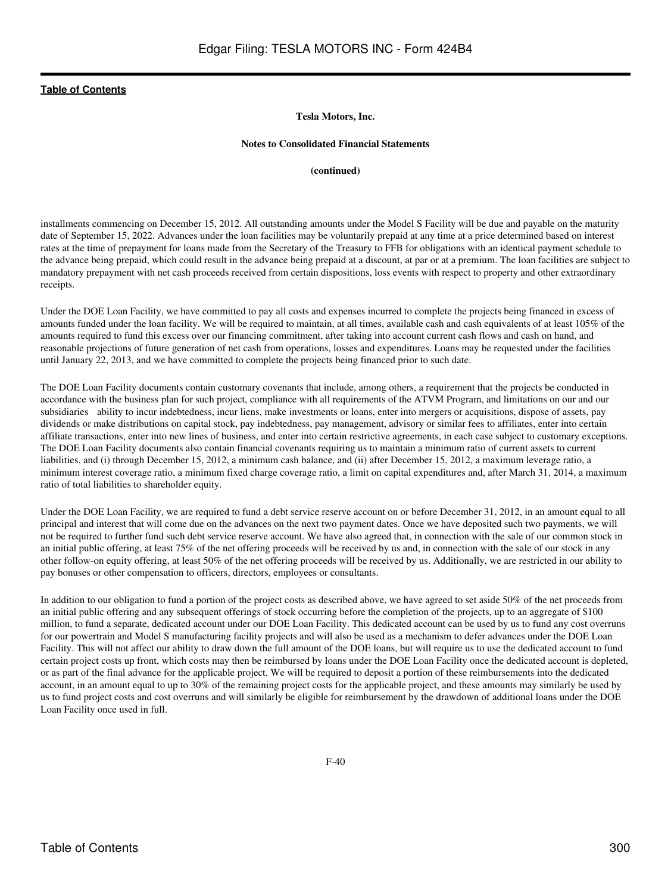# **Tesla Motors, Inc.**

#### **Notes to Consolidated Financial Statements**

**(continued)**

installments commencing on December 15, 2012. All outstanding amounts under the Model S Facility will be due and payable on the maturity date of September 15, 2022. Advances under the loan facilities may be voluntarily prepaid at any time at a price determined based on interest rates at the time of prepayment for loans made from the Secretary of the Treasury to FFB for obligations with an identical payment schedule to the advance being prepaid, which could result in the advance being prepaid at a discount, at par or at a premium. The loan facilities are subject to mandatory prepayment with net cash proceeds received from certain dispositions, loss events with respect to property and other extraordinary receipts.

Under the DOE Loan Facility, we have committed to pay all costs and expenses incurred to complete the projects being financed in excess of amounts funded under the loan facility. We will be required to maintain, at all times, available cash and cash equivalents of at least 105% of the amounts required to fund this excess over our financing commitment, after taking into account current cash flows and cash on hand, and reasonable projections of future generation of net cash from operations, losses and expenditures. Loans may be requested under the facilities until January 22, 2013, and we have committed to complete the projects being financed prior to such date.

The DOE Loan Facility documents contain customary covenants that include, among others, a requirement that the projects be conducted in accordance with the business plan for such project, compliance with all requirements of the ATVM Program, and limitations on our and our subsidiaries ability to incur indebtedness, incur liens, make investments or loans, enter into mergers or acquisitions, dispose of assets, pay dividends or make distributions on capital stock, pay indebtedness, pay management, advisory or similar fees to affiliates, enter into certain affiliate transactions, enter into new lines of business, and enter into certain restrictive agreements, in each case subject to customary exceptions. The DOE Loan Facility documents also contain financial covenants requiring us to maintain a minimum ratio of current assets to current liabilities, and (i) through December 15, 2012, a minimum cash balance, and (ii) after December 15, 2012, a maximum leverage ratio, a minimum interest coverage ratio, a minimum fixed charge coverage ratio, a limit on capital expenditures and, after March 31, 2014, a maximum ratio of total liabilities to shareholder equity.

Under the DOE Loan Facility, we are required to fund a debt service reserve account on or before December 31, 2012, in an amount equal to all principal and interest that will come due on the advances on the next two payment dates. Once we have deposited such two payments, we will not be required to further fund such debt service reserve account. We have also agreed that, in connection with the sale of our common stock in an initial public offering, at least 75% of the net offering proceeds will be received by us and, in connection with the sale of our stock in any other follow-on equity offering, at least 50% of the net offering proceeds will be received by us. Additionally, we are restricted in our ability to pay bonuses or other compensation to officers, directors, employees or consultants.

In addition to our obligation to fund a portion of the project costs as described above, we have agreed to set aside 50% of the net proceeds from an initial public offering and any subsequent offerings of stock occurring before the completion of the projects, up to an aggregate of \$100 million, to fund a separate, dedicated account under our DOE Loan Facility. This dedicated account can be used by us to fund any cost overruns for our powertrain and Model S manufacturing facility projects and will also be used as a mechanism to defer advances under the DOE Loan Facility. This will not affect our ability to draw down the full amount of the DOE loans, but will require us to use the dedicated account to fund certain project costs up front, which costs may then be reimbursed by loans under the DOE Loan Facility once the dedicated account is depleted, or as part of the final advance for the applicable project. We will be required to deposit a portion of these reimbursements into the dedicated account, in an amount equal to up to 30% of the remaining project costs for the applicable project, and these amounts may similarly be used by us to fund project costs and cost overruns and will similarly be eligible for reimbursement by the drawdown of additional loans under the DOE Loan Facility once used in full.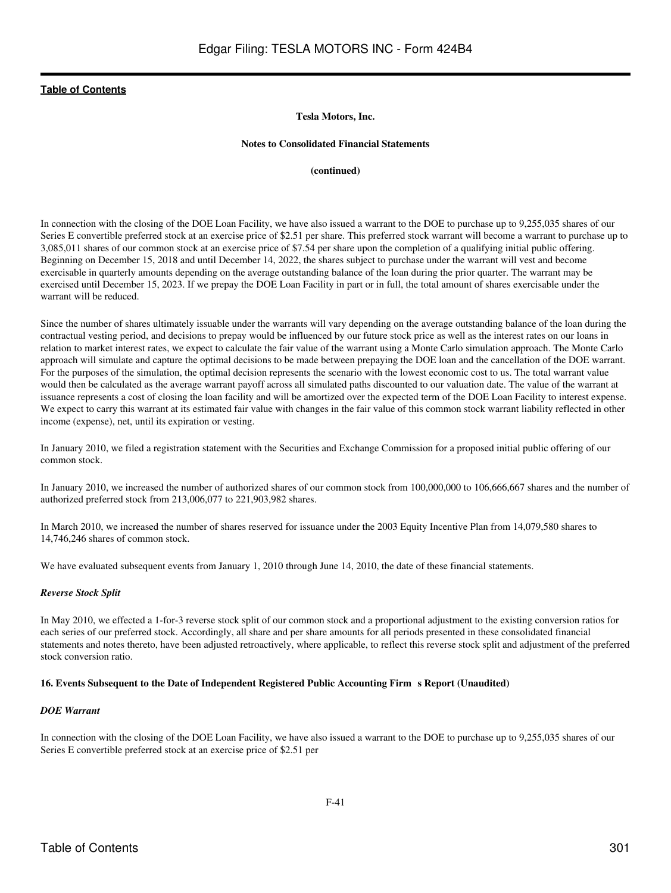# **Tesla Motors, Inc.**

#### **Notes to Consolidated Financial Statements**

**(continued)**

In connection with the closing of the DOE Loan Facility, we have also issued a warrant to the DOE to purchase up to 9,255,035 shares of our Series E convertible preferred stock at an exercise price of \$2.51 per share. This preferred stock warrant will become a warrant to purchase up to 3,085,011 shares of our common stock at an exercise price of \$7.54 per share upon the completion of a qualifying initial public offering. Beginning on December 15, 2018 and until December 14, 2022, the shares subject to purchase under the warrant will vest and become exercisable in quarterly amounts depending on the average outstanding balance of the loan during the prior quarter. The warrant may be exercised until December 15, 2023. If we prepay the DOE Loan Facility in part or in full, the total amount of shares exercisable under the warrant will be reduced.

Since the number of shares ultimately issuable under the warrants will vary depending on the average outstanding balance of the loan during the contractual vesting period, and decisions to prepay would be influenced by our future stock price as well as the interest rates on our loans in relation to market interest rates, we expect to calculate the fair value of the warrant using a Monte Carlo simulation approach. The Monte Carlo approach will simulate and capture the optimal decisions to be made between prepaying the DOE loan and the cancellation of the DOE warrant. For the purposes of the simulation, the optimal decision represents the scenario with the lowest economic cost to us. The total warrant value would then be calculated as the average warrant payoff across all simulated paths discounted to our valuation date. The value of the warrant at issuance represents a cost of closing the loan facility and will be amortized over the expected term of the DOE Loan Facility to interest expense. We expect to carry this warrant at its estimated fair value with changes in the fair value of this common stock warrant liability reflected in other income (expense), net, until its expiration or vesting.

In January 2010, we filed a registration statement with the Securities and Exchange Commission for a proposed initial public offering of our common stock.

In January 2010, we increased the number of authorized shares of our common stock from 100,000,000 to 106,666,667 shares and the number of authorized preferred stock from 213,006,077 to 221,903,982 shares.

In March 2010, we increased the number of shares reserved for issuance under the 2003 Equity Incentive Plan from 14,079,580 shares to 14,746,246 shares of common stock.

We have evaluated subsequent events from January 1, 2010 through June 14, 2010, the date of these financial statements.

#### *Reverse Stock Split*

In May 2010, we effected a 1-for-3 reverse stock split of our common stock and a proportional adjustment to the existing conversion ratios for each series of our preferred stock. Accordingly, all share and per share amounts for all periods presented in these consolidated financial statements and notes thereto, have been adjusted retroactively, where applicable, to reflect this reverse stock split and adjustment of the preferred stock conversion ratio.

#### **16. Events Subsequent to the Date of Independent Registered Public Accounting Firms Report (Unaudited)**

#### *DOE Warrant*

In connection with the closing of the DOE Loan Facility, we have also issued a warrant to the DOE to purchase up to 9,255,035 shares of our Series E convertible preferred stock at an exercise price of \$2.51 per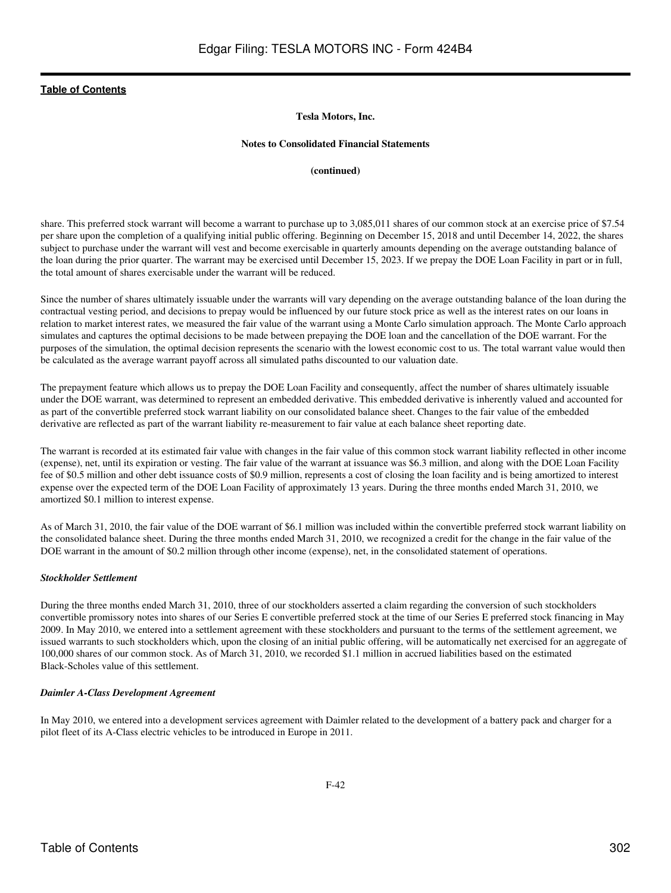# **Tesla Motors, Inc.**

#### **Notes to Consolidated Financial Statements**

**(continued)**

share. This preferred stock warrant will become a warrant to purchase up to 3,085,011 shares of our common stock at an exercise price of \$7.54 per share upon the completion of a qualifying initial public offering. Beginning on December 15, 2018 and until December 14, 2022, the shares subject to purchase under the warrant will vest and become exercisable in quarterly amounts depending on the average outstanding balance of the loan during the prior quarter. The warrant may be exercised until December 15, 2023. If we prepay the DOE Loan Facility in part or in full, the total amount of shares exercisable under the warrant will be reduced.

Since the number of shares ultimately issuable under the warrants will vary depending on the average outstanding balance of the loan during the contractual vesting period, and decisions to prepay would be influenced by our future stock price as well as the interest rates on our loans in relation to market interest rates, we measured the fair value of the warrant using a Monte Carlo simulation approach. The Monte Carlo approach simulates and captures the optimal decisions to be made between prepaying the DOE loan and the cancellation of the DOE warrant. For the purposes of the simulation, the optimal decision represents the scenario with the lowest economic cost to us. The total warrant value would then be calculated as the average warrant payoff across all simulated paths discounted to our valuation date.

The prepayment feature which allows us to prepay the DOE Loan Facility and consequently, affect the number of shares ultimately issuable under the DOE warrant, was determined to represent an embedded derivative. This embedded derivative is inherently valued and accounted for as part of the convertible preferred stock warrant liability on our consolidated balance sheet. Changes to the fair value of the embedded derivative are reflected as part of the warrant liability re-measurement to fair value at each balance sheet reporting date.

The warrant is recorded at its estimated fair value with changes in the fair value of this common stock warrant liability reflected in other income (expense), net, until its expiration or vesting. The fair value of the warrant at issuance was \$6.3 million, and along with the DOE Loan Facility fee of \$0.5 million and other debt issuance costs of \$0.9 million, represents a cost of closing the loan facility and is being amortized to interest expense over the expected term of the DOE Loan Facility of approximately 13 years. During the three months ended March 31, 2010, we amortized \$0.1 million to interest expense.

As of March 31, 2010, the fair value of the DOE warrant of \$6.1 million was included within the convertible preferred stock warrant liability on the consolidated balance sheet. During the three months ended March 31, 2010, we recognized a credit for the change in the fair value of the DOE warrant in the amount of \$0.2 million through other income (expense), net, in the consolidated statement of operations.

# *Stockholder Settlement*

During the three months ended March 31, 2010, three of our stockholders asserted a claim regarding the conversion of such stockholders convertible promissory notes into shares of our Series E convertible preferred stock at the time of our Series E preferred stock financing in May 2009. In May 2010, we entered into a settlement agreement with these stockholders and pursuant to the terms of the settlement agreement, we issued warrants to such stockholders which, upon the closing of an initial public offering, will be automatically net exercised for an aggregate of 100,000 shares of our common stock. As of March 31, 2010, we recorded \$1.1 million in accrued liabilities based on the estimated Black-Scholes value of this settlement.

#### *Daimler A-Class Development Agreement*

In May 2010, we entered into a development services agreement with Daimler related to the development of a battery pack and charger for a pilot fleet of its A-Class electric vehicles to be introduced in Europe in 2011.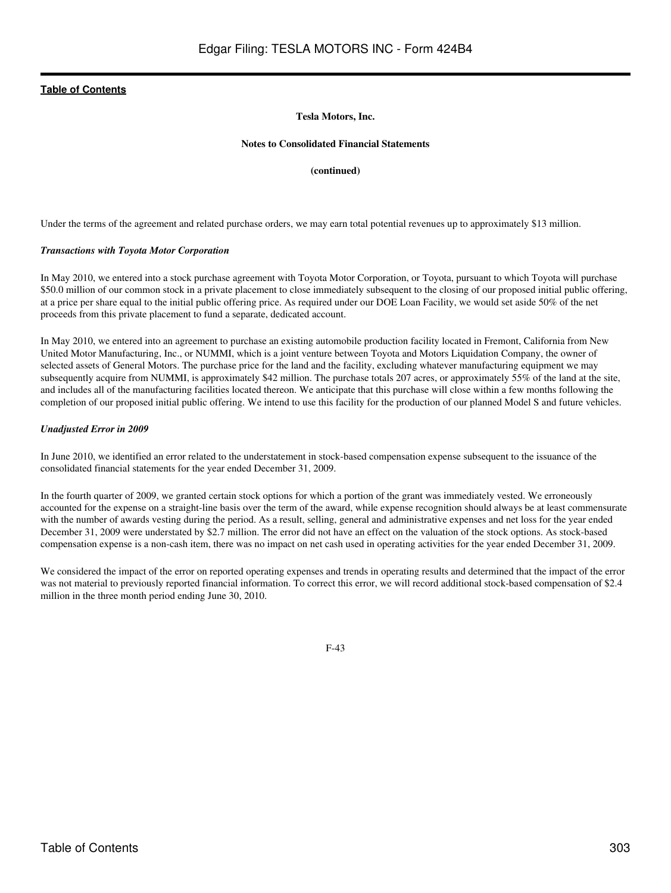# **Tesla Motors, Inc.**

#### **Notes to Consolidated Financial Statements**

**(continued)**

Under the terms of the agreement and related purchase orders, we may earn total potential revenues up to approximately \$13 million.

## *Transactions with Toyota Motor Corporation*

In May 2010, we entered into a stock purchase agreement with Toyota Motor Corporation, or Toyota, pursuant to which Toyota will purchase \$50.0 million of our common stock in a private placement to close immediately subsequent to the closing of our proposed initial public offering, at a price per share equal to the initial public offering price. As required under our DOE Loan Facility, we would set aside 50% of the net proceeds from this private placement to fund a separate, dedicated account.

In May 2010, we entered into an agreement to purchase an existing automobile production facility located in Fremont, California from New United Motor Manufacturing, Inc., or NUMMI, which is a joint venture between Toyota and Motors Liquidation Company, the owner of selected assets of General Motors. The purchase price for the land and the facility, excluding whatever manufacturing equipment we may subsequently acquire from NUMMI, is approximately \$42 million. The purchase totals 207 acres, or approximately 55% of the land at the site, and includes all of the manufacturing facilities located thereon. We anticipate that this purchase will close within a few months following the completion of our proposed initial public offering. We intend to use this facility for the production of our planned Model S and future vehicles.

## *Unadjusted Error in 2009*

In June 2010, we identified an error related to the understatement in stock-based compensation expense subsequent to the issuance of the consolidated financial statements for the year ended December 31, 2009.

In the fourth quarter of 2009, we granted certain stock options for which a portion of the grant was immediately vested. We erroneously accounted for the expense on a straight-line basis over the term of the award, while expense recognition should always be at least commensurate with the number of awards vesting during the period. As a result, selling, general and administrative expenses and net loss for the year ended December 31, 2009 were understated by \$2.7 million. The error did not have an effect on the valuation of the stock options. As stock-based compensation expense is a non-cash item, there was no impact on net cash used in operating activities for the year ended December 31, 2009.

We considered the impact of the error on reported operating expenses and trends in operating results and determined that the impact of the error was not material to previously reported financial information. To correct this error, we will record additional stock-based compensation of \$2.4 million in the three month period ending June 30, 2010.